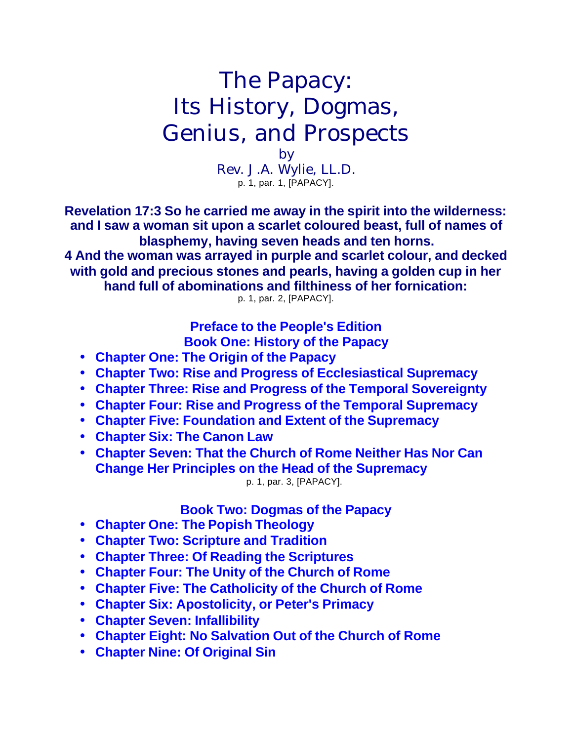# The Papacy: Its History, Dogmas, Genius, and Prospects

by Rev. J.A. Wylie, LL.D. p. 1, par. 1, [PAPACY].

**Revelation 17:3 So he carried me away in the spirit into the wilderness: and I saw a woman sit upon a scarlet coloured beast, full of names of blasphemy, having seven heads and ten horns.**

**4 And the woman was arrayed in purple and scarlet colour, and decked with gold and precious stones and pearls, having a golden cup in her hand full of abominations and filthiness of her fornication:**

p. 1, par. 2, [PAPACY].

**Preface to the People's Edition Book One: History of the Papacy**

- **Chapter One: The Origin of the Papacy**
- **Chapter Two: Rise and Progress of Ecclesiastical Supremacy**
- **Chapter Three: Rise and Progress of the Temporal Sovereignty**
- **Chapter Four: Rise and Progress of the Temporal Supremacy**
- **Chapter Five: Foundation and Extent of the Supremacy**
- **Chapter Six: The Canon Law**
- **Chapter Seven: That the Church of Rome Neither Has Nor Can Change Her Principles on the Head of the Supremacy** p. 1, par. 3, [PAPACY].

**Book Two: Dogmas of the Papacy**

- **Chapter One: The Popish Theology**
- **Chapter Two: Scripture and Tradition**
- **Chapter Three: Of Reading the Scriptures**
- **Chapter Four: The Unity of the Church of Rome**
- **Chapter Five: The Catholicity of the Church of Rome**
- **Chapter Six: Apostolicity, or Peter's Primacy**
- **Chapter Seven: Infallibility**
- **Chapter Eight: No Salvation Out of the Church of Rome**
- **Chapter Nine: Of Original Sin**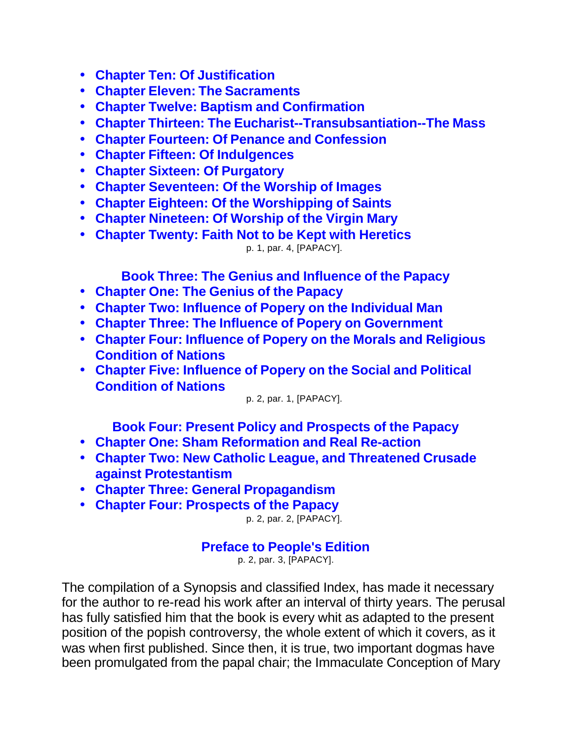- **Chapter Ten: Of Justification**
- **Chapter Eleven: The Sacraments**
- **Chapter Twelve: Baptism and Confirmation**
- **Chapter Thirteen: The Eucharist--Transubsantiation--The Mass**
- **Chapter Fourteen: Of Penance and Confession**
- **Chapter Fifteen: Of Indulgences**
- **Chapter Sixteen: Of Purgatory**
- **Chapter Seventeen: Of the Worship of Images**
- **Chapter Eighteen: Of the Worshipping of Saints**
- **Chapter Nineteen: Of Worship of the Virgin Mary**
- **Chapter Twenty: Faith Not to be Kept with Heretics** p. 1, par. 4, [PAPACY].

**Book Three: The Genius and Influence of the Papacy**

- **Chapter One: The Genius of the Papacy**
- **Chapter Two: Influence of Popery on the Individual Man**
- **Chapter Three: The Influence of Popery on Government**
- **Chapter Four: Influence of Popery on the Morals and Religious Condition of Nations**
- **Chapter Five: Influence of Popery on the Social and Political Condition of Nations**

p. 2, par. 1, [PAPACY].

**Book Four: Present Policy and Prospects of the Papacy**

- **Chapter One: Sham Reformation and Real Re-action**
- **Chapter Two: New Catholic League, and Threatened Crusade against Protestantism**
- **Chapter Three: General Propagandism**
- **Chapter Four: Prospects of the Papacy**

p. 2, par. 2, [PAPACY].

### **Preface to People's Edition**

p. 2, par. 3, [PAPACY].

The compilation of a Synopsis and classified Index, has made it necessary for the author to re-read his work after an interval of thirty years. The perusal has fully satisfied him that the book is every whit as adapted to the present position of the popish controversy, the whole extent of which it covers, as it was when first published. Since then, it is true, two important dogmas have been promulgated from the papal chair; the Immaculate Conception of Mary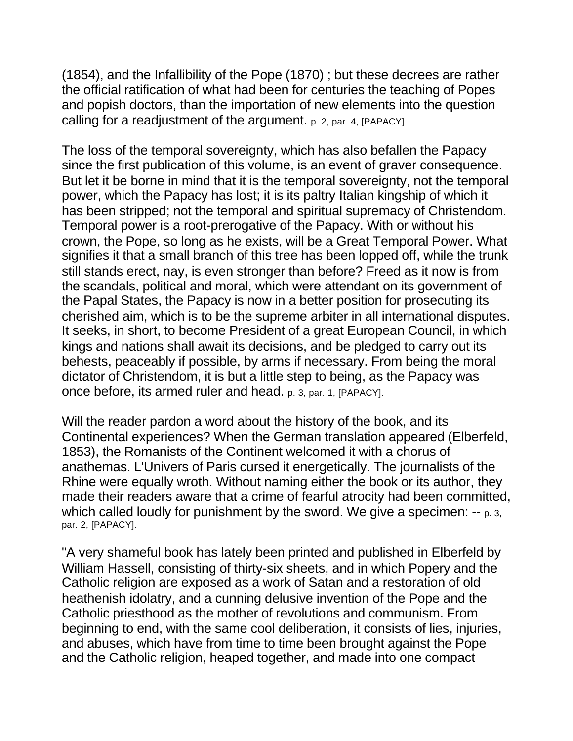(1854), and the Infallibility of the Pope (1870) ; but these decrees are rather the official ratification of what had been for centuries the teaching of Popes and popish doctors, than the importation of new elements into the question calling for a readjustment of the argument. p. 2, par. 4, [PAPACY].

The loss of the temporal sovereignty, which has also befallen the Papacy since the first publication of this volume, is an event of graver consequence. But let it be borne in mind that it is the temporal sovereignty, not the temporal power, which the Papacy has lost; it is its paltry Italian kingship of which it has been stripped; not the temporal and spiritual supremacy of Christendom. Temporal power is a root-prerogative of the Papacy. With or without his crown, the Pope, so long as he exists, will be a Great Temporal Power. What signifies it that a small branch of this tree has been lopped off, while the trunk still stands erect, nay, is even stronger than before? Freed as it now is from the scandals, political and moral, which were attendant on its government of the Papal States, the Papacy is now in a better position for prosecuting its cherished aim, which is to be the supreme arbiter in all international disputes. It seeks, in short, to become President of a great European Council, in which kings and nations shall await its decisions, and be pledged to carry out its behests, peaceably if possible, by arms if necessary. From being the moral dictator of Christendom, it is but a little step to being, as the Papacy was once before, its armed ruler and head. p. 3, par. 1, [PAPACY].

Will the reader pardon a word about the history of the book, and its Continental experiences? When the German translation appeared (Elberfeld, 1853), the Romanists of the Continent welcomed it with a chorus of anathemas. L'Univers of Paris cursed it energetically. The journalists of the Rhine were equally wroth. Without naming either the book or its author, they made their readers aware that a crime of fearful atrocity had been committed, which called loudly for punishment by the sword. We give a specimen: -- p. 3, par. 2, [PAPACY].

"A very shameful book has lately been printed and published in Elberfeld by William Hassell, consisting of thirty-six sheets, and in which Popery and the Catholic religion are exposed as a work of Satan and a restoration of old heathenish idolatry, and a cunning delusive invention of the Pope and the Catholic priesthood as the mother of revolutions and communism. From beginning to end, with the same cool deliberation, it consists of lies, injuries, and abuses, which have from time to time been brought against the Pope and the Catholic religion, heaped together, and made into one compact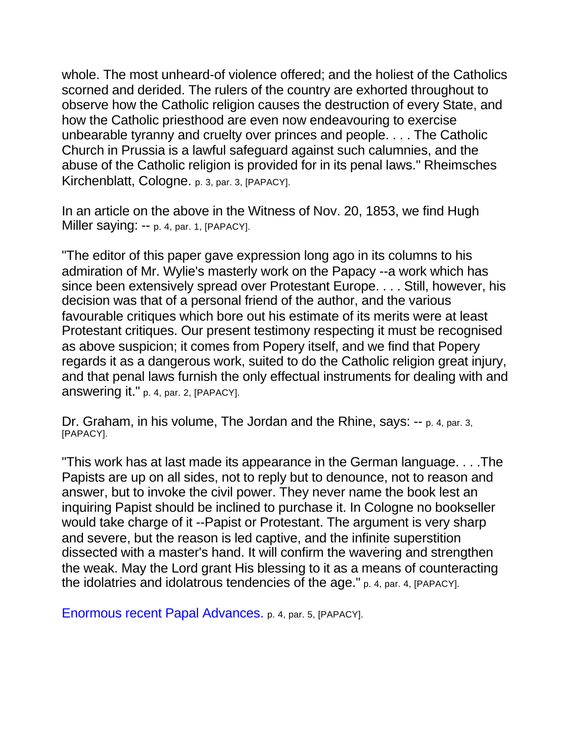whole. The most unheard-of violence offered; and the holiest of the Catholics scorned and derided. The rulers of the country are exhorted throughout to observe how the Catholic religion causes the destruction of every State, and how the Catholic priesthood are even now endeavouring to exercise unbearable tyranny and cruelty over princes and people. . . . The Catholic Church in Prussia is a lawful safeguard against such calumnies, and the abuse of the Catholic religion is provided for in its penal laws." Rheimsches Kirchenblatt, Cologne. p. 3, par. 3, [PAPACY].

In an article on the above in the Witness of Nov. 20, 1853, we find Hugh Miller saying: -- p. 4, par. 1, [PAPACY].

"The editor of this paper gave expression long ago in its columns to his admiration of Mr. Wylie's masterly work on the Papacy --a work which has since been extensively spread over Protestant Europe. . . . Still, however, his decision was that of a personal friend of the author, and the various favourable critiques which bore out his estimate of its merits were at least Protestant critiques. Our present testimony respecting it must be recognised as above suspicion; it comes from Popery itself, and we find that Popery regards it as a dangerous work, suited to do the Catholic religion great injury, and that penal laws furnish the only effectual instruments for dealing with and answering it." p. 4, par. 2, [PAPACY].

Dr. Graham, in his volume, The Jordan and the Rhine, says: -- p. 4, par. 3, [PAPACY].

"This work has at last made its appearance in the German language. . . .The Papists are up on all sides, not to reply but to denounce, not to reason and answer, but to invoke the civil power. They never name the book lest an inquiring Papist should be inclined to purchase it. In Cologne no bookseller would take charge of it --Papist or Protestant. The argument is very sharp and severe, but the reason is led captive, and the infinite superstition dissected with a master's hand. It will confirm the wavering and strengthen the weak. May the Lord grant His blessing to it as a means of counteracting the idolatries and idolatrous tendencies of the age." p. 4, par. 4, [PAPACY].

Enormous recent Papal Advances. p. 4, par. 5, [PAPACY].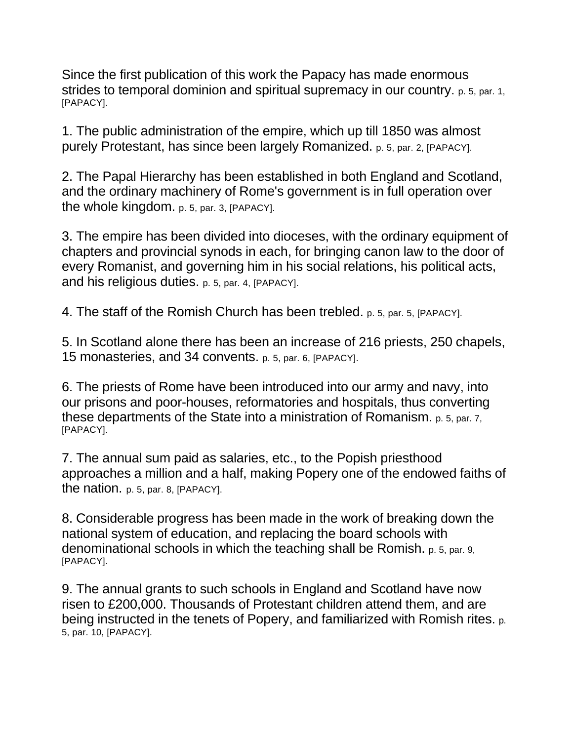Since the first publication of this work the Papacy has made enormous strides to temporal dominion and spiritual supremacy in our country. p. 5, par. 1, [PAPACY].

1. The public administration of the empire, which up till 1850 was almost purely Protestant, has since been largely Romanized. p. 5, par. 2, [PAPACY].

2. The Papal Hierarchy has been established in both England and Scotland, and the ordinary machinery of Rome's government is in full operation over the whole kingdom. p. 5, par. 3, [PAPACY].

3. The empire has been divided into dioceses, with the ordinary equipment of chapters and provincial synods in each, for bringing canon law to the door of every Romanist, and governing him in his social relations, his political acts, and his religious duties. p. 5, par. 4, [PAPACY].

4. The staff of the Romish Church has been trebled. p. 5, par. 5, [PAPACY].

5. In Scotland alone there has been an increase of 216 priests, 250 chapels, 15 monasteries, and 34 convents. p. 5, par. 6, [PAPACY].

6. The priests of Rome have been introduced into our army and navy, into our prisons and poor-houses, reformatories and hospitals, thus converting these departments of the State into a ministration of Romanism. p. 5, par. 7, [PAPACY].

7. The annual sum paid as salaries, etc., to the Popish priesthood approaches a million and a half, making Popery one of the endowed faiths of the nation. p. 5, par. 8, [PAPACY].

8. Considerable progress has been made in the work of breaking down the national system of education, and replacing the board schools with denominational schools in which the teaching shall be Romish. p. 5, par. 9, [PAPACY].

9. The annual grants to such schools in England and Scotland have now risen to £200,000. Thousands of Protestant children attend them, and are being instructed in the tenets of Popery, and familiarized with Romish rites. p. 5, par. 10, [PAPACY].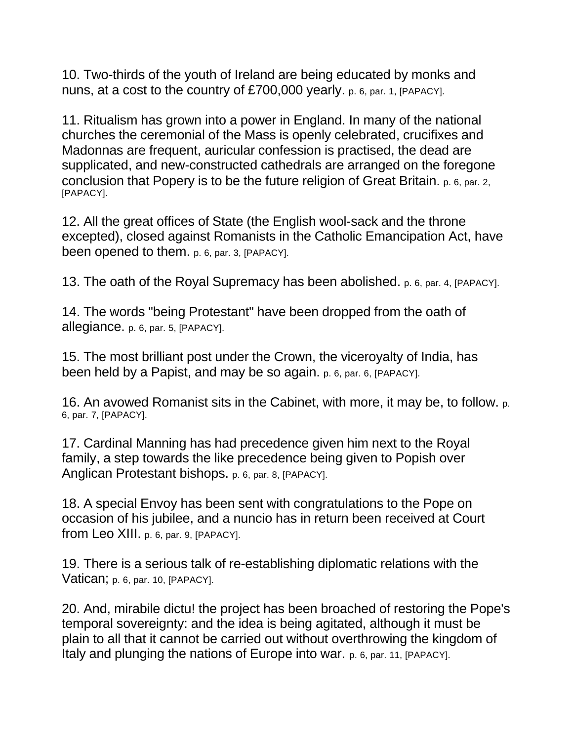10. Two-thirds of the youth of Ireland are being educated by monks and nuns, at a cost to the country of £700,000 yearly. p. 6, par. 1, [PAPACY].

11. Ritualism has grown into a power in England. In many of the national churches the ceremonial of the Mass is openly celebrated, crucifixes and Madonnas are frequent, auricular confession is practised, the dead are supplicated, and new-constructed cathedrals are arranged on the foregone conclusion that Popery is to be the future religion of Great Britain. p. 6, par. 2, [PAPACY].

12. All the great offices of State (the English wool-sack and the throne excepted), closed against Romanists in the Catholic Emancipation Act, have been opened to them. p. 6, par. 3, [PAPACY].

13. The oath of the Royal Supremacy has been abolished. p. 6, par. 4, [PAPACY].

14. The words "being Protestant" have been dropped from the oath of allegiance. p. 6, par. 5, [PAPACY].

15. The most brilliant post under the Crown, the viceroyalty of India, has been held by a Papist, and may be so again. p. 6, par. 6, [PAPACY].

16. An avowed Romanist sits in the Cabinet, with more, it may be, to follow. p. 6, par. 7, [PAPACY].

17. Cardinal Manning has had precedence given him next to the Royal family, a step towards the like precedence being given to Popish over Anglican Protestant bishops. p. 6, par. 8, [PAPACY].

18. A special Envoy has been sent with congratulations to the Pope on occasion of his jubilee, and a nuncio has in return been received at Court from Leo XIII. p. 6, par. 9, [PAPACY].

19. There is a serious talk of re-establishing diplomatic relations with the Vatican; p. 6, par. 10, [PAPACY].

20. And, mirabile dictu! the project has been broached of restoring the Pope's temporal sovereignty: and the idea is being agitated, although it must be plain to all that it cannot be carried out without overthrowing the kingdom of Italy and plunging the nations of Europe into war. p. 6, par. 11, [PAPACY].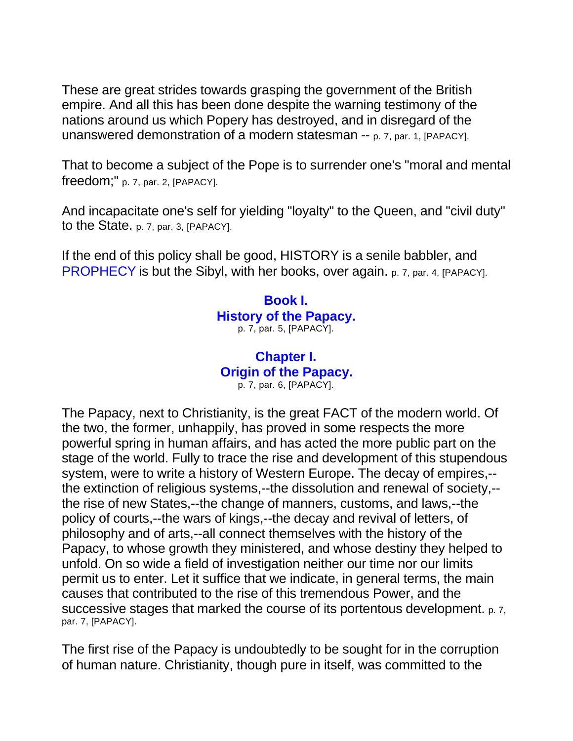These are great strides towards grasping the government of the British empire. And all this has been done despite the warning testimony of the nations around us which Popery has destroyed, and in disregard of the unanswered demonstration of a modern statesman -- p. 7, par. 1, [PAPACY].

That to become a subject of the Pope is to surrender one's "moral and mental freedom;" p. 7, par. 2, [PAPACY].

And incapacitate one's self for yielding "loyalty" to the Queen, and "civil duty" to the State. p. 7, par. 3, [PAPACY].

If the end of this policy shall be good, HISTORY is a senile babbler, and PROPHECY is but the Sibyl, with her books, over again. p. 7, par. 4, [PAPACY].

#### **Book I. History of the Papacy.** p. 7, par. 5, [PAPACY].

#### **Chapter I. Origin of the Papacy.** p. 7, par. 6, [PAPACY].

The Papacy, next to Christianity, is the great FACT of the modern world. Of the two, the former, unhappily, has proved in some respects the more powerful spring in human affairs, and has acted the more public part on the stage of the world. Fully to trace the rise and development of this stupendous system, were to write a history of Western Europe. The decay of empires,- the extinction of religious systems,--the dissolution and renewal of society,- the rise of new States,--the change of manners, customs, and laws,--the policy of courts,--the wars of kings,--the decay and revival of letters, of philosophy and of arts,--all connect themselves with the history of the Papacy, to whose growth they ministered, and whose destiny they helped to unfold. On so wide a field of investigation neither our time nor our limits permit us to enter. Let it suffice that we indicate, in general terms, the main causes that contributed to the rise of this tremendous Power, and the successive stages that marked the course of its portentous development. p. 7, par. 7, [PAPACY].

The first rise of the Papacy is undoubtedly to be sought for in the corruption of human nature. Christianity, though pure in itself, was committed to the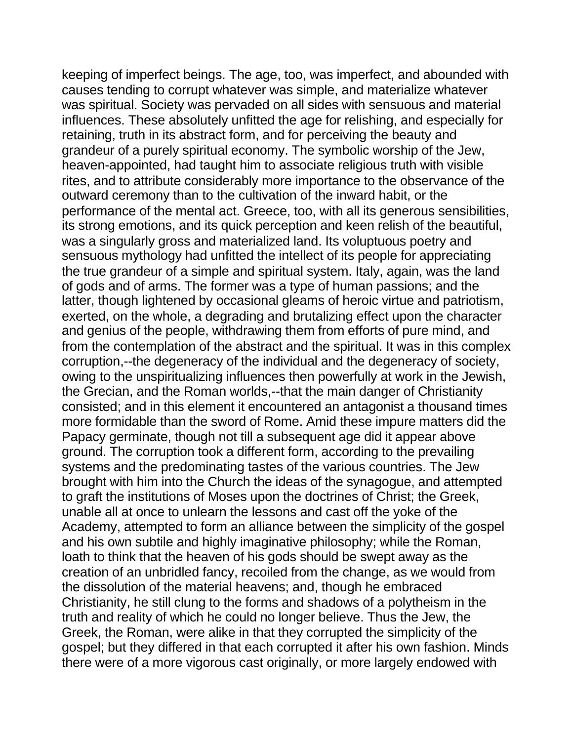keeping of imperfect beings. The age, too, was imperfect, and abounded with causes tending to corrupt whatever was simple, and materialize whatever was spiritual. Society was pervaded on all sides with sensuous and material influences. These absolutely unfitted the age for relishing, and especially for retaining, truth in its abstract form, and for perceiving the beauty and grandeur of a purely spiritual economy. The symbolic worship of the Jew, heaven-appointed, had taught him to associate religious truth with visible rites, and to attribute considerably more importance to the observance of the outward ceremony than to the cultivation of the inward habit, or the performance of the mental act. Greece, too, with all its generous sensibilities, its strong emotions, and its quick perception and keen relish of the beautiful, was a singularly gross and materialized land. Its voluptuous poetry and sensuous mythology had unfitted the intellect of its people for appreciating the true grandeur of a simple and spiritual system. Italy, again, was the land of gods and of arms. The former was a type of human passions; and the latter, though lightened by occasional gleams of heroic virtue and patriotism, exerted, on the whole, a degrading and brutalizing effect upon the character and genius of the people, withdrawing them from efforts of pure mind, and from the contemplation of the abstract and the spiritual. It was in this complex corruption,--the degeneracy of the individual and the degeneracy of society, owing to the unspiritualizing influences then powerfully at work in the Jewish, the Grecian, and the Roman worlds,--that the main danger of Christianity consisted; and in this element it encountered an antagonist a thousand times more formidable than the sword of Rome. Amid these impure matters did the Papacy germinate, though not till a subsequent age did it appear above ground. The corruption took a different form, according to the prevailing systems and the predominating tastes of the various countries. The Jew brought with him into the Church the ideas of the synagogue, and attempted to graft the institutions of Moses upon the doctrines of Christ; the Greek, unable all at once to unlearn the lessons and cast off the yoke of the Academy, attempted to form an alliance between the simplicity of the gospel and his own subtile and highly imaginative philosophy; while the Roman, loath to think that the heaven of his gods should be swept away as the creation of an unbridled fancy, recoiled from the change, as we would from the dissolution of the material heavens; and, though he embraced Christianity, he still clung to the forms and shadows of a polytheism in the truth and reality of which he could no longer believe. Thus the Jew, the Greek, the Roman, were alike in that they corrupted the simplicity of the gospel; but they differed in that each corrupted it after his own fashion. Minds there were of a more vigorous cast originally, or more largely endowed with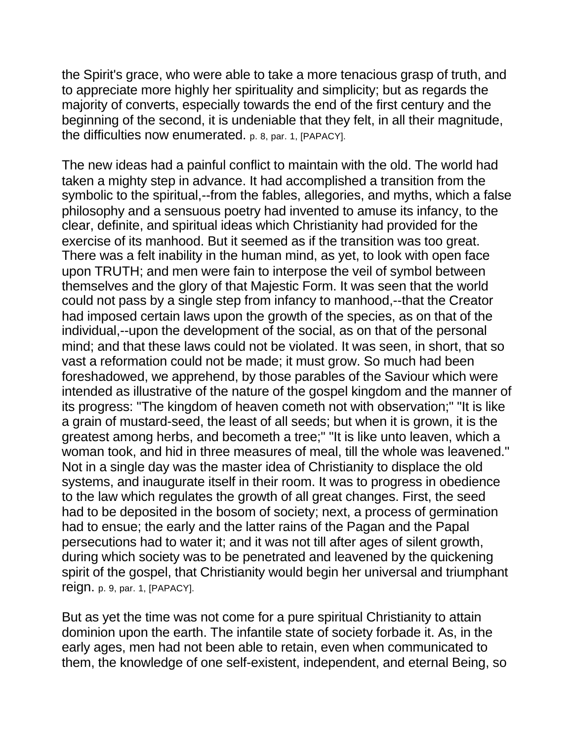the Spirit's grace, who were able to take a more tenacious grasp of truth, and to appreciate more highly her spirituality and simplicity; but as regards the majority of converts, especially towards the end of the first century and the beginning of the second, it is undeniable that they felt, in all their magnitude, the difficulties now enumerated. p. 8, par. 1, [PAPACY].

The new ideas had a painful conflict to maintain with the old. The world had taken a mighty step in advance. It had accomplished a transition from the symbolic to the spiritual,--from the fables, allegories, and myths, which a false philosophy and a sensuous poetry had invented to amuse its infancy, to the clear, definite, and spiritual ideas which Christianity had provided for the exercise of its manhood. But it seemed as if the transition was too great. There was a felt inability in the human mind, as yet, to look with open face upon TRUTH; and men were fain to interpose the veil of symbol between themselves and the glory of that Majestic Form. It was seen that the world could not pass by a single step from infancy to manhood,--that the Creator had imposed certain laws upon the growth of the species, as on that of the individual,--upon the development of the social, as on that of the personal mind; and that these laws could not be violated. It was seen, in short, that so vast a reformation could not be made; it must grow. So much had been foreshadowed, we apprehend, by those parables of the Saviour which were intended as illustrative of the nature of the gospel kingdom and the manner of its progress: "The kingdom of heaven cometh not with observation;" "It is like a grain of mustard-seed, the least of all seeds; but when it is grown, it is the greatest among herbs, and becometh a tree;" "It is like unto leaven, which a woman took, and hid in three measures of meal, till the whole was leavened." Not in a single day was the master idea of Christianity to displace the old systems, and inaugurate itself in their room. It was to progress in obedience to the law which regulates the growth of all great changes. First, the seed had to be deposited in the bosom of society; next, a process of germination had to ensue; the early and the latter rains of the Pagan and the Papal persecutions had to water it; and it was not till after ages of silent growth, during which society was to be penetrated and leavened by the quickening spirit of the gospel, that Christianity would begin her universal and triumphant reign. p. 9, par. 1, [PAPACY].

But as yet the time was not come for a pure spiritual Christianity to attain dominion upon the earth. The infantile state of society forbade it. As, in the early ages, men had not been able to retain, even when communicated to them, the knowledge of one self-existent, independent, and eternal Being, so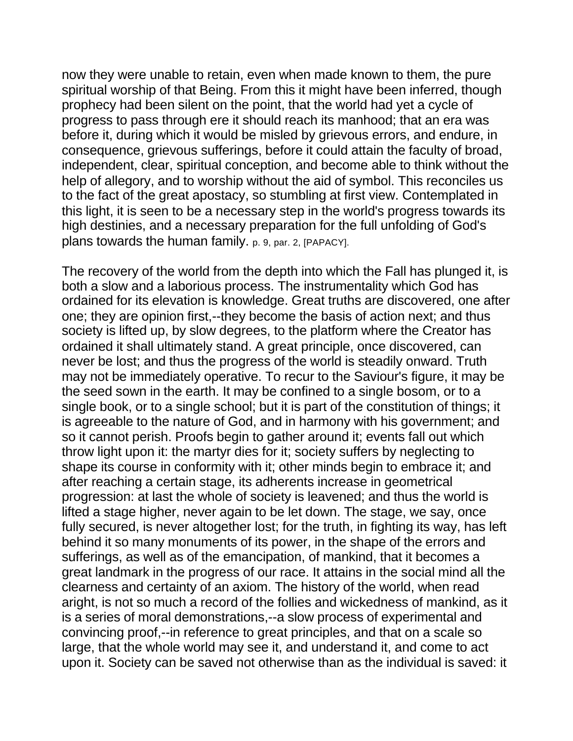now they were unable to retain, even when made known to them, the pure spiritual worship of that Being. From this it might have been inferred, though prophecy had been silent on the point, that the world had yet a cycle of progress to pass through ere it should reach its manhood; that an era was before it, during which it would be misled by grievous errors, and endure, in consequence, grievous sufferings, before it could attain the faculty of broad, independent, clear, spiritual conception, and become able to think without the help of allegory, and to worship without the aid of symbol. This reconciles us to the fact of the great apostacy, so stumbling at first view. Contemplated in this light, it is seen to be a necessary step in the world's progress towards its high destinies, and a necessary preparation for the full unfolding of God's plans towards the human family. p. 9, par. 2, [PAPACY].

The recovery of the world from the depth into which the Fall has plunged it, is both a slow and a laborious process. The instrumentality which God has ordained for its elevation is knowledge. Great truths are discovered, one after one; they are opinion first,--they become the basis of action next; and thus society is lifted up, by slow degrees, to the platform where the Creator has ordained it shall ultimately stand. A great principle, once discovered, can never be lost; and thus the progress of the world is steadily onward. Truth may not be immediately operative. To recur to the Saviour's figure, it may be the seed sown in the earth. It may be confined to a single bosom, or to a single book, or to a single school; but it is part of the constitution of things; it is agreeable to the nature of God, and in harmony with his government; and so it cannot perish. Proofs begin to gather around it; events fall out which throw light upon it: the martyr dies for it; society suffers by neglecting to shape its course in conformity with it; other minds begin to embrace it; and after reaching a certain stage, its adherents increase in geometrical progression: at last the whole of society is leavened; and thus the world is lifted a stage higher, never again to be let down. The stage, we say, once fully secured, is never altogether lost; for the truth, in fighting its way, has left behind it so many monuments of its power, in the shape of the errors and sufferings, as well as of the emancipation, of mankind, that it becomes a great landmark in the progress of our race. It attains in the social mind all the clearness and certainty of an axiom. The history of the world, when read aright, is not so much a record of the follies and wickedness of mankind, as it is a series of moral demonstrations,--a slow process of experimental and convincing proof,--in reference to great principles, and that on a scale so large, that the whole world may see it, and understand it, and come to act upon it. Society can be saved not otherwise than as the individual is saved: it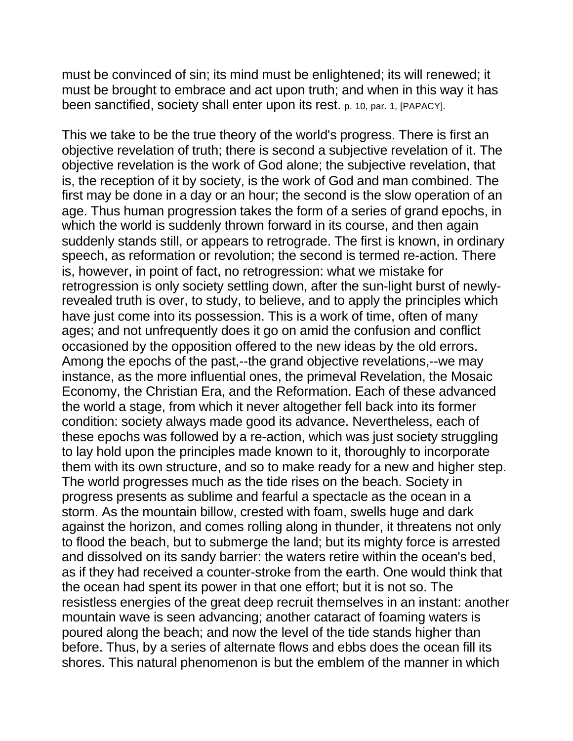must be convinced of sin; its mind must be enlightened; its will renewed; it must be brought to embrace and act upon truth; and when in this way it has been sanctified, society shall enter upon its rest. p. 10, par. 1, [PAPACY].

This we take to be the true theory of the world's progress. There is first an objective revelation of truth; there is second a subjective revelation of it. The objective revelation is the work of God alone; the subjective revelation, that is, the reception of it by society, is the work of God and man combined. The first may be done in a day or an hour; the second is the slow operation of an age. Thus human progression takes the form of a series of grand epochs, in which the world is suddenly thrown forward in its course, and then again suddenly stands still, or appears to retrograde. The first is known, in ordinary speech, as reformation or revolution; the second is termed re-action. There is, however, in point of fact, no retrogression: what we mistake for retrogression is only society settling down, after the sun-light burst of newlyrevealed truth is over, to study, to believe, and to apply the principles which have just come into its possession. This is a work of time, often of many ages; and not unfrequently does it go on amid the confusion and conflict occasioned by the opposition offered to the new ideas by the old errors. Among the epochs of the past,--the grand objective revelations,--we may instance, as the more influential ones, the primeval Revelation, the Mosaic Economy, the Christian Era, and the Reformation. Each of these advanced the world a stage, from which it never altogether fell back into its former condition: society always made good its advance. Nevertheless, each of these epochs was followed by a re-action, which was just society struggling to lay hold upon the principles made known to it, thoroughly to incorporate them with its own structure, and so to make ready for a new and higher step. The world progresses much as the tide rises on the beach. Society in progress presents as sublime and fearful a spectacle as the ocean in a storm. As the mountain billow, crested with foam, swells huge and dark against the horizon, and comes rolling along in thunder, it threatens not only to flood the beach, but to submerge the land; but its mighty force is arrested and dissolved on its sandy barrier: the waters retire within the ocean's bed, as if they had received a counter-stroke from the earth. One would think that the ocean had spent its power in that one effort; but it is not so. The resistless energies of the great deep recruit themselves in an instant: another mountain wave is seen advancing; another cataract of foaming waters is poured along the beach; and now the level of the tide stands higher than before. Thus, by a series of alternate flows and ebbs does the ocean fill its shores. This natural phenomenon is but the emblem of the manner in which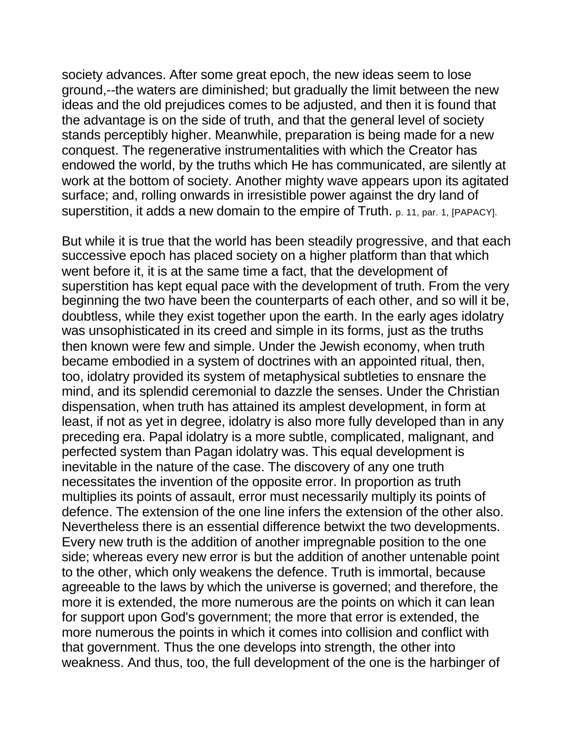society advances. After some great epoch, the new ideas seem to lose ground,--the waters are diminished; but gradually the limit between the new ideas and the old prejudices comes to be adjusted, and then it is found that the advantage is on the side of truth, and that the general level of society stands perceptibly higher. Meanwhile, preparation is being made for a new conquest. The regenerative instrumentalities with which the Creator has endowed the world, by the truths which He has communicated, are silently at work at the bottom of society. Another mighty wave appears upon its agitated surface; and, rolling onwards in irresistible power against the dry land of superstition, it adds a new domain to the empire of Truth. p. 11, par. 1, [PAPACY].

But while it is true that the world has been steadily progressive, and that each successive epoch has placed society on a higher platform than that which went before it, it is at the same time a fact, that the development of superstition has kept equal pace with the development of truth. From the very beginning the two have been the counterparts of each other, and so will it be, doubtless, while they exist together upon the earth. In the early ages idolatry was unsophisticated in its creed and simple in its forms, just as the truths then known were few and simple. Under the Jewish economy, when truth became embodied in a system of doctrines with an appointed ritual, then, too, idolatry provided its system of metaphysical subtleties to ensnare the mind, and its splendid ceremonial to dazzle the senses. Under the Christian dispensation, when truth has attained its amplest development, in form at least, if not as yet in degree, idolatry is also more fully developed than in any preceding era. Papal idolatry is a more subtle, complicated, malignant, and perfected system than Pagan idolatry was. This equal development is inevitable in the nature of the case. The discovery of any one truth necessitates the invention of the opposite error. In proportion as truth multiplies its points of assault, error must necessarily multiply its points of defence. The extension of the one line infers the extension of the other also. Nevertheless there is an essential difference betwixt the two developments. Every new truth is the addition of another impregnable position to the one side; whereas every new error is but the addition of another untenable point to the other, which only weakens the defence. Truth is immortal, because agreeable to the laws by which the universe is governed; and therefore, the more it is extended, the more numerous are the points on which it can lean for support upon God's government; the more that error is extended, the more numerous the points in which it comes into collision and conflict with that government. Thus the one develops into strength, the other into weakness. And thus, too, the full development of the one is the harbinger of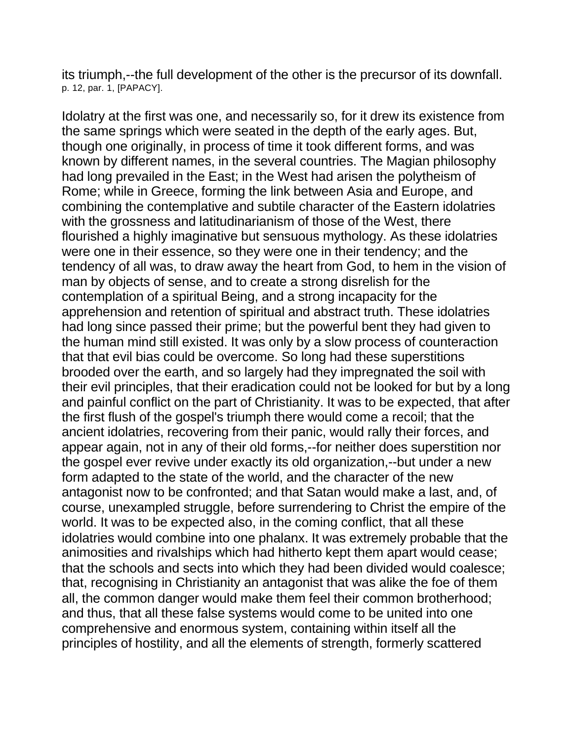its triumph,--the full development of the other is the precursor of its downfall. p. 12, par. 1, [PAPACY].

Idolatry at the first was one, and necessarily so, for it drew its existence from the same springs which were seated in the depth of the early ages. But, though one originally, in process of time it took different forms, and was known by different names, in the several countries. The Magian philosophy had long prevailed in the East; in the West had arisen the polytheism of Rome; while in Greece, forming the link between Asia and Europe, and combining the contemplative and subtile character of the Eastern idolatries with the grossness and latitudinarianism of those of the West, there flourished a highly imaginative but sensuous mythology. As these idolatries were one in their essence, so they were one in their tendency; and the tendency of all was, to draw away the heart from God, to hem in the vision of man by objects of sense, and to create a strong disrelish for the contemplation of a spiritual Being, and a strong incapacity for the apprehension and retention of spiritual and abstract truth. These idolatries had long since passed their prime; but the powerful bent they had given to the human mind still existed. It was only by a slow process of counteraction that that evil bias could be overcome. So long had these superstitions brooded over the earth, and so largely had they impregnated the soil with their evil principles, that their eradication could not be looked for but by a long and painful conflict on the part of Christianity. It was to be expected, that after the first flush of the gospel's triumph there would come a recoil; that the ancient idolatries, recovering from their panic, would rally their forces, and appear again, not in any of their old forms,--for neither does superstition nor the gospel ever revive under exactly its old organization,--but under a new form adapted to the state of the world, and the character of the new antagonist now to be confronted; and that Satan would make a last, and, of course, unexampled struggle, before surrendering to Christ the empire of the world. It was to be expected also, in the coming conflict, that all these idolatries would combine into one phalanx. It was extremely probable that the animosities and rivalships which had hitherto kept them apart would cease; that the schools and sects into which they had been divided would coalesce; that, recognising in Christianity an antagonist that was alike the foe of them all, the common danger would make them feel their common brotherhood; and thus, that all these false systems would come to be united into one comprehensive and enormous system, containing within itself all the principles of hostility, and all the elements of strength, formerly scattered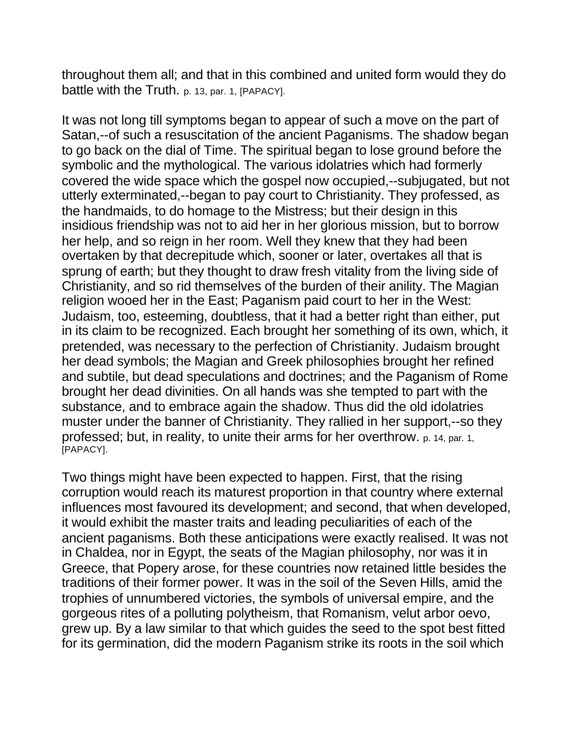throughout them all; and that in this combined and united form would they do battle with the Truth. p. 13, par. 1, [PAPACY].

It was not long till symptoms began to appear of such a move on the part of Satan,--of such a resuscitation of the ancient Paganisms. The shadow began to go back on the dial of Time. The spiritual began to lose ground before the symbolic and the mythological. The various idolatries which had formerly covered the wide space which the gospel now occupied,--subjugated, but not utterly exterminated,--began to pay court to Christianity. They professed, as the handmaids, to do homage to the Mistress; but their design in this insidious friendship was not to aid her in her glorious mission, but to borrow her help, and so reign in her room. Well they knew that they had been overtaken by that decrepitude which, sooner or later, overtakes all that is sprung of earth; but they thought to draw fresh vitality from the living side of Christianity, and so rid themselves of the burden of their anility. The Magian religion wooed her in the East; Paganism paid court to her in the West: Judaism, too, esteeming, doubtless, that it had a better right than either, put in its claim to be recognized. Each brought her something of its own, which, it pretended, was necessary to the perfection of Christianity. Judaism brought her dead symbols; the Magian and Greek philosophies brought her refined and subtile, but dead speculations and doctrines; and the Paganism of Rome brought her dead divinities. On all hands was she tempted to part with the substance, and to embrace again the shadow. Thus did the old idolatries muster under the banner of Christianity. They rallied in her support,--so they professed; but, in reality, to unite their arms for her overthrow. p. 14, par. 1, [PAPACY].

Two things might have been expected to happen. First, that the rising corruption would reach its maturest proportion in that country where external influences most favoured its development; and second, that when developed, it would exhibit the master traits and leading peculiarities of each of the ancient paganisms. Both these anticipations were exactly realised. It was not in Chaldea, nor in Egypt, the seats of the Magian philosophy, nor was it in Greece, that Popery arose, for these countries now retained little besides the traditions of their former power. It was in the soil of the Seven Hills, amid the trophies of unnumbered victories, the symbols of universal empire, and the gorgeous rites of a polluting polytheism, that Romanism, velut arbor oevo, grew up. By a law similar to that which guides the seed to the spot best fitted for its germination, did the modern Paganism strike its roots in the soil which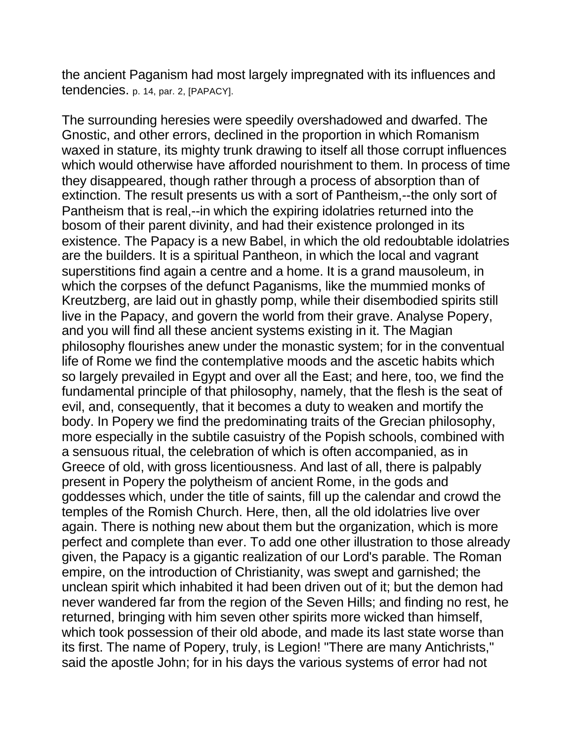the ancient Paganism had most largely impregnated with its influences and tendencies. p. 14, par. 2, [PAPACY].

The surrounding heresies were speedily overshadowed and dwarfed. The Gnostic, and other errors, declined in the proportion in which Romanism waxed in stature, its mighty trunk drawing to itself all those corrupt influences which would otherwise have afforded nourishment to them. In process of time they disappeared, though rather through a process of absorption than of extinction. The result presents us with a sort of Pantheism,--the only sort of Pantheism that is real,--in which the expiring idolatries returned into the bosom of their parent divinity, and had their existence prolonged in its existence. The Papacy is a new Babel, in which the old redoubtable idolatries are the builders. It is a spiritual Pantheon, in which the local and vagrant superstitions find again a centre and a home. It is a grand mausoleum, in which the corpses of the defunct Paganisms, like the mummied monks of Kreutzberg, are laid out in ghastly pomp, while their disembodied spirits still live in the Papacy, and govern the world from their grave. Analyse Popery, and you will find all these ancient systems existing in it. The Magian philosophy flourishes anew under the monastic system; for in the conventual life of Rome we find the contemplative moods and the ascetic habits which so largely prevailed in Egypt and over all the East; and here, too, we find the fundamental principle of that philosophy, namely, that the flesh is the seat of evil, and, consequently, that it becomes a duty to weaken and mortify the body. In Popery we find the predominating traits of the Grecian philosophy, more especially in the subtile casuistry of the Popish schools, combined with a sensuous ritual, the celebration of which is often accompanied, as in Greece of old, with gross licentiousness. And last of all, there is palpably present in Popery the polytheism of ancient Rome, in the gods and goddesses which, under the title of saints, fill up the calendar and crowd the temples of the Romish Church. Here, then, all the old idolatries live over again. There is nothing new about them but the organization, which is more perfect and complete than ever. To add one other illustration to those already given, the Papacy is a gigantic realization of our Lord's parable. The Roman empire, on the introduction of Christianity, was swept and garnished; the unclean spirit which inhabited it had been driven out of it; but the demon had never wandered far from the region of the Seven Hills; and finding no rest, he returned, bringing with him seven other spirits more wicked than himself, which took possession of their old abode, and made its last state worse than its first. The name of Popery, truly, is Legion! "There are many Antichrists," said the apostle John; for in his days the various systems of error had not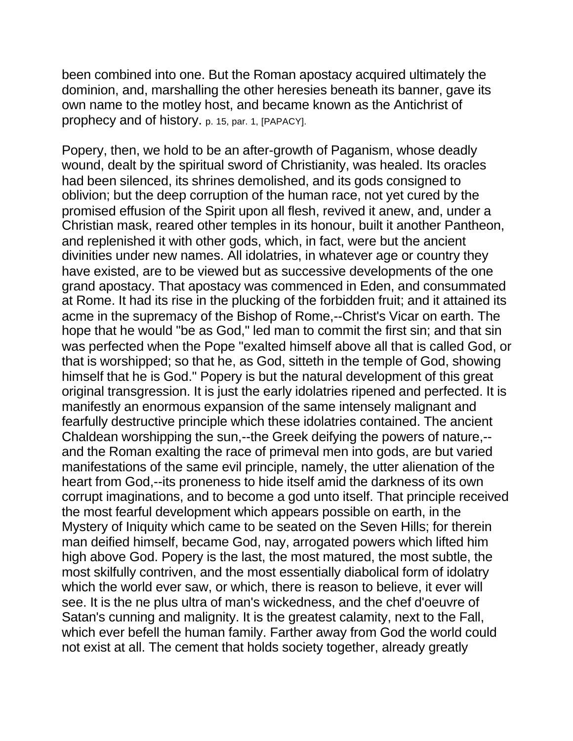been combined into one. But the Roman apostacy acquired ultimately the dominion, and, marshalling the other heresies beneath its banner, gave its own name to the motley host, and became known as the Antichrist of prophecy and of history. p. 15, par. 1, [PAPACY].

Popery, then, we hold to be an after-growth of Paganism, whose deadly wound, dealt by the spiritual sword of Christianity, was healed. Its oracles had been silenced, its shrines demolished, and its gods consigned to oblivion; but the deep corruption of the human race, not yet cured by the promised effusion of the Spirit upon all flesh, revived it anew, and, under a Christian mask, reared other temples in its honour, built it another Pantheon, and replenished it with other gods, which, in fact, were but the ancient divinities under new names. All idolatries, in whatever age or country they have existed, are to be viewed but as successive developments of the one grand apostacy. That apostacy was commenced in Eden, and consummated at Rome. It had its rise in the plucking of the forbidden fruit; and it attained its acme in the supremacy of the Bishop of Rome,--Christ's Vicar on earth. The hope that he would "be as God," led man to commit the first sin; and that sin was perfected when the Pope "exalted himself above all that is called God, or that is worshipped; so that he, as God, sitteth in the temple of God, showing himself that he is God." Popery is but the natural development of this great original transgression. It is just the early idolatries ripened and perfected. It is manifestly an enormous expansion of the same intensely malignant and fearfully destructive principle which these idolatries contained. The ancient Chaldean worshipping the sun,--the Greek deifying the powers of nature,- and the Roman exalting the race of primeval men into gods, are but varied manifestations of the same evil principle, namely, the utter alienation of the heart from God,--its proneness to hide itself amid the darkness of its own corrupt imaginations, and to become a god unto itself. That principle received the most fearful development which appears possible on earth, in the Mystery of Iniquity which came to be seated on the Seven Hills; for therein man deified himself, became God, nay, arrogated powers which lifted him high above God. Popery is the last, the most matured, the most subtle, the most skilfully contriven, and the most essentially diabolical form of idolatry which the world ever saw, or which, there is reason to believe, it ever will see. It is the ne plus ultra of man's wickedness, and the chef d'oeuvre of Satan's cunning and malignity. It is the greatest calamity, next to the Fall, which ever befell the human family. Farther away from God the world could not exist at all. The cement that holds society together, already greatly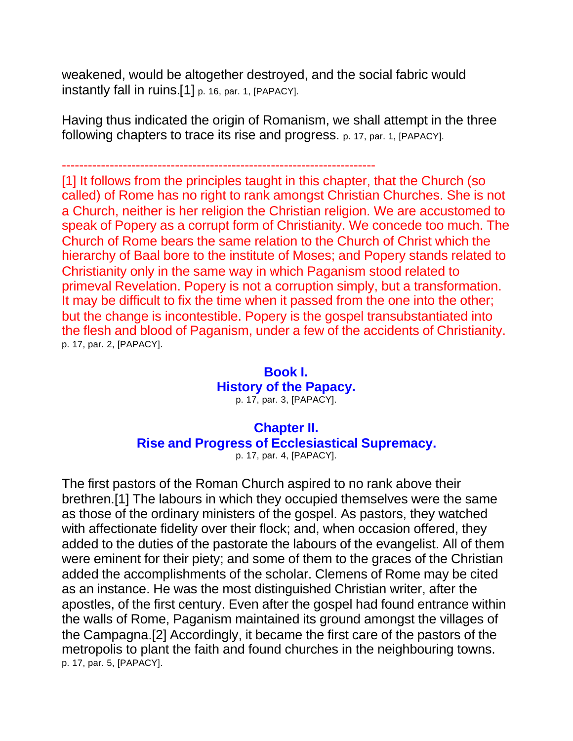weakened, would be altogether destroyed, and the social fabric would instantly fall in ruins.[1] p. 16, par. 1, [PAPACY].

Having thus indicated the origin of Romanism, we shall attempt in the three following chapters to trace its rise and progress. p. 17, par. 1, [PAPACY].

------------------------------------------------------------------------

[1] It follows from the principles taught in this chapter, that the Church (so called) of Rome has no right to rank amongst Christian Churches. She is not a Church, neither is her religion the Christian religion. We are accustomed to speak of Popery as a corrupt form of Christianity. We concede too much. The Church of Rome bears the same relation to the Church of Christ which the hierarchy of Baal bore to the institute of Moses; and Popery stands related to Christianity only in the same way in which Paganism stood related to primeval Revelation. Popery is not a corruption simply, but a transformation. It may be difficult to fix the time when it passed from the one into the other; but the change is incontestible. Popery is the gospel transubstantiated into the flesh and blood of Paganism, under a few of the accidents of Christianity. p. 17, par. 2, [PAPACY].

#### **Book I. History of the Papacy.** p. 17, par. 3, [PAPACY].

## **Chapter II. Rise and Progress of Ecclesiastical Supremacy.**

p. 17, par. 4, [PAPACY].

The first pastors of the Roman Church aspired to no rank above their brethren.[1] The labours in which they occupied themselves were the same as those of the ordinary ministers of the gospel. As pastors, they watched with affectionate fidelity over their flock; and, when occasion offered, they added to the duties of the pastorate the labours of the evangelist. All of them were eminent for their piety; and some of them to the graces of the Christian added the accomplishments of the scholar. Clemens of Rome may be cited as an instance. He was the most distinguished Christian writer, after the apostles, of the first century. Even after the gospel had found entrance within the walls of Rome, Paganism maintained its ground amongst the villages of the Campagna.[2] Accordingly, it became the first care of the pastors of the metropolis to plant the faith and found churches in the neighbouring towns. p. 17, par. 5, [PAPACY].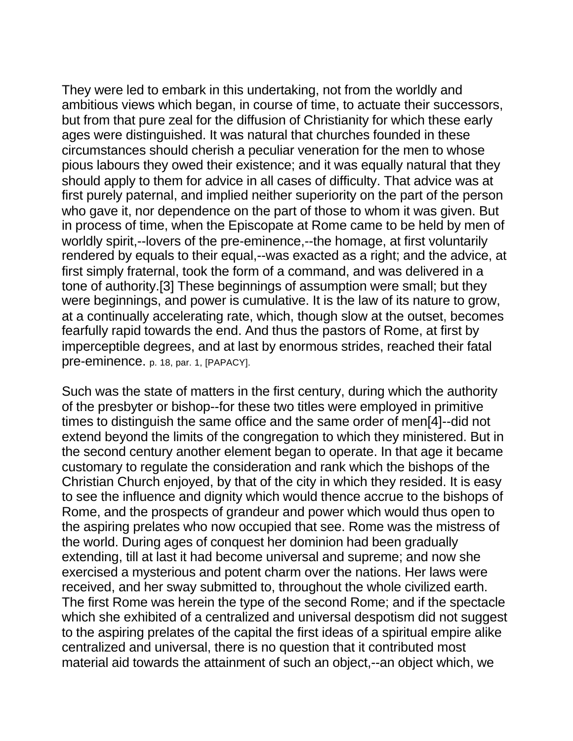They were led to embark in this undertaking, not from the worldly and ambitious views which began, in course of time, to actuate their successors, but from that pure zeal for the diffusion of Christianity for which these early ages were distinguished. It was natural that churches founded in these circumstances should cherish a peculiar veneration for the men to whose pious labours they owed their existence; and it was equally natural that they should apply to them for advice in all cases of difficulty. That advice was at first purely paternal, and implied neither superiority on the part of the person who gave it, nor dependence on the part of those to whom it was given. But in process of time, when the Episcopate at Rome came to be held by men of worldly spirit,--lovers of the pre-eminence,--the homage, at first voluntarily rendered by equals to their equal,--was exacted as a right; and the advice, at first simply fraternal, took the form of a command, and was delivered in a tone of authority.[3] These beginnings of assumption were small; but they were beginnings, and power is cumulative. It is the law of its nature to grow, at a continually accelerating rate, which, though slow at the outset, becomes fearfully rapid towards the end. And thus the pastors of Rome, at first by imperceptible degrees, and at last by enormous strides, reached their fatal pre-eminence. p. 18, par. 1, [PAPACY].

Such was the state of matters in the first century, during which the authority of the presbyter or bishop--for these two titles were employed in primitive times to distinguish the same office and the same order of men[4]--did not extend beyond the limits of the congregation to which they ministered. But in the second century another element began to operate. In that age it became customary to regulate the consideration and rank which the bishops of the Christian Church enjoyed, by that of the city in which they resided. It is easy to see the influence and dignity which would thence accrue to the bishops of Rome, and the prospects of grandeur and power which would thus open to the aspiring prelates who now occupied that see. Rome was the mistress of the world. During ages of conquest her dominion had been gradually extending, till at last it had become universal and supreme; and now she exercised a mysterious and potent charm over the nations. Her laws were received, and her sway submitted to, throughout the whole civilized earth. The first Rome was herein the type of the second Rome; and if the spectacle which she exhibited of a centralized and universal despotism did not suggest to the aspiring prelates of the capital the first ideas of a spiritual empire alike centralized and universal, there is no question that it contributed most material aid towards the attainment of such an object,--an object which, we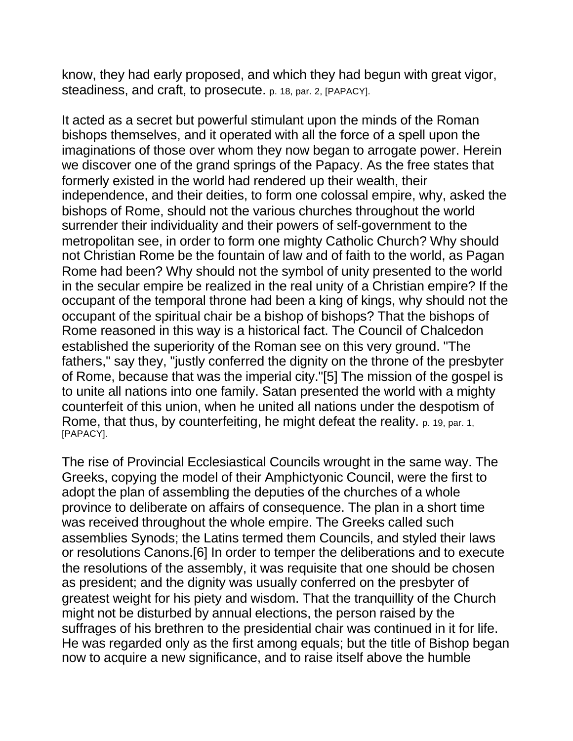know, they had early proposed, and which they had begun with great vigor, steadiness, and craft, to prosecute. p. 18, par. 2, [PAPACY].

It acted as a secret but powerful stimulant upon the minds of the Roman bishops themselves, and it operated with all the force of a spell upon the imaginations of those over whom they now began to arrogate power. Herein we discover one of the grand springs of the Papacy. As the free states that formerly existed in the world had rendered up their wealth, their independence, and their deities, to form one colossal empire, why, asked the bishops of Rome, should not the various churches throughout the world surrender their individuality and their powers of self-government to the metropolitan see, in order to form one mighty Catholic Church? Why should not Christian Rome be the fountain of law and of faith to the world, as Pagan Rome had been? Why should not the symbol of unity presented to the world in the secular empire be realized in the real unity of a Christian empire? If the occupant of the temporal throne had been a king of kings, why should not the occupant of the spiritual chair be a bishop of bishops? That the bishops of Rome reasoned in this way is a historical fact. The Council of Chalcedon established the superiority of the Roman see on this very ground. "The fathers," say they, "justly conferred the dignity on the throne of the presbyter of Rome, because that was the imperial city."[5] The mission of the gospel is to unite all nations into one family. Satan presented the world with a mighty counterfeit of this union, when he united all nations under the despotism of Rome, that thus, by counterfeiting, he might defeat the reality. p. 19, par. 1, [PAPACY].

The rise of Provincial Ecclesiastical Councils wrought in the same way. The Greeks, copying the model of their Amphictyonic Council, were the first to adopt the plan of assembling the deputies of the churches of a whole province to deliberate on affairs of consequence. The plan in a short time was received throughout the whole empire. The Greeks called such assemblies Synods; the Latins termed them Councils, and styled their laws or resolutions Canons.[6] In order to temper the deliberations and to execute the resolutions of the assembly, it was requisite that one should be chosen as president; and the dignity was usually conferred on the presbyter of greatest weight for his piety and wisdom. That the tranquillity of the Church might not be disturbed by annual elections, the person raised by the suffrages of his brethren to the presidential chair was continued in it for life. He was regarded only as the first among equals; but the title of Bishop began now to acquire a new significance, and to raise itself above the humble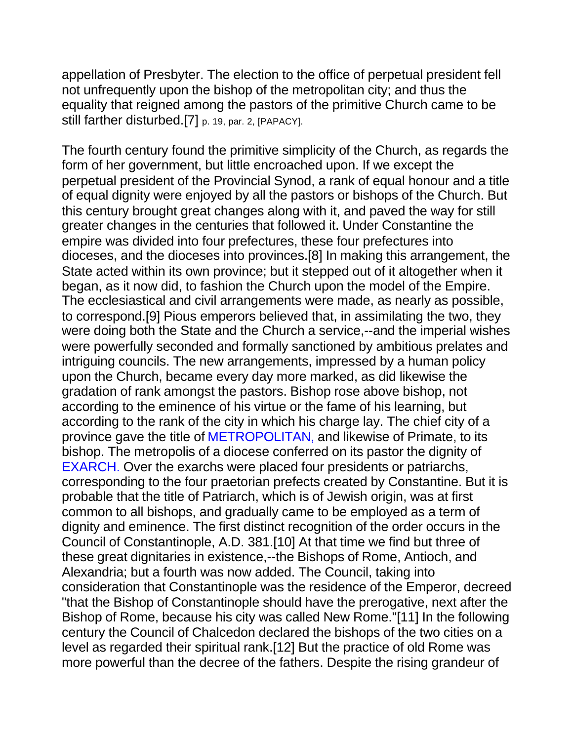appellation of Presbyter. The election to the office of perpetual president fell not unfrequently upon the bishop of the metropolitan city; and thus the equality that reigned among the pastors of the primitive Church came to be still farther disturbed.[7] p. 19, par. 2, [PAPACY].

The fourth century found the primitive simplicity of the Church, as regards the form of her government, but little encroached upon. If we except the perpetual president of the Provincial Synod, a rank of equal honour and a title of equal dignity were enjoyed by all the pastors or bishops of the Church. But this century brought great changes along with it, and paved the way for still greater changes in the centuries that followed it. Under Constantine the empire was divided into four prefectures, these four prefectures into dioceses, and the dioceses into provinces.[8] In making this arrangement, the State acted within its own province; but it stepped out of it altogether when it began, as it now did, to fashion the Church upon the model of the Empire. The ecclesiastical and civil arrangements were made, as nearly as possible, to correspond.[9] Pious emperors believed that, in assimilating the two, they were doing both the State and the Church a service,--and the imperial wishes were powerfully seconded and formally sanctioned by ambitious prelates and intriguing councils. The new arrangements, impressed by a human policy upon the Church, became every day more marked, as did likewise the gradation of rank amongst the pastors. Bishop rose above bishop, not according to the eminence of his virtue or the fame of his learning, but according to the rank of the city in which his charge lay. The chief city of a province gave the title of METROPOLITAN, and likewise of Primate, to its bishop. The metropolis of a diocese conferred on its pastor the dignity of EXARCH. Over the exarchs were placed four presidents or patriarchs, corresponding to the four praetorian prefects created by Constantine. But it is probable that the title of Patriarch, which is of Jewish origin, was at first common to all bishops, and gradually came to be employed as a term of dignity and eminence. The first distinct recognition of the order occurs in the Council of Constantinople, A.D. 381.[10] At that time we find but three of these great dignitaries in existence,--the Bishops of Rome, Antioch, and Alexandria; but a fourth was now added. The Council, taking into consideration that Constantinople was the residence of the Emperor, decreed "that the Bishop of Constantinople should have the prerogative, next after the Bishop of Rome, because his city was called New Rome."[11] In the following century the Council of Chalcedon declared the bishops of the two cities on a level as regarded their spiritual rank.[12] But the practice of old Rome was more powerful than the decree of the fathers. Despite the rising grandeur of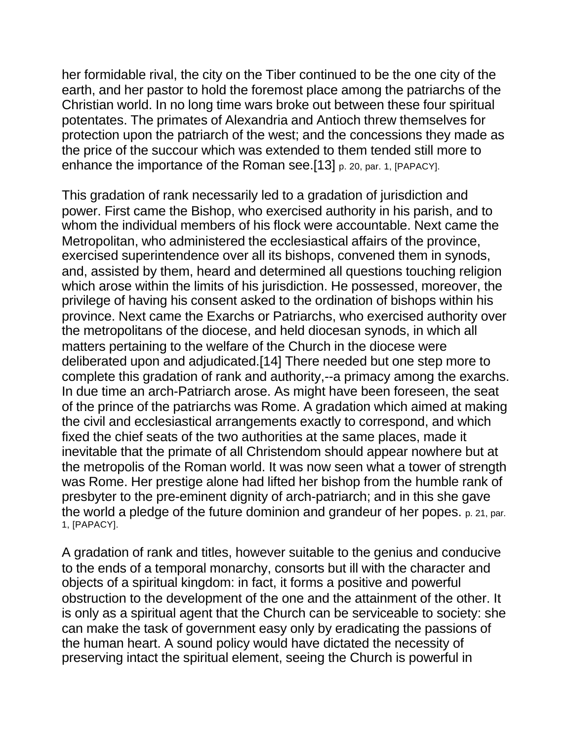her formidable rival, the city on the Tiber continued to be the one city of the earth, and her pastor to hold the foremost place among the patriarchs of the Christian world. In no long time wars broke out between these four spiritual potentates. The primates of Alexandria and Antioch threw themselves for protection upon the patriarch of the west; and the concessions they made as the price of the succour which was extended to them tended still more to enhance the importance of the Roman see.[13] p. 20, par. 1, [PAPACY].

This gradation of rank necessarily led to a gradation of jurisdiction and power. First came the Bishop, who exercised authority in his parish, and to whom the individual members of his flock were accountable. Next came the Metropolitan, who administered the ecclesiastical affairs of the province, exercised superintendence over all its bishops, convened them in synods, and, assisted by them, heard and determined all questions touching religion which arose within the limits of his jurisdiction. He possessed, moreover, the privilege of having his consent asked to the ordination of bishops within his province. Next came the Exarchs or Patriarchs, who exercised authority over the metropolitans of the diocese, and held diocesan synods, in which all matters pertaining to the welfare of the Church in the diocese were deliberated upon and adjudicated.[14] There needed but one step more to complete this gradation of rank and authority,--a primacy among the exarchs. In due time an arch-Patriarch arose. As might have been foreseen, the seat of the prince of the patriarchs was Rome. A gradation which aimed at making the civil and ecclesiastical arrangements exactly to correspond, and which fixed the chief seats of the two authorities at the same places, made it inevitable that the primate of all Christendom should appear nowhere but at the metropolis of the Roman world. It was now seen what a tower of strength was Rome. Her prestige alone had lifted her bishop from the humble rank of presbyter to the pre-eminent dignity of arch-patriarch; and in this she gave the world a pledge of the future dominion and grandeur of her popes. p. 21, par. 1, [PAPACY].

A gradation of rank and titles, however suitable to the genius and conducive to the ends of a temporal monarchy, consorts but ill with the character and objects of a spiritual kingdom: in fact, it forms a positive and powerful obstruction to the development of the one and the attainment of the other. It is only as a spiritual agent that the Church can be serviceable to society: she can make the task of government easy only by eradicating the passions of the human heart. A sound policy would have dictated the necessity of preserving intact the spiritual element, seeing the Church is powerful in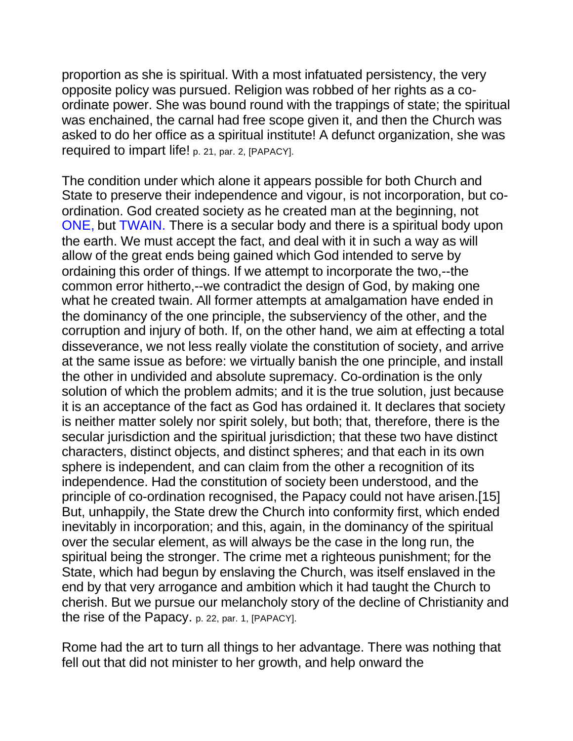proportion as she is spiritual. With a most infatuated persistency, the very opposite policy was pursued. Religion was robbed of her rights as a coordinate power. She was bound round with the trappings of state; the spiritual was enchained, the carnal had free scope given it, and then the Church was asked to do her office as a spiritual institute! A defunct organization, she was required to impart life! p. 21, par. 2, [PAPACY].

The condition under which alone it appears possible for both Church and State to preserve their independence and vigour, is not incorporation, but coordination. God created society as he created man at the beginning, not ONE, but TWAIN. There is a secular body and there is a spiritual body upon the earth. We must accept the fact, and deal with it in such a way as will allow of the great ends being gained which God intended to serve by ordaining this order of things. If we attempt to incorporate the two,--the common error hitherto,--we contradict the design of God, by making one what he created twain. All former attempts at amalgamation have ended in the dominancy of the one principle, the subserviency of the other, and the corruption and injury of both. If, on the other hand, we aim at effecting a total disseverance, we not less really violate the constitution of society, and arrive at the same issue as before: we virtually banish the one principle, and install the other in undivided and absolute supremacy. Co-ordination is the only solution of which the problem admits; and it is the true solution, just because it is an acceptance of the fact as God has ordained it. It declares that society is neither matter solely nor spirit solely, but both; that, therefore, there is the secular jurisdiction and the spiritual jurisdiction; that these two have distinct characters, distinct objects, and distinct spheres; and that each in its own sphere is independent, and can claim from the other a recognition of its independence. Had the constitution of society been understood, and the principle of co-ordination recognised, the Papacy could not have arisen.[15] But, unhappily, the State drew the Church into conformity first, which ended inevitably in incorporation; and this, again, in the dominancy of the spiritual over the secular element, as will always be the case in the long run, the spiritual being the stronger. The crime met a righteous punishment; for the State, which had begun by enslaving the Church, was itself enslaved in the end by that very arrogance and ambition which it had taught the Church to cherish. But we pursue our melancholy story of the decline of Christianity and the rise of the Papacy. p. 22, par. 1, [PAPACY].

Rome had the art to turn all things to her advantage. There was nothing that fell out that did not minister to her growth, and help onward the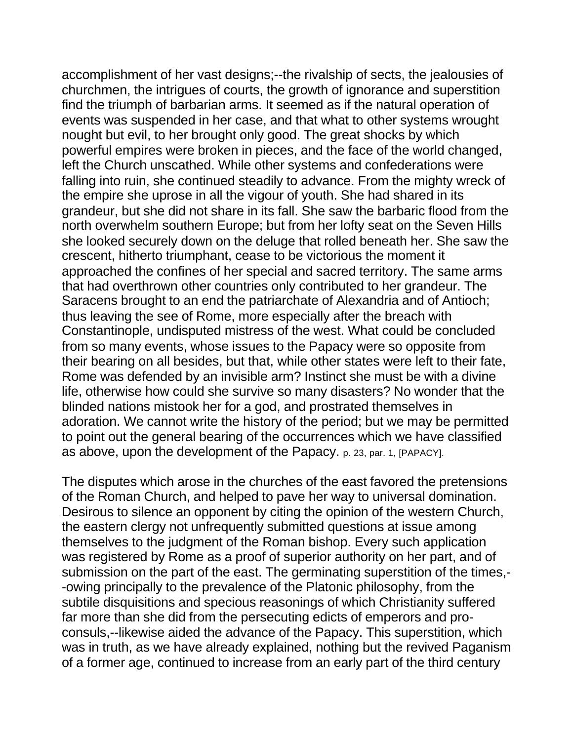accomplishment of her vast designs;--the rivalship of sects, the jealousies of churchmen, the intrigues of courts, the growth of ignorance and superstition find the triumph of barbarian arms. It seemed as if the natural operation of events was suspended in her case, and that what to other systems wrought nought but evil, to her brought only good. The great shocks by which powerful empires were broken in pieces, and the face of the world changed, left the Church unscathed. While other systems and confederations were falling into ruin, she continued steadily to advance. From the mighty wreck of the empire she uprose in all the vigour of youth. She had shared in its grandeur, but she did not share in its fall. She saw the barbaric flood from the north overwhelm southern Europe; but from her lofty seat on the Seven Hills she looked securely down on the deluge that rolled beneath her. She saw the crescent, hitherto triumphant, cease to be victorious the moment it approached the confines of her special and sacred territory. The same arms that had overthrown other countries only contributed to her grandeur. The Saracens brought to an end the patriarchate of Alexandria and of Antioch; thus leaving the see of Rome, more especially after the breach with Constantinople, undisputed mistress of the west. What could be concluded from so many events, whose issues to the Papacy were so opposite from their bearing on all besides, but that, while other states were left to their fate, Rome was defended by an invisible arm? Instinct she must be with a divine life, otherwise how could she survive so many disasters? No wonder that the blinded nations mistook her for a god, and prostrated themselves in adoration. We cannot write the history of the period; but we may be permitted to point out the general bearing of the occurrences which we have classified as above, upon the development of the Papacy. p. 23, par. 1, [PAPACY].

The disputes which arose in the churches of the east favored the pretensions of the Roman Church, and helped to pave her way to universal domination. Desirous to silence an opponent by citing the opinion of the western Church, the eastern clergy not unfrequently submitted questions at issue among themselves to the judgment of the Roman bishop. Every such application was registered by Rome as a proof of superior authority on her part, and of submission on the part of the east. The germinating superstition of the times,- -owing principally to the prevalence of the Platonic philosophy, from the subtile disquisitions and specious reasonings of which Christianity suffered far more than she did from the persecuting edicts of emperors and proconsuls,--likewise aided the advance of the Papacy. This superstition, which was in truth, as we have already explained, nothing but the revived Paganism of a former age, continued to increase from an early part of the third century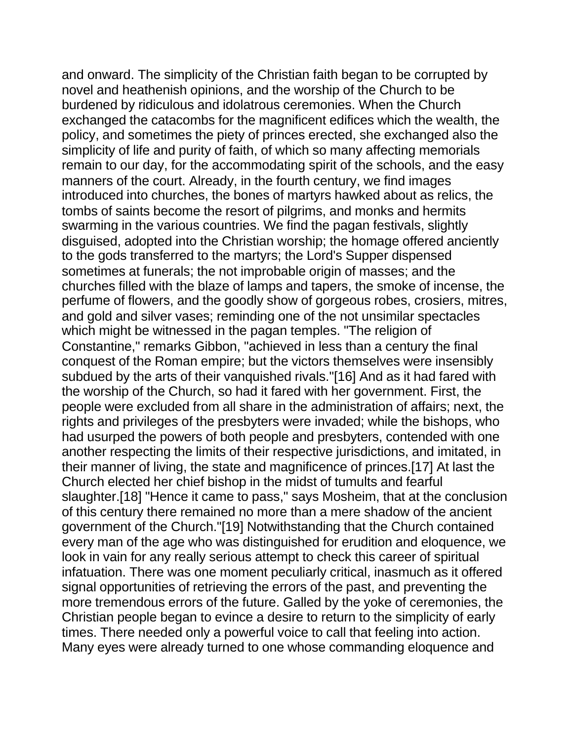and onward. The simplicity of the Christian faith began to be corrupted by novel and heathenish opinions, and the worship of the Church to be burdened by ridiculous and idolatrous ceremonies. When the Church exchanged the catacombs for the magnificent edifices which the wealth, the policy, and sometimes the piety of princes erected, she exchanged also the simplicity of life and purity of faith, of which so many affecting memorials remain to our day, for the accommodating spirit of the schools, and the easy manners of the court. Already, in the fourth century, we find images introduced into churches, the bones of martyrs hawked about as relics, the tombs of saints become the resort of pilgrims, and monks and hermits swarming in the various countries. We find the pagan festivals, slightly disguised, adopted into the Christian worship; the homage offered anciently to the gods transferred to the martyrs; the Lord's Supper dispensed sometimes at funerals; the not improbable origin of masses; and the churches filled with the blaze of lamps and tapers, the smoke of incense, the perfume of flowers, and the goodly show of gorgeous robes, crosiers, mitres, and gold and silver vases; reminding one of the not unsimilar spectacles which might be witnessed in the pagan temples. "The religion of Constantine," remarks Gibbon, "achieved in less than a century the final conquest of the Roman empire; but the victors themselves were insensibly subdued by the arts of their vanquished rivals."[16] And as it had fared with the worship of the Church, so had it fared with her government. First, the people were excluded from all share in the administration of affairs; next, the rights and privileges of the presbyters were invaded; while the bishops, who had usurped the powers of both people and presbyters, contended with one another respecting the limits of their respective jurisdictions, and imitated, in their manner of living, the state and magnificence of princes.[17] At last the Church elected her chief bishop in the midst of tumults and fearful slaughter.[18] "Hence it came to pass," says Mosheim, that at the conclusion of this century there remained no more than a mere shadow of the ancient government of the Church."[19] Notwithstanding that the Church contained every man of the age who was distinguished for erudition and eloquence, we look in vain for any really serious attempt to check this career of spiritual infatuation. There was one moment peculiarly critical, inasmuch as it offered signal opportunities of retrieving the errors of the past, and preventing the more tremendous errors of the future. Galled by the yoke of ceremonies, the Christian people began to evince a desire to return to the simplicity of early times. There needed only a powerful voice to call that feeling into action. Many eyes were already turned to one whose commanding eloquence and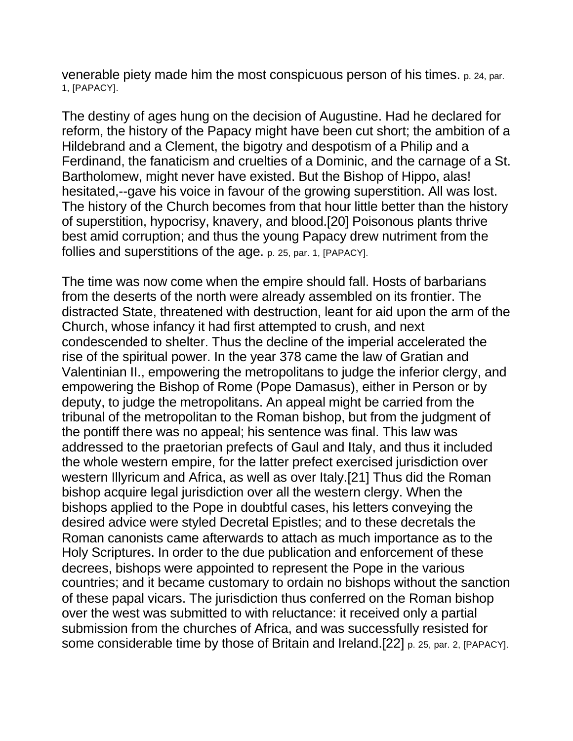venerable piety made him the most conspicuous person of his times. p. 24, par. 1, [PAPACY].

The destiny of ages hung on the decision of Augustine. Had he declared for reform, the history of the Papacy might have been cut short; the ambition of a Hildebrand and a Clement, the bigotry and despotism of a Philip and a Ferdinand, the fanaticism and cruelties of a Dominic, and the carnage of a St. Bartholomew, might never have existed. But the Bishop of Hippo, alas! hesitated,--gave his voice in favour of the growing superstition. All was lost. The history of the Church becomes from that hour little better than the history of superstition, hypocrisy, knavery, and blood.[20] Poisonous plants thrive best amid corruption; and thus the young Papacy drew nutriment from the follies and superstitions of the age. p. 25, par. 1, [PAPACY].

The time was now come when the empire should fall. Hosts of barbarians from the deserts of the north were already assembled on its frontier. The distracted State, threatened with destruction, leant for aid upon the arm of the Church, whose infancy it had first attempted to crush, and next condescended to shelter. Thus the decline of the imperial accelerated the rise of the spiritual power. In the year 378 came the law of Gratian and Valentinian II., empowering the metropolitans to judge the inferior clergy, and empowering the Bishop of Rome (Pope Damasus), either in Person or by deputy, to judge the metropolitans. An appeal might be carried from the tribunal of the metropolitan to the Roman bishop, but from the judgment of the pontiff there was no appeal; his sentence was final. This law was addressed to the praetorian prefects of Gaul and Italy, and thus it included the whole western empire, for the latter prefect exercised jurisdiction over western Illyricum and Africa, as well as over Italy.[21] Thus did the Roman bishop acquire legal jurisdiction over all the western clergy. When the bishops applied to the Pope in doubtful cases, his letters conveying the desired advice were styled Decretal Epistles; and to these decretals the Roman canonists came afterwards to attach as much importance as to the Holy Scriptures. In order to the due publication and enforcement of these decrees, bishops were appointed to represent the Pope in the various countries; and it became customary to ordain no bishops without the sanction of these papal vicars. The jurisdiction thus conferred on the Roman bishop over the west was submitted to with reluctance: it received only a partial submission from the churches of Africa, and was successfully resisted for some considerable time by those of Britain and Ireland.[22] p. 25, par. 2, [PAPACY].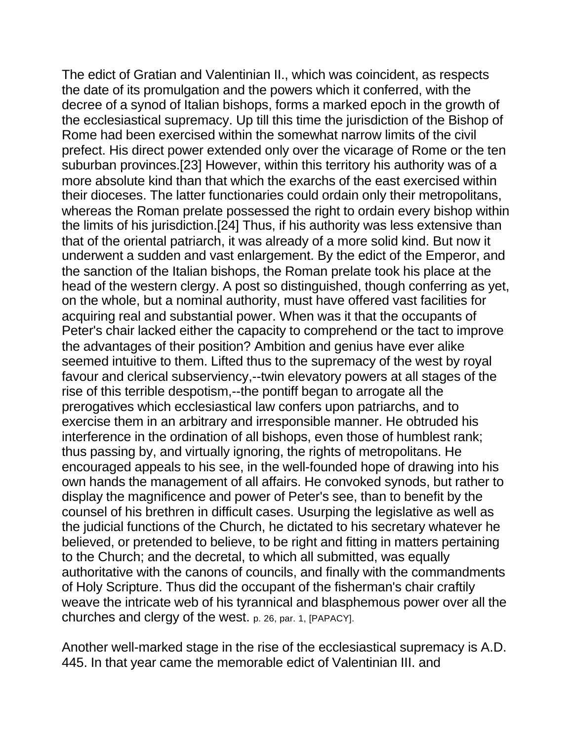The edict of Gratian and Valentinian II., which was coincident, as respects the date of its promulgation and the powers which it conferred, with the decree of a synod of Italian bishops, forms a marked epoch in the growth of the ecclesiastical supremacy. Up till this time the jurisdiction of the Bishop of Rome had been exercised within the somewhat narrow limits of the civil prefect. His direct power extended only over the vicarage of Rome or the ten suburban provinces.[23] However, within this territory his authority was of a more absolute kind than that which the exarchs of the east exercised within their dioceses. The latter functionaries could ordain only their metropolitans, whereas the Roman prelate possessed the right to ordain every bishop within the limits of his jurisdiction.[24] Thus, if his authority was less extensive than that of the oriental patriarch, it was already of a more solid kind. But now it underwent a sudden and vast enlargement. By the edict of the Emperor, and the sanction of the Italian bishops, the Roman prelate took his place at the head of the western clergy. A post so distinguished, though conferring as yet, on the whole, but a nominal authority, must have offered vast facilities for acquiring real and substantial power. When was it that the occupants of Peter's chair lacked either the capacity to comprehend or the tact to improve the advantages of their position? Ambition and genius have ever alike seemed intuitive to them. Lifted thus to the supremacy of the west by royal favour and clerical subserviency,--twin elevatory powers at all stages of the rise of this terrible despotism,--the pontiff began to arrogate all the prerogatives which ecclesiastical law confers upon patriarchs, and to exercise them in an arbitrary and irresponsible manner. He obtruded his interference in the ordination of all bishops, even those of humblest rank; thus passing by, and virtually ignoring, the rights of metropolitans. He encouraged appeals to his see, in the well-founded hope of drawing into his own hands the management of all affairs. He convoked synods, but rather to display the magnificence and power of Peter's see, than to benefit by the counsel of his brethren in difficult cases. Usurping the legislative as well as the judicial functions of the Church, he dictated to his secretary whatever he believed, or pretended to believe, to be right and fitting in matters pertaining to the Church; and the decretal, to which all submitted, was equally authoritative with the canons of councils, and finally with the commandments of Holy Scripture. Thus did the occupant of the fisherman's chair craftily weave the intricate web of his tyrannical and blasphemous power over all the churches and clergy of the west. p. 26, par. 1, [PAPACY].

Another well-marked stage in the rise of the ecclesiastical supremacy is A.D. 445. In that year came the memorable edict of Valentinian III. and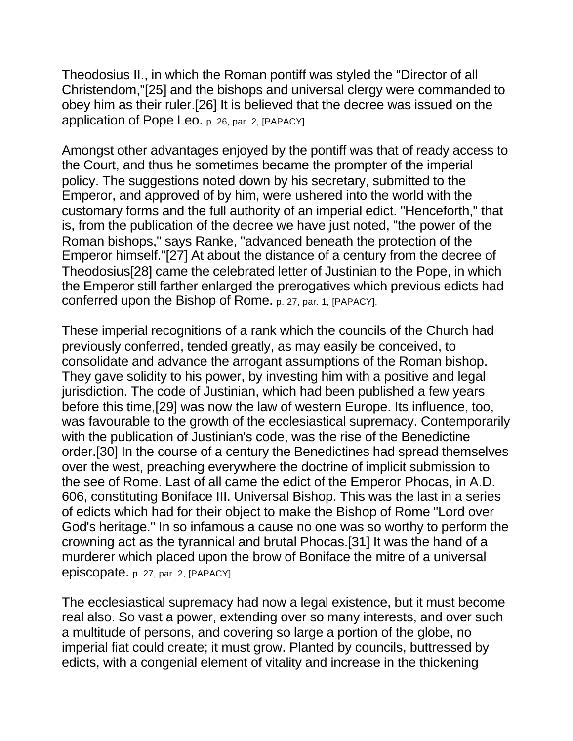Theodosius II., in which the Roman pontiff was styled the "Director of all Christendom,"[25] and the bishops and universal clergy were commanded to obey him as their ruler.[26] It is believed that the decree was issued on the application of Pope Leo. p. 26, par. 2, [PAPACY].

Amongst other advantages enjoyed by the pontiff was that of ready access to the Court, and thus he sometimes became the prompter of the imperial policy. The suggestions noted down by his secretary, submitted to the Emperor, and approved of by him, were ushered into the world with the customary forms and the full authority of an imperial edict. "Henceforth," that is, from the publication of the decree we have just noted, "the power of the Roman bishops," says Ranke, "advanced beneath the protection of the Emperor himself."[27] At about the distance of a century from the decree of Theodosius[28] came the celebrated letter of Justinian to the Pope, in which the Emperor still farther enlarged the prerogatives which previous edicts had conferred upon the Bishop of Rome. p. 27, par. 1, [PAPACY].

These imperial recognitions of a rank which the councils of the Church had previously conferred, tended greatly, as may easily be conceived, to consolidate and advance the arrogant assumptions of the Roman bishop. They gave solidity to his power, by investing him with a positive and legal jurisdiction. The code of Justinian, which had been published a few years before this time,[29] was now the law of western Europe. Its influence, too, was favourable to the growth of the ecclesiastical supremacy. Contemporarily with the publication of Justinian's code, was the rise of the Benedictine order.[30] In the course of a century the Benedictines had spread themselves over the west, preaching everywhere the doctrine of implicit submission to the see of Rome. Last of all came the edict of the Emperor Phocas, in A.D. 606, constituting Boniface III. Universal Bishop. This was the last in a series of edicts which had for their object to make the Bishop of Rome "Lord over God's heritage." In so infamous a cause no one was so worthy to perform the crowning act as the tyrannical and brutal Phocas.[31] It was the hand of a murderer which placed upon the brow of Boniface the mitre of a universal episcopate. p. 27, par. 2, [PAPACY].

The ecclesiastical supremacy had now a legal existence, but it must become real also. So vast a power, extending over so many interests, and over such a multitude of persons, and covering so large a portion of the globe, no imperial fiat could create; it must grow. Planted by councils, buttressed by edicts, with a congenial element of vitality and increase in the thickening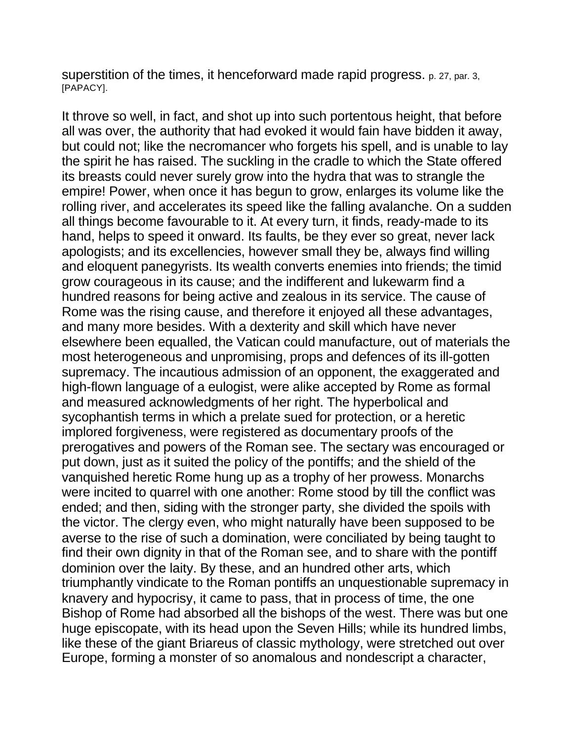superstition of the times, it henceforward made rapid progress. p. 27, par. 3, [PAPACY].

It throve so well, in fact, and shot up into such portentous height, that before all was over, the authority that had evoked it would fain have bidden it away, but could not; like the necromancer who forgets his spell, and is unable to lay the spirit he has raised. The suckling in the cradle to which the State offered its breasts could never surely grow into the hydra that was to strangle the empire! Power, when once it has begun to grow, enlarges its volume like the rolling river, and accelerates its speed like the falling avalanche. On a sudden all things become favourable to it. At every turn, it finds, ready-made to its hand, helps to speed it onward. Its faults, be they ever so great, never lack apologists; and its excellencies, however small they be, always find willing and eloquent panegyrists. Its wealth converts enemies into friends; the timid grow courageous in its cause; and the indifferent and lukewarm find a hundred reasons for being active and zealous in its service. The cause of Rome was the rising cause, and therefore it enjoyed all these advantages, and many more besides. With a dexterity and skill which have never elsewhere been equalled, the Vatican could manufacture, out of materials the most heterogeneous and unpromising, props and defences of its ill-gotten supremacy. The incautious admission of an opponent, the exaggerated and high-flown language of a eulogist, were alike accepted by Rome as formal and measured acknowledgments of her right. The hyperbolical and sycophantish terms in which a prelate sued for protection, or a heretic implored forgiveness, were registered as documentary proofs of the prerogatives and powers of the Roman see. The sectary was encouraged or put down, just as it suited the policy of the pontiffs; and the shield of the vanquished heretic Rome hung up as a trophy of her prowess. Monarchs were incited to quarrel with one another: Rome stood by till the conflict was ended; and then, siding with the stronger party, she divided the spoils with the victor. The clergy even, who might naturally have been supposed to be averse to the rise of such a domination, were conciliated by being taught to find their own dignity in that of the Roman see, and to share with the pontiff dominion over the laity. By these, and an hundred other arts, which triumphantly vindicate to the Roman pontiffs an unquestionable supremacy in knavery and hypocrisy, it came to pass, that in process of time, the one Bishop of Rome had absorbed all the bishops of the west. There was but one huge episcopate, with its head upon the Seven Hills; while its hundred limbs, like these of the giant Briareus of classic mythology, were stretched out over Europe, forming a monster of so anomalous and nondescript a character,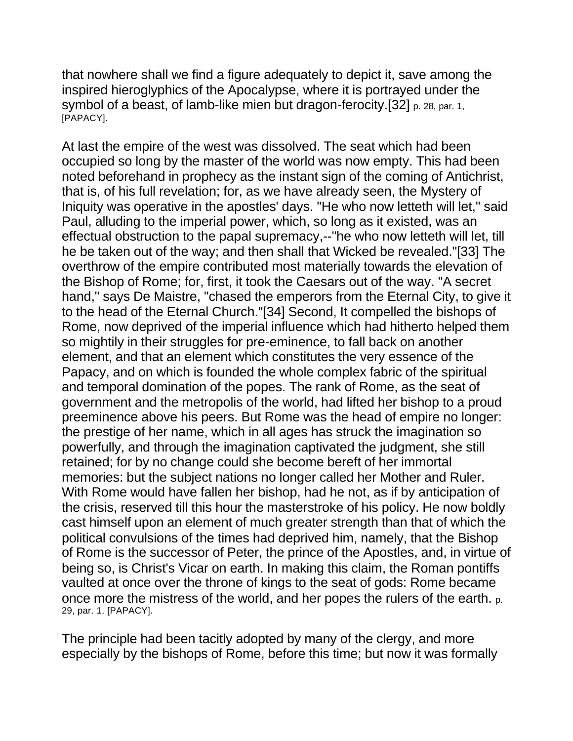that nowhere shall we find a figure adequately to depict it, save among the inspired hieroglyphics of the Apocalypse, where it is portrayed under the symbol of a beast, of lamb-like mien but dragon-ferocity.[32] p. 28, par. 1, [PAPACY].

At last the empire of the west was dissolved. The seat which had been occupied so long by the master of the world was now empty. This had been noted beforehand in prophecy as the instant sign of the coming of Antichrist, that is, of his full revelation; for, as we have already seen, the Mystery of Iniquity was operative in the apostles' days. "He who now letteth will let," said Paul, alluding to the imperial power, which, so long as it existed, was an effectual obstruction to the papal supremacy,--"he who now letteth will let, till he be taken out of the way; and then shall that Wicked be revealed."[33] The overthrow of the empire contributed most materially towards the elevation of the Bishop of Rome; for, first, it took the Caesars out of the way. "A secret hand," says De Maistre, "chased the emperors from the Eternal City, to give it to the head of the Eternal Church."[34] Second, It compelled the bishops of Rome, now deprived of the imperial influence which had hitherto helped them so mightily in their struggles for pre-eminence, to fall back on another element, and that an element which constitutes the very essence of the Papacy, and on which is founded the whole complex fabric of the spiritual and temporal domination of the popes. The rank of Rome, as the seat of government and the metropolis of the world, had lifted her bishop to a proud preeminence above his peers. But Rome was the head of empire no longer: the prestige of her name, which in all ages has struck the imagination so powerfully, and through the imagination captivated the judgment, she still retained; for by no change could she become bereft of her immortal memories: but the subject nations no longer called her Mother and Ruler. With Rome would have fallen her bishop, had he not, as if by anticipation of the crisis, reserved till this hour the masterstroke of his policy. He now boldly cast himself upon an element of much greater strength than that of which the political convulsions of the times had deprived him, namely, that the Bishop of Rome is the successor of Peter, the prince of the Apostles, and, in virtue of being so, is Christ's Vicar on earth. In making this claim, the Roman pontiffs vaulted at once over the throne of kings to the seat of gods: Rome became once more the mistress of the world, and her popes the rulers of the earth. p. 29, par. 1, [PAPACY].

The principle had been tacitly adopted by many of the clergy, and more especially by the bishops of Rome, before this time; but now it was formally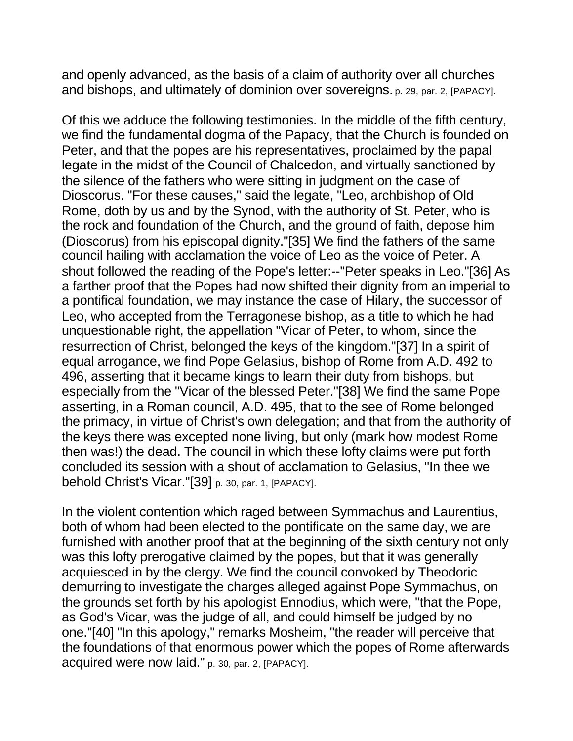and openly advanced, as the basis of a claim of authority over all churches and bishops, and ultimately of dominion over sovereigns. p. 29, par. 2, [PAPACY].

Of this we adduce the following testimonies. In the middle of the fifth century, we find the fundamental dogma of the Papacy, that the Church is founded on Peter, and that the popes are his representatives, proclaimed by the papal legate in the midst of the Council of Chalcedon, and virtually sanctioned by the silence of the fathers who were sitting in judgment on the case of Dioscorus. "For these causes," said the legate, "Leo, archbishop of Old Rome, doth by us and by the Synod, with the authority of St. Peter, who is the rock and foundation of the Church, and the ground of faith, depose him (Dioscorus) from his episcopal dignity."[35] We find the fathers of the same council hailing with acclamation the voice of Leo as the voice of Peter. A shout followed the reading of the Pope's letter:--"Peter speaks in Leo."[36] As a farther proof that the Popes had now shifted their dignity from an imperial to a pontifical foundation, we may instance the case of Hilary, the successor of Leo, who accepted from the Terragonese bishop, as a title to which he had unquestionable right, the appellation "Vicar of Peter, to whom, since the resurrection of Christ, belonged the keys of the kingdom."[37] In a spirit of equal arrogance, we find Pope Gelasius, bishop of Rome from A.D. 492 to 496, asserting that it became kings to learn their duty from bishops, but especially from the "Vicar of the blessed Peter."[38] We find the same Pope asserting, in a Roman council, A.D. 495, that to the see of Rome belonged the primacy, in virtue of Christ's own delegation; and that from the authority of the keys there was excepted none living, but only (mark how modest Rome then was!) the dead. The council in which these lofty claims were put forth concluded its session with a shout of acclamation to Gelasius, "In thee we behold Christ's Vicar."[39] p. 30, par. 1, [PAPACY].

In the violent contention which raged between Symmachus and Laurentius, both of whom had been elected to the pontificate on the same day, we are furnished with another proof that at the beginning of the sixth century not only was this lofty prerogative claimed by the popes, but that it was generally acquiesced in by the clergy. We find the council convoked by Theodoric demurring to investigate the charges alleged against Pope Symmachus, on the grounds set forth by his apologist Ennodius, which were, "that the Pope, as God's Vicar, was the judge of all, and could himself be judged by no one."[40] "In this apology," remarks Mosheim, "the reader will perceive that the foundations of that enormous power which the popes of Rome afterwards acquired were now laid." p. 30, par. 2, [PAPACY].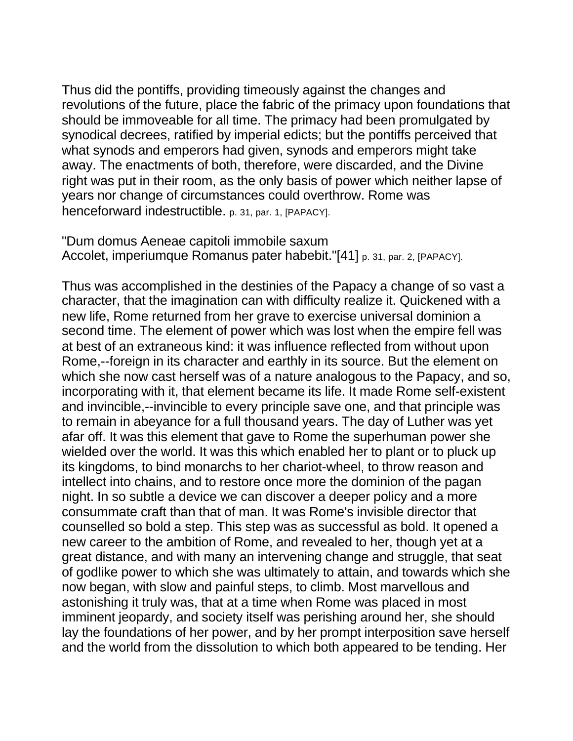Thus did the pontiffs, providing timeously against the changes and revolutions of the future, place the fabric of the primacy upon foundations that should be immoveable for all time. The primacy had been promulgated by synodical decrees, ratified by imperial edicts; but the pontiffs perceived that what synods and emperors had given, synods and emperors might take away. The enactments of both, therefore, were discarded, and the Divine right was put in their room, as the only basis of power which neither lapse of years nor change of circumstances could overthrow. Rome was henceforward indestructible. p. 31, par. 1, [PAPACY].

"Dum domus Aeneae capitoli immobile saxum Accolet, imperiumque Romanus pater habebit."[41] p. 31, par. 2, [PAPACY].

Thus was accomplished in the destinies of the Papacy a change of so vast a character, that the imagination can with difficulty realize it. Quickened with a new life, Rome returned from her grave to exercise universal dominion a second time. The element of power which was lost when the empire fell was at best of an extraneous kind: it was influence reflected from without upon Rome,--foreign in its character and earthly in its source. But the element on which she now cast herself was of a nature analogous to the Papacy, and so, incorporating with it, that element became its life. It made Rome self-existent and invincible,--invincible to every principle save one, and that principle was to remain in abeyance for a full thousand years. The day of Luther was yet afar off. It was this element that gave to Rome the superhuman power she wielded over the world. It was this which enabled her to plant or to pluck up its kingdoms, to bind monarchs to her chariot-wheel, to throw reason and intellect into chains, and to restore once more the dominion of the pagan night. In so subtle a device we can discover a deeper policy and a more consummate craft than that of man. It was Rome's invisible director that counselled so bold a step. This step was as successful as bold. It opened a new career to the ambition of Rome, and revealed to her, though yet at a great distance, and with many an intervening change and struggle, that seat of godlike power to which she was ultimately to attain, and towards which she now began, with slow and painful steps, to climb. Most marvellous and astonishing it truly was, that at a time when Rome was placed in most imminent jeopardy, and society itself was perishing around her, she should lay the foundations of her power, and by her prompt interposition save herself and the world from the dissolution to which both appeared to be tending. Her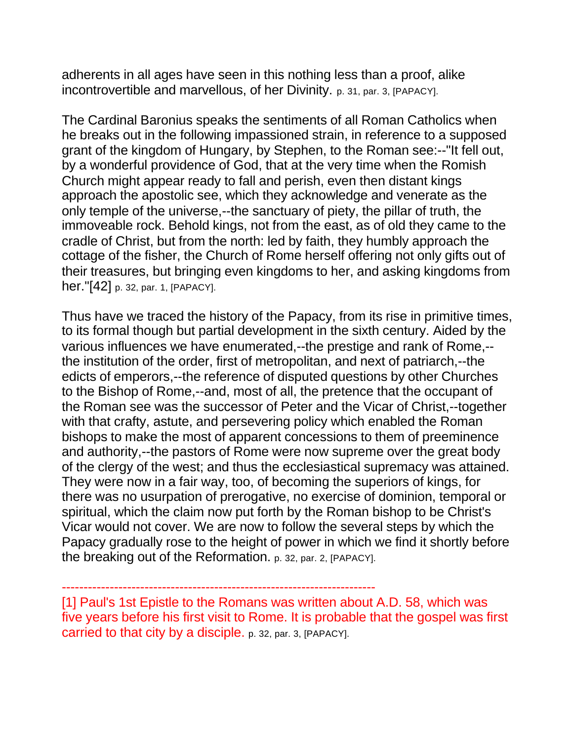adherents in all ages have seen in this nothing less than a proof, alike incontrovertible and marvellous, of her Divinity. p. 31, par. 3, [PAPACY].

The Cardinal Baronius speaks the sentiments of all Roman Catholics when he breaks out in the following impassioned strain, in reference to a supposed grant of the kingdom of Hungary, by Stephen, to the Roman see:--"It fell out, by a wonderful providence of God, that at the very time when the Romish Church might appear ready to fall and perish, even then distant kings approach the apostolic see, which they acknowledge and venerate as the only temple of the universe,--the sanctuary of piety, the pillar of truth, the immoveable rock. Behold kings, not from the east, as of old they came to the cradle of Christ, but from the north: led by faith, they humbly approach the cottage of the fisher, the Church of Rome herself offering not only gifts out of their treasures, but bringing even kingdoms to her, and asking kingdoms from her."[42] p. 32, par. 1, [PAPACY].

Thus have we traced the history of the Papacy, from its rise in primitive times, to its formal though but partial development in the sixth century. Aided by the various influences we have enumerated,--the prestige and rank of Rome,- the institution of the order, first of metropolitan, and next of patriarch,--the edicts of emperors,--the reference of disputed questions by other Churches to the Bishop of Rome,--and, most of all, the pretence that the occupant of the Roman see was the successor of Peter and the Vicar of Christ,--together with that crafty, astute, and persevering policy which enabled the Roman bishops to make the most of apparent concessions to them of preeminence and authority,--the pastors of Rome were now supreme over the great body of the clergy of the west; and thus the ecclesiastical supremacy was attained. They were now in a fair way, too, of becoming the superiors of kings, for there was no usurpation of prerogative, no exercise of dominion, temporal or spiritual, which the claim now put forth by the Roman bishop to be Christ's Vicar would not cover. We are now to follow the several steps by which the Papacy gradually rose to the height of power in which we find it shortly before the breaking out of the Reformation. p. 32, par. 2, [PAPACY].

------------------------------------------------------------------------

[1] Paul's 1st Epistle to the Romans was written about A.D. 58, which was five years before his first visit to Rome. It is probable that the gospel was first carried to that city by a disciple. p. 32, par. 3, [PAPACY].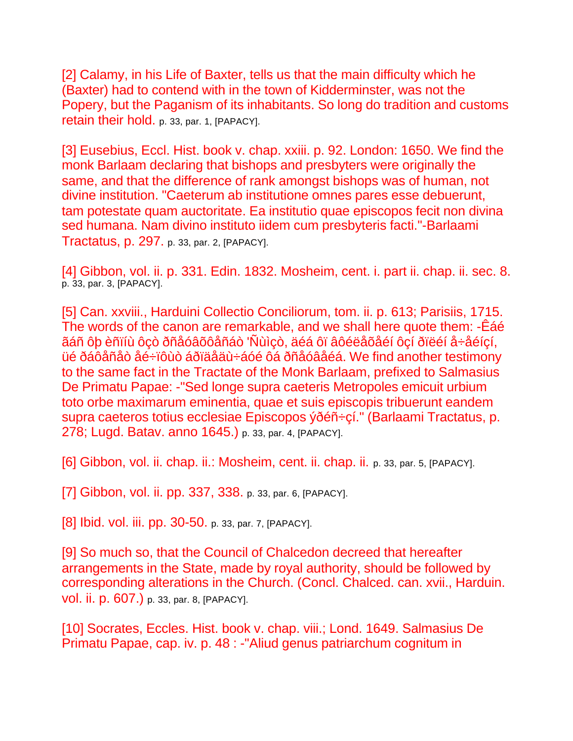[2] Calamy, in his Life of Baxter, tells us that the main difficulty which he (Baxter) had to contend with in the town of Kidderminster, was not the Popery, but the Paganism of its inhabitants. So long do tradition and customs retain their hold. p. 33, par. 1, [PAPACY].

[3] Eusebius, Eccl. Hist. book v. chap. xxiii. p. 92. London: 1650. We find the monk Barlaam declaring that bishops and presbyters were originally the same, and that the difference of rank amongst bishops was of human, not divine institution. "Caeterum ab institutione omnes pares esse debuerunt, tam potestate quam auctoritate. Ea institutio quae episcopos fecit non divina sed humana. Nam divino instituto iidem cum presbyteris facti."-Barlaami Tractatus, p. 297. p. 33, par. 2, [PAPACY].

[4] Gibbon, vol. ii. p. 331. Edin. 1832. Mosheim, cent. i. part ii. chap. ii. sec. 8. p. 33, par. 3, [PAPACY].

[5] Can. xxviii., Harduini Collectio Conciliorum, tom. ii. p. 613; Parisiis, 1715. The words of the canon are remarkable, and we shall here quote them: -Êáé ãáñ ôþ èñïíù ôçò ðñåóâõôåñáò 'Ñùìçò, äéá ôï âôéëåõåéí ôçí ðïëéí å÷åéíçí, üé ðáôåñåò åé÷ïôùò áðïäåäù÷áóé ôá ðñåóâåéá. We find another testimony to the same fact in the Tractate of the Monk Barlaam, prefixed to Salmasius De Primatu Papae: -"Sed longe supra caeteris Metropoles emicuit urbium toto orbe maximarum eminentia, quae et suis episcopis tribuerunt eandem supra caeteros totius ecclesiae Episcopos ýðéñ÷çí." (Barlaami Tractatus, p. 278; Lugd. Batav. anno 1645.) p. 33, par. 4, [PAPACY].

[6] Gibbon, vol. ii. chap. ii.: Mosheim, cent. ii. chap. ii. p. 33, par. 5, [PAPACY].

[7] Gibbon, vol. ii. pp. 337, 338. p. 33, par. 6, [PAPACY].

[8] Ibid. vol. iii. pp. 30-50. p. 33, par. 7, [PAPACY].

[9] So much so, that the Council of Chalcedon decreed that hereafter arrangements in the State, made by royal authority, should be followed by corresponding alterations in the Church. (Concl. Chalced. can. xvii., Harduin. vol. ii. p. 607.) p. 33, par. 8, [PAPACY].

[10] Socrates, Eccles. Hist. book v. chap. viii.; Lond. 1649. Salmasius De Primatu Papae, cap. iv. p. 48 : -"Aliud genus patriarchum cognitum in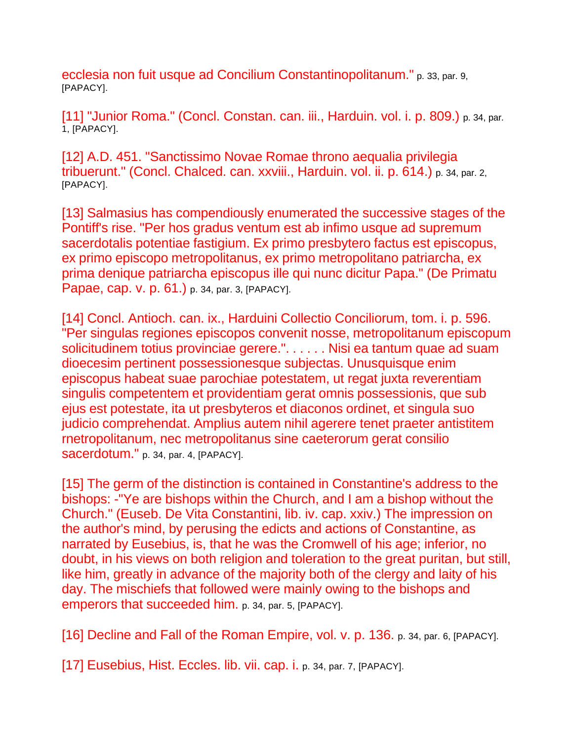ecclesia non fuit usque ad Concilium Constantinopolitanum." p. 33, par. 9, [PAPACY].

[11] "Junior Roma." (Concl. Constan. can. iii., Harduin. vol. i. p. 809.) p. 34, par. 1, [PAPACY].

[12] A.D. 451. "Sanctissimo Novae Romae throno aequalia privilegia tribuerunt." (Concl. Chalced. can. xxviii., Harduin. vol. ii. p. 614.) p. 34, par. 2, [PAPACY].

[13] Salmasius has compendiously enumerated the successive stages of the Pontiff's rise. "Per hos gradus ventum est ab infimo usque ad supremum sacerdotalis potentiae fastigium. Ex primo presbytero factus est episcopus, ex primo episcopo metropolitanus, ex primo metropolitano patriarcha, ex prima denique patriarcha episcopus ille qui nunc dicitur Papa." (De Primatu Papae, cap. v. p. 61.) p. 34, par. 3, [PAPACY].

[14] Concl. Antioch. can. ix., Harduini Collectio Conciliorum, tom. i. p. 596. "Per singulas regiones episcopos convenit nosse, metropolitanum episcopum solicitudinem totius provinciae gerere.". . . . . . Nisi ea tantum quae ad suam dioecesim pertinent possessionesque subjectas. Unusquisque enim episcopus habeat suae parochiae potestatem, ut regat juxta reverentiam singulis competentem et providentiam gerat omnis possessionis, que sub ejus est potestate, ita ut presbyteros et diaconos ordinet, et singula suo judicio comprehendat. Amplius autem nihil agerere tenet praeter antistitem rnetropolitanum, nec metropolitanus sine caeterorum gerat consilio sacerdotum." p. 34, par. 4, [PAPACY].

[15] The germ of the distinction is contained in Constantine's address to the bishops: -"Ye are bishops within the Church, and I am a bishop without the Church." (Euseb. De Vita Constantini, lib. iv. cap. xxiv.) The impression on the author's mind, by perusing the edicts and actions of Constantine, as narrated by Eusebius, is, that he was the Cromwell of his age; inferior, no doubt, in his views on both religion and toleration to the great puritan, but still, like him, greatly in advance of the majority both of the clergy and laity of his day. The mischiefs that followed were mainly owing to the bishops and emperors that succeeded him. p. 34, par. 5, [PAPACY].

[16] Decline and Fall of the Roman Empire, vol. v. p. 136. p. 34, par. 6, [PAPACY].

[17] Eusebius, Hist. Eccles. lib. vii. cap. i. p. 34, par. 7, [PAPACY].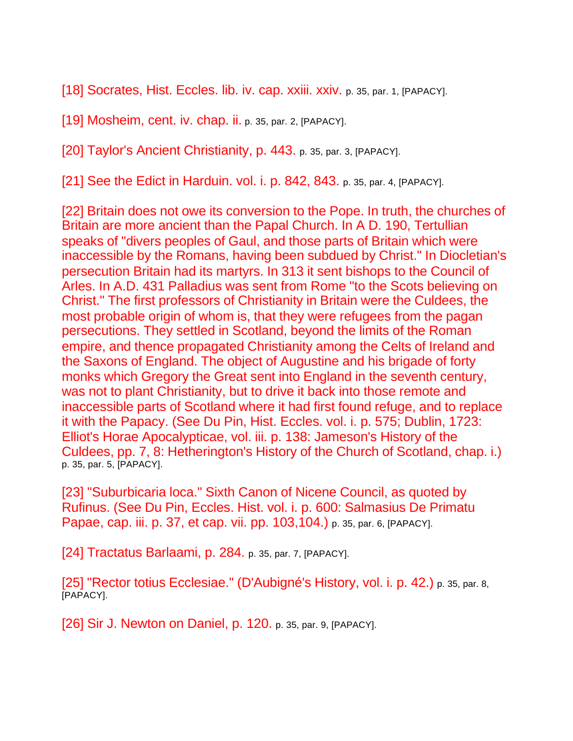[18] Socrates, Hist. Eccles. lib. iv. cap. xxiii. xxiv. p. 35, par. 1, [PAPACY].

[19] Mosheim, cent. iv. chap. ii. p. 35, par. 2, [PAPACY].

[20] Taylor's Ancient Christianity, p. 443. p. 35, par. 3, [PAPACY].

[21] See the Edict in Harduin. vol. i. p. 842, 843. p. 35, par. 4, [PAPACY].

[22] Britain does not owe its conversion to the Pope. In truth, the churches of Britain are more ancient than the Papal Church. In A D. 190, Tertullian speaks of "divers peoples of Gaul, and those parts of Britain which were inaccessible by the Romans, having been subdued by Christ." In Diocletian's persecution Britain had its martyrs. In 313 it sent bishops to the Council of Arles. In A.D. 431 Palladius was sent from Rome "to the Scots believing on Christ." The first professors of Christianity in Britain were the Culdees, the most probable origin of whom is, that they were refugees from the pagan persecutions. They settled in Scotland, beyond the limits of the Roman empire, and thence propagated Christianity among the Celts of Ireland and the Saxons of England. The object of Augustine and his brigade of forty monks which Gregory the Great sent into England in the seventh century, was not to plant Christianity, but to drive it back into those remote and inaccessible parts of Scotland where it had first found refuge, and to replace it with the Papacy. (See Du Pin, Hist. Eccles. vol. i. p. 575; Dublin, 1723: Elliot's Horae Apocalypticae, vol. iii. p. 138: Jameson's History of the Culdees, pp. 7, 8: Hetherington's History of the Church of Scotland, chap. i.) p. 35, par. 5, [PAPACY].

[23] "Suburbicaria loca." Sixth Canon of Nicene Council, as quoted by Rufinus. (See Du Pin, Eccles. Hist. vol. i. p. 600: Salmasius De Primatu Papae, cap. iii. p. 37, et cap. vii. pp. 103,104.) p. 35, par. 6, [PAPACY].

[24] Tractatus Barlaami, p. 284. p. 35, par. 7, [PAPACY].

[25] "Rector totius Ecclesiae." (D'Aubigné's History, vol. i. p. 42.) p. 35, par. 8, [PAPACY].

[26] Sir J. Newton on Daniel, p. 120. p. 35, par. 9, [PAPACY].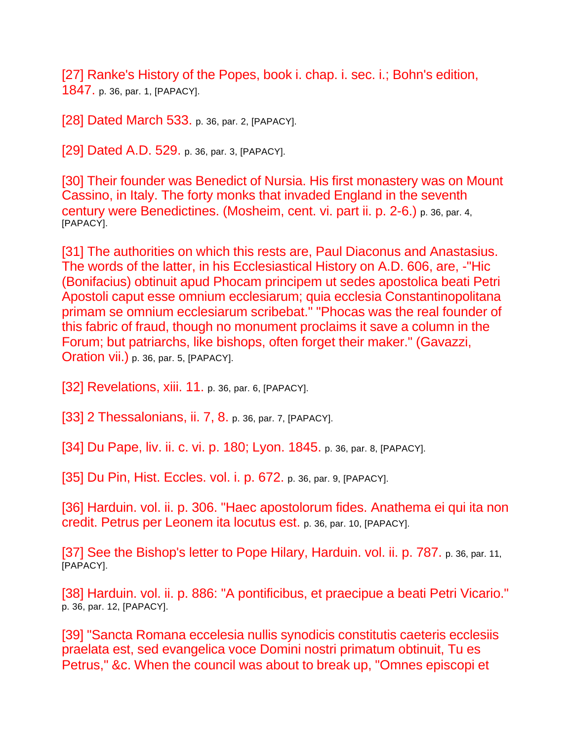[27] Ranke's History of the Popes, book i. chap. i. sec. i.; Bohn's edition, 1847. p. 36, par. 1, [PAPACY].

[28] Dated March 533. p. 36, par. 2, [PAPACY].

[29] Dated A.D. 529. p. 36, par. 3, [PAPACY].

[30] Their founder was Benedict of Nursia. His first monastery was on Mount Cassino, in Italy. The forty monks that invaded England in the seventh century were Benedictines. (Mosheim, cent. vi. part ii. p. 2-6.) p. 36, par. 4, [PAPACY].

[31] The authorities on which this rests are, Paul Diaconus and Anastasius. The words of the latter, in his Ecclesiastical History on A.D. 606, are, -"Hic (Bonifacius) obtinuit apud Phocam principem ut sedes apostolica beati Petri Apostoli caput esse omnium ecclesiarum; quia ecclesia Constantinopolitana primam se omnium ecclesiarum scribebat." "Phocas was the real founder of this fabric of fraud, though no monument proclaims it save a column in the Forum; but patriarchs, like bishops, often forget their maker." (Gavazzi, Oration vii.) p. 36, par. 5, [PAPACY].

[32] Revelations, xiii. 11. p. 36, par. 6, [PAPACY].

[33] 2 Thessalonians, ii. 7, 8. p. 36, par. 7, [PAPACY].

[34] Du Pape, liv. ii. c. vi. p. 180; Lyon. 1845. p. 36, par. 8, [PAPACY].

[35] Du Pin, Hist. Eccles. vol. i. p. 672. p. 36, par. 9, [PAPACY].

[36] Harduin. vol. ii. p. 306. "Haec apostolorum fides. Anathema ei qui ita non credit. Petrus per Leonem ita locutus est. p. 36, par. 10, [PAPACY].

[37] See the Bishop's letter to Pope Hilary, Harduin. vol. ii. p. 787. p. 36, par. 11, [PAPACY].

[38] Harduin. vol. ii. p. 886: "A pontificibus, et praecipue a beati Petri Vicario." p. 36, par. 12, [PAPACY].

[39] "Sancta Romana eccelesia nullis synodicis constitutis caeteris ecclesiis praelata est, sed evangelica voce Domini nostri primatum obtinuit, Tu es Petrus," &c. When the council was about to break up, "Omnes episcopi et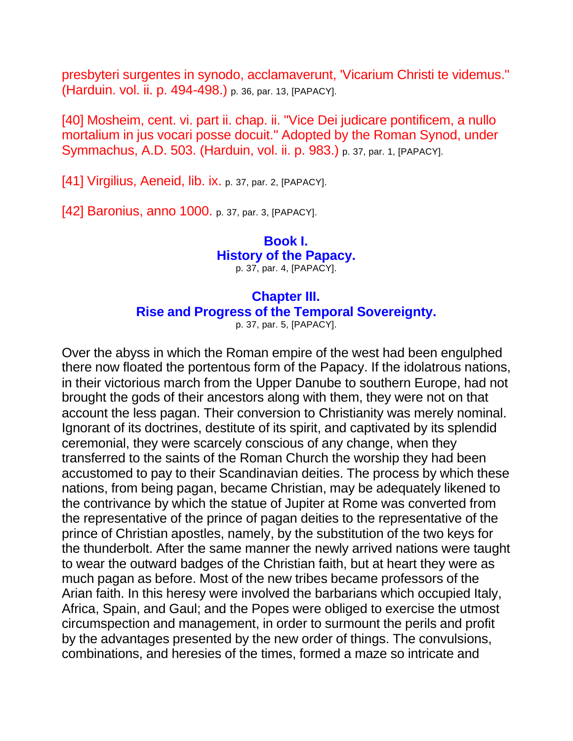presbyteri surgentes in synodo, acclamaverunt, 'Vicarium Christi te videmus." (Harduin. vol. ii. p. 494-498.) p. 36, par. 13, [PAPACY].

[40] Mosheim, cent. vi. part ii. chap. ii. "Vice Dei judicare pontificem, a nullo mortalium in jus vocari posse docuit." Adopted by the Roman Synod, under Symmachus, A.D. 503. (Harduin, vol. ii. p. 983.) p. 37, par. 1, [PAPACY].

[41] Virgilius, Aeneid, lib. ix. p. 37, par. 2, [PAPACY].

[42] Baronius, anno 1000. p. 37, par. 3, [PAPACY].

## **Book I. History of the Papacy.** p. 37, par. 4, [PAPACY].

## **Chapter III. Rise and Progress of the Temporal Sovereignty.**

p. 37, par. 5, [PAPACY].

Over the abyss in which the Roman empire of the west had been engulphed there now floated the portentous form of the Papacy. If the idolatrous nations, in their victorious march from the Upper Danube to southern Europe, had not brought the gods of their ancestors along with them, they were not on that account the less pagan. Their conversion to Christianity was merely nominal. Ignorant of its doctrines, destitute of its spirit, and captivated by its splendid ceremonial, they were scarcely conscious of any change, when they transferred to the saints of the Roman Church the worship they had been accustomed to pay to their Scandinavian deities. The process by which these nations, from being pagan, became Christian, may be adequately likened to the contrivance by which the statue of Jupiter at Rome was converted from the representative of the prince of pagan deities to the representative of the prince of Christian apostles, namely, by the substitution of the two keys for the thunderbolt. After the same manner the newly arrived nations were taught to wear the outward badges of the Christian faith, but at heart they were as much pagan as before. Most of the new tribes became professors of the Arian faith. In this heresy were involved the barbarians which occupied Italy, Africa, Spain, and Gaul; and the Popes were obliged to exercise the utmost circumspection and management, in order to surmount the perils and profit by the advantages presented by the new order of things. The convulsions, combinations, and heresies of the times, formed a maze so intricate and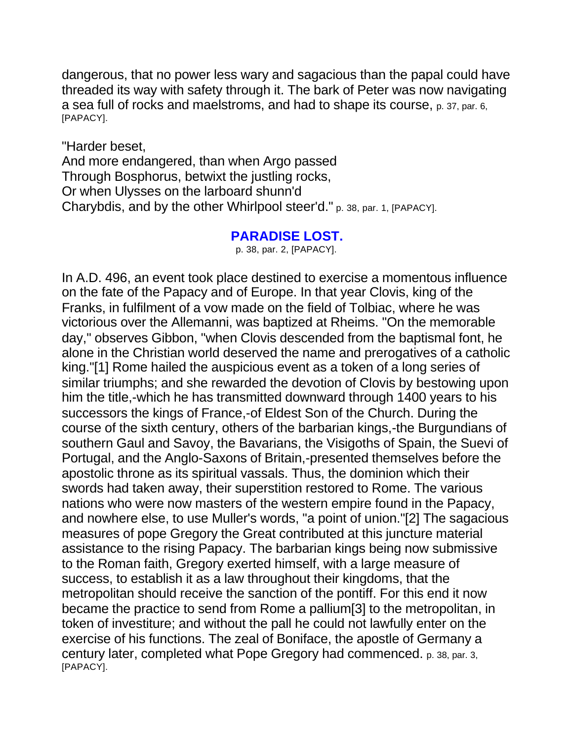dangerous, that no power less wary and sagacious than the papal could have threaded its way with safety through it. The bark of Peter was now navigating a sea full of rocks and maelstroms, and had to shape its course, p. 37, par. 6, [PAPACY].

"Harder beset, And more endangered, than when Argo passed Through Bosphorus, betwixt the justling rocks, Or when Ulysses on the larboard shunn'd Charybdis, and by the other Whirlpool steer'd." p. 38, par. 1, [PAPACY].

## **PARADISE LOST.**

p. 38, par. 2, [PAPACY].

In A.D. 496, an event took place destined to exercise a momentous influence on the fate of the Papacy and of Europe. In that year Clovis, king of the Franks, in fulfilment of a vow made on the field of Tolbiac, where he was victorious over the Allemanni, was baptized at Rheims. "On the memorable day," observes Gibbon, "when Clovis descended from the baptismal font, he alone in the Christian world deserved the name and prerogatives of a catholic king."[1] Rome hailed the auspicious event as a token of a long series of similar triumphs; and she rewarded the devotion of Clovis by bestowing upon him the title,-which he has transmitted downward through 1400 years to his successors the kings of France,-of Eldest Son of the Church. During the course of the sixth century, others of the barbarian kings,-the Burgundians of southern Gaul and Savoy, the Bavarians, the Visigoths of Spain, the Suevi of Portugal, and the Anglo-Saxons of Britain,-presented themselves before the apostolic throne as its spiritual vassals. Thus, the dominion which their swords had taken away, their superstition restored to Rome. The various nations who were now masters of the western empire found in the Papacy, and nowhere else, to use Muller's words, "a point of union."[2] The sagacious measures of pope Gregory the Great contributed at this juncture material assistance to the rising Papacy. The barbarian kings being now submissive to the Roman faith, Gregory exerted himself, with a large measure of success, to establish it as a law throughout their kingdoms, that the metropolitan should receive the sanction of the pontiff. For this end it now became the practice to send from Rome a pallium[3] to the metropolitan, in token of investiture; and without the pall he could not lawfully enter on the exercise of his functions. The zeal of Boniface, the apostle of Germany a century later, completed what Pope Gregory had commenced. p. 38, par. 3, [PAPACY].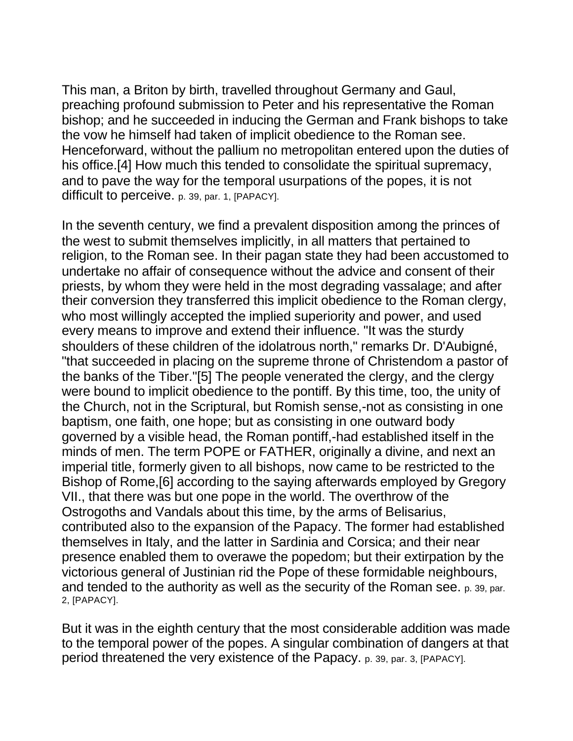This man, a Briton by birth, travelled throughout Germany and Gaul, preaching profound submission to Peter and his representative the Roman bishop; and he succeeded in inducing the German and Frank bishops to take the vow he himself had taken of implicit obedience to the Roman see. Henceforward, without the pallium no metropolitan entered upon the duties of his office.[4] How much this tended to consolidate the spiritual supremacy, and to pave the way for the temporal usurpations of the popes, it is not difficult to perceive. p. 39, par. 1, [PAPACY].

In the seventh century, we find a prevalent disposition among the princes of the west to submit themselves implicitly, in all matters that pertained to religion, to the Roman see. In their pagan state they had been accustomed to undertake no affair of consequence without the advice and consent of their priests, by whom they were held in the most degrading vassalage; and after their conversion they transferred this implicit obedience to the Roman clergy, who most willingly accepted the implied superiority and power, and used every means to improve and extend their influence. "It was the sturdy shoulders of these children of the idolatrous north," remarks Dr. D'Aubigné, "that succeeded in placing on the supreme throne of Christendom a pastor of the banks of the Tiber."[5] The people venerated the clergy, and the clergy were bound to implicit obedience to the pontiff. By this time, too, the unity of the Church, not in the Scriptural, but Romish sense,-not as consisting in one baptism, one faith, one hope; but as consisting in one outward body governed by a visible head, the Roman pontiff,-had established itself in the minds of men. The term POPE or FATHER, originally a divine, and next an imperial title, formerly given to all bishops, now came to be restricted to the Bishop of Rome,[6] according to the saying afterwards employed by Gregory VII., that there was but one pope in the world. The overthrow of the Ostrogoths and Vandals about this time, by the arms of Belisarius, contributed also to the expansion of the Papacy. The former had established themselves in Italy, and the latter in Sardinia and Corsica; and their near presence enabled them to overawe the popedom; but their extirpation by the victorious general of Justinian rid the Pope of these formidable neighbours, and tended to the authority as well as the security of the Roman see. p. 39, par. 2, [PAPACY].

But it was in the eighth century that the most considerable addition was made to the temporal power of the popes. A singular combination of dangers at that period threatened the very existence of the Papacy. p. 39, par. 3, [PAPACY].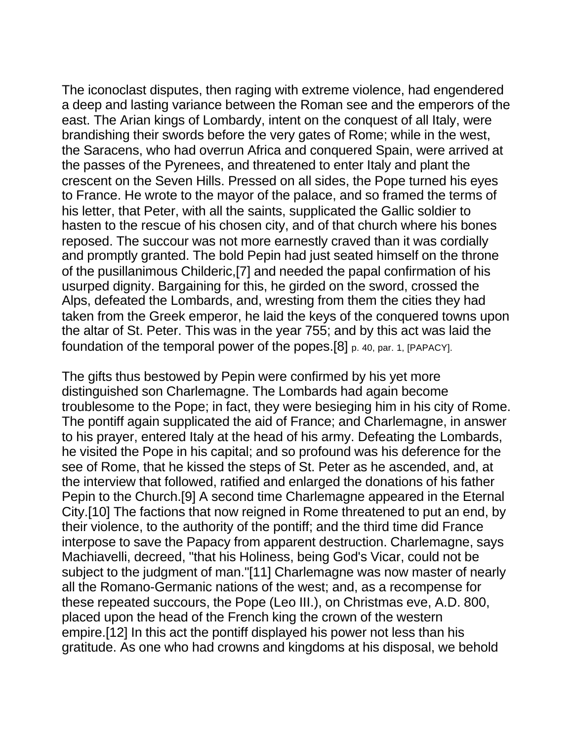The iconoclast disputes, then raging with extreme violence, had engendered a deep and lasting variance between the Roman see and the emperors of the east. The Arian kings of Lombardy, intent on the conquest of all Italy, were brandishing their swords before the very gates of Rome; while in the west, the Saracens, who had overrun Africa and conquered Spain, were arrived at the passes of the Pyrenees, and threatened to enter Italy and plant the crescent on the Seven Hills. Pressed on all sides, the Pope turned his eyes to France. He wrote to the mayor of the palace, and so framed the terms of his letter, that Peter, with all the saints, supplicated the Gallic soldier to hasten to the rescue of his chosen city, and of that church where his bones reposed. The succour was not more earnestly craved than it was cordially and promptly granted. The bold Pepin had just seated himself on the throne of the pusillanimous Childeric,[7] and needed the papal confirmation of his usurped dignity. Bargaining for this, he girded on the sword, crossed the Alps, defeated the Lombards, and, wresting from them the cities they had taken from the Greek emperor, he laid the keys of the conquered towns upon the altar of St. Peter. This was in the year 755; and by this act was laid the foundation of the temporal power of the popes.[8] p. 40, par. 1, [PAPACY].

The gifts thus bestowed by Pepin were confirmed by his yet more distinguished son Charlemagne. The Lombards had again become troublesome to the Pope; in fact, they were besieging him in his city of Rome. The pontiff again supplicated the aid of France; and Charlemagne, in answer to his prayer, entered Italy at the head of his army. Defeating the Lombards, he visited the Pope in his capital; and so profound was his deference for the see of Rome, that he kissed the steps of St. Peter as he ascended, and, at the interview that followed, ratified and enlarged the donations of his father Pepin to the Church.[9] A second time Charlemagne appeared in the Eternal City.[10] The factions that now reigned in Rome threatened to put an end, by their violence, to the authority of the pontiff; and the third time did France interpose to save the Papacy from apparent destruction. Charlemagne, says Machiavelli, decreed, "that his Holiness, being God's Vicar, could not be subject to the judgment of man."[11] Charlemagne was now master of nearly all the Romano-Germanic nations of the west; and, as a recompense for these repeated succours, the Pope (Leo III.), on Christmas eve, A.D. 800, placed upon the head of the French king the crown of the western empire.[12] In this act the pontiff displayed his power not less than his gratitude. As one who had crowns and kingdoms at his disposal, we behold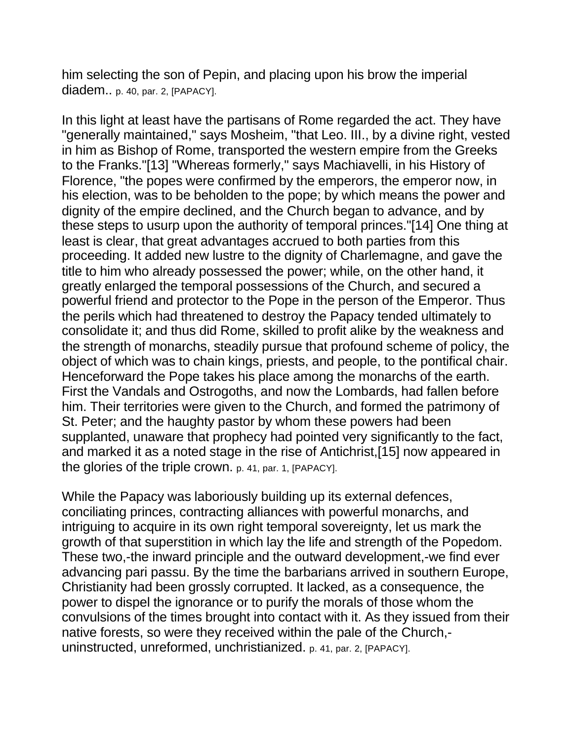him selecting the son of Pepin, and placing upon his brow the imperial diadem.. p. 40, par. 2, [PAPACY].

In this light at least have the partisans of Rome regarded the act. They have "generally maintained," says Mosheim, "that Leo. III., by a divine right, vested in him as Bishop of Rome, transported the western empire from the Greeks to the Franks."[13] "Whereas formerly," says Machiavelli, in his History of Florence, "the popes were confirmed by the emperors, the emperor now, in his election, was to be beholden to the pope; by which means the power and dignity of the empire declined, and the Church began to advance, and by these steps to usurp upon the authority of temporal princes."[14] One thing at least is clear, that great advantages accrued to both parties from this proceeding. It added new lustre to the dignity of Charlemagne, and gave the title to him who already possessed the power; while, on the other hand, it greatly enlarged the temporal possessions of the Church, and secured a powerful friend and protector to the Pope in the person of the Emperor. Thus the perils which had threatened to destroy the Papacy tended ultimately to consolidate it; and thus did Rome, skilled to profit alike by the weakness and the strength of monarchs, steadily pursue that profound scheme of policy, the object of which was to chain kings, priests, and people, to the pontifical chair. Henceforward the Pope takes his place among the monarchs of the earth. First the Vandals and Ostrogoths, and now the Lombards, had fallen before him. Their territories were given to the Church, and formed the patrimony of St. Peter; and the haughty pastor by whom these powers had been supplanted, unaware that prophecy had pointed very significantly to the fact, and marked it as a noted stage in the rise of Antichrist,[15] now appeared in the glories of the triple crown. p. 41, par. 1, [PAPACY].

While the Papacy was laboriously building up its external defences, conciliating princes, contracting alliances with powerful monarchs, and intriguing to acquire in its own right temporal sovereignty, let us mark the growth of that superstition in which lay the life and strength of the Popedom. These two,-the inward principle and the outward development,-we find ever advancing pari passu. By the time the barbarians arrived in southern Europe, Christianity had been grossly corrupted. It lacked, as a consequence, the power to dispel the ignorance or to purify the morals of those whom the convulsions of the times brought into contact with it. As they issued from their native forests, so were they received within the pale of the Church, uninstructed, unreformed, unchristianized. p. 41, par. 2, [PAPACY].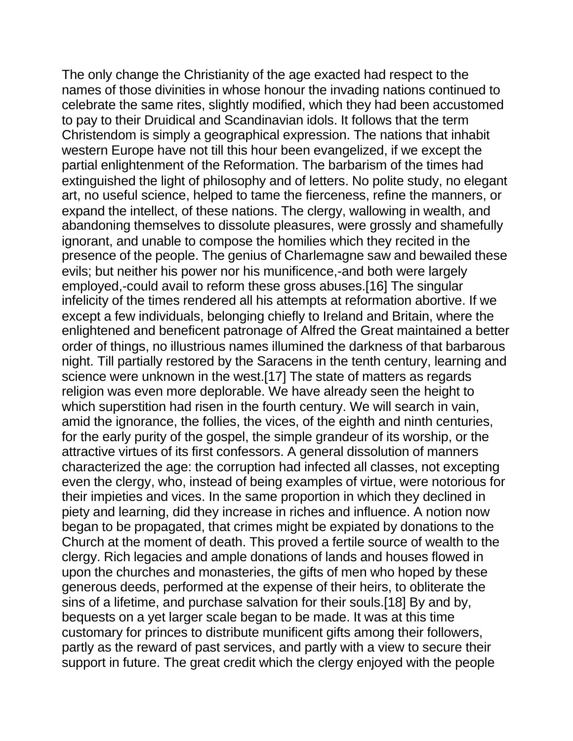The only change the Christianity of the age exacted had respect to the names of those divinities in whose honour the invading nations continued to celebrate the same rites, slightly modified, which they had been accustomed to pay to their Druidical and Scandinavian idols. It follows that the term Christendom is simply a geographical expression. The nations that inhabit western Europe have not till this hour been evangelized, if we except the partial enlightenment of the Reformation. The barbarism of the times had extinguished the light of philosophy and of letters. No polite study, no elegant art, no useful science, helped to tame the fierceness, refine the manners, or expand the intellect, of these nations. The clergy, wallowing in wealth, and abandoning themselves to dissolute pleasures, were grossly and shamefully ignorant, and unable to compose the homilies which they recited in the presence of the people. The genius of Charlemagne saw and bewailed these evils; but neither his power nor his munificence,-and both were largely employed,-could avail to reform these gross abuses.[16] The singular infelicity of the times rendered all his attempts at reformation abortive. If we except a few individuals, belonging chiefly to Ireland and Britain, where the enlightened and beneficent patronage of Alfred the Great maintained a better order of things, no illustrious names illumined the darkness of that barbarous night. Till partially restored by the Saracens in the tenth century, learning and science were unknown in the west.[17] The state of matters as regards religion was even more deplorable. We have already seen the height to which superstition had risen in the fourth century. We will search in vain, amid the ignorance, the follies, the vices, of the eighth and ninth centuries, for the early purity of the gospel, the simple grandeur of its worship, or the attractive virtues of its first confessors. A general dissolution of manners characterized the age: the corruption had infected all classes, not excepting even the clergy, who, instead of being examples of virtue, were notorious for their impieties and vices. In the same proportion in which they declined in piety and learning, did they increase in riches and influence. A notion now began to be propagated, that crimes might be expiated by donations to the Church at the moment of death. This proved a fertile source of wealth to the clergy. Rich legacies and ample donations of lands and houses flowed in upon the churches and monasteries, the gifts of men who hoped by these generous deeds, performed at the expense of their heirs, to obliterate the sins of a lifetime, and purchase salvation for their souls.[18] By and by, bequests on a yet larger scale began to be made. It was at this time customary for princes to distribute munificent gifts among their followers, partly as the reward of past services, and partly with a view to secure their support in future. The great credit which the clergy enjoyed with the people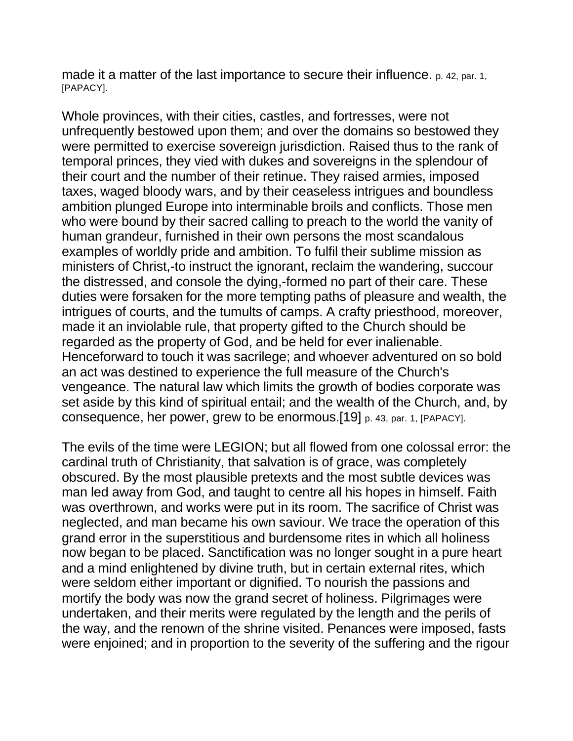made it a matter of the last importance to secure their influence. p. 42, par. 1, [PAPACY].

Whole provinces, with their cities, castles, and fortresses, were not unfrequently bestowed upon them; and over the domains so bestowed they were permitted to exercise sovereign jurisdiction. Raised thus to the rank of temporal princes, they vied with dukes and sovereigns in the splendour of their court and the number of their retinue. They raised armies, imposed taxes, waged bloody wars, and by their ceaseless intrigues and boundless ambition plunged Europe into interminable broils and conflicts. Those men who were bound by their sacred calling to preach to the world the vanity of human grandeur, furnished in their own persons the most scandalous examples of worldly pride and ambition. To fulfil their sublime mission as ministers of Christ,-to instruct the ignorant, reclaim the wandering, succour the distressed, and console the dying,-formed no part of their care. These duties were forsaken for the more tempting paths of pleasure and wealth, the intrigues of courts, and the tumults of camps. A crafty priesthood, moreover, made it an inviolable rule, that property gifted to the Church should be regarded as the property of God, and be held for ever inalienable. Henceforward to touch it was sacrilege; and whoever adventured on so bold an act was destined to experience the full measure of the Church's vengeance. The natural law which limits the growth of bodies corporate was set aside by this kind of spiritual entail; and the wealth of the Church, and, by consequence, her power, grew to be enormous.[19] p. 43, par. 1, [PAPACY].

The evils of the time were LEGION; but all flowed from one colossal error: the cardinal truth of Christianity, that salvation is of grace, was completely obscured. By the most plausible pretexts and the most subtle devices was man led away from God, and taught to centre all his hopes in himself. Faith was overthrown, and works were put in its room. The sacrifice of Christ was neglected, and man became his own saviour. We trace the operation of this grand error in the superstitious and burdensome rites in which all holiness now began to be placed. Sanctification was no longer sought in a pure heart and a mind enlightened by divine truth, but in certain external rites, which were seldom either important or dignified. To nourish the passions and mortify the body was now the grand secret of holiness. Pilgrimages were undertaken, and their merits were regulated by the length and the perils of the way, and the renown of the shrine visited. Penances were imposed, fasts were enjoined; and in proportion to the severity of the suffering and the rigour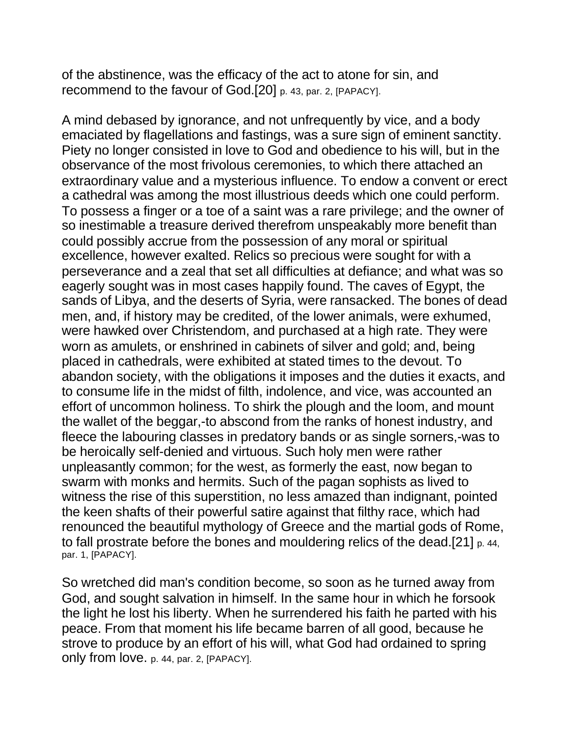of the abstinence, was the efficacy of the act to atone for sin, and recommend to the favour of God.[20] p. 43, par. 2, [PAPACY].

A mind debased by ignorance, and not unfrequently by vice, and a body emaciated by flagellations and fastings, was a sure sign of eminent sanctity. Piety no longer consisted in love to God and obedience to his will, but in the observance of the most frivolous ceremonies, to which there attached an extraordinary value and a mysterious influence. To endow a convent or erect a cathedral was among the most illustrious deeds which one could perform. To possess a finger or a toe of a saint was a rare privilege; and the owner of so inestimable a treasure derived therefrom unspeakably more benefit than could possibly accrue from the possession of any moral or spiritual excellence, however exalted. Relics so precious were sought for with a perseverance and a zeal that set all difficulties at defiance; and what was so eagerly sought was in most cases happily found. The caves of Egypt, the sands of Libya, and the deserts of Syria, were ransacked. The bones of dead men, and, if history may be credited, of the lower animals, were exhumed, were hawked over Christendom, and purchased at a high rate. They were worn as amulets, or enshrined in cabinets of silver and gold; and, being placed in cathedrals, were exhibited at stated times to the devout. To abandon society, with the obligations it imposes and the duties it exacts, and to consume life in the midst of filth, indolence, and vice, was accounted an effort of uncommon holiness. To shirk the plough and the loom, and mount the wallet of the beggar,-to abscond from the ranks of honest industry, and fleece the labouring classes in predatory bands or as single sorners,-was to be heroically self-denied and virtuous. Such holy men were rather unpleasantly common; for the west, as formerly the east, now began to swarm with monks and hermits. Such of the pagan sophists as lived to witness the rise of this superstition, no less amazed than indignant, pointed the keen shafts of their powerful satire against that filthy race, which had renounced the beautiful mythology of Greece and the martial gods of Rome, to fall prostrate before the bones and mouldering relics of the dead.[21] p. 44, par. 1, [PAPACY].

So wretched did man's condition become, so soon as he turned away from God, and sought salvation in himself. In the same hour in which he forsook the light he lost his liberty. When he surrendered his faith he parted with his peace. From that moment his life became barren of all good, because he strove to produce by an effort of his will, what God had ordained to spring only from love. p. 44, par. 2, [PAPACY].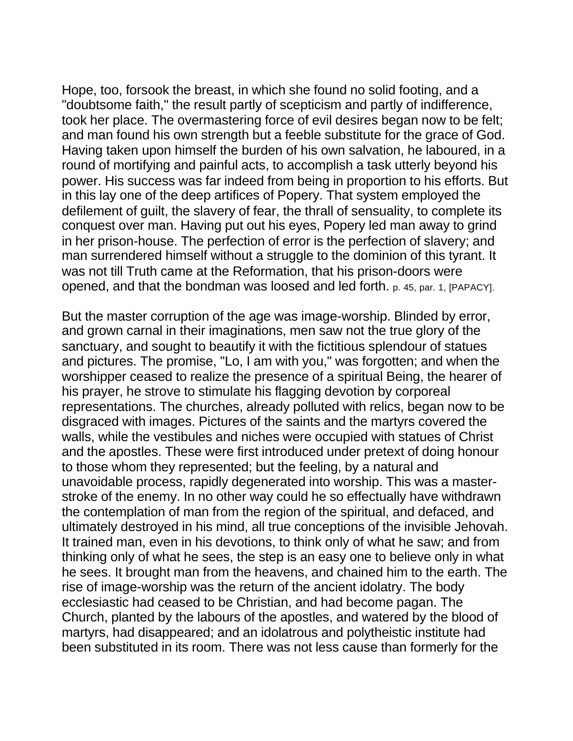Hope, too, forsook the breast, in which she found no solid footing, and a "doubtsome faith," the result partly of scepticism and partly of indifference, took her place. The overmastering force of evil desires began now to be felt; and man found his own strength but a feeble substitute for the grace of God. Having taken upon himself the burden of his own salvation, he laboured, in a round of mortifying and painful acts, to accomplish a task utterly beyond his power. His success was far indeed from being in proportion to his efforts. But in this lay one of the deep artifices of Popery. That system employed the defilement of guilt, the slavery of fear, the thrall of sensuality, to complete its conquest over man. Having put out his eyes, Popery led man away to grind in her prison-house. The perfection of error is the perfection of slavery; and man surrendered himself without a struggle to the dominion of this tyrant. It was not till Truth came at the Reformation, that his prison-doors were opened, and that the bondman was loosed and led forth. p. 45, par. 1, [PAPACY].

But the master corruption of the age was image-worship. Blinded by error, and grown carnal in their imaginations, men saw not the true glory of the sanctuary, and sought to beautify it with the fictitious splendour of statues and pictures. The promise, "Lo, I am with you," was forgotten; and when the worshipper ceased to realize the presence of a spiritual Being, the hearer of his prayer, he strove to stimulate his flagging devotion by corporeal representations. The churches, already polluted with relics, began now to be disgraced with images. Pictures of the saints and the martyrs covered the walls, while the vestibules and niches were occupied with statues of Christ and the apostles. These were first introduced under pretext of doing honour to those whom they represented; but the feeling, by a natural and unavoidable process, rapidly degenerated into worship. This was a masterstroke of the enemy. In no other way could he so effectually have withdrawn the contemplation of man from the region of the spiritual, and defaced, and ultimately destroyed in his mind, all true conceptions of the invisible Jehovah. It trained man, even in his devotions, to think only of what he saw; and from thinking only of what he sees, the step is an easy one to believe only in what he sees. It brought man from the heavens, and chained him to the earth. The rise of image-worship was the return of the ancient idolatry. The body ecclesiastic had ceased to be Christian, and had become pagan. The Church, planted by the labours of the apostles, and watered by the blood of martyrs, had disappeared; and an idolatrous and polytheistic institute had been substituted in its room. There was not less cause than formerly for the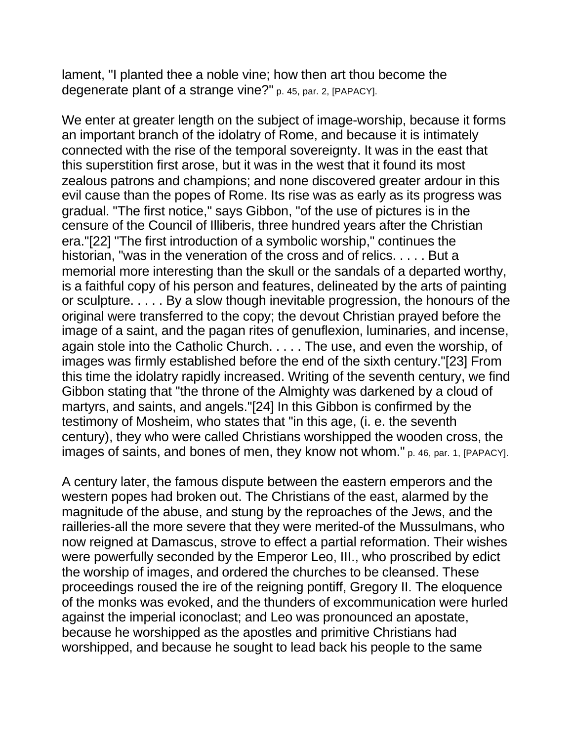lament, "I planted thee a noble vine; how then art thou become the degenerate plant of a strange vine?" p. 45, par. 2, [PAPACY].

We enter at greater length on the subject of image-worship, because it forms an important branch of the idolatry of Rome, and because it is intimately connected with the rise of the temporal sovereignty. It was in the east that this superstition first arose, but it was in the west that it found its most zealous patrons and champions; and none discovered greater ardour in this evil cause than the popes of Rome. Its rise was as early as its progress was gradual. "The first notice," says Gibbon, "of the use of pictures is in the censure of the Council of Illiberis, three hundred years after the Christian era."[22] "The first introduction of a symbolic worship," continues the historian, "was in the veneration of the cross and of relics. . . . . But a memorial more interesting than the skull or the sandals of a departed worthy, is a faithful copy of his person and features, delineated by the arts of painting or sculpture. . . . . By a slow though inevitable progression, the honours of the original were transferred to the copy; the devout Christian prayed before the image of a saint, and the pagan rites of genuflexion, luminaries, and incense, again stole into the Catholic Church. . . . . The use, and even the worship, of images was firmly established before the end of the sixth century."[23] From this time the idolatry rapidly increased. Writing of the seventh century, we find Gibbon stating that "the throne of the Almighty was darkened by a cloud of martyrs, and saints, and angels."[24] In this Gibbon is confirmed by the testimony of Mosheim, who states that "in this age, (i. e. the seventh century), they who were called Christians worshipped the wooden cross, the images of saints, and bones of men, they know not whom." p. 46, par. 1, [PAPACY].

A century later, the famous dispute between the eastern emperors and the western popes had broken out. The Christians of the east, alarmed by the magnitude of the abuse, and stung by the reproaches of the Jews, and the railleries-all the more severe that they were merited-of the Mussulmans, who now reigned at Damascus, strove to effect a partial reformation. Their wishes were powerfully seconded by the Emperor Leo, III., who proscribed by edict the worship of images, and ordered the churches to be cleansed. These proceedings roused the ire of the reigning pontiff, Gregory II. The eloquence of the monks was evoked, and the thunders of excommunication were hurled against the imperial iconoclast; and Leo was pronounced an apostate, because he worshipped as the apostles and primitive Christians had worshipped, and because he sought to lead back his people to the same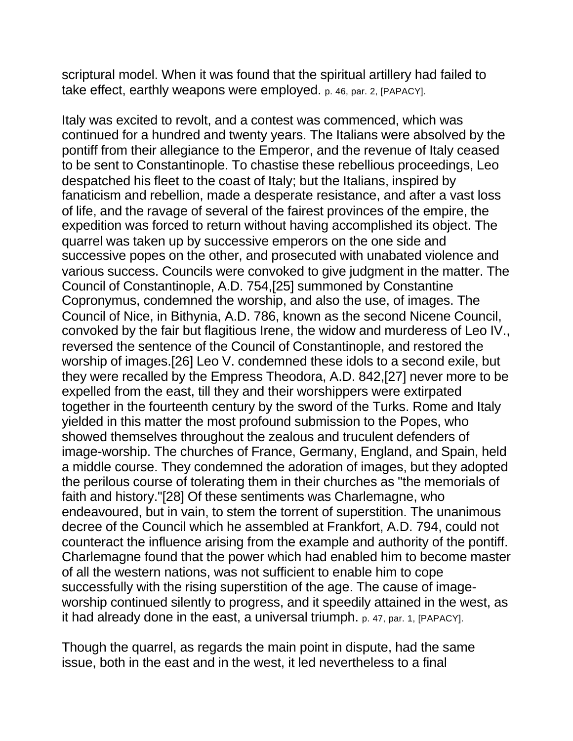scriptural model. When it was found that the spiritual artillery had failed to take effect, earthly weapons were employed. p. 46, par. 2, [PAPACY].

Italy was excited to revolt, and a contest was commenced, which was continued for a hundred and twenty years. The Italians were absolved by the pontiff from their allegiance to the Emperor, and the revenue of Italy ceased to be sent to Constantinople. To chastise these rebellious proceedings, Leo despatched his fleet to the coast of Italy; but the Italians, inspired by fanaticism and rebellion, made a desperate resistance, and after a vast loss of life, and the ravage of several of the fairest provinces of the empire, the expedition was forced to return without having accomplished its object. The quarrel was taken up by successive emperors on the one side and successive popes on the other, and prosecuted with unabated violence and various success. Councils were convoked to give judgment in the matter. The Council of Constantinople, A.D. 754,[25] summoned by Constantine Copronymus, condemned the worship, and also the use, of images. The Council of Nice, in Bithynia, A.D. 786, known as the second Nicene Council, convoked by the fair but flagitious Irene, the widow and murderess of Leo IV., reversed the sentence of the Council of Constantinople, and restored the worship of images.[26] Leo V. condemned these idols to a second exile, but they were recalled by the Empress Theodora, A.D. 842,[27] never more to be expelled from the east, till they and their worshippers were extirpated together in the fourteenth century by the sword of the Turks. Rome and Italy yielded in this matter the most profound submission to the Popes, who showed themselves throughout the zealous and truculent defenders of image-worship. The churches of France, Germany, England, and Spain, held a middle course. They condemned the adoration of images, but they adopted the perilous course of tolerating them in their churches as "the memorials of faith and history."[28] Of these sentiments was Charlemagne, who endeavoured, but in vain, to stem the torrent of superstition. The unanimous decree of the Council which he assembled at Frankfort, A.D. 794, could not counteract the influence arising from the example and authority of the pontiff. Charlemagne found that the power which had enabled him to become master of all the western nations, was not sufficient to enable him to cope successfully with the rising superstition of the age. The cause of imageworship continued silently to progress, and it speedily attained in the west, as it had already done in the east, a universal triumph. p. 47, par. 1, [PAPACY].

Though the quarrel, as regards the main point in dispute, had the same issue, both in the east and in the west, it led nevertheless to a final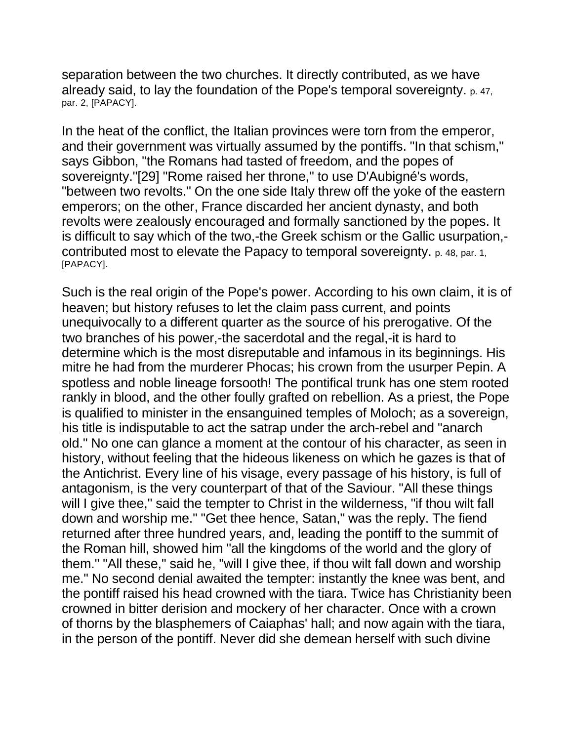separation between the two churches. It directly contributed, as we have already said, to lay the foundation of the Pope's temporal sovereignty. p. 47, par. 2, [PAPACY].

In the heat of the conflict, the Italian provinces were torn from the emperor, and their government was virtually assumed by the pontiffs. "In that schism," says Gibbon, "the Romans had tasted of freedom, and the popes of sovereignty."[29] "Rome raised her throne," to use D'Aubigné's words, "between two revolts." On the one side Italy threw off the yoke of the eastern emperors; on the other, France discarded her ancient dynasty, and both revolts were zealously encouraged and formally sanctioned by the popes. It is difficult to say which of the two,-the Greek schism or the Gallic usurpation, contributed most to elevate the Papacy to temporal sovereignty. p. 48, par. 1, [PAPACY].

Such is the real origin of the Pope's power. According to his own claim, it is of heaven; but history refuses to let the claim pass current, and points unequivocally to a different quarter as the source of his prerogative. Of the two branches of his power,-the sacerdotal and the regal,-it is hard to determine which is the most disreputable and infamous in its beginnings. His mitre he had from the murderer Phocas; his crown from the usurper Pepin. A spotless and noble lineage forsooth! The pontifical trunk has one stem rooted rankly in blood, and the other foully grafted on rebellion. As a priest, the Pope is qualified to minister in the ensanguined temples of Moloch; as a sovereign, his title is indisputable to act the satrap under the arch-rebel and "anarch old." No one can glance a moment at the contour of his character, as seen in history, without feeling that the hideous likeness on which he gazes is that of the Antichrist. Every line of his visage, every passage of his history, is full of antagonism, is the very counterpart of that of the Saviour. "All these things will I give thee," said the tempter to Christ in the wilderness, "if thou wilt fall down and worship me." "Get thee hence, Satan," was the reply. The fiend returned after three hundred years, and, leading the pontiff to the summit of the Roman hill, showed him "all the kingdoms of the world and the glory of them." "All these," said he, "will I give thee, if thou wilt fall down and worship me." No second denial awaited the tempter: instantly the knee was bent, and the pontiff raised his head crowned with the tiara. Twice has Christianity been crowned in bitter derision and mockery of her character. Once with a crown of thorns by the blasphemers of Caiaphas' hall; and now again with the tiara, in the person of the pontiff. Never did she demean herself with such divine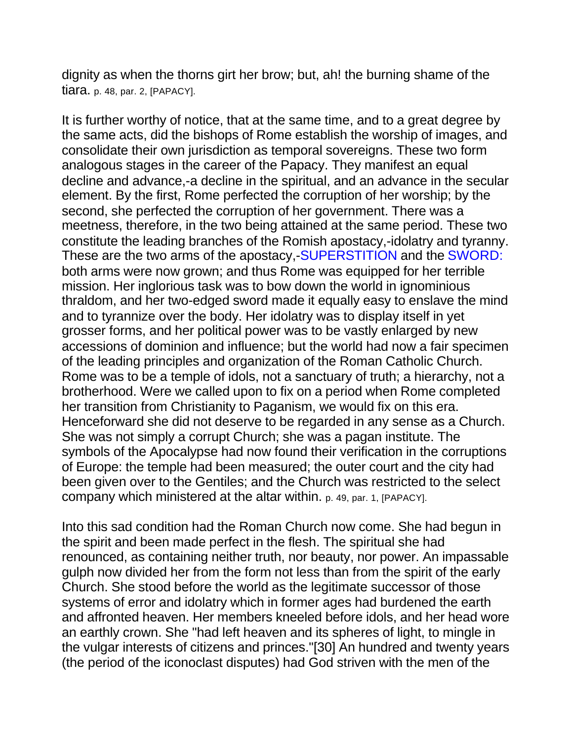dignity as when the thorns girt her brow; but, ah! the burning shame of the tiara. p. 48, par. 2, [PAPACY].

It is further worthy of notice, that at the same time, and to a great degree by the same acts, did the bishops of Rome establish the worship of images, and consolidate their own jurisdiction as temporal sovereigns. These two form analogous stages in the career of the Papacy. They manifest an equal decline and advance,-a decline in the spiritual, and an advance in the secular element. By the first, Rome perfected the corruption of her worship; by the second, she perfected the corruption of her government. There was a meetness, therefore, in the two being attained at the same period. These two constitute the leading branches of the Romish apostacy,-idolatry and tyranny. These are the two arms of the apostacy,-SUPERSTITION and the SWORD: both arms were now grown; and thus Rome was equipped for her terrible mission. Her inglorious task was to bow down the world in ignominious thraldom, and her two-edged sword made it equally easy to enslave the mind and to tyrannize over the body. Her idolatry was to display itself in yet grosser forms, and her political power was to be vastly enlarged by new accessions of dominion and influence; but the world had now a fair specimen of the leading principles and organization of the Roman Catholic Church. Rome was to be a temple of idols, not a sanctuary of truth; a hierarchy, not a brotherhood. Were we called upon to fix on a period when Rome completed her transition from Christianity to Paganism, we would fix on this era. Henceforward she did not deserve to be regarded in any sense as a Church. She was not simply a corrupt Church; she was a pagan institute. The symbols of the Apocalypse had now found their verification in the corruptions of Europe: the temple had been measured; the outer court and the city had been given over to the Gentiles; and the Church was restricted to the select company which ministered at the altar within. p. 49, par. 1, [PAPACY].

Into this sad condition had the Roman Church now come. She had begun in the spirit and been made perfect in the flesh. The spiritual she had renounced, as containing neither truth, nor beauty, nor power. An impassable gulph now divided her from the form not less than from the spirit of the early Church. She stood before the world as the legitimate successor of those systems of error and idolatry which in former ages had burdened the earth and affronted heaven. Her members kneeled before idols, and her head wore an earthly crown. She "had left heaven and its spheres of light, to mingle in the vulgar interests of citizens and princes."[30] An hundred and twenty years (the period of the iconoclast disputes) had God striven with the men of the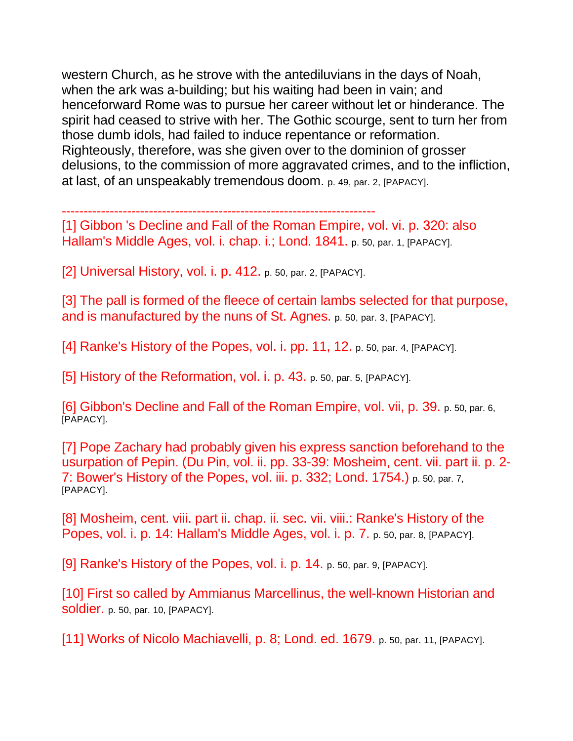western Church, as he strove with the antediluvians in the days of Noah, when the ark was a-building; but his waiting had been in vain; and henceforward Rome was to pursue her career without let or hinderance. The spirit had ceased to strive with her. The Gothic scourge, sent to turn her from those dumb idols, had failed to induce repentance or reformation. Righteously, therefore, was she given over to the dominion of grosser delusions, to the commission of more aggravated crimes, and to the infliction, at last, of an unspeakably tremendous doom. p. 49, par. 2, [PAPACY].

------------------------------------------------------------------------

[1] Gibbon 's Decline and Fall of the Roman Empire, vol. vi. p. 320: also Hallam's Middle Ages, vol. i. chap. i.; Lond. 1841. p. 50, par. 1, [PAPACY].

[2] Universal History, vol. i. p. 412. p. 50, par. 2, [PAPACY].

[3] The pall is formed of the fleece of certain lambs selected for that purpose, and is manufactured by the nuns of St. Agnes. p. 50, par. 3, [PAPACY].

[4] Ranke's History of the Popes, vol. i. pp. 11, 12. p. 50, par. 4, [PAPACY].

[5] History of the Reformation, vol. i. p. 43. p. 50, par. 5, [PAPACY].

[6] Gibbon's Decline and Fall of the Roman Empire, vol. vii, p. 39. p. 50, par. 6, [PAPACY].

[7] Pope Zachary had probably given his express sanction beforehand to the usurpation of Pepin. (Du Pin, vol. ii. pp. 33-39: Mosheim, cent. vii. part ii. p. 2- 7: Bower's History of the Popes, vol. iii. p. 332; Lond. 1754.) p. 50, par. 7, [PAPACY].

[8] Mosheim, cent. viii. part ii. chap. ii. sec. vii. viii.: Ranke's History of the Popes, vol. i. p. 14: Hallam's Middle Ages, vol. i. p. 7. p. 50, par. 8, [PAPACY].

[9] Ranke's History of the Popes, vol. i. p. 14. p. 50, par. 9, [PAPACY].

[10] First so called by Ammianus Marcellinus, the well-known Historian and soldier. p. 50, par. 10, [PAPACY].

[11] Works of Nicolo Machiavelli, p. 8; Lond. ed. 1679. p. 50, par. 11, [PAPACY].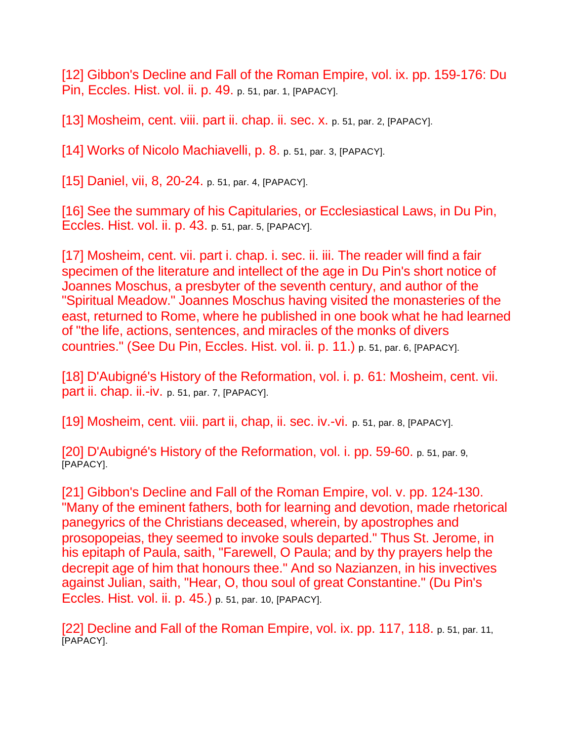[12] Gibbon's Decline and Fall of the Roman Empire, vol. ix. pp. 159-176: Du Pin, Eccles. Hist. vol. ii. p. 49. p. 51, par. 1, [PAPACY].

[13] Mosheim, cent. viii. part ii. chap. ii. sec. x. p. 51, par. 2, [PAPACY].

[14] Works of Nicolo Machiavelli, p. 8. p. 51, par. 3, [PAPACY].

[15] Daniel, vii, 8, 20-24. p. 51, par. 4, [PAPACY].

[16] See the summary of his Capitularies, or Ecclesiastical Laws, in Du Pin, Eccles. Hist. vol. ii. p. 43. p. 51, par. 5, [PAPACY].

[17] Mosheim, cent. vii. part i. chap. i. sec. ii. iii. The reader will find a fair specimen of the literature and intellect of the age in Du Pin's short notice of Joannes Moschus, a presbyter of the seventh century, and author of the "Spiritual Meadow." Joannes Moschus having visited the monasteries of the east, returned to Rome, where he published in one book what he had learned of "the life, actions, sentences, and miracles of the monks of divers countries." (See Du Pin, Eccles. Hist. vol. ii. p. 11.) p. 51, par. 6, [PAPACY].

[18] D'Aubigné's History of the Reformation, vol. i. p. 61: Mosheim, cent. vii. part ii. chap. ii.-iv. p. 51, par. 7, [PAPACY].

[19] Mosheim, cent. viii. part ii, chap, ii. sec. iv.-vi. p. 51, par. 8, [PAPACY].

[20] D'Aubigné's History of the Reformation, vol. i. pp. 59-60. p. 51, par. 9, [PAPACY].

[21] Gibbon's Decline and Fall of the Roman Empire, vol. v. pp. 124-130. "Many of the eminent fathers, both for learning and devotion, made rhetorical panegyrics of the Christians deceased, wherein, by apostrophes and prosopopeias, they seemed to invoke souls departed." Thus St. Jerome, in his epitaph of Paula, saith, "Farewell, O Paula; and by thy prayers help the decrepit age of him that honours thee." And so Nazianzen, in his invectives against Julian, saith, "Hear, O, thou soul of great Constantine." (Du Pin's Eccles. Hist. vol. ii. p. 45.) p. 51, par. 10, [PAPACY].

[22] Decline and Fall of the Roman Empire, vol. ix. pp. 117, 118. p. 51, par. 11, [PAPACY].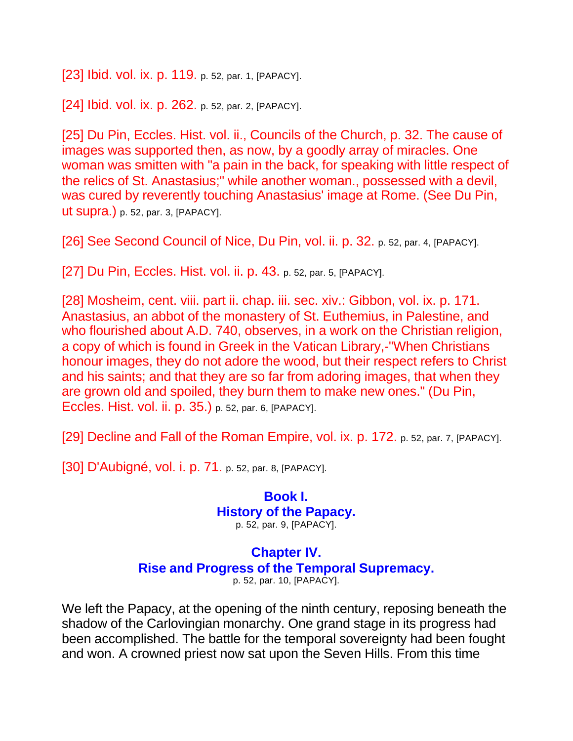[23] Ibid. vol. ix. p. 119. p. 52, par. 1, [PAPACY].

[24] Ibid. vol. ix. p. 262. p. 52, par. 2, [PAPACY].

[25] Du Pin, Eccles. Hist. vol. ii., Councils of the Church, p. 32. The cause of images was supported then, as now, by a goodly array of miracles. One woman was smitten with "a pain in the back, for speaking with little respect of the relics of St. Anastasius;" while another woman., possessed with a devil, was cured by reverently touching Anastasius' image at Rome. (See Du Pin, ut supra.) p. 52, par. 3, [PAPACY].

[26] See Second Council of Nice, Du Pin, vol. ii. p. 32. p. 52, par. 4, [PAPACY].

[27] Du Pin, Eccles. Hist. vol. ii. p. 43. p. 52, par. 5, [PAPACY].

[28] Mosheim, cent. viii. part ii. chap. iii. sec. xiv.: Gibbon, vol. ix. p. 171. Anastasius, an abbot of the monastery of St. Euthemius, in Palestine, and who flourished about A.D. 740, observes, in a work on the Christian religion, a copy of which is found in Greek in the Vatican Library,-"When Christians honour images, they do not adore the wood, but their respect refers to Christ and his saints; and that they are so far from adoring images, that when they are grown old and spoiled, they burn them to make new ones." (Du Pin, Eccles. Hist. vol. ii. p. 35.) p. 52, par. 6, [PAPACY].

[29] Decline and Fall of the Roman Empire, vol. ix. p. 172. p. 52, par. 7, [PAPACY].

[30] D'Aubigné, vol. i. p. 71. p. 52, par. 8, [PAPACY].

**Book I. History of the Papacy.** p. 52, par. 9, [PAPACY].

**Chapter IV. Rise and Progress of the Temporal Supremacy.**

p. 52, par. 10, [PAPACY].

We left the Papacy, at the opening of the ninth century, reposing beneath the shadow of the Carlovingian monarchy. One grand stage in its progress had been accomplished. The battle for the temporal sovereignty had been fought and won. A crowned priest now sat upon the Seven Hills. From this time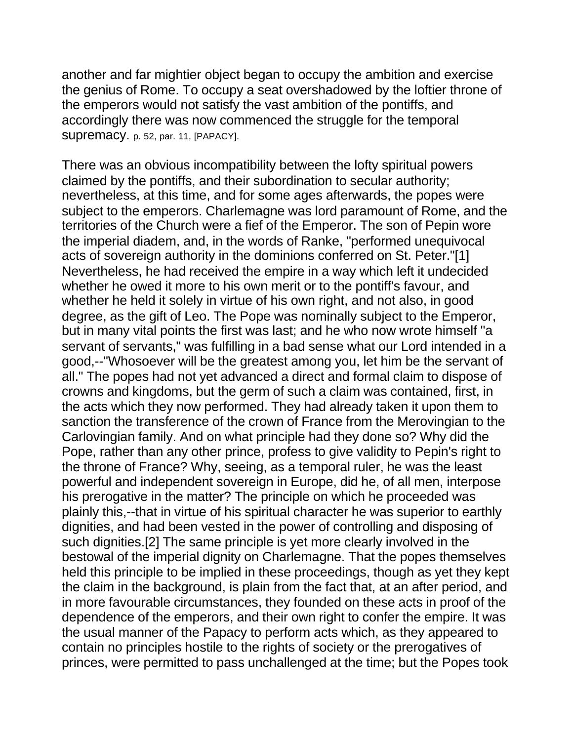another and far mightier object began to occupy the ambition and exercise the genius of Rome. To occupy a seat overshadowed by the loftier throne of the emperors would not satisfy the vast ambition of the pontiffs, and accordingly there was now commenced the struggle for the temporal SUPremacy. p. 52, par. 11, [PAPACY].

There was an obvious incompatibility between the lofty spiritual powers claimed by the pontiffs, and their subordination to secular authority; nevertheless, at this time, and for some ages afterwards, the popes were subject to the emperors. Charlemagne was lord paramount of Rome, and the territories of the Church were a fief of the Emperor. The son of Pepin wore the imperial diadem, and, in the words of Ranke, "performed unequivocal acts of sovereign authority in the dominions conferred on St. Peter."[1] Nevertheless, he had received the empire in a way which left it undecided whether he owed it more to his own merit or to the pontiff's favour, and whether he held it solely in virtue of his own right, and not also, in good degree, as the gift of Leo. The Pope was nominally subject to the Emperor, but in many vital points the first was last; and he who now wrote himself "a servant of servants," was fulfilling in a bad sense what our Lord intended in a good,--"Whosoever will be the greatest among you, let him be the servant of all." The popes had not yet advanced a direct and formal claim to dispose of crowns and kingdoms, but the germ of such a claim was contained, first, in the acts which they now performed. They had already taken it upon them to sanction the transference of the crown of France from the Merovingian to the Carlovingian family. And on what principle had they done so? Why did the Pope, rather than any other prince, profess to give validity to Pepin's right to the throne of France? Why, seeing, as a temporal ruler, he was the least powerful and independent sovereign in Europe, did he, of all men, interpose his prerogative in the matter? The principle on which he proceeded was plainly this,--that in virtue of his spiritual character he was superior to earthly dignities, and had been vested in the power of controlling and disposing of such dignities.[2] The same principle is yet more clearly involved in the bestowal of the imperial dignity on Charlemagne. That the popes themselves held this principle to be implied in these proceedings, though as yet they kept the claim in the background, is plain from the fact that, at an after period, and in more favourable circumstances, they founded on these acts in proof of the dependence of the emperors, and their own right to confer the empire. It was the usual manner of the Papacy to perform acts which, as they appeared to contain no principles hostile to the rights of society or the prerogatives of princes, were permitted to pass unchallenged at the time; but the Popes took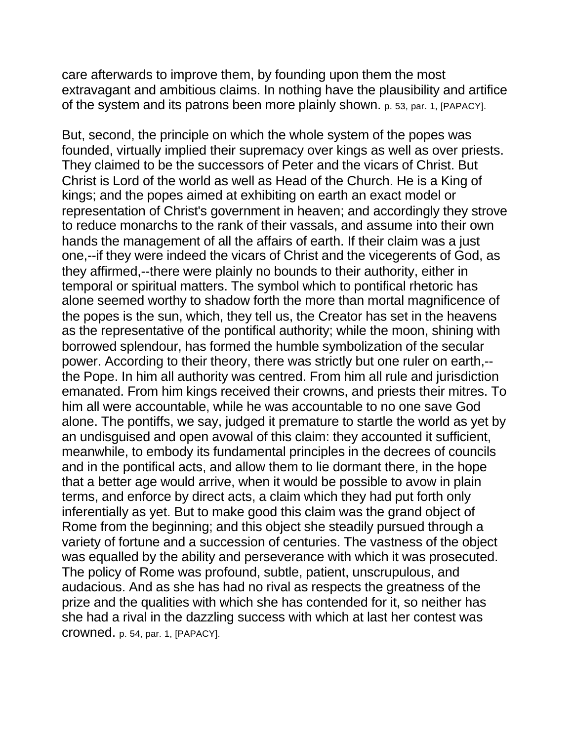care afterwards to improve them, by founding upon them the most extravagant and ambitious claims. In nothing have the plausibility and artifice of the system and its patrons been more plainly shown. p. 53, par. 1, [PAPACY].

But, second, the principle on which the whole system of the popes was founded, virtually implied their supremacy over kings as well as over priests. They claimed to be the successors of Peter and the vicars of Christ. But Christ is Lord of the world as well as Head of the Church. He is a King of kings; and the popes aimed at exhibiting on earth an exact model or representation of Christ's government in heaven; and accordingly they strove to reduce monarchs to the rank of their vassals, and assume into their own hands the management of all the affairs of earth. If their claim was a just one,--if they were indeed the vicars of Christ and the vicegerents of God, as they affirmed,--there were plainly no bounds to their authority, either in temporal or spiritual matters. The symbol which to pontifical rhetoric has alone seemed worthy to shadow forth the more than mortal magnificence of the popes is the sun, which, they tell us, the Creator has set in the heavens as the representative of the pontifical authority; while the moon, shining with borrowed splendour, has formed the humble symbolization of the secular power. According to their theory, there was strictly but one ruler on earth,- the Pope. In him all authority was centred. From him all rule and jurisdiction emanated. From him kings received their crowns, and priests their mitres. To him all were accountable, while he was accountable to no one save God alone. The pontiffs, we say, judged it premature to startle the world as yet by an undisguised and open avowal of this claim: they accounted it sufficient, meanwhile, to embody its fundamental principles in the decrees of councils and in the pontifical acts, and allow them to lie dormant there, in the hope that a better age would arrive, when it would be possible to avow in plain terms, and enforce by direct acts, a claim which they had put forth only inferentially as yet. But to make good this claim was the grand object of Rome from the beginning; and this object she steadily pursued through a variety of fortune and a succession of centuries. The vastness of the object was equalled by the ability and perseverance with which it was prosecuted. The policy of Rome was profound, subtle, patient, unscrupulous, and audacious. And as she has had no rival as respects the greatness of the prize and the qualities with which she has contended for it, so neither has she had a rival in the dazzling success with which at last her contest was crowned. p. 54, par. 1, [PAPACY].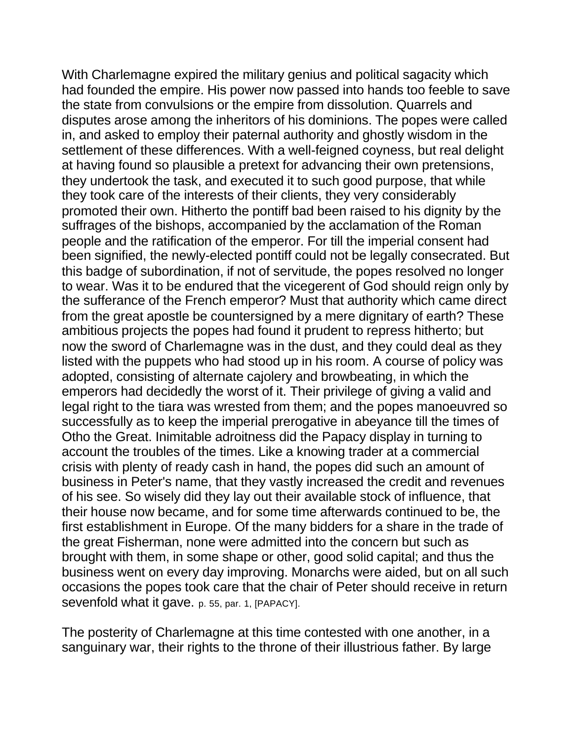With Charlemagne expired the military genius and political sagacity which had founded the empire. His power now passed into hands too feeble to save the state from convulsions or the empire from dissolution. Quarrels and disputes arose among the inheritors of his dominions. The popes were called in, and asked to employ their paternal authority and ghostly wisdom in the settlement of these differences. With a well-feigned coyness, but real delight at having found so plausible a pretext for advancing their own pretensions, they undertook the task, and executed it to such good purpose, that while they took care of the interests of their clients, they very considerably promoted their own. Hitherto the pontiff bad been raised to his dignity by the suffrages of the bishops, accompanied by the acclamation of the Roman people and the ratification of the emperor. For till the imperial consent had been signified, the newly-elected pontiff could not be legally consecrated. But this badge of subordination, if not of servitude, the popes resolved no longer to wear. Was it to be endured that the vicegerent of God should reign only by the sufferance of the French emperor? Must that authority which came direct from the great apostle be countersigned by a mere dignitary of earth? These ambitious projects the popes had found it prudent to repress hitherto; but now the sword of Charlemagne was in the dust, and they could deal as they listed with the puppets who had stood up in his room. A course of policy was adopted, consisting of alternate cajolery and browbeating, in which the emperors had decidedly the worst of it. Their privilege of giving a valid and legal right to the tiara was wrested from them; and the popes manoeuvred so successfully as to keep the imperial prerogative in abeyance till the times of Otho the Great. Inimitable adroitness did the Papacy display in turning to account the troubles of the times. Like a knowing trader at a commercial crisis with plenty of ready cash in hand, the popes did such an amount of business in Peter's name, that they vastly increased the credit and revenues of his see. So wisely did they lay out their available stock of influence, that their house now became, and for some time afterwards continued to be, the first establishment in Europe. Of the many bidders for a share in the trade of the great Fisherman, none were admitted into the concern but such as brought with them, in some shape or other, good solid capital; and thus the business went on every day improving. Monarchs were aided, but on all such occasions the popes took care that the chair of Peter should receive in return sevenfold what it gave. p. 55, par. 1, [PAPACY].

The posterity of Charlemagne at this time contested with one another, in a sanguinary war, their rights to the throne of their illustrious father. By large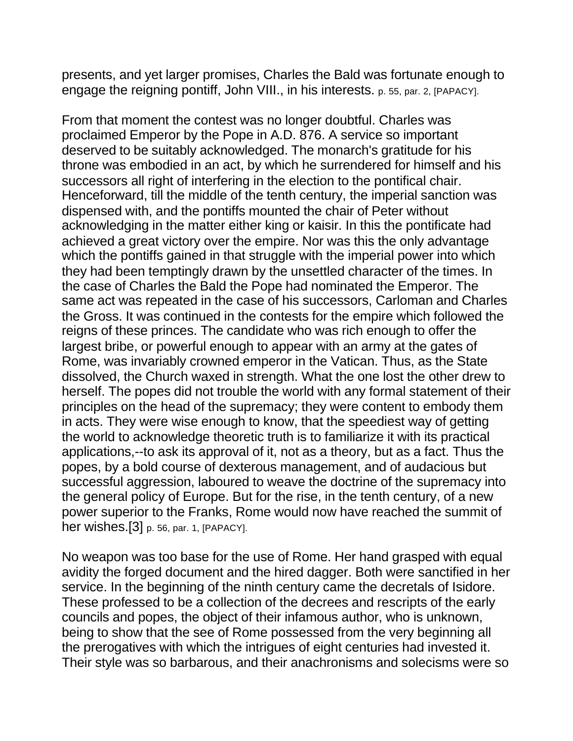presents, and yet larger promises, Charles the Bald was fortunate enough to engage the reigning pontiff, John VIII., in his interests. p. 55, par. 2, [PAPACY].

From that moment the contest was no longer doubtful. Charles was proclaimed Emperor by the Pope in A.D. 876. A service so important deserved to be suitably acknowledged. The monarch's gratitude for his throne was embodied in an act, by which he surrendered for himself and his successors all right of interfering in the election to the pontifical chair. Henceforward, till the middle of the tenth century, the imperial sanction was dispensed with, and the pontiffs mounted the chair of Peter without acknowledging in the matter either king or kaisir. In this the pontificate had achieved a great victory over the empire. Nor was this the only advantage which the pontiffs gained in that struggle with the imperial power into which they had been temptingly drawn by the unsettled character of the times. In the case of Charles the Bald the Pope had nominated the Emperor. The same act was repeated in the case of his successors, Carloman and Charles the Gross. It was continued in the contests for the empire which followed the reigns of these princes. The candidate who was rich enough to offer the largest bribe, or powerful enough to appear with an army at the gates of Rome, was invariably crowned emperor in the Vatican. Thus, as the State dissolved, the Church waxed in strength. What the one lost the other drew to herself. The popes did not trouble the world with any formal statement of their principles on the head of the supremacy; they were content to embody them in acts. They were wise enough to know, that the speediest way of getting the world to acknowledge theoretic truth is to familiarize it with its practical applications,--to ask its approval of it, not as a theory, but as a fact. Thus the popes, by a bold course of dexterous management, and of audacious but successful aggression, laboured to weave the doctrine of the supremacy into the general policy of Europe. But for the rise, in the tenth century, of a new power superior to the Franks, Rome would now have reached the summit of her wishes.[3] p. 56, par. 1, [PAPACY].

No weapon was too base for the use of Rome. Her hand grasped with equal avidity the forged document and the hired dagger. Both were sanctified in her service. In the beginning of the ninth century came the decretals of Isidore. These professed to be a collection of the decrees and rescripts of the early councils and popes, the object of their infamous author, who is unknown, being to show that the see of Rome possessed from the very beginning all the prerogatives with which the intrigues of eight centuries had invested it. Their style was so barbarous, and their anachronisms and solecisms were so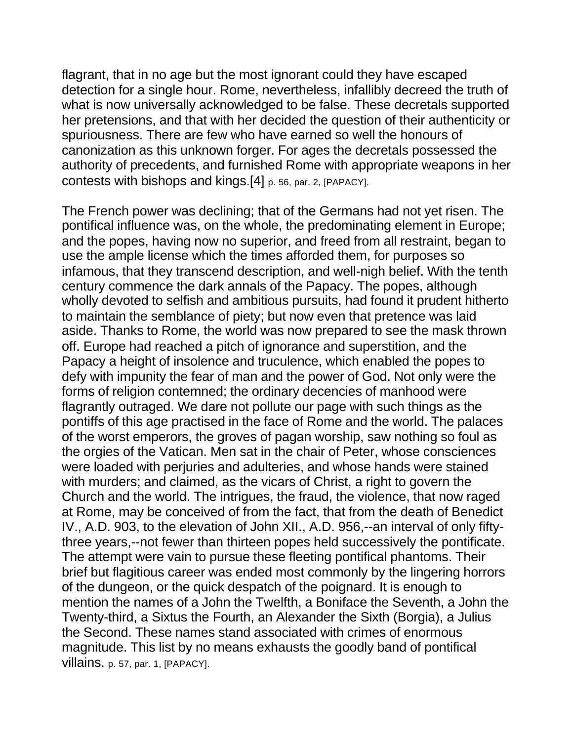flagrant, that in no age but the most ignorant could they have escaped detection for a single hour. Rome, nevertheless, infallibly decreed the truth of what is now universally acknowledged to be false. These decretals supported her pretensions, and that with her decided the question of their authenticity or spuriousness. There are few who have earned so well the honours of canonization as this unknown forger. For ages the decretals possessed the authority of precedents, and furnished Rome with appropriate weapons in her contests with bishops and kings.[4] p. 56, par. 2, [PAPACY].

The French power was declining; that of the Germans had not yet risen. The pontifical influence was, on the whole, the predominating element in Europe; and the popes, having now no superior, and freed from all restraint, began to use the ample license which the times afforded them, for purposes so infamous, that they transcend description, and well-nigh belief. With the tenth century commence the dark annals of the Papacy. The popes, although wholly devoted to selfish and ambitious pursuits, had found it prudent hitherto to maintain the semblance of piety; but now even that pretence was laid aside. Thanks to Rome, the world was now prepared to see the mask thrown off. Europe had reached a pitch of ignorance and superstition, and the Papacy a height of insolence and truculence, which enabled the popes to defy with impunity the fear of man and the power of God. Not only were the forms of religion contemned; the ordinary decencies of manhood were flagrantly outraged. We dare not pollute our page with such things as the pontiffs of this age practised in the face of Rome and the world. The palaces of the worst emperors, the groves of pagan worship, saw nothing so foul as the orgies of the Vatican. Men sat in the chair of Peter, whose consciences were loaded with perjuries and adulteries, and whose hands were stained with murders; and claimed, as the vicars of Christ, a right to govern the Church and the world. The intrigues, the fraud, the violence, that now raged at Rome, may be conceived of from the fact, that from the death of Benedict IV., A.D. 903, to the elevation of John XII., A.D. 956,--an interval of only fiftythree years,--not fewer than thirteen popes held successively the pontificate. The attempt were vain to pursue these fleeting pontifical phantoms. Their brief but flagitious career was ended most commonly by the lingering horrors of the dungeon, or the quick despatch of the poignard. It is enough to mention the names of a John the Twelfth, a Boniface the Seventh, a John the Twenty-third, a Sixtus the Fourth, an Alexander the Sixth (Borgia), a Julius the Second. These names stand associated with crimes of enormous magnitude. This list by no means exhausts the goodly band of pontifical villains. p. 57, par. 1, [PAPACY].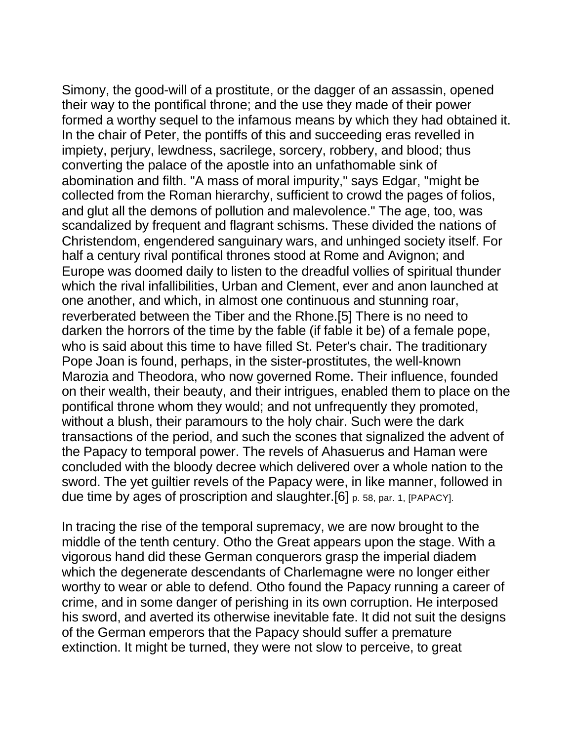Simony, the good-will of a prostitute, or the dagger of an assassin, opened their way to the pontifical throne; and the use they made of their power formed a worthy sequel to the infamous means by which they had obtained it. In the chair of Peter, the pontiffs of this and succeeding eras revelled in impiety, perjury, lewdness, sacrilege, sorcery, robbery, and blood; thus converting the palace of the apostle into an unfathomable sink of abomination and filth. "A mass of moral impurity," says Edgar, "might be collected from the Roman hierarchy, sufficient to crowd the pages of folios, and glut all the demons of pollution and malevolence." The age, too, was scandalized by frequent and flagrant schisms. These divided the nations of Christendom, engendered sanguinary wars, and unhinged society itself. For half a century rival pontifical thrones stood at Rome and Avignon; and Europe was doomed daily to listen to the dreadful vollies of spiritual thunder which the rival infallibilities, Urban and Clement, ever and anon launched at one another, and which, in almost one continuous and stunning roar, reverberated between the Tiber and the Rhone.[5] There is no need to darken the horrors of the time by the fable (if fable it be) of a female pope, who is said about this time to have filled St. Peter's chair. The traditionary Pope Joan is found, perhaps, in the sister-prostitutes, the well-known Marozia and Theodora, who now governed Rome. Their influence, founded on their wealth, their beauty, and their intrigues, enabled them to place on the pontifical throne whom they would; and not unfrequently they promoted, without a blush, their paramours to the holy chair. Such were the dark transactions of the period, and such the scones that signalized the advent of the Papacy to temporal power. The revels of Ahasuerus and Haman were concluded with the bloody decree which delivered over a whole nation to the sword. The yet guiltier revels of the Papacy were, in like manner, followed in due time by ages of proscription and slaughter.[6] p. 58, par. 1, [PAPACY].

In tracing the rise of the temporal supremacy, we are now brought to the middle of the tenth century. Otho the Great appears upon the stage. With a vigorous hand did these German conquerors grasp the imperial diadem which the degenerate descendants of Charlemagne were no longer either worthy to wear or able to defend. Otho found the Papacy running a career of crime, and in some danger of perishing in its own corruption. He interposed his sword, and averted its otherwise inevitable fate. It did not suit the designs of the German emperors that the Papacy should suffer a premature extinction. It might be turned, they were not slow to perceive, to great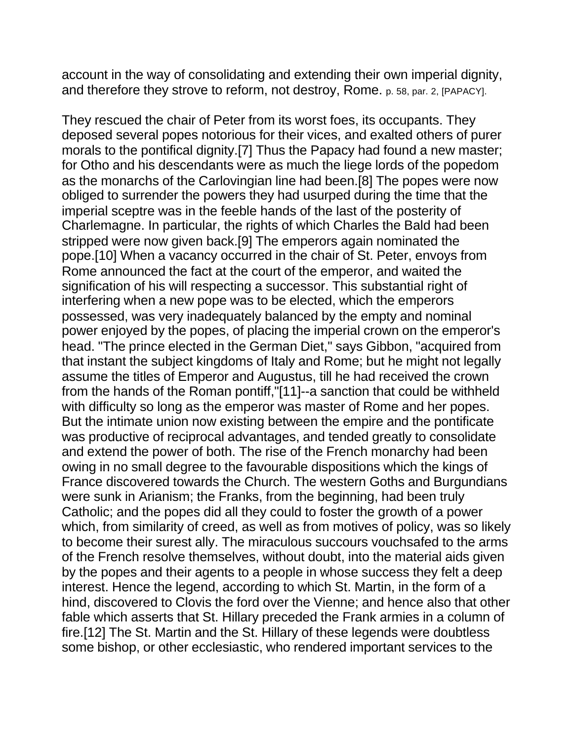account in the way of consolidating and extending their own imperial dignity, and therefore they strove to reform, not destroy, Rome. p. 58, par. 2, [PAPACY].

They rescued the chair of Peter from its worst foes, its occupants. They deposed several popes notorious for their vices, and exalted others of purer morals to the pontifical dignity.[7] Thus the Papacy had found a new master; for Otho and his descendants were as much the liege lords of the popedom as the monarchs of the Carlovingian line had been.[8] The popes were now obliged to surrender the powers they had usurped during the time that the imperial sceptre was in the feeble hands of the last of the posterity of Charlemagne. In particular, the rights of which Charles the Bald had been stripped were now given back.[9] The emperors again nominated the pope.[10] When a vacancy occurred in the chair of St. Peter, envoys from Rome announced the fact at the court of the emperor, and waited the signification of his will respecting a successor. This substantial right of interfering when a new pope was to be elected, which the emperors possessed, was very inadequately balanced by the empty and nominal power enjoyed by the popes, of placing the imperial crown on the emperor's head. "The prince elected in the German Diet," says Gibbon, "acquired from that instant the subject kingdoms of Italy and Rome; but he might not legally assume the titles of Emperor and Augustus, till he had received the crown from the hands of the Roman pontiff,"[11]--a sanction that could be withheld with difficulty so long as the emperor was master of Rome and her popes. But the intimate union now existing between the empire and the pontificate was productive of reciprocal advantages, and tended greatly to consolidate and extend the power of both. The rise of the French monarchy had been owing in no small degree to the favourable dispositions which the kings of France discovered towards the Church. The western Goths and Burgundians were sunk in Arianism; the Franks, from the beginning, had been truly Catholic; and the popes did all they could to foster the growth of a power which, from similarity of creed, as well as from motives of policy, was so likely to become their surest ally. The miraculous succours vouchsafed to the arms of the French resolve themselves, without doubt, into the material aids given by the popes and their agents to a people in whose success they felt a deep interest. Hence the legend, according to which St. Martin, in the form of a hind, discovered to Clovis the ford over the Vienne; and hence also that other fable which asserts that St. Hillary preceded the Frank armies in a column of fire.[12] The St. Martin and the St. Hillary of these legends were doubtless some bishop, or other ecclesiastic, who rendered important services to the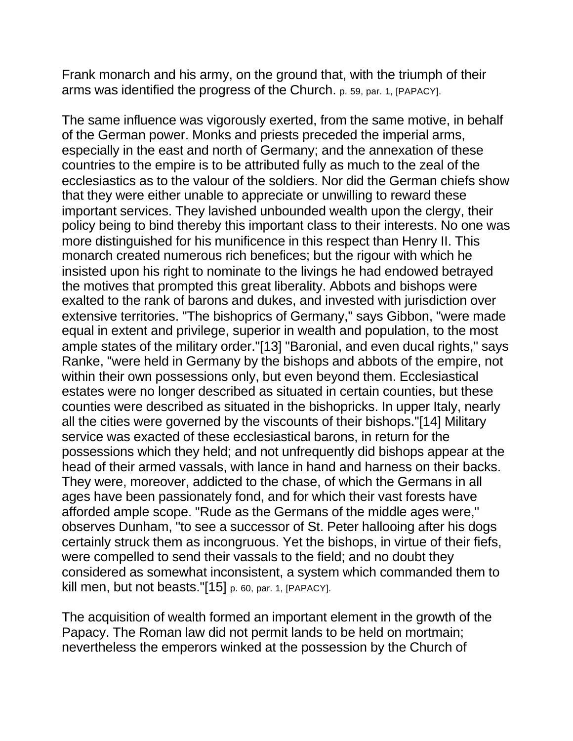Frank monarch and his army, on the ground that, with the triumph of their arms was identified the progress of the Church. p. 59, par. 1, [PAPACY].

The same influence was vigorously exerted, from the same motive, in behalf of the German power. Monks and priests preceded the imperial arms, especially in the east and north of Germany; and the annexation of these countries to the empire is to be attributed fully as much to the zeal of the ecclesiastics as to the valour of the soldiers. Nor did the German chiefs show that they were either unable to appreciate or unwilling to reward these important services. They lavished unbounded wealth upon the clergy, their policy being to bind thereby this important class to their interests. No one was more distinguished for his munificence in this respect than Henry II. This monarch created numerous rich benefices; but the rigour with which he insisted upon his right to nominate to the livings he had endowed betrayed the motives that prompted this great liberality. Abbots and bishops were exalted to the rank of barons and dukes, and invested with jurisdiction over extensive territories. "The bishoprics of Germany," says Gibbon, "were made equal in extent and privilege, superior in wealth and population, to the most ample states of the military order."[13] "Baronial, and even ducal rights," says Ranke, "were held in Germany by the bishops and abbots of the empire, not within their own possessions only, but even beyond them. Ecclesiastical estates were no longer described as situated in certain counties, but these counties were described as situated in the bishopricks. In upper Italy, nearly all the cities were governed by the viscounts of their bishops."[14] Military service was exacted of these ecclesiastical barons, in return for the possessions which they held; and not unfrequently did bishops appear at the head of their armed vassals, with lance in hand and harness on their backs. They were, moreover, addicted to the chase, of which the Germans in all ages have been passionately fond, and for which their vast forests have afforded ample scope. "Rude as the Germans of the middle ages were," observes Dunham, "to see a successor of St. Peter hallooing after his dogs certainly struck them as incongruous. Yet the bishops, in virtue of their fiefs, were compelled to send their vassals to the field; and no doubt they considered as somewhat inconsistent, a system which commanded them to kill men, but not beasts."[15] p. 60, par. 1, [PAPACY].

The acquisition of wealth formed an important element in the growth of the Papacy. The Roman law did not permit lands to be held on mortmain; nevertheless the emperors winked at the possession by the Church of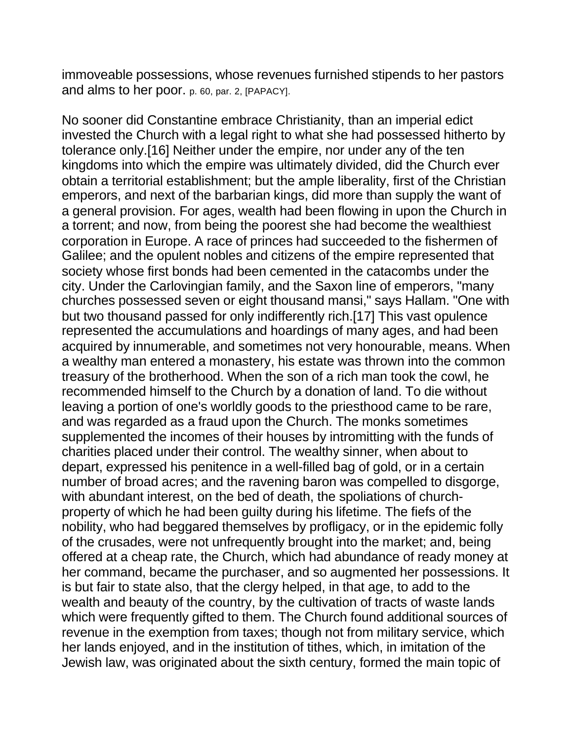immoveable possessions, whose revenues furnished stipends to her pastors and alms to her poor. p. 60, par. 2, [PAPACY].

No sooner did Constantine embrace Christianity, than an imperial edict invested the Church with a legal right to what she had possessed hitherto by tolerance only.[16] Neither under the empire, nor under any of the ten kingdoms into which the empire was ultimately divided, did the Church ever obtain a territorial establishment; but the ample liberality, first of the Christian emperors, and next of the barbarian kings, did more than supply the want of a general provision. For ages, wealth had been flowing in upon the Church in a torrent; and now, from being the poorest she had become the wealthiest corporation in Europe. A race of princes had succeeded to the fishermen of Galilee; and the opulent nobles and citizens of the empire represented that society whose first bonds had been cemented in the catacombs under the city. Under the Carlovingian family, and the Saxon line of emperors, "many churches possessed seven or eight thousand mansi," says Hallam. "One with but two thousand passed for only indifferently rich.[17] This vast opulence represented the accumulations and hoardings of many ages, and had been acquired by innumerable, and sometimes not very honourable, means. When a wealthy man entered a monastery, his estate was thrown into the common treasury of the brotherhood. When the son of a rich man took the cowl, he recommended himself to the Church by a donation of land. To die without leaving a portion of one's worldly goods to the priesthood came to be rare, and was regarded as a fraud upon the Church. The monks sometimes supplemented the incomes of their houses by intromitting with the funds of charities placed under their control. The wealthy sinner, when about to depart, expressed his penitence in a well-filled bag of gold, or in a certain number of broad acres; and the ravening baron was compelled to disgorge, with abundant interest, on the bed of death, the spoliations of churchproperty of which he had been guilty during his lifetime. The fiefs of the nobility, who had beggared themselves by profligacy, or in the epidemic folly of the crusades, were not unfrequently brought into the market; and, being offered at a cheap rate, the Church, which had abundance of ready money at her command, became the purchaser, and so augmented her possessions. It is but fair to state also, that the clergy helped, in that age, to add to the wealth and beauty of the country, by the cultivation of tracts of waste lands which were frequently gifted to them. The Church found additional sources of revenue in the exemption from taxes; though not from military service, which her lands enjoyed, and in the institution of tithes, which, in imitation of the Jewish law, was originated about the sixth century, formed the main topic of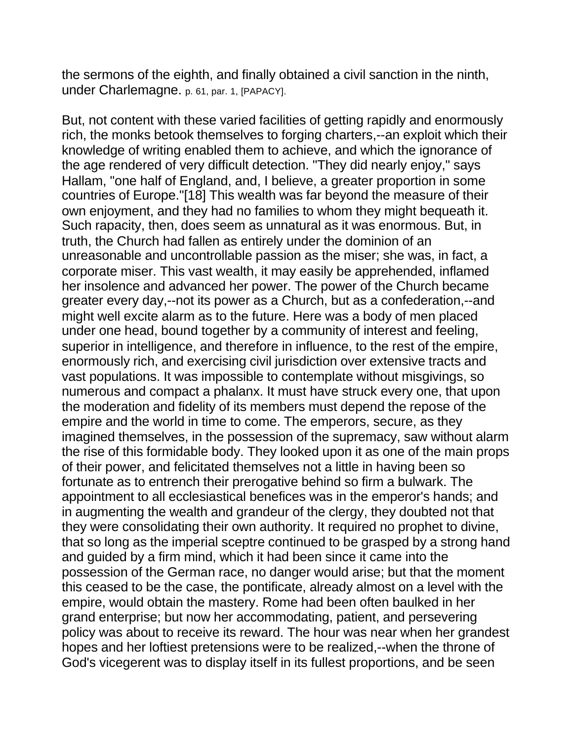the sermons of the eighth, and finally obtained a civil sanction in the ninth, under Charlemagne. p. 61, par. 1, [PAPACY].

But, not content with these varied facilities of getting rapidly and enormously rich, the monks betook themselves to forging charters,--an exploit which their knowledge of writing enabled them to achieve, and which the ignorance of the age rendered of very difficult detection. "They did nearly enjoy," says Hallam, "one half of England, and, I believe, a greater proportion in some countries of Europe."[18] This wealth was far beyond the measure of their own enjoyment, and they had no families to whom they might bequeath it. Such rapacity, then, does seem as unnatural as it was enormous. But, in truth, the Church had fallen as entirely under the dominion of an unreasonable and uncontrollable passion as the miser; she was, in fact, a corporate miser. This vast wealth, it may easily be apprehended, inflamed her insolence and advanced her power. The power of the Church became greater every day,--not its power as a Church, but as a confederation,--and might well excite alarm as to the future. Here was a body of men placed under one head, bound together by a community of interest and feeling, superior in intelligence, and therefore in influence, to the rest of the empire, enormously rich, and exercising civil jurisdiction over extensive tracts and vast populations. It was impossible to contemplate without misgivings, so numerous and compact a phalanx. It must have struck every one, that upon the moderation and fidelity of its members must depend the repose of the empire and the world in time to come. The emperors, secure, as they imagined themselves, in the possession of the supremacy, saw without alarm the rise of this formidable body. They looked upon it as one of the main props of their power, and felicitated themselves not a little in having been so fortunate as to entrench their prerogative behind so firm a bulwark. The appointment to all ecclesiastical benefices was in the emperor's hands; and in augmenting the wealth and grandeur of the clergy, they doubted not that they were consolidating their own authority. It required no prophet to divine, that so long as the imperial sceptre continued to be grasped by a strong hand and guided by a firm mind, which it had been since it came into the possession of the German race, no danger would arise; but that the moment this ceased to be the case, the pontificate, already almost on a level with the empire, would obtain the mastery. Rome had been often baulked in her grand enterprise; but now her accommodating, patient, and persevering policy was about to receive its reward. The hour was near when her grandest hopes and her loftiest pretensions were to be realized,--when the throne of God's vicegerent was to display itself in its fullest proportions, and be seen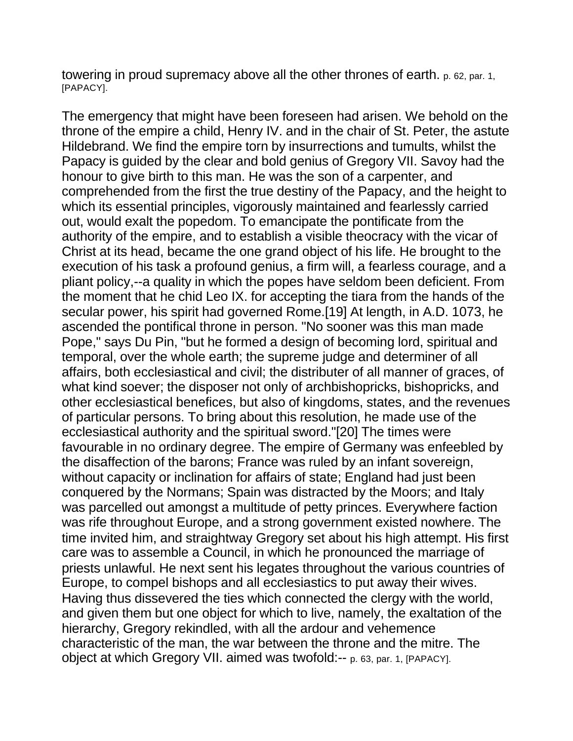towering in proud supremacy above all the other thrones of earth. p. 62, par. 1, [PAPACY].

The emergency that might have been foreseen had arisen. We behold on the throne of the empire a child, Henry IV. and in the chair of St. Peter, the astute Hildebrand. We find the empire torn by insurrections and tumults, whilst the Papacy is guided by the clear and bold genius of Gregory VII. Savoy had the honour to give birth to this man. He was the son of a carpenter, and comprehended from the first the true destiny of the Papacy, and the height to which its essential principles, vigorously maintained and fearlessly carried out, would exalt the popedom. To emancipate the pontificate from the authority of the empire, and to establish a visible theocracy with the vicar of Christ at its head, became the one grand object of his life. He brought to the execution of his task a profound genius, a firm will, a fearless courage, and a pliant policy,--a quality in which the popes have seldom been deficient. From the moment that he chid Leo IX. for accepting the tiara from the hands of the secular power, his spirit had governed Rome.[19] At length, in A.D. 1073, he ascended the pontifical throne in person. "No sooner was this man made Pope," says Du Pin, "but he formed a design of becoming lord, spiritual and temporal, over the whole earth; the supreme judge and determiner of all affairs, both ecclesiastical and civil; the distributer of all manner of graces, of what kind soever; the disposer not only of archbishopricks, bishopricks, and other ecclesiastical benefices, but also of kingdoms, states, and the revenues of particular persons. To bring about this resolution, he made use of the ecclesiastical authority and the spiritual sword."[20] The times were favourable in no ordinary degree. The empire of Germany was enfeebled by the disaffection of the barons; France was ruled by an infant sovereign, without capacity or inclination for affairs of state; England had just been conquered by the Normans; Spain was distracted by the Moors; and Italy was parcelled out amongst a multitude of petty princes. Everywhere faction was rife throughout Europe, and a strong government existed nowhere. The time invited him, and straightway Gregory set about his high attempt. His first care was to assemble a Council, in which he pronounced the marriage of priests unlawful. He next sent his legates throughout the various countries of Europe, to compel bishops and all ecclesiastics to put away their wives. Having thus dissevered the ties which connected the clergy with the world, and given them but one object for which to live, namely, the exaltation of the hierarchy, Gregory rekindled, with all the ardour and vehemence characteristic of the man, the war between the throne and the mitre. The object at which Gregory VII. aimed was twofold:-- p. 63, par. 1, [PAPACY].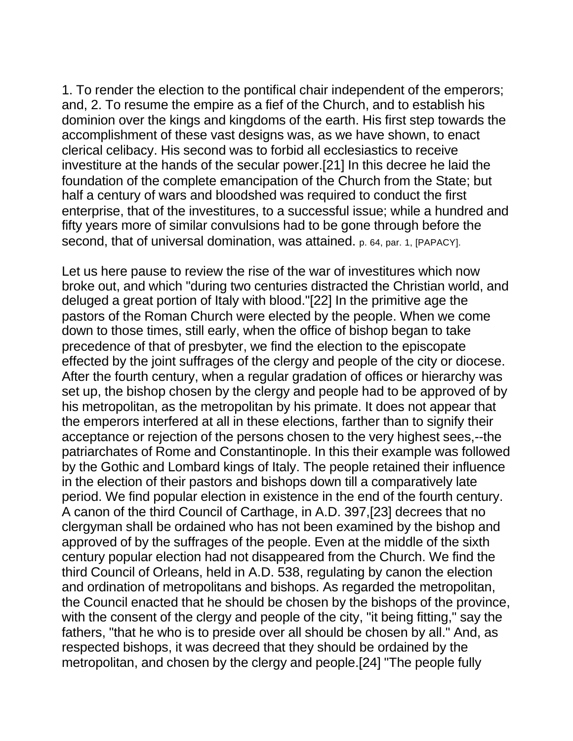1. To render the election to the pontifical chair independent of the emperors; and, 2. To resume the empire as a fief of the Church, and to establish his dominion over the kings and kingdoms of the earth. His first step towards the accomplishment of these vast designs was, as we have shown, to enact clerical celibacy. His second was to forbid all ecclesiastics to receive investiture at the hands of the secular power.[21] In this decree he laid the foundation of the complete emancipation of the Church from the State; but half a century of wars and bloodshed was required to conduct the first enterprise, that of the investitures, to a successful issue; while a hundred and fifty years more of similar convulsions had to be gone through before the second, that of universal domination, was attained. p. 64, par. 1, [PAPACY].

Let us here pause to review the rise of the war of investitures which now broke out, and which "during two centuries distracted the Christian world, and deluged a great portion of Italy with blood."[22] In the primitive age the pastors of the Roman Church were elected by the people. When we come down to those times, still early, when the office of bishop began to take precedence of that of presbyter, we find the election to the episcopate effected by the joint suffrages of the clergy and people of the city or diocese. After the fourth century, when a regular gradation of offices or hierarchy was set up, the bishop chosen by the clergy and people had to be approved of by his metropolitan, as the metropolitan by his primate. It does not appear that the emperors interfered at all in these elections, farther than to signify their acceptance or rejection of the persons chosen to the very highest sees,--the patriarchates of Rome and Constantinople. In this their example was followed by the Gothic and Lombard kings of Italy. The people retained their influence in the election of their pastors and bishops down till a comparatively late period. We find popular election in existence in the end of the fourth century. A canon of the third Council of Carthage, in A.D. 397,[23] decrees that no clergyman shall be ordained who has not been examined by the bishop and approved of by the suffrages of the people. Even at the middle of the sixth century popular election had not disappeared from the Church. We find the third Council of Orleans, held in A.D. 538, regulating by canon the election and ordination of metropolitans and bishops. As regarded the metropolitan, the Council enacted that he should be chosen by the bishops of the province, with the consent of the clergy and people of the city, "it being fitting," say the fathers, "that he who is to preside over all should be chosen by all." And, as respected bishops, it was decreed that they should be ordained by the metropolitan, and chosen by the clergy and people.[24] "The people fully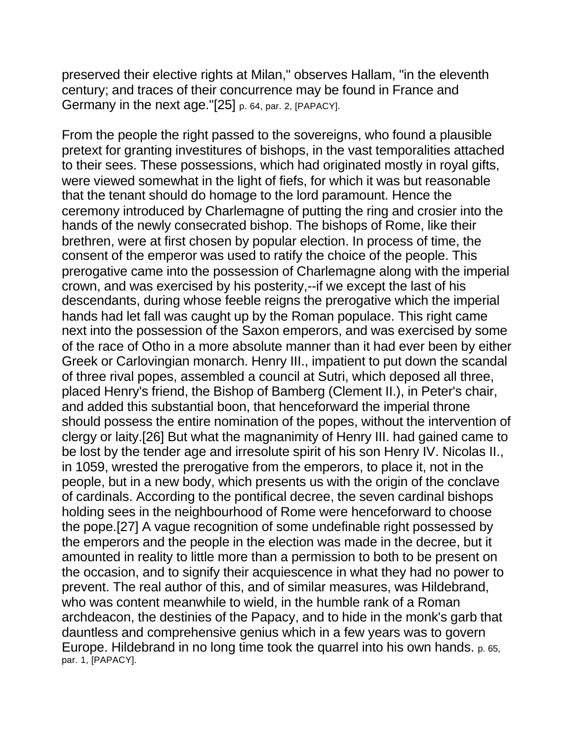preserved their elective rights at Milan," observes Hallam, "in the eleventh century; and traces of their concurrence may be found in France and Germany in the next age."[25] p. 64, par. 2, [PAPACY].

From the people the right passed to the sovereigns, who found a plausible pretext for granting investitures of bishops, in the vast temporalities attached to their sees. These possessions, which had originated mostly in royal gifts, were viewed somewhat in the light of fiefs, for which it was but reasonable that the tenant should do homage to the lord paramount. Hence the ceremony introduced by Charlemagne of putting the ring and crosier into the hands of the newly consecrated bishop. The bishops of Rome, like their brethren, were at first chosen by popular election. In process of time, the consent of the emperor was used to ratify the choice of the people. This prerogative came into the possession of Charlemagne along with the imperial crown, and was exercised by his posterity,--if we except the last of his descendants, during whose feeble reigns the prerogative which the imperial hands had let fall was caught up by the Roman populace. This right came next into the possession of the Saxon emperors, and was exercised by some of the race of Otho in a more absolute manner than it had ever been by either Greek or Carlovingian monarch. Henry III., impatient to put down the scandal of three rival popes, assembled a council at Sutri, which deposed all three, placed Henry's friend, the Bishop of Bamberg (Clement II.), in Peter's chair, and added this substantial boon, that henceforward the imperial throne should possess the entire nomination of the popes, without the intervention of clergy or laity.[26] But what the magnanimity of Henry III. had gained came to be lost by the tender age and irresolute spirit of his son Henry IV. Nicolas II., in 1059, wrested the prerogative from the emperors, to place it, not in the people, but in a new body, which presents us with the origin of the conclave of cardinals. According to the pontifical decree, the seven cardinal bishops holding sees in the neighbourhood of Rome were henceforward to choose the pope.[27] A vague recognition of some undefinable right possessed by the emperors and the people in the election was made in the decree, but it amounted in reality to little more than a permission to both to be present on the occasion, and to signify their acquiescence in what they had no power to prevent. The real author of this, and of similar measures, was Hildebrand, who was content meanwhile to wield, in the humble rank of a Roman archdeacon, the destinies of the Papacy, and to hide in the monk's garb that dauntless and comprehensive genius which in a few years was to govern Europe. Hildebrand in no long time took the quarrel into his own hands. p. 65, par. 1, [PAPACY].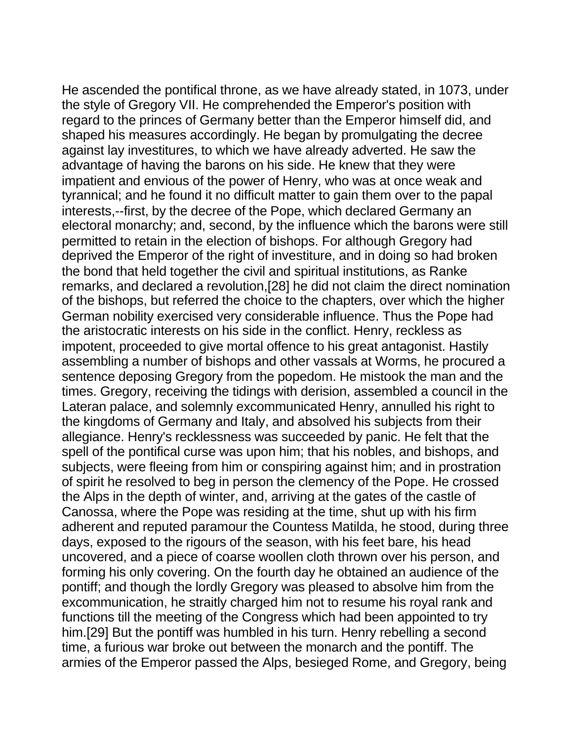He ascended the pontifical throne, as we have already stated, in 1073, under the style of Gregory VII. He comprehended the Emperor's position with regard to the princes of Germany better than the Emperor himself did, and shaped his measures accordingly. He began by promulgating the decree against lay investitures, to which we have already adverted. He saw the advantage of having the barons on his side. He knew that they were impatient and envious of the power of Henry, who was at once weak and tyrannical; and he found it no difficult matter to gain them over to the papal interests,--first, by the decree of the Pope, which declared Germany an electoral monarchy; and, second, by the influence which the barons were still permitted to retain in the election of bishops. For although Gregory had deprived the Emperor of the right of investiture, and in doing so had broken the bond that held together the civil and spiritual institutions, as Ranke remarks, and declared a revolution,[28] he did not claim the direct nomination of the bishops, but referred the choice to the chapters, over which the higher German nobility exercised very considerable influence. Thus the Pope had the aristocratic interests on his side in the conflict. Henry, reckless as impotent, proceeded to give mortal offence to his great antagonist. Hastily assembling a number of bishops and other vassals at Worms, he procured a sentence deposing Gregory from the popedom. He mistook the man and the times. Gregory, receiving the tidings with derision, assembled a council in the Lateran palace, and solemnly excommunicated Henry, annulled his right to the kingdoms of Germany and Italy, and absolved his subjects from their allegiance. Henry's recklessness was succeeded by panic. He felt that the spell of the pontifical curse was upon him; that his nobles, and bishops, and subjects, were fleeing from him or conspiring against him; and in prostration of spirit he resolved to beg in person the clemency of the Pope. He crossed the Alps in the depth of winter, and, arriving at the gates of the castle of Canossa, where the Pope was residing at the time, shut up with his firm adherent and reputed paramour the Countess Matilda, he stood, during three days, exposed to the rigours of the season, with his feet bare, his head uncovered, and a piece of coarse woollen cloth thrown over his person, and forming his only covering. On the fourth day he obtained an audience of the pontiff; and though the lordly Gregory was pleased to absolve him from the excommunication, he straitly charged him not to resume his royal rank and functions till the meeting of the Congress which had been appointed to try him.[29] But the pontiff was humbled in his turn. Henry rebelling a second time, a furious war broke out between the monarch and the pontiff. The armies of the Emperor passed the Alps, besieged Rome, and Gregory, being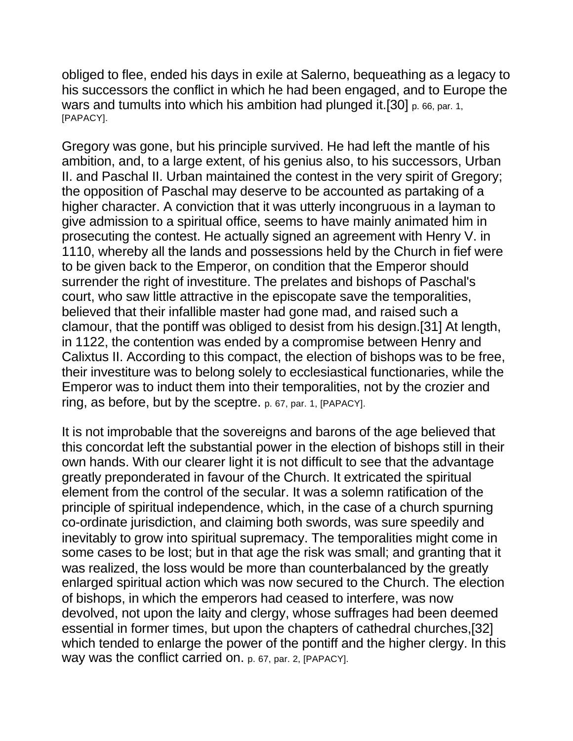obliged to flee, ended his days in exile at Salerno, bequeathing as a legacy to his successors the conflict in which he had been engaged, and to Europe the wars and tumults into which his ambition had plunged it.[30] p. 66, par. 1, [PAPACY].

Gregory was gone, but his principle survived. He had left the mantle of his ambition, and, to a large extent, of his genius also, to his successors, Urban II. and Paschal II. Urban maintained the contest in the very spirit of Gregory; the opposition of Paschal may deserve to be accounted as partaking of a higher character. A conviction that it was utterly incongruous in a layman to give admission to a spiritual office, seems to have mainly animated him in prosecuting the contest. He actually signed an agreement with Henry V. in 1110, whereby all the lands and possessions held by the Church in fief were to be given back to the Emperor, on condition that the Emperor should surrender the right of investiture. The prelates and bishops of Paschal's court, who saw little attractive in the episcopate save the temporalities, believed that their infallible master had gone mad, and raised such a clamour, that the pontiff was obliged to desist from his design.[31] At length, in 1122, the contention was ended by a compromise between Henry and Calixtus II. According to this compact, the election of bishops was to be free, their investiture was to belong solely to ecclesiastical functionaries, while the Emperor was to induct them into their temporalities, not by the crozier and ring, as before, but by the sceptre. p. 67, par. 1, [PAPACY].

It is not improbable that the sovereigns and barons of the age believed that this concordat left the substantial power in the election of bishops still in their own hands. With our clearer light it is not difficult to see that the advantage greatly preponderated in favour of the Church. It extricated the spiritual element from the control of the secular. It was a solemn ratification of the principle of spiritual independence, which, in the case of a church spurning co-ordinate jurisdiction, and claiming both swords, was sure speedily and inevitably to grow into spiritual supremacy. The temporalities might come in some cases to be lost; but in that age the risk was small; and granting that it was realized, the loss would be more than counterbalanced by the greatly enlarged spiritual action which was now secured to the Church. The election of bishops, in which the emperors had ceased to interfere, was now devolved, not upon the laity and clergy, whose suffrages had been deemed essential in former times, but upon the chapters of cathedral churches,[32] which tended to enlarge the power of the pontiff and the higher clergy. In this way was the conflict carried on. p. 67, par. 2, [PAPACY].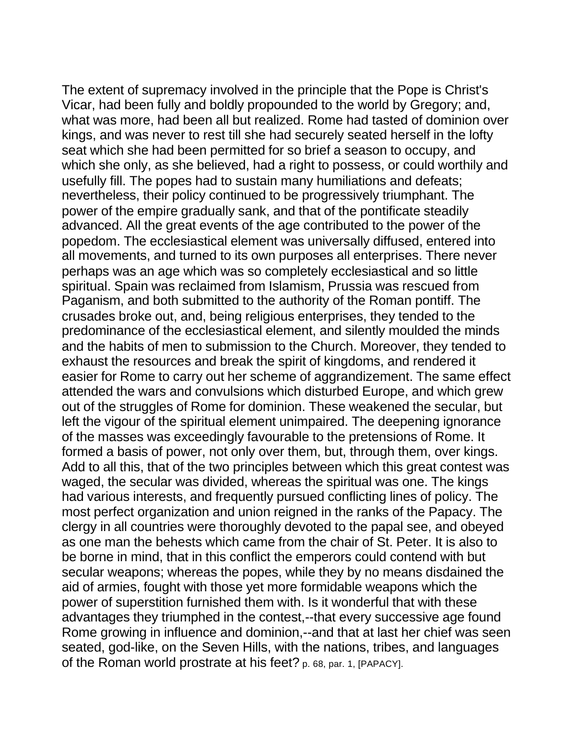The extent of supremacy involved in the principle that the Pope is Christ's Vicar, had been fully and boldly propounded to the world by Gregory; and, what was more, had been all but realized. Rome had tasted of dominion over kings, and was never to rest till she had securely seated herself in the lofty seat which she had been permitted for so brief a season to occupy, and which she only, as she believed, had a right to possess, or could worthily and usefully fill. The popes had to sustain many humiliations and defeats; nevertheless, their policy continued to be progressively triumphant. The power of the empire gradually sank, and that of the pontificate steadily advanced. All the great events of the age contributed to the power of the popedom. The ecclesiastical element was universally diffused, entered into all movements, and turned to its own purposes all enterprises. There never perhaps was an age which was so completely ecclesiastical and so little spiritual. Spain was reclaimed from Islamism, Prussia was rescued from Paganism, and both submitted to the authority of the Roman pontiff. The crusades broke out, and, being religious enterprises, they tended to the predominance of the ecclesiastical element, and silently moulded the minds and the habits of men to submission to the Church. Moreover, they tended to exhaust the resources and break the spirit of kingdoms, and rendered it easier for Rome to carry out her scheme of aggrandizement. The same effect attended the wars and convulsions which disturbed Europe, and which grew out of the struggles of Rome for dominion. These weakened the secular, but left the vigour of the spiritual element unimpaired. The deepening ignorance of the masses was exceedingly favourable to the pretensions of Rome. It formed a basis of power, not only over them, but, through them, over kings. Add to all this, that of the two principles between which this great contest was waged, the secular was divided, whereas the spiritual was one. The kings had various interests, and frequently pursued conflicting lines of policy. The most perfect organization and union reigned in the ranks of the Papacy. The clergy in all countries were thoroughly devoted to the papal see, and obeyed as one man the behests which came from the chair of St. Peter. It is also to be borne in mind, that in this conflict the emperors could contend with but secular weapons; whereas the popes, while they by no means disdained the aid of armies, fought with those yet more formidable weapons which the power of superstition furnished them with. Is it wonderful that with these advantages they triumphed in the contest,--that every successive age found Rome growing in influence and dominion,--and that at last her chief was seen seated, god-like, on the Seven Hills, with the nations, tribes, and languages of the Roman world prostrate at his feet? p. 68, par. 1, [PAPACY].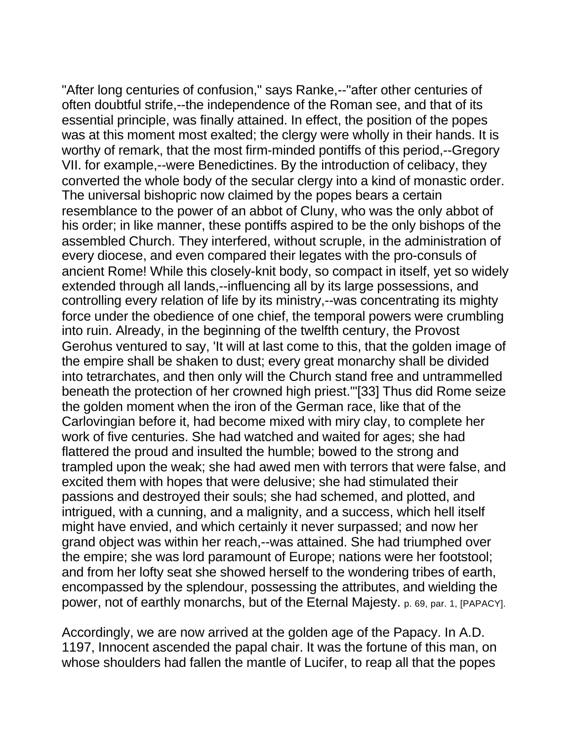"After long centuries of confusion," says Ranke,--"after other centuries of often doubtful strife,--the independence of the Roman see, and that of its essential principle, was finally attained. In effect, the position of the popes was at this moment most exalted; the clergy were wholly in their hands. It is worthy of remark, that the most firm-minded pontiffs of this period,--Gregory VII. for example,--were Benedictines. By the introduction of celibacy, they converted the whole body of the secular clergy into a kind of monastic order. The universal bishopric now claimed by the popes bears a certain resemblance to the power of an abbot of Cluny, who was the only abbot of his order; in like manner, these pontiffs aspired to be the only bishops of the assembled Church. They interfered, without scruple, in the administration of every diocese, and even compared their legates with the pro-consuls of ancient Rome! While this closely-knit body, so compact in itself, yet so widely extended through all lands,--influencing all by its large possessions, and controlling every relation of life by its ministry,--was concentrating its mighty force under the obedience of one chief, the temporal powers were crumbling into ruin. Already, in the beginning of the twelfth century, the Provost Gerohus ventured to say, 'It will at last come to this, that the golden image of the empire shall be shaken to dust; every great monarchy shall be divided into tetrarchates, and then only will the Church stand free and untrammelled beneath the protection of her crowned high priest.'"[33] Thus did Rome seize the golden moment when the iron of the German race, like that of the Carlovingian before it, had become mixed with miry clay, to complete her work of five centuries. She had watched and waited for ages; she had flattered the proud and insulted the humble; bowed to the strong and trampled upon the weak; she had awed men with terrors that were false, and excited them with hopes that were delusive; she had stimulated their passions and destroyed their souls; she had schemed, and plotted, and intrigued, with a cunning, and a malignity, and a success, which hell itself might have envied, and which certainly it never surpassed; and now her grand object was within her reach,--was attained. She had triumphed over the empire; she was lord paramount of Europe; nations were her footstool; and from her lofty seat she showed herself to the wondering tribes of earth, encompassed by the splendour, possessing the attributes, and wielding the power, not of earthly monarchs, but of the Eternal Majesty. p. 69, par. 1, [PAPACY].

Accordingly, we are now arrived at the golden age of the Papacy. In A.D. 1197, Innocent ascended the papal chair. It was the fortune of this man, on whose shoulders had fallen the mantle of Lucifer, to reap all that the popes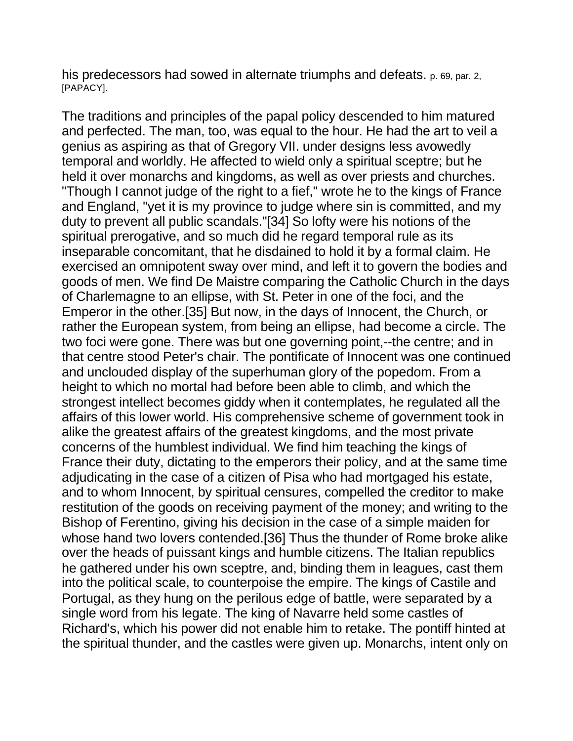his predecessors had sowed in alternate triumphs and defeats. p. 69, par. 2, [PAPACY].

The traditions and principles of the papal policy descended to him matured and perfected. The man, too, was equal to the hour. He had the art to veil a genius as aspiring as that of Gregory VII. under designs less avowedly temporal and worldly. He affected to wield only a spiritual sceptre; but he held it over monarchs and kingdoms, as well as over priests and churches. "Though I cannot judge of the right to a fief," wrote he to the kings of France and England, "yet it is my province to judge where sin is committed, and my duty to prevent all public scandals."[34] So lofty were his notions of the spiritual prerogative, and so much did he regard temporal rule as its inseparable concomitant, that he disdained to hold it by a formal claim. He exercised an omnipotent sway over mind, and left it to govern the bodies and goods of men. We find De Maistre comparing the Catholic Church in the days of Charlemagne to an ellipse, with St. Peter in one of the foci, and the Emperor in the other.[35] But now, in the days of Innocent, the Church, or rather the European system, from being an ellipse, had become a circle. The two foci were gone. There was but one governing point,--the centre; and in that centre stood Peter's chair. The pontificate of Innocent was one continued and unclouded display of the superhuman glory of the popedom. From a height to which no mortal had before been able to climb, and which the strongest intellect becomes giddy when it contemplates, he regulated all the affairs of this lower world. His comprehensive scheme of government took in alike the greatest affairs of the greatest kingdoms, and the most private concerns of the humblest individual. We find him teaching the kings of France their duty, dictating to the emperors their policy, and at the same time adjudicating in the case of a citizen of Pisa who had mortgaged his estate, and to whom Innocent, by spiritual censures, compelled the creditor to make restitution of the goods on receiving payment of the money; and writing to the Bishop of Ferentino, giving his decision in the case of a simple maiden for whose hand two lovers contended.[36] Thus the thunder of Rome broke alike over the heads of puissant kings and humble citizens. The Italian republics he gathered under his own sceptre, and, binding them in leagues, cast them into the political scale, to counterpoise the empire. The kings of Castile and Portugal, as they hung on the perilous edge of battle, were separated by a single word from his legate. The king of Navarre held some castles of Richard's, which his power did not enable him to retake. The pontiff hinted at the spiritual thunder, and the castles were given up. Monarchs, intent only on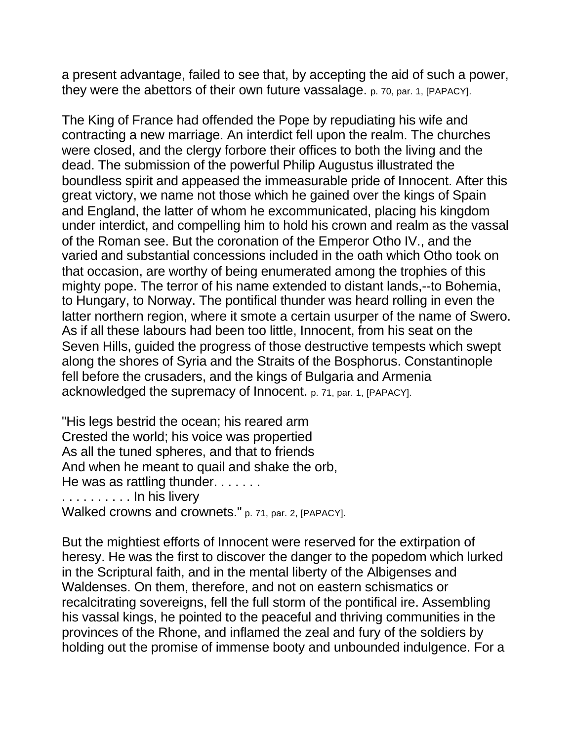a present advantage, failed to see that, by accepting the aid of such a power, they were the abettors of their own future vassalage. p. 70, par. 1, [PAPACY].

The King of France had offended the Pope by repudiating his wife and contracting a new marriage. An interdict fell upon the realm. The churches were closed, and the clergy forbore their offices to both the living and the dead. The submission of the powerful Philip Augustus illustrated the boundless spirit and appeased the immeasurable pride of Innocent. After this great victory, we name not those which he gained over the kings of Spain and England, the latter of whom he excommunicated, placing his kingdom under interdict, and compelling him to hold his crown and realm as the vassal of the Roman see. But the coronation of the Emperor Otho IV., and the varied and substantial concessions included in the oath which Otho took on that occasion, are worthy of being enumerated among the trophies of this mighty pope. The terror of his name extended to distant lands,--to Bohemia, to Hungary, to Norway. The pontifical thunder was heard rolling in even the latter northern region, where it smote a certain usurper of the name of Swero. As if all these labours had been too little, Innocent, from his seat on the Seven Hills, guided the progress of those destructive tempests which swept along the shores of Syria and the Straits of the Bosphorus. Constantinople fell before the crusaders, and the kings of Bulgaria and Armenia acknowledged the supremacy of Innocent. p. 71, par. 1, [PAPACY].

"His legs bestrid the ocean; his reared arm Crested the world; his voice was propertied As all the tuned spheres, and that to friends And when he meant to quail and shake the orb, He was as rattling thunder. . . . . . . . . . . . . . . . . In his livery Walked crowns and crownets." p. 71, par. 2, [PAPACY].

But the mightiest efforts of Innocent were reserved for the extirpation of heresy. He was the first to discover the danger to the popedom which lurked in the Scriptural faith, and in the mental liberty of the Albigenses and Waldenses. On them, therefore, and not on eastern schismatics or recalcitrating sovereigns, fell the full storm of the pontifical ire. Assembling his vassal kings, he pointed to the peaceful and thriving communities in the provinces of the Rhone, and inflamed the zeal and fury of the soldiers by holding out the promise of immense booty and unbounded indulgence. For a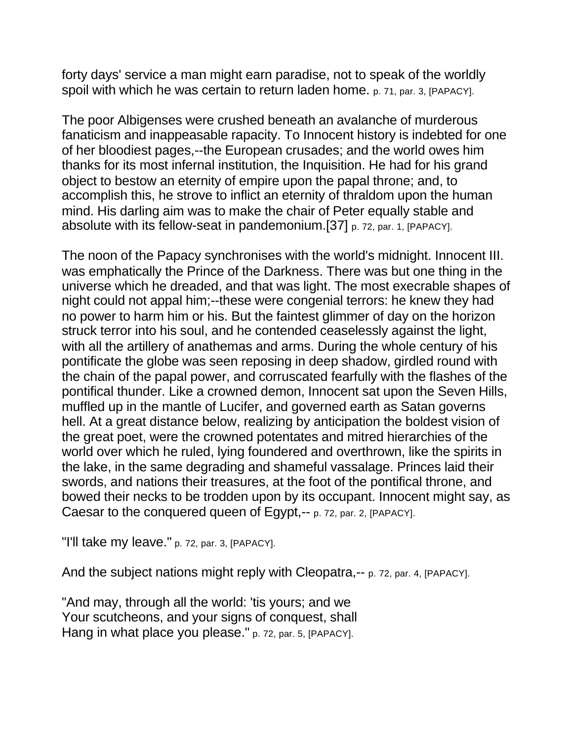forty days' service a man might earn paradise, not to speak of the worldly spoil with which he was certain to return laden home. p. 71, par. 3, [PAPACY].

The poor Albigenses were crushed beneath an avalanche of murderous fanaticism and inappeasable rapacity. To Innocent history is indebted for one of her bloodiest pages,--the European crusades; and the world owes him thanks for its most infernal institution, the Inquisition. He had for his grand object to bestow an eternity of empire upon the papal throne; and, to accomplish this, he strove to inflict an eternity of thraldom upon the human mind. His darling aim was to make the chair of Peter equally stable and absolute with its fellow-seat in pandemonium.[37] p. 72, par. 1, [PAPACY].

The noon of the Papacy synchronises with the world's midnight. Innocent III. was emphatically the Prince of the Darkness. There was but one thing in the universe which he dreaded, and that was light. The most execrable shapes of night could not appal him;--these were congenial terrors: he knew they had no power to harm him or his. But the faintest glimmer of day on the horizon struck terror into his soul, and he contended ceaselessly against the light, with all the artillery of anathemas and arms. During the whole century of his pontificate the globe was seen reposing in deep shadow, girdled round with the chain of the papal power, and corruscated fearfully with the flashes of the pontifical thunder. Like a crowned demon, Innocent sat upon the Seven Hills, muffled up in the mantle of Lucifer, and governed earth as Satan governs hell. At a great distance below, realizing by anticipation the boldest vision of the great poet, were the crowned potentates and mitred hierarchies of the world over which he ruled, lying foundered and overthrown, like the spirits in the lake, in the same degrading and shameful vassalage. Princes laid their swords, and nations their treasures, at the foot of the pontifical throne, and bowed their necks to be trodden upon by its occupant. Innocent might say, as Caesar to the conquered queen of Egypt,-- p. 72, par. 2, [PAPACY].

"I'll take my leave." p. 72, par. 3, [PAPACY].

And the subject nations might reply with Cleopatra,-- p. 72, par. 4, [PAPACY].

"And may, through all the world: 'tis yours; and we Your scutcheons, and your signs of conquest, shall Hang in what place you please." p. 72, par. 5, [PAPACY].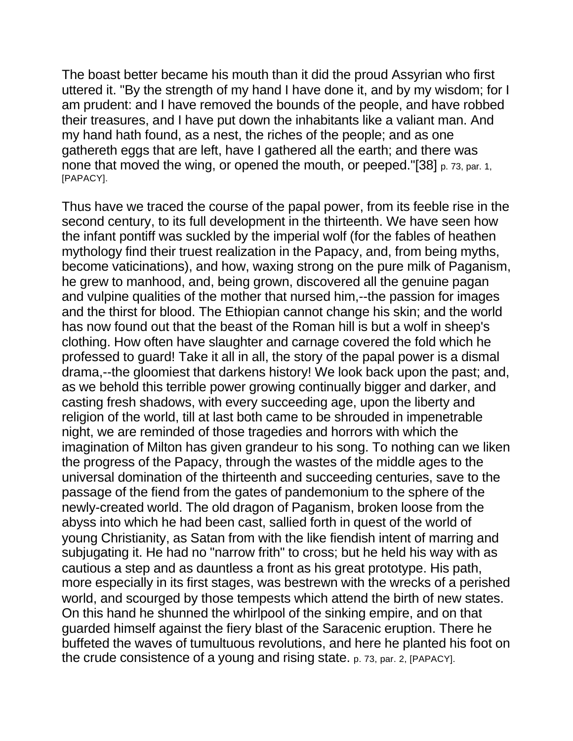The boast better became his mouth than it did the proud Assyrian who first uttered it. "By the strength of my hand I have done it, and by my wisdom; for I am prudent: and I have removed the bounds of the people, and have robbed their treasures, and I have put down the inhabitants like a valiant man. And my hand hath found, as a nest, the riches of the people; and as one gathereth eggs that are left, have I gathered all the earth; and there was none that moved the wing, or opened the mouth, or peeped."[38] p. 73, par. 1, [PAPACY].

Thus have we traced the course of the papal power, from its feeble rise in the second century, to its full development in the thirteenth. We have seen how the infant pontiff was suckled by the imperial wolf (for the fables of heathen mythology find their truest realization in the Papacy, and, from being myths, become vaticinations), and how, waxing strong on the pure milk of Paganism, he grew to manhood, and, being grown, discovered all the genuine pagan and vulpine qualities of the mother that nursed him,--the passion for images and the thirst for blood. The Ethiopian cannot change his skin; and the world has now found out that the beast of the Roman hill is but a wolf in sheep's clothing. How often have slaughter and carnage covered the fold which he professed to guard! Take it all in all, the story of the papal power is a dismal drama,--the gloomiest that darkens history! We look back upon the past; and, as we behold this terrible power growing continually bigger and darker, and casting fresh shadows, with every succeeding age, upon the liberty and religion of the world, till at last both came to be shrouded in impenetrable night, we are reminded of those tragedies and horrors with which the imagination of Milton has given grandeur to his song. To nothing can we liken the progress of the Papacy, through the wastes of the middle ages to the universal domination of the thirteenth and succeeding centuries, save to the passage of the fiend from the gates of pandemonium to the sphere of the newly-created world. The old dragon of Paganism, broken loose from the abyss into which he had been cast, sallied forth in quest of the world of young Christianity, as Satan from with the like fiendish intent of marring and subjugating it. He had no "narrow frith" to cross; but he held his way with as cautious a step and as dauntless a front as his great prototype. His path, more especially in its first stages, was bestrewn with the wrecks of a perished world, and scourged by those tempests which attend the birth of new states. On this hand he shunned the whirlpool of the sinking empire, and on that guarded himself against the fiery blast of the Saracenic eruption. There he buffeted the waves of tumultuous revolutions, and here he planted his foot on the crude consistence of a young and rising state. p. 73, par. 2, [PAPACY].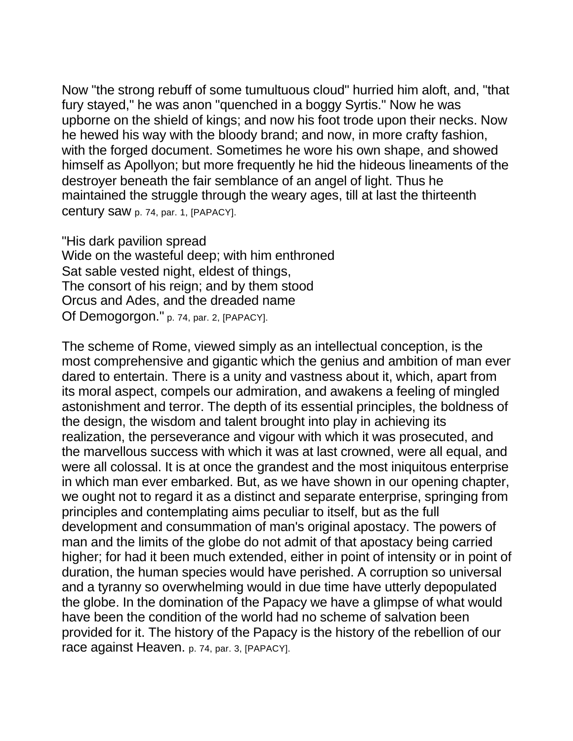Now "the strong rebuff of some tumultuous cloud" hurried him aloft, and, "that fury stayed," he was anon "quenched in a boggy Syrtis." Now he was upborne on the shield of kings; and now his foot trode upon their necks. Now he hewed his way with the bloody brand; and now, in more crafty fashion, with the forged document. Sometimes he wore his own shape, and showed himself as Apollyon; but more frequently he hid the hideous lineaments of the destroyer beneath the fair semblance of an angel of light. Thus he maintained the struggle through the weary ages, till at last the thirteenth century saw p. 74, par. 1, [PAPACY].

"His dark pavilion spread Wide on the wasteful deep; with him enthroned Sat sable vested night, eldest of things, The consort of his reign; and by them stood Orcus and Ades, and the dreaded name Of Demogorgon." p. 74, par. 2, [PAPACY].

The scheme of Rome, viewed simply as an intellectual conception, is the most comprehensive and gigantic which the genius and ambition of man ever dared to entertain. There is a unity and vastness about it, which, apart from its moral aspect, compels our admiration, and awakens a feeling of mingled astonishment and terror. The depth of its essential principles, the boldness of the design, the wisdom and talent brought into play in achieving its realization, the perseverance and vigour with which it was prosecuted, and the marvellous success with which it was at last crowned, were all equal, and were all colossal. It is at once the grandest and the most iniquitous enterprise in which man ever embarked. But, as we have shown in our opening chapter, we ought not to regard it as a distinct and separate enterprise, springing from principles and contemplating aims peculiar to itself, but as the full development and consummation of man's original apostacy. The powers of man and the limits of the globe do not admit of that apostacy being carried higher; for had it been much extended, either in point of intensity or in point of duration, the human species would have perished. A corruption so universal and a tyranny so overwhelming would in due time have utterly depopulated the globe. In the domination of the Papacy we have a glimpse of what would have been the condition of the world had no scheme of salvation been provided for it. The history of the Papacy is the history of the rebellion of our race against Heaven. p. 74, par. 3, [PAPACY].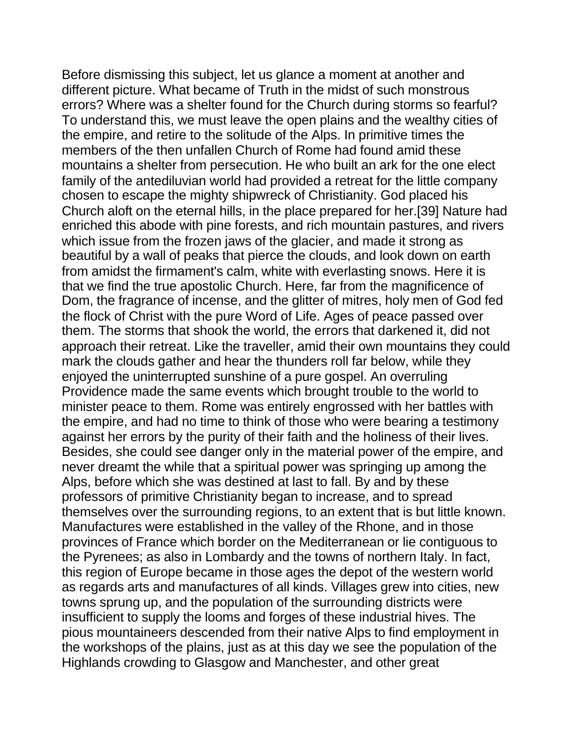Before dismissing this subject, let us glance a moment at another and different picture. What became of Truth in the midst of such monstrous errors? Where was a shelter found for the Church during storms so fearful? To understand this, we must leave the open plains and the wealthy cities of the empire, and retire to the solitude of the Alps. In primitive times the members of the then unfallen Church of Rome had found amid these mountains a shelter from persecution. He who built an ark for the one elect family of the antediluvian world had provided a retreat for the little company chosen to escape the mighty shipwreck of Christianity. God placed his Church aloft on the eternal hills, in the place prepared for her.[39] Nature had enriched this abode with pine forests, and rich mountain pastures, and rivers which issue from the frozen jaws of the glacier, and made it strong as beautiful by a wall of peaks that pierce the clouds, and look down on earth from amidst the firmament's calm, white with everlasting snows. Here it is that we find the true apostolic Church. Here, far from the magnificence of Dom, the fragrance of incense, and the glitter of mitres, holy men of God fed the flock of Christ with the pure Word of Life. Ages of peace passed over them. The storms that shook the world, the errors that darkened it, did not approach their retreat. Like the traveller, amid their own mountains they could mark the clouds gather and hear the thunders roll far below, while they enjoyed the uninterrupted sunshine of a pure gospel. An overruling Providence made the same events which brought trouble to the world to minister peace to them. Rome was entirely engrossed with her battles with the empire, and had no time to think of those who were bearing a testimony against her errors by the purity of their faith and the holiness of their lives. Besides, she could see danger only in the material power of the empire, and never dreamt the while that a spiritual power was springing up among the Alps, before which she was destined at last to fall. By and by these professors of primitive Christianity began to increase, and to spread themselves over the surrounding regions, to an extent that is but little known. Manufactures were established in the valley of the Rhone, and in those provinces of France which border on the Mediterranean or lie contiguous to the Pyrenees; as also in Lombardy and the towns of northern Italy. In fact, this region of Europe became in those ages the depot of the western world as regards arts and manufactures of all kinds. Villages grew into cities, new towns sprung up, and the population of the surrounding districts were insufficient to supply the looms and forges of these industrial hives. The pious mountaineers descended from their native Alps to find employment in the workshops of the plains, just as at this day we see the population of the Highlands crowding to Glasgow and Manchester, and other great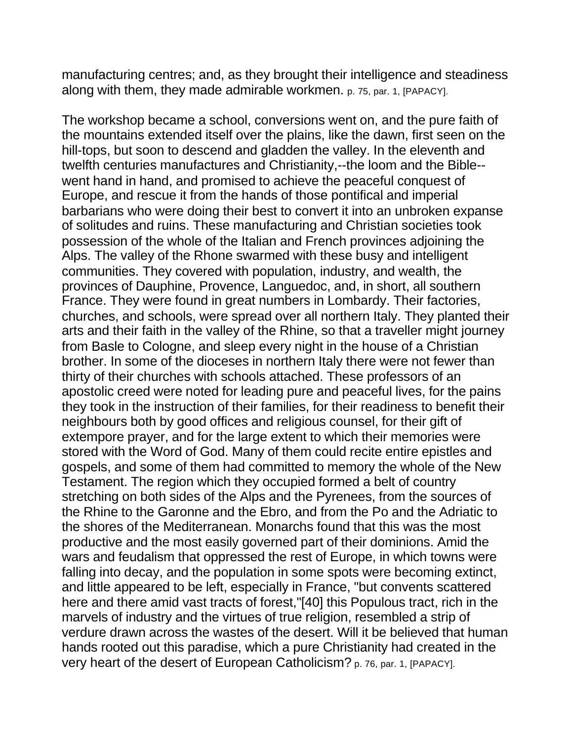manufacturing centres; and, as they brought their intelligence and steadiness along with them, they made admirable workmen. p. 75, par. 1, [PAPACY].

The workshop became a school, conversions went on, and the pure faith of the mountains extended itself over the plains, like the dawn, first seen on the hill-tops, but soon to descend and gladden the valley. In the eleventh and twelfth centuries manufactures and Christianity,--the loom and the Bible- went hand in hand, and promised to achieve the peaceful conquest of Europe, and rescue it from the hands of those pontifical and imperial barbarians who were doing their best to convert it into an unbroken expanse of solitudes and ruins. These manufacturing and Christian societies took possession of the whole of the Italian and French provinces adjoining the Alps. The valley of the Rhone swarmed with these busy and intelligent communities. They covered with population, industry, and wealth, the provinces of Dauphine, Provence, Languedoc, and, in short, all southern France. They were found in great numbers in Lombardy. Their factories, churches, and schools, were spread over all northern Italy. They planted their arts and their faith in the valley of the Rhine, so that a traveller might journey from Basle to Cologne, and sleep every night in the house of a Christian brother. In some of the dioceses in northern Italy there were not fewer than thirty of their churches with schools attached. These professors of an apostolic creed were noted for leading pure and peaceful lives, for the pains they took in the instruction of their families, for their readiness to benefit their neighbours both by good offices and religious counsel, for their gift of extempore prayer, and for the large extent to which their memories were stored with the Word of God. Many of them could recite entire epistles and gospels, and some of them had committed to memory the whole of the New Testament. The region which they occupied formed a belt of country stretching on both sides of the Alps and the Pyrenees, from the sources of the Rhine to the Garonne and the Ebro, and from the Po and the Adriatic to the shores of the Mediterranean. Monarchs found that this was the most productive and the most easily governed part of their dominions. Amid the wars and feudalism that oppressed the rest of Europe, in which towns were falling into decay, and the population in some spots were becoming extinct, and little appeared to be left, especially in France, "but convents scattered here and there amid vast tracts of forest,"[40] this Populous tract, rich in the marvels of industry and the virtues of true religion, resembled a strip of verdure drawn across the wastes of the desert. Will it be believed that human hands rooted out this paradise, which a pure Christianity had created in the very heart of the desert of European Catholicism? p. 76, par. 1, [PAPACY].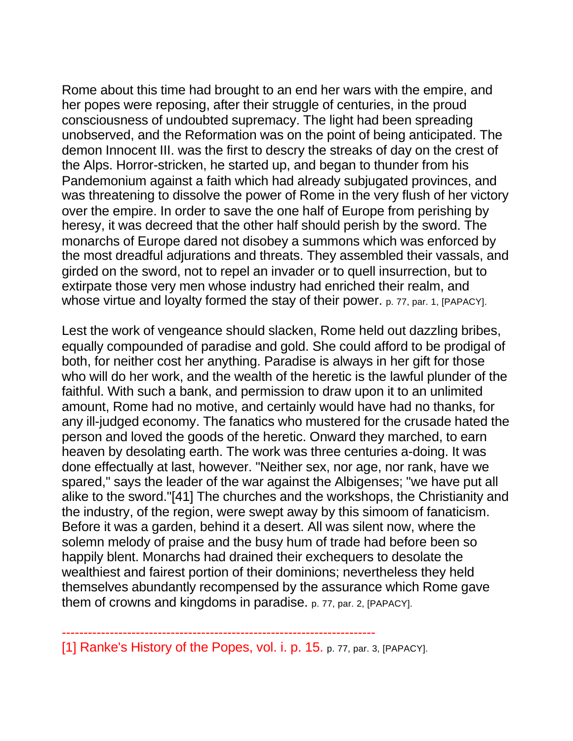Rome about this time had brought to an end her wars with the empire, and her popes were reposing, after their struggle of centuries, in the proud consciousness of undoubted supremacy. The light had been spreading unobserved, and the Reformation was on the point of being anticipated. The demon Innocent III. was the first to descry the streaks of day on the crest of the Alps. Horror-stricken, he started up, and began to thunder from his Pandemonium against a faith which had already subjugated provinces, and was threatening to dissolve the power of Rome in the very flush of her victory over the empire. In order to save the one half of Europe from perishing by heresy, it was decreed that the other half should perish by the sword. The monarchs of Europe dared not disobey a summons which was enforced by the most dreadful adjurations and threats. They assembled their vassals, and girded on the sword, not to repel an invader or to quell insurrection, but to extirpate those very men whose industry had enriched their realm, and whose virtue and loyalty formed the stay of their power. p. 77, par. 1, [PAPACY].

Lest the work of vengeance should slacken, Rome held out dazzling bribes, equally compounded of paradise and gold. She could afford to be prodigal of both, for neither cost her anything. Paradise is always in her gift for those who will do her work, and the wealth of the heretic is the lawful plunder of the faithful. With such a bank, and permission to draw upon it to an unlimited amount, Rome had no motive, and certainly would have had no thanks, for any ill-judged economy. The fanatics who mustered for the crusade hated the person and loved the goods of the heretic. Onward they marched, to earn heaven by desolating earth. The work was three centuries a-doing. It was done effectually at last, however. "Neither sex, nor age, nor rank, have we spared," says the leader of the war against the Albigenses; "we have put all alike to the sword."[41] The churches and the workshops, the Christianity and the industry, of the region, were swept away by this simoom of fanaticism. Before it was a garden, behind it a desert. All was silent now, where the solemn melody of praise and the busy hum of trade had before been so happily blent. Monarchs had drained their exchequers to desolate the wealthiest and fairest portion of their dominions; nevertheless they held themselves abundantly recompensed by the assurance which Rome gave them of crowns and kingdoms in paradise. p. 77, par. 2, [PAPACY].

<sup>------------------------------------------------------------------------</sup> [1] Ranke's History of the Popes, vol. i. p. 15. p. 77, par. 3, [PAPACY].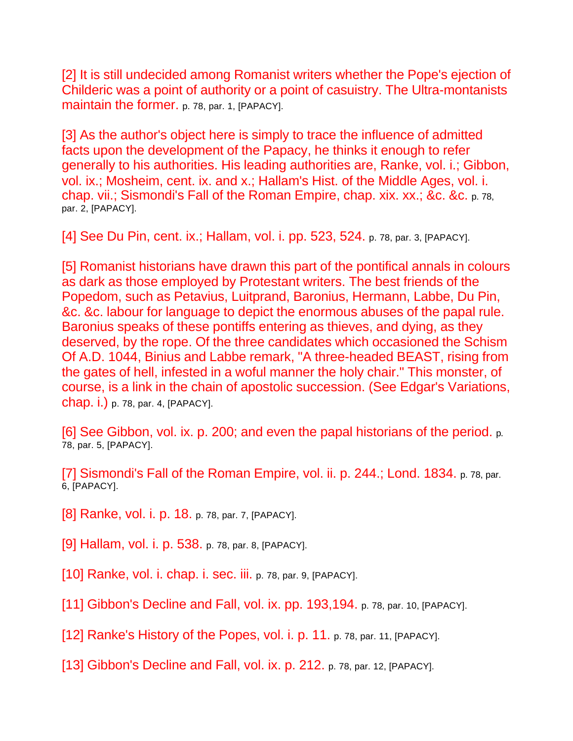[2] It is still undecided among Romanist writers whether the Pope's ejection of Childeric was a point of authority or a point of casuistry. The Ultra-montanists maintain the former. p. 78, par. 1, [PAPACY].

[3] As the author's object here is simply to trace the influence of admitted facts upon the development of the Papacy, he thinks it enough to refer generally to his authorities. His leading authorities are, Ranke, vol. i.; Gibbon, vol. ix.; Mosheim, cent. ix. and x.; Hallam's Hist. of the Middle Ages, vol. i. chap. vii.; Sismondi's Fall of the Roman Empire, chap. xix. xx.; &c. &c. p. 78, par. 2, [PAPACY].

[4] See Du Pin, cent. ix.; Hallam, vol. i. pp. 523, 524. p. 78, par. 3, [PAPACY].

[5] Romanist historians have drawn this part of the pontifical annals in colours as dark as those employed by Protestant writers. The best friends of the Popedom, such as Petavius, Luitprand, Baronius, Hermann, Labbe, Du Pin, &c. &c. labour for language to depict the enormous abuses of the papal rule. Baronius speaks of these pontiffs entering as thieves, and dying, as they deserved, by the rope. Of the three candidates which occasioned the Schism Of A.D. 1044, Binius and Labbe remark, "A three-headed BEAST, rising from the gates of hell, infested in a woful manner the holy chair." This monster, of course, is a link in the chain of apostolic succession. (See Edgar's Variations, chap. i.) p. 78, par. 4, [PAPACY].

[6] See Gibbon, vol. ix. p. 200; and even the papal historians of the period. p. 78, par. 5, [PAPACY].

[7] Sismondi's Fall of the Roman Empire, vol. ii. p. 244.; Lond. 1834. p. 78, par. 6, [PAPACY].

[8] Ranke, vol. i. p. 18. p. 78, par. 7, [PAPACY].

[9] Hallam, vol. i. p. 538. p. 78, par. 8, [PAPACY].

[10] Ranke, vol. i. chap. i. sec. iii. p. 78, par. 9, [PAPACY].

[11] Gibbon's Decline and Fall, vol. ix. pp. 193,194. p. 78, par. 10, [PAPACY].

[12] Ranke's History of the Popes, vol. i. p. 11. p. 78, par. 11, [PAPACY].

[13] Gibbon's Decline and Fall, vol. ix. p. 212. p. 78, par. 12, [PAPACY].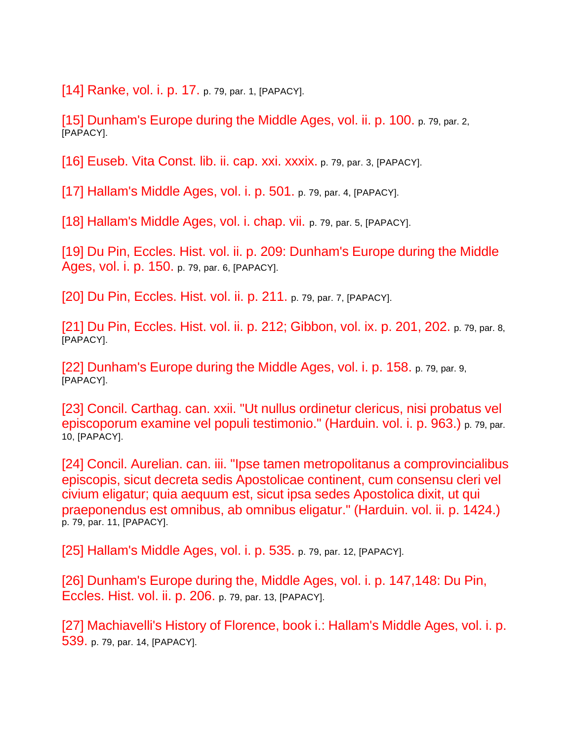[14] Ranke, vol. i. p. 17. p. 79, par. 1, [PAPACY].

[15] Dunham's Europe during the Middle Ages, vol. ii. p. 100. p. 79, par. 2, [PAPACY].

[16] Euseb. Vita Const. lib. ii. cap. xxi. xxxix. p. 79, par. 3, [PAPACY].

[17] Hallam's Middle Ages, vol. i. p. 501. p. 79, par. 4, [PAPACY].

[18] Hallam's Middle Ages, vol. i. chap. vii. p. 79, par. 5, [PAPACY].

[19] Du Pin, Eccles. Hist. vol. ii. p. 209: Dunham's Europe during the Middle Ages, vol. i. p. 150. p. 79, par. 6, [PAPACY].

[20] Du Pin, Eccles. Hist. vol. ii. p. 211. p. 79, par. 7, [PAPACY].

[21] Du Pin, Eccles. Hist. vol. ii. p. 212; Gibbon, vol. ix. p. 201, 202. p. 79, par. 8, [PAPACY].

[22] Dunham's Europe during the Middle Ages, vol. i. p. 158. p. 79, par. 9, [PAPACY].

[23] Concil. Carthag. can. xxii. "Ut nullus ordinetur clericus, nisi probatus vel episcoporum examine vel populi testimonio." (Harduin. vol. i. p. 963.) p. 79, par. 10, [PAPACY].

[24] Concil. Aurelian. can. iii. "Ipse tamen metropolitanus a comprovincialibus episcopis, sicut decreta sedis Apostolicae continent, cum consensu cleri vel civium eligatur; quia aequum est, sicut ipsa sedes Apostolica dixit, ut qui praeponendus est omnibus, ab omnibus eligatur." (Harduin. vol. ii. p. 1424.) p. 79, par. 11, [PAPACY].

[25] Hallam's Middle Ages, vol. i. p. 535. p. 79, par. 12, [PAPACY].

[26] Dunham's Europe during the, Middle Ages, vol. i. p. 147,148: Du Pin, Eccles. Hist. vol. ii. p. 206. p. 79, par. 13, [PAPACY].

[27] Machiavelli's History of Florence, book i.: Hallam's Middle Ages, vol. i. p. 539. p. 79, par. 14, [PAPACY].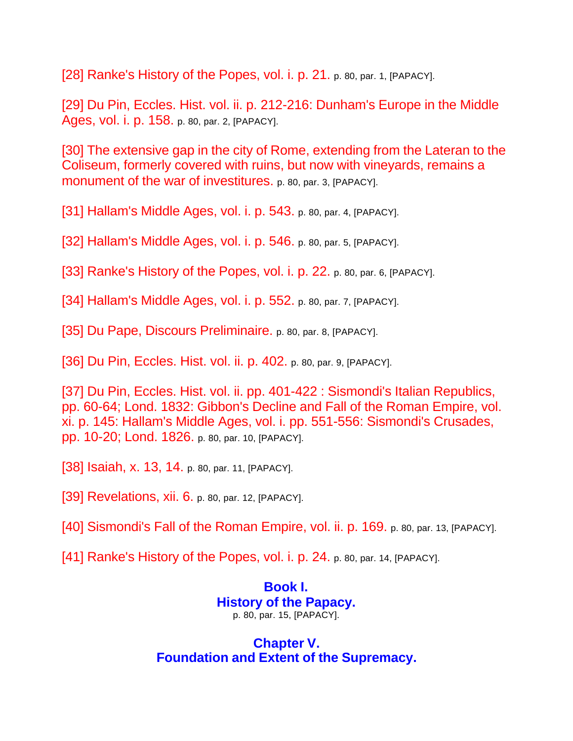[28] Ranke's History of the Popes, vol. i. p. 21. p. 80, par. 1, [PAPACY].

[29] Du Pin, Eccles. Hist. vol. ii. p. 212-216: Dunham's Europe in the Middle Ages, vol. i. p. 158. p. 80, par. 2, [PAPACY].

[30] The extensive gap in the city of Rome, extending from the Lateran to the Coliseum, formerly covered with ruins, but now with vineyards, remains a monument of the war of investitures. p. 80, par. 3, [PAPACY].

[31] Hallam's Middle Ages, vol. i. p. 543. p. 80, par. 4, [PAPACY].

[32] Hallam's Middle Ages, vol. i. p. 546. p. 80, par. 5, [PAPACY].

[33] Ranke's History of the Popes, vol. i. p. 22. p. 80, par. 6, [PAPACY].

[34] Hallam's Middle Ages, vol. i. p. 552. p. 80, par. 7, [PAPACY].

[35] Du Pape, Discours Preliminaire. p. 80, par. 8, [PAPACY].

[36] Du Pin, Eccles. Hist. vol. ii. p. 402. p. 80, par. 9, [PAPACY].

[37] Du Pin, Eccles. Hist. vol. ii. pp. 401-422 : Sismondi's Italian Republics, pp. 60-64; Lond. 1832: Gibbon's Decline and Fall of the Roman Empire, vol. xi. p. 145: Hallam's Middle Ages, vol. i. pp. 551-556: Sismondi's Crusades, pp. 10-20; Lond. 1826. p. 80, par. 10, [PAPACY].

[38] Isaiah, x. 13, 14. p. 80, par. 11, [PAPACY].

[39] Revelations, xii. 6. p. 80, par. 12, [PAPACY].

[40] Sismondi's Fall of the Roman Empire, vol. ii. p. 169. p. 80, par. 13, [PAPACY].

[41] Ranke's History of the Popes, vol. i. p. 24. p. 80, par. 14, [PAPACY].

## **Book I. History of the Papacy.** p. 80, par. 15, [PAPACY].

## **Chapter V. Foundation and Extent of the Supremacy.**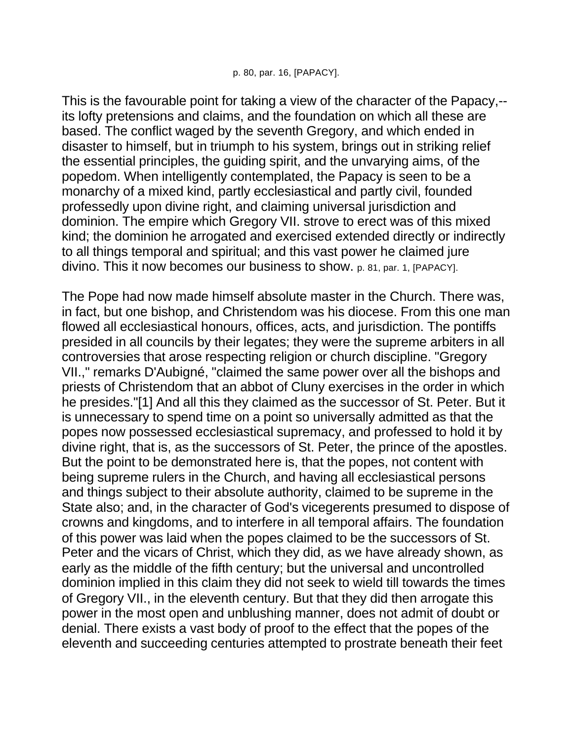This is the favourable point for taking a view of the character of the Papacy,- its lofty pretensions and claims, and the foundation on which all these are based. The conflict waged by the seventh Gregory, and which ended in disaster to himself, but in triumph to his system, brings out in striking relief the essential principles, the guiding spirit, and the unvarying aims, of the popedom. When intelligently contemplated, the Papacy is seen to be a monarchy of a mixed kind, partly ecclesiastical and partly civil, founded professedly upon divine right, and claiming universal jurisdiction and dominion. The empire which Gregory VII. strove to erect was of this mixed kind; the dominion he arrogated and exercised extended directly or indirectly to all things temporal and spiritual; and this vast power he claimed jure divino. This it now becomes our business to show. p. 81, par. 1, [PAPACY].

The Pope had now made himself absolute master in the Church. There was, in fact, but one bishop, and Christendom was his diocese. From this one man flowed all ecclesiastical honours, offices, acts, and jurisdiction. The pontiffs presided in all councils by their legates; they were the supreme arbiters in all controversies that arose respecting religion or church discipline. "Gregory VII.," remarks D'Aubigné, "claimed the same power over all the bishops and priests of Christendom that an abbot of Cluny exercises in the order in which he presides."[1] And all this they claimed as the successor of St. Peter. But it is unnecessary to spend time on a point so universally admitted as that the popes now possessed ecclesiastical supremacy, and professed to hold it by divine right, that is, as the successors of St. Peter, the prince of the apostles. But the point to be demonstrated here is, that the popes, not content with being supreme rulers in the Church, and having all ecclesiastical persons and things subject to their absolute authority, claimed to be supreme in the State also; and, in the character of God's vicegerents presumed to dispose of crowns and kingdoms, and to interfere in all temporal affairs. The foundation of this power was laid when the popes claimed to be the successors of St. Peter and the vicars of Christ, which they did, as we have already shown, as early as the middle of the fifth century; but the universal and uncontrolled dominion implied in this claim they did not seek to wield till towards the times of Gregory VII., in the eleventh century. But that they did then arrogate this power in the most open and unblushing manner, does not admit of doubt or denial. There exists a vast body of proof to the effect that the popes of the eleventh and succeeding centuries attempted to prostrate beneath their feet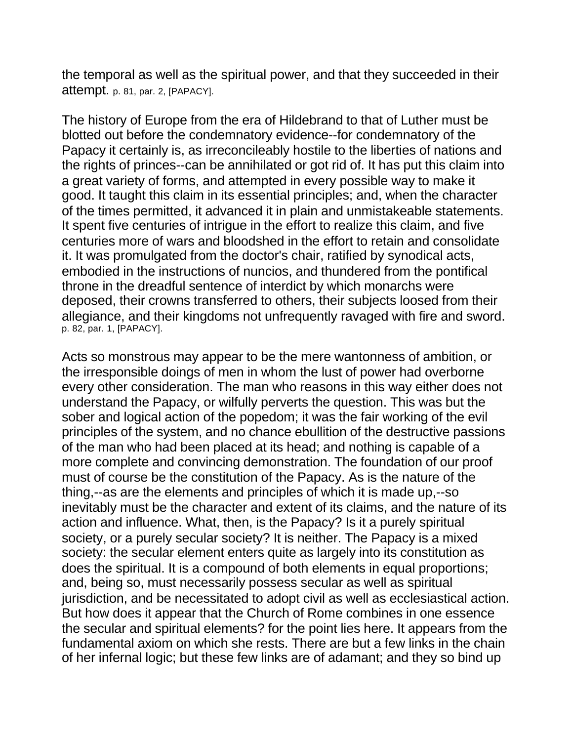the temporal as well as the spiritual power, and that they succeeded in their attempt. p. 81, par. 2, [PAPACY].

The history of Europe from the era of Hildebrand to that of Luther must be blotted out before the condemnatory evidence--for condemnatory of the Papacy it certainly is, as irreconcileably hostile to the liberties of nations and the rights of princes--can be annihilated or got rid of. It has put this claim into a great variety of forms, and attempted in every possible way to make it good. It taught this claim in its essential principles; and, when the character of the times permitted, it advanced it in plain and unmistakeable statements. It spent five centuries of intrigue in the effort to realize this claim, and five centuries more of wars and bloodshed in the effort to retain and consolidate it. It was promulgated from the doctor's chair, ratified by synodical acts, embodied in the instructions of nuncios, and thundered from the pontifical throne in the dreadful sentence of interdict by which monarchs were deposed, their crowns transferred to others, their subjects loosed from their allegiance, and their kingdoms not unfrequently ravaged with fire and sword. p. 82, par. 1, [PAPACY].

Acts so monstrous may appear to be the mere wantonness of ambition, or the irresponsible doings of men in whom the lust of power had overborne every other consideration. The man who reasons in this way either does not understand the Papacy, or wilfully perverts the question. This was but the sober and logical action of the popedom; it was the fair working of the evil principles of the system, and no chance ebullition of the destructive passions of the man who had been placed at its head; and nothing is capable of a more complete and convincing demonstration. The foundation of our proof must of course be the constitution of the Papacy. As is the nature of the thing,--as are the elements and principles of which it is made up,--so inevitably must be the character and extent of its claims, and the nature of its action and influence. What, then, is the Papacy? Is it a purely spiritual society, or a purely secular society? It is neither. The Papacy is a mixed society: the secular element enters quite as largely into its constitution as does the spiritual. It is a compound of both elements in equal proportions; and, being so, must necessarily possess secular as well as spiritual jurisdiction, and be necessitated to adopt civil as well as ecclesiastical action. But how does it appear that the Church of Rome combines in one essence the secular and spiritual elements? for the point lies here. It appears from the fundamental axiom on which she rests. There are but a few links in the chain of her infernal logic; but these few links are of adamant; and they so bind up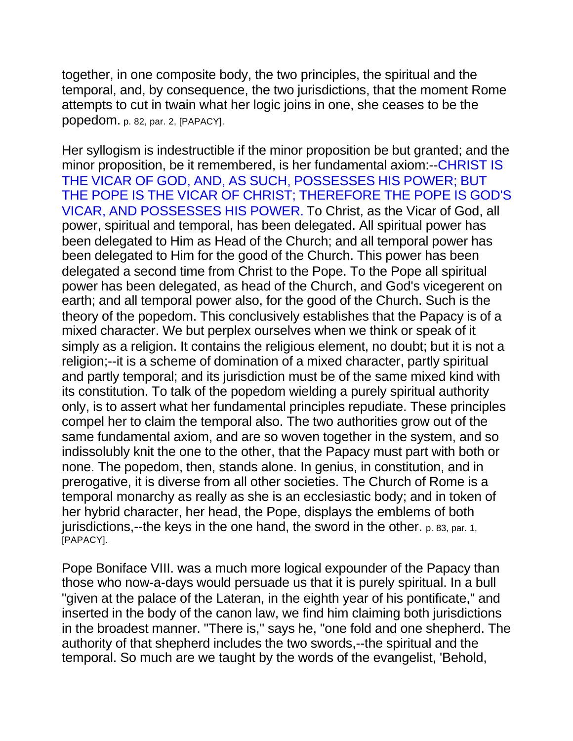together, in one composite body, the two principles, the spiritual and the temporal, and, by consequence, the two jurisdictions, that the moment Rome attempts to cut in twain what her logic joins in one, she ceases to be the popedom. p. 82, par. 2, [PAPACY].

Her syllogism is indestructible if the minor proposition be but granted; and the minor proposition, be it remembered, is her fundamental axiom:--CHRIST IS THE VICAR OF GOD, AND, AS SUCH, POSSESSES HIS POWER; BUT THE POPE IS THE VICAR OF CHRIST; THEREFORE THE POPE IS GOD'S VICAR, AND POSSESSES HIS POWER. To Christ, as the Vicar of God, all power, spiritual and temporal, has been delegated. All spiritual power has been delegated to Him as Head of the Church; and all temporal power has been delegated to Him for the good of the Church. This power has been delegated a second time from Christ to the Pope. To the Pope all spiritual power has been delegated, as head of the Church, and God's vicegerent on earth; and all temporal power also, for the good of the Church. Such is the theory of the popedom. This conclusively establishes that the Papacy is of a mixed character. We but perplex ourselves when we think or speak of it simply as a religion. It contains the religious element, no doubt; but it is not a religion;--it is a scheme of domination of a mixed character, partly spiritual and partly temporal; and its jurisdiction must be of the same mixed kind with its constitution. To talk of the popedom wielding a purely spiritual authority only, is to assert what her fundamental principles repudiate. These principles compel her to claim the temporal also. The two authorities grow out of the same fundamental axiom, and are so woven together in the system, and so indissolubly knit the one to the other, that the Papacy must part with both or none. The popedom, then, stands alone. In genius, in constitution, and in prerogative, it is diverse from all other societies. The Church of Rome is a temporal monarchy as really as she is an ecclesiastic body; and in token of her hybrid character, her head, the Pope, displays the emblems of both jurisdictions,--the keys in the one hand, the sword in the other. p. 83, par. 1, [PAPACY].

Pope Boniface VIII. was a much more logical expounder of the Papacy than those who now-a-days would persuade us that it is purely spiritual. In a bull "given at the palace of the Lateran, in the eighth year of his pontificate," and inserted in the body of the canon law, we find him claiming both jurisdictions in the broadest manner. "There is," says he, "one fold and one shepherd. The authority of that shepherd includes the two swords,--the spiritual and the temporal. So much are we taught by the words of the evangelist, 'Behold,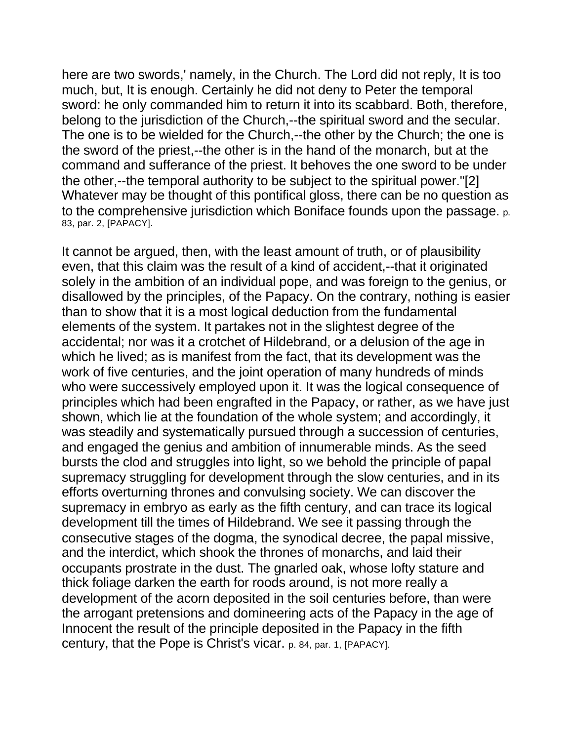here are two swords,' namely, in the Church. The Lord did not reply, It is too much, but, It is enough. Certainly he did not deny to Peter the temporal sword: he only commanded him to return it into its scabbard. Both, therefore, belong to the jurisdiction of the Church,--the spiritual sword and the secular. The one is to be wielded for the Church,--the other by the Church; the one is the sword of the priest,--the other is in the hand of the monarch, but at the command and sufferance of the priest. It behoves the one sword to be under the other,--the temporal authority to be subject to the spiritual power."[2] Whatever may be thought of this pontifical gloss, there can be no question as to the comprehensive jurisdiction which Boniface founds upon the passage. p. 83, par. 2, [PAPACY].

It cannot be argued, then, with the least amount of truth, or of plausibility even, that this claim was the result of a kind of accident,--that it originated solely in the ambition of an individual pope, and was foreign to the genius, or disallowed by the principles, of the Papacy. On the contrary, nothing is easier than to show that it is a most logical deduction from the fundamental elements of the system. It partakes not in the slightest degree of the accidental; nor was it a crotchet of Hildebrand, or a delusion of the age in which he lived; as is manifest from the fact, that its development was the work of five centuries, and the joint operation of many hundreds of minds who were successively employed upon it. It was the logical consequence of principles which had been engrafted in the Papacy, or rather, as we have just shown, which lie at the foundation of the whole system; and accordingly, it was steadily and systematically pursued through a succession of centuries, and engaged the genius and ambition of innumerable minds. As the seed bursts the clod and struggles into light, so we behold the principle of papal supremacy struggling for development through the slow centuries, and in its efforts overturning thrones and convulsing society. We can discover the supremacy in embryo as early as the fifth century, and can trace its logical development till the times of Hildebrand. We see it passing through the consecutive stages of the dogma, the synodical decree, the papal missive, and the interdict, which shook the thrones of monarchs, and laid their occupants prostrate in the dust. The gnarled oak, whose lofty stature and thick foliage darken the earth for roods around, is not more really a development of the acorn deposited in the soil centuries before, than were the arrogant pretensions and domineering acts of the Papacy in the age of Innocent the result of the principle deposited in the Papacy in the fifth century, that the Pope is Christ's vicar. p. 84, par. 1, [PAPACY].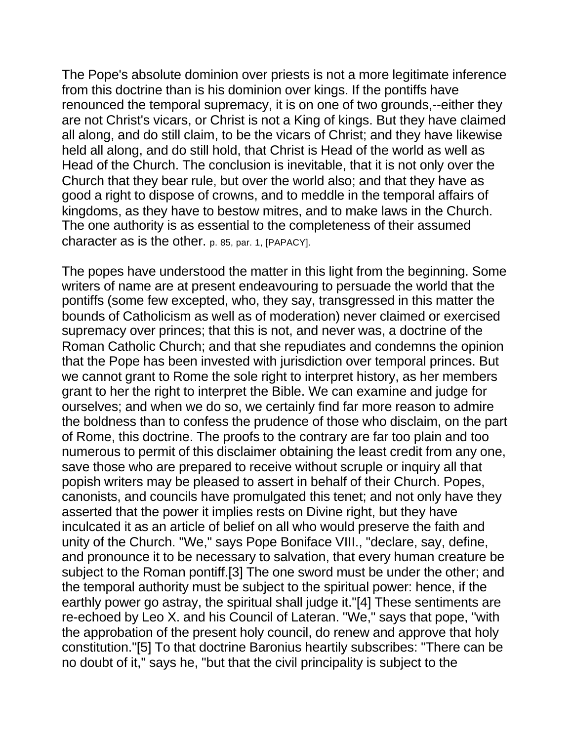The Pope's absolute dominion over priests is not a more legitimate inference from this doctrine than is his dominion over kings. If the pontiffs have renounced the temporal supremacy, it is on one of two grounds,--either they are not Christ's vicars, or Christ is not a King of kings. But they have claimed all along, and do still claim, to be the vicars of Christ; and they have likewise held all along, and do still hold, that Christ is Head of the world as well as Head of the Church. The conclusion is inevitable, that it is not only over the Church that they bear rule, but over the world also; and that they have as good a right to dispose of crowns, and to meddle in the temporal affairs of kingdoms, as they have to bestow mitres, and to make laws in the Church. The one authority is as essential to the completeness of their assumed character as is the other. p. 85, par. 1, [PAPACY].

The popes have understood the matter in this light from the beginning. Some writers of name are at present endeavouring to persuade the world that the pontiffs (some few excepted, who, they say, transgressed in this matter the bounds of Catholicism as well as of moderation) never claimed or exercised supremacy over princes; that this is not, and never was, a doctrine of the Roman Catholic Church; and that she repudiates and condemns the opinion that the Pope has been invested with jurisdiction over temporal princes. But we cannot grant to Rome the sole right to interpret history, as her members grant to her the right to interpret the Bible. We can examine and judge for ourselves; and when we do so, we certainly find far more reason to admire the boldness than to confess the prudence of those who disclaim, on the part of Rome, this doctrine. The proofs to the contrary are far too plain and too numerous to permit of this disclaimer obtaining the least credit from any one, save those who are prepared to receive without scruple or inquiry all that popish writers may be pleased to assert in behalf of their Church. Popes, canonists, and councils have promulgated this tenet; and not only have they asserted that the power it implies rests on Divine right, but they have inculcated it as an article of belief on all who would preserve the faith and unity of the Church. "We," says Pope Boniface VIII., "declare, say, define, and pronounce it to be necessary to salvation, that every human creature be subject to the Roman pontiff.[3] The one sword must be under the other; and the temporal authority must be subject to the spiritual power: hence, if the earthly power go astray, the spiritual shall judge it."[4] These sentiments are re-echoed by Leo X. and his Council of Lateran. "We," says that pope, "with the approbation of the present holy council, do renew and approve that holy constitution."[5] To that doctrine Baronius heartily subscribes: "There can be no doubt of it," says he, "but that the civil principality is subject to the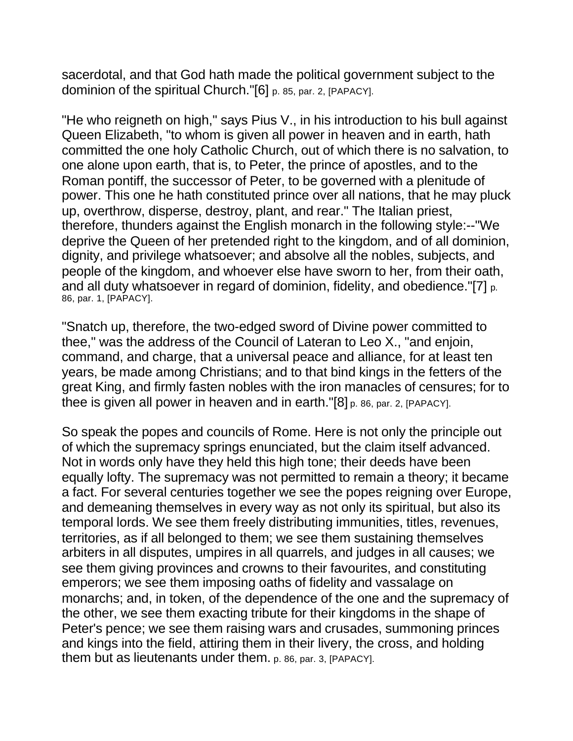sacerdotal, and that God hath made the political government subject to the dominion of the spiritual Church."[6] p. 85, par. 2, [PAPACY].

"He who reigneth on high," says Pius V., in his introduction to his bull against Queen Elizabeth, "to whom is given all power in heaven and in earth, hath committed the one holy Catholic Church, out of which there is no salvation, to one alone upon earth, that is, to Peter, the prince of apostles, and to the Roman pontiff, the successor of Peter, to be governed with a plenitude of power. This one he hath constituted prince over all nations, that he may pluck up, overthrow, disperse, destroy, plant, and rear." The Italian priest, therefore, thunders against the English monarch in the following style:--"We deprive the Queen of her pretended right to the kingdom, and of all dominion, dignity, and privilege whatsoever; and absolve all the nobles, subjects, and people of the kingdom, and whoever else have sworn to her, from their oath, and all duty whatsoever in regard of dominion, fidelity, and obedience."[7] p. 86, par. 1, [PAPACY].

"Snatch up, therefore, the two-edged sword of Divine power committed to thee," was the address of the Council of Lateran to Leo X., "and enjoin, command, and charge, that a universal peace and alliance, for at least ten years, be made among Christians; and to that bind kings in the fetters of the great King, and firmly fasten nobles with the iron manacles of censures; for to thee is given all power in heaven and in earth."[8] p. 86, par. 2, [PAPACY].

So speak the popes and councils of Rome. Here is not only the principle out of which the supremacy springs enunciated, but the claim itself advanced. Not in words only have they held this high tone; their deeds have been equally lofty. The supremacy was not permitted to remain a theory; it became a fact. For several centuries together we see the popes reigning over Europe, and demeaning themselves in every way as not only its spiritual, but also its temporal lords. We see them freely distributing immunities, titles, revenues, territories, as if all belonged to them; we see them sustaining themselves arbiters in all disputes, umpires in all quarrels, and judges in all causes; we see them giving provinces and crowns to their favourites, and constituting emperors; we see them imposing oaths of fidelity and vassalage on monarchs; and, in token, of the dependence of the one and the supremacy of the other, we see them exacting tribute for their kingdoms in the shape of Peter's pence; we see them raising wars and crusades, summoning princes and kings into the field, attiring them in their livery, the cross, and holding them but as lieutenants under them. p. 86, par. 3, [PAPACY].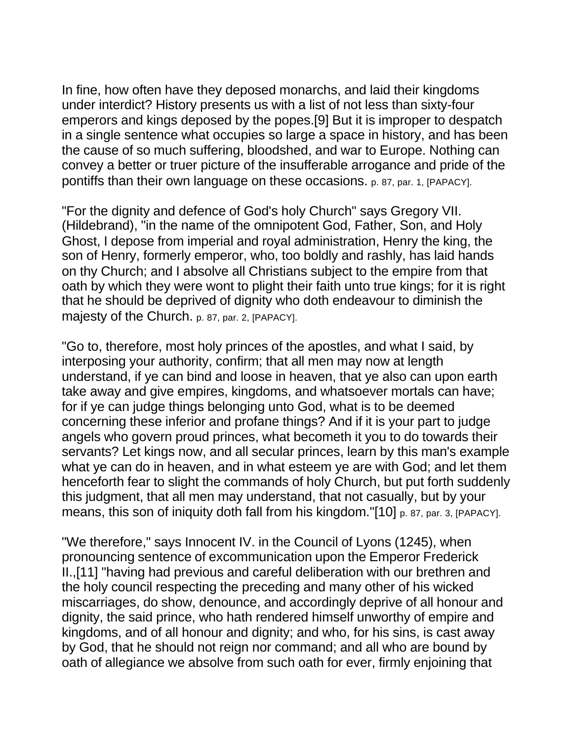In fine, how often have they deposed monarchs, and laid their kingdoms under interdict? History presents us with a list of not less than sixty-four emperors and kings deposed by the popes.[9] But it is improper to despatch in a single sentence what occupies so large a space in history, and has been the cause of so much suffering, bloodshed, and war to Europe. Nothing can convey a better or truer picture of the insufferable arrogance and pride of the pontiffs than their own language on these occasions. p. 87, par. 1, [PAPACY].

"For the dignity and defence of God's holy Church" says Gregory VII. (Hildebrand), "in the name of the omnipotent God, Father, Son, and Holy Ghost, I depose from imperial and royal administration, Henry the king, the son of Henry, formerly emperor, who, too boldly and rashly, has laid hands on thy Church; and I absolve all Christians subject to the empire from that oath by which they were wont to plight their faith unto true kings; for it is right that he should be deprived of dignity who doth endeavour to diminish the majesty of the Church. p. 87, par. 2, [PAPACY].

"Go to, therefore, most holy princes of the apostles, and what I said, by interposing your authority, confirm; that all men may now at length understand, if ye can bind and loose in heaven, that ye also can upon earth take away and give empires, kingdoms, and whatsoever mortals can have; for if ye can judge things belonging unto God, what is to be deemed concerning these inferior and profane things? And if it is your part to judge angels who govern proud princes, what becometh it you to do towards their servants? Let kings now, and all secular princes, learn by this man's example what ye can do in heaven, and in what esteem ye are with God; and let them henceforth fear to slight the commands of holy Church, but put forth suddenly this judgment, that all men may understand, that not casually, but by your means, this son of iniquity doth fall from his kingdom."[10] p. 87, par. 3, [PAPACY].

"We therefore," says Innocent IV. in the Council of Lyons (1245), when pronouncing sentence of excommunication upon the Emperor Frederick II.,[11] "having had previous and careful deliberation with our brethren and the holy council respecting the preceding and many other of his wicked miscarriages, do show, denounce, and accordingly deprive of all honour and dignity, the said prince, who hath rendered himself unworthy of empire and kingdoms, and of all honour and dignity; and who, for his sins, is cast away by God, that he should not reign nor command; and all who are bound by oath of allegiance we absolve from such oath for ever, firmly enjoining that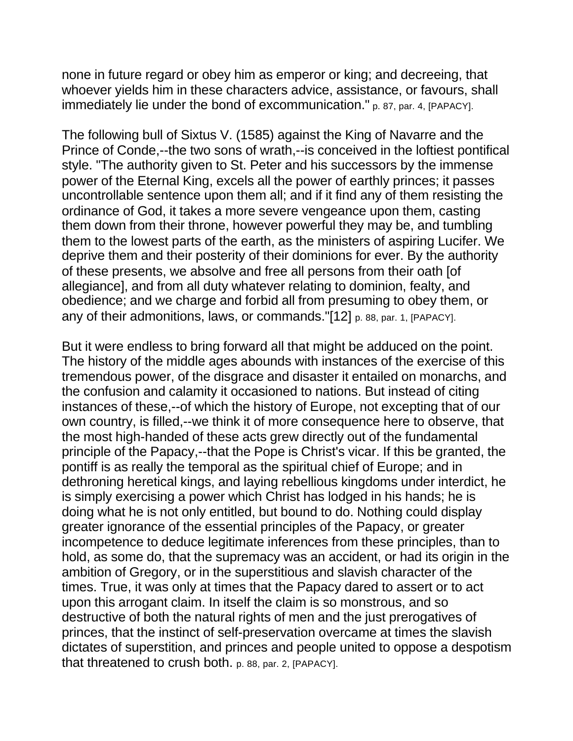none in future regard or obey him as emperor or king; and decreeing, that whoever yields him in these characters advice, assistance, or favours, shall immediately lie under the bond of excommunication." p. 87, par. 4, [PAPACY].

The following bull of Sixtus V. (1585) against the King of Navarre and the Prince of Conde,--the two sons of wrath,--is conceived in the loftiest pontifical style. "The authority given to St. Peter and his successors by the immense power of the Eternal King, excels all the power of earthly princes; it passes uncontrollable sentence upon them all; and if it find any of them resisting the ordinance of God, it takes a more severe vengeance upon them, casting them down from their throne, however powerful they may be, and tumbling them to the lowest parts of the earth, as the ministers of aspiring Lucifer. We deprive them and their posterity of their dominions for ever. By the authority of these presents, we absolve and free all persons from their oath [of allegiance], and from all duty whatever relating to dominion, fealty, and obedience; and we charge and forbid all from presuming to obey them, or any of their admonitions, laws, or commands."[12] p. 88, par. 1, [PAPACY].

But it were endless to bring forward all that might be adduced on the point. The history of the middle ages abounds with instances of the exercise of this tremendous power, of the disgrace and disaster it entailed on monarchs, and the confusion and calamity it occasioned to nations. But instead of citing instances of these,--of which the history of Europe, not excepting that of our own country, is filled,--we think it of more consequence here to observe, that the most high-handed of these acts grew directly out of the fundamental principle of the Papacy,--that the Pope is Christ's vicar. If this be granted, the pontiff is as really the temporal as the spiritual chief of Europe; and in dethroning heretical kings, and laying rebellious kingdoms under interdict, he is simply exercising a power which Christ has lodged in his hands; he is doing what he is not only entitled, but bound to do. Nothing could display greater ignorance of the essential principles of the Papacy, or greater incompetence to deduce legitimate inferences from these principles, than to hold, as some do, that the supremacy was an accident, or had its origin in the ambition of Gregory, or in the superstitious and slavish character of the times. True, it was only at times that the Papacy dared to assert or to act upon this arrogant claim. In itself the claim is so monstrous, and so destructive of both the natural rights of men and the just prerogatives of princes, that the instinct of self-preservation overcame at times the slavish dictates of superstition, and princes and people united to oppose a despotism that threatened to crush both. p. 88, par. 2, [PAPACY].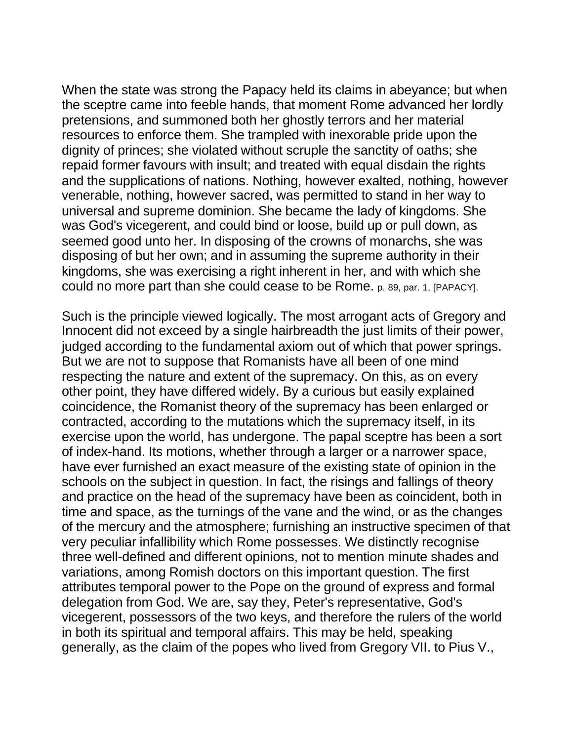When the state was strong the Papacy held its claims in abeyance; but when the sceptre came into feeble hands, that moment Rome advanced her lordly pretensions, and summoned both her ghostly terrors and her material resources to enforce them. She trampled with inexorable pride upon the dignity of princes; she violated without scruple the sanctity of oaths; she repaid former favours with insult; and treated with equal disdain the rights and the supplications of nations. Nothing, however exalted, nothing, however venerable, nothing, however sacred, was permitted to stand in her way to universal and supreme dominion. She became the lady of kingdoms. She was God's vicegerent, and could bind or loose, build up or pull down, as seemed good unto her. In disposing of the crowns of monarchs, she was disposing of but her own; and in assuming the supreme authority in their kingdoms, she was exercising a right inherent in her, and with which she could no more part than she could cease to be Rome. p. 89, par. 1, [PAPACY].

Such is the principle viewed logically. The most arrogant acts of Gregory and Innocent did not exceed by a single hairbreadth the just limits of their power, judged according to the fundamental axiom out of which that power springs. But we are not to suppose that Romanists have all been of one mind respecting the nature and extent of the supremacy. On this, as on every other point, they have differed widely. By a curious but easily explained coincidence, the Romanist theory of the supremacy has been enlarged or contracted, according to the mutations which the supremacy itself, in its exercise upon the world, has undergone. The papal sceptre has been a sort of index-hand. Its motions, whether through a larger or a narrower space, have ever furnished an exact measure of the existing state of opinion in the schools on the subject in question. In fact, the risings and fallings of theory and practice on the head of the supremacy have been as coincident, both in time and space, as the turnings of the vane and the wind, or as the changes of the mercury and the atmosphere; furnishing an instructive specimen of that very peculiar infallibility which Rome possesses. We distinctly recognise three well-defined and different opinions, not to mention minute shades and variations, among Romish doctors on this important question. The first attributes temporal power to the Pope on the ground of express and formal delegation from God. We are, say they, Peter's representative, God's vicegerent, possessors of the two keys, and therefore the rulers of the world in both its spiritual and temporal affairs. This may be held, speaking generally, as the claim of the popes who lived from Gregory VII. to Pius V.,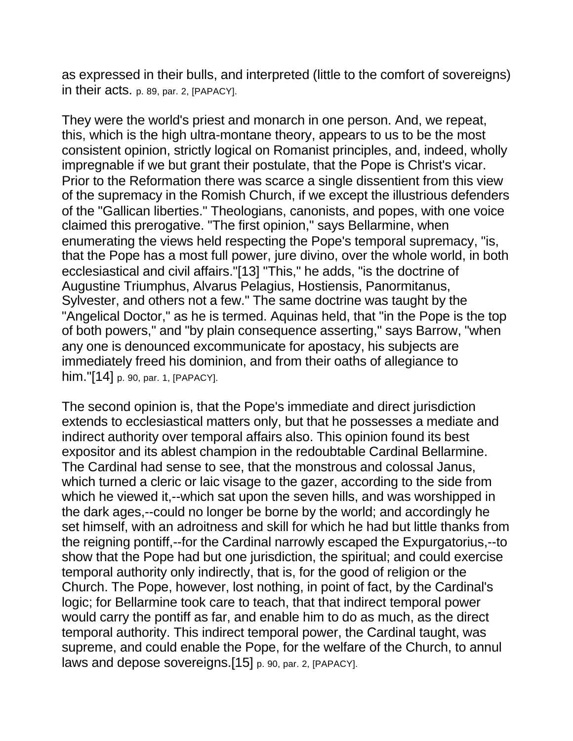as expressed in their bulls, and interpreted (little to the comfort of sovereigns) in their acts. p. 89, par. 2, [PAPACY].

They were the world's priest and monarch in one person. And, we repeat, this, which is the high ultra-montane theory, appears to us to be the most consistent opinion, strictly logical on Romanist principles, and, indeed, wholly impregnable if we but grant their postulate, that the Pope is Christ's vicar. Prior to the Reformation there was scarce a single dissentient from this view of the supremacy in the Romish Church, if we except the illustrious defenders of the "Gallican liberties." Theologians, canonists, and popes, with one voice claimed this prerogative. "The first opinion," says Bellarmine, when enumerating the views held respecting the Pope's temporal supremacy, "is, that the Pope has a most full power, jure divino, over the whole world, in both ecclesiastical and civil affairs."[13] "This," he adds, "is the doctrine of Augustine Triumphus, Alvarus Pelagius, Hostiensis, Panormitanus, Sylvester, and others not a few." The same doctrine was taught by the "Angelical Doctor," as he is termed. Aquinas held, that "in the Pope is the top of both powers," and "by plain consequence asserting," says Barrow, "when any one is denounced excommunicate for apostacy, his subjects are immediately freed his dominion, and from their oaths of allegiance to him."[14] p. 90, par. 1, [PAPACY].

The second opinion is, that the Pope's immediate and direct jurisdiction extends to ecclesiastical matters only, but that he possesses a mediate and indirect authority over temporal affairs also. This opinion found its best expositor and its ablest champion in the redoubtable Cardinal Bellarmine. The Cardinal had sense to see, that the monstrous and colossal Janus, which turned a cleric or laic visage to the gazer, according to the side from which he viewed it,--which sat upon the seven hills, and was worshipped in the dark ages,--could no longer be borne by the world; and accordingly he set himself, with an adroitness and skill for which he had but little thanks from the reigning pontiff,--for the Cardinal narrowly escaped the Expurgatorius,--to show that the Pope had but one jurisdiction, the spiritual; and could exercise temporal authority only indirectly, that is, for the good of religion or the Church. The Pope, however, lost nothing, in point of fact, by the Cardinal's logic; for Bellarmine took care to teach, that that indirect temporal power would carry the pontiff as far, and enable him to do as much, as the direct temporal authority. This indirect temporal power, the Cardinal taught, was supreme, and could enable the Pope, for the welfare of the Church, to annul laws and depose sovereigns.[15] p. 90, par. 2, [PAPACY].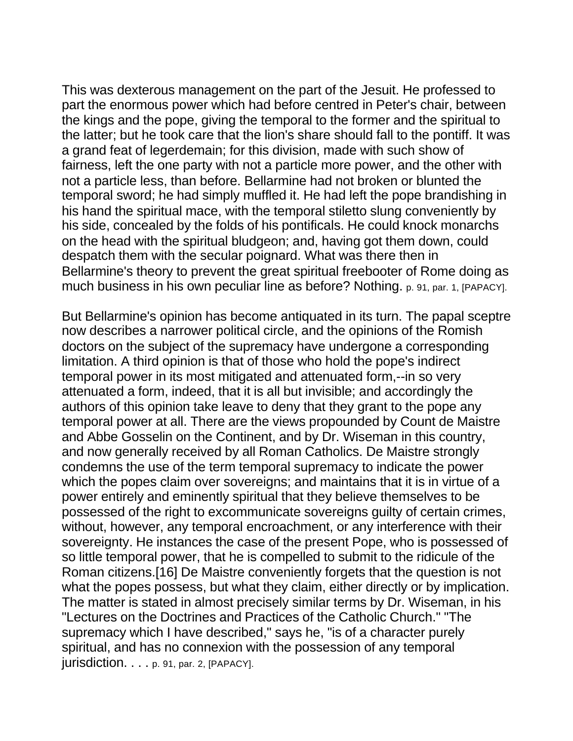This was dexterous management on the part of the Jesuit. He professed to part the enormous power which had before centred in Peter's chair, between the kings and the pope, giving the temporal to the former and the spiritual to the latter; but he took care that the lion's share should fall to the pontiff. It was a grand feat of legerdemain; for this division, made with such show of fairness, left the one party with not a particle more power, and the other with not a particle less, than before. Bellarmine had not broken or blunted the temporal sword; he had simply muffled it. He had left the pope brandishing in his hand the spiritual mace, with the temporal stiletto slung conveniently by his side, concealed by the folds of his pontificals. He could knock monarchs on the head with the spiritual bludgeon; and, having got them down, could despatch them with the secular poignard. What was there then in Bellarmine's theory to prevent the great spiritual freebooter of Rome doing as much business in his own peculiar line as before? Nothing. p. 91, par. 1, [PAPACY].

But Bellarmine's opinion has become antiquated in its turn. The papal sceptre now describes a narrower political circle, and the opinions of the Romish doctors on the subject of the supremacy have undergone a corresponding limitation. A third opinion is that of those who hold the pope's indirect temporal power in its most mitigated and attenuated form,--in so very attenuated a form, indeed, that it is all but invisible; and accordingly the authors of this opinion take leave to deny that they grant to the pope any temporal power at all. There are the views propounded by Count de Maistre and Abbe Gosselin on the Continent, and by Dr. Wiseman in this country, and now generally received by all Roman Catholics. De Maistre strongly condemns the use of the term temporal supremacy to indicate the power which the popes claim over sovereigns; and maintains that it is in virtue of a power entirely and eminently spiritual that they believe themselves to be possessed of the right to excommunicate sovereigns guilty of certain crimes, without, however, any temporal encroachment, or any interference with their sovereignty. He instances the case of the present Pope, who is possessed of so little temporal power, that he is compelled to submit to the ridicule of the Roman citizens.[16] De Maistre conveniently forgets that the question is not what the popes possess, but what they claim, either directly or by implication. The matter is stated in almost precisely similar terms by Dr. Wiseman, in his "Lectures on the Doctrines and Practices of the Catholic Church." "The supremacy which I have described," says he, "is of a character purely spiritual, and has no connexion with the possession of any temporal  $jurisdiction. \ldots p. 91, par. 2, [PAPACY].$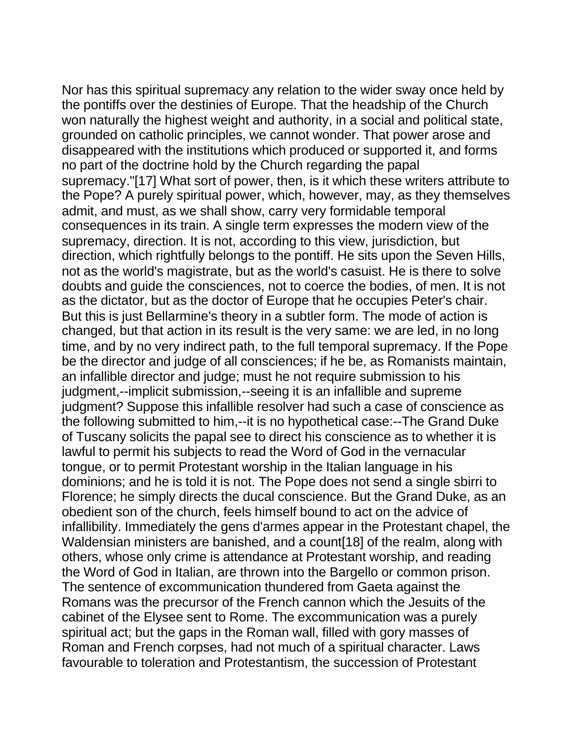Nor has this spiritual supremacy any relation to the wider sway once held by the pontiffs over the destinies of Europe. That the headship of the Church won naturally the highest weight and authority, in a social and political state, grounded on catholic principles, we cannot wonder. That power arose and disappeared with the institutions which produced or supported it, and forms no part of the doctrine hold by the Church regarding the papal supremacy."[17] What sort of power, then, is it which these writers attribute to the Pope? A purely spiritual power, which, however, may, as they themselves admit, and must, as we shall show, carry very formidable temporal consequences in its train. A single term expresses the modern view of the supremacy, direction. It is not, according to this view, jurisdiction, but direction, which rightfully belongs to the pontiff. He sits upon the Seven Hills, not as the world's magistrate, but as the world's casuist. He is there to solve doubts and guide the consciences, not to coerce the bodies, of men. It is not as the dictator, but as the doctor of Europe that he occupies Peter's chair. But this is just Bellarmine's theory in a subtler form. The mode of action is changed, but that action in its result is the very same: we are led, in no long time, and by no very indirect path, to the full temporal supremacy. If the Pope be the director and judge of all consciences; if he be, as Romanists maintain, an infallible director and judge; must he not require submission to his judgment,--implicit submission,--seeing it is an infallible and supreme judgment? Suppose this infallible resolver had such a case of conscience as the following submitted to him,--it is no hypothetical case:--The Grand Duke of Tuscany solicits the papal see to direct his conscience as to whether it is lawful to permit his subjects to read the Word of God in the vernacular tongue, or to permit Protestant worship in the Italian language in his dominions; and he is told it is not. The Pope does not send a single sbirri to Florence; he simply directs the ducal conscience. But the Grand Duke, as an obedient son of the church, feels himself bound to act on the advice of infallibility. Immediately the gens d'armes appear in the Protestant chapel, the Waldensian ministers are banished, and a count[18] of the realm, along with others, whose only crime is attendance at Protestant worship, and reading the Word of God in Italian, are thrown into the Bargello or common prison. The sentence of excommunication thundered from Gaeta against the Romans was the precursor of the French cannon which the Jesuits of the cabinet of the Elysee sent to Rome. The excommunication was a purely spiritual act; but the gaps in the Roman wall, filled with gory masses of Roman and French corpses, had not much of a spiritual character. Laws favourable to toleration and Protestantism, the succession of Protestant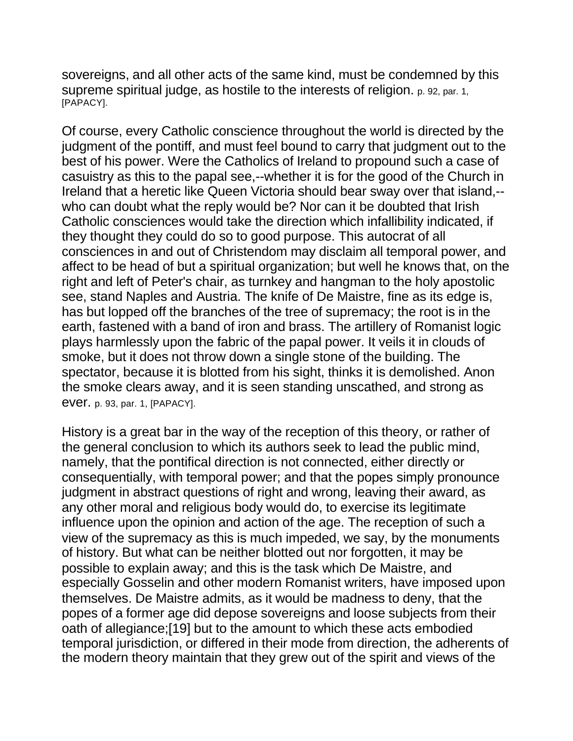sovereigns, and all other acts of the same kind, must be condemned by this supreme spiritual judge, as hostile to the interests of religion. p. 92, par. 1, [PAPACY].

Of course, every Catholic conscience throughout the world is directed by the judgment of the pontiff, and must feel bound to carry that judgment out to the best of his power. Were the Catholics of Ireland to propound such a case of casuistry as this to the papal see,--whether it is for the good of the Church in Ireland that a heretic like Queen Victoria should bear sway over that island,- who can doubt what the reply would be? Nor can it be doubted that Irish Catholic consciences would take the direction which infallibility indicated, if they thought they could do so to good purpose. This autocrat of all consciences in and out of Christendom may disclaim all temporal power, and affect to be head of but a spiritual organization; but well he knows that, on the right and left of Peter's chair, as turnkey and hangman to the holy apostolic see, stand Naples and Austria. The knife of De Maistre, fine as its edge is, has but lopped off the branches of the tree of supremacy; the root is in the earth, fastened with a band of iron and brass. The artillery of Romanist logic plays harmlessly upon the fabric of the papal power. It veils it in clouds of smoke, but it does not throw down a single stone of the building. The spectator, because it is blotted from his sight, thinks it is demolished. Anon the smoke clears away, and it is seen standing unscathed, and strong as ever. p. 93, par. 1, [PAPACY].

History is a great bar in the way of the reception of this theory, or rather of the general conclusion to which its authors seek to lead the public mind, namely, that the pontifical direction is not connected, either directly or consequentially, with temporal power; and that the popes simply pronounce judgment in abstract questions of right and wrong, leaving their award, as any other moral and religious body would do, to exercise its legitimate influence upon the opinion and action of the age. The reception of such a view of the supremacy as this is much impeded, we say, by the monuments of history. But what can be neither blotted out nor forgotten, it may be possible to explain away; and this is the task which De Maistre, and especially Gosselin and other modern Romanist writers, have imposed upon themselves. De Maistre admits, as it would be madness to deny, that the popes of a former age did depose sovereigns and loose subjects from their oath of allegiance;[19] but to the amount to which these acts embodied temporal jurisdiction, or differed in their mode from direction, the adherents of the modern theory maintain that they grew out of the spirit and views of the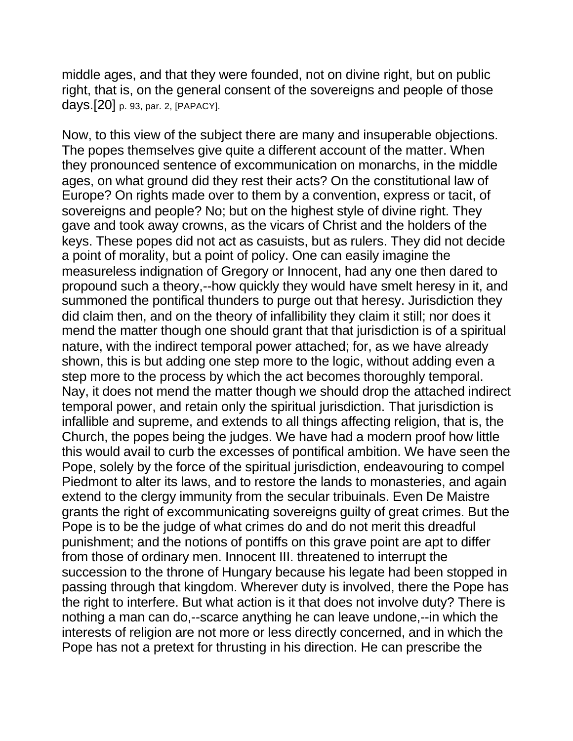middle ages, and that they were founded, not on divine right, but on public right, that is, on the general consent of the sovereigns and people of those days.[20] p. 93, par. 2, [PAPACY].

Now, to this view of the subject there are many and insuperable objections. The popes themselves give quite a different account of the matter. When they pronounced sentence of excommunication on monarchs, in the middle ages, on what ground did they rest their acts? On the constitutional law of Europe? On rights made over to them by a convention, express or tacit, of sovereigns and people? No; but on the highest style of divine right. They gave and took away crowns, as the vicars of Christ and the holders of the keys. These popes did not act as casuists, but as rulers. They did not decide a point of morality, but a point of policy. One can easily imagine the measureless indignation of Gregory or Innocent, had any one then dared to propound such a theory,--how quickly they would have smelt heresy in it, and summoned the pontifical thunders to purge out that heresy. Jurisdiction they did claim then, and on the theory of infallibility they claim it still; nor does it mend the matter though one should grant that that jurisdiction is of a spiritual nature, with the indirect temporal power attached; for, as we have already shown, this is but adding one step more to the logic, without adding even a step more to the process by which the act becomes thoroughly temporal. Nay, it does not mend the matter though we should drop the attached indirect temporal power, and retain only the spiritual jurisdiction. That jurisdiction is infallible and supreme, and extends to all things affecting religion, that is, the Church, the popes being the judges. We have had a modern proof how little this would avail to curb the excesses of pontifical ambition. We have seen the Pope, solely by the force of the spiritual jurisdiction, endeavouring to compel Piedmont to alter its laws, and to restore the lands to monasteries, and again extend to the clergy immunity from the secular tribuinals. Even De Maistre grants the right of excommunicating sovereigns guilty of great crimes. But the Pope is to be the judge of what crimes do and do not merit this dreadful punishment; and the notions of pontiffs on this grave point are apt to differ from those of ordinary men. Innocent III. threatened to interrupt the succession to the throne of Hungary because his legate had been stopped in passing through that kingdom. Wherever duty is involved, there the Pope has the right to interfere. But what action is it that does not involve duty? There is nothing a man can do,--scarce anything he can leave undone,--in which the interests of religion are not more or less directly concerned, and in which the Pope has not a pretext for thrusting in his direction. He can prescribe the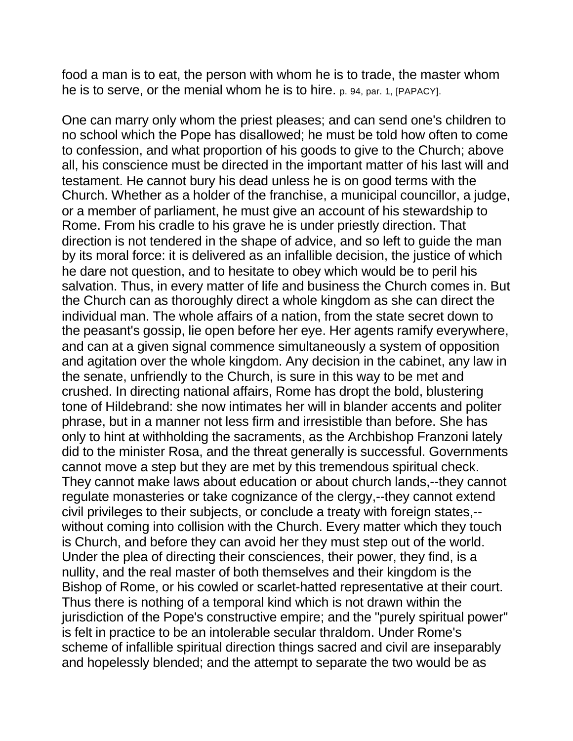food a man is to eat, the person with whom he is to trade, the master whom he is to serve, or the menial whom he is to hire. p. 94, par. 1, [PAPACY].

One can marry only whom the priest pleases; and can send one's children to no school which the Pope has disallowed; he must be told how often to come to confession, and what proportion of his goods to give to the Church; above all, his conscience must be directed in the important matter of his last will and testament. He cannot bury his dead unless he is on good terms with the Church. Whether as a holder of the franchise, a municipal councillor, a judge, or a member of parliament, he must give an account of his stewardship to Rome. From his cradle to his grave he is under priestly direction. That direction is not tendered in the shape of advice, and so left to guide the man by its moral force: it is delivered as an infallible decision, the justice of which he dare not question, and to hesitate to obey which would be to peril his salvation. Thus, in every matter of life and business the Church comes in. But the Church can as thoroughly direct a whole kingdom as she can direct the individual man. The whole affairs of a nation, from the state secret down to the peasant's gossip, lie open before her eye. Her agents ramify everywhere, and can at a given signal commence simultaneously a system of opposition and agitation over the whole kingdom. Any decision in the cabinet, any law in the senate, unfriendly to the Church, is sure in this way to be met and crushed. In directing national affairs, Rome has dropt the bold, blustering tone of Hildebrand: she now intimates her will in blander accents and politer phrase, but in a manner not less firm and irresistible than before. She has only to hint at withholding the sacraments, as the Archbishop Franzoni lately did to the minister Rosa, and the threat generally is successful. Governments cannot move a step but they are met by this tremendous spiritual check. They cannot make laws about education or about church lands,--they cannot regulate monasteries or take cognizance of the clergy,--they cannot extend civil privileges to their subjects, or conclude a treaty with foreign states,- without coming into collision with the Church. Every matter which they touch is Church, and before they can avoid her they must step out of the world. Under the plea of directing their consciences, their power, they find, is a nullity, and the real master of both themselves and their kingdom is the Bishop of Rome, or his cowled or scarlet-hatted representative at their court. Thus there is nothing of a temporal kind which is not drawn within the jurisdiction of the Pope's constructive empire; and the "purely spiritual power" is felt in practice to be an intolerable secular thraldom. Under Rome's scheme of infallible spiritual direction things sacred and civil are inseparably and hopelessly blended; and the attempt to separate the two would be as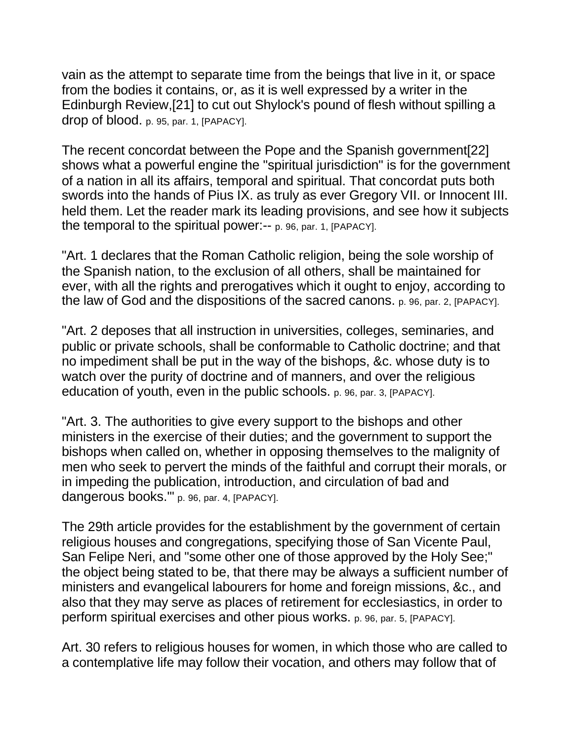vain as the attempt to separate time from the beings that live in it, or space from the bodies it contains, or, as it is well expressed by a writer in the Edinburgh Review,[21] to cut out Shylock's pound of flesh without spilling a drop of blood. p. 95, par. 1, [PAPACY].

The recent concordat between the Pope and the Spanish government[22] shows what a powerful engine the "spiritual jurisdiction" is for the government of a nation in all its affairs, temporal and spiritual. That concordat puts both swords into the hands of Pius IX. as truly as ever Gregory VII. or Innocent III. held them. Let the reader mark its leading provisions, and see how it subjects the temporal to the spiritual power:-- p. 96, par. 1, [PAPACY].

"Art. 1 declares that the Roman Catholic religion, being the sole worship of the Spanish nation, to the exclusion of all others, shall be maintained for ever, with all the rights and prerogatives which it ought to enjoy, according to the law of God and the dispositions of the sacred canons. p. 96, par. 2, [PAPACY].

"Art. 2 deposes that all instruction in universities, colleges, seminaries, and public or private schools, shall be conformable to Catholic doctrine; and that no impediment shall be put in the way of the bishops, &c. whose duty is to watch over the purity of doctrine and of manners, and over the religious education of youth, even in the public schools. p. 96, par. 3, [PAPACY].

"Art. 3. The authorities to give every support to the bishops and other ministers in the exercise of their duties; and the government to support the bishops when called on, whether in opposing themselves to the malignity of men who seek to pervert the minds of the faithful and corrupt their morals, or in impeding the publication, introduction, and circulation of bad and dangerous books."" p. 96, par. 4, [PAPACY].

The 29th article provides for the establishment by the government of certain religious houses and congregations, specifying those of San Vicente Paul, San Felipe Neri, and "some other one of those approved by the Holy See;" the object being stated to be, that there may be always a sufficient number of ministers and evangelical labourers for home and foreign missions, &c., and also that they may serve as places of retirement for ecclesiastics, in order to perform spiritual exercises and other pious works. p. 96, par. 5, [PAPACY].

Art. 30 refers to religious houses for women, in which those who are called to a contemplative life may follow their vocation, and others may follow that of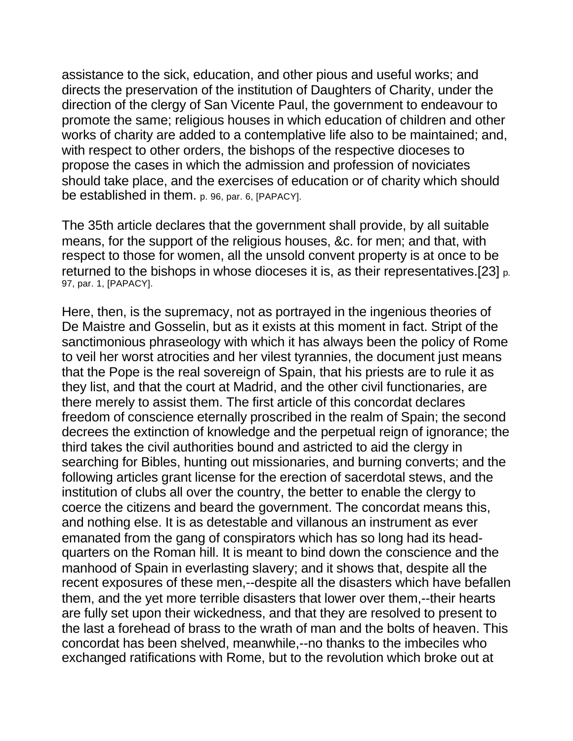assistance to the sick, education, and other pious and useful works; and directs the preservation of the institution of Daughters of Charity, under the direction of the clergy of San Vicente Paul, the government to endeavour to promote the same; religious houses in which education of children and other works of charity are added to a contemplative life also to be maintained; and, with respect to other orders, the bishops of the respective dioceses to propose the cases in which the admission and profession of noviciates should take place, and the exercises of education or of charity which should be established in them. p. 96, par. 6, [PAPACY].

The 35th article declares that the government shall provide, by all suitable means, for the support of the religious houses, &c. for men; and that, with respect to those for women, all the unsold convent property is at once to be returned to the bishops in whose dioceses it is, as their representatives.[23] p. 97, par. 1, [PAPACY].

Here, then, is the supremacy, not as portrayed in the ingenious theories of De Maistre and Gosselin, but as it exists at this moment in fact. Stript of the sanctimonious phraseology with which it has always been the policy of Rome to veil her worst atrocities and her vilest tyrannies, the document just means that the Pope is the real sovereign of Spain, that his priests are to rule it as they list, and that the court at Madrid, and the other civil functionaries, are there merely to assist them. The first article of this concordat declares freedom of conscience eternally proscribed in the realm of Spain; the second decrees the extinction of knowledge and the perpetual reign of ignorance; the third takes the civil authorities bound and astricted to aid the clergy in searching for Bibles, hunting out missionaries, and burning converts; and the following articles grant license for the erection of sacerdotal stews, and the institution of clubs all over the country, the better to enable the clergy to coerce the citizens and beard the government. The concordat means this, and nothing else. It is as detestable and villanous an instrument as ever emanated from the gang of conspirators which has so long had its headquarters on the Roman hill. It is meant to bind down the conscience and the manhood of Spain in everlasting slavery; and it shows that, despite all the recent exposures of these men,--despite all the disasters which have befallen them, and the yet more terrible disasters that lower over them,--their hearts are fully set upon their wickedness, and that they are resolved to present to the last a forehead of brass to the wrath of man and the bolts of heaven. This concordat has been shelved, meanwhile,--no thanks to the imbeciles who exchanged ratifications with Rome, but to the revolution which broke out at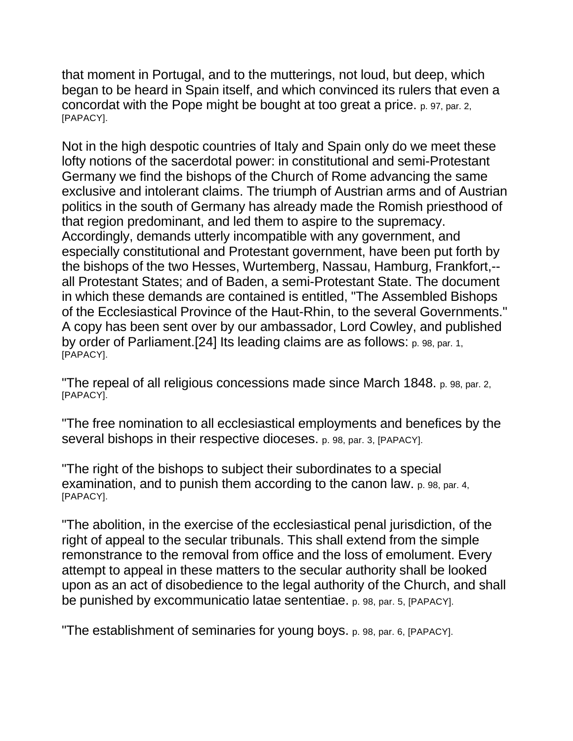that moment in Portugal, and to the mutterings, not loud, but deep, which began to be heard in Spain itself, and which convinced its rulers that even a concordat with the Pope might be bought at too great a price. p. 97, par. 2, [PAPACY].

Not in the high despotic countries of Italy and Spain only do we meet these lofty notions of the sacerdotal power: in constitutional and semi-Protestant Germany we find the bishops of the Church of Rome advancing the same exclusive and intolerant claims. The triumph of Austrian arms and of Austrian politics in the south of Germany has already made the Romish priesthood of that region predominant, and led them to aspire to the supremacy. Accordingly, demands utterly incompatible with any government, and especially constitutional and Protestant government, have been put forth by the bishops of the two Hesses, Wurtemberg, Nassau, Hamburg, Frankfort,- all Protestant States; and of Baden, a semi-Protestant State. The document in which these demands are contained is entitled, "The Assembled Bishops of the Ecclesiastical Province of the Haut-Rhin, to the several Governments." A copy has been sent over by our ambassador, Lord Cowley, and published by order of Parliament.[24] Its leading claims are as follows: p. 98, par. 1, [PAPACY].

"The repeal of all religious concessions made since March 1848. p. 98, par. 2, [PAPACY].

"The free nomination to all ecclesiastical employments and benefices by the several bishops in their respective dioceses. p. 98, par. 3, [PAPACY].

"The right of the bishops to subject their subordinates to a special examination, and to punish them according to the canon law. p. 98, par. 4, [PAPACY].

"The abolition, in the exercise of the ecclesiastical penal jurisdiction, of the right of appeal to the secular tribunals. This shall extend from the simple remonstrance to the removal from office and the loss of emolument. Every attempt to appeal in these matters to the secular authority shall be looked upon as an act of disobedience to the legal authority of the Church, and shall be punished by excommunicatio latae sententiae. p. 98, par. 5, [PAPACY].

"The establishment of seminaries for young boys. p. 98, par. 6, [PAPACY].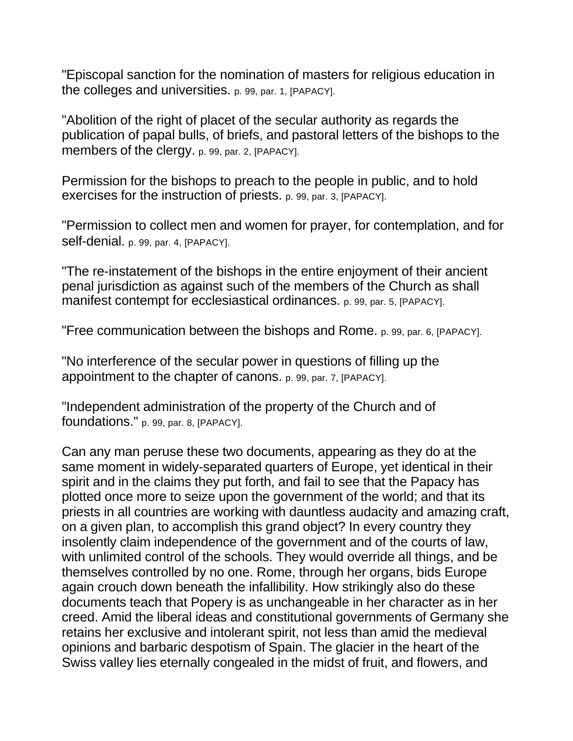"Episcopal sanction for the nomination of masters for religious education in the colleges and universities. p. 99, par. 1, [PAPACY].

"Abolition of the right of placet of the secular authority as regards the publication of papal bulls, of briefs, and pastoral letters of the bishops to the members of the clergy. p. 99, par. 2, [PAPACY].

Permission for the bishops to preach to the people in public, and to hold exercises for the instruction of priests. p. 99, par. 3, [PAPACY].

"Permission to collect men and women for prayer, for contemplation, and for self-denial. p. 99, par. 4, [PAPACY].

"The re-instatement of the bishops in the entire enjoyment of their ancient penal jurisdiction as against such of the members of the Church as shall manifest contempt for ecclesiastical ordinances. p. 99, par. 5, [PAPACY].

"Free communication between the bishops and Rome. p. 99, par. 6, [PAPACY].

"No interference of the secular power in questions of filling up the appointment to the chapter of canons. p. 99, par. 7, [PAPACY].

"Independent administration of the property of the Church and of foundations." p. 99, par. 8, [PAPACY].

Can any man peruse these two documents, appearing as they do at the same moment in widely-separated quarters of Europe, yet identical in their spirit and in the claims they put forth, and fail to see that the Papacy has plotted once more to seize upon the government of the world; and that its priests in all countries are working with dauntless audacity and amazing craft, on a given plan, to accomplish this grand object? In every country they insolently claim independence of the government and of the courts of law, with unlimited control of the schools. They would override all things, and be themselves controlled by no one. Rome, through her organs, bids Europe again crouch down beneath the infallibility. How strikingly also do these documents teach that Popery is as unchangeable in her character as in her creed. Amid the liberal ideas and constitutional governments of Germany she retains her exclusive and intolerant spirit, not less than amid the medieval opinions and barbaric despotism of Spain. The glacier in the heart of the Swiss valley lies eternally congealed in the midst of fruit, and flowers, and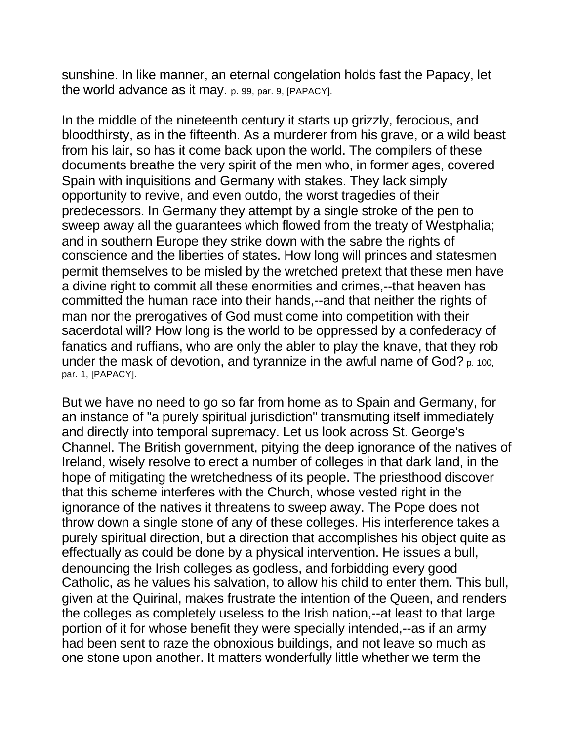sunshine. In like manner, an eternal congelation holds fast the Papacy, let the world advance as it may. p. 99, par. 9, [PAPACY].

In the middle of the nineteenth century it starts up grizzly, ferocious, and bloodthirsty, as in the fifteenth. As a murderer from his grave, or a wild beast from his lair, so has it come back upon the world. The compilers of these documents breathe the very spirit of the men who, in former ages, covered Spain with inquisitions and Germany with stakes. They lack simply opportunity to revive, and even outdo, the worst tragedies of their predecessors. In Germany they attempt by a single stroke of the pen to sweep away all the guarantees which flowed from the treaty of Westphalia; and in southern Europe they strike down with the sabre the rights of conscience and the liberties of states. How long will princes and statesmen permit themselves to be misled by the wretched pretext that these men have a divine right to commit all these enormities and crimes,--that heaven has committed the human race into their hands,--and that neither the rights of man nor the prerogatives of God must come into competition with their sacerdotal will? How long is the world to be oppressed by a confederacy of fanatics and ruffians, who are only the abler to play the knave, that they rob under the mask of devotion, and tyrannize in the awful name of God? p. 100, par. 1, [PAPACY].

But we have no need to go so far from home as to Spain and Germany, for an instance of "a purely spiritual jurisdiction" transmuting itself immediately and directly into temporal supremacy. Let us look across St. George's Channel. The British government, pitying the deep ignorance of the natives of Ireland, wisely resolve to erect a number of colleges in that dark land, in the hope of mitigating the wretchedness of its people. The priesthood discover that this scheme interferes with the Church, whose vested right in the ignorance of the natives it threatens to sweep away. The Pope does not throw down a single stone of any of these colleges. His interference takes a purely spiritual direction, but a direction that accomplishes his object quite as effectually as could be done by a physical intervention. He issues a bull, denouncing the Irish colleges as godless, and forbidding every good Catholic, as he values his salvation, to allow his child to enter them. This bull, given at the Quirinal, makes frustrate the intention of the Queen, and renders the colleges as completely useless to the Irish nation,--at least to that large portion of it for whose benefit they were specially intended,--as if an army had been sent to raze the obnoxious buildings, and not leave so much as one stone upon another. It matters wonderfully little whether we term the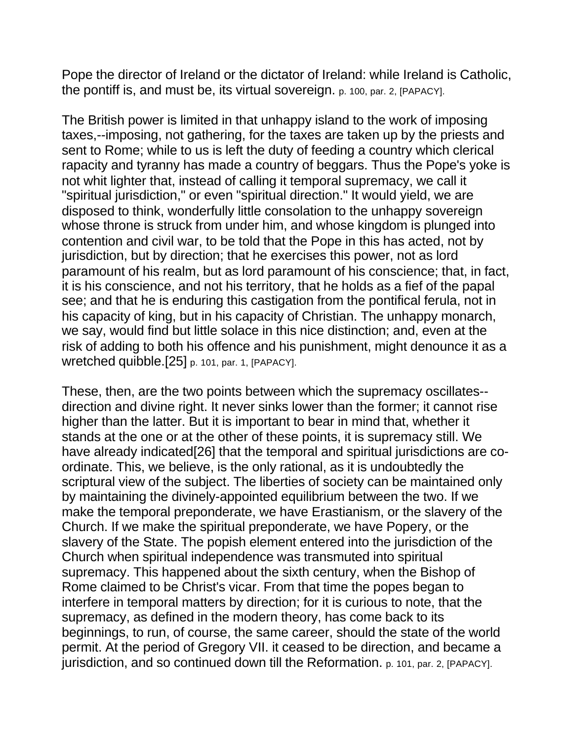Pope the director of Ireland or the dictator of Ireland: while Ireland is Catholic, the pontiff is, and must be, its virtual sovereign. p. 100, par. 2, [PAPACY].

The British power is limited in that unhappy island to the work of imposing taxes,--imposing, not gathering, for the taxes are taken up by the priests and sent to Rome; while to us is left the duty of feeding a country which clerical rapacity and tyranny has made a country of beggars. Thus the Pope's yoke is not whit lighter that, instead of calling it temporal supremacy, we call it "spiritual jurisdiction," or even "spiritual direction." It would yield, we are disposed to think, wonderfully little consolation to the unhappy sovereign whose throne is struck from under him, and whose kingdom is plunged into contention and civil war, to be told that the Pope in this has acted, not by jurisdiction, but by direction; that he exercises this power, not as lord paramount of his realm, but as lord paramount of his conscience; that, in fact, it is his conscience, and not his territory, that he holds as a fief of the papal see; and that he is enduring this castigation from the pontifical ferula, not in his capacity of king, but in his capacity of Christian. The unhappy monarch, we say, would find but little solace in this nice distinction; and, even at the risk of adding to both his offence and his punishment, might denounce it as a wretched quibble.[25] p. 101, par. 1, [PAPACY].

These, then, are the two points between which the supremacy oscillates- direction and divine right. It never sinks lower than the former; it cannot rise higher than the latter. But it is important to bear in mind that, whether it stands at the one or at the other of these points, it is supremacy still. We have already indicated[26] that the temporal and spiritual jurisdictions are coordinate. This, we believe, is the only rational, as it is undoubtedly the scriptural view of the subject. The liberties of society can be maintained only by maintaining the divinely-appointed equilibrium between the two. If we make the temporal preponderate, we have Erastianism, or the slavery of the Church. If we make the spiritual preponderate, we have Popery, or the slavery of the State. The popish element entered into the jurisdiction of the Church when spiritual independence was transmuted into spiritual supremacy. This happened about the sixth century, when the Bishop of Rome claimed to be Christ's vicar. From that time the popes began to interfere in temporal matters by direction; for it is curious to note, that the supremacy, as defined in the modern theory, has come back to its beginnings, to run, of course, the same career, should the state of the world permit. At the period of Gregory VII. it ceased to be direction, and became a jurisdiction, and so continued down till the Reformation. p. 101, par. 2, [PAPACY].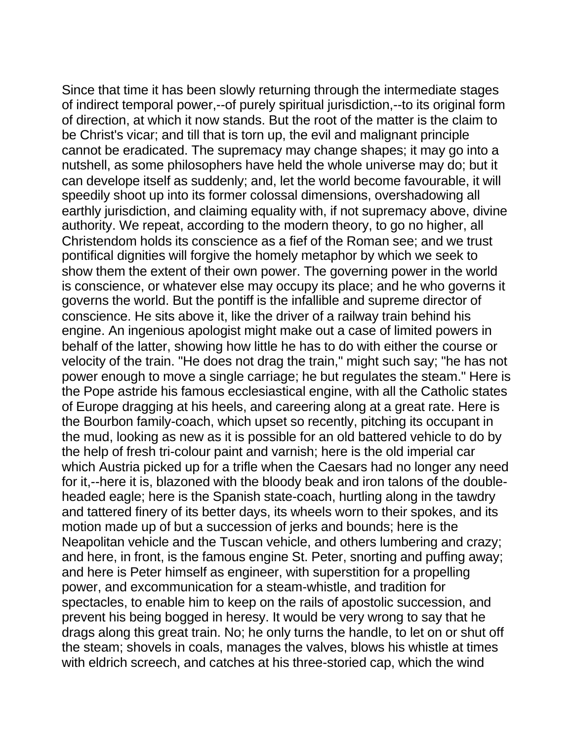Since that time it has been slowly returning through the intermediate stages of indirect temporal power,--of purely spiritual jurisdiction,--to its original form of direction, at which it now stands. But the root of the matter is the claim to be Christ's vicar; and till that is torn up, the evil and malignant principle cannot be eradicated. The supremacy may change shapes; it may go into a nutshell, as some philosophers have held the whole universe may do; but it can develope itself as suddenly; and, let the world become favourable, it will speedily shoot up into its former colossal dimensions, overshadowing all earthly jurisdiction, and claiming equality with, if not supremacy above, divine authority. We repeat, according to the modern theory, to go no higher, all Christendom holds its conscience as a fief of the Roman see; and we trust pontifical dignities will forgive the homely metaphor by which we seek to show them the extent of their own power. The governing power in the world is conscience, or whatever else may occupy its place; and he who governs it governs the world. But the pontiff is the infallible and supreme director of conscience. He sits above it, like the driver of a railway train behind his engine. An ingenious apologist might make out a case of limited powers in behalf of the latter, showing how little he has to do with either the course or velocity of the train. "He does not drag the train," might such say; "he has not power enough to move a single carriage; he but regulates the steam." Here is the Pope astride his famous ecclesiastical engine, with all the Catholic states of Europe dragging at his heels, and careering along at a great rate. Here is the Bourbon family-coach, which upset so recently, pitching its occupant in the mud, looking as new as it is possible for an old battered vehicle to do by the help of fresh tri-colour paint and varnish; here is the old imperial car which Austria picked up for a trifle when the Caesars had no longer any need for it,--here it is, blazoned with the bloody beak and iron talons of the doubleheaded eagle; here is the Spanish state-coach, hurtling along in the tawdry and tattered finery of its better days, its wheels worn to their spokes, and its motion made up of but a succession of jerks and bounds; here is the Neapolitan vehicle and the Tuscan vehicle, and others lumbering and crazy; and here, in front, is the famous engine St. Peter, snorting and puffing away; and here is Peter himself as engineer, with superstition for a propelling power, and excommunication for a steam-whistle, and tradition for spectacles, to enable him to keep on the rails of apostolic succession, and prevent his being bogged in heresy. It would be very wrong to say that he drags along this great train. No; he only turns the handle, to let on or shut off the steam; shovels in coals, manages the valves, blows his whistle at times with eldrich screech, and catches at his three-storied cap, which the wind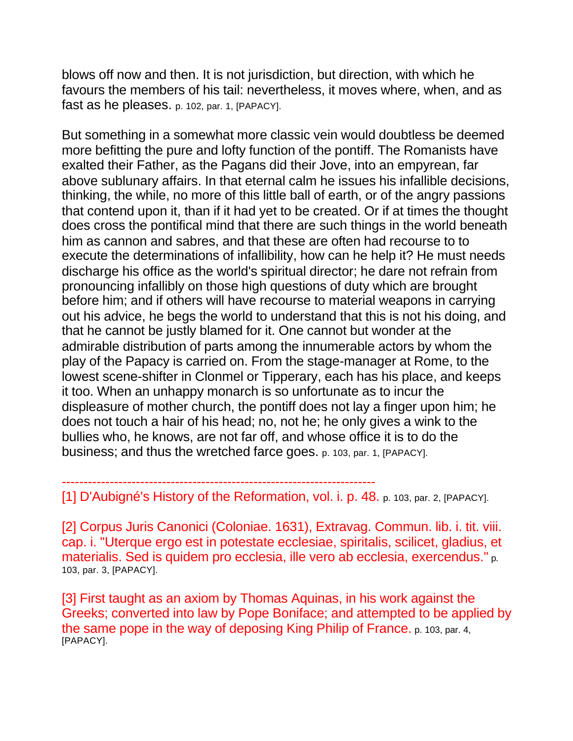blows off now and then. It is not jurisdiction, but direction, with which he favours the members of his tail: nevertheless, it moves where, when, and as fast as he pleases. p. 102, par. 1, [PAPACY].

But something in a somewhat more classic vein would doubtless be deemed more befitting the pure and lofty function of the pontiff. The Romanists have exalted their Father, as the Pagans did their Jove, into an empyrean, far above sublunary affairs. In that eternal calm he issues his infallible decisions, thinking, the while, no more of this little ball of earth, or of the angry passions that contend upon it, than if it had yet to be created. Or if at times the thought does cross the pontifical mind that there are such things in the world beneath him as cannon and sabres, and that these are often had recourse to to execute the determinations of infallibility, how can he help it? He must needs discharge his office as the world's spiritual director; he dare not refrain from pronouncing infallibly on those high questions of duty which are brought before him; and if others will have recourse to material weapons in carrying out his advice, he begs the world to understand that this is not his doing, and that he cannot be justly blamed for it. One cannot but wonder at the admirable distribution of parts among the innumerable actors by whom the play of the Papacy is carried on. From the stage-manager at Rome, to the lowest scene-shifter in Clonmel or Tipperary, each has his place, and keeps it too. When an unhappy monarch is so unfortunate as to incur the displeasure of mother church, the pontiff does not lay a finger upon him; he does not touch a hair of his head; no, not he; he only gives a wink to the bullies who, he knows, are not far off, and whose office it is to do the business; and thus the wretched farce goes. p. 103, par. 1, [PAPACY].

------------------------------------------------------------------------ [1] D'Aubigné's History of the Reformation, vol. i. p. 48. p. 103, par. 2, [PAPACY].

[2] Corpus Juris Canonici (Coloniae. 1631), Extravag. Commun. lib. i. tit. viii. cap. i. "Uterque ergo est in potestate ecclesiae, spiritalis, scilicet, gladius, et materialis. Sed is quidem pro ecclesia, ille vero ab ecclesia, exercendus." p. 103, par. 3, [PAPACY].

[3] First taught as an axiom by Thomas Aquinas, in his work against the Greeks; converted into law by Pope Boniface; and attempted to be applied by the same pope in the way of deposing King Philip of France. p. 103, par. 4, [PAPACY].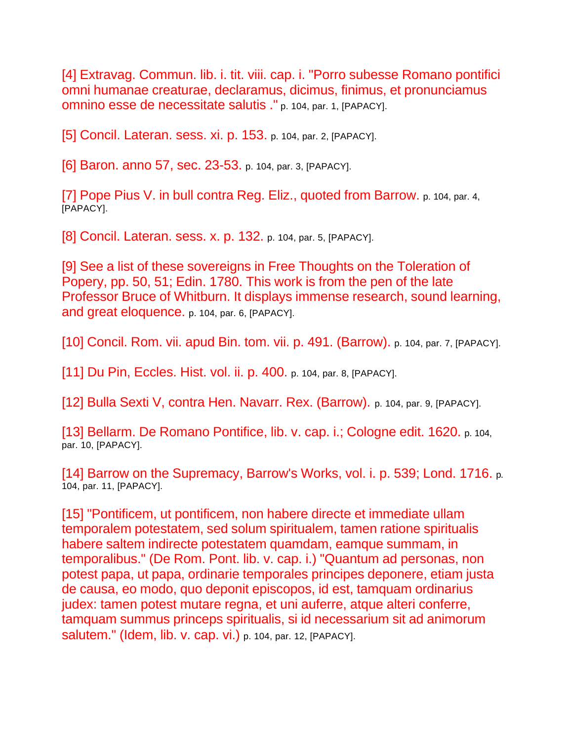[4] Extravag. Commun. lib. i. tit. viii. cap. i. "Porro subesse Romano pontifici omni humanae creaturae, declaramus, dicimus, finimus, et pronunciamus omnino esse de necessitate salutis ." p. 104, par. 1, [PAPACY].

[5] Concil. Lateran. sess. xi. p. 153. p. 104, par. 2, [PAPACY].

[6] Baron. anno 57, sec. 23-53. p. 104, par. 3, [PAPACY].

[7] Pope Pius V. in bull contra Reg. Eliz., quoted from Barrow. p. 104, par. 4, [PAPACY].

[8] Concil. Lateran. sess. x. p. 132. p. 104, par. 5, [PAPACY].

[9] See a list of these sovereigns in Free Thoughts on the Toleration of Popery, pp. 50, 51; Edin. 1780. This work is from the pen of the late Professor Bruce of Whitburn. It displays immense research, sound learning, and great eloquence. p. 104, par. 6, [PAPACY].

[10] Concil. Rom. vii. apud Bin. tom. vii. p. 491. (Barrow). p. 104, par. 7, [PAPACY].

[11] Du Pin, Eccles. Hist. vol. ii. p. 400. p. 104, par. 8, [PAPACY].

[12] Bulla Sexti V, contra Hen. Navarr. Rex. (Barrow). p. 104, par. 9, [PAPACY].

[13] Bellarm. De Romano Pontifice, lib. v. cap. i.; Cologne edit. 1620. p. 104, par. 10, [PAPACY].

[14] Barrow on the Supremacy, Barrow's Works, vol. i. p. 539; Lond. 1716. p. 104, par. 11, [PAPACY].

[15] "Pontificem, ut pontificem, non habere directe et immediate ullam temporalem potestatem, sed solum spiritualem, tamen ratione spiritualis habere saltem indirecte potestatem quamdam, eamque summam, in temporalibus." (De Rom. Pont. lib. v. cap. i.) "Quantum ad personas, non potest papa, ut papa, ordinarie temporales principes deponere, etiam justa de causa, eo modo, quo deponit episcopos, id est, tamquam ordinarius judex: tamen potest mutare regna, et uni auferre, atque alteri conferre, tamquam summus princeps spiritualis, si id necessarium sit ad animorum salutem." (Idem, lib. v. cap. vi.) p. 104, par. 12, [PAPACY].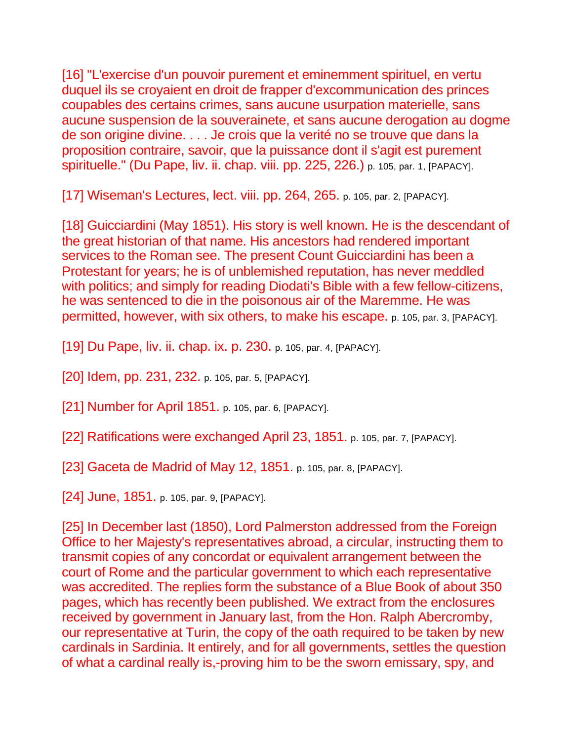[16] "L'exercise d'un pouvoir purement et eminemment spirituel, en vertu duquel ils se croyaient en droit de frapper d'excommunication des princes coupables des certains crimes, sans aucune usurpation materielle, sans aucune suspension de la souverainete, et sans aucune derogation au dogme de son origine divine. . . . Je crois que la verité no se trouve que dans la proposition contraire, savoir, que la puissance dont il s'agit est purement spirituelle." (Du Pape, liv. ii. chap. viii. pp. 225, 226.) p. 105, par. 1, [PAPACY].

[17] Wiseman's Lectures, lect. viii. pp. 264, 265. p. 105, par. 2, [PAPACY].

[18] Guicciardini (May 1851). His story is well known. He is the descendant of the great historian of that name. His ancestors had rendered important services to the Roman see. The present Count Guicciardini has been a Protestant for years; he is of unblemished reputation, has never meddled with politics; and simply for reading Diodati's Bible with a few fellow-citizens, he was sentenced to die in the poisonous air of the Maremme. He was permitted, however, with six others, to make his escape. p. 105, par. 3, [PAPACY].

[19] Du Pape, liv. ii. chap. ix. p. 230. p. 105, par. 4, [PAPACY].

[20] Idem, pp. 231, 232. p. 105, par. 5, [PAPACY].

[21] Number for April 1851. p. 105, par. 6, [PAPACY].

[22] Ratifications were exchanged April 23, 1851. p. 105, par. 7, [PAPACY].

[23] Gaceta de Madrid of May 12, 1851. p. 105, par. 8, [PAPACY].

[24] June, 1851. p. 105, par. 9, [PAPACY].

[25] In December last (1850), Lord Palmerston addressed from the Foreign Office to her Majesty's representatives abroad, a circular, instructing them to transmit copies of any concordat or equivalent arrangement between the court of Rome and the particular government to which each representative was accredited. The replies form the substance of a Blue Book of about 350 pages, which has recently been published. We extract from the enclosures received by government in January last, from the Hon. Ralph Abercromby, our representative at Turin, the copy of the oath required to be taken by new cardinals in Sardinia. It entirely, and for all governments, settles the question of what a cardinal really is,-proving him to be the sworn emissary, spy, and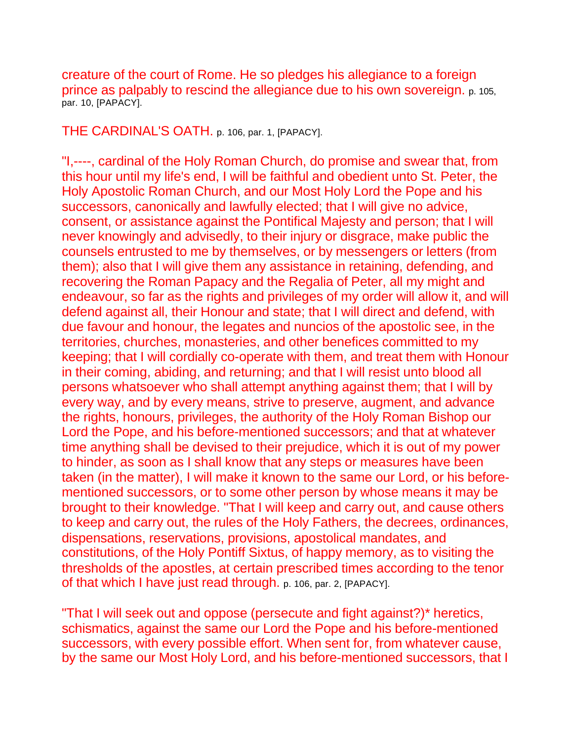creature of the court of Rome. He so pledges his allegiance to a foreign prince as palpably to rescind the allegiance due to his own sovereign. p. 105, par. 10, [PAPACY].

THE CARDINAL'S OATH. p. 106, par. 1, [PAPACY].

"I,----, cardinal of the Holy Roman Church, do promise and swear that, from this hour until my life's end, I will be faithful and obedient unto St. Peter, the Holy Apostolic Roman Church, and our Most Holy Lord the Pope and his successors, canonically and lawfully elected; that I will give no advice, consent, or assistance against the Pontifical Majesty and person; that I will never knowingly and advisedly, to their injury or disgrace, make public the counsels entrusted to me by themselves, or by messengers or letters (from them); also that I will give them any assistance in retaining, defending, and recovering the Roman Papacy and the Regalia of Peter, all my might and endeavour, so far as the rights and privileges of my order will allow it, and will defend against all, their Honour and state; that I will direct and defend, with due favour and honour, the legates and nuncios of the apostolic see, in the territories, churches, monasteries, and other benefices committed to my keeping; that I will cordially co-operate with them, and treat them with Honour in their coming, abiding, and returning; and that I will resist unto blood all persons whatsoever who shall attempt anything against them; that I will by every way, and by every means, strive to preserve, augment, and advance the rights, honours, privileges, the authority of the Holy Roman Bishop our Lord the Pope, and his before-mentioned successors; and that at whatever time anything shall be devised to their prejudice, which it is out of my power to hinder, as soon as I shall know that any steps or measures have been taken (in the matter), I will make it known to the same our Lord, or his beforementioned successors, or to some other person by whose means it may be brought to their knowledge. "That I will keep and carry out, and cause others to keep and carry out, the rules of the Holy Fathers, the decrees, ordinances, dispensations, reservations, provisions, apostolical mandates, and constitutions, of the Holy Pontiff Sixtus, of happy memory, as to visiting the thresholds of the apostles, at certain prescribed times according to the tenor of that which I have just read through. p. 106, par. 2, [PAPACY].

"That I will seek out and oppose (persecute and fight against?)\* heretics, schismatics, against the same our Lord the Pope and his before-mentioned successors, with every possible effort. When sent for, from whatever cause, by the same our Most Holy Lord, and his before-mentioned successors, that I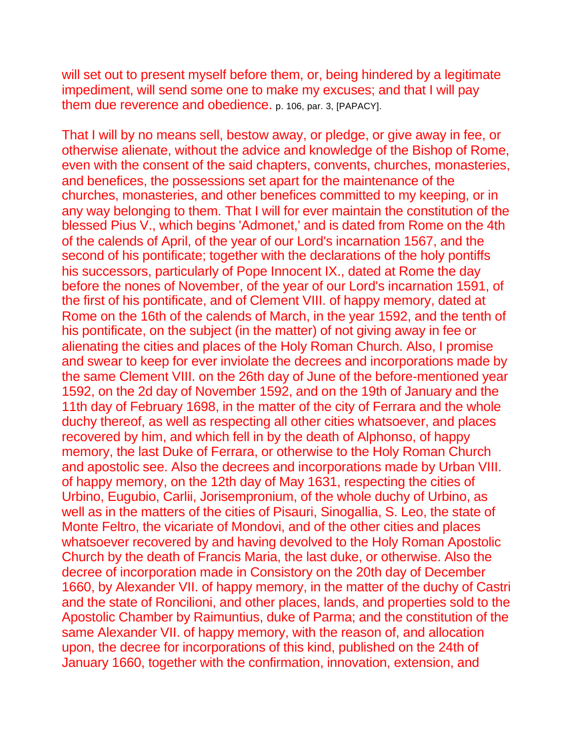will set out to present myself before them, or, being hindered by a legitimate impediment, will send some one to make my excuses; and that I will pay them due reverence and obedience. p. 106, par. 3, [PAPACY].

That I will by no means sell, bestow away, or pledge, or give away in fee, or otherwise alienate, without the advice and knowledge of the Bishop of Rome, even with the consent of the said chapters, convents, churches, monasteries, and benefices, the possessions set apart for the maintenance of the churches, monasteries, and other benefices committed to my keeping, or in any way belonging to them. That I will for ever maintain the constitution of the blessed Pius V., which begins 'Admonet,' and is dated from Rome on the 4th of the calends of April, of the year of our Lord's incarnation 1567, and the second of his pontificate; together with the declarations of the holy pontiffs his successors, particularly of Pope Innocent IX., dated at Rome the day before the nones of November, of the year of our Lord's incarnation 1591, of the first of his pontificate, and of Clement VIII. of happy memory, dated at Rome on the 16th of the calends of March, in the year 1592, and the tenth of his pontificate, on the subject (in the matter) of not giving away in fee or alienating the cities and places of the Holy Roman Church. Also, I promise and swear to keep for ever inviolate the decrees and incorporations made by the same Clement VIII. on the 26th day of June of the before-mentioned year 1592, on the 2d day of November 1592, and on the 19th of January and the 11th day of February 1698, in the matter of the city of Ferrara and the whole duchy thereof, as well as respecting all other cities whatsoever, and places recovered by him, and which fell in by the death of Alphonso, of happy memory, the last Duke of Ferrara, or otherwise to the Holy Roman Church and apostolic see. Also the decrees and incorporations made by Urban VIII. of happy memory, on the 12th day of May 1631, respecting the cities of Urbino, Eugubio, Carlii, Jorisempronium, of the whole duchy of Urbino, as well as in the matters of the cities of Pisauri, Sinogallia, S. Leo, the state of Monte Feltro, the vicariate of Mondovi, and of the other cities and places whatsoever recovered by and having devolved to the Holy Roman Apostolic Church by the death of Francis Maria, the last duke, or otherwise. Also the decree of incorporation made in Consistory on the 20th day of December 1660, by Alexander VII. of happy memory, in the matter of the duchy of Castri and the state of Roncilioni, and other places, lands, and properties sold to the Apostolic Chamber by Raimuntius, duke of Parma; and the constitution of the same Alexander VII. of happy memory, with the reason of, and allocation upon, the decree for incorporations of this kind, published on the 24th of January 1660, together with the confirmation, innovation, extension, and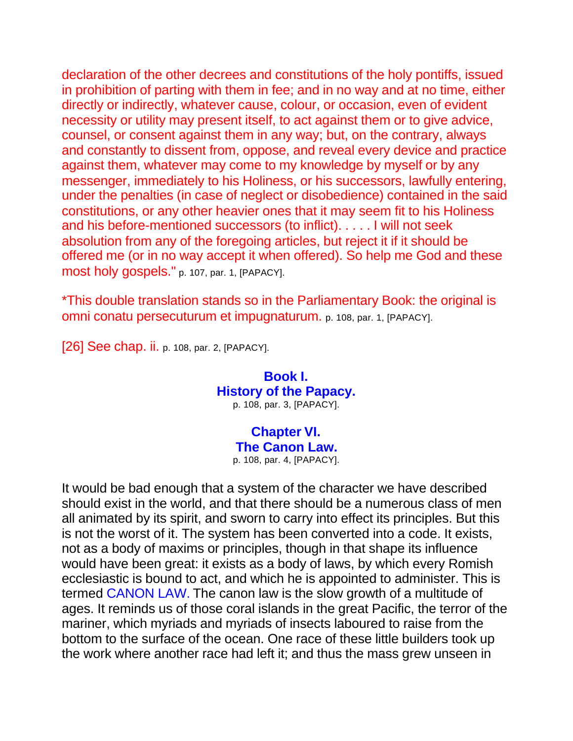declaration of the other decrees and constitutions of the holy pontiffs, issued in prohibition of parting with them in fee; and in no way and at no time, either directly or indirectly, whatever cause, colour, or occasion, even of evident necessity or utility may present itself, to act against them or to give advice, counsel, or consent against them in any way; but, on the contrary, always and constantly to dissent from, oppose, and reveal every device and practice against them, whatever may come to my knowledge by myself or by any messenger, immediately to his Holiness, or his successors, lawfully entering, under the penalties (in case of neglect or disobedience) contained in the said constitutions, or any other heavier ones that it may seem fit to his Holiness and his before-mentioned successors (to inflict). . . . . I will not seek absolution from any of the foregoing articles, but reject it if it should be offered me (or in no way accept it when offered). So help me God and these most holy gospels." p. 107, par. 1, [PAPACY].

\*This double translation stands so in the Parliamentary Book: the original is omni conatu persecuturum et impugnaturum. p. 108, par. 1, [PAPACY].

[26] See chap. ii. p. 108, par. 2, [PAPACY].

**Book I. History of the Papacy.** p. 108, par. 3, [PAPACY].

> **Chapter VI. The Canon Law.** p. 108, par. 4, [PAPACY].

It would be bad enough that a system of the character we have described should exist in the world, and that there should be a numerous class of men all animated by its spirit, and sworn to carry into effect its principles. But this is not the worst of it. The system has been converted into a code. It exists, not as a body of maxims or principles, though in that shape its influence would have been great: it exists as a body of laws, by which every Romish ecclesiastic is bound to act, and which he is appointed to administer. This is termed CANON LAW. The canon law is the slow growth of a multitude of ages. It reminds us of those coral islands in the great Pacific, the terror of the mariner, which myriads and myriads of insects laboured to raise from the bottom to the surface of the ocean. One race of these little builders took up the work where another race had left it; and thus the mass grew unseen in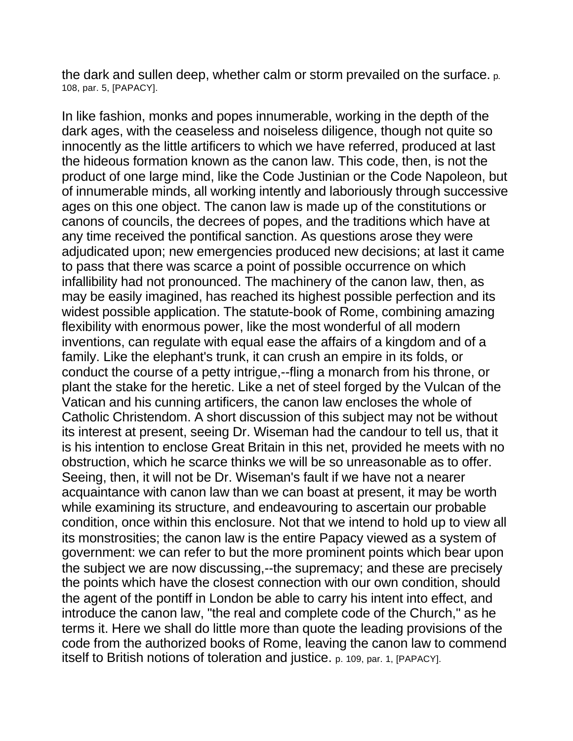the dark and sullen deep, whether calm or storm prevailed on the surface. p. 108, par. 5, [PAPACY].

In like fashion, monks and popes innumerable, working in the depth of the dark ages, with the ceaseless and noiseless diligence, though not quite so innocently as the little artificers to which we have referred, produced at last the hideous formation known as the canon law. This code, then, is not the product of one large mind, like the Code Justinian or the Code Napoleon, but of innumerable minds, all working intently and laboriously through successive ages on this one object. The canon law is made up of the constitutions or canons of councils, the decrees of popes, and the traditions which have at any time received the pontifical sanction. As questions arose they were adjudicated upon; new emergencies produced new decisions; at last it came to pass that there was scarce a point of possible occurrence on which infallibility had not pronounced. The machinery of the canon law, then, as may be easily imagined, has reached its highest possible perfection and its widest possible application. The statute-book of Rome, combining amazing flexibility with enormous power, like the most wonderful of all modern inventions, can regulate with equal ease the affairs of a kingdom and of a family. Like the elephant's trunk, it can crush an empire in its folds, or conduct the course of a petty intrigue,--fling a monarch from his throne, or plant the stake for the heretic. Like a net of steel forged by the Vulcan of the Vatican and his cunning artificers, the canon law encloses the whole of Catholic Christendom. A short discussion of this subject may not be without its interest at present, seeing Dr. Wiseman had the candour to tell us, that it is his intention to enclose Great Britain in this net, provided he meets with no obstruction, which he scarce thinks we will be so unreasonable as to offer. Seeing, then, it will not be Dr. Wiseman's fault if we have not a nearer acquaintance with canon law than we can boast at present, it may be worth while examining its structure, and endeavouring to ascertain our probable condition, once within this enclosure. Not that we intend to hold up to view all its monstrosities; the canon law is the entire Papacy viewed as a system of government: we can refer to but the more prominent points which bear upon the subject we are now discussing,--the supremacy; and these are precisely the points which have the closest connection with our own condition, should the agent of the pontiff in London be able to carry his intent into effect, and introduce the canon law, "the real and complete code of the Church," as he terms it. Here we shall do little more than quote the leading provisions of the code from the authorized books of Rome, leaving the canon law to commend itself to British notions of toleration and justice. p. 109, par. 1, [PAPACY].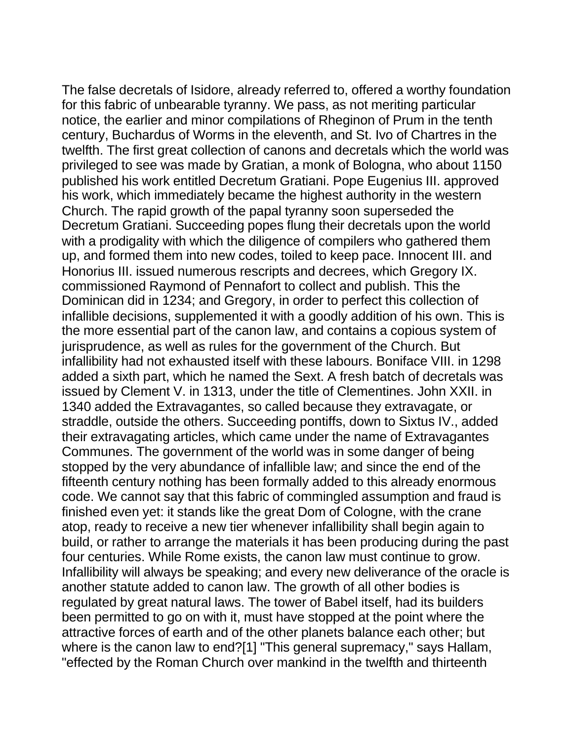The false decretals of Isidore, already referred to, offered a worthy foundation for this fabric of unbearable tyranny. We pass, as not meriting particular notice, the earlier and minor compilations of Rheginon of Prum in the tenth century, Buchardus of Worms in the eleventh, and St. Ivo of Chartres in the twelfth. The first great collection of canons and decretals which the world was privileged to see was made by Gratian, a monk of Bologna, who about 1150 published his work entitled Decretum Gratiani. Pope Eugenius III. approved his work, which immediately became the highest authority in the western Church. The rapid growth of the papal tyranny soon superseded the Decretum Gratiani. Succeeding popes flung their decretals upon the world with a prodigality with which the diligence of compilers who gathered them up, and formed them into new codes, toiled to keep pace. Innocent III. and Honorius III. issued numerous rescripts and decrees, which Gregory IX. commissioned Raymond of Pennafort to collect and publish. This the Dominican did in 1234; and Gregory, in order to perfect this collection of infallible decisions, supplemented it with a goodly addition of his own. This is the more essential part of the canon law, and contains a copious system of jurisprudence, as well as rules for the government of the Church. But infallibility had not exhausted itself with these labours. Boniface VIII. in 1298 added a sixth part, which he named the Sext. A fresh batch of decretals was issued by Clement V. in 1313, under the title of Clementines. John XXII. in 1340 added the Extravagantes, so called because they extravagate, or straddle, outside the others. Succeeding pontiffs, down to Sixtus IV., added their extravagating articles, which came under the name of Extravagantes Communes. The government of the world was in some danger of being stopped by the very abundance of infallible law; and since the end of the fifteenth century nothing has been formally added to this already enormous code. We cannot say that this fabric of commingled assumption and fraud is finished even yet: it stands like the great Dom of Cologne, with the crane atop, ready to receive a new tier whenever infallibility shall begin again to build, or rather to arrange the materials it has been producing during the past four centuries. While Rome exists, the canon law must continue to grow. Infallibility will always be speaking; and every new deliverance of the oracle is another statute added to canon law. The growth of all other bodies is regulated by great natural laws. The tower of Babel itself, had its builders been permitted to go on with it, must have stopped at the point where the attractive forces of earth and of the other planets balance each other; but where is the canon law to end?[1] "This general supremacy," says Hallam, "effected by the Roman Church over mankind in the twelfth and thirteenth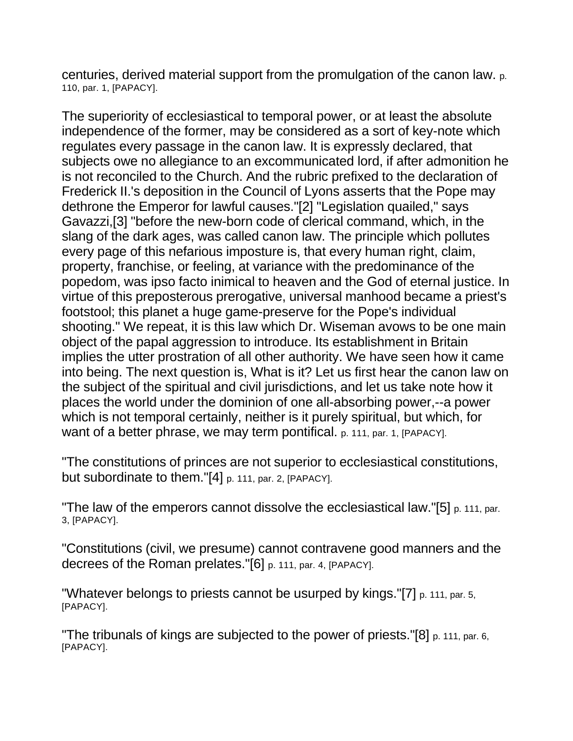centuries, derived material support from the promulgation of the canon law. p. 110, par. 1, [PAPACY].

The superiority of ecclesiastical to temporal power, or at least the absolute independence of the former, may be considered as a sort of key-note which regulates every passage in the canon law. It is expressly declared, that subjects owe no allegiance to an excommunicated lord, if after admonition he is not reconciled to the Church. And the rubric prefixed to the declaration of Frederick II.'s deposition in the Council of Lyons asserts that the Pope may dethrone the Emperor for lawful causes."[2] "Legislation quailed," says Gavazzi,[3] "before the new-born code of clerical command, which, in the slang of the dark ages, was called canon law. The principle which pollutes every page of this nefarious imposture is, that every human right, claim, property, franchise, or feeling, at variance with the predominance of the popedom, was ipso facto inimical to heaven and the God of eternal justice. In virtue of this preposterous prerogative, universal manhood became a priest's footstool; this planet a huge game-preserve for the Pope's individual shooting." We repeat, it is this law which Dr. Wiseman avows to be one main object of the papal aggression to introduce. Its establishment in Britain implies the utter prostration of all other authority. We have seen how it came into being. The next question is, What is it? Let us first hear the canon law on the subject of the spiritual and civil jurisdictions, and let us take note how it places the world under the dominion of one all-absorbing power,--a power which is not temporal certainly, neither is it purely spiritual, but which, for want of a better phrase, we may term pontifical. p. 111, par. 1, [PAPACY].

"The constitutions of princes are not superior to ecclesiastical constitutions, but subordinate to them."[4] p. 111, par. 2, [PAPACY].

"The law of the emperors cannot dissolve the ecclesiastical law."[5] p. 111, par. 3, [PAPACY].

"Constitutions (civil, we presume) cannot contravene good manners and the decrees of the Roman prelates."[6] p. 111, par. 4, [PAPACY].

"Whatever belongs to priests cannot be usurped by kings."[7] p. 111, par. 5, [PAPACY].

"The tribunals of kings are subjected to the power of priests."[8] p. 111, par. 6, [PAPACY].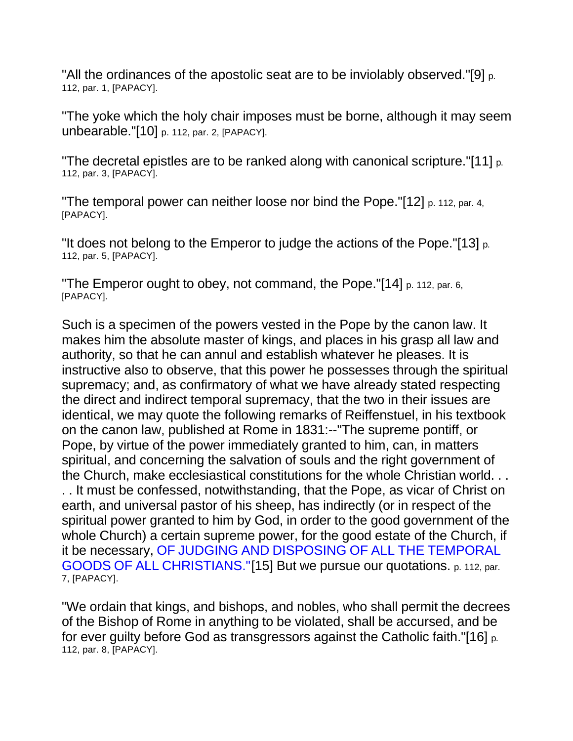"All the ordinances of the apostolic seat are to be inviolably observed."[9] p. 112, par. 1, [PAPACY].

"The yoke which the holy chair imposes must be borne, although it may seem unbearable."[10] p. 112, par. 2, [PAPACY].

"The decretal epistles are to be ranked along with canonical scripture."[11] p. 112, par. 3, [PAPACY].

"The temporal power can neither loose nor bind the Pope."[12] p. 112, par. 4, [PAPACY].

"It does not belong to the Emperor to judge the actions of the Pope."[13] p. 112, par. 5, [PAPACY].

"The Emperor ought to obey, not command, the Pope."[14] p. 112, par. 6, [PAPACY].

Such is a specimen of the powers vested in the Pope by the canon law. It makes him the absolute master of kings, and places in his grasp all law and authority, so that he can annul and establish whatever he pleases. It is instructive also to observe, that this power he possesses through the spiritual supremacy; and, as confirmatory of what we have already stated respecting the direct and indirect temporal supremacy, that the two in their issues are identical, we may quote the following remarks of Reiffenstuel, in his textbook on the canon law, published at Rome in 1831:--"The supreme pontiff, or Pope, by virtue of the power immediately granted to him, can, in matters spiritual, and concerning the salvation of souls and the right government of the Church, make ecclesiastical constitutions for the whole Christian world. . . . . It must be confessed, notwithstanding, that the Pope, as vicar of Christ on earth, and universal pastor of his sheep, has indirectly (or in respect of the spiritual power granted to him by God, in order to the good government of the whole Church) a certain supreme power, for the good estate of the Church, if it be necessary, OF JUDGING AND DISPOSING OF ALL THE TEMPORAL GOODS OF ALL CHRISTIANS."[15] But we pursue our quotations. p. 112, par. 7, [PAPACY].

"We ordain that kings, and bishops, and nobles, who shall permit the decrees of the Bishop of Rome in anything to be violated, shall be accursed, and be for ever guilty before God as transgressors against the Catholic faith."[16] p. 112, par. 8, [PAPACY].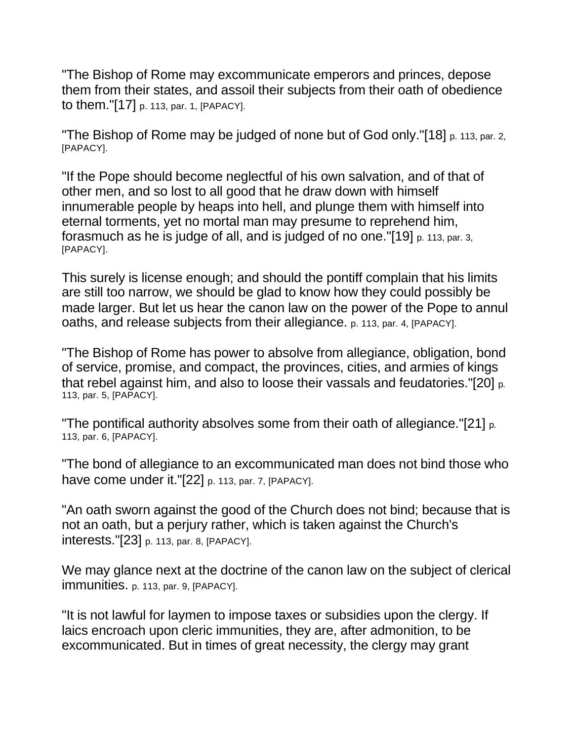"The Bishop of Rome may excommunicate emperors and princes, depose them from their states, and assoil their subjects from their oath of obedience to them."[17] p. 113, par. 1, [PAPACY].

"The Bishop of Rome may be judged of none but of God only."[18] p. 113, par. 2, [PAPACY].

"If the Pope should become neglectful of his own salvation, and of that of other men, and so lost to all good that he draw down with himself innumerable people by heaps into hell, and plunge them with himself into eternal torments, yet no mortal man may presume to reprehend him, forasmuch as he is judge of all, and is judged of no one."[19] p. 113, par. 3, [PAPACY].

This surely is license enough; and should the pontiff complain that his limits are still too narrow, we should be glad to know how they could possibly be made larger. But let us hear the canon law on the power of the Pope to annul oaths, and release subjects from their allegiance. p. 113, par. 4, [PAPACY].

"The Bishop of Rome has power to absolve from allegiance, obligation, bond of service, promise, and compact, the provinces, cities, and armies of kings that rebel against him, and also to loose their vassals and feudatories."[20] p. 113, par. 5, [PAPACY].

"The pontifical authority absolves some from their oath of allegiance."[21] p. 113, par. 6, [PAPACY].

"The bond of allegiance to an excommunicated man does not bind those who have come under it."[22] p. 113, par. 7, [PAPACY].

"An oath sworn against the good of the Church does not bind; because that is not an oath, but a perjury rather, which is taken against the Church's interests."[23] p. 113, par. 8, [PAPACY].

We may glance next at the doctrine of the canon law on the subject of clerical immunities. p. 113, par. 9, [PAPACY].

"It is not lawful for laymen to impose taxes or subsidies upon the clergy. If laics encroach upon cleric immunities, they are, after admonition, to be excommunicated. But in times of great necessity, the clergy may grant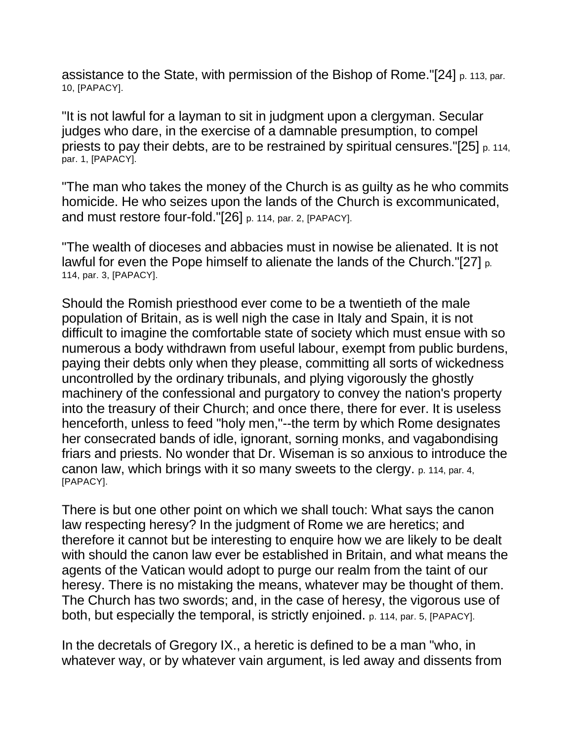assistance to the State, with permission of the Bishop of Rome."[24] p. 113, par. 10, [PAPACY].

"It is not lawful for a layman to sit in judgment upon a clergyman. Secular judges who dare, in the exercise of a damnable presumption, to compel priests to pay their debts, are to be restrained by spiritual censures."[25] p. 114, par. 1, [PAPACY].

"The man who takes the money of the Church is as guilty as he who commits homicide. He who seizes upon the lands of the Church is excommunicated, and must restore four-fold."[26] p. 114, par. 2, [PAPACY].

"The wealth of dioceses and abbacies must in nowise be alienated. It is not lawful for even the Pope himself to alienate the lands of the Church."[27] p. 114, par. 3, [PAPACY].

Should the Romish priesthood ever come to be a twentieth of the male population of Britain, as is well nigh the case in Italy and Spain, it is not difficult to imagine the comfortable state of society which must ensue with so numerous a body withdrawn from useful labour, exempt from public burdens, paying their debts only when they please, committing all sorts of wickedness uncontrolled by the ordinary tribunals, and plying vigorously the ghostly machinery of the confessional and purgatory to convey the nation's property into the treasury of their Church; and once there, there for ever. It is useless henceforth, unless to feed "holy men,"--the term by which Rome designates her consecrated bands of idle, ignorant, sorning monks, and vagabondising friars and priests. No wonder that Dr. Wiseman is so anxious to introduce the canon law, which brings with it so many sweets to the clergy. p. 114, par. 4, [PAPACY].

There is but one other point on which we shall touch: What says the canon law respecting heresy? In the judgment of Rome we are heretics; and therefore it cannot but be interesting to enquire how we are likely to be dealt with should the canon law ever be established in Britain, and what means the agents of the Vatican would adopt to purge our realm from the taint of our heresy. There is no mistaking the means, whatever may be thought of them. The Church has two swords; and, in the case of heresy, the vigorous use of both, but especially the temporal, is strictly enjoined. p. 114, par. 5, [PAPACY].

In the decretals of Gregory IX., a heretic is defined to be a man "who, in whatever way, or by whatever vain argument, is led away and dissents from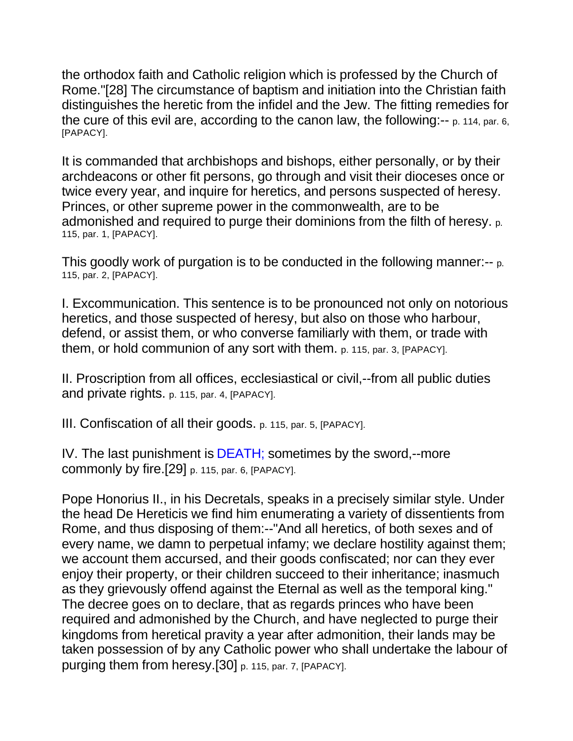the orthodox faith and Catholic religion which is professed by the Church of Rome."[28] The circumstance of baptism and initiation into the Christian faith distinguishes the heretic from the infidel and the Jew. The fitting remedies for the cure of this evil are, according to the canon law, the following:-- p. 114, par. 6, [PAPACY].

It is commanded that archbishops and bishops, either personally, or by their archdeacons or other fit persons, go through and visit their dioceses once or twice every year, and inquire for heretics, and persons suspected of heresy. Princes, or other supreme power in the commonwealth, are to be admonished and required to purge their dominions from the filth of heresy. p. 115, par. 1, [PAPACY].

This goodly work of purgation is to be conducted in the following manner:-- p. 115, par. 2, [PAPACY].

I. Excommunication. This sentence is to be pronounced not only on notorious heretics, and those suspected of heresy, but also on those who harbour, defend, or assist them, or who converse familiarly with them, or trade with them, or hold communion of any sort with them. p. 115, par. 3, [PAPACY].

II. Proscription from all offices, ecclesiastical or civil,--from all public duties and private rights. p. 115, par. 4, [PAPACY].

III. Confiscation of all their goods. p. 115, par. 5, [PAPACY].

IV. The last punishment is DEATH; sometimes by the sword,--more commonly by fire.[29] p. 115, par. 6, [PAPACY].

Pope Honorius II., in his Decretals, speaks in a precisely similar style. Under the head De Hereticis we find him enumerating a variety of dissentients from Rome, and thus disposing of them:--"And all heretics, of both sexes and of every name, we damn to perpetual infamy; we declare hostility against them; we account them accursed, and their goods confiscated; nor can they ever enjoy their property, or their children succeed to their inheritance; inasmuch as they grievously offend against the Eternal as well as the temporal king." The decree goes on to declare, that as regards princes who have been required and admonished by the Church, and have neglected to purge their kingdoms from heretical pravity a year after admonition, their lands may be taken possession of by any Catholic power who shall undertake the labour of purging them from heresy.[30] p. 115, par. 7, [PAPACY].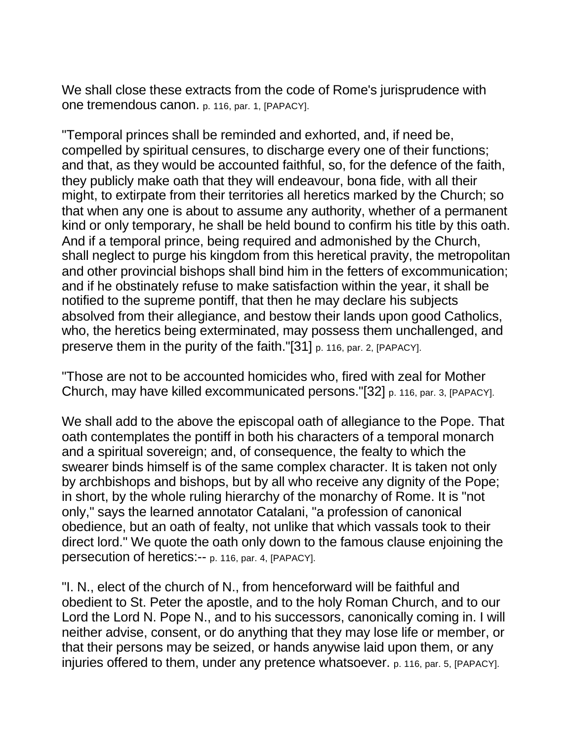We shall close these extracts from the code of Rome's jurisprudence with one tremendous canon. p. 116, par. 1, [PAPACY].

"Temporal princes shall be reminded and exhorted, and, if need be, compelled by spiritual censures, to discharge every one of their functions; and that, as they would be accounted faithful, so, for the defence of the faith, they publicly make oath that they will endeavour, bona fide, with all their might, to extirpate from their territories all heretics marked by the Church; so that when any one is about to assume any authority, whether of a permanent kind or only temporary, he shall be held bound to confirm his title by this oath. And if a temporal prince, being required and admonished by the Church, shall neglect to purge his kingdom from this heretical pravity, the metropolitan and other provincial bishops shall bind him in the fetters of excommunication; and if he obstinately refuse to make satisfaction within the year, it shall be notified to the supreme pontiff, that then he may declare his subjects absolved from their allegiance, and bestow their lands upon good Catholics, who, the heretics being exterminated, may possess them unchallenged, and preserve them in the purity of the faith."[31] p. 116, par. 2, [PAPACY].

"Those are not to be accounted homicides who, fired with zeal for Mother Church, may have killed excommunicated persons."[32] p. 116, par. 3, [PAPACY].

We shall add to the above the episcopal oath of allegiance to the Pope. That oath contemplates the pontiff in both his characters of a temporal monarch and a spiritual sovereign; and, of consequence, the fealty to which the swearer binds himself is of the same complex character. It is taken not only by archbishops and bishops, but by all who receive any dignity of the Pope; in short, by the whole ruling hierarchy of the monarchy of Rome. It is "not only," says the learned annotator Catalani, "a profession of canonical obedience, but an oath of fealty, not unlike that which vassals took to their direct lord." We quote the oath only down to the famous clause enjoining the persecution of heretics:-- p. 116, par. 4, [PAPACY].

"I. N., elect of the church of N., from henceforward will be faithful and obedient to St. Peter the apostle, and to the holy Roman Church, and to our Lord the Lord N. Pope N., and to his successors, canonically coming in. I will neither advise, consent, or do anything that they may lose life or member, or that their persons may be seized, or hands anywise laid upon them, or any injuries offered to them, under any pretence whatsoever. p. 116, par. 5, [PAPACY].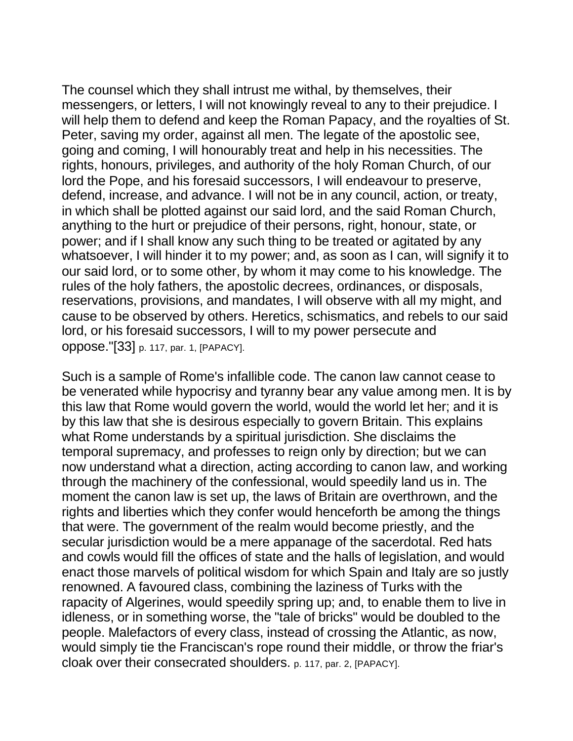The counsel which they shall intrust me withal, by themselves, their messengers, or letters, I will not knowingly reveal to any to their prejudice. I will help them to defend and keep the Roman Papacy, and the royalties of St. Peter, saving my order, against all men. The legate of the apostolic see, going and coming, I will honourably treat and help in his necessities. The rights, honours, privileges, and authority of the holy Roman Church, of our lord the Pope, and his foresaid successors, I will endeavour to preserve, defend, increase, and advance. I will not be in any council, action, or treaty, in which shall be plotted against our said lord, and the said Roman Church, anything to the hurt or prejudice of their persons, right, honour, state, or power; and if I shall know any such thing to be treated or agitated by any whatsoever, I will hinder it to my power; and, as soon as I can, will signify it to our said lord, or to some other, by whom it may come to his knowledge. The rules of the holy fathers, the apostolic decrees, ordinances, or disposals, reservations, provisions, and mandates, I will observe with all my might, and cause to be observed by others. Heretics, schismatics, and rebels to our said lord, or his foresaid successors, I will to my power persecute and oppose."[33] p. 117, par. 1, [PAPACY].

Such is a sample of Rome's infallible code. The canon law cannot cease to be venerated while hypocrisy and tyranny bear any value among men. It is by this law that Rome would govern the world, would the world let her; and it is by this law that she is desirous especially to govern Britain. This explains what Rome understands by a spiritual jurisdiction. She disclaims the temporal supremacy, and professes to reign only by direction; but we can now understand what a direction, acting according to canon law, and working through the machinery of the confessional, would speedily land us in. The moment the canon law is set up, the laws of Britain are overthrown, and the rights and liberties which they confer would henceforth be among the things that were. The government of the realm would become priestly, and the secular jurisdiction would be a mere appanage of the sacerdotal. Red hats and cowls would fill the offices of state and the halls of legislation, and would enact those marvels of political wisdom for which Spain and Italy are so justly renowned. A favoured class, combining the laziness of Turks with the rapacity of Algerines, would speedily spring up; and, to enable them to live in idleness, or in something worse, the "tale of bricks" would be doubled to the people. Malefactors of every class, instead of crossing the Atlantic, as now, would simply tie the Franciscan's rope round their middle, or throw the friar's cloak over their consecrated shoulders. p. 117, par. 2, [PAPACY].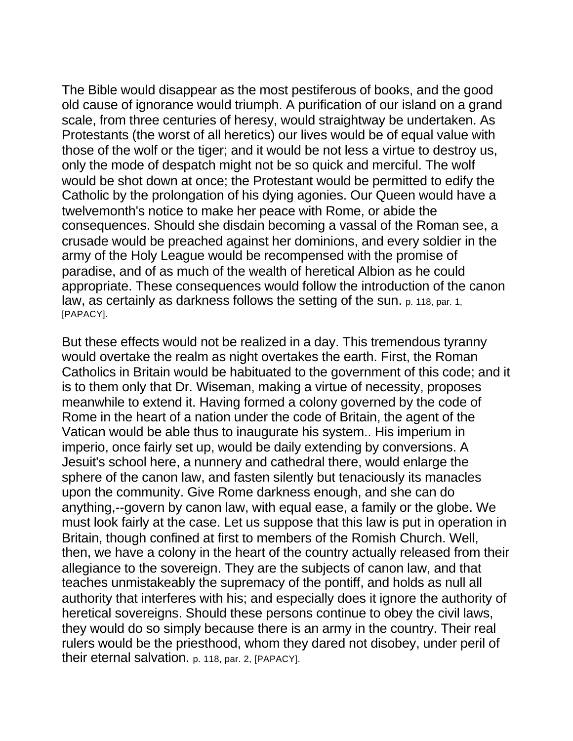The Bible would disappear as the most pestiferous of books, and the good old cause of ignorance would triumph. A purification of our island on a grand scale, from three centuries of heresy, would straightway be undertaken. As Protestants (the worst of all heretics) our lives would be of equal value with those of the wolf or the tiger; and it would be not less a virtue to destroy us, only the mode of despatch might not be so quick and merciful. The wolf would be shot down at once; the Protestant would be permitted to edify the Catholic by the prolongation of his dying agonies. Our Queen would have a twelvemonth's notice to make her peace with Rome, or abide the consequences. Should she disdain becoming a vassal of the Roman see, a crusade would be preached against her dominions, and every soldier in the army of the Holy League would be recompensed with the promise of paradise, and of as much of the wealth of heretical Albion as he could appropriate. These consequences would follow the introduction of the canon law, as certainly as darkness follows the setting of the sun. p. 118, par. 1, [PAPACY].

But these effects would not be realized in a day. This tremendous tyranny would overtake the realm as night overtakes the earth. First, the Roman Catholics in Britain would be habituated to the government of this code; and it is to them only that Dr. Wiseman, making a virtue of necessity, proposes meanwhile to extend it. Having formed a colony governed by the code of Rome in the heart of a nation under the code of Britain, the agent of the Vatican would be able thus to inaugurate his system.. His imperium in imperio, once fairly set up, would be daily extending by conversions. A Jesuit's school here, a nunnery and cathedral there, would enlarge the sphere of the canon law, and fasten silently but tenaciously its manacles upon the community. Give Rome darkness enough, and she can do anything,--govern by canon law, with equal ease, a family or the globe. We must look fairly at the case. Let us suppose that this law is put in operation in Britain, though confined at first to members of the Romish Church. Well, then, we have a colony in the heart of the country actually released from their allegiance to the sovereign. They are the subjects of canon law, and that teaches unmistakeably the supremacy of the pontiff, and holds as null all authority that interferes with his; and especially does it ignore the authority of heretical sovereigns. Should these persons continue to obey the civil laws, they would do so simply because there is an army in the country. Their real rulers would be the priesthood, whom they dared not disobey, under peril of their eternal salvation. p. 118, par. 2, [PAPACY].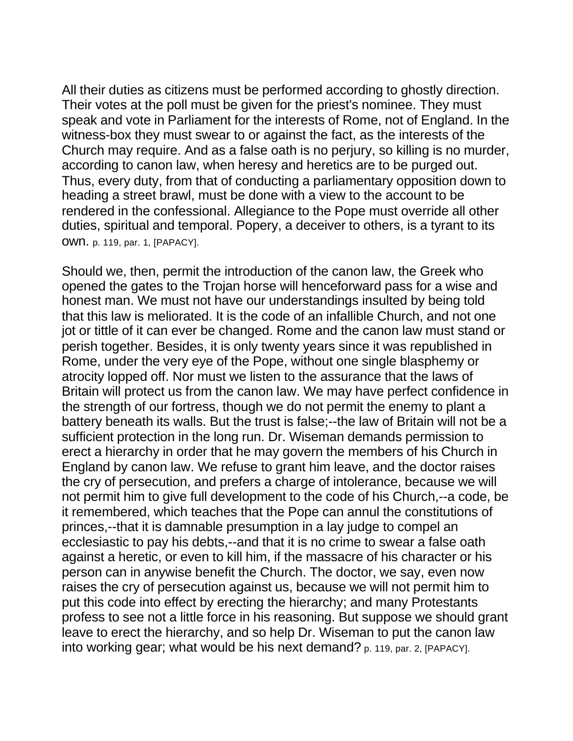All their duties as citizens must be performed according to ghostly direction. Their votes at the poll must be given for the priest's nominee. They must speak and vote in Parliament for the interests of Rome, not of England. In the witness-box they must swear to or against the fact, as the interests of the Church may require. And as a false oath is no perjury, so killing is no murder, according to canon law, when heresy and heretics are to be purged out. Thus, every duty, from that of conducting a parliamentary opposition down to heading a street brawl, must be done with a view to the account to be rendered in the confessional. Allegiance to the Pope must override all other duties, spiritual and temporal. Popery, a deceiver to others, is a tyrant to its own. p. 119, par. 1, [PAPACY].

Should we, then, permit the introduction of the canon law, the Greek who opened the gates to the Trojan horse will henceforward pass for a wise and honest man. We must not have our understandings insulted by being told that this law is meliorated. It is the code of an infallible Church, and not one jot or tittle of it can ever be changed. Rome and the canon law must stand or perish together. Besides, it is only twenty years since it was republished in Rome, under the very eye of the Pope, without one single blasphemy or atrocity lopped off. Nor must we listen to the assurance that the laws of Britain will protect us from the canon law. We may have perfect confidence in the strength of our fortress, though we do not permit the enemy to plant a battery beneath its walls. But the trust is false;--the law of Britain will not be a sufficient protection in the long run. Dr. Wiseman demands permission to erect a hierarchy in order that he may govern the members of his Church in England by canon law. We refuse to grant him leave, and the doctor raises the cry of persecution, and prefers a charge of intolerance, because we will not permit him to give full development to the code of his Church,--a code, be it remembered, which teaches that the Pope can annul the constitutions of princes,--that it is damnable presumption in a lay judge to compel an ecclesiastic to pay his debts,--and that it is no crime to swear a false oath against a heretic, or even to kill him, if the massacre of his character or his person can in anywise benefit the Church. The doctor, we say, even now raises the cry of persecution against us, because we will not permit him to put this code into effect by erecting the hierarchy; and many Protestants profess to see not a little force in his reasoning. But suppose we should grant leave to erect the hierarchy, and so help Dr. Wiseman to put the canon law into working gear; what would be his next demand? p. 119, par. 2, [PAPACY].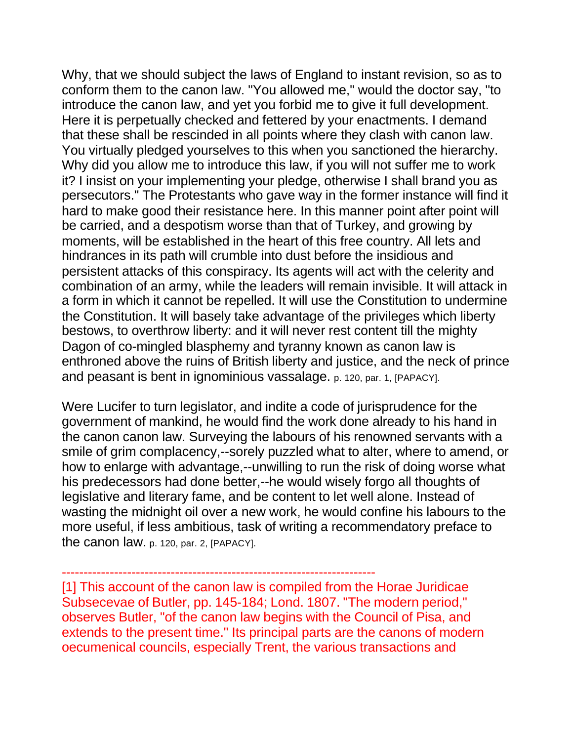Why, that we should subject the laws of England to instant revision, so as to conform them to the canon law. "You allowed me," would the doctor say, "to introduce the canon law, and yet you forbid me to give it full development. Here it is perpetually checked and fettered by your enactments. I demand that these shall be rescinded in all points where they clash with canon law. You virtually pledged yourselves to this when you sanctioned the hierarchy. Why did you allow me to introduce this law, if you will not suffer me to work it? I insist on your implementing your pledge, otherwise I shall brand you as persecutors." The Protestants who gave way in the former instance will find it hard to make good their resistance here. In this manner point after point will be carried, and a despotism worse than that of Turkey, and growing by moments, will be established in the heart of this free country. All lets and hindrances in its path will crumble into dust before the insidious and persistent attacks of this conspiracy. Its agents will act with the celerity and combination of an army, while the leaders will remain invisible. It will attack in a form in which it cannot be repelled. It will use the Constitution to undermine the Constitution. It will basely take advantage of the privileges which liberty bestows, to overthrow liberty: and it will never rest content till the mighty Dagon of co-mingled blasphemy and tyranny known as canon law is enthroned above the ruins of British liberty and justice, and the neck of prince and peasant is bent in ignominious vassalage. p. 120, par. 1, [PAPACY].

Were Lucifer to turn legislator, and indite a code of jurisprudence for the government of mankind, he would find the work done already to his hand in the canon canon law. Surveying the labours of his renowned servants with a smile of grim complacency,--sorely puzzled what to alter, where to amend, or how to enlarge with advantage,--unwilling to run the risk of doing worse what his predecessors had done better,--he would wisely forgo all thoughts of legislative and literary fame, and be content to let well alone. Instead of wasting the midnight oil over a new work, he would confine his labours to the more useful, if less ambitious, task of writing a recommendatory preface to the canon law. p. 120, par. 2, [PAPACY].

------------------------------------------------------------------------

[1] This account of the canon law is compiled from the Horae Juridicae Subsecevae of Butler, pp. 145-184; Lond. 1807. "The modern period," observes Butler, "of the canon law begins with the Council of Pisa, and extends to the present time." Its principal parts are the canons of modern oecumenical councils, especially Trent, the various transactions and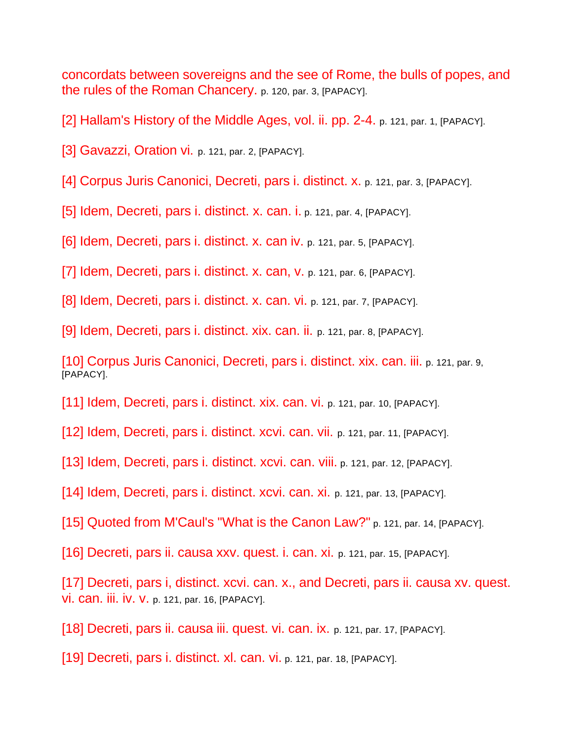concordats between sovereigns and the see of Rome, the bulls of popes, and the rules of the Roman Chancery. p. 120, par. 3, [PAPACY].

[2] Hallam's History of the Middle Ages, vol. ii. pp. 2-4. p. 121, par. 1, [PAPACY].

[3] Gavazzi, Oration vi. p. 121, par. 2, [PAPACY].

[4] Corpus Juris Canonici, Decreti, pars i. distinct. x. p. 121, par. 3, [PAPACY].

[5] Idem, Decreti, pars i. distinct. x. can. i. p. 121, par. 4, [PAPACY].

[6] Idem, Decreti, pars i. distinct. x. can iv. p. 121, par. 5, [PAPACY].

[7] Idem, Decreti, pars i. distinct. x. can, v. p. 121, par. 6, [PAPACY].

[8] Idem, Decreti, pars i. distinct. x. can. vi. p. 121, par. 7, [PAPACY].

[9] Idem, Decreti, pars i. distinct. xix. can. ii. p. 121, par. 8, [PAPACY].

[10] Corpus Juris Canonici, Decreti, pars i. distinct. xix. can. iii. p. 121, par. 9, [PAPACY].

[11] Idem, Decreti, pars i. distinct. xix. can. vi. p. 121, par. 10, [PAPACY].

[12] Idem, Decreti, pars i. distinct. xcvi. can. vii. p. 121, par. 11, [PAPACY].

[13] Idem, Decreti, pars i. distinct. xcvi. can. viii. p. 121, par. 12, [PAPACY].

[14] Idem, Decreti, pars i. distinct. xcvi. can. xi. p. 121, par. 13, [PAPACY].

[15] Quoted from M'Caul's "What is the Canon Law?" p. 121, par. 14, [PAPACY].

[16] Decreti, pars ii. causa xxv. quest. i. can. xi. p. 121, par. 15, [PAPACY].

[17] Decreti, pars i, distinct. xcvi. can. x., and Decreti, pars ii. causa xv. quest. vi. can. iii. iv. v. p. 121, par. 16, [PAPACY].

[18] Decreti, pars ii. causa iii. quest. vi. can. ix. p. 121, par. 17, [PAPACY].

[19] Decreti, pars i. distinct. xl. can. vi. p. 121, par. 18, [PAPACY].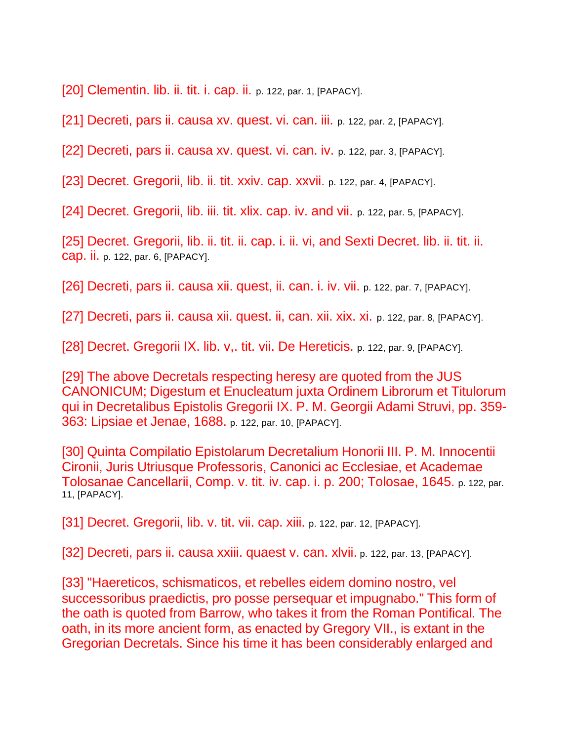[20] Clementin. lib. ii. tit. i. cap. ii. p. 122, par. 1, [PAPACY].

[21] Decreti, pars ii. causa xv. quest. vi. can. iii. p. 122, par. 2, [PAPACY].

[22] Decreti, pars ii. causa xv. quest. vi. can. iv. p. 122, par. 3, [PAPACY].

[23] Decret. Gregorii, lib. ii. tit. xxiv. cap. xxvii. p. 122, par. 4, [PAPACY].

[24] Decret. Gregorii, lib. iii. tit. xlix. cap. iv. and vii. p. 122, par. 5, [PAPACY].

[25] Decret. Gregorii, lib. ii. tit. ii. cap. i. ii. vi, and Sexti Decret. lib. ii. tit. ii. cap. ii. p. 122, par. 6, [PAPACY].

[26] Decreti, pars ii. causa xii. quest, ii. can. i. iv. vii. p. 122, par. 7, [PAPACY].

[27] Decreti, pars ii. causa xii. quest. ii, can. xii. xix. xi. p. 122, par. 8, [PAPACY].

[28] Decret. Gregorii IX. lib. v,. tit. vii. De Hereticis. p. 122, par. 9, [PAPACY].

[29] The above Decretals respecting heresy are quoted from the JUS CANONICUM; Digestum et Enucleatum juxta Ordinem Librorum et Titulorum qui in Decretalibus Epistolis Gregorii IX. P. M. Georgii Adami Struvi, pp. 359- 363: Lipsiae et Jenae, 1688. p. 122, par. 10, [PAPACY].

[30] Quinta Compilatio Epistolarum Decretalium Honorii III. P. M. Innocentii Cironii, Juris Utriusque Professoris, Canonici ac Ecclesiae, et Academae Tolosanae Cancellarii, Comp. v. tit. iv. cap. i. p. 200; Tolosae, 1645. p. 122, par. 11, [PAPACY].

[31] Decret. Gregorii, lib. v. tit. vii. cap. xiii. p. 122, par. 12, [PAPACY].

[32] Decreti, pars ii. causa xxiii. quaest v. can. xlvii. p. 122, par. 13, [PAPACY].

[33] "Haereticos, schismaticos, et rebelles eidem domino nostro, vel successoribus praedictis, pro posse persequar et impugnabo." This form of the oath is quoted from Barrow, who takes it from the Roman Pontifical. The oath, in its more ancient form, as enacted by Gregory VII., is extant in the Gregorian Decretals. Since his time it has been considerably enlarged and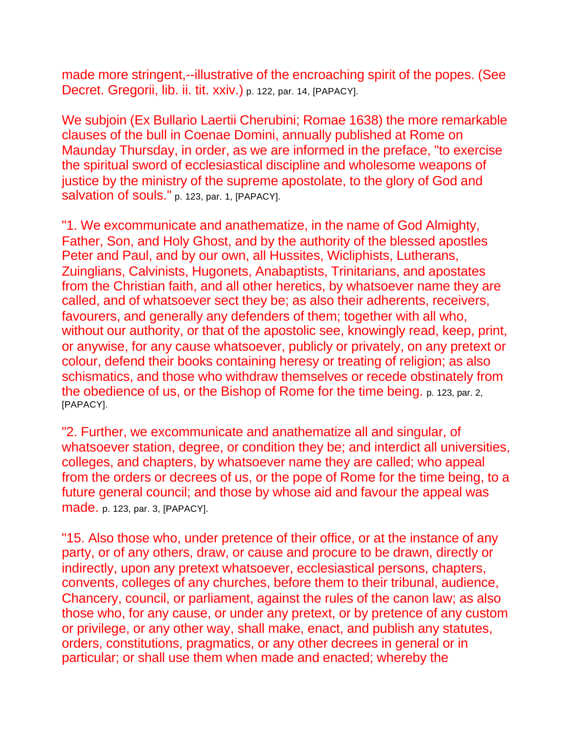made more stringent,--illustrative of the encroaching spirit of the popes. (See Decret. Gregorii, lib. ii. tit. xxiv.) p. 122, par. 14, [PAPACY].

We subjoin (Ex Bullario Laertii Cherubini; Romae 1638) the more remarkable clauses of the bull in Coenae Domini, annually published at Rome on Maunday Thursday, in order, as we are informed in the preface, "to exercise the spiritual sword of ecclesiastical discipline and wholesome weapons of justice by the ministry of the supreme apostolate, to the glory of God and salvation of souls." p. 123, par. 1, [PAPACY].

"1. We excommunicate and anathematize, in the name of God Almighty, Father, Son, and Holy Ghost, and by the authority of the blessed apostles Peter and Paul, and by our own, all Hussites, Wicliphists, Lutherans, Zuinglians, Calvinists, Hugonets, Anabaptists, Trinitarians, and apostates from the Christian faith, and all other heretics, by whatsoever name they are called, and of whatsoever sect they be; as also their adherents, receivers, favourers, and generally any defenders of them; together with all who, without our authority, or that of the apostolic see, knowingly read, keep, print, or anywise, for any cause whatsoever, publicly or privately, on any pretext or colour, defend their books containing heresy or treating of religion; as also schismatics, and those who withdraw themselves or recede obstinately from the obedience of us, or the Bishop of Rome for the time being. p. 123, par. 2, [PAPACY].

"2. Further, we excommunicate and anathematize all and singular, of whatsoever station, degree, or condition they be; and interdict all universities, colleges, and chapters, by whatsoever name they are called; who appeal from the orders or decrees of us, or the pope of Rome for the time being, to a future general council; and those by whose aid and favour the appeal was made. p. 123, par. 3, [PAPACY].

"15. Also those who, under pretence of their office, or at the instance of any party, or of any others, draw, or cause and procure to be drawn, directly or indirectly, upon any pretext whatsoever, ecclesiastical persons, chapters, convents, colleges of any churches, before them to their tribunal, audience, Chancery, council, or parliament, against the rules of the canon law; as also those who, for any cause, or under any pretext, or by pretence of any custom or privilege, or any other way, shall make, enact, and publish any statutes, orders, constitutions, pragmatics, or any other decrees in general or in particular; or shall use them when made and enacted; whereby the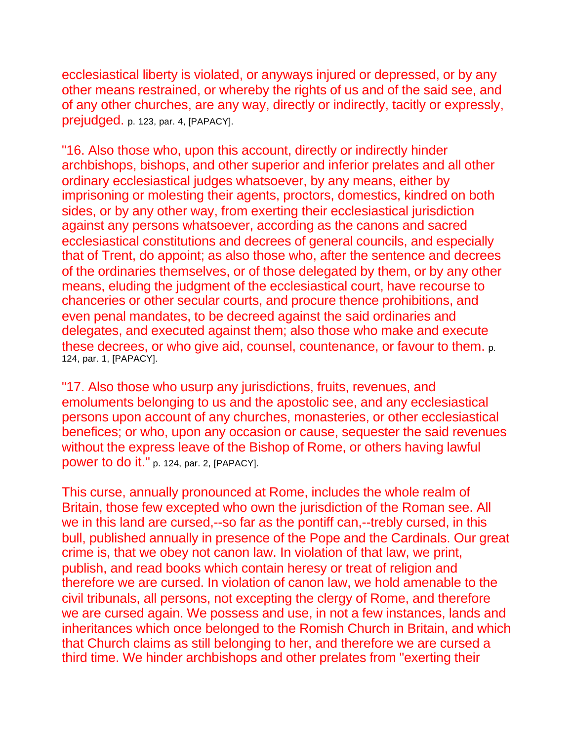ecclesiastical liberty is violated, or anyways injured or depressed, or by any other means restrained, or whereby the rights of us and of the said see, and of any other churches, are any way, directly or indirectly, tacitly or expressly, prejudged. p. 123, par. 4, [PAPACY].

"16. Also those who, upon this account, directly or indirectly hinder archbishops, bishops, and other superior and inferior prelates and all other ordinary ecclesiastical judges whatsoever, by any means, either by imprisoning or molesting their agents, proctors, domestics, kindred on both sides, or by any other way, from exerting their ecclesiastical jurisdiction against any persons whatsoever, according as the canons and sacred ecclesiastical constitutions and decrees of general councils, and especially that of Trent, do appoint; as also those who, after the sentence and decrees of the ordinaries themselves, or of those delegated by them, or by any other means, eluding the judgment of the ecclesiastical court, have recourse to chanceries or other secular courts, and procure thence prohibitions, and even penal mandates, to be decreed against the said ordinaries and delegates, and executed against them; also those who make and execute these decrees, or who give aid, counsel, countenance, or favour to them. p. 124, par. 1, [PAPACY].

"17. Also those who usurp any jurisdictions, fruits, revenues, and emoluments belonging to us and the apostolic see, and any ecclesiastical persons upon account of any churches, monasteries, or other ecclesiastical benefices; or who, upon any occasion or cause, sequester the said revenues without the express leave of the Bishop of Rome, or others having lawful power to do it." p. 124, par. 2, [PAPACY].

This curse, annually pronounced at Rome, includes the whole realm of Britain, those few excepted who own the jurisdiction of the Roman see. All we in this land are cursed,--so far as the pontiff can,--trebly cursed, in this bull, published annually in presence of the Pope and the Cardinals. Our great crime is, that we obey not canon law. In violation of that law, we print, publish, and read books which contain heresy or treat of religion and therefore we are cursed. In violation of canon law, we hold amenable to the civil tribunals, all persons, not excepting the clergy of Rome, and therefore we are cursed again. We possess and use, in not a few instances, lands and inheritances which once belonged to the Romish Church in Britain, and which that Church claims as still belonging to her, and therefore we are cursed a third time. We hinder archbishops and other prelates from "exerting their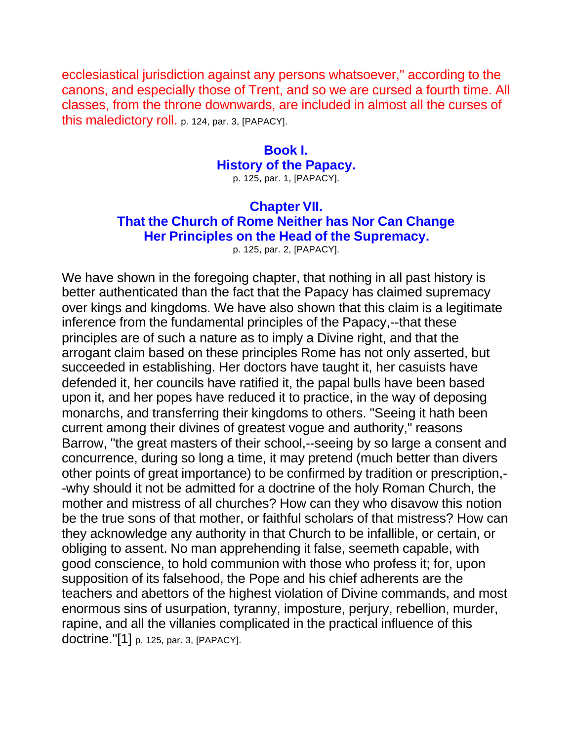ecclesiastical jurisdiction against any persons whatsoever," according to the canons, and especially those of Trent, and so we are cursed a fourth time. All classes, from the throne downwards, are included in almost all the curses of this maledictory roll. p. 124, par. 3, [PAPACY].

#### **Book I. History of the Papacy.** p. 125, par. 1, [PAPACY].

# **Chapter VII. That the Church of Rome Neither has Nor Can Change Her Principles on the Head of the Supremacy.**

p. 125, par. 2, [PAPACY].

We have shown in the foregoing chapter, that nothing in all past history is better authenticated than the fact that the Papacy has claimed supremacy over kings and kingdoms. We have also shown that this claim is a legitimate inference from the fundamental principles of the Papacy,--that these principles are of such a nature as to imply a Divine right, and that the arrogant claim based on these principles Rome has not only asserted, but succeeded in establishing. Her doctors have taught it, her casuists have defended it, her councils have ratified it, the papal bulls have been based upon it, and her popes have reduced it to practice, in the way of deposing monarchs, and transferring their kingdoms to others. "Seeing it hath been current among their divines of greatest vogue and authority," reasons Barrow, "the great masters of their school,--seeing by so large a consent and concurrence, during so long a time, it may pretend (much better than divers other points of great importance) to be confirmed by tradition or prescription,- -why should it not be admitted for a doctrine of the holy Roman Church, the mother and mistress of all churches? How can they who disavow this notion be the true sons of that mother, or faithful scholars of that mistress? How can they acknowledge any authority in that Church to be infallible, or certain, or obliging to assent. No man apprehending it false, seemeth capable, with good conscience, to hold communion with those who profess it; for, upon supposition of its falsehood, the Pope and his chief adherents are the teachers and abettors of the highest violation of Divine commands, and most enormous sins of usurpation, tyranny, imposture, perjury, rebellion, murder, rapine, and all the villanies complicated in the practical influence of this doctrine."[1] p. 125, par. 3, [PAPACY].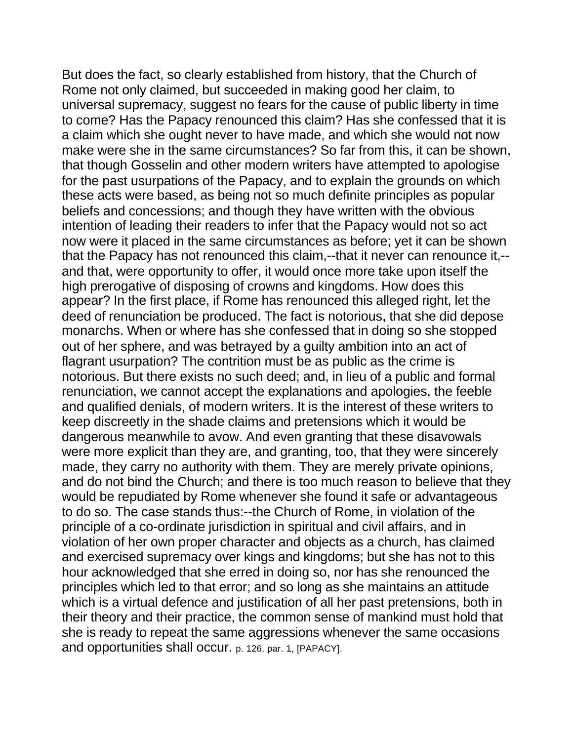But does the fact, so clearly established from history, that the Church of Rome not only claimed, but succeeded in making good her claim, to universal supremacy, suggest no fears for the cause of public liberty in time to come? Has the Papacy renounced this claim? Has she confessed that it is a claim which she ought never to have made, and which she would not now make were she in the same circumstances? So far from this, it can be shown, that though Gosselin and other modern writers have attempted to apologise for the past usurpations of the Papacy, and to explain the grounds on which these acts were based, as being not so much definite principles as popular beliefs and concessions; and though they have written with the obvious intention of leading their readers to infer that the Papacy would not so act now were it placed in the same circumstances as before; yet it can be shown that the Papacy has not renounced this claim,--that it never can renounce it,- and that, were opportunity to offer, it would once more take upon itself the high prerogative of disposing of crowns and kingdoms. How does this appear? In the first place, if Rome has renounced this alleged right, let the deed of renunciation be produced. The fact is notorious, that she did depose monarchs. When or where has she confessed that in doing so she stopped out of her sphere, and was betrayed by a guilty ambition into an act of flagrant usurpation? The contrition must be as public as the crime is notorious. But there exists no such deed; and, in lieu of a public and formal renunciation, we cannot accept the explanations and apologies, the feeble and qualified denials, of modern writers. It is the interest of these writers to keep discreetly in the shade claims and pretensions which it would be dangerous meanwhile to avow. And even granting that these disavowals were more explicit than they are, and granting, too, that they were sincerely made, they carry no authority with them. They are merely private opinions, and do not bind the Church; and there is too much reason to believe that they would be repudiated by Rome whenever she found it safe or advantageous to do so. The case stands thus:--the Church of Rome, in violation of the principle of a co-ordinate jurisdiction in spiritual and civil affairs, and in violation of her own proper character and objects as a church, has claimed and exercised supremacy over kings and kingdoms; but she has not to this hour acknowledged that she erred in doing so, nor has she renounced the principles which led to that error; and so long as she maintains an attitude which is a virtual defence and justification of all her past pretensions, both in their theory and their practice, the common sense of mankind must hold that she is ready to repeat the same aggressions whenever the same occasions and opportunities shall occur. p. 126, par. 1, [PAPACY].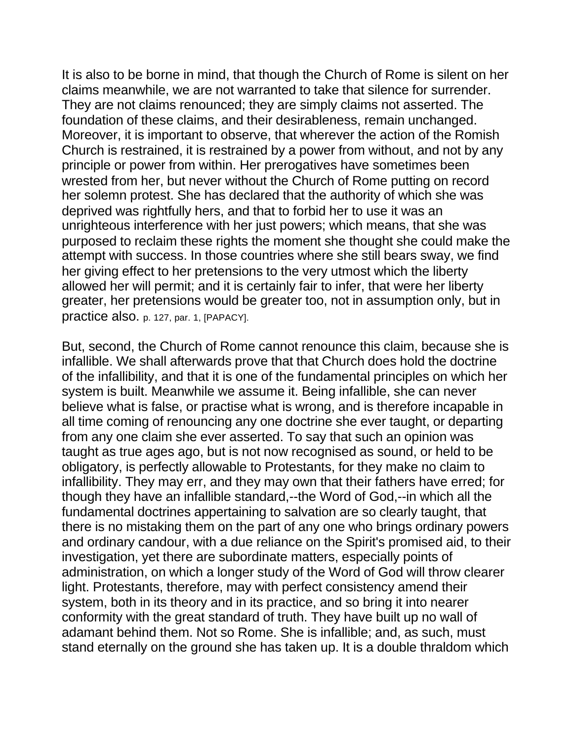It is also to be borne in mind, that though the Church of Rome is silent on her claims meanwhile, we are not warranted to take that silence for surrender. They are not claims renounced; they are simply claims not asserted. The foundation of these claims, and their desirableness, remain unchanged. Moreover, it is important to observe, that wherever the action of the Romish Church is restrained, it is restrained by a power from without, and not by any principle or power from within. Her prerogatives have sometimes been wrested from her, but never without the Church of Rome putting on record her solemn protest. She has declared that the authority of which she was deprived was rightfully hers, and that to forbid her to use it was an unrighteous interference with her just powers; which means, that she was purposed to reclaim these rights the moment she thought she could make the attempt with success. In those countries where she still bears sway, we find her giving effect to her pretensions to the very utmost which the liberty allowed her will permit; and it is certainly fair to infer, that were her liberty greater, her pretensions would be greater too, not in assumption only, but in practice also. p. 127, par. 1, [PAPACY].

But, second, the Church of Rome cannot renounce this claim, because she is infallible. We shall afterwards prove that that Church does hold the doctrine of the infallibility, and that it is one of the fundamental principles on which her system is built. Meanwhile we assume it. Being infallible, she can never believe what is false, or practise what is wrong, and is therefore incapable in all time coming of renouncing any one doctrine she ever taught, or departing from any one claim she ever asserted. To say that such an opinion was taught as true ages ago, but is not now recognised as sound, or held to be obligatory, is perfectly allowable to Protestants, for they make no claim to infallibility. They may err, and they may own that their fathers have erred; for though they have an infallible standard,--the Word of God,--in which all the fundamental doctrines appertaining to salvation are so clearly taught, that there is no mistaking them on the part of any one who brings ordinary powers and ordinary candour, with a due reliance on the Spirit's promised aid, to their investigation, yet there are subordinate matters, especially points of administration, on which a longer study of the Word of God will throw clearer light. Protestants, therefore, may with perfect consistency amend their system, both in its theory and in its practice, and so bring it into nearer conformity with the great standard of truth. They have built up no wall of adamant behind them. Not so Rome. She is infallible; and, as such, must stand eternally on the ground she has taken up. It is a double thraldom which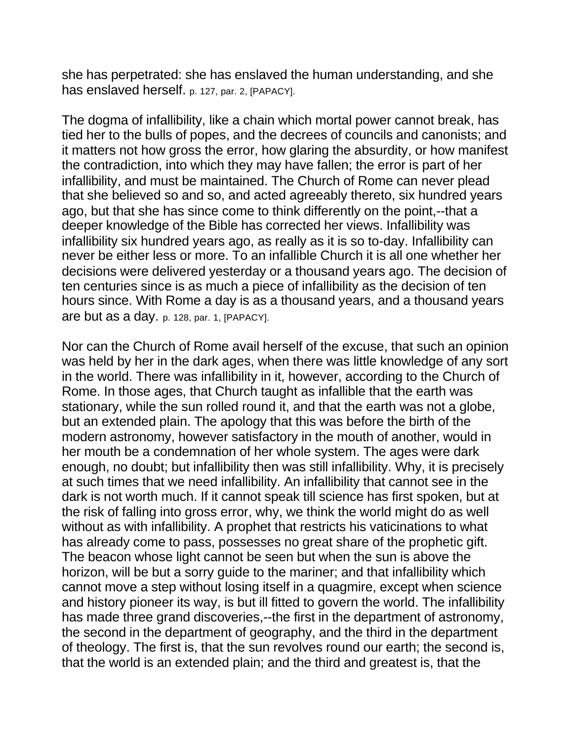she has perpetrated: she has enslaved the human understanding, and she has enslaved herself. p. 127, par. 2, [PAPACY].

The dogma of infallibility, like a chain which mortal power cannot break, has tied her to the bulls of popes, and the decrees of councils and canonists; and it matters not how gross the error, how glaring the absurdity, or how manifest the contradiction, into which they may have fallen; the error is part of her infallibility, and must be maintained. The Church of Rome can never plead that she believed so and so, and acted agreeably thereto, six hundred years ago, but that she has since come to think differently on the point,--that a deeper knowledge of the Bible has corrected her views. Infallibility was infallibility six hundred years ago, as really as it is so to-day. Infallibility can never be either less or more. To an infallible Church it is all one whether her decisions were delivered yesterday or a thousand years ago. The decision of ten centuries since is as much a piece of infallibility as the decision of ten hours since. With Rome a day is as a thousand years, and a thousand years are but as a day. p. 128, par. 1, [PAPACY].

Nor can the Church of Rome avail herself of the excuse, that such an opinion was held by her in the dark ages, when there was little knowledge of any sort in the world. There was infallibility in it, however, according to the Church of Rome. In those ages, that Church taught as infallible that the earth was stationary, while the sun rolled round it, and that the earth was not a globe, but an extended plain. The apology that this was before the birth of the modern astronomy, however satisfactory in the mouth of another, would in her mouth be a condemnation of her whole system. The ages were dark enough, no doubt; but infallibility then was still infallibility. Why, it is precisely at such times that we need infallibility. An infallibility that cannot see in the dark is not worth much. If it cannot speak till science has first spoken, but at the risk of falling into gross error, why, we think the world might do as well without as with infallibility. A prophet that restricts his vaticinations to what has already come to pass, possesses no great share of the prophetic gift. The beacon whose light cannot be seen but when the sun is above the horizon, will be but a sorry guide to the mariner; and that infallibility which cannot move a step without losing itself in a quagmire, except when science and history pioneer its way, is but ill fitted to govern the world. The infallibility has made three grand discoveries,--the first in the department of astronomy, the second in the department of geography, and the third in the department of theology. The first is, that the sun revolves round our earth; the second is, that the world is an extended plain; and the third and greatest is, that the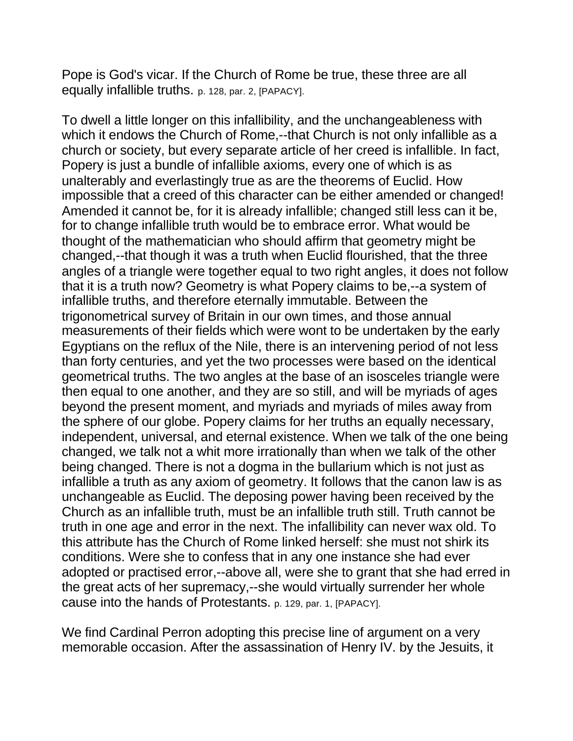Pope is God's vicar. If the Church of Rome be true, these three are all equally infallible truths. p. 128, par. 2, [PAPACY].

To dwell a little longer on this infallibility, and the unchangeableness with which it endows the Church of Rome,--that Church is not only infallible as a church or society, but every separate article of her creed is infallible. In fact, Popery is just a bundle of infallible axioms, every one of which is as unalterably and everlastingly true as are the theorems of Euclid. How impossible that a creed of this character can be either amended or changed! Amended it cannot be, for it is already infallible; changed still less can it be, for to change infallible truth would be to embrace error. What would be thought of the mathematician who should affirm that geometry might be changed,--that though it was a truth when Euclid flourished, that the three angles of a triangle were together equal to two right angles, it does not follow that it is a truth now? Geometry is what Popery claims to be,--a system of infallible truths, and therefore eternally immutable. Between the trigonometrical survey of Britain in our own times, and those annual measurements of their fields which were wont to be undertaken by the early Egyptians on the reflux of the Nile, there is an intervening period of not less than forty centuries, and yet the two processes were based on the identical geometrical truths. The two angles at the base of an isosceles triangle were then equal to one another, and they are so still, and will be myriads of ages beyond the present moment, and myriads and myriads of miles away from the sphere of our globe. Popery claims for her truths an equally necessary, independent, universal, and eternal existence. When we talk of the one being changed, we talk not a whit more irrationally than when we talk of the other being changed. There is not a dogma in the bullarium which is not just as infallible a truth as any axiom of geometry. It follows that the canon law is as unchangeable as Euclid. The deposing power having been received by the Church as an infallible truth, must be an infallible truth still. Truth cannot be truth in one age and error in the next. The infallibility can never wax old. To this attribute has the Church of Rome linked herself: she must not shirk its conditions. Were she to confess that in any one instance she had ever adopted or practised error,--above all, were she to grant that she had erred in the great acts of her supremacy,--she would virtually surrender her whole cause into the hands of Protestants. p. 129, par. 1, [PAPACY].

We find Cardinal Perron adopting this precise line of argument on a very memorable occasion. After the assassination of Henry IV. by the Jesuits, it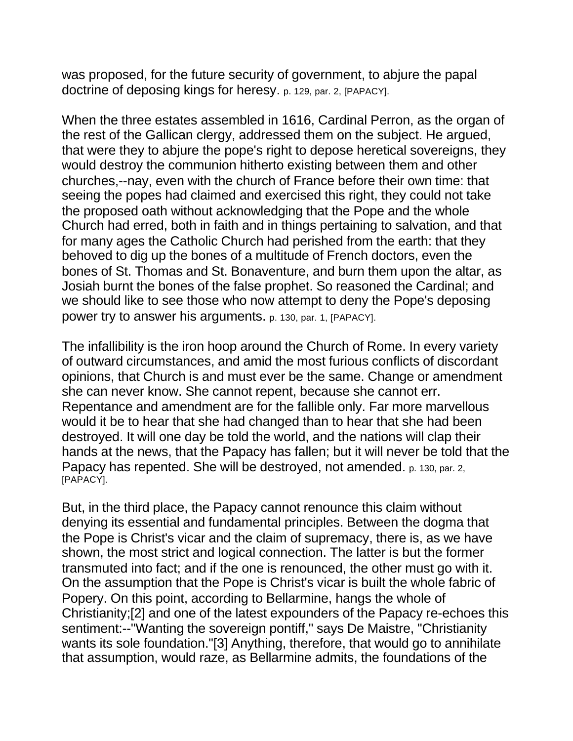was proposed, for the future security of government, to abjure the papal doctrine of deposing kings for heresy. p. 129, par. 2, [PAPACY].

When the three estates assembled in 1616, Cardinal Perron, as the organ of the rest of the Gallican clergy, addressed them on the subject. He argued, that were they to abjure the pope's right to depose heretical sovereigns, they would destroy the communion hitherto existing between them and other churches,--nay, even with the church of France before their own time: that seeing the popes had claimed and exercised this right, they could not take the proposed oath without acknowledging that the Pope and the whole Church had erred, both in faith and in things pertaining to salvation, and that for many ages the Catholic Church had perished from the earth: that they behoved to dig up the bones of a multitude of French doctors, even the bones of St. Thomas and St. Bonaventure, and burn them upon the altar, as Josiah burnt the bones of the false prophet. So reasoned the Cardinal; and we should like to see those who now attempt to deny the Pope's deposing power try to answer his arguments. p. 130, par. 1, [PAPACY].

The infallibility is the iron hoop around the Church of Rome. In every variety of outward circumstances, and amid the most furious conflicts of discordant opinions, that Church is and must ever be the same. Change or amendment she can never know. She cannot repent, because she cannot err. Repentance and amendment are for the fallible only. Far more marvellous would it be to hear that she had changed than to hear that she had been destroyed. It will one day be told the world, and the nations will clap their hands at the news, that the Papacy has fallen; but it will never be told that the Papacy has repented. She will be destroyed, not amended. p. 130, par. 2, [PAPACY].

But, in the third place, the Papacy cannot renounce this claim without denying its essential and fundamental principles. Between the dogma that the Pope is Christ's vicar and the claim of supremacy, there is, as we have shown, the most strict and logical connection. The latter is but the former transmuted into fact; and if the one is renounced, the other must go with it. On the assumption that the Pope is Christ's vicar is built the whole fabric of Popery. On this point, according to Bellarmine, hangs the whole of Christianity;[2] and one of the latest expounders of the Papacy re-echoes this sentiment:--"Wanting the sovereign pontiff," says De Maistre, "Christianity wants its sole foundation."[3] Anything, therefore, that would go to annihilate that assumption, would raze, as Bellarmine admits, the foundations of the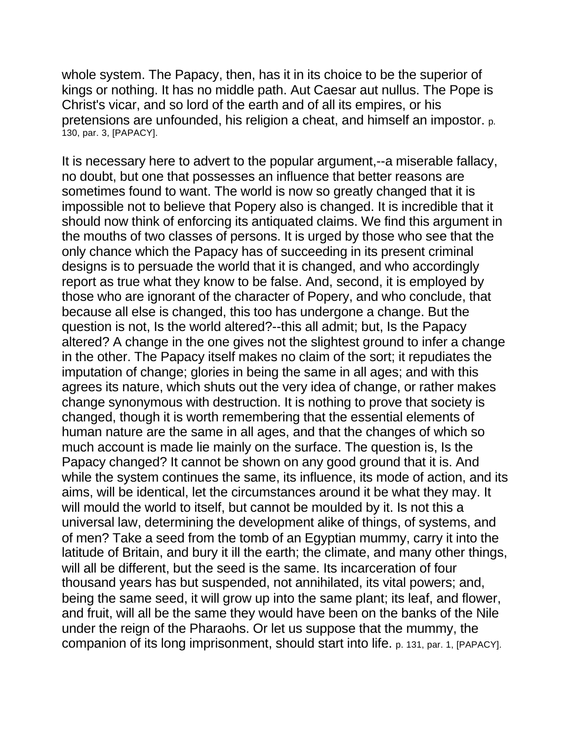whole system. The Papacy, then, has it in its choice to be the superior of kings or nothing. It has no middle path. Aut Caesar aut nullus. The Pope is Christ's vicar, and so lord of the earth and of all its empires, or his pretensions are unfounded, his religion a cheat, and himself an impostor. p. 130, par. 3, [PAPACY].

It is necessary here to advert to the popular argument,--a miserable fallacy, no doubt, but one that possesses an influence that better reasons are sometimes found to want. The world is now so greatly changed that it is impossible not to believe that Popery also is changed. It is incredible that it should now think of enforcing its antiquated claims. We find this argument in the mouths of two classes of persons. It is urged by those who see that the only chance which the Papacy has of succeeding in its present criminal designs is to persuade the world that it is changed, and who accordingly report as true what they know to be false. And, second, it is employed by those who are ignorant of the character of Popery, and who conclude, that because all else is changed, this too has undergone a change. But the question is not, Is the world altered?--this all admit; but, Is the Papacy altered? A change in the one gives not the slightest ground to infer a change in the other. The Papacy itself makes no claim of the sort; it repudiates the imputation of change; glories in being the same in all ages; and with this agrees its nature, which shuts out the very idea of change, or rather makes change synonymous with destruction. It is nothing to prove that society is changed, though it is worth remembering that the essential elements of human nature are the same in all ages, and that the changes of which so much account is made lie mainly on the surface. The question is, Is the Papacy changed? It cannot be shown on any good ground that it is. And while the system continues the same, its influence, its mode of action, and its aims, will be identical, let the circumstances around it be what they may. It will mould the world to itself, but cannot be moulded by it. Is not this a universal law, determining the development alike of things, of systems, and of men? Take a seed from the tomb of an Egyptian mummy, carry it into the latitude of Britain, and bury it ill the earth; the climate, and many other things, will all be different, but the seed is the same. Its incarceration of four thousand years has but suspended, not annihilated, its vital powers; and, being the same seed, it will grow up into the same plant; its leaf, and flower, and fruit, will all be the same they would have been on the banks of the Nile under the reign of the Pharaohs. Or let us suppose that the mummy, the companion of its long imprisonment, should start into life. p. 131, par. 1, [PAPACY].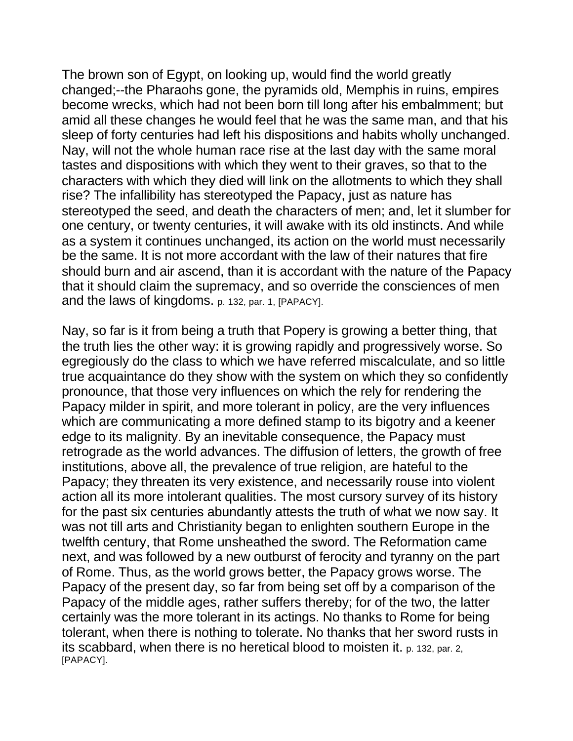The brown son of Egypt, on looking up, would find the world greatly changed;--the Pharaohs gone, the pyramids old, Memphis in ruins, empires become wrecks, which had not been born till long after his embalmment; but amid all these changes he would feel that he was the same man, and that his sleep of forty centuries had left his dispositions and habits wholly unchanged. Nay, will not the whole human race rise at the last day with the same moral tastes and dispositions with which they went to their graves, so that to the characters with which they died will link on the allotments to which they shall rise? The infallibility has stereotyped the Papacy, just as nature has stereotyped the seed, and death the characters of men; and, let it slumber for one century, or twenty centuries, it will awake with its old instincts. And while as a system it continues unchanged, its action on the world must necessarily be the same. It is not more accordant with the law of their natures that fire should burn and air ascend, than it is accordant with the nature of the Papacy that it should claim the supremacy, and so override the consciences of men and the laws of kingdoms. p. 132, par. 1, [PAPACY].

Nay, so far is it from being a truth that Popery is growing a better thing, that the truth lies the other way: it is growing rapidly and progressively worse. So egregiously do the class to which we have referred miscalculate, and so little true acquaintance do they show with the system on which they so confidently pronounce, that those very influences on which the rely for rendering the Papacy milder in spirit, and more tolerant in policy, are the very influences which are communicating a more defined stamp to its bigotry and a keener edge to its malignity. By an inevitable consequence, the Papacy must retrograde as the world advances. The diffusion of letters, the growth of free institutions, above all, the prevalence of true religion, are hateful to the Papacy; they threaten its very existence, and necessarily rouse into violent action all its more intolerant qualities. The most cursory survey of its history for the past six centuries abundantly attests the truth of what we now say. It was not till arts and Christianity began to enlighten southern Europe in the twelfth century, that Rome unsheathed the sword. The Reformation came next, and was followed by a new outburst of ferocity and tyranny on the part of Rome. Thus, as the world grows better, the Papacy grows worse. The Papacy of the present day, so far from being set off by a comparison of the Papacy of the middle ages, rather suffers thereby; for of the two, the latter certainly was the more tolerant in its actings. No thanks to Rome for being tolerant, when there is nothing to tolerate. No thanks that her sword rusts in its scabbard, when there is no heretical blood to moisten it. p. 132, par. 2, [PAPACY].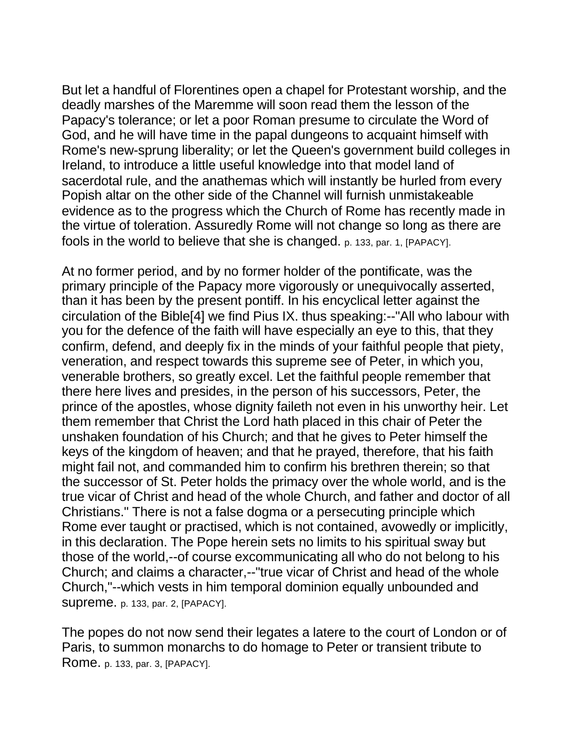But let a handful of Florentines open a chapel for Protestant worship, and the deadly marshes of the Maremme will soon read them the lesson of the Papacy's tolerance; or let a poor Roman presume to circulate the Word of God, and he will have time in the papal dungeons to acquaint himself with Rome's new-sprung liberality; or let the Queen's government build colleges in Ireland, to introduce a little useful knowledge into that model land of sacerdotal rule, and the anathemas which will instantly be hurled from every Popish altar on the other side of the Channel will furnish unmistakeable evidence as to the progress which the Church of Rome has recently made in the virtue of toleration. Assuredly Rome will not change so long as there are fools in the world to believe that she is changed. p. 133, par. 1, [PAPACY].

At no former period, and by no former holder of the pontificate, was the primary principle of the Papacy more vigorously or unequivocally asserted, than it has been by the present pontiff. In his encyclical letter against the circulation of the Bible[4] we find Pius IX. thus speaking:--"All who labour with you for the defence of the faith will have especially an eye to this, that they confirm, defend, and deeply fix in the minds of your faithful people that piety, veneration, and respect towards this supreme see of Peter, in which you, venerable brothers, so greatly excel. Let the faithful people remember that there here lives and presides, in the person of his successors, Peter, the prince of the apostles, whose dignity faileth not even in his unworthy heir. Let them remember that Christ the Lord hath placed in this chair of Peter the unshaken foundation of his Church; and that he gives to Peter himself the keys of the kingdom of heaven; and that he prayed, therefore, that his faith might fail not, and commanded him to confirm his brethren therein; so that the successor of St. Peter holds the primacy over the whole world, and is the true vicar of Christ and head of the whole Church, and father and doctor of all Christians." There is not a false dogma or a persecuting principle which Rome ever taught or practised, which is not contained, avowedly or implicitly, in this declaration. The Pope herein sets no limits to his spiritual sway but those of the world,--of course excommunicating all who do not belong to his Church; and claims a character,--"true vicar of Christ and head of the whole Church,"--which vests in him temporal dominion equally unbounded and supreme. p. 133, par. 2, [PAPACY].

The popes do not now send their legates a latere to the court of London or of Paris, to summon monarchs to do homage to Peter or transient tribute to Rome. p. 133, par. 3, [PAPACY].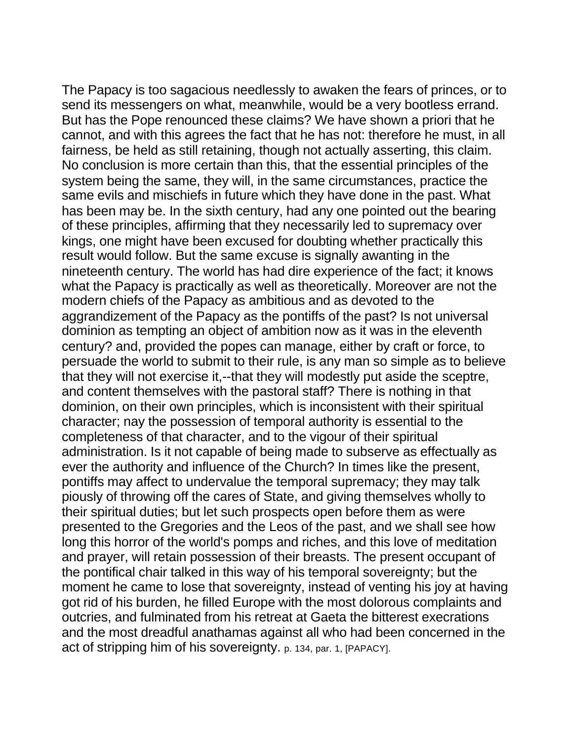The Papacy is too sagacious needlessly to awaken the fears of princes, or to send its messengers on what, meanwhile, would be a very bootless errand. But has the Pope renounced these claims? We have shown a priori that he cannot, and with this agrees the fact that he has not: therefore he must, in all fairness, be held as still retaining, though not actually asserting, this claim. No conclusion is more certain than this, that the essential principles of the system being the same, they will, in the same circumstances, practice the same evils and mischiefs in future which they have done in the past. What has been may be. In the sixth century, had any one pointed out the bearing of these principles, affirming that they necessarily led to supremacy over kings, one might have been excused for doubting whether practically this result would follow. But the same excuse is signally awanting in the nineteenth century. The world has had dire experience of the fact; it knows what the Papacy is practically as well as theoretically. Moreover are not the modern chiefs of the Papacy as ambitious and as devoted to the aggrandizement of the Papacy as the pontiffs of the past? Is not universal dominion as tempting an object of ambition now as it was in the eleventh century? and, provided the popes can manage, either by craft or force, to persuade the world to submit to their rule, is any man so simple as to believe that they will not exercise it,--that they will modestly put aside the sceptre, and content themselves with the pastoral staff? There is nothing in that dominion, on their own principles, which is inconsistent with their spiritual character; nay the possession of temporal authority is essential to the completeness of that character, and to the vigour of their spiritual administration. Is it not capable of being made to subserve as effectually as ever the authority and influence of the Church? In times like the present, pontiffs may affect to undervalue the temporal supremacy; they may talk piously of throwing off the cares of State, and giving themselves wholly to their spiritual duties; but let such prospects open before them as were presented to the Gregories and the Leos of the past, and we shall see how long this horror of the world's pomps and riches, and this love of meditation and prayer, will retain possession of their breasts. The present occupant of the pontifical chair talked in this way of his temporal sovereignty; but the moment he came to lose that sovereignty, instead of venting his joy at having got rid of his burden, he filled Europe with the most dolorous complaints and outcries, and fulminated from his retreat at Gaeta the bitterest execrations and the most dreadful anathamas against all who had been concerned in the act of stripping him of his sovereignty. p. 134, par. 1, [PAPACY].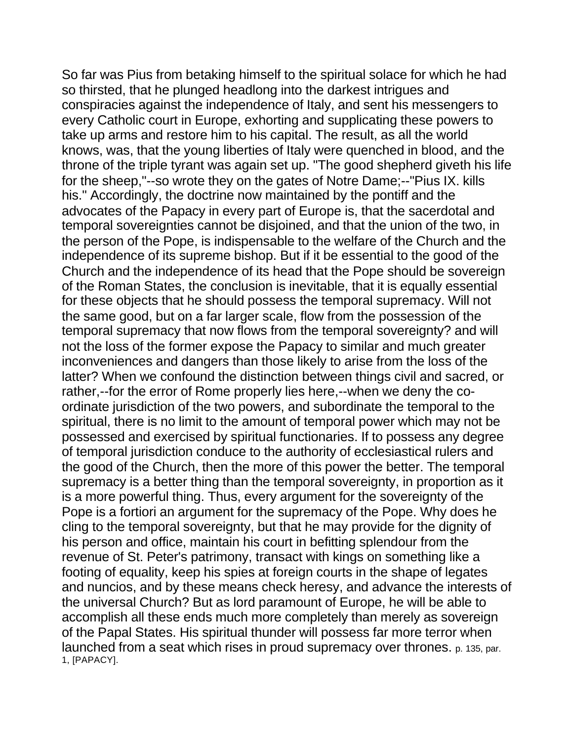So far was Pius from betaking himself to the spiritual solace for which he had so thirsted, that he plunged headlong into the darkest intrigues and conspiracies against the independence of Italy, and sent his messengers to every Catholic court in Europe, exhorting and supplicating these powers to take up arms and restore him to his capital. The result, as all the world knows, was, that the young liberties of Italy were quenched in blood, and the throne of the triple tyrant was again set up. "The good shepherd giveth his life for the sheep,"--so wrote they on the gates of Notre Dame;--"Pius IX. kills his." Accordingly, the doctrine now maintained by the pontiff and the advocates of the Papacy in every part of Europe is, that the sacerdotal and temporal sovereignties cannot be disjoined, and that the union of the two, in the person of the Pope, is indispensable to the welfare of the Church and the independence of its supreme bishop. But if it be essential to the good of the Church and the independence of its head that the Pope should be sovereign of the Roman States, the conclusion is inevitable, that it is equally essential for these objects that he should possess the temporal supremacy. Will not the same good, but on a far larger scale, flow from the possession of the temporal supremacy that now flows from the temporal sovereignty? and will not the loss of the former expose the Papacy to similar and much greater inconveniences and dangers than those likely to arise from the loss of the latter? When we confound the distinction between things civil and sacred, or rather,--for the error of Rome properly lies here,--when we deny the coordinate jurisdiction of the two powers, and subordinate the temporal to the spiritual, there is no limit to the amount of temporal power which may not be possessed and exercised by spiritual functionaries. If to possess any degree of temporal jurisdiction conduce to the authority of ecclesiastical rulers and the good of the Church, then the more of this power the better. The temporal supremacy is a better thing than the temporal sovereignty, in proportion as it is a more powerful thing. Thus, every argument for the sovereignty of the Pope is a fortiori an argument for the supremacy of the Pope. Why does he cling to the temporal sovereignty, but that he may provide for the dignity of his person and office, maintain his court in befitting splendour from the revenue of St. Peter's patrimony, transact with kings on something like a footing of equality, keep his spies at foreign courts in the shape of legates and nuncios, and by these means check heresy, and advance the interests of the universal Church? But as lord paramount of Europe, he will be able to accomplish all these ends much more completely than merely as sovereign of the Papal States. His spiritual thunder will possess far more terror when launched from a seat which rises in proud supremacy over thrones. p. 135, par. 1, [PAPACY].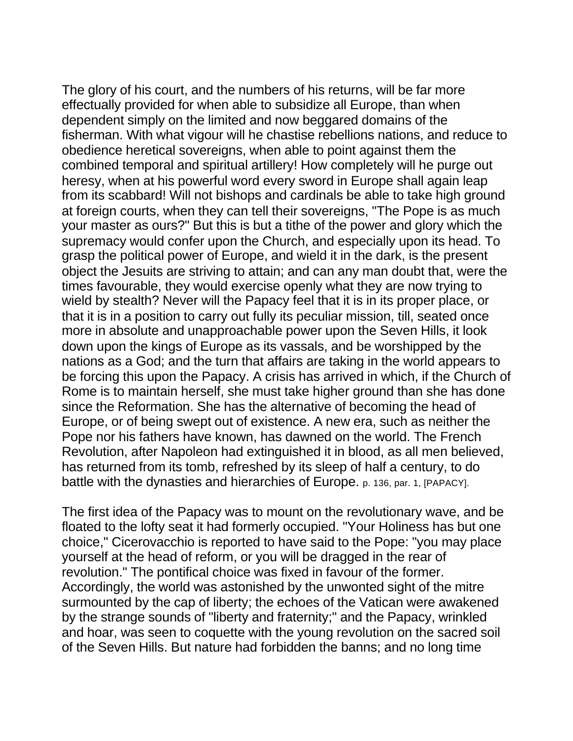The glory of his court, and the numbers of his returns, will be far more effectually provided for when able to subsidize all Europe, than when dependent simply on the limited and now beggared domains of the fisherman. With what vigour will he chastise rebellions nations, and reduce to obedience heretical sovereigns, when able to point against them the combined temporal and spiritual artillery! How completely will he purge out heresy, when at his powerful word every sword in Europe shall again leap from its scabbard! Will not bishops and cardinals be able to take high ground at foreign courts, when they can tell their sovereigns, "The Pope is as much your master as ours?" But this is but a tithe of the power and glory which the supremacy would confer upon the Church, and especially upon its head. To grasp the political power of Europe, and wield it in the dark, is the present object the Jesuits are striving to attain; and can any man doubt that, were the times favourable, they would exercise openly what they are now trying to wield by stealth? Never will the Papacy feel that it is in its proper place, or that it is in a position to carry out fully its peculiar mission, till, seated once more in absolute and unapproachable power upon the Seven Hills, it look down upon the kings of Europe as its vassals, and be worshipped by the nations as a God; and the turn that affairs are taking in the world appears to be forcing this upon the Papacy. A crisis has arrived in which, if the Church of Rome is to maintain herself, she must take higher ground than she has done since the Reformation. She has the alternative of becoming the head of Europe, or of being swept out of existence. A new era, such as neither the Pope nor his fathers have known, has dawned on the world. The French Revolution, after Napoleon had extinguished it in blood, as all men believed, has returned from its tomb, refreshed by its sleep of half a century, to do battle with the dynasties and hierarchies of Europe. p. 136, par. 1, [PAPACY].

The first idea of the Papacy was to mount on the revolutionary wave, and be floated to the lofty seat it had formerly occupied. "Your Holiness has but one choice," Cicerovacchio is reported to have said to the Pope: "you may place yourself at the head of reform, or you will be dragged in the rear of revolution." The pontifical choice was fixed in favour of the former. Accordingly, the world was astonished by the unwonted sight of the mitre surmounted by the cap of liberty; the echoes of the Vatican were awakened by the strange sounds of "liberty and fraternity;" and the Papacy, wrinkled and hoar, was seen to coquette with the young revolution on the sacred soil of the Seven Hills. But nature had forbidden the banns; and no long time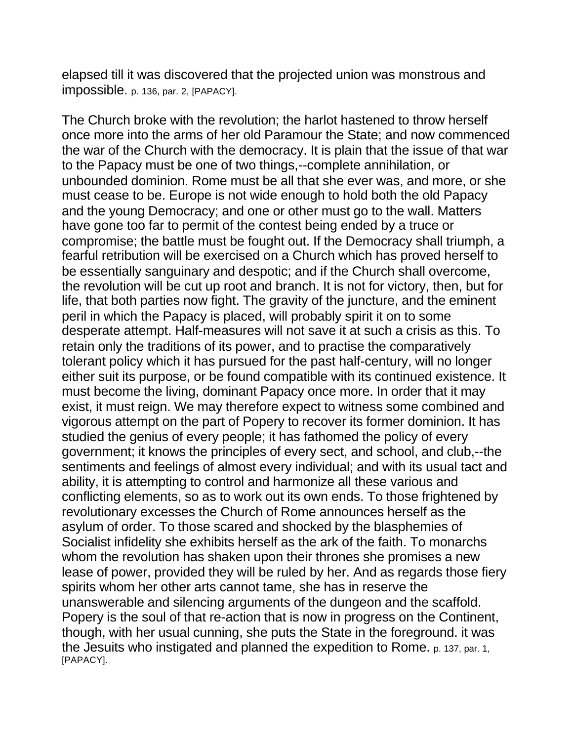elapsed till it was discovered that the projected union was monstrous and impossible. p. 136, par. 2, [PAPACY].

The Church broke with the revolution; the harlot hastened to throw herself once more into the arms of her old Paramour the State; and now commenced the war of the Church with the democracy. It is plain that the issue of that war to the Papacy must be one of two things,--complete annihilation, or unbounded dominion. Rome must be all that she ever was, and more, or she must cease to be. Europe is not wide enough to hold both the old Papacy and the young Democracy; and one or other must go to the wall. Matters have gone too far to permit of the contest being ended by a truce or compromise; the battle must be fought out. If the Democracy shall triumph, a fearful retribution will be exercised on a Church which has proved herself to be essentially sanguinary and despotic; and if the Church shall overcome, the revolution will be cut up root and branch. It is not for victory, then, but for life, that both parties now fight. The gravity of the juncture, and the eminent peril in which the Papacy is placed, will probably spirit it on to some desperate attempt. Half-measures will not save it at such a crisis as this. To retain only the traditions of its power, and to practise the comparatively tolerant policy which it has pursued for the past half-century, will no longer either suit its purpose, or be found compatible with its continued existence. It must become the living, dominant Papacy once more. In order that it may exist, it must reign. We may therefore expect to witness some combined and vigorous attempt on the part of Popery to recover its former dominion. It has studied the genius of every people; it has fathomed the policy of every government; it knows the principles of every sect, and school, and club,--the sentiments and feelings of almost every individual; and with its usual tact and ability, it is attempting to control and harmonize all these various and conflicting elements, so as to work out its own ends. To those frightened by revolutionary excesses the Church of Rome announces herself as the asylum of order. To those scared and shocked by the blasphemies of Socialist infidelity she exhibits herself as the ark of the faith. To monarchs whom the revolution has shaken upon their thrones she promises a new lease of power, provided they will be ruled by her. And as regards those fiery spirits whom her other arts cannot tame, she has in reserve the unanswerable and silencing arguments of the dungeon and the scaffold. Popery is the soul of that re-action that is now in progress on the Continent, though, with her usual cunning, she puts the State in the foreground. it was the Jesuits who instigated and planned the expedition to Rome. p. 137, par. 1, [PAPACY].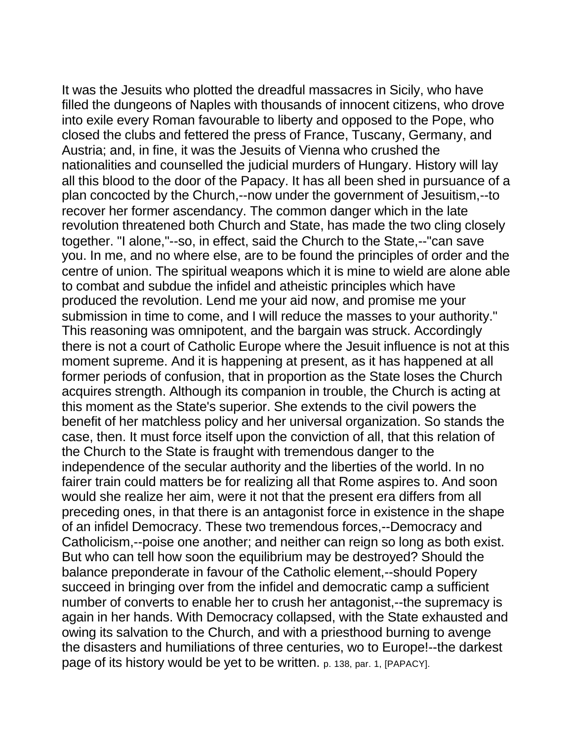It was the Jesuits who plotted the dreadful massacres in Sicily, who have filled the dungeons of Naples with thousands of innocent citizens, who drove into exile every Roman favourable to liberty and opposed to the Pope, who closed the clubs and fettered the press of France, Tuscany, Germany, and Austria; and, in fine, it was the Jesuits of Vienna who crushed the nationalities and counselled the judicial murders of Hungary. History will lay all this blood to the door of the Papacy. It has all been shed in pursuance of a plan concocted by the Church,--now under the government of Jesuitism,--to recover her former ascendancy. The common danger which in the late revolution threatened both Church and State, has made the two cling closely together. "I alone,"--so, in effect, said the Church to the State,--"can save you. In me, and no where else, are to be found the principles of order and the centre of union. The spiritual weapons which it is mine to wield are alone able to combat and subdue the infidel and atheistic principles which have produced the revolution. Lend me your aid now, and promise me your submission in time to come, and I will reduce the masses to your authority." This reasoning was omnipotent, and the bargain was struck. Accordingly there is not a court of Catholic Europe where the Jesuit influence is not at this moment supreme. And it is happening at present, as it has happened at all former periods of confusion, that in proportion as the State loses the Church acquires strength. Although its companion in trouble, the Church is acting at this moment as the State's superior. She extends to the civil powers the benefit of her matchless policy and her universal organization. So stands the case, then. It must force itself upon the conviction of all, that this relation of the Church to the State is fraught with tremendous danger to the independence of the secular authority and the liberties of the world. In no fairer train could matters be for realizing all that Rome aspires to. And soon would she realize her aim, were it not that the present era differs from all preceding ones, in that there is an antagonist force in existence in the shape of an infidel Democracy. These two tremendous forces,--Democracy and Catholicism,--poise one another; and neither can reign so long as both exist. But who can tell how soon the equilibrium may be destroyed? Should the balance preponderate in favour of the Catholic element,--should Popery succeed in bringing over from the infidel and democratic camp a sufficient number of converts to enable her to crush her antagonist,--the supremacy is again in her hands. With Democracy collapsed, with the State exhausted and owing its salvation to the Church, and with a priesthood burning to avenge the disasters and humiliations of three centuries, wo to Europe!--the darkest page of its history would be yet to be written. p. 138, par. 1, [PAPACY].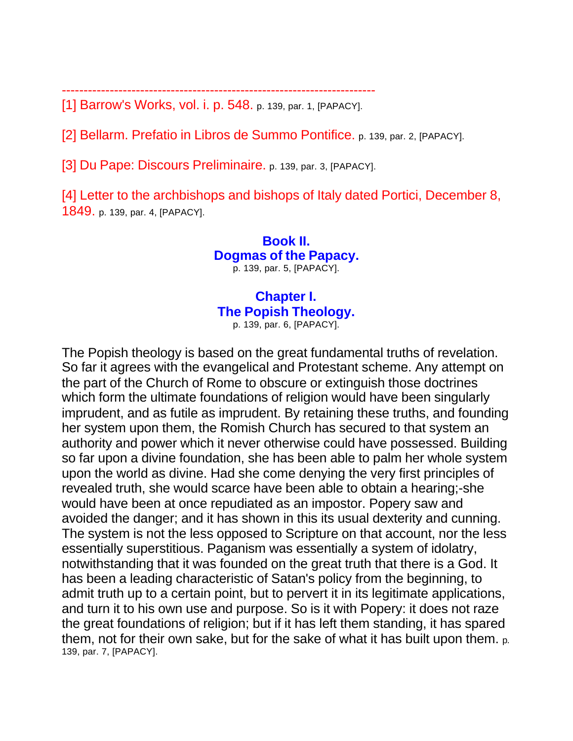------------------------------------------------------------------------

[1] Barrow's Works, vol. i. p. 548. p. 139, par. 1, [PAPACY].

[2] Bellarm. Prefatio in Libros de Summo Pontifice. p. 139, par. 2, [PAPACY].

[3] Du Pape: Discours Preliminaire. p. 139, par. 3, [PAPACY].

[4] Letter to the archbishops and bishops of Italy dated Portici, December 8, 1849. p. 139, par. 4, [PAPACY].

> **Book II. Dogmas of the Papacy.** p. 139, par. 5, [PAPACY].

### **Chapter I. The Popish Theology.** p. 139, par. 6, [PAPACY].

The Popish theology is based on the great fundamental truths of revelation. So far it agrees with the evangelical and Protestant scheme. Any attempt on the part of the Church of Rome to obscure or extinguish those doctrines which form the ultimate foundations of religion would have been singularly imprudent, and as futile as imprudent. By retaining these truths, and founding her system upon them, the Romish Church has secured to that system an authority and power which it never otherwise could have possessed. Building so far upon a divine foundation, she has been able to palm her whole system upon the world as divine. Had she come denying the very first principles of revealed truth, she would scarce have been able to obtain a hearing;-she would have been at once repudiated as an impostor. Popery saw and avoided the danger; and it has shown in this its usual dexterity and cunning. The system is not the less opposed to Scripture on that account, nor the less essentially superstitious. Paganism was essentially a system of idolatry, notwithstanding that it was founded on the great truth that there is a God. It has been a leading characteristic of Satan's policy from the beginning, to admit truth up to a certain point, but to pervert it in its legitimate applications, and turn it to his own use and purpose. So is it with Popery: it does not raze the great foundations of religion; but if it has left them standing, it has spared them, not for their own sake, but for the sake of what it has built upon them. p. 139, par. 7, [PAPACY].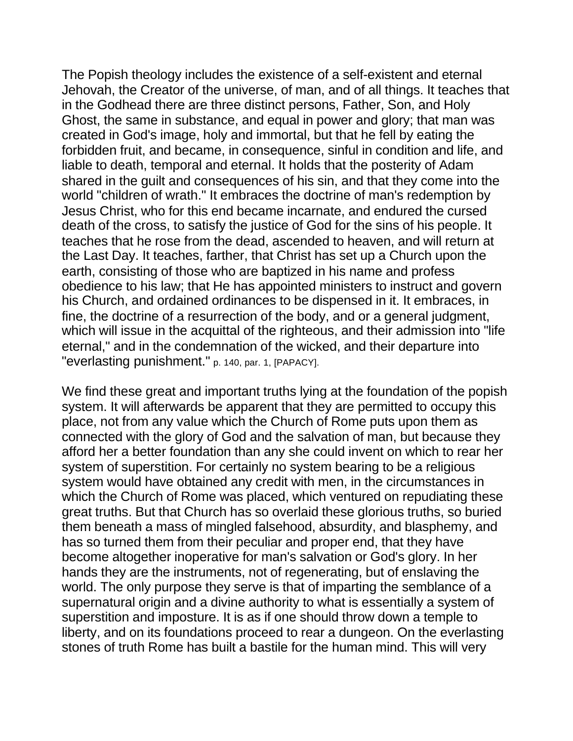The Popish theology includes the existence of a self-existent and eternal Jehovah, the Creator of the universe, of man, and of all things. It teaches that in the Godhead there are three distinct persons, Father, Son, and Holy Ghost, the same in substance, and equal in power and glory; that man was created in God's image, holy and immortal, but that he fell by eating the forbidden fruit, and became, in consequence, sinful in condition and life, and liable to death, temporal and eternal. It holds that the posterity of Adam shared in the guilt and consequences of his sin, and that they come into the world "children of wrath." It embraces the doctrine of man's redemption by Jesus Christ, who for this end became incarnate, and endured the cursed death of the cross, to satisfy the justice of God for the sins of his people. It teaches that he rose from the dead, ascended to heaven, and will return at the Last Day. It teaches, farther, that Christ has set up a Church upon the earth, consisting of those who are baptized in his name and profess obedience to his law; that He has appointed ministers to instruct and govern his Church, and ordained ordinances to be dispensed in it. It embraces, in fine, the doctrine of a resurrection of the body, and or a general judgment, which will issue in the acquittal of the righteous, and their admission into "life" eternal," and in the condemnation of the wicked, and their departure into "everlasting punishment." p. 140, par. 1, [PAPACY].

We find these great and important truths lying at the foundation of the popish system. It will afterwards be apparent that they are permitted to occupy this place, not from any value which the Church of Rome puts upon them as connected with the glory of God and the salvation of man, but because they afford her a better foundation than any she could invent on which to rear her system of superstition. For certainly no system bearing to be a religious system would have obtained any credit with men, in the circumstances in which the Church of Rome was placed, which ventured on repudiating these great truths. But that Church has so overlaid these glorious truths, so buried them beneath a mass of mingled falsehood, absurdity, and blasphemy, and has so turned them from their peculiar and proper end, that they have become altogether inoperative for man's salvation or God's glory. In her hands they are the instruments, not of regenerating, but of enslaving the world. The only purpose they serve is that of imparting the semblance of a supernatural origin and a divine authority to what is essentially a system of superstition and imposture. It is as if one should throw down a temple to liberty, and on its foundations proceed to rear a dungeon. On the everlasting stones of truth Rome has built a bastile for the human mind. This will very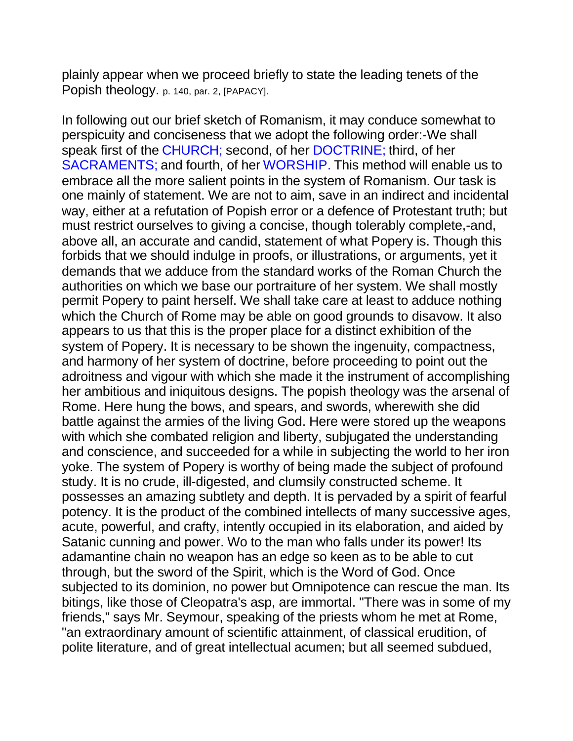plainly appear when we proceed briefly to state the leading tenets of the Popish theology. p. 140, par. 2, [PAPACY].

In following out our brief sketch of Romanism, it may conduce somewhat to perspicuity and conciseness that we adopt the following order:-We shall speak first of the CHURCH; second, of her DOCTRINE; third, of her SACRAMENTS; and fourth, of her WORSHIP. This method will enable us to embrace all the more salient points in the system of Romanism. Our task is one mainly of statement. We are not to aim, save in an indirect and incidental way, either at a refutation of Popish error or a defence of Protestant truth; but must restrict ourselves to giving a concise, though tolerably complete,-and, above all, an accurate and candid, statement of what Popery is. Though this forbids that we should indulge in proofs, or illustrations, or arguments, yet it demands that we adduce from the standard works of the Roman Church the authorities on which we base our portraiture of her system. We shall mostly permit Popery to paint herself. We shall take care at least to adduce nothing which the Church of Rome may be able on good grounds to disavow. It also appears to us that this is the proper place for a distinct exhibition of the system of Popery. It is necessary to be shown the ingenuity, compactness, and harmony of her system of doctrine, before proceeding to point out the adroitness and vigour with which she made it the instrument of accomplishing her ambitious and iniquitous designs. The popish theology was the arsenal of Rome. Here hung the bows, and spears, and swords, wherewith she did battle against the armies of the living God. Here were stored up the weapons with which she combated religion and liberty, subjugated the understanding and conscience, and succeeded for a while in subjecting the world to her iron yoke. The system of Popery is worthy of being made the subject of profound study. It is no crude, ill-digested, and clumsily constructed scheme. It possesses an amazing subtlety and depth. It is pervaded by a spirit of fearful potency. It is the product of the combined intellects of many successive ages, acute, powerful, and crafty, intently occupied in its elaboration, and aided by Satanic cunning and power. Wo to the man who falls under its power! Its adamantine chain no weapon has an edge so keen as to be able to cut through, but the sword of the Spirit, which is the Word of God. Once subjected to its dominion, no power but Omnipotence can rescue the man. Its bitings, like those of Cleopatra's asp, are immortal. "There was in some of my friends," says Mr. Seymour, speaking of the priests whom he met at Rome, "an extraordinary amount of scientific attainment, of classical erudition, of polite literature, and of great intellectual acumen; but all seemed subdued,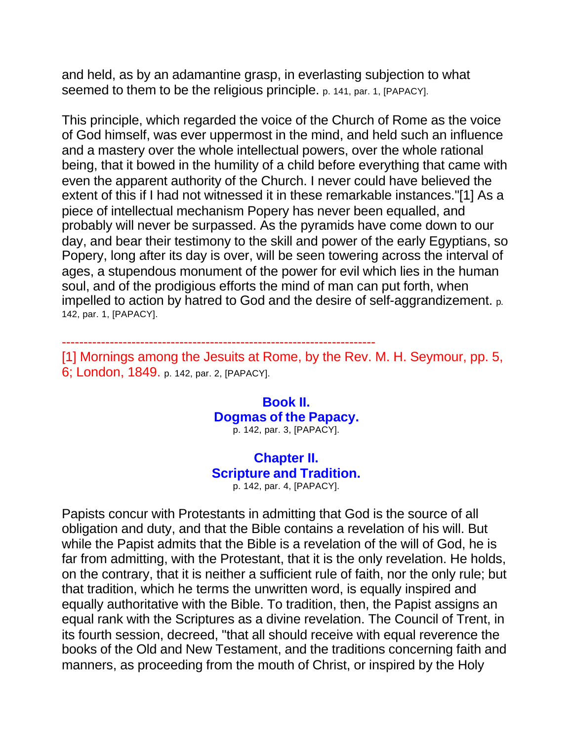and held, as by an adamantine grasp, in everlasting subjection to what seemed to them to be the religious principle. p. 141, par. 1, [PAPACY].

This principle, which regarded the voice of the Church of Rome as the voice of God himself, was ever uppermost in the mind, and held such an influence and a mastery over the whole intellectual powers, over the whole rational being, that it bowed in the humility of a child before everything that came with even the apparent authority of the Church. I never could have believed the extent of this if I had not witnessed it in these remarkable instances."[1] As a piece of intellectual mechanism Popery has never been equalled, and probably will never be surpassed. As the pyramids have come down to our day, and bear their testimony to the skill and power of the early Egyptians, so Popery, long after its day is over, will be seen towering across the interval of ages, a stupendous monument of the power for evil which lies in the human soul, and of the prodigious efforts the mind of man can put forth, when impelled to action by hatred to God and the desire of self-aggrandizement. p. 142, par. 1, [PAPACY].

------------------------------------------------------------------------ [1] Mornings among the Jesuits at Rome, by the Rev. M. H. Seymour, pp. 5, 6; London, 1849. p. 142, par. 2, [PAPACY].

> **Book II. Dogmas of the Papacy.** p. 142, par. 3, [PAPACY].

## **Chapter II. Scripture and Tradition.**

p. 142, par. 4, [PAPACY].

Papists concur with Protestants in admitting that God is the source of all obligation and duty, and that the Bible contains a revelation of his will. But while the Papist admits that the Bible is a revelation of the will of God, he is far from admitting, with the Protestant, that it is the only revelation. He holds, on the contrary, that it is neither a sufficient rule of faith, nor the only rule; but that tradition, which he terms the unwritten word, is equally inspired and equally authoritative with the Bible. To tradition, then, the Papist assigns an equal rank with the Scriptures as a divine revelation. The Council of Trent, in its fourth session, decreed, "that all should receive with equal reverence the books of the Old and New Testament, and the traditions concerning faith and manners, as proceeding from the mouth of Christ, or inspired by the Holy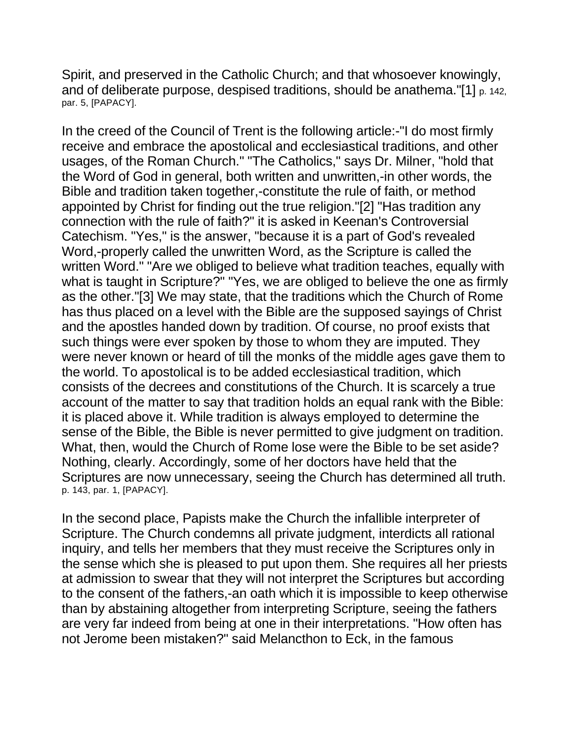Spirit, and preserved in the Catholic Church; and that whosoever knowingly, and of deliberate purpose, despised traditions, should be anathema."[1] p. 142, par. 5, [PAPACY].

In the creed of the Council of Trent is the following article:-"I do most firmly receive and embrace the apostolical and ecclesiastical traditions, and other usages, of the Roman Church." "The Catholics," says Dr. Milner, "hold that the Word of God in general, both written and unwritten,-in other words, the Bible and tradition taken together,-constitute the rule of faith, or method appointed by Christ for finding out the true religion."[2] "Has tradition any connection with the rule of faith?" it is asked in Keenan's Controversial Catechism. "Yes," is the answer, "because it is a part of God's revealed Word,-properly called the unwritten Word, as the Scripture is called the written Word." "Are we obliged to believe what tradition teaches, equally with what is taught in Scripture?" "Yes, we are obliged to believe the one as firmly as the other."[3] We may state, that the traditions which the Church of Rome has thus placed on a level with the Bible are the supposed sayings of Christ and the apostles handed down by tradition. Of course, no proof exists that such things were ever spoken by those to whom they are imputed. They were never known or heard of till the monks of the middle ages gave them to the world. To apostolical is to be added ecclesiastical tradition, which consists of the decrees and constitutions of the Church. It is scarcely a true account of the matter to say that tradition holds an equal rank with the Bible: it is placed above it. While tradition is always employed to determine the sense of the Bible, the Bible is never permitted to give judgment on tradition. What, then, would the Church of Rome lose were the Bible to be set aside? Nothing, clearly. Accordingly, some of her doctors have held that the Scriptures are now unnecessary, seeing the Church has determined all truth. p. 143, par. 1, [PAPACY].

In the second place, Papists make the Church the infallible interpreter of Scripture. The Church condemns all private judgment, interdicts all rational inquiry, and tells her members that they must receive the Scriptures only in the sense which she is pleased to put upon them. She requires all her priests at admission to swear that they will not interpret the Scriptures but according to the consent of the fathers,-an oath which it is impossible to keep otherwise than by abstaining altogether from interpreting Scripture, seeing the fathers are very far indeed from being at one in their interpretations. "How often has not Jerome been mistaken?" said Melancthon to Eck, in the famous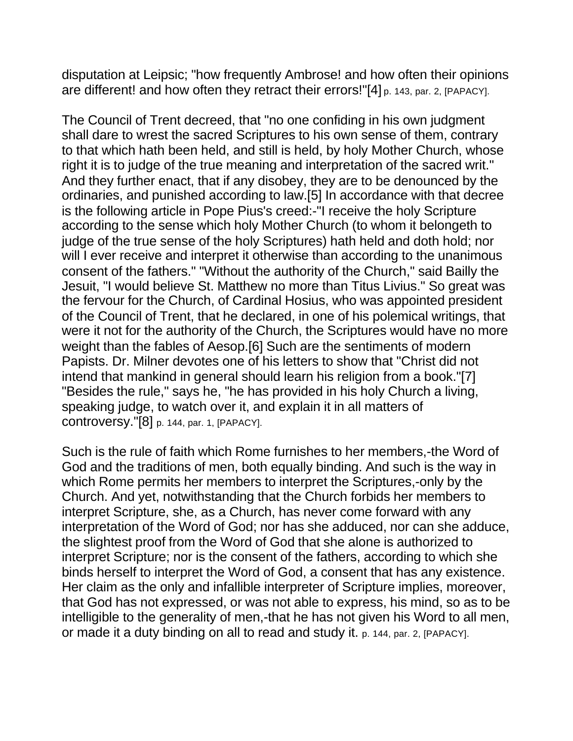disputation at Leipsic; "how frequently Ambrose! and how often their opinions are different! and how often they retract their errors!"[4] p. 143, par. 2, [PAPACY].

The Council of Trent decreed, that "no one confiding in his own judgment shall dare to wrest the sacred Scriptures to his own sense of them, contrary to that which hath been held, and still is held, by holy Mother Church, whose right it is to judge of the true meaning and interpretation of the sacred writ." And they further enact, that if any disobey, they are to be denounced by the ordinaries, and punished according to law.[5] In accordance with that decree is the following article in Pope Pius's creed:-"I receive the holy Scripture according to the sense which holy Mother Church (to whom it belongeth to judge of the true sense of the holy Scriptures) hath held and doth hold; nor will I ever receive and interpret it otherwise than according to the unanimous consent of the fathers." "Without the authority of the Church," said Bailly the Jesuit, "I would believe St. Matthew no more than Titus Livius." So great was the fervour for the Church, of Cardinal Hosius, who was appointed president of the Council of Trent, that he declared, in one of his polemical writings, that were it not for the authority of the Church, the Scriptures would have no more weight than the fables of Aesop.[6] Such are the sentiments of modern Papists. Dr. Milner devotes one of his letters to show that "Christ did not intend that mankind in general should learn his religion from a book."[7] "Besides the rule," says he, "he has provided in his holy Church a living, speaking judge, to watch over it, and explain it in all matters of controversy."[8] p. 144, par. 1, [PAPACY].

Such is the rule of faith which Rome furnishes to her members,-the Word of God and the traditions of men, both equally binding. And such is the way in which Rome permits her members to interpret the Scriptures,-only by the Church. And yet, notwithstanding that the Church forbids her members to interpret Scripture, she, as a Church, has never come forward with any interpretation of the Word of God; nor has she adduced, nor can she adduce, the slightest proof from the Word of God that she alone is authorized to interpret Scripture; nor is the consent of the fathers, according to which she binds herself to interpret the Word of God, a consent that has any existence. Her claim as the only and infallible interpreter of Scripture implies, moreover, that God has not expressed, or was not able to express, his mind, so as to be intelligible to the generality of men,-that he has not given his Word to all men, or made it a duty binding on all to read and study it. p. 144, par. 2, [PAPACY].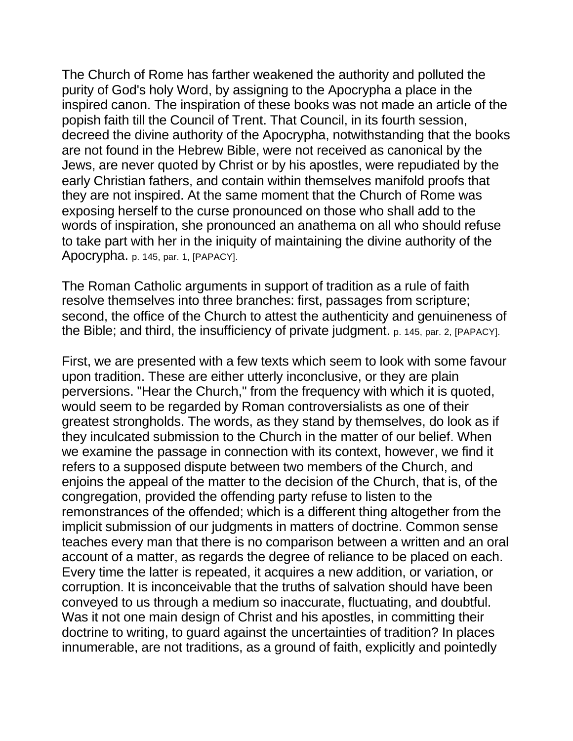The Church of Rome has farther weakened the authority and polluted the purity of God's holy Word, by assigning to the Apocrypha a place in the inspired canon. The inspiration of these books was not made an article of the popish faith till the Council of Trent. That Council, in its fourth session, decreed the divine authority of the Apocrypha, notwithstanding that the books are not found in the Hebrew Bible, were not received as canonical by the Jews, are never quoted by Christ or by his apostles, were repudiated by the early Christian fathers, and contain within themselves manifold proofs that they are not inspired. At the same moment that the Church of Rome was exposing herself to the curse pronounced on those who shall add to the words of inspiration, she pronounced an anathema on all who should refuse to take part with her in the iniquity of maintaining the divine authority of the Apocrypha. p. 145, par. 1, [PAPACY].

The Roman Catholic arguments in support of tradition as a rule of faith resolve themselves into three branches: first, passages from scripture; second, the office of the Church to attest the authenticity and genuineness of the Bible; and third, the insufficiency of private judgment. p. 145, par. 2, [PAPACY].

First, we are presented with a few texts which seem to look with some favour upon tradition. These are either utterly inconclusive, or they are plain perversions. "Hear the Church," from the frequency with which it is quoted, would seem to be regarded by Roman controversialists as one of their greatest strongholds. The words, as they stand by themselves, do look as if they inculcated submission to the Church in the matter of our belief. When we examine the passage in connection with its context, however, we find it refers to a supposed dispute between two members of the Church, and enjoins the appeal of the matter to the decision of the Church, that is, of the congregation, provided the offending party refuse to listen to the remonstrances of the offended; which is a different thing altogether from the implicit submission of our judgments in matters of doctrine. Common sense teaches every man that there is no comparison between a written and an oral account of a matter, as regards the degree of reliance to be placed on each. Every time the latter is repeated, it acquires a new addition, or variation, or corruption. It is inconceivable that the truths of salvation should have been conveyed to us through a medium so inaccurate, fluctuating, and doubtful. Was it not one main design of Christ and his apostles, in committing their doctrine to writing, to guard against the uncertainties of tradition? In places innumerable, are not traditions, as a ground of faith, explicitly and pointedly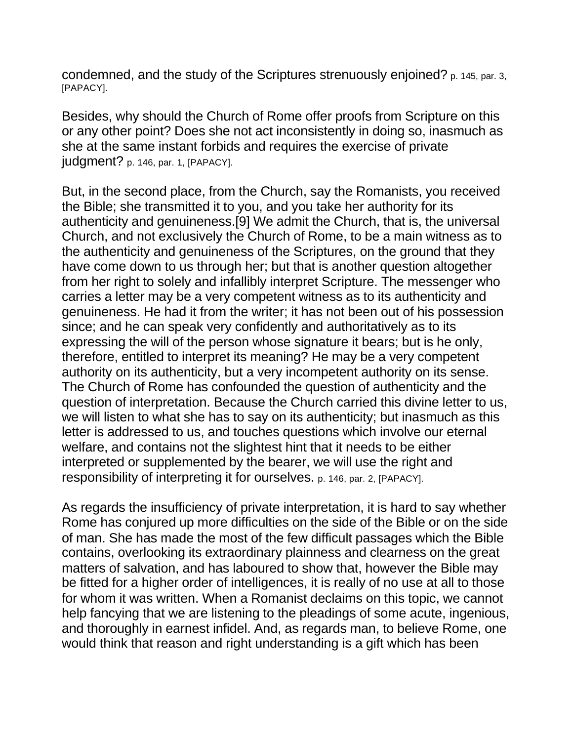condemned, and the study of the Scriptures strenuously enjoined? p. 145, par. 3, [PAPACY].

Besides, why should the Church of Rome offer proofs from Scripture on this or any other point? Does she not act inconsistently in doing so, inasmuch as she at the same instant forbids and requires the exercise of private judgment? p. 146, par. 1, [PAPACY].

But, in the second place, from the Church, say the Romanists, you received the Bible; she transmitted it to you, and you take her authority for its authenticity and genuineness.[9] We admit the Church, that is, the universal Church, and not exclusively the Church of Rome, to be a main witness as to the authenticity and genuineness of the Scriptures, on the ground that they have come down to us through her; but that is another question altogether from her right to solely and infallibly interpret Scripture. The messenger who carries a letter may be a very competent witness as to its authenticity and genuineness. He had it from the writer; it has not been out of his possession since; and he can speak very confidently and authoritatively as to its expressing the will of the person whose signature it bears; but is he only, therefore, entitled to interpret its meaning? He may be a very competent authority on its authenticity, but a very incompetent authority on its sense. The Church of Rome has confounded the question of authenticity and the question of interpretation. Because the Church carried this divine letter to us, we will listen to what she has to say on its authenticity; but inasmuch as this letter is addressed to us, and touches questions which involve our eternal welfare, and contains not the slightest hint that it needs to be either interpreted or supplemented by the bearer, we will use the right and responsibility of interpreting it for ourselves. p. 146, par. 2, [PAPACY].

As regards the insufficiency of private interpretation, it is hard to say whether Rome has conjured up more difficulties on the side of the Bible or on the side of man. She has made the most of the few difficult passages which the Bible contains, overlooking its extraordinary plainness and clearness on the great matters of salvation, and has laboured to show that, however the Bible may be fitted for a higher order of intelligences, it is really of no use at all to those for whom it was written. When a Romanist declaims on this topic, we cannot help fancying that we are listening to the pleadings of some acute, ingenious, and thoroughly in earnest infidel. And, as regards man, to believe Rome, one would think that reason and right understanding is a gift which has been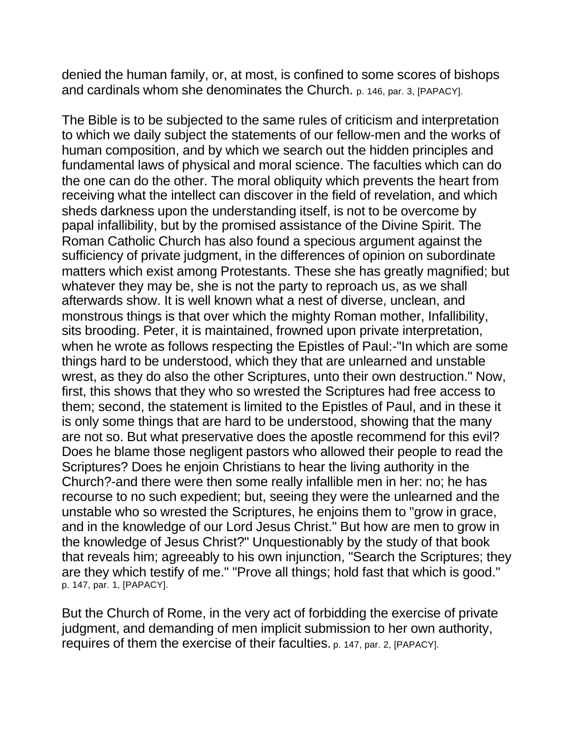denied the human family, or, at most, is confined to some scores of bishops and cardinals whom she denominates the Church. p. 146, par. 3, [PAPACY].

The Bible is to be subjected to the same rules of criticism and interpretation to which we daily subject the statements of our fellow-men and the works of human composition, and by which we search out the hidden principles and fundamental laws of physical and moral science. The faculties which can do the one can do the other. The moral obliquity which prevents the heart from receiving what the intellect can discover in the field of revelation, and which sheds darkness upon the understanding itself, is not to be overcome by papal infallibility, but by the promised assistance of the Divine Spirit. The Roman Catholic Church has also found a specious argument against the sufficiency of private judgment, in the differences of opinion on subordinate matters which exist among Protestants. These she has greatly magnified; but whatever they may be, she is not the party to reproach us, as we shall afterwards show. It is well known what a nest of diverse, unclean, and monstrous things is that over which the mighty Roman mother, Infallibility, sits brooding. Peter, it is maintained, frowned upon private interpretation, when he wrote as follows respecting the Epistles of Paul:-"In which are some things hard to be understood, which they that are unlearned and unstable wrest, as they do also the other Scriptures, unto their own destruction." Now, first, this shows that they who so wrested the Scriptures had free access to them; second, the statement is limited to the Epistles of Paul, and in these it is only some things that are hard to be understood, showing that the many are not so. But what preservative does the apostle recommend for this evil? Does he blame those negligent pastors who allowed their people to read the Scriptures? Does he enjoin Christians to hear the living authority in the Church?-and there were then some really infallible men in her: no; he has recourse to no such expedient; but, seeing they were the unlearned and the unstable who so wrested the Scriptures, he enjoins them to "grow in grace, and in the knowledge of our Lord Jesus Christ." But how are men to grow in the knowledge of Jesus Christ?" Unquestionably by the study of that book that reveals him; agreeably to his own injunction, "Search the Scriptures; they are they which testify of me." "Prove all things; hold fast that which is good." p. 147, par. 1, [PAPACY].

But the Church of Rome, in the very act of forbidding the exercise of private judgment, and demanding of men implicit submission to her own authority, requires of them the exercise of their faculties. p. 147, par. 2, [PAPACY].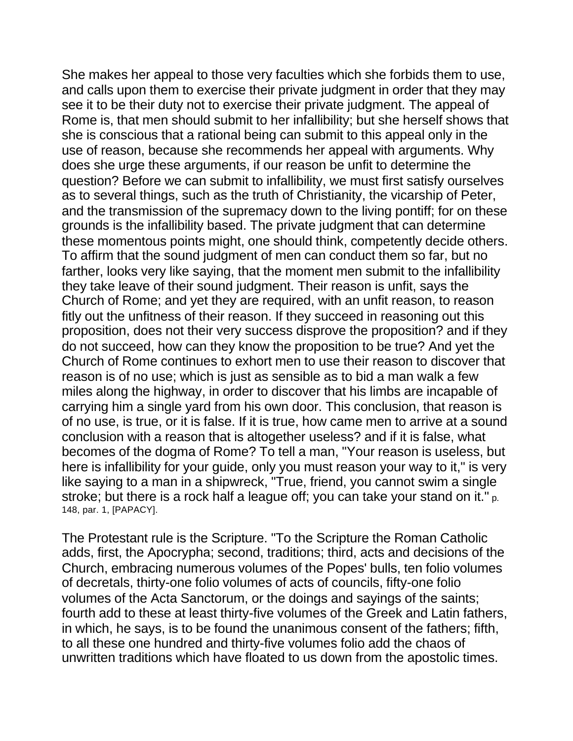She makes her appeal to those very faculties which she forbids them to use, and calls upon them to exercise their private judgment in order that they may see it to be their duty not to exercise their private judgment. The appeal of Rome is, that men should submit to her infallibility; but she herself shows that she is conscious that a rational being can submit to this appeal only in the use of reason, because she recommends her appeal with arguments. Why does she urge these arguments, if our reason be unfit to determine the question? Before we can submit to infallibility, we must first satisfy ourselves as to several things, such as the truth of Christianity, the vicarship of Peter, and the transmission of the supremacy down to the living pontiff; for on these grounds is the infallibility based. The private judgment that can determine these momentous points might, one should think, competently decide others. To affirm that the sound judgment of men can conduct them so far, but no farther, looks very like saying, that the moment men submit to the infallibility they take leave of their sound judgment. Their reason is unfit, says the Church of Rome; and yet they are required, with an unfit reason, to reason fitly out the unfitness of their reason. If they succeed in reasoning out this proposition, does not their very success disprove the proposition? and if they do not succeed, how can they know the proposition to be true? And yet the Church of Rome continues to exhort men to use their reason to discover that reason is of no use; which is just as sensible as to bid a man walk a few miles along the highway, in order to discover that his limbs are incapable of carrying him a single yard from his own door. This conclusion, that reason is of no use, is true, or it is false. If it is true, how came men to arrive at a sound conclusion with a reason that is altogether useless? and if it is false, what becomes of the dogma of Rome? To tell a man, "Your reason is useless, but here is infallibility for your guide, only you must reason your way to it," is very like saying to a man in a shipwreck, "True, friend, you cannot swim a single stroke; but there is a rock half a league off; you can take your stand on it." p. 148, par. 1, [PAPACY].

The Protestant rule is the Scripture. "To the Scripture the Roman Catholic adds, first, the Apocrypha; second, traditions; third, acts and decisions of the Church, embracing numerous volumes of the Popes' bulls, ten folio volumes of decretals, thirty-one folio volumes of acts of councils, fifty-one folio volumes of the Acta Sanctorum, or the doings and sayings of the saints; fourth add to these at least thirty-five volumes of the Greek and Latin fathers, in which, he says, is to be found the unanimous consent of the fathers; fifth, to all these one hundred and thirty-five volumes folio add the chaos of unwritten traditions which have floated to us down from the apostolic times.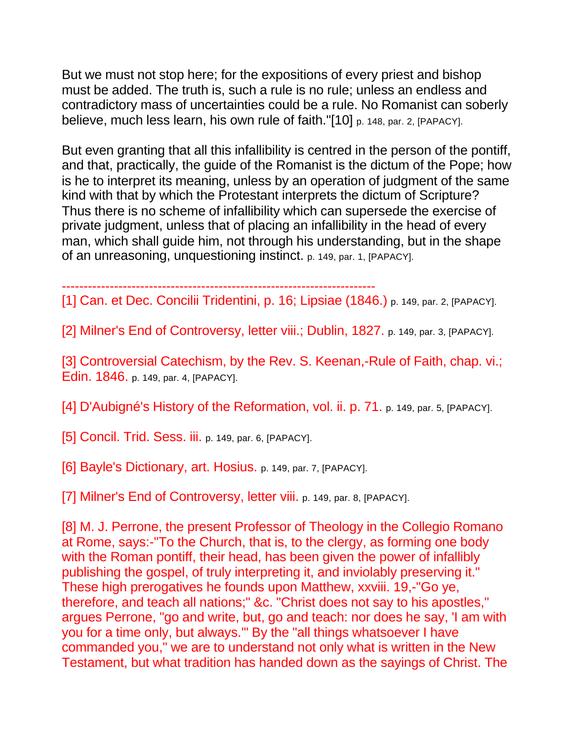But we must not stop here; for the expositions of every priest and bishop must be added. The truth is, such a rule is no rule; unless an endless and contradictory mass of uncertainties could be a rule. No Romanist can soberly believe, much less learn, his own rule of faith."[10] p. 148, par. 2, [PAPACY].

But even granting that all this infallibility is centred in the person of the pontiff, and that, practically, the guide of the Romanist is the dictum of the Pope; how is he to interpret its meaning, unless by an operation of judgment of the same kind with that by which the Protestant interprets the dictum of Scripture? Thus there is no scheme of infallibility which can supersede the exercise of private judgment, unless that of placing an infallibility in the head of every man, which shall guide him, not through his understanding, but in the shape of an unreasoning, unquestioning instinct. p. 149, par. 1, [PAPACY].

------------------------------------------------------------------------

[1] Can. et Dec. Concilii Tridentini, p. 16; Lipsiae (1846.) p. 149, par. 2, [PAPACY].

[2] Milner's End of Controversy, letter viii.; Dublin, 1827. p. 149, par. 3, [PAPACY].

[3] Controversial Catechism, by the Rev. S. Keenan,-Rule of Faith, chap. vi.; Edin. 1846. p. 149, par. 4, [PAPACY].

[4] D'Aubigné's History of the Reformation, vol. ii. p. 71. p. 149, par. 5, [PAPACY].

[5] Concil. Trid. Sess. iii. p. 149, par. 6, [PAPACY].

[6] Bayle's Dictionary, art. Hosius. p. 149, par. 7, [PAPACY].

[7] Milner's End of Controversy, letter viii. p. 149, par. 8, [PAPACY].

[8] M. J. Perrone, the present Professor of Theology in the Collegio Romano at Rome, says:-"To the Church, that is, to the clergy, as forming one body with the Roman pontiff, their head, has been given the power of infallibly publishing the gospel, of truly interpreting it, and inviolably preserving it." These high prerogatives he founds upon Matthew, xxviii. 19,-"Go ye, therefore, and teach all nations;" &c. "Christ does not say to his apostles," argues Perrone, "go and write, but, go and teach: nor does he say, 'I am with you for a time only, but always.'" By the "all things whatsoever I have commanded you," we are to understand not only what is written in the New Testament, but what tradition has handed down as the sayings of Christ. The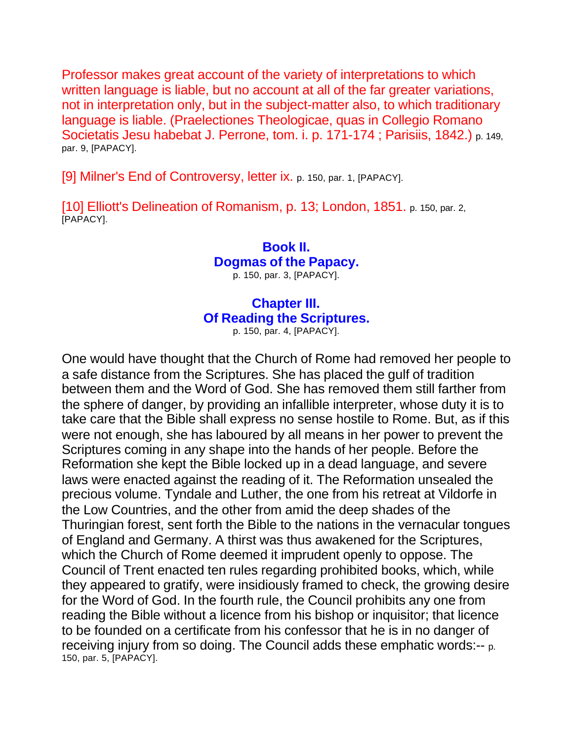Professor makes great account of the variety of interpretations to which written language is liable, but no account at all of the far greater variations, not in interpretation only, but in the subject-matter also, to which traditionary language is liable. (Praelectiones Theologicae, quas in Collegio Romano Societatis Jesu habebat J. Perrone, tom. i. p. 171-174 ; Parisiis, 1842.) p. 149, par. 9, [PAPACY].

[9] Milner's End of Controversy, letter ix. p. 150, par. 1, [PAPACY].

[10] Elliott's Delineation of Romanism, p. 13; London, 1851. p. 150, par. 2, [PAPACY].

> **Book II. Dogmas of the Papacy.** p. 150, par. 3, [PAPACY].

## **Chapter III. Of Reading the Scriptures.**

p. 150, par. 4, [PAPACY].

One would have thought that the Church of Rome had removed her people to a safe distance from the Scriptures. She has placed the gulf of tradition between them and the Word of God. She has removed them still farther from the sphere of danger, by providing an infallible interpreter, whose duty it is to take care that the Bible shall express no sense hostile to Rome. But, as if this were not enough, she has laboured by all means in her power to prevent the Scriptures coming in any shape into the hands of her people. Before the Reformation she kept the Bible locked up in a dead language, and severe laws were enacted against the reading of it. The Reformation unsealed the precious volume. Tyndale and Luther, the one from his retreat at Vildorfe in the Low Countries, and the other from amid the deep shades of the Thuringian forest, sent forth the Bible to the nations in the vernacular tongues of England and Germany. A thirst was thus awakened for the Scriptures, which the Church of Rome deemed it imprudent openly to oppose. The Council of Trent enacted ten rules regarding prohibited books, which, while they appeared to gratify, were insidiously framed to check, the growing desire for the Word of God. In the fourth rule, the Council prohibits any one from reading the Bible without a licence from his bishop or inquisitor; that licence to be founded on a certificate from his confessor that he is in no danger of receiving injury from so doing. The Council adds these emphatic words:-- p. 150, par. 5, [PAPACY].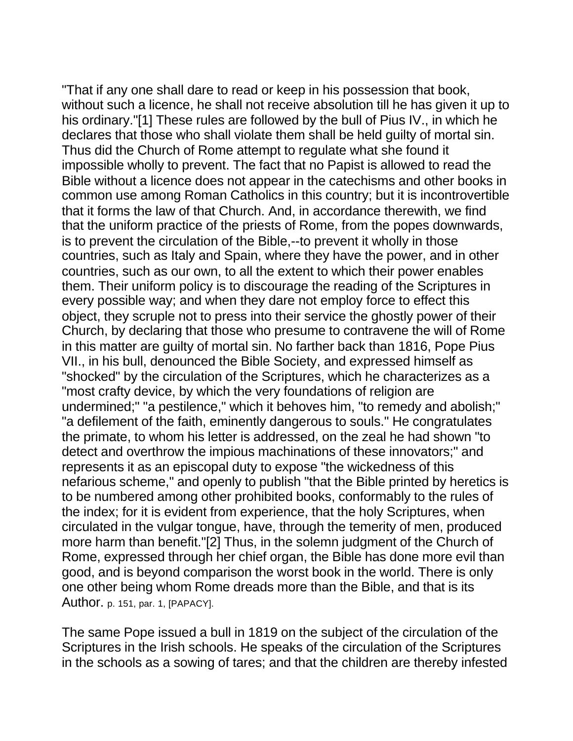"That if any one shall dare to read or keep in his possession that book, without such a licence, he shall not receive absolution till he has given it up to his ordinary."[1] These rules are followed by the bull of Pius IV., in which he declares that those who shall violate them shall be held guilty of mortal sin. Thus did the Church of Rome attempt to regulate what she found it impossible wholly to prevent. The fact that no Papist is allowed to read the Bible without a licence does not appear in the catechisms and other books in common use among Roman Catholics in this country; but it is incontrovertible that it forms the law of that Church. And, in accordance therewith, we find that the uniform practice of the priests of Rome, from the popes downwards, is to prevent the circulation of the Bible,--to prevent it wholly in those countries, such as Italy and Spain, where they have the power, and in other countries, such as our own, to all the extent to which their power enables them. Their uniform policy is to discourage the reading of the Scriptures in every possible way; and when they dare not employ force to effect this object, they scruple not to press into their service the ghostly power of their Church, by declaring that those who presume to contravene the will of Rome in this matter are guilty of mortal sin. No farther back than 1816, Pope Pius VII., in his bull, denounced the Bible Society, and expressed himself as "shocked" by the circulation of the Scriptures, which he characterizes as a "most crafty device, by which the very foundations of religion are undermined;" "a pestilence," which it behoves him, "to remedy and abolish;" "a defilement of the faith, eminently dangerous to souls." He congratulates the primate, to whom his letter is addressed, on the zeal he had shown "to detect and overthrow the impious machinations of these innovators;" and represents it as an episcopal duty to expose "the wickedness of this nefarious scheme," and openly to publish "that the Bible printed by heretics is to be numbered among other prohibited books, conformably to the rules of the index; for it is evident from experience, that the holy Scriptures, when circulated in the vulgar tongue, have, through the temerity of men, produced more harm than benefit."[2] Thus, in the solemn judgment of the Church of Rome, expressed through her chief organ, the Bible has done more evil than good, and is beyond comparison the worst book in the world. There is only one other being whom Rome dreads more than the Bible, and that is its Author. p. 151, par. 1, [PAPACY].

The same Pope issued a bull in 1819 on the subject of the circulation of the Scriptures in the Irish schools. He speaks of the circulation of the Scriptures in the schools as a sowing of tares; and that the children are thereby infested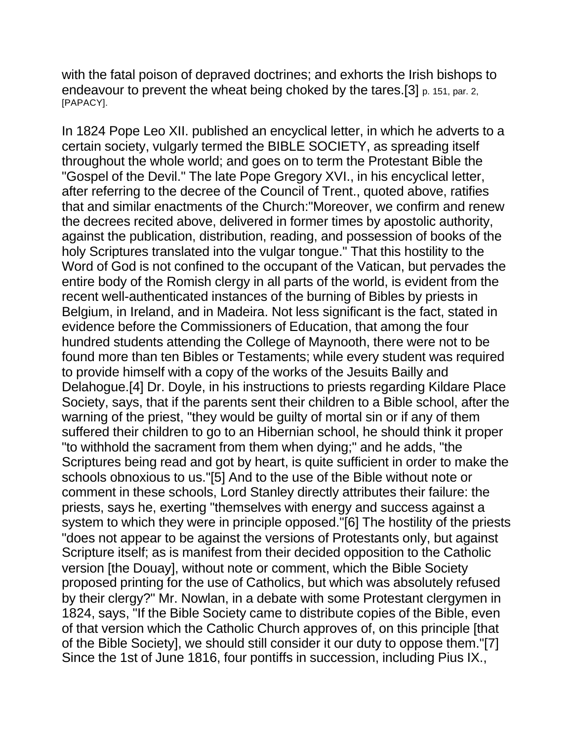with the fatal poison of depraved doctrines; and exhorts the Irish bishops to endeavour to prevent the wheat being choked by the tares.[3] p. 151, par. 2, [PAPACY].

In 1824 Pope Leo XII. published an encyclical letter, in which he adverts to a certain society, vulgarly termed the BIBLE SOCIETY, as spreading itself throughout the whole world; and goes on to term the Protestant Bible the "Gospel of the Devil." The late Pope Gregory XVI., in his encyclical letter, after referring to the decree of the Council of Trent., quoted above, ratifies that and similar enactments of the Church:"Moreover, we confirm and renew the decrees recited above, delivered in former times by apostolic authority, against the publication, distribution, reading, and possession of books of the holy Scriptures translated into the vulgar tongue." That this hostility to the Word of God is not confined to the occupant of the Vatican, but pervades the entire body of the Romish clergy in all parts of the world, is evident from the recent well-authenticated instances of the burning of Bibles by priests in Belgium, in Ireland, and in Madeira. Not less significant is the fact, stated in evidence before the Commissioners of Education, that among the four hundred students attending the College of Maynooth, there were not to be found more than ten Bibles or Testaments; while every student was required to provide himself with a copy of the works of the Jesuits Bailly and Delahogue.[4] Dr. Doyle, in his instructions to priests regarding Kildare Place Society, says, that if the parents sent their children to a Bible school, after the warning of the priest, "they would be guilty of mortal sin or if any of them suffered their children to go to an Hibernian school, he should think it proper "to withhold the sacrament from them when dying;" and he adds, "the Scriptures being read and got by heart, is quite sufficient in order to make the schools obnoxious to us."[5] And to the use of the Bible without note or comment in these schools, Lord Stanley directly attributes their failure: the priests, says he, exerting "themselves with energy and success against a system to which they were in principle opposed."[6] The hostility of the priests "does not appear to be against the versions of Protestants only, but against Scripture itself; as is manifest from their decided opposition to the Catholic version [the Douay], without note or comment, which the Bible Society proposed printing for the use of Catholics, but which was absolutely refused by their clergy?" Mr. Nowlan, in a debate with some Protestant clergymen in 1824, says, "If the Bible Society came to distribute copies of the Bible, even of that version which the Catholic Church approves of, on this principle [that of the Bible Society], we should still consider it our duty to oppose them."[7] Since the 1st of June 1816, four pontiffs in succession, including Pius IX.,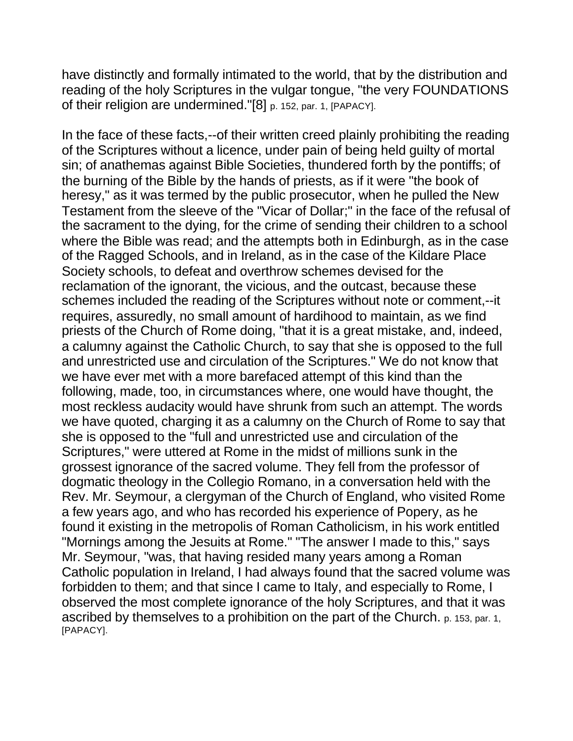have distinctly and formally intimated to the world, that by the distribution and reading of the holy Scriptures in the vulgar tongue, "the very FOUNDATIONS of their religion are undermined."[8] p. 152, par. 1, [PAPACY].

In the face of these facts,--of their written creed plainly prohibiting the reading of the Scriptures without a licence, under pain of being held guilty of mortal sin; of anathemas against Bible Societies, thundered forth by the pontiffs; of the burning of the Bible by the hands of priests, as if it were "the book of heresy," as it was termed by the public prosecutor, when he pulled the New Testament from the sleeve of the "Vicar of Dollar;" in the face of the refusal of the sacrament to the dying, for the crime of sending their children to a school where the Bible was read; and the attempts both in Edinburgh, as in the case of the Ragged Schools, and in Ireland, as in the case of the Kildare Place Society schools, to defeat and overthrow schemes devised for the reclamation of the ignorant, the vicious, and the outcast, because these schemes included the reading of the Scriptures without note or comment,--it requires, assuredly, no small amount of hardihood to maintain, as we find priests of the Church of Rome doing, "that it is a great mistake, and, indeed, a calumny against the Catholic Church, to say that she is opposed to the full and unrestricted use and circulation of the Scriptures." We do not know that we have ever met with a more barefaced attempt of this kind than the following, made, too, in circumstances where, one would have thought, the most reckless audacity would have shrunk from such an attempt. The words we have quoted, charging it as a calumny on the Church of Rome to say that she is opposed to the "full and unrestricted use and circulation of the Scriptures," were uttered at Rome in the midst of millions sunk in the grossest ignorance of the sacred volume. They fell from the professor of dogmatic theology in the Collegio Romano, in a conversation held with the Rev. Mr. Seymour, a clergyman of the Church of England, who visited Rome a few years ago, and who has recorded his experience of Popery, as he found it existing in the metropolis of Roman Catholicism, in his work entitled "Mornings among the Jesuits at Rome." "The answer I made to this," says Mr. Seymour, "was, that having resided many years among a Roman Catholic population in Ireland, I had always found that the sacred volume was forbidden to them; and that since I came to Italy, and especially to Rome, I observed the most complete ignorance of the holy Scriptures, and that it was ascribed by themselves to a prohibition on the part of the Church. p. 153, par. 1, [PAPACY].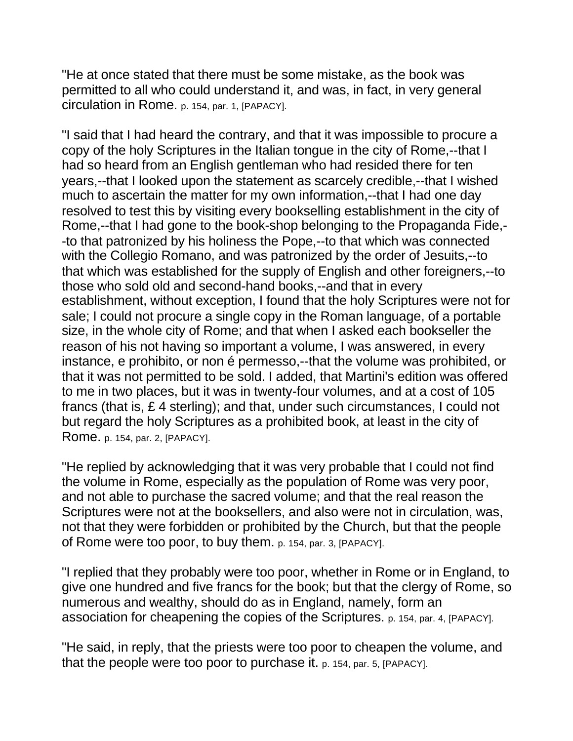"He at once stated that there must be some mistake, as the book was permitted to all who could understand it, and was, in fact, in very general circulation in Rome. p. 154, par. 1, [PAPACY].

"I said that I had heard the contrary, and that it was impossible to procure a copy of the holy Scriptures in the Italian tongue in the city of Rome,--that I had so heard from an English gentleman who had resided there for ten years,--that I looked upon the statement as scarcely credible,--that I wished much to ascertain the matter for my own information,--that I had one day resolved to test this by visiting every bookselling establishment in the city of Rome,--that I had gone to the book-shop belonging to the Propaganda Fide,- -to that patronized by his holiness the Pope,--to that which was connected with the Collegio Romano, and was patronized by the order of Jesuits,--to that which was established for the supply of English and other foreigners,--to those who sold old and second-hand books,--and that in every establishment, without exception, I found that the holy Scriptures were not for sale; I could not procure a single copy in the Roman language, of a portable size, in the whole city of Rome; and that when I asked each bookseller the reason of his not having so important a volume, I was answered, in every instance, e prohibito, or non é permesso,--that the volume was prohibited, or that it was not permitted to be sold. I added, that Martini's edition was offered to me in two places, but it was in twenty-four volumes, and at a cost of 105 francs (that is, £ 4 sterling); and that, under such circumstances, I could not but regard the holy Scriptures as a prohibited book, at least in the city of Rome. p. 154, par. 2, [PAPACY].

"He replied by acknowledging that it was very probable that I could not find the volume in Rome, especially as the population of Rome was very poor, and not able to purchase the sacred volume; and that the real reason the Scriptures were not at the booksellers, and also were not in circulation, was, not that they were forbidden or prohibited by the Church, but that the people of Rome were too poor, to buy them. p. 154, par. 3, [PAPACY].

"I replied that they probably were too poor, whether in Rome or in England, to give one hundred and five francs for the book; but that the clergy of Rome, so numerous and wealthy, should do as in England, namely, form an association for cheapening the copies of the Scriptures. p. 154, par. 4, [PAPACY].

"He said, in reply, that the priests were too poor to cheapen the volume, and that the people were too poor to purchase it. p. 154, par. 5, [PAPACY].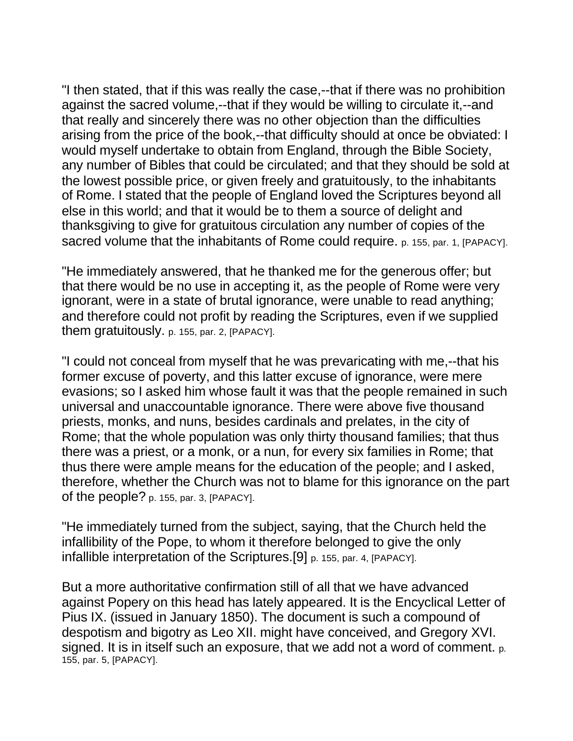"I then stated, that if this was really the case,--that if there was no prohibition against the sacred volume,--that if they would be willing to circulate it,--and that really and sincerely there was no other objection than the difficulties arising from the price of the book,--that difficulty should at once be obviated: I would myself undertake to obtain from England, through the Bible Society, any number of Bibles that could be circulated; and that they should be sold at the lowest possible price, or given freely and gratuitously, to the inhabitants of Rome. I stated that the people of England loved the Scriptures beyond all else in this world; and that it would be to them a source of delight and thanksgiving to give for gratuitous circulation any number of copies of the sacred volume that the inhabitants of Rome could require. p. 155, par. 1, [PAPACY].

"He immediately answered, that he thanked me for the generous offer; but that there would be no use in accepting it, as the people of Rome were very ignorant, were in a state of brutal ignorance, were unable to read anything; and therefore could not profit by reading the Scriptures, even if we supplied them gratuitously. p. 155, par. 2, [PAPACY].

"I could not conceal from myself that he was prevaricating with me,--that his former excuse of poverty, and this latter excuse of ignorance, were mere evasions; so I asked him whose fault it was that the people remained in such universal and unaccountable ignorance. There were above five thousand priests, monks, and nuns, besides cardinals and prelates, in the city of Rome; that the whole population was only thirty thousand families; that thus there was a priest, or a monk, or a nun, for every six families in Rome; that thus there were ample means for the education of the people; and I asked, therefore, whether the Church was not to blame for this ignorance on the part of the people? p. 155, par. 3, [PAPACY].

"He immediately turned from the subject, saying, that the Church held the infallibility of the Pope, to whom it therefore belonged to give the only infallible interpretation of the Scriptures.[9] p. 155, par. 4, [PAPACY].

But a more authoritative confirmation still of all that we have advanced against Popery on this head has lately appeared. It is the Encyclical Letter of Pius IX. (issued in January 1850). The document is such a compound of despotism and bigotry as Leo XII. might have conceived, and Gregory XVI. signed. It is in itself such an exposure, that we add not a word of comment. p. 155, par. 5, [PAPACY].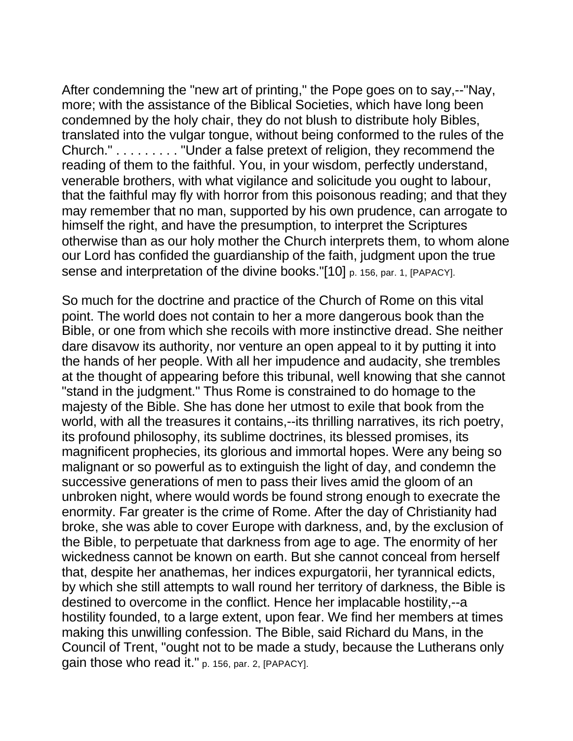After condemning the "new art of printing," the Pope goes on to say,--"Nay, more; with the assistance of the Biblical Societies, which have long been condemned by the holy chair, they do not blush to distribute holy Bibles, translated into the vulgar tongue, without being conformed to the rules of the Church." . . . . . . . . . "Under a false pretext of religion, they recommend the reading of them to the faithful. You, in your wisdom, perfectly understand, venerable brothers, with what vigilance and solicitude you ought to labour, that the faithful may fly with horror from this poisonous reading; and that they may remember that no man, supported by his own prudence, can arrogate to himself the right, and have the presumption, to interpret the Scriptures otherwise than as our holy mother the Church interprets them, to whom alone our Lord has confided the guardianship of the faith, judgment upon the true sense and interpretation of the divine books."[10] p. 156, par. 1, [PAPACY].

So much for the doctrine and practice of the Church of Rome on this vital point. The world does not contain to her a more dangerous book than the Bible, or one from which she recoils with more instinctive dread. She neither dare disavow its authority, nor venture an open appeal to it by putting it into the hands of her people. With all her impudence and audacity, she trembles at the thought of appearing before this tribunal, well knowing that she cannot "stand in the judgment." Thus Rome is constrained to do homage to the majesty of the Bible. She has done her utmost to exile that book from the world, with all the treasures it contains,--its thrilling narratives, its rich poetry, its profound philosophy, its sublime doctrines, its blessed promises, its magnificent prophecies, its glorious and immortal hopes. Were any being so malignant or so powerful as to extinguish the light of day, and condemn the successive generations of men to pass their lives amid the gloom of an unbroken night, where would words be found strong enough to execrate the enormity. Far greater is the crime of Rome. After the day of Christianity had broke, she was able to cover Europe with darkness, and, by the exclusion of the Bible, to perpetuate that darkness from age to age. The enormity of her wickedness cannot be known on earth. But she cannot conceal from herself that, despite her anathemas, her indices expurgatorii, her tyrannical edicts, by which she still attempts to wall round her territory of darkness, the Bible is destined to overcome in the conflict. Hence her implacable hostility,--a hostility founded, to a large extent, upon fear. We find her members at times making this unwilling confession. The Bible, said Richard du Mans, in the Council of Trent, "ought not to be made a study, because the Lutherans only gain those who read it." p. 156, par. 2, [PAPACY].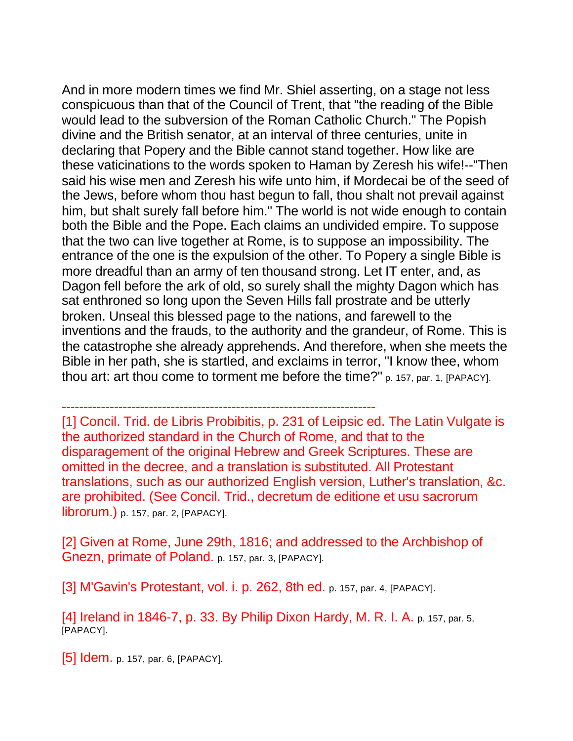And in more modern times we find Mr. Shiel asserting, on a stage not less conspicuous than that of the Council of Trent, that "the reading of the Bible would lead to the subversion of the Roman Catholic Church." The Popish divine and the British senator, at an interval of three centuries, unite in declaring that Popery and the Bible cannot stand together. How like are these vaticinations to the words spoken to Haman by Zeresh his wife!--"Then said his wise men and Zeresh his wife unto him, if Mordecai be of the seed of the Jews, before whom thou hast begun to fall, thou shalt not prevail against him, but shalt surely fall before him." The world is not wide enough to contain both the Bible and the Pope. Each claims an undivided empire. To suppose that the two can live together at Rome, is to suppose an impossibility. The entrance of the one is the expulsion of the other. To Popery a single Bible is more dreadful than an army of ten thousand strong. Let IT enter, and, as Dagon fell before the ark of old, so surely shall the mighty Dagon which has sat enthroned so long upon the Seven Hills fall prostrate and be utterly broken. Unseal this blessed page to the nations, and farewell to the inventions and the frauds, to the authority and the grandeur, of Rome. This is the catastrophe she already apprehends. And therefore, when she meets the Bible in her path, she is startled, and exclaims in terror, "I know thee, whom thou art: art thou come to torment me before the time?" p. 157, par. 1, [PAPACY].

------------------------------------------------------------------------

[1] Concil. Trid. de Libris Probibitis, p. 231 of Leipsic ed. The Latin Vulgate is the authorized standard in the Church of Rome, and that to the disparagement of the original Hebrew and Greek Scriptures. These are omitted in the decree, and a translation is substituted. All Protestant translations, such as our authorized English version, Luther's translation, &c. are prohibited. (See Concil. Trid., decretum de editione et usu sacrorum librorum.) p. 157, par. 2, [PAPACY].

[2] Given at Rome, June 29th, 1816; and addressed to the Archbishop of Gnezn, primate of Poland. p. 157, par. 3, [PAPACY].

[3] M'Gavin's Protestant, vol. i. p. 262, 8th ed. p. 157, par. 4, [PAPACY].

[4] Ireland in 1846-7, p. 33. By Philip Dixon Hardy, M. R. I. A. p. 157, par. 5, [PAPACY].

[5] **Idem.** p. 157, par. 6, [PAPACY].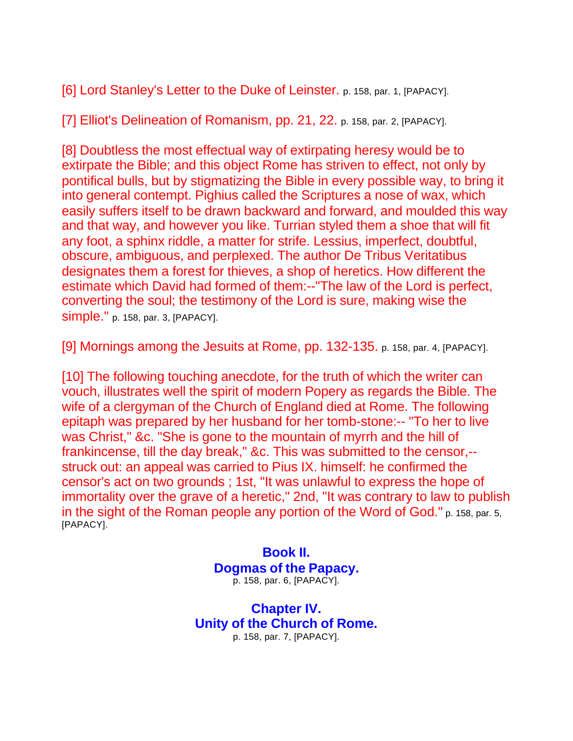[6] Lord Stanley's Letter to the Duke of Leinster. p. 158, par. 1, [PAPACY].

[7] Elliot's Delineation of Romanism, pp. 21, 22. p. 158, par. 2, [PAPACY].

[8] Doubtless the most effectual way of extirpating heresy would be to extirpate the Bible; and this object Rome has striven to effect, not only by pontifical bulls, but by stigmatizing the Bible in every possible way, to bring it into general contempt. Pighius called the Scriptures a nose of wax, which easily suffers itself to be drawn backward and forward, and moulded this way and that way, and however you like. Turrian styled them a shoe that will fit any foot, a sphinx riddle, a matter for strife. Lessius, imperfect, doubtful, obscure, ambiguous, and perplexed. The author De Tribus Veritatibus designates them a forest for thieves, a shop of heretics. How different the estimate which David had formed of them:--"The law of the Lord is perfect, converting the soul; the testimony of the Lord is sure, making wise the simple." p. 158, par. 3, [PAPACY].

[9] Mornings among the Jesuits at Rome, pp. 132-135. p. 158, par. 4, [PAPACY].

[10] The following touching anecdote, for the truth of which the writer can vouch, illustrates well the spirit of modern Popery as regards the Bible. The wife of a clergyman of the Church of England died at Rome. The following epitaph was prepared by her husband for her tomb-stone:-- "To her to live was Christ," &c. "She is gone to the mountain of myrrh and the hill of frankincense, till the day break," &c. This was submitted to the censor,- struck out: an appeal was carried to Pius IX. himself: he confirmed the censor's act on two grounds ; 1st, "It was unlawful to express the hope of immortality over the grave of a heretic," 2nd, "It was contrary to law to publish in the sight of the Roman people any portion of the Word of God." p. 158, par. 5, [PAPACY].

> **Book II. Dogmas of the Papacy.** p. 158, par. 6, [PAPACY].

**Chapter IV. Unity of the Church of Rome.** p. 158, par. 7, [PAPACY].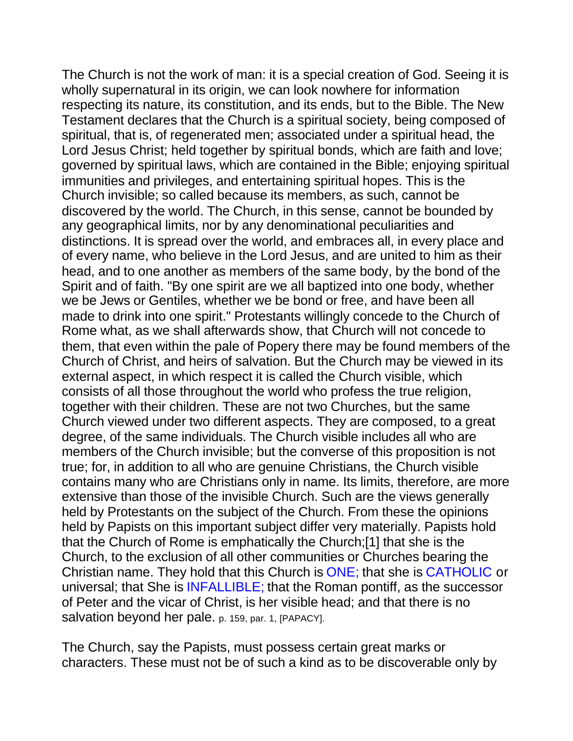The Church is not the work of man: it is a special creation of God. Seeing it is wholly supernatural in its origin, we can look nowhere for information respecting its nature, its constitution, and its ends, but to the Bible. The New Testament declares that the Church is a spiritual society, being composed of spiritual, that is, of regenerated men; associated under a spiritual head, the Lord Jesus Christ; held together by spiritual bonds, which are faith and love; governed by spiritual laws, which are contained in the Bible; enjoying spiritual immunities and privileges, and entertaining spiritual hopes. This is the Church invisible; so called because its members, as such, cannot be discovered by the world. The Church, in this sense, cannot be bounded by any geographical limits, nor by any denominational peculiarities and distinctions. It is spread over the world, and embraces all, in every place and of every name, who believe in the Lord Jesus, and are united to him as their head, and to one another as members of the same body, by the bond of the Spirit and of faith. "By one spirit are we all baptized into one body, whether we be Jews or Gentiles, whether we be bond or free, and have been all made to drink into one spirit." Protestants willingly concede to the Church of Rome what, as we shall afterwards show, that Church will not concede to them, that even within the pale of Popery there may be found members of the Church of Christ, and heirs of salvation. But the Church may be viewed in its external aspect, in which respect it is called the Church visible, which consists of all those throughout the world who profess the true religion, together with their children. These are not two Churches, but the same Church viewed under two different aspects. They are composed, to a great degree, of the same individuals. The Church visible includes all who are members of the Church invisible; but the converse of this proposition is not true; for, in addition to all who are genuine Christians, the Church visible contains many who are Christians only in name. Its limits, therefore, are more extensive than those of the invisible Church. Such are the views generally held by Protestants on the subject of the Church. From these the opinions held by Papists on this important subject differ very materially. Papists hold that the Church of Rome is emphatically the Church;[1] that she is the Church, to the exclusion of all other communities or Churches bearing the Christian name. They hold that this Church is ONE; that she is CATHOLIC or universal; that She is INFALLIBLE; that the Roman pontiff, as the successor of Peter and the vicar of Christ, is her visible head; and that there is no salvation beyond her pale. p. 159, par. 1, [PAPACY].

The Church, say the Papists, must possess certain great marks or characters. These must not be of such a kind as to be discoverable only by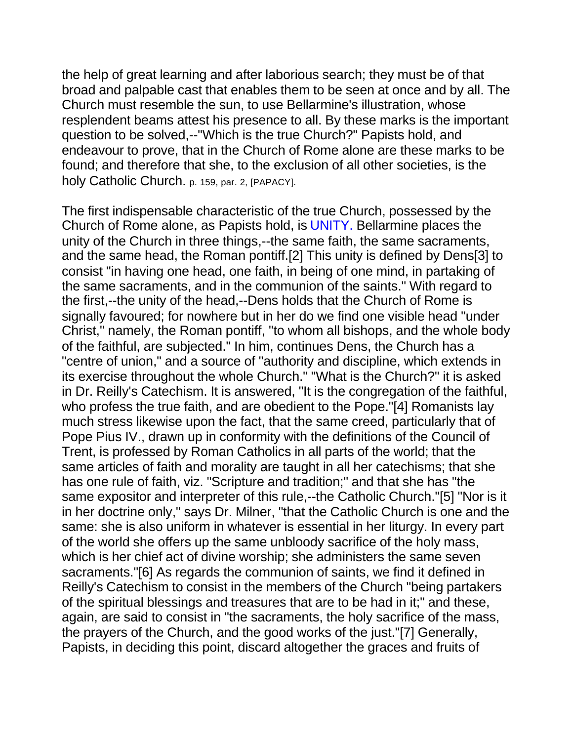the help of great learning and after laborious search; they must be of that broad and palpable cast that enables them to be seen at once and by all. The Church must resemble the sun, to use Bellarmine's illustration, whose resplendent beams attest his presence to all. By these marks is the important question to be solved,--"Which is the true Church?" Papists hold, and endeavour to prove, that in the Church of Rome alone are these marks to be found; and therefore that she, to the exclusion of all other societies, is the holy Catholic Church. p. 159, par. 2, [PAPACY].

The first indispensable characteristic of the true Church, possessed by the Church of Rome alone, as Papists hold, is UNITY. Bellarmine places the unity of the Church in three things,--the same faith, the same sacraments, and the same head, the Roman pontiff.[2] This unity is defined by Dens[3] to consist "in having one head, one faith, in being of one mind, in partaking of the same sacraments, and in the communion of the saints." With regard to the first,--the unity of the head,--Dens holds that the Church of Rome is signally favoured; for nowhere but in her do we find one visible head "under Christ," namely, the Roman pontiff, "to whom all bishops, and the whole body of the faithful, are subjected." In him, continues Dens, the Church has a "centre of union," and a source of "authority and discipline, which extends in its exercise throughout the whole Church." "What is the Church?" it is asked in Dr. Reilly's Catechism. It is answered, "It is the congregation of the faithful, who profess the true faith, and are obedient to the Pope."[4] Romanists lay much stress likewise upon the fact, that the same creed, particularly that of Pope Pius IV., drawn up in conformity with the definitions of the Council of Trent, is professed by Roman Catholics in all parts of the world; that the same articles of faith and morality are taught in all her catechisms; that she has one rule of faith, viz. "Scripture and tradition;" and that she has "the same expositor and interpreter of this rule,--the Catholic Church."[5] "Nor is it in her doctrine only," says Dr. Milner, "that the Catholic Church is one and the same: she is also uniform in whatever is essential in her liturgy. In every part of the world she offers up the same unbloody sacrifice of the holy mass, which is her chief act of divine worship; she administers the same seven sacraments."[6] As regards the communion of saints, we find it defined in Reilly's Catechism to consist in the members of the Church "being partakers of the spiritual blessings and treasures that are to be had in it;" and these, again, are said to consist in "the sacraments, the holy sacrifice of the mass, the prayers of the Church, and the good works of the just."[7] Generally, Papists, in deciding this point, discard altogether the graces and fruits of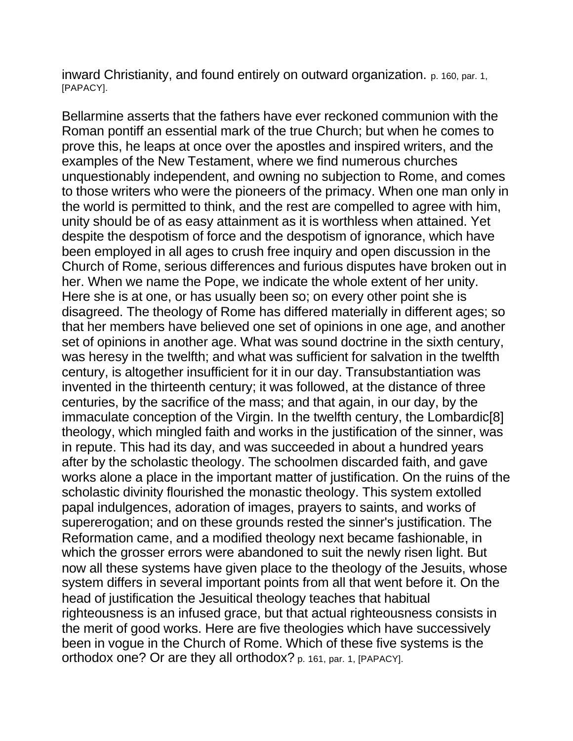inward Christianity, and found entirely on outward organization. p. 160, par. 1, [PAPACY].

Bellarmine asserts that the fathers have ever reckoned communion with the Roman pontiff an essential mark of the true Church; but when he comes to prove this, he leaps at once over the apostles and inspired writers, and the examples of the New Testament, where we find numerous churches unquestionably independent, and owning no subjection to Rome, and comes to those writers who were the pioneers of the primacy. When one man only in the world is permitted to think, and the rest are compelled to agree with him, unity should be of as easy attainment as it is worthless when attained. Yet despite the despotism of force and the despotism of ignorance, which have been employed in all ages to crush free inquiry and open discussion in the Church of Rome, serious differences and furious disputes have broken out in her. When we name the Pope, we indicate the whole extent of her unity. Here she is at one, or has usually been so; on every other point she is disagreed. The theology of Rome has differed materially in different ages; so that her members have believed one set of opinions in one age, and another set of opinions in another age. What was sound doctrine in the sixth century, was heresy in the twelfth; and what was sufficient for salvation in the twelfth century, is altogether insufficient for it in our day. Transubstantiation was invented in the thirteenth century; it was followed, at the distance of three centuries, by the sacrifice of the mass; and that again, in our day, by the immaculate conception of the Virgin. In the twelfth century, the Lombardic[8] theology, which mingled faith and works in the justification of the sinner, was in repute. This had its day, and was succeeded in about a hundred years after by the scholastic theology. The schoolmen discarded faith, and gave works alone a place in the important matter of justification. On the ruins of the scholastic divinity flourished the monastic theology. This system extolled papal indulgences, adoration of images, prayers to saints, and works of supererogation; and on these grounds rested the sinner's justification. The Reformation came, and a modified theology next became fashionable, in which the grosser errors were abandoned to suit the newly risen light. But now all these systems have given place to the theology of the Jesuits, whose system differs in several important points from all that went before it. On the head of justification the Jesuitical theology teaches that habitual righteousness is an infused grace, but that actual righteousness consists in the merit of good works. Here are five theologies which have successively been in vogue in the Church of Rome. Which of these five systems is the orthodox one? Or are they all orthodox? p. 161, par. 1, [PAPACY].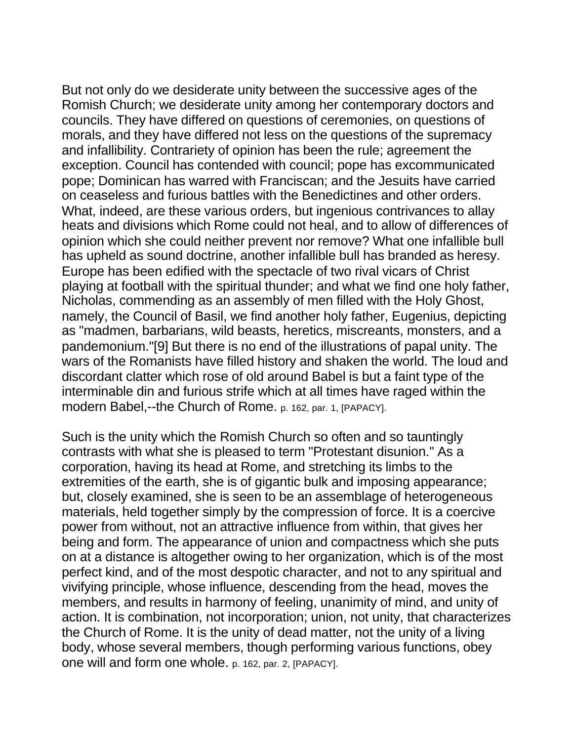But not only do we desiderate unity between the successive ages of the Romish Church; we desiderate unity among her contemporary doctors and councils. They have differed on questions of ceremonies, on questions of morals, and they have differed not less on the questions of the supremacy and infallibility. Contrariety of opinion has been the rule; agreement the exception. Council has contended with council; pope has excommunicated pope; Dominican has warred with Franciscan; and the Jesuits have carried on ceaseless and furious battles with the Benedictines and other orders. What, indeed, are these various orders, but ingenious contrivances to allay heats and divisions which Rome could not heal, and to allow of differences of opinion which she could neither prevent nor remove? What one infallible bull has upheld as sound doctrine, another infallible bull has branded as heresy. Europe has been edified with the spectacle of two rival vicars of Christ playing at football with the spiritual thunder; and what we find one holy father, Nicholas, commending as an assembly of men filled with the Holy Ghost, namely, the Council of Basil, we find another holy father, Eugenius, depicting as "madmen, barbarians, wild beasts, heretics, miscreants, monsters, and a pandemonium."[9] But there is no end of the illustrations of papal unity. The wars of the Romanists have filled history and shaken the world. The loud and discordant clatter which rose of old around Babel is but a faint type of the interminable din and furious strife which at all times have raged within the modern Babel,--the Church of Rome. p. 162, par. 1, [PAPACY].

Such is the unity which the Romish Church so often and so tauntingly contrasts with what she is pleased to term "Protestant disunion." As a corporation, having its head at Rome, and stretching its limbs to the extremities of the earth, she is of gigantic bulk and imposing appearance; but, closely examined, she is seen to be an assemblage of heterogeneous materials, held together simply by the compression of force. It is a coercive power from without, not an attractive influence from within, that gives her being and form. The appearance of union and compactness which she puts on at a distance is altogether owing to her organization, which is of the most perfect kind, and of the most despotic character, and not to any spiritual and vivifying principle, whose influence, descending from the head, moves the members, and results in harmony of feeling, unanimity of mind, and unity of action. It is combination, not incorporation; union, not unity, that characterizes the Church of Rome. It is the unity of dead matter, not the unity of a living body, whose several members, though performing various functions, obey one will and form one whole. p. 162, par. 2, [PAPACY].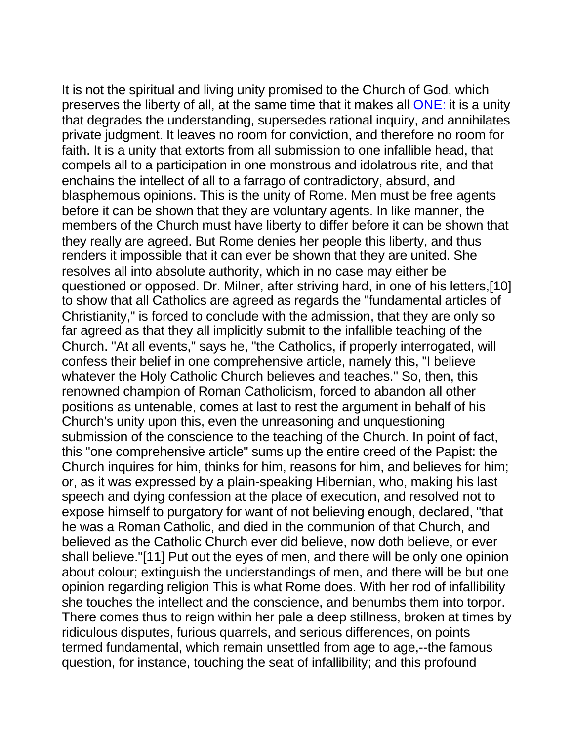It is not the spiritual and living unity promised to the Church of God, which preserves the liberty of all, at the same time that it makes all ONE: it is a unity that degrades the understanding, supersedes rational inquiry, and annihilates private judgment. It leaves no room for conviction, and therefore no room for faith. It is a unity that extorts from all submission to one infallible head, that compels all to a participation in one monstrous and idolatrous rite, and that enchains the intellect of all to a farrago of contradictory, absurd, and blasphemous opinions. This is the unity of Rome. Men must be free agents before it can be shown that they are voluntary agents. In like manner, the members of the Church must have liberty to differ before it can be shown that they really are agreed. But Rome denies her people this liberty, and thus renders it impossible that it can ever be shown that they are united. She resolves all into absolute authority, which in no case may either be questioned or opposed. Dr. Milner, after striving hard, in one of his letters,[10] to show that all Catholics are agreed as regards the "fundamental articles of Christianity," is forced to conclude with the admission, that they are only so far agreed as that they all implicitly submit to the infallible teaching of the Church. "At all events," says he, "the Catholics, if properly interrogated, will confess their belief in one comprehensive article, namely this, "I believe whatever the Holy Catholic Church believes and teaches." So, then, this renowned champion of Roman Catholicism, forced to abandon all other positions as untenable, comes at last to rest the argument in behalf of his Church's unity upon this, even the unreasoning and unquestioning submission of the conscience to the teaching of the Church. In point of fact, this "one comprehensive article" sums up the entire creed of the Papist: the Church inquires for him, thinks for him, reasons for him, and believes for him; or, as it was expressed by a plain-speaking Hibernian, who, making his last speech and dying confession at the place of execution, and resolved not to expose himself to purgatory for want of not believing enough, declared, "that he was a Roman Catholic, and died in the communion of that Church, and believed as the Catholic Church ever did believe, now doth believe, or ever shall believe."[11] Put out the eyes of men, and there will be only one opinion about colour; extinguish the understandings of men, and there will be but one opinion regarding religion This is what Rome does. With her rod of infallibility she touches the intellect and the conscience, and benumbs them into torpor. There comes thus to reign within her pale a deep stillness, broken at times by ridiculous disputes, furious quarrels, and serious differences, on points termed fundamental, which remain unsettled from age to age,--the famous question, for instance, touching the seat of infallibility; and this profound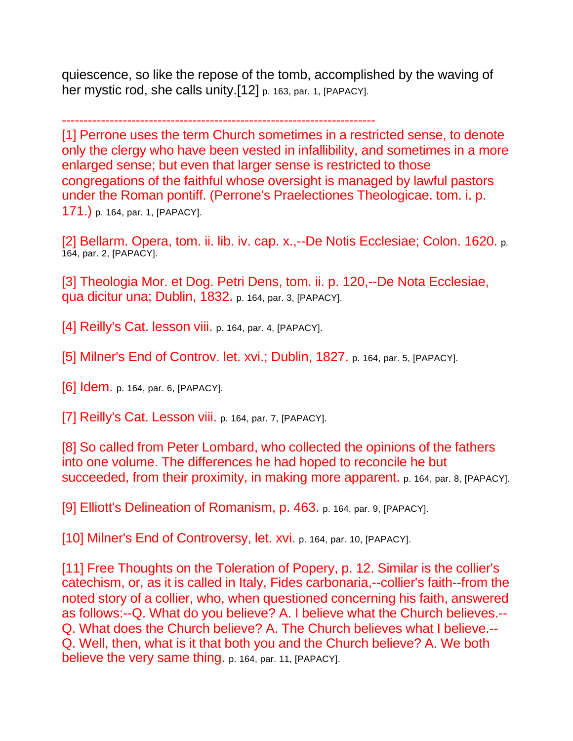quiescence, so like the repose of the tomb, accomplished by the waving of her mystic rod, she calls unity.<sup>[12]</sup> p. 163, par. 1, [PAPACY].

------------------------------------------------------------------------

[1] Perrone uses the term Church sometimes in a restricted sense, to denote only the clergy who have been vested in infallibility, and sometimes in a more enlarged sense; but even that larger sense is restricted to those congregations of the faithful whose oversight is managed by lawful pastors under the Roman pontiff. (Perrone's Praelectiones Theologicae. tom. i. p. 171.) p. 164, par. 1, [PAPACY].

[2] Bellarm. Opera, tom. ii. lib. iv. cap. x.,--De Notis Ecclesiae; Colon. 1620. p. 164, par. 2, [PAPACY].

[3] Theologia Mor. et Dog. Petri Dens, tom. ii. p. 120,--De Nota Ecclesiae, qua dicitur una; Dublin, 1832. p. 164, par. 3, [PAPACY].

[4]  $\text{Reilly's Cat. lesson viii. p. 164, par. 4, [PAPACY].}$ 

[5] Milner's End of Controv. let. xvi.; Dublin, 1827. p. 164, par. 5, [PAPACY].

[6] Idem. p. 164, par. 6, [PAPACY].

[7] Reilly's Cat. Lesson viii. p. 164, par. 7, [PAPACY].

[8] So called from Peter Lombard, who collected the opinions of the fathers into one volume. The differences he had hoped to reconcile he but succeeded, from their proximity, in making more apparent. p. 164, par. 8, [PAPACY].

[9] Elliott's Delineation of Romanism, p. 463. p. 164, par. 9, [PAPACY].

[10] Milner's End of Controversy, let. xvi. p. 164, par. 10, [PAPACY].

[11] Free Thoughts on the Toleration of Popery, p. 12. Similar is the collier's catechism, or, as it is called in Italy, Fides carbonaria,--collier's faith--from the noted story of a collier, who, when questioned concerning his faith, answered as follows:--Q. What do you believe? A. I believe what the Church believes.-- Q. What does the Church believe? A. The Church believes what I believe.--Q. Well, then, what is it that both you and the Church believe? A. We both believe the very same thing. p. 164, par. 11, [PAPACY].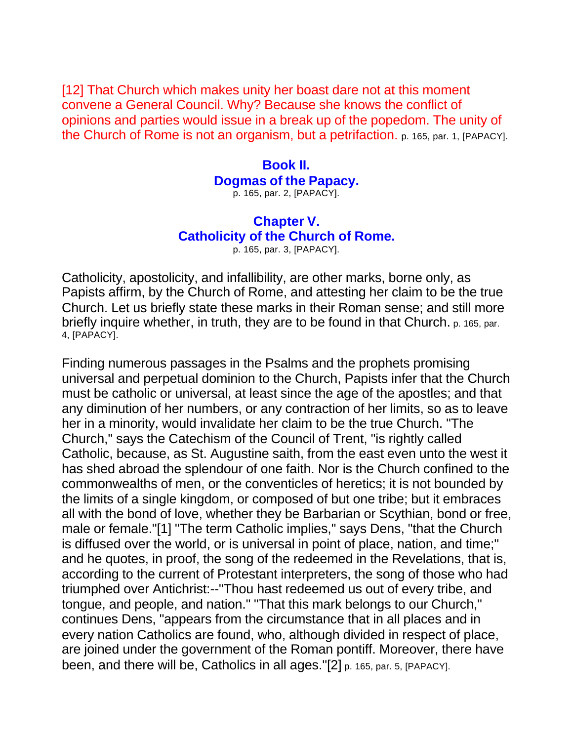[12] That Church which makes unity her boast dare not at this moment convene a General Council. Why? Because she knows the conflict of opinions and parties would issue in a break up of the popedom. The unity of the Church of Rome is not an organism, but a petrifaction. p. 165, par. 1, [PAPACY].

## **Book II. Dogmas of the Papacy.**

p. 165, par. 2, [PAPACY].

## **Chapter V. Catholicity of the Church of Rome.**

p. 165, par. 3, [PAPACY].

Catholicity, apostolicity, and infallibility, are other marks, borne only, as Papists affirm, by the Church of Rome, and attesting her claim to be the true Church. Let us briefly state these marks in their Roman sense; and still more briefly inquire whether, in truth, they are to be found in that Church. p. 165, par. 4, [PAPACY].

Finding numerous passages in the Psalms and the prophets promising universal and perpetual dominion to the Church, Papists infer that the Church must be catholic or universal, at least since the age of the apostles; and that any diminution of her numbers, or any contraction of her limits, so as to leave her in a minority, would invalidate her claim to be the true Church. "The Church," says the Catechism of the Council of Trent, "is rightly called Catholic, because, as St. Augustine saith, from the east even unto the west it has shed abroad the splendour of one faith. Nor is the Church confined to the commonwealths of men, or the conventicles of heretics; it is not bounded by the limits of a single kingdom, or composed of but one tribe; but it embraces all with the bond of love, whether they be Barbarian or Scythian, bond or free, male or female."[1] "The term Catholic implies," says Dens, "that the Church is diffused over the world, or is universal in point of place, nation, and time;" and he quotes, in proof, the song of the redeemed in the Revelations, that is, according to the current of Protestant interpreters, the song of those who had triumphed over Antichrist:--"Thou hast redeemed us out of every tribe, and tongue, and people, and nation." "That this mark belongs to our Church," continues Dens, "appears from the circumstance that in all places and in every nation Catholics are found, who, although divided in respect of place, are joined under the government of the Roman pontiff. Moreover, there have been, and there will be, Catholics in all ages."[2] p. 165, par. 5, [PAPACY].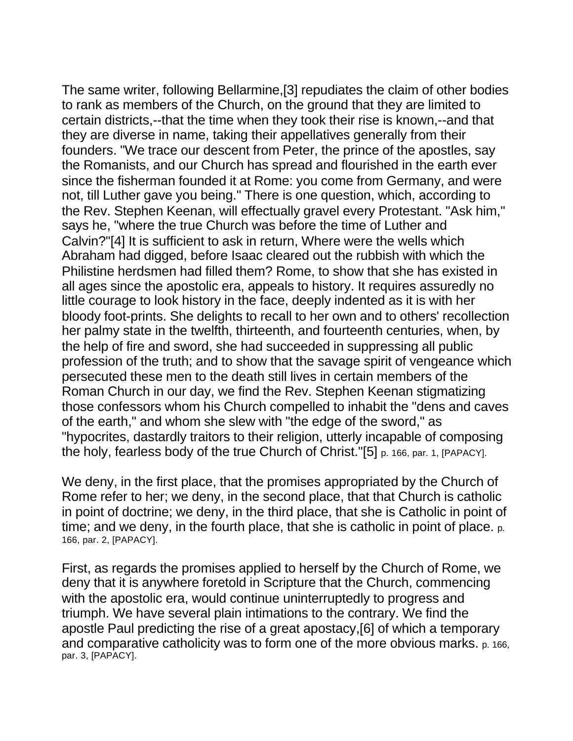The same writer, following Bellarmine,[3] repudiates the claim of other bodies to rank as members of the Church, on the ground that they are limited to certain districts,--that the time when they took their rise is known,--and that they are diverse in name, taking their appellatives generally from their founders. "We trace our descent from Peter, the prince of the apostles, say the Romanists, and our Church has spread and flourished in the earth ever since the fisherman founded it at Rome: you come from Germany, and were not, till Luther gave you being." There is one question, which, according to the Rev. Stephen Keenan, will effectually gravel every Protestant. "Ask him," says he, "where the true Church was before the time of Luther and Calvin?"[4] It is sufficient to ask in return, Where were the wells which Abraham had digged, before Isaac cleared out the rubbish with which the Philistine herdsmen had filled them? Rome, to show that she has existed in all ages since the apostolic era, appeals to history. It requires assuredly no little courage to look history in the face, deeply indented as it is with her bloody foot-prints. She delights to recall to her own and to others' recollection her palmy state in the twelfth, thirteenth, and fourteenth centuries, when, by the help of fire and sword, she had succeeded in suppressing all public profession of the truth; and to show that the savage spirit of vengeance which persecuted these men to the death still lives in certain members of the Roman Church in our day, we find the Rev. Stephen Keenan stigmatizing those confessors whom his Church compelled to inhabit the "dens and caves of the earth," and whom she slew with "the edge of the sword," as "hypocrites, dastardly traitors to their religion, utterly incapable of composing the holy, fearless body of the true Church of Christ."[5] p. 166, par. 1, [PAPACY].

We deny, in the first place, that the promises appropriated by the Church of Rome refer to her; we deny, in the second place, that that Church is catholic in point of doctrine; we deny, in the third place, that she is Catholic in point of time; and we deny, in the fourth place, that she is catholic in point of place. p. 166, par. 2, [PAPACY].

First, as regards the promises applied to herself by the Church of Rome, we deny that it is anywhere foretold in Scripture that the Church, commencing with the apostolic era, would continue uninterruptedly to progress and triumph. We have several plain intimations to the contrary. We find the apostle Paul predicting the rise of a great apostacy,[6] of which a temporary and comparative catholicity was to form one of the more obvious marks. p. 166, par. 3, [PAPACY].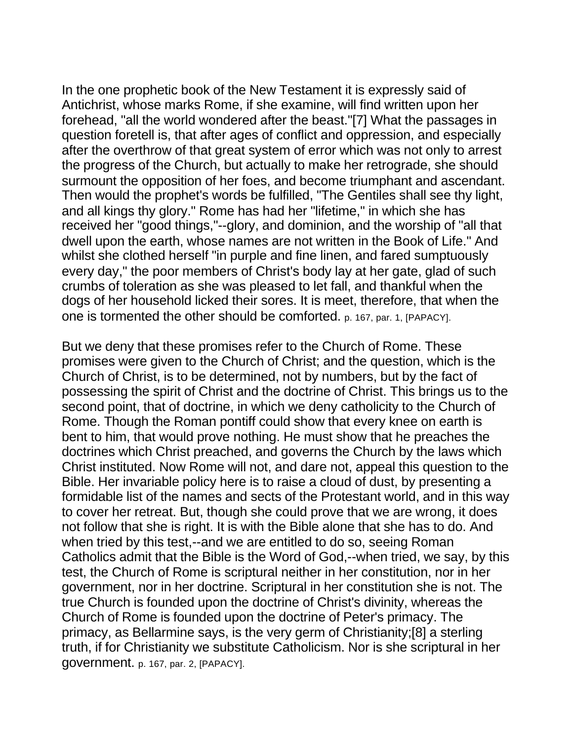In the one prophetic book of the New Testament it is expressly said of Antichrist, whose marks Rome, if she examine, will find written upon her forehead, "all the world wondered after the beast."[7] What the passages in question foretell is, that after ages of conflict and oppression, and especially after the overthrow of that great system of error which was not only to arrest the progress of the Church, but actually to make her retrograde, she should surmount the opposition of her foes, and become triumphant and ascendant. Then would the prophet's words be fulfilled, "The Gentiles shall see thy light, and all kings thy glory." Rome has had her "lifetime," in which she has received her "good things,"--glory, and dominion, and the worship of "all that dwell upon the earth, whose names are not written in the Book of Life." And whilst she clothed herself "in purple and fine linen, and fared sumptuously every day," the poor members of Christ's body lay at her gate, glad of such crumbs of toleration as she was pleased to let fall, and thankful when the dogs of her household licked their sores. It is meet, therefore, that when the one is tormented the other should be comforted. p. 167, par. 1, [PAPACY].

But we deny that these promises refer to the Church of Rome. These promises were given to the Church of Christ; and the question, which is the Church of Christ, is to be determined, not by numbers, but by the fact of possessing the spirit of Christ and the doctrine of Christ. This brings us to the second point, that of doctrine, in which we deny catholicity to the Church of Rome. Though the Roman pontiff could show that every knee on earth is bent to him, that would prove nothing. He must show that he preaches the doctrines which Christ preached, and governs the Church by the laws which Christ instituted. Now Rome will not, and dare not, appeal this question to the Bible. Her invariable policy here is to raise a cloud of dust, by presenting a formidable list of the names and sects of the Protestant world, and in this way to cover her retreat. But, though she could prove that we are wrong, it does not follow that she is right. It is with the Bible alone that she has to do. And when tried by this test,--and we are entitled to do so, seeing Roman Catholics admit that the Bible is the Word of God,--when tried, we say, by this test, the Church of Rome is scriptural neither in her constitution, nor in her government, nor in her doctrine. Scriptural in her constitution she is not. The true Church is founded upon the doctrine of Christ's divinity, whereas the Church of Rome is founded upon the doctrine of Peter's primacy. The primacy, as Bellarmine says, is the very germ of Christianity;[8] a sterling truth, if for Christianity we substitute Catholicism. Nor is she scriptural in her government. p. 167, par. 2, [PAPACY].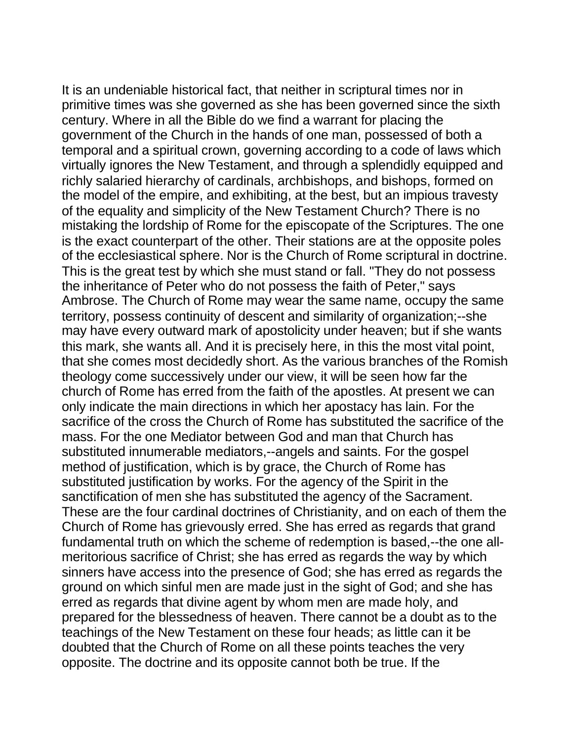It is an undeniable historical fact, that neither in scriptural times nor in primitive times was she governed as she has been governed since the sixth century. Where in all the Bible do we find a warrant for placing the government of the Church in the hands of one man, possessed of both a temporal and a spiritual crown, governing according to a code of laws which virtually ignores the New Testament, and through a splendidly equipped and richly salaried hierarchy of cardinals, archbishops, and bishops, formed on the model of the empire, and exhibiting, at the best, but an impious travesty of the equality and simplicity of the New Testament Church? There is no mistaking the lordship of Rome for the episcopate of the Scriptures. The one is the exact counterpart of the other. Their stations are at the opposite poles of the ecclesiastical sphere. Nor is the Church of Rome scriptural in doctrine. This is the great test by which she must stand or fall. "They do not possess the inheritance of Peter who do not possess the faith of Peter," says Ambrose. The Church of Rome may wear the same name, occupy the same territory, possess continuity of descent and similarity of organization;--she may have every outward mark of apostolicity under heaven; but if she wants this mark, she wants all. And it is precisely here, in this the most vital point, that she comes most decidedly short. As the various branches of the Romish theology come successively under our view, it will be seen how far the church of Rome has erred from the faith of the apostles. At present we can only indicate the main directions in which her apostacy has lain. For the sacrifice of the cross the Church of Rome has substituted the sacrifice of the mass. For the one Mediator between God and man that Church has substituted innumerable mediators,--angels and saints. For the gospel method of justification, which is by grace, the Church of Rome has substituted justification by works. For the agency of the Spirit in the sanctification of men she has substituted the agency of the Sacrament. These are the four cardinal doctrines of Christianity, and on each of them the Church of Rome has grievously erred. She has erred as regards that grand fundamental truth on which the scheme of redemption is based,--the one allmeritorious sacrifice of Christ; she has erred as regards the way by which sinners have access into the presence of God; she has erred as regards the ground on which sinful men are made just in the sight of God; and she has erred as regards that divine agent by whom men are made holy, and prepared for the blessedness of heaven. There cannot be a doubt as to the teachings of the New Testament on these four heads; as little can it be doubted that the Church of Rome on all these points teaches the very opposite. The doctrine and its opposite cannot both be true. If the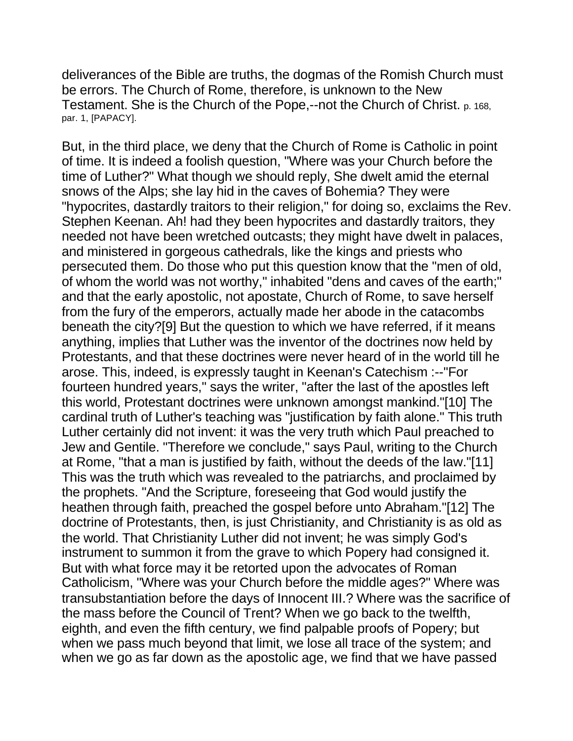deliverances of the Bible are truths, the dogmas of the Romish Church must be errors. The Church of Rome, therefore, is unknown to the New Testament. She is the Church of the Pope,--not the Church of Christ. p. 168, par. 1, [PAPACY].

But, in the third place, we deny that the Church of Rome is Catholic in point of time. It is indeed a foolish question, "Where was your Church before the time of Luther?" What though we should reply, She dwelt amid the eternal snows of the Alps; she lay hid in the caves of Bohemia? They were "hypocrites, dastardly traitors to their religion," for doing so, exclaims the Rev. Stephen Keenan. Ah! had they been hypocrites and dastardly traitors, they needed not have been wretched outcasts; they might have dwelt in palaces, and ministered in gorgeous cathedrals, like the kings and priests who persecuted them. Do those who put this question know that the "men of old, of whom the world was not worthy," inhabited "dens and caves of the earth;" and that the early apostolic, not apostate, Church of Rome, to save herself from the fury of the emperors, actually made her abode in the catacombs beneath the city?[9] But the question to which we have referred, if it means anything, implies that Luther was the inventor of the doctrines now held by Protestants, and that these doctrines were never heard of in the world till he arose. This, indeed, is expressly taught in Keenan's Catechism :--"For fourteen hundred years," says the writer, "after the last of the apostles left this world, Protestant doctrines were unknown amongst mankind."[10] The cardinal truth of Luther's teaching was "justification by faith alone." This truth Luther certainly did not invent: it was the very truth which Paul preached to Jew and Gentile. "Therefore we conclude," says Paul, writing to the Church at Rome, "that a man is justified by faith, without the deeds of the law."[11] This was the truth which was revealed to the patriarchs, and proclaimed by the prophets. "And the Scripture, foreseeing that God would justify the heathen through faith, preached the gospel before unto Abraham."[12] The doctrine of Protestants, then, is just Christianity, and Christianity is as old as the world. That Christianity Luther did not invent; he was simply God's instrument to summon it from the grave to which Popery had consigned it. But with what force may it be retorted upon the advocates of Roman Catholicism, "Where was your Church before the middle ages?" Where was transubstantiation before the days of Innocent III.? Where was the sacrifice of the mass before the Council of Trent? When we go back to the twelfth, eighth, and even the fifth century, we find palpable proofs of Popery; but when we pass much beyond that limit, we lose all trace of the system; and when we go as far down as the apostolic age, we find that we have passed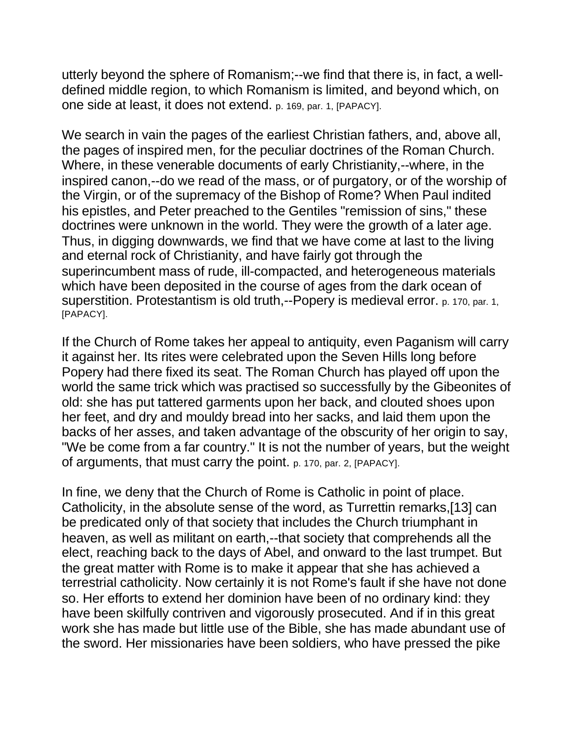utterly beyond the sphere of Romanism;--we find that there is, in fact, a welldefined middle region, to which Romanism is limited, and beyond which, on one side at least, it does not extend. p. 169, par. 1, [PAPACY].

We search in vain the pages of the earliest Christian fathers, and, above all, the pages of inspired men, for the peculiar doctrines of the Roman Church. Where, in these venerable documents of early Christianity,--where, in the inspired canon,--do we read of the mass, or of purgatory, or of the worship of the Virgin, or of the supremacy of the Bishop of Rome? When Paul indited his epistles, and Peter preached to the Gentiles "remission of sins," these doctrines were unknown in the world. They were the growth of a later age. Thus, in digging downwards, we find that we have come at last to the living and eternal rock of Christianity, and have fairly got through the superincumbent mass of rude, ill-compacted, and heterogeneous materials which have been deposited in the course of ages from the dark ocean of superstition. Protestantism is old truth,--Popery is medieval error. p. 170, par. 1, [PAPACY].

If the Church of Rome takes her appeal to antiquity, even Paganism will carry it against her. Its rites were celebrated upon the Seven Hills long before Popery had there fixed its seat. The Roman Church has played off upon the world the same trick which was practised so successfully by the Gibeonites of old: she has put tattered garments upon her back, and clouted shoes upon her feet, and dry and mouldy bread into her sacks, and laid them upon the backs of her asses, and taken advantage of the obscurity of her origin to say, "We be come from a far country." It is not the number of years, but the weight of arguments, that must carry the point. p. 170, par. 2, [PAPACY].

In fine, we deny that the Church of Rome is Catholic in point of place. Catholicity, in the absolute sense of the word, as Turrettin remarks,[13] can be predicated only of that society that includes the Church triumphant in heaven, as well as militant on earth,--that society that comprehends all the elect, reaching back to the days of Abel, and onward to the last trumpet. But the great matter with Rome is to make it appear that she has achieved a terrestrial catholicity. Now certainly it is not Rome's fault if she have not done so. Her efforts to extend her dominion have been of no ordinary kind: they have been skilfully contriven and vigorously prosecuted. And if in this great work she has made but little use of the Bible, she has made abundant use of the sword. Her missionaries have been soldiers, who have pressed the pike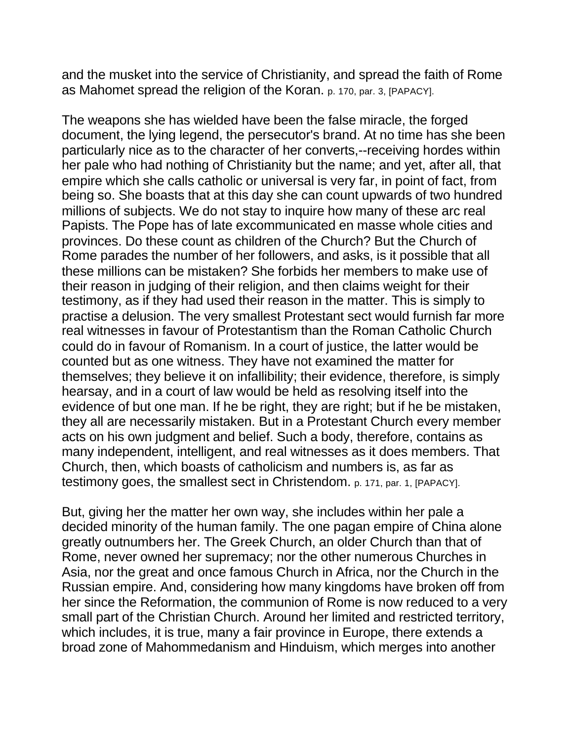and the musket into the service of Christianity, and spread the faith of Rome as Mahomet spread the religion of the Koran. p. 170, par. 3, [PAPACY].

The weapons she has wielded have been the false miracle, the forged document, the lying legend, the persecutor's brand. At no time has she been particularly nice as to the character of her converts,--receiving hordes within her pale who had nothing of Christianity but the name; and yet, after all, that empire which she calls catholic or universal is very far, in point of fact, from being so. She boasts that at this day she can count upwards of two hundred millions of subjects. We do not stay to inquire how many of these arc real Papists. The Pope has of late excommunicated en masse whole cities and provinces. Do these count as children of the Church? But the Church of Rome parades the number of her followers, and asks, is it possible that all these millions can be mistaken? She forbids her members to make use of their reason in judging of their religion, and then claims weight for their testimony, as if they had used their reason in the matter. This is simply to practise a delusion. The very smallest Protestant sect would furnish far more real witnesses in favour of Protestantism than the Roman Catholic Church could do in favour of Romanism. In a court of justice, the latter would be counted but as one witness. They have not examined the matter for themselves; they believe it on infallibility; their evidence, therefore, is simply hearsay, and in a court of law would be held as resolving itself into the evidence of but one man. If he be right, they are right; but if he be mistaken, they all are necessarily mistaken. But in a Protestant Church every member acts on his own judgment and belief. Such a body, therefore, contains as many independent, intelligent, and real witnesses as it does members. That Church, then, which boasts of catholicism and numbers is, as far as testimony goes, the smallest sect in Christendom. p. 171, par. 1, [PAPACY].

But, giving her the matter her own way, she includes within her pale a decided minority of the human family. The one pagan empire of China alone greatly outnumbers her. The Greek Church, an older Church than that of Rome, never owned her supremacy; nor the other numerous Churches in Asia, nor the great and once famous Church in Africa, nor the Church in the Russian empire. And, considering how many kingdoms have broken off from her since the Reformation, the communion of Rome is now reduced to a very small part of the Christian Church. Around her limited and restricted territory, which includes, it is true, many a fair province in Europe, there extends a broad zone of Mahommedanism and Hinduism, which merges into another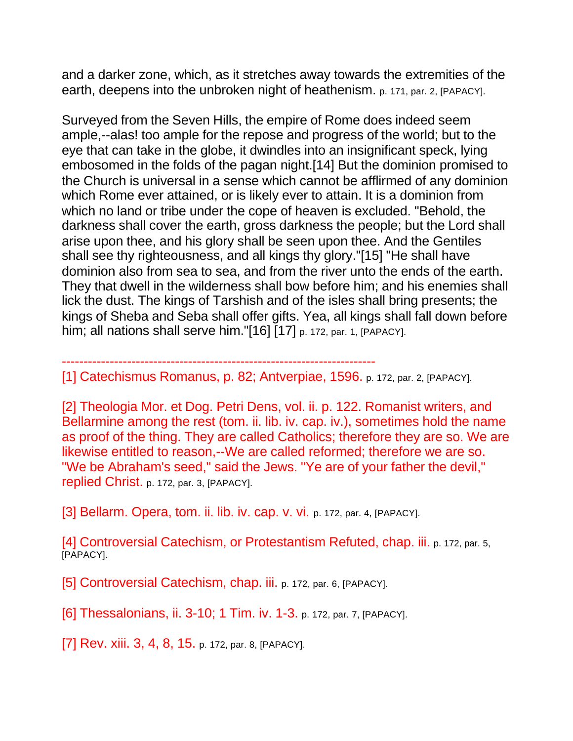and a darker zone, which, as it stretches away towards the extremities of the earth, deepens into the unbroken night of heathenism. p. 171, par. 2, [PAPACY].

Surveyed from the Seven Hills, the empire of Rome does indeed seem ample,--alas! too ample for the repose and progress of the world; but to the eye that can take in the globe, it dwindles into an insignificant speck, lying embosomed in the folds of the pagan night.[14] But the dominion promised to the Church is universal in a sense which cannot be afflirmed of any dominion which Rome ever attained, or is likely ever to attain. It is a dominion from which no land or tribe under the cope of heaven is excluded. "Behold, the darkness shall cover the earth, gross darkness the people; but the Lord shall arise upon thee, and his glory shall be seen upon thee. And the Gentiles shall see thy righteousness, and all kings thy glory."[15] "He shall have dominion also from sea to sea, and from the river unto the ends of the earth. They that dwell in the wilderness shall bow before him; and his enemies shall lick the dust. The kings of Tarshish and of the isles shall bring presents; the kings of Sheba and Seba shall offer gifts. Yea, all kings shall fall down before him; all nations shall serve him."[16] [17] p. 172, par. 1, [PAPACY].

------------------------------------------------------------------------

[1] Catechismus Romanus, p. 82; Antverpiae, 1596. p. 172, par. 2, [PAPACY].

[2] Theologia Mor. et Dog. Petri Dens, vol. ii. p. 122. Romanist writers, and Bellarmine among the rest (tom. ii. lib. iv. cap. iv.), sometimes hold the name as proof of the thing. They are called Catholics; therefore they are so. We are likewise entitled to reason,--We are called reformed; therefore we are so. "We be Abraham's seed," said the Jews. "Ye are of your father the devil," replied Christ. p. 172, par. 3, [PAPACY].

[3] Bellarm. Opera, tom. ii. lib. iv. cap. v. vi. p. 172, par. 4, [PAPACY].

[4] Controversial Catechism, or Protestantism Refuted, chap. iii. p. 172, par. 5, [PAPACY].

[5] Controversial Catechism, chap. iii. p. 172, par. 6, [PAPACY].

[6] Thessalonians, ii. 3-10; 1 Tim. iv. 1-3. p. 172, par. 7, [PAPACY].

[7] Rev. xiii. 3, 4, 8, 15. p. 172, par. 8, [PAPACY].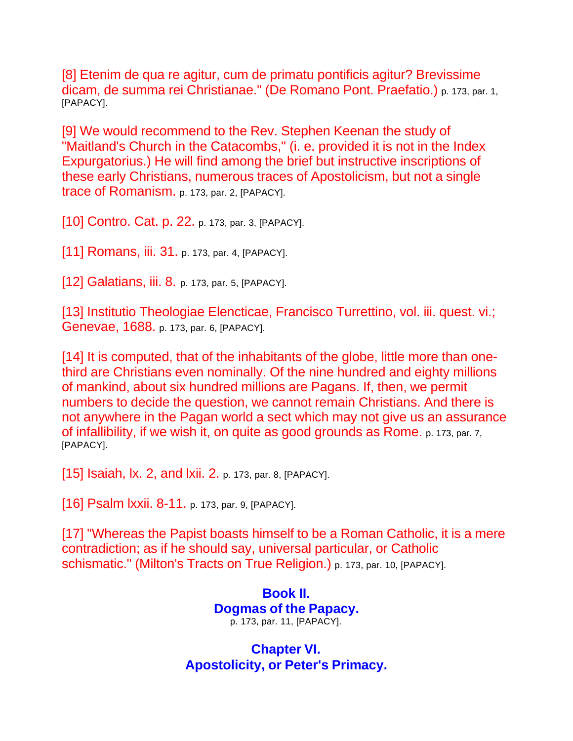[8] Etenim de qua re agitur, cum de primatu pontificis agitur? Brevissime dicam, de summa rei Christianae." (De Romano Pont. Praefatio.) p. 173, par. 1, [PAPACY].

[9] We would recommend to the Rev. Stephen Keenan the study of "Maitland's Church in the Catacombs," (i. e. provided it is not in the Index Expurgatorius.) He will find among the brief but instructive inscriptions of these early Christians, numerous traces of Apostolicism, but not a single trace of Romanism. p. 173, par. 2, [PAPACY].

[10] Contro. Cat. p. 22. p. 173, par. 3, [PAPACY].

[11] Romans, iii. 31. p. 173, par. 4, [PAPACY].

[12] Galatians, iii. 8. p. 173, par. 5, [PAPACY].

[13] Institutio Theologiae Elencticae, Francisco Turrettino, vol. iii. quest. vi.; Genevae, 1688. p. 173, par. 6, [PAPACY].

[14] It is computed, that of the inhabitants of the globe, little more than onethird are Christians even nominally. Of the nine hundred and eighty millions of mankind, about six hundred millions are Pagans. If, then, we permit numbers to decide the question, we cannot remain Christians. And there is not anywhere in the Pagan world a sect which may not give us an assurance of infallibility, if we wish it, on quite as good grounds as Rome. p. 173, par. 7, [PAPACY].

[15] **Isaiah, Ix. 2, and Ixii. 2.** p. 173, par. 8, [PAPACY].

[16] Psalm Ixxii. 8-11. p. 173, par. 9, [PAPACY].

[17] "Whereas the Papist boasts himself to be a Roman Catholic, it is a mere contradiction; as if he should say, universal particular, or Catholic schismatic." (Milton's Tracts on True Religion.) p. 173, par. 10, [PAPACY].

> **Book II. Dogmas of the Papacy.** p. 173, par. 11, [PAPACY].

**Chapter VI. Apostolicity, or Peter's Primacy.**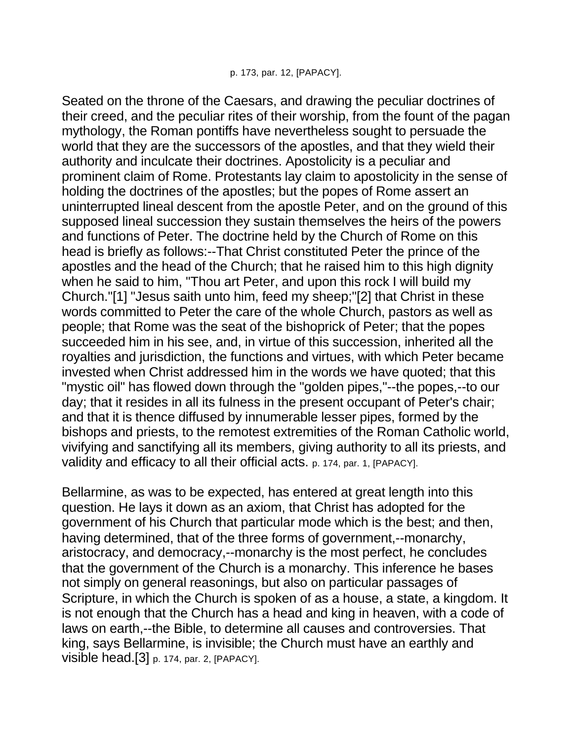Seated on the throne of the Caesars, and drawing the peculiar doctrines of their creed, and the peculiar rites of their worship, from the fount of the pagan mythology, the Roman pontiffs have nevertheless sought to persuade the world that they are the successors of the apostles, and that they wield their authority and inculcate their doctrines. Apostolicity is a peculiar and prominent claim of Rome. Protestants lay claim to apostolicity in the sense of holding the doctrines of the apostles; but the popes of Rome assert an uninterrupted lineal descent from the apostle Peter, and on the ground of this supposed lineal succession they sustain themselves the heirs of the powers and functions of Peter. The doctrine held by the Church of Rome on this head is briefly as follows:--That Christ constituted Peter the prince of the apostles and the head of the Church; that he raised him to this high dignity when he said to him, "Thou art Peter, and upon this rock I will build my Church."[1] "Jesus saith unto him, feed my sheep;"[2] that Christ in these words committed to Peter the care of the whole Church, pastors as well as people; that Rome was the seat of the bishoprick of Peter; that the popes succeeded him in his see, and, in virtue of this succession, inherited all the royalties and jurisdiction, the functions and virtues, with which Peter became invested when Christ addressed him in the words we have quoted; that this "mystic oil" has flowed down through the "golden pipes,"--the popes,--to our day; that it resides in all its fulness in the present occupant of Peter's chair; and that it is thence diffused by innumerable lesser pipes, formed by the bishops and priests, to the remotest extremities of the Roman Catholic world, vivifying and sanctifying all its members, giving authority to all its priests, and validity and efficacy to all their official acts. p. 174, par. 1, [PAPACY].

Bellarmine, as was to be expected, has entered at great length into this question. He lays it down as an axiom, that Christ has adopted for the government of his Church that particular mode which is the best; and then, having determined, that of the three forms of government,--monarchy, aristocracy, and democracy,--monarchy is the most perfect, he concludes that the government of the Church is a monarchy. This inference he bases not simply on general reasonings, but also on particular passages of Scripture, in which the Church is spoken of as a house, a state, a kingdom. It is not enough that the Church has a head and king in heaven, with a code of laws on earth,--the Bible, to determine all causes and controversies. That king, says Bellarmine, is invisible; the Church must have an earthly and visible head.[3] p. 174, par. 2, [PAPACY].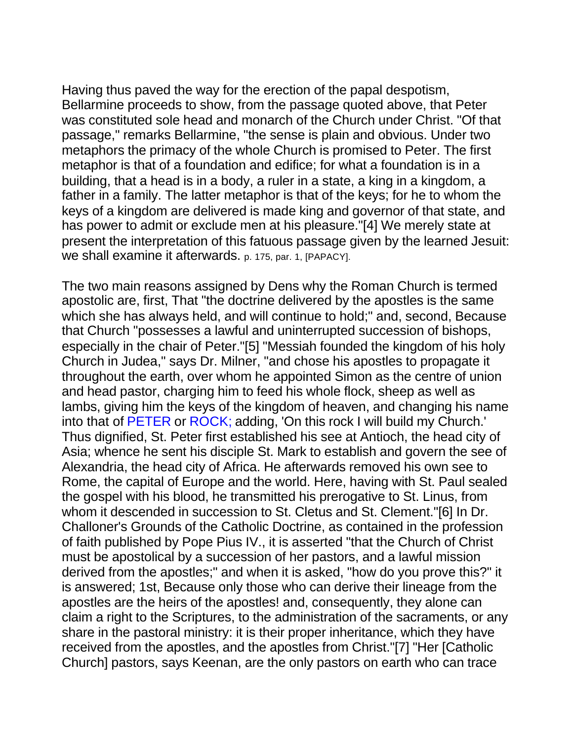Having thus paved the way for the erection of the papal despotism, Bellarmine proceeds to show, from the passage quoted above, that Peter was constituted sole head and monarch of the Church under Christ. "Of that passage," remarks Bellarmine, "the sense is plain and obvious. Under two metaphors the primacy of the whole Church is promised to Peter. The first metaphor is that of a foundation and edifice; for what a foundation is in a building, that a head is in a body, a ruler in a state, a king in a kingdom, a father in a family. The latter metaphor is that of the keys; for he to whom the keys of a kingdom are delivered is made king and governor of that state, and has power to admit or exclude men at his pleasure."[4] We merely state at present the interpretation of this fatuous passage given by the learned Jesuit: we shall examine it afterwards. p. 175, par. 1, [PAPACY].

The two main reasons assigned by Dens why the Roman Church is termed apostolic are, first, That "the doctrine delivered by the apostles is the same which she has always held, and will continue to hold;" and, second, Because that Church "possesses a lawful and uninterrupted succession of bishops, especially in the chair of Peter."[5] "Messiah founded the kingdom of his holy Church in Judea," says Dr. Milner, "and chose his apostles to propagate it throughout the earth, over whom he appointed Simon as the centre of union and head pastor, charging him to feed his whole flock, sheep as well as lambs, giving him the keys of the kingdom of heaven, and changing his name into that of PETER or ROCK; adding, 'On this rock I will build my Church.' Thus dignified, St. Peter first established his see at Antioch, the head city of Asia; whence he sent his disciple St. Mark to establish and govern the see of Alexandria, the head city of Africa. He afterwards removed his own see to Rome, the capital of Europe and the world. Here, having with St. Paul sealed the gospel with his blood, he transmitted his prerogative to St. Linus, from whom it descended in succession to St. Cletus and St. Clement."[6] In Dr. Challoner's Grounds of the Catholic Doctrine, as contained in the profession of faith published by Pope Pius IV., it is asserted "that the Church of Christ must be apostolical by a succession of her pastors, and a lawful mission derived from the apostles;" and when it is asked, "how do you prove this?" it is answered; 1st, Because only those who can derive their lineage from the apostles are the heirs of the apostles! and, consequently, they alone can claim a right to the Scriptures, to the administration of the sacraments, or any share in the pastoral ministry: it is their proper inheritance, which they have received from the apostles, and the apostles from Christ."[7] "Her [Catholic Church] pastors, says Keenan, are the only pastors on earth who can trace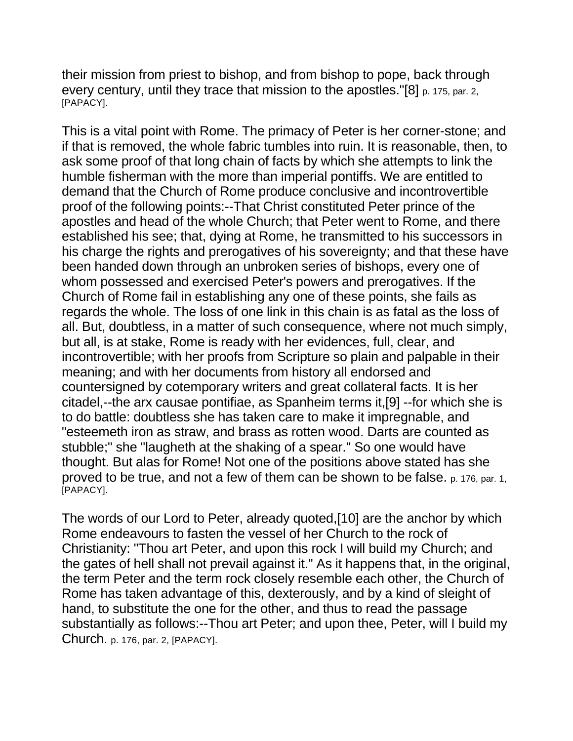their mission from priest to bishop, and from bishop to pope, back through every century, until they trace that mission to the apostles. "[8] p. 175, par. 2, [PAPACY].

This is a vital point with Rome. The primacy of Peter is her corner-stone; and if that is removed, the whole fabric tumbles into ruin. It is reasonable, then, to ask some proof of that long chain of facts by which she attempts to link the humble fisherman with the more than imperial pontiffs. We are entitled to demand that the Church of Rome produce conclusive and incontrovertible proof of the following points:--That Christ constituted Peter prince of the apostles and head of the whole Church; that Peter went to Rome, and there established his see; that, dying at Rome, he transmitted to his successors in his charge the rights and prerogatives of his sovereignty; and that these have been handed down through an unbroken series of bishops, every one of whom possessed and exercised Peter's powers and prerogatives. If the Church of Rome fail in establishing any one of these points, she fails as regards the whole. The loss of one link in this chain is as fatal as the loss of all. But, doubtless, in a matter of such consequence, where not much simply, but all, is at stake, Rome is ready with her evidences, full, clear, and incontrovertible; with her proofs from Scripture so plain and palpable in their meaning; and with her documents from history all endorsed and countersigned by cotemporary writers and great collateral facts. It is her citadel,--the arx causae pontifiae, as Spanheim terms it,[9] --for which she is to do battle: doubtless she has taken care to make it impregnable, and "esteemeth iron as straw, and brass as rotten wood. Darts are counted as stubble;" she "laugheth at the shaking of a spear." So one would have thought. But alas for Rome! Not one of the positions above stated has she proved to be true, and not a few of them can be shown to be false. p. 176, par. 1, [PAPACY].

The words of our Lord to Peter, already quoted,[10] are the anchor by which Rome endeavours to fasten the vessel of her Church to the rock of Christianity: "Thou art Peter, and upon this rock I will build my Church; and the gates of hell shall not prevail against it." As it happens that, in the original, the term Peter and the term rock closely resemble each other, the Church of Rome has taken advantage of this, dexterously, and by a kind of sleight of hand, to substitute the one for the other, and thus to read the passage substantially as follows:--Thou art Peter; and upon thee, Peter, will I build my Church. p. 176, par. 2, [PAPACY].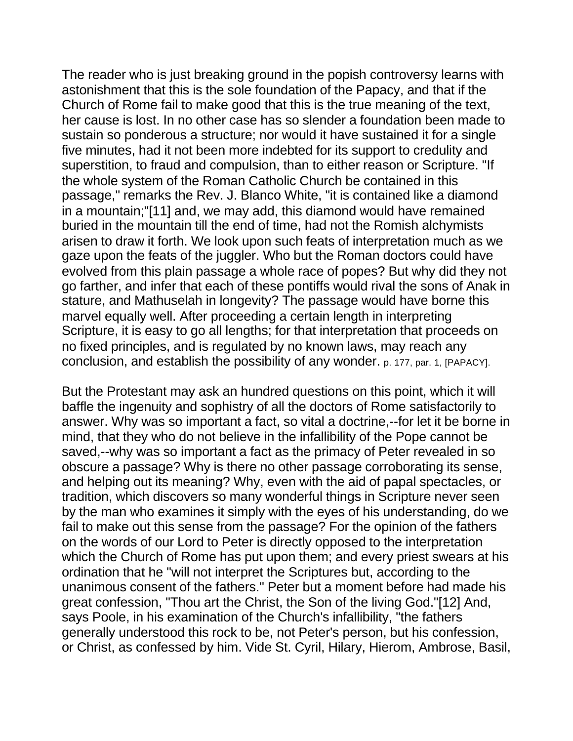The reader who is just breaking ground in the popish controversy learns with astonishment that this is the sole foundation of the Papacy, and that if the Church of Rome fail to make good that this is the true meaning of the text, her cause is lost. In no other case has so slender a foundation been made to sustain so ponderous a structure; nor would it have sustained it for a single five minutes, had it not been more indebted for its support to credulity and superstition, to fraud and compulsion, than to either reason or Scripture. "If the whole system of the Roman Catholic Church be contained in this passage," remarks the Rev. J. Blanco White, "it is contained like a diamond in a mountain;"[11] and, we may add, this diamond would have remained buried in the mountain till the end of time, had not the Romish alchymists arisen to draw it forth. We look upon such feats of interpretation much as we gaze upon the feats of the juggler. Who but the Roman doctors could have evolved from this plain passage a whole race of popes? But why did they not go farther, and infer that each of these pontiffs would rival the sons of Anak in stature, and Mathuselah in longevity? The passage would have borne this marvel equally well. After proceeding a certain length in interpreting Scripture, it is easy to go all lengths; for that interpretation that proceeds on no fixed principles, and is regulated by no known laws, may reach any conclusion, and establish the possibility of any wonder. p. 177, par. 1, [PAPACY].

But the Protestant may ask an hundred questions on this point, which it will baffle the ingenuity and sophistry of all the doctors of Rome satisfactorily to answer. Why was so important a fact, so vital a doctrine,--for let it be borne in mind, that they who do not believe in the infallibility of the Pope cannot be saved,--why was so important a fact as the primacy of Peter revealed in so obscure a passage? Why is there no other passage corroborating its sense, and helping out its meaning? Why, even with the aid of papal spectacles, or tradition, which discovers so many wonderful things in Scripture never seen by the man who examines it simply with the eyes of his understanding, do we fail to make out this sense from the passage? For the opinion of the fathers on the words of our Lord to Peter is directly opposed to the interpretation which the Church of Rome has put upon them; and every priest swears at his ordination that he "will not interpret the Scriptures but, according to the unanimous consent of the fathers." Peter but a moment before had made his great confession, "Thou art the Christ, the Son of the living God."[12] And, says Poole, in his examination of the Church's infallibility, "the fathers generally understood this rock to be, not Peter's person, but his confession, or Christ, as confessed by him. Vide St. Cyril, Hilary, Hierom, Ambrose, Basil,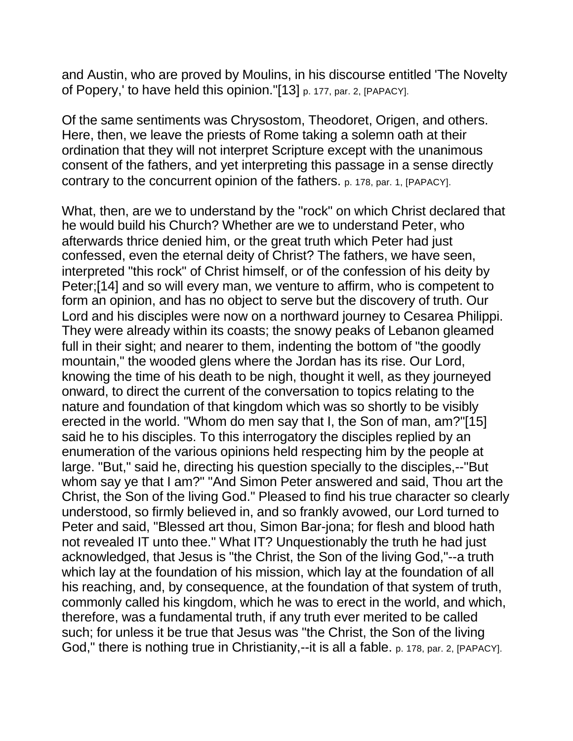and Austin, who are proved by Moulins, in his discourse entitled 'The Novelty of Popery,' to have held this opinion."[13] p. 177, par. 2, [PAPACY].

Of the same sentiments was Chrysostom, Theodoret, Origen, and others. Here, then, we leave the priests of Rome taking a solemn oath at their ordination that they will not interpret Scripture except with the unanimous consent of the fathers, and yet interpreting this passage in a sense directly contrary to the concurrent opinion of the fathers. p. 178, par. 1, [PAPACY].

What, then, are we to understand by the "rock" on which Christ declared that he would build his Church? Whether are we to understand Peter, who afterwards thrice denied him, or the great truth which Peter had just confessed, even the eternal deity of Christ? The fathers, we have seen, interpreted "this rock" of Christ himself, or of the confession of his deity by Peter;[14] and so will every man, we venture to affirm, who is competent to form an opinion, and has no object to serve but the discovery of truth. Our Lord and his disciples were now on a northward journey to Cesarea Philippi. They were already within its coasts; the snowy peaks of Lebanon gleamed full in their sight; and nearer to them, indenting the bottom of "the goodly mountain," the wooded glens where the Jordan has its rise. Our Lord, knowing the time of his death to be nigh, thought it well, as they journeyed onward, to direct the current of the conversation to topics relating to the nature and foundation of that kingdom which was so shortly to be visibly erected in the world. "Whom do men say that I, the Son of man, am?"[15] said he to his disciples. To this interrogatory the disciples replied by an enumeration of the various opinions held respecting him by the people at large. "But," said he, directing his question specially to the disciples,--"But whom say ye that I am?" "And Simon Peter answered and said, Thou art the Christ, the Son of the living God." Pleased to find his true character so clearly understood, so firmly believed in, and so frankly avowed, our Lord turned to Peter and said, "Blessed art thou, Simon Bar-jona; for flesh and blood hath not revealed IT unto thee." What IT? Unquestionably the truth he had just acknowledged, that Jesus is "the Christ, the Son of the living God,"--a truth which lay at the foundation of his mission, which lay at the foundation of all his reaching, and, by consequence, at the foundation of that system of truth, commonly called his kingdom, which he was to erect in the world, and which, therefore, was a fundamental truth, if any truth ever merited to be called such; for unless it be true that Jesus was "the Christ, the Son of the living God," there is nothing true in Christianity,--it is all a fable. p. 178, par. 2, [PAPACY].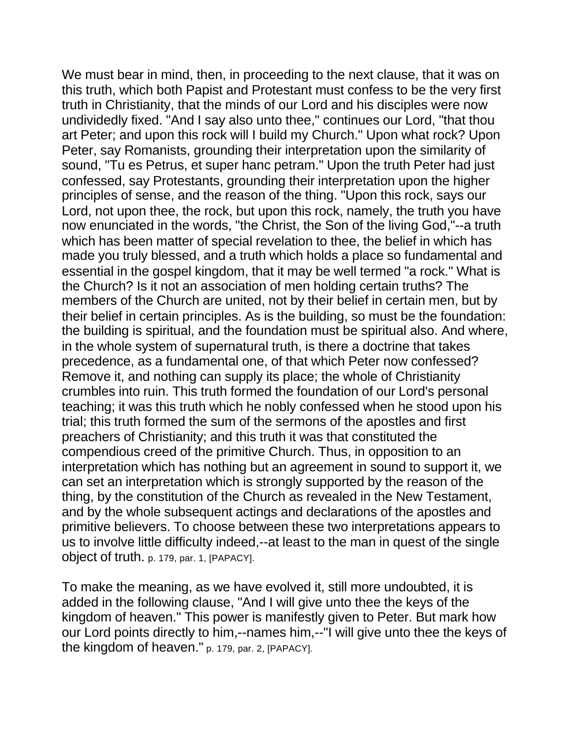We must bear in mind, then, in proceeding to the next clause, that it was on this truth, which both Papist and Protestant must confess to be the very first truth in Christianity, that the minds of our Lord and his disciples were now undividedly fixed. "And I say also unto thee," continues our Lord, "that thou art Peter; and upon this rock will I build my Church." Upon what rock? Upon Peter, say Romanists, grounding their interpretation upon the similarity of sound, "Tu es Petrus, et super hanc petram." Upon the truth Peter had just confessed, say Protestants, grounding their interpretation upon the higher principles of sense, and the reason of the thing. "Upon this rock, says our Lord, not upon thee, the rock, but upon this rock, namely, the truth you have now enunciated in the words, "the Christ, the Son of the living God,"--a truth which has been matter of special revelation to thee, the belief in which has made you truly blessed, and a truth which holds a place so fundamental and essential in the gospel kingdom, that it may be well termed "a rock." What is the Church? Is it not an association of men holding certain truths? The members of the Church are united, not by their belief in certain men, but by their belief in certain principles. As is the building, so must be the foundation: the building is spiritual, and the foundation must be spiritual also. And where, in the whole system of supernatural truth, is there a doctrine that takes precedence, as a fundamental one, of that which Peter now confessed? Remove it, and nothing can supply its place; the whole of Christianity crumbles into ruin. This truth formed the foundation of our Lord's personal teaching; it was this truth which he nobly confessed when he stood upon his trial; this truth formed the sum of the sermons of the apostles and first preachers of Christianity; and this truth it was that constituted the compendious creed of the primitive Church. Thus, in opposition to an interpretation which has nothing but an agreement in sound to support it, we can set an interpretation which is strongly supported by the reason of the thing, by the constitution of the Church as revealed in the New Testament, and by the whole subsequent actings and declarations of the apostles and primitive believers. To choose between these two interpretations appears to us to involve little difficulty indeed,--at least to the man in quest of the single object of truth. p. 179, par. 1, [PAPACY].

To make the meaning, as we have evolved it, still more undoubted, it is added in the following clause, "And I will give unto thee the keys of the kingdom of heaven." This power is manifestly given to Peter. But mark how our Lord points directly to him,--names him,--"I will give unto thee the keys of the kingdom of heaven." p. 179, par. 2, [PAPACY].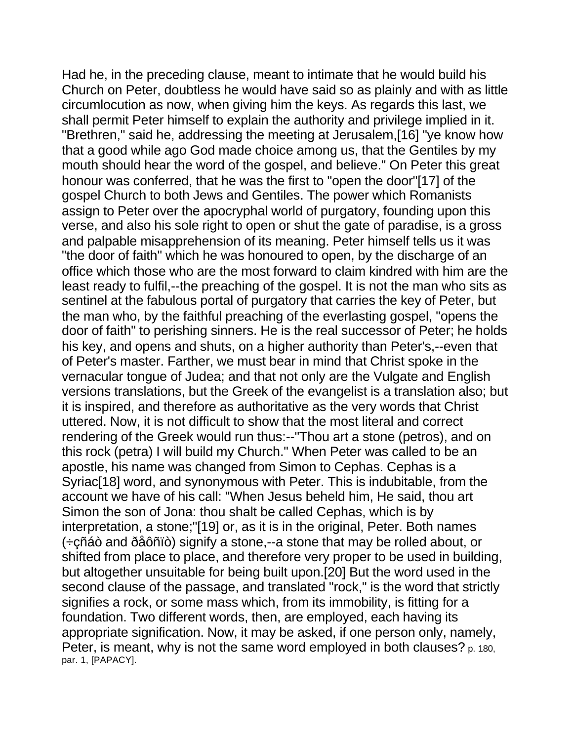Had he, in the preceding clause, meant to intimate that he would build his Church on Peter, doubtless he would have said so as plainly and with as little circumlocution as now, when giving him the keys. As regards this last, we shall permit Peter himself to explain the authority and privilege implied in it. "Brethren," said he, addressing the meeting at Jerusalem,[16] "ye know how that a good while ago God made choice among us, that the Gentiles by my mouth should hear the word of the gospel, and believe." On Peter this great honour was conferred, that he was the first to "open the door"[17] of the gospel Church to both Jews and Gentiles. The power which Romanists assign to Peter over the apocryphal world of purgatory, founding upon this verse, and also his sole right to open or shut the gate of paradise, is a gross and palpable misapprehension of its meaning. Peter himself tells us it was "the door of faith" which he was honoured to open, by the discharge of an office which those who are the most forward to claim kindred with him are the least ready to fulfil,--the preaching of the gospel. It is not the man who sits as sentinel at the fabulous portal of purgatory that carries the key of Peter, but the man who, by the faithful preaching of the everlasting gospel, "opens the door of faith" to perishing sinners. He is the real successor of Peter; he holds his key, and opens and shuts, on a higher authority than Peter's,--even that of Peter's master. Farther, we must bear in mind that Christ spoke in the vernacular tongue of Judea; and that not only are the Vulgate and English versions translations, but the Greek of the evangelist is a translation also; but it is inspired, and therefore as authoritative as the very words that Christ uttered. Now, it is not difficult to show that the most literal and correct rendering of the Greek would run thus:--"Thou art a stone (petros), and on this rock (petra) I will build my Church." When Peter was called to be an apostle, his name was changed from Simon to Cephas. Cephas is a Syriac[18] word, and synonymous with Peter. This is indubitable, from the account we have of his call: "When Jesus beheld him, He said, thou art Simon the son of Jona: thou shalt be called Cephas, which is by interpretation, a stone;"[19] or, as it is in the original, Peter. Both names (÷çñáò and ðåôñïò) signify a stone,--a stone that may be rolled about, or shifted from place to place, and therefore very proper to be used in building, but altogether unsuitable for being built upon.[20] But the word used in the second clause of the passage, and translated "rock," is the word that strictly signifies a rock, or some mass which, from its immobility, is fitting for a foundation. Two different words, then, are employed, each having its appropriate signification. Now, it may be asked, if one person only, namely, Peter, is meant, why is not the same word employed in both clauses? p. 180, par. 1, [PAPACY].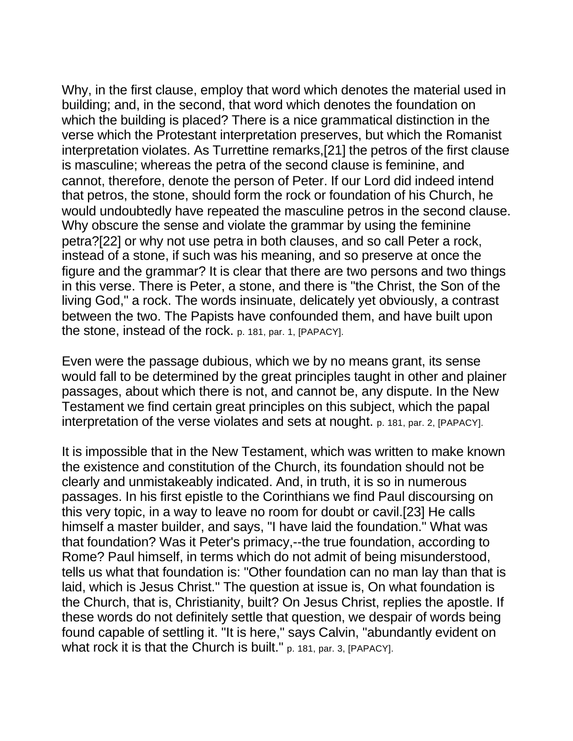Why, in the first clause, employ that word which denotes the material used in building; and, in the second, that word which denotes the foundation on which the building is placed? There is a nice grammatical distinction in the verse which the Protestant interpretation preserves, but which the Romanist interpretation violates. As Turrettine remarks,[21] the petros of the first clause is masculine; whereas the petra of the second clause is feminine, and cannot, therefore, denote the person of Peter. If our Lord did indeed intend that petros, the stone, should form the rock or foundation of his Church, he would undoubtedly have repeated the masculine petros in the second clause. Why obscure the sense and violate the grammar by using the feminine petra?[22] or why not use petra in both clauses, and so call Peter a rock, instead of a stone, if such was his meaning, and so preserve at once the figure and the grammar? It is clear that there are two persons and two things in this verse. There is Peter, a stone, and there is "the Christ, the Son of the living God," a rock. The words insinuate, delicately yet obviously, a contrast between the two. The Papists have confounded them, and have built upon the stone, instead of the rock. p. 181, par. 1, [PAPACY].

Even were the passage dubious, which we by no means grant, its sense would fall to be determined by the great principles taught in other and plainer passages, about which there is not, and cannot be, any dispute. In the New Testament we find certain great principles on this subject, which the papal interpretation of the verse violates and sets at nought. p. 181, par. 2, [PAPACY].

It is impossible that in the New Testament, which was written to make known the existence and constitution of the Church, its foundation should not be clearly and unmistakeably indicated. And, in truth, it is so in numerous passages. In his first epistle to the Corinthians we find Paul discoursing on this very topic, in a way to leave no room for doubt or cavil.[23] He calls himself a master builder, and says, "I have laid the foundation." What was that foundation? Was it Peter's primacy,--the true foundation, according to Rome? Paul himself, in terms which do not admit of being misunderstood, tells us what that foundation is: "Other foundation can no man lay than that is laid, which is Jesus Christ." The question at issue is, On what foundation is the Church, that is, Christianity, built? On Jesus Christ, replies the apostle. If these words do not definitely settle that question, we despair of words being found capable of settling it. "It is here," says Calvin, "abundantly evident on what rock it is that the Church is built." p. 181, par. 3, [PAPACY].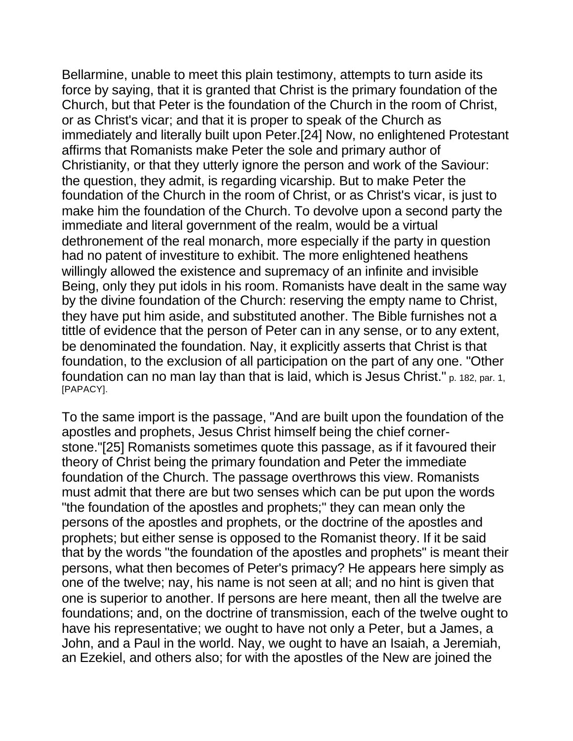Bellarmine, unable to meet this plain testimony, attempts to turn aside its force by saying, that it is granted that Christ is the primary foundation of the Church, but that Peter is the foundation of the Church in the room of Christ, or as Christ's vicar; and that it is proper to speak of the Church as immediately and literally built upon Peter.[24] Now, no enlightened Protestant affirms that Romanists make Peter the sole and primary author of Christianity, or that they utterly ignore the person and work of the Saviour: the question, they admit, is regarding vicarship. But to make Peter the foundation of the Church in the room of Christ, or as Christ's vicar, is just to make him the foundation of the Church. To devolve upon a second party the immediate and literal government of the realm, would be a virtual dethronement of the real monarch, more especially if the party in question had no patent of investiture to exhibit. The more enlightened heathens willingly allowed the existence and supremacy of an infinite and invisible Being, only they put idols in his room. Romanists have dealt in the same way by the divine foundation of the Church: reserving the empty name to Christ, they have put him aside, and substituted another. The Bible furnishes not a tittle of evidence that the person of Peter can in any sense, or to any extent, be denominated the foundation. Nay, it explicitly asserts that Christ is that foundation, to the exclusion of all participation on the part of any one. "Other foundation can no man lay than that is laid, which is Jesus Christ." p. 182, par. 1, [PAPACY].

To the same import is the passage, "And are built upon the foundation of the apostles and prophets, Jesus Christ himself being the chief cornerstone."[25] Romanists sometimes quote this passage, as if it favoured their theory of Christ being the primary foundation and Peter the immediate foundation of the Church. The passage overthrows this view. Romanists must admit that there are but two senses which can be put upon the words "the foundation of the apostles and prophets;" they can mean only the persons of the apostles and prophets, or the doctrine of the apostles and prophets; but either sense is opposed to the Romanist theory. If it be said that by the words "the foundation of the apostles and prophets" is meant their persons, what then becomes of Peter's primacy? He appears here simply as one of the twelve; nay, his name is not seen at all; and no hint is given that one is superior to another. If persons are here meant, then all the twelve are foundations; and, on the doctrine of transmission, each of the twelve ought to have his representative; we ought to have not only a Peter, but a James, a John, and a Paul in the world. Nay, we ought to have an Isaiah, a Jeremiah, an Ezekiel, and others also; for with the apostles of the New are joined the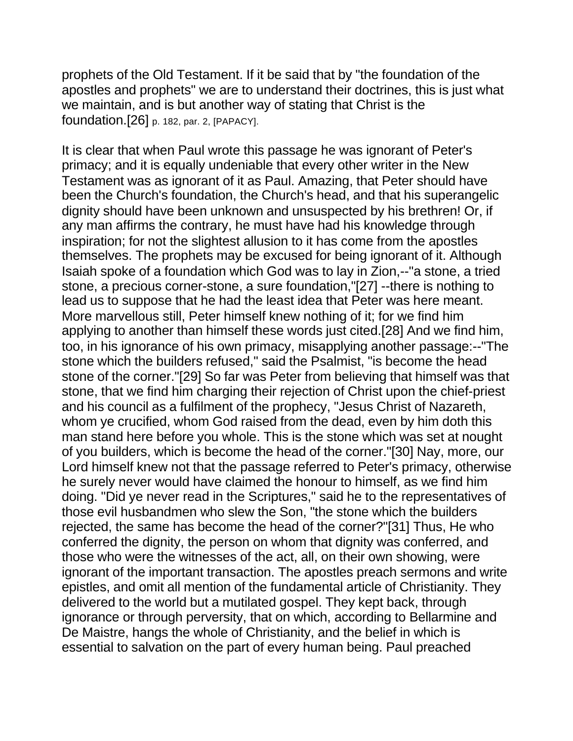prophets of the Old Testament. If it be said that by "the foundation of the apostles and prophets" we are to understand their doctrines, this is just what we maintain, and is but another way of stating that Christ is the foundation.[26] p. 182, par. 2, [PAPACY].

It is clear that when Paul wrote this passage he was ignorant of Peter's primacy; and it is equally undeniable that every other writer in the New Testament was as ignorant of it as Paul. Amazing, that Peter should have been the Church's foundation, the Church's head, and that his superangelic dignity should have been unknown and unsuspected by his brethren! Or, if any man affirms the contrary, he must have had his knowledge through inspiration; for not the slightest allusion to it has come from the apostles themselves. The prophets may be excused for being ignorant of it. Although Isaiah spoke of a foundation which God was to lay in Zion,--"a stone, a tried stone, a precious corner-stone, a sure foundation,"[27] --there is nothing to lead us to suppose that he had the least idea that Peter was here meant. More marvellous still, Peter himself knew nothing of it; for we find him applying to another than himself these words just cited.[28] And we find him, too, in his ignorance of his own primacy, misapplying another passage:--"The stone which the builders refused," said the Psalmist, "is become the head stone of the corner."[29] So far was Peter from believing that himself was that stone, that we find him charging their rejection of Christ upon the chief-priest and his council as a fulfilment of the prophecy, "Jesus Christ of Nazareth, whom ye crucified, whom God raised from the dead, even by him doth this man stand here before you whole. This is the stone which was set at nought of you builders, which is become the head of the corner."[30] Nay, more, our Lord himself knew not that the passage referred to Peter's primacy, otherwise he surely never would have claimed the honour to himself, as we find him doing. "Did ye never read in the Scriptures," said he to the representatives of those evil husbandmen who slew the Son, "the stone which the builders rejected, the same has become the head of the corner?"[31] Thus, He who conferred the dignity, the person on whom that dignity was conferred, and those who were the witnesses of the act, all, on their own showing, were ignorant of the important transaction. The apostles preach sermons and write epistles, and omit all mention of the fundamental article of Christianity. They delivered to the world but a mutilated gospel. They kept back, through ignorance or through perversity, that on which, according to Bellarmine and De Maistre, hangs the whole of Christianity, and the belief in which is essential to salvation on the part of every human being. Paul preached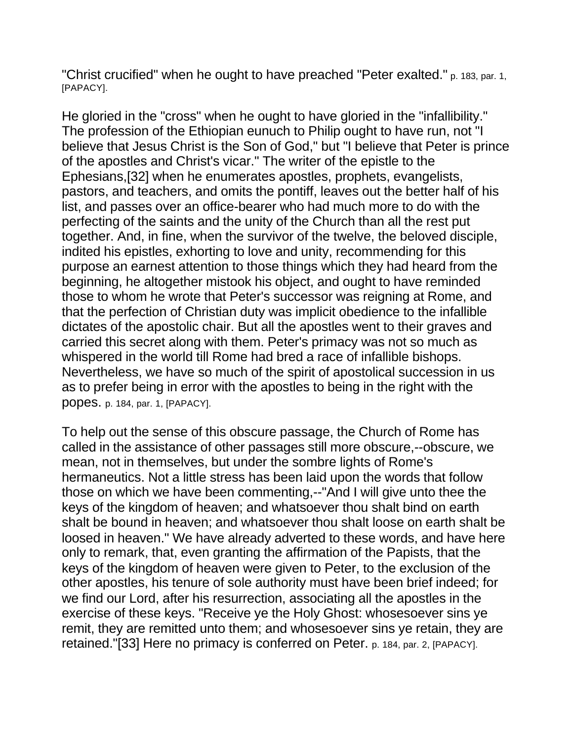"Christ crucified" when he ought to have preached "Peter exalted." p. 183, par. 1, [PAPACY].

He gloried in the "cross" when he ought to have gloried in the "infallibility." The profession of the Ethiopian eunuch to Philip ought to have run, not "I believe that Jesus Christ is the Son of God," but "I believe that Peter is prince of the apostles and Christ's vicar." The writer of the epistle to the Ephesians,[32] when he enumerates apostles, prophets, evangelists, pastors, and teachers, and omits the pontiff, leaves out the better half of his list, and passes over an office-bearer who had much more to do with the perfecting of the saints and the unity of the Church than all the rest put together. And, in fine, when the survivor of the twelve, the beloved disciple, indited his epistles, exhorting to love and unity, recommending for this purpose an earnest attention to those things which they had heard from the beginning, he altogether mistook his object, and ought to have reminded those to whom he wrote that Peter's successor was reigning at Rome, and that the perfection of Christian duty was implicit obedience to the infallible dictates of the apostolic chair. But all the apostles went to their graves and carried this secret along with them. Peter's primacy was not so much as whispered in the world till Rome had bred a race of infallible bishops. Nevertheless, we have so much of the spirit of apostolical succession in us as to prefer being in error with the apostles to being in the right with the popes. p. 184, par. 1, [PAPACY].

To help out the sense of this obscure passage, the Church of Rome has called in the assistance of other passages still more obscure,--obscure, we mean, not in themselves, but under the sombre lights of Rome's hermaneutics. Not a little stress has been laid upon the words that follow those on which we have been commenting,--"And I will give unto thee the keys of the kingdom of heaven; and whatsoever thou shalt bind on earth shalt be bound in heaven; and whatsoever thou shalt loose on earth shalt be loosed in heaven." We have already adverted to these words, and have here only to remark, that, even granting the affirmation of the Papists, that the keys of the kingdom of heaven were given to Peter, to the exclusion of the other apostles, his tenure of sole authority must have been brief indeed; for we find our Lord, after his resurrection, associating all the apostles in the exercise of these keys. "Receive ye the Holy Ghost: whosesoever sins ye remit, they are remitted unto them; and whosesoever sins ye retain, they are retained."[33] Here no primacy is conferred on Peter. p. 184, par. 2, [PAPACY].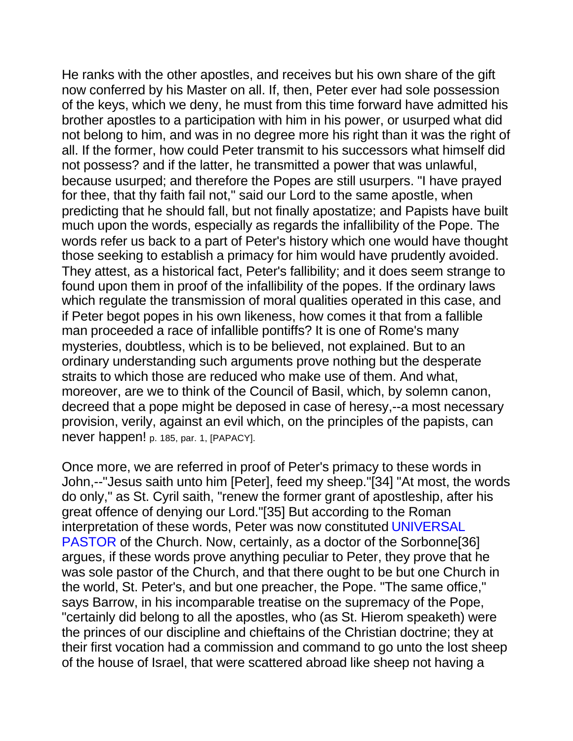He ranks with the other apostles, and receives but his own share of the gift now conferred by his Master on all. If, then, Peter ever had sole possession of the keys, which we deny, he must from this time forward have admitted his brother apostles to a participation with him in his power, or usurped what did not belong to him, and was in no degree more his right than it was the right of all. If the former, how could Peter transmit to his successors what himself did not possess? and if the latter, he transmitted a power that was unlawful, because usurped; and therefore the Popes are still usurpers. "I have prayed for thee, that thy faith fail not," said our Lord to the same apostle, when predicting that he should fall, but not finally apostatize; and Papists have built much upon the words, especially as regards the infallibility of the Pope. The words refer us back to a part of Peter's history which one would have thought those seeking to establish a primacy for him would have prudently avoided. They attest, as a historical fact, Peter's fallibility; and it does seem strange to found upon them in proof of the infallibility of the popes. If the ordinary laws which regulate the transmission of moral qualities operated in this case, and if Peter begot popes in his own likeness, how comes it that from a fallible man proceeded a race of infallible pontiffs? It is one of Rome's many mysteries, doubtless, which is to be believed, not explained. But to an ordinary understanding such arguments prove nothing but the desperate straits to which those are reduced who make use of them. And what, moreover, are we to think of the Council of Basil, which, by solemn canon, decreed that a pope might be deposed in case of heresy,--a most necessary provision, verily, against an evil which, on the principles of the papists, can never happen! p. 185, par. 1, [PAPACY].

Once more, we are referred in proof of Peter's primacy to these words in John,--"Jesus saith unto him [Peter], feed my sheep."[34] "At most, the words do only," as St. Cyril saith, "renew the former grant of apostleship, after his great offence of denying our Lord."[35] But according to the Roman interpretation of these words, Peter was now constituted UNIVERSAL PASTOR of the Church. Now, certainly, as a doctor of the Sorbonne[36] argues, if these words prove anything peculiar to Peter, they prove that he was sole pastor of the Church, and that there ought to be but one Church in the world, St. Peter's, and but one preacher, the Pope. "The same office," says Barrow, in his incomparable treatise on the supremacy of the Pope, "certainly did belong to all the apostles, who (as St. Hierom speaketh) were the princes of our discipline and chieftains of the Christian doctrine; they at their first vocation had a commission and command to go unto the lost sheep of the house of Israel, that were scattered abroad like sheep not having a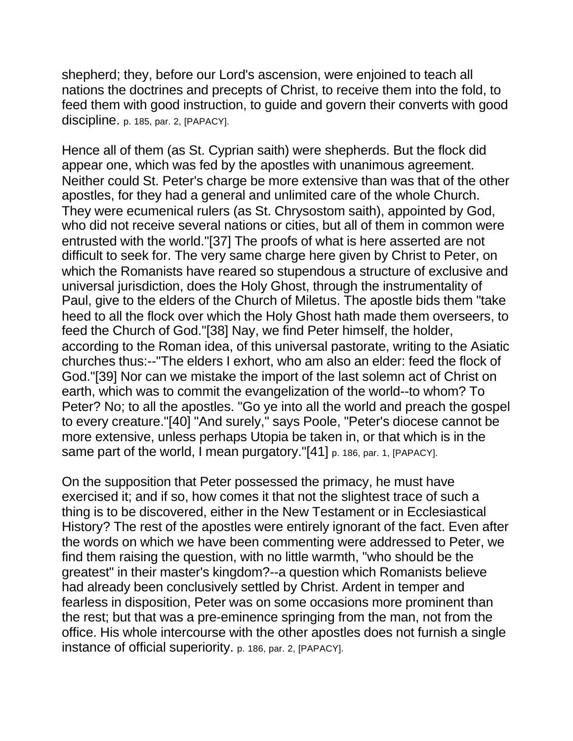shepherd; they, before our Lord's ascension, were enjoined to teach all nations the doctrines and precepts of Christ, to receive them into the fold, to feed them with good instruction, to guide and govern their converts with good discipline. p. 185, par. 2, [PAPACY].

Hence all of them (as St. Cyprian saith) were shepherds. But the flock did appear one, which was fed by the apostles with unanimous agreement. Neither could St. Peter's charge be more extensive than was that of the other apostles, for they had a general and unlimited care of the whole Church. They were ecumenical rulers (as St. Chrysostom saith), appointed by God, who did not receive several nations or cities, but all of them in common were entrusted with the world."[37] The proofs of what is here asserted are not difficult to seek for. The very same charge here given by Christ to Peter, on which the Romanists have reared so stupendous a structure of exclusive and universal jurisdiction, does the Holy Ghost, through the instrumentality of Paul, give to the elders of the Church of Miletus. The apostle bids them "take heed to all the flock over which the Holy Ghost hath made them overseers, to feed the Church of God."[38] Nay, we find Peter himself, the holder, according to the Roman idea, of this universal pastorate, writing to the Asiatic churches thus:--"The elders I exhort, who am also an elder: feed the flock of God."[39] Nor can we mistake the import of the last solemn act of Christ on earth, which was to commit the evangelization of the world--to whom? To Peter? No; to all the apostles. "Go ye into all the world and preach the gospel to every creature."[40] "And surely," says Poole, "Peter's diocese cannot be more extensive, unless perhaps Utopia be taken in, or that which is in the same part of the world, I mean purgatory."[41] p. 186, par. 1, [PAPACY].

On the supposition that Peter possessed the primacy, he must have exercised it; and if so, how comes it that not the slightest trace of such a thing is to be discovered, either in the New Testament or in Ecclesiastical History? The rest of the apostles were entirely ignorant of the fact. Even after the words on which we have been commenting were addressed to Peter, we find them raising the question, with no little warmth, "who should be the greatest" in their master's kingdom?--a question which Romanists believe had already been conclusively settled by Christ. Ardent in temper and fearless in disposition, Peter was on some occasions more prominent than the rest; but that was a pre-eminence springing from the man, not from the office. His whole intercourse with the other apostles does not furnish a single instance of official superiority. p. 186, par. 2, [PAPACY].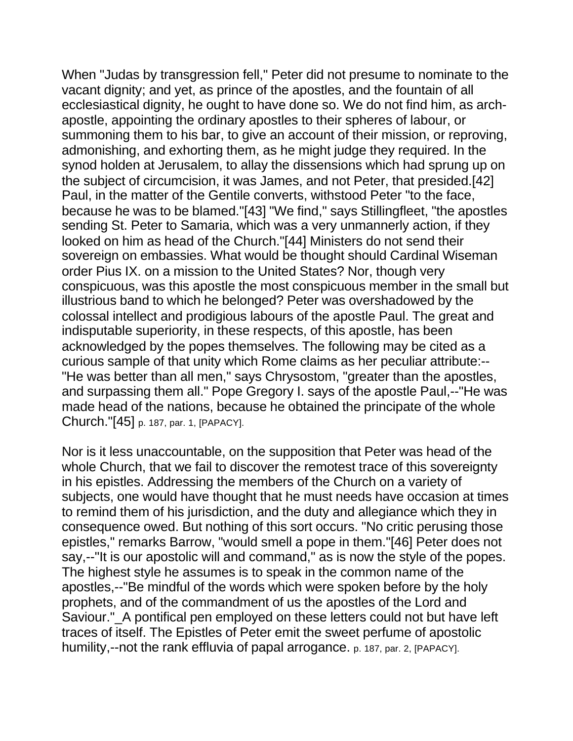When "Judas by transgression fell," Peter did not presume to nominate to the vacant dignity; and yet, as prince of the apostles, and the fountain of all ecclesiastical dignity, he ought to have done so. We do not find him, as archapostle, appointing the ordinary apostles to their spheres of labour, or summoning them to his bar, to give an account of their mission, or reproving, admonishing, and exhorting them, as he might judge they required. In the synod holden at Jerusalem, to allay the dissensions which had sprung up on the subject of circumcision, it was James, and not Peter, that presided.[42] Paul, in the matter of the Gentile converts, withstood Peter "to the face, because he was to be blamed."[43] "We find," says Stillingfleet, "the apostles sending St. Peter to Samaria, which was a very unmannerly action, if they looked on him as head of the Church."[44] Ministers do not send their sovereign on embassies. What would be thought should Cardinal Wiseman order Pius IX. on a mission to the United States? Nor, though very conspicuous, was this apostle the most conspicuous member in the small but illustrious band to which he belonged? Peter was overshadowed by the colossal intellect and prodigious labours of the apostle Paul. The great and indisputable superiority, in these respects, of this apostle, has been acknowledged by the popes themselves. The following may be cited as a curious sample of that unity which Rome claims as her peculiar attribute:-- "He was better than all men," says Chrysostom, "greater than the apostles, and surpassing them all." Pope Gregory I. says of the apostle Paul,--"He was made head of the nations, because he obtained the principate of the whole Church."[45] p. 187, par. 1, [PAPACY].

Nor is it less unaccountable, on the supposition that Peter was head of the whole Church, that we fail to discover the remotest trace of this sovereignty in his epistles. Addressing the members of the Church on a variety of subjects, one would have thought that he must needs have occasion at times to remind them of his jurisdiction, and the duty and allegiance which they in consequence owed. But nothing of this sort occurs. "No critic perusing those epistles," remarks Barrow, "would smell a pope in them."[46] Peter does not say,--"It is our apostolic will and command," as is now the style of the popes. The highest style he assumes is to speak in the common name of the apostles,--"Be mindful of the words which were spoken before by the holy prophets, and of the commandment of us the apostles of the Lord and Saviour." A pontifical pen employed on these letters could not but have left traces of itself. The Epistles of Peter emit the sweet perfume of apostolic humility,--not the rank effluvia of papal arrogance. p. 187, par. 2, [PAPACY].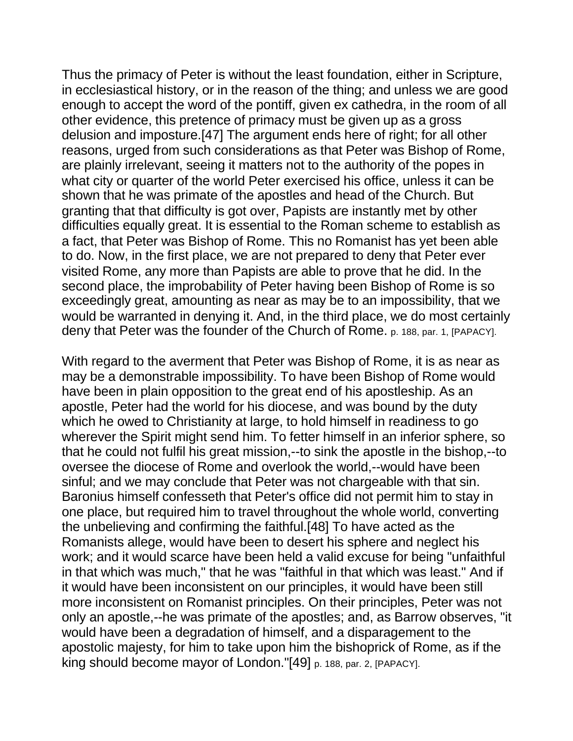Thus the primacy of Peter is without the least foundation, either in Scripture, in ecclesiastical history, or in the reason of the thing; and unless we are good enough to accept the word of the pontiff, given ex cathedra, in the room of all other evidence, this pretence of primacy must be given up as a gross delusion and imposture.[47] The argument ends here of right; for all other reasons, urged from such considerations as that Peter was Bishop of Rome, are plainly irrelevant, seeing it matters not to the authority of the popes in what city or quarter of the world Peter exercised his office, unless it can be shown that he was primate of the apostles and head of the Church. But granting that that difficulty is got over, Papists are instantly met by other difficulties equally great. It is essential to the Roman scheme to establish as a fact, that Peter was Bishop of Rome. This no Romanist has yet been able to do. Now, in the first place, we are not prepared to deny that Peter ever visited Rome, any more than Papists are able to prove that he did. In the second place, the improbability of Peter having been Bishop of Rome is so exceedingly great, amounting as near as may be to an impossibility, that we would be warranted in denying it. And, in the third place, we do most certainly deny that Peter was the founder of the Church of Rome. p. 188, par. 1, [PAPACY].

With regard to the averment that Peter was Bishop of Rome, it is as near as may be a demonstrable impossibility. To have been Bishop of Rome would have been in plain opposition to the great end of his apostleship. As an apostle, Peter had the world for his diocese, and was bound by the duty which he owed to Christianity at large, to hold himself in readiness to go wherever the Spirit might send him. To fetter himself in an inferior sphere, so that he could not fulfil his great mission,--to sink the apostle in the bishop,--to oversee the diocese of Rome and overlook the world,--would have been sinful; and we may conclude that Peter was not chargeable with that sin. Baronius himself confesseth that Peter's office did not permit him to stay in one place, but required him to travel throughout the whole world, converting the unbelieving and confirming the faithful.[48] To have acted as the Romanists allege, would have been to desert his sphere and neglect his work; and it would scarce have been held a valid excuse for being "unfaithful in that which was much," that he was "faithful in that which was least." And if it would have been inconsistent on our principles, it would have been still more inconsistent on Romanist principles. On their principles, Peter was not only an apostle,--he was primate of the apostles; and, as Barrow observes, "it would have been a degradation of himself, and a disparagement to the apostolic majesty, for him to take upon him the bishoprick of Rome, as if the king should become mayor of London."[49] p. 188, par. 2, [PAPACY].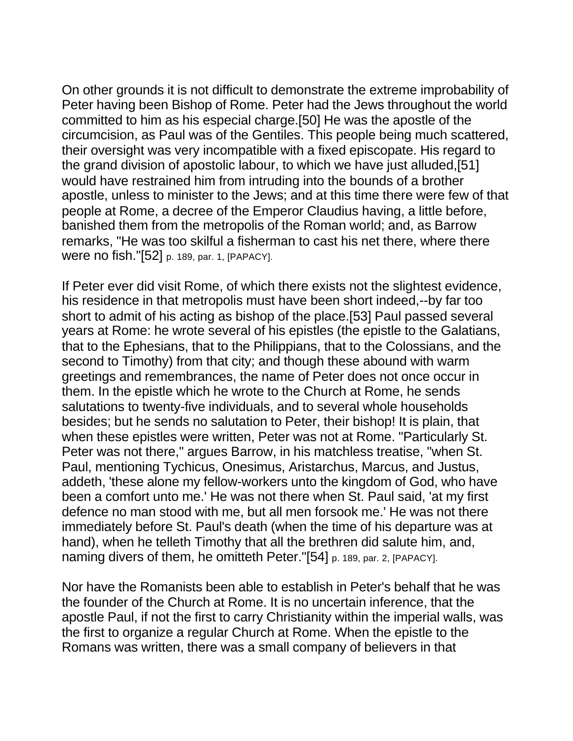On other grounds it is not difficult to demonstrate the extreme improbability of Peter having been Bishop of Rome. Peter had the Jews throughout the world committed to him as his especial charge.[50] He was the apostle of the circumcision, as Paul was of the Gentiles. This people being much scattered, their oversight was very incompatible with a fixed episcopate. His regard to the grand division of apostolic labour, to which we have just alluded,[51] would have restrained him from intruding into the bounds of a brother apostle, unless to minister to the Jews; and at this time there were few of that people at Rome, a decree of the Emperor Claudius having, a little before, banished them from the metropolis of the Roman world; and, as Barrow remarks, "He was too skilful a fisherman to cast his net there, where there were no fish."[52] p. 189, par. 1, [PAPACY].

If Peter ever did visit Rome, of which there exists not the slightest evidence, his residence in that metropolis must have been short indeed,--by far too short to admit of his acting as bishop of the place.[53] Paul passed several years at Rome: he wrote several of his epistles (the epistle to the Galatians, that to the Ephesians, that to the Philippians, that to the Colossians, and the second to Timothy) from that city; and though these abound with warm greetings and remembrances, the name of Peter does not once occur in them. In the epistle which he wrote to the Church at Rome, he sends salutations to twenty-five individuals, and to several whole households besides; but he sends no salutation to Peter, their bishop! It is plain, that when these epistles were written, Peter was not at Rome. "Particularly St. Peter was not there," argues Barrow, in his matchless treatise, "when St. Paul, mentioning Tychicus, Onesimus, Aristarchus, Marcus, and Justus, addeth, 'these alone my fellow-workers unto the kingdom of God, who have been a comfort unto me.' He was not there when St. Paul said, 'at my first defence no man stood with me, but all men forsook me.' He was not there immediately before St. Paul's death (when the time of his departure was at hand), when he telleth Timothy that all the brethren did salute him, and, naming divers of them, he omitteth Peter."[54] p. 189, par. 2, [PAPACY].

Nor have the Romanists been able to establish in Peter's behalf that he was the founder of the Church at Rome. It is no uncertain inference, that the apostle Paul, if not the first to carry Christianity within the imperial walls, was the first to organize a regular Church at Rome. When the epistle to the Romans was written, there was a small company of believers in that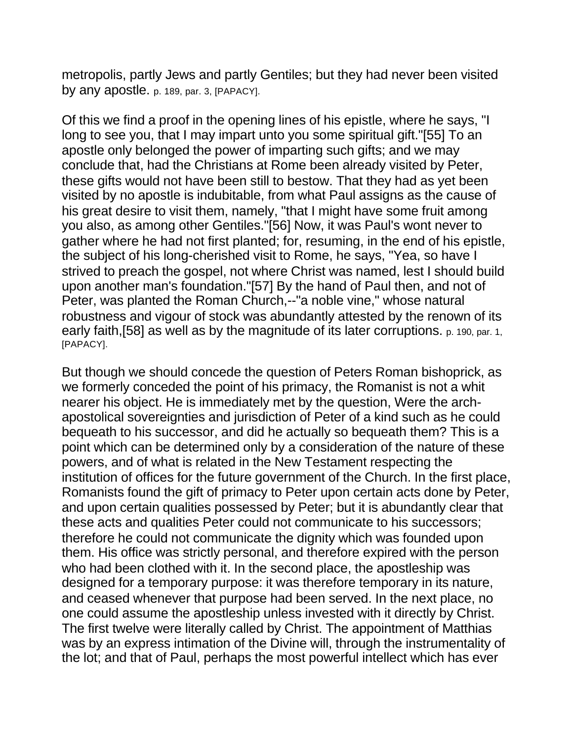metropolis, partly Jews and partly Gentiles; but they had never been visited by any apostle. p. 189, par. 3, [PAPACY].

Of this we find a proof in the opening lines of his epistle, where he says, "I long to see you, that I may impart unto you some spiritual gift."[55] To an apostle only belonged the power of imparting such gifts; and we may conclude that, had the Christians at Rome been already visited by Peter, these gifts would not have been still to bestow. That they had as yet been visited by no apostle is indubitable, from what Paul assigns as the cause of his great desire to visit them, namely, "that I might have some fruit among you also, as among other Gentiles."[56] Now, it was Paul's wont never to gather where he had not first planted; for, resuming, in the end of his epistle, the subject of his long-cherished visit to Rome, he says, "Yea, so have I strived to preach the gospel, not where Christ was named, lest I should build upon another man's foundation."[57] By the hand of Paul then, and not of Peter, was planted the Roman Church,--"a noble vine," whose natural robustness and vigour of stock was abundantly attested by the renown of its early faith, [58] as well as by the magnitude of its later corruptions. p. 190, par. 1, [PAPACY].

But though we should concede the question of Peters Roman bishoprick, as we formerly conceded the point of his primacy, the Romanist is not a whit nearer his object. He is immediately met by the question, Were the archapostolical sovereignties and jurisdiction of Peter of a kind such as he could bequeath to his successor, and did he actually so bequeath them? This is a point which can be determined only by a consideration of the nature of these powers, and of what is related in the New Testament respecting the institution of offices for the future government of the Church. In the first place, Romanists found the gift of primacy to Peter upon certain acts done by Peter, and upon certain qualities possessed by Peter; but it is abundantly clear that these acts and qualities Peter could not communicate to his successors; therefore he could not communicate the dignity which was founded upon them. His office was strictly personal, and therefore expired with the person who had been clothed with it. In the second place, the apostleship was designed for a temporary purpose: it was therefore temporary in its nature, and ceased whenever that purpose had been served. In the next place, no one could assume the apostleship unless invested with it directly by Christ. The first twelve were literally called by Christ. The appointment of Matthias was by an express intimation of the Divine will, through the instrumentality of the lot; and that of Paul, perhaps the most powerful intellect which has ever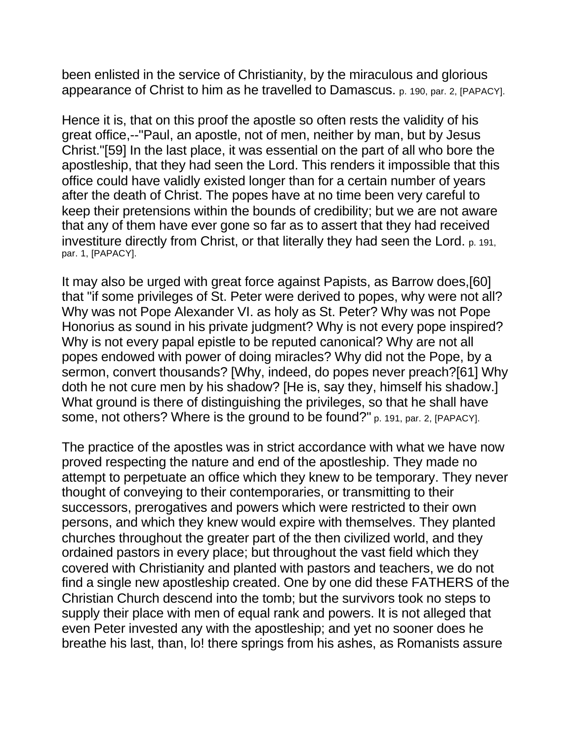been enlisted in the service of Christianity, by the miraculous and glorious appearance of Christ to him as he travelled to Damascus. p. 190, par. 2, [PAPACY].

Hence it is, that on this proof the apostle so often rests the validity of his great office,--"Paul, an apostle, not of men, neither by man, but by Jesus Christ."[59] In the last place, it was essential on the part of all who bore the apostleship, that they had seen the Lord. This renders it impossible that this office could have validly existed longer than for a certain number of years after the death of Christ. The popes have at no time been very careful to keep their pretensions within the bounds of credibility; but we are not aware that any of them have ever gone so far as to assert that they had received investiture directly from Christ, or that literally they had seen the Lord. p. 191, par. 1, [PAPACY].

It may also be urged with great force against Papists, as Barrow does,[60] that "if some privileges of St. Peter were derived to popes, why were not all? Why was not Pope Alexander VI. as holy as St. Peter? Why was not Pope Honorius as sound in his private judgment? Why is not every pope inspired? Why is not every papal epistle to be reputed canonical? Why are not all popes endowed with power of doing miracles? Why did not the Pope, by a sermon, convert thousands? [Why, indeed, do popes never preach?[61] Why doth he not cure men by his shadow? [He is, say they, himself his shadow.] What ground is there of distinguishing the privileges, so that he shall have some, not others? Where is the ground to be found?" p. 191, par. 2, [PAPACY].

The practice of the apostles was in strict accordance with what we have now proved respecting the nature and end of the apostleship. They made no attempt to perpetuate an office which they knew to be temporary. They never thought of conveying to their contemporaries, or transmitting to their successors, prerogatives and powers which were restricted to their own persons, and which they knew would expire with themselves. They planted churches throughout the greater part of the then civilized world, and they ordained pastors in every place; but throughout the vast field which they covered with Christianity and planted with pastors and teachers, we do not find a single new apostleship created. One by one did these FATHERS of the Christian Church descend into the tomb; but the survivors took no steps to supply their place with men of equal rank and powers. It is not alleged that even Peter invested any with the apostleship; and yet no sooner does he breathe his last, than, lo! there springs from his ashes, as Romanists assure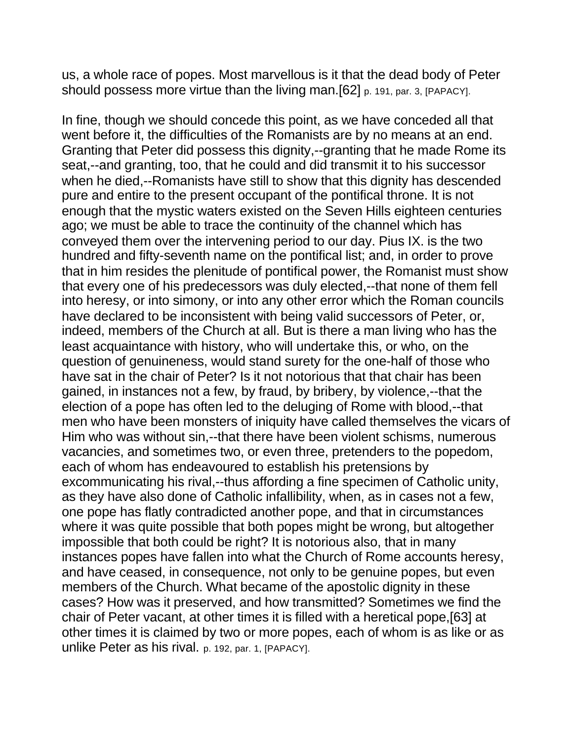us, a whole race of popes. Most marvellous is it that the dead body of Peter should possess more virtue than the living man.[62] p. 191, par. 3, [PAPACY].

In fine, though we should concede this point, as we have conceded all that went before it, the difficulties of the Romanists are by no means at an end. Granting that Peter did possess this dignity,--granting that he made Rome its seat,--and granting, too, that he could and did transmit it to his successor when he died,--Romanists have still to show that this dignity has descended pure and entire to the present occupant of the pontifical throne. It is not enough that the mystic waters existed on the Seven Hills eighteen centuries ago; we must be able to trace the continuity of the channel which has conveyed them over the intervening period to our day. Pius IX. is the two hundred and fifty-seventh name on the pontifical list; and, in order to prove that in him resides the plenitude of pontifical power, the Romanist must show that every one of his predecessors was duly elected,--that none of them fell into heresy, or into simony, or into any other error which the Roman councils have declared to be inconsistent with being valid successors of Peter, or, indeed, members of the Church at all. But is there a man living who has the least acquaintance with history, who will undertake this, or who, on the question of genuineness, would stand surety for the one-half of those who have sat in the chair of Peter? Is it not notorious that that chair has been gained, in instances not a few, by fraud, by bribery, by violence,--that the election of a pope has often led to the deluging of Rome with blood,--that men who have been monsters of iniquity have called themselves the vicars of Him who was without sin,--that there have been violent schisms, numerous vacancies, and sometimes two, or even three, pretenders to the popedom, each of whom has endeavoured to establish his pretensions by excommunicating his rival,--thus affording a fine specimen of Catholic unity, as they have also done of Catholic infallibility, when, as in cases not a few, one pope has flatly contradicted another pope, and that in circumstances where it was quite possible that both popes might be wrong, but altogether impossible that both could be right? It is notorious also, that in many instances popes have fallen into what the Church of Rome accounts heresy, and have ceased, in consequence, not only to be genuine popes, but even members of the Church. What became of the apostolic dignity in these cases? How was it preserved, and how transmitted? Sometimes we find the chair of Peter vacant, at other times it is filled with a heretical pope,[63] at other times it is claimed by two or more popes, each of whom is as like or as unlike Peter as his rival. p. 192, par. 1, [PAPACY].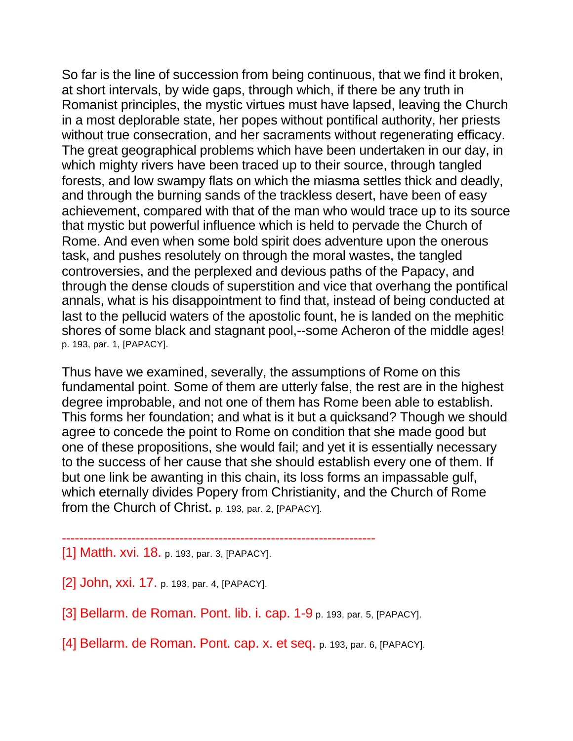So far is the line of succession from being continuous, that we find it broken, at short intervals, by wide gaps, through which, if there be any truth in Romanist principles, the mystic virtues must have lapsed, leaving the Church in a most deplorable state, her popes without pontifical authority, her priests without true consecration, and her sacraments without regenerating efficacy. The great geographical problems which have been undertaken in our day, in which mighty rivers have been traced up to their source, through tangled forests, and low swampy flats on which the miasma settles thick and deadly, and through the burning sands of the trackless desert, have been of easy achievement, compared with that of the man who would trace up to its source that mystic but powerful influence which is held to pervade the Church of Rome. And even when some bold spirit does adventure upon the onerous task, and pushes resolutely on through the moral wastes, the tangled controversies, and the perplexed and devious paths of the Papacy, and through the dense clouds of superstition and vice that overhang the pontifical annals, what is his disappointment to find that, instead of being conducted at last to the pellucid waters of the apostolic fount, he is landed on the mephitic shores of some black and stagnant pool,--some Acheron of the middle ages! p. 193, par. 1, [PAPACY].

Thus have we examined, severally, the assumptions of Rome on this fundamental point. Some of them are utterly false, the rest are in the highest degree improbable, and not one of them has Rome been able to establish. This forms her foundation; and what is it but a quicksand? Though we should agree to concede the point to Rome on condition that she made good but one of these propositions, she would fail; and yet it is essentially necessary to the success of her cause that she should establish every one of them. If but one link be awanting in this chain, its loss forms an impassable gulf, which eternally divides Popery from Christianity, and the Church of Rome from the Church of Christ. p. 193, par. 2, [PAPACY].

## ------------------------------------------------------------------------ [1] Matth. xvi. 18. p. 193, par. 3, [PAPACY].

[2] John, xxi. 17. p. 193, par. 4, [PAPACY].

[3] Bellarm. de Roman. Pont. lib. i. cap. 1-9 p. 193, par. 5, [PAPACY].

[4] Bellarm. de Roman. Pont. cap. x. et seq. p. 193, par. 6, [PAPACY].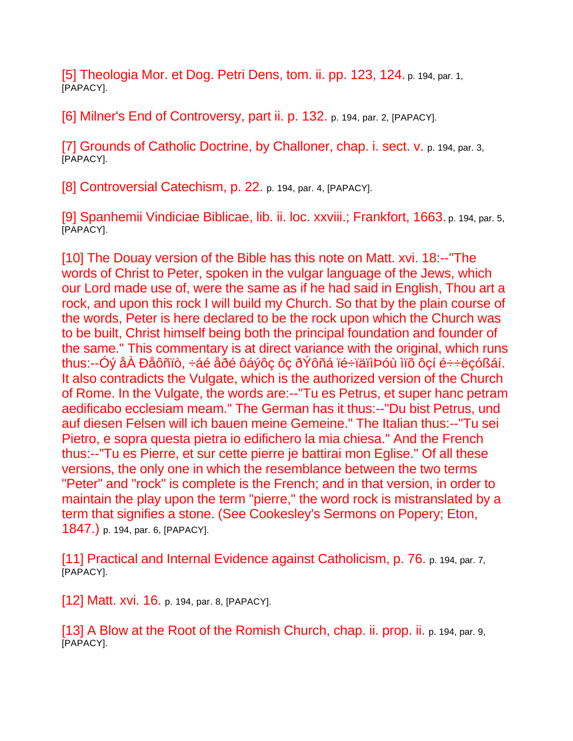[5] Theologia Mor. et Dog. Petri Dens, tom. ii. pp. 123, 124. p. 194, par. 1, [PAPACY].

[6] Milner's End of Controversy, part ii. p. 132. p. 194, par. 2, [PAPACY].

[7] Grounds of Catholic Doctrine, by Challoner, chap. i. sect. v. p. 194, par. 3, [PAPACY].

[8] Controversial Catechism, p. 22. p. 194, par. 4, [PAPACY].

[9] Spanhemii Vindiciae Biblicae, lib. ii. loc. xxviii.; Frankfort, 1663. p. 194, par. 5, [PAPACY].

[10] The Douay version of the Bible has this note on Matt. xvi. 18:--"The words of Christ to Peter, spoken in the vulgar language of the Jews, which our Lord made use of, were the same as if he had said in English, Thou art a rock, and upon this rock I will build my Church. So that by the plain course of the words, Peter is here declared to be the rock upon which the Church was to be built, Christ himself being both the principal foundation and founder of the same." This commentary is at direct variance with the original, which runs thus:--Óý åÀ Ðåôñïò, ÷áé åðé ôáýôç ôç ðÝôñá ïé÷ïäïìÞóù ìïõ ôçí é÷÷ëçóßáí. It also contradicts the Vulgate, which is the authorized version of the Church of Rome. In the Vulgate, the words are:--"Tu es Petrus, et super hanc petram aedificabo ecclesiam meam." The German has it thus:--"Du bist Petrus, und auf diesen Felsen will ich bauen meine Gemeine." The Italian thus:--"Tu sei Pietro, e sopra questa pietra io edifichero la mia chiesa." And the French thus:--"Tu es Pierre, et sur cette pierre je battirai mon Eglise." Of all these versions, the only one in which the resemblance between the two terms "Peter" and "rock" is complete is the French; and in that version, in order to maintain the play upon the term "pierre," the word rock is mistranslated by a term that signifies a stone. (See Cookesley's Sermons on Popery; Eton, 1847.) p. 194, par. 6, [PAPACY].

[11] Practical and Internal Evidence against Catholicism, p. 76. p. 194, par. 7, [PAPACY].

[12] Matt. xvi. 16. p. 194, par. 8, [PAPACY].

[13] A Blow at the Root of the Romish Church, chap. ii. prop. ii. p. 194, par. 9, [PAPACY].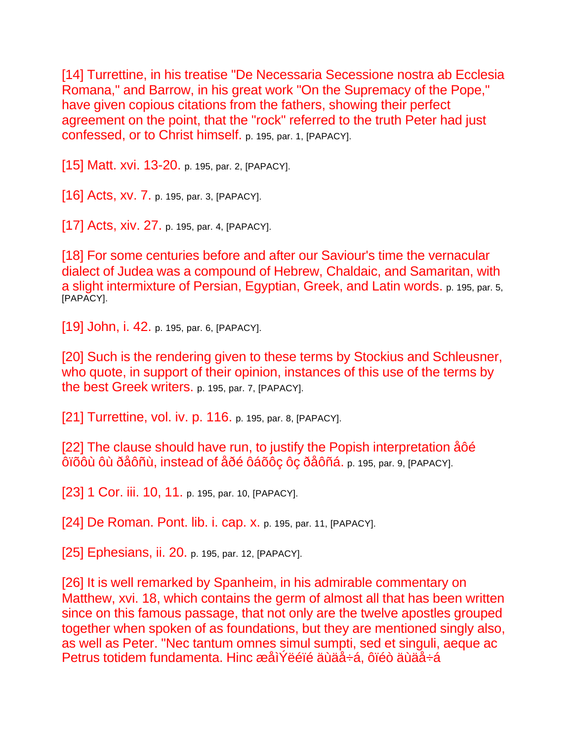[14] Turrettine, in his treatise "De Necessaria Secessione nostra ab Ecclesia Romana," and Barrow, in his great work "On the Supremacy of the Pope," have given copious citations from the fathers, showing their perfect agreement on the point, that the "rock" referred to the truth Peter had just confessed, or to Christ himself. p. 195, par. 1, [PAPACY].

[15] Matt. xvi. 13-20. p. 195, par. 2, [PAPACY].

[16] Acts, xv. 7. p. 195, par. 3, [PAPACY].

[17] Acts, xiv. 27. p. 195, par. 4, [PAPACY].

[18] For some centuries before and after our Saviour's time the vernacular dialect of Judea was a compound of Hebrew, Chaldaic, and Samaritan, with a slight intermixture of Persian, Egyptian, Greek, and Latin words. p. 195, par. 5, [PAPACY].

[19] John, i. 42. p. 195, par. 6, [PAPACY].

[20] Such is the rendering given to these terms by Stockius and Schleusner, who quote, in support of their opinion, instances of this use of the terms by the best Greek writers. p. 195, par. 7, [PAPACY].

[21] Turrettine, vol. iv. p. 116. p. 195, par. 8, [PAPACY].

[22] The clause should have run, to justify the Popish interpretation åôé ôïõôù ôù ðåôñù, instead of åðé ôáõôç ôç ðåôñá. p. 195, par. 9, [PAPACY].

[23] 1 Cor. iii. 10, 11. p. 195, par. 10, [PAPACY].

[24] De Roman. Pont. lib. i. cap. x. p. 195, par. 11, [PAPACY].

[25] Ephesians, ii. 20. p. 195, par. 12, [PAPACY].

[26] It is well remarked by Spanheim, in his admirable commentary on Matthew, xvi. 18, which contains the germ of almost all that has been written since on this famous passage, that not only are the twelve apostles grouped together when spoken of as foundations, but they are mentioned singly also, as well as Peter. "Nec tantum omnes simul sumpti, sed et singuli, aeque ac Petrus totidem fundamenta. Hinc æåìÝëéïé äùäå÷á, ôïéò äùäå÷á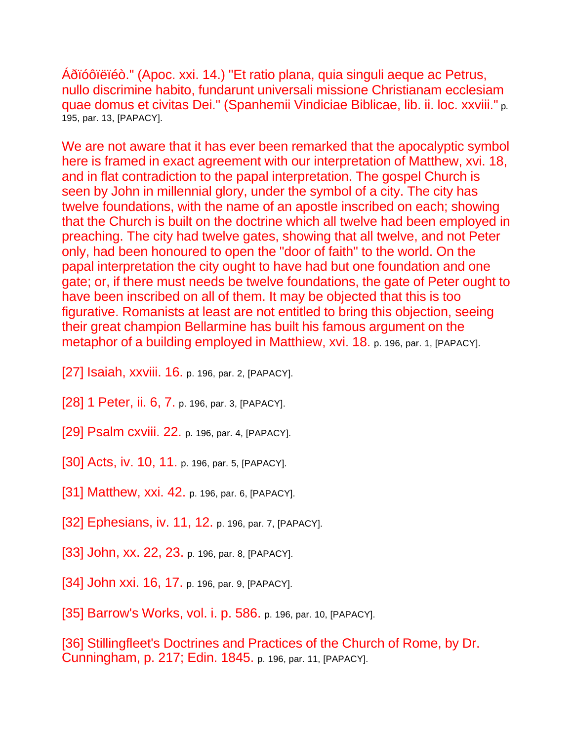Áðïóôïëïéò." (Apoc. xxi. 14.) "Et ratio plana, quia singuli aeque ac Petrus, nullo discrimine habito, fundarunt universali missione Christianam ecclesiam quae domus et civitas Dei." (Spanhemii Vindiciae Biblicae, lib. ii. loc. xxviii." p. 195, par. 13, [PAPACY].

We are not aware that it has ever been remarked that the apocalyptic symbol here is framed in exact agreement with our interpretation of Matthew, xvi. 18, and in flat contradiction to the papal interpretation. The gospel Church is seen by John in millennial glory, under the symbol of a city. The city has twelve foundations, with the name of an apostle inscribed on each; showing that the Church is built on the doctrine which all twelve had been employed in preaching. The city had twelve gates, showing that all twelve, and not Peter only, had been honoured to open the "door of faith" to the world. On the papal interpretation the city ought to have had but one foundation and one gate; or, if there must needs be twelve foundations, the gate of Peter ought to have been inscribed on all of them. It may be objected that this is too figurative. Romanists at least are not entitled to bring this objection, seeing their great champion Bellarmine has built his famous argument on the metaphor of a building employed in Matthiew, xvi. 18. p. 196, par. 1, [PAPACY].

- [27] Isaiah, xxviii. 16. p. 196, par. 2, [PAPACY].
- [28] 1 Peter, ii. 6, 7. p. 196, par. 3, [PAPACY].
- [29] Psalm cxviii. 22. p. 196, par. 4, [PAPACY].
- [30] Acts, iv. 10, 11. p. 196, par. 5, [PAPACY].
- [31] Matthew, xxi. 42. p. 196, par. 6, [PAPACY].
- [32] Ephesians, iv. 11, 12. p. 196, par. 7, [PAPACY].
- [33] John, xx. 22, 23. p. 196, par. 8, [PAPACY].
- [34] John xxi. 16, 17. p. 196, par. 9, [PAPACY].
- [35] Barrow's Works, vol. i. p. 586. p. 196, par. 10, [PAPACY].

[36] Stillingfleet's Doctrines and Practices of the Church of Rome, by Dr. Cunningham, p. 217; Edin. 1845. p. 196, par. 11, [PAPACY].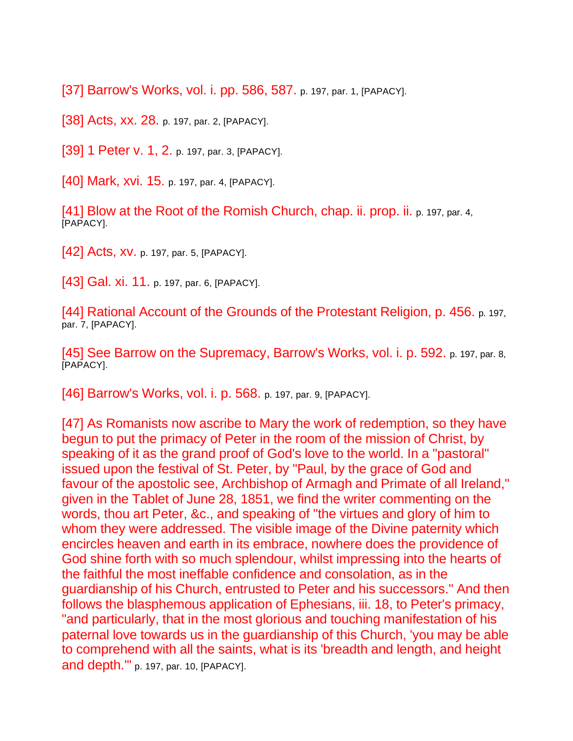[37] Barrow's Works, vol. i. pp. 586, 587. p. 197, par. 1, [PAPACY].

[38] Acts, xx. 28. p. 197, par. 2, [PAPACY].

[39] 1 Peter v. 1, 2. p. 197, par. 3, [PAPACY].

[40] Mark, xvi. 15. p. 197, par. 4, [PAPACY].

[41] Blow at the Root of the Romish Church, chap. ii. prop. ii. p. 197, par. 4, [PAPACY].

[42] Acts, XV. p. 197, par. 5, [PAPACY].

[43] Gal. xi. 11. p. 197, par. 6, [PAPACY].

[44] Rational Account of the Grounds of the Protestant Religion, p. 456. p. 197, par. 7, [PAPACY].

[45] See Barrow on the Supremacy, Barrow's Works, vol. i. p. 592. p. 197, par. 8, [PAPACY].

[46] Barrow's Works, vol. i. p. 568. p. 197, par. 9, [PAPACY].

[47] As Romanists now ascribe to Mary the work of redemption, so they have begun to put the primacy of Peter in the room of the mission of Christ, by speaking of it as the grand proof of God's love to the world. In a "pastoral" issued upon the festival of St. Peter, by "Paul, by the grace of God and favour of the apostolic see, Archbishop of Armagh and Primate of all Ireland," given in the Tablet of June 28, 1851, we find the writer commenting on the words, thou art Peter, &c., and speaking of "the virtues and glory of him to whom they were addressed. The visible image of the Divine paternity which encircles heaven and earth in its embrace, nowhere does the providence of God shine forth with so much splendour, whilst impressing into the hearts of the faithful the most ineffable confidence and consolation, as in the guardianship of his Church, entrusted to Peter and his successors." And then follows the blasphemous application of Ephesians, iii. 18, to Peter's primacy, "and particularly, that in the most glorious and touching manifestation of his paternal love towards us in the guardianship of this Church, 'you may be able to comprehend with all the saints, what is its 'breadth and length, and height and depth.'" p. 197, par. 10, [PAPACY].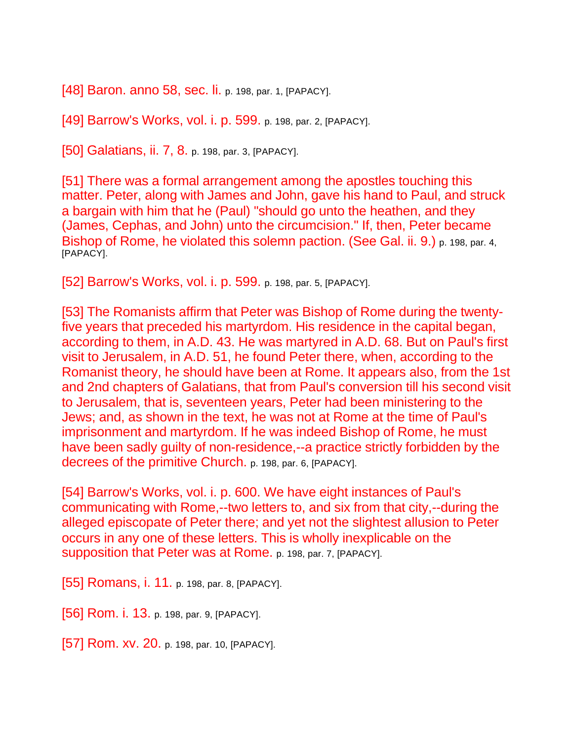[48] Baron. anno 58, sec. |i. p. 198, par. 1, [PAPACY].

[49] Barrow's Works, vol. i. p. 599. p. 198, par. 2, [PAPACY].

[50] Galatians, ii. 7, 8. p. 198, par. 3, [PAPACY].

[51] There was a formal arrangement among the apostles touching this matter. Peter, along with James and John, gave his hand to Paul, and struck a bargain with him that he (Paul) "should go unto the heathen, and they (James, Cephas, and John) unto the circumcision." If, then, Peter became Bishop of Rome, he violated this solemn paction. (See Gal. ii. 9.) p. 198, par. 4, [PAPACY].

[52] Barrow's Works, vol. i. p. 599. p. 198, par. 5, [PAPACY].

[53] The Romanists affirm that Peter was Bishop of Rome during the twentyfive years that preceded his martyrdom. His residence in the capital began, according to them, in A.D. 43. He was martyred in A.D. 68. But on Paul's first visit to Jerusalem, in A.D. 51, he found Peter there, when, according to the Romanist theory, he should have been at Rome. It appears also, from the 1st and 2nd chapters of Galatians, that from Paul's conversion till his second visit to Jerusalem, that is, seventeen years, Peter had been ministering to the Jews; and, as shown in the text, he was not at Rome at the time of Paul's imprisonment and martyrdom. If he was indeed Bishop of Rome, he must have been sadly guilty of non-residence,--a practice strictly forbidden by the decrees of the primitive Church. p. 198, par. 6, [PAPACY].

[54] Barrow's Works, vol. i. p. 600. We have eight instances of Paul's communicating with Rome,--two letters to, and six from that city,--during the alleged episcopate of Peter there; and yet not the slightest allusion to Peter occurs in any one of these letters. This is wholly inexplicable on the supposition that Peter was at Rome. p. 198, par. 7, [PAPACY].

[55] Romans, i. 11. p. 198, par. 8, [PAPACY].

[56] Rom. i. 13. p. 198, par. 9, [PAPACY].

[57] Rom. xv. 20. p. 198, par. 10, [PAPACY].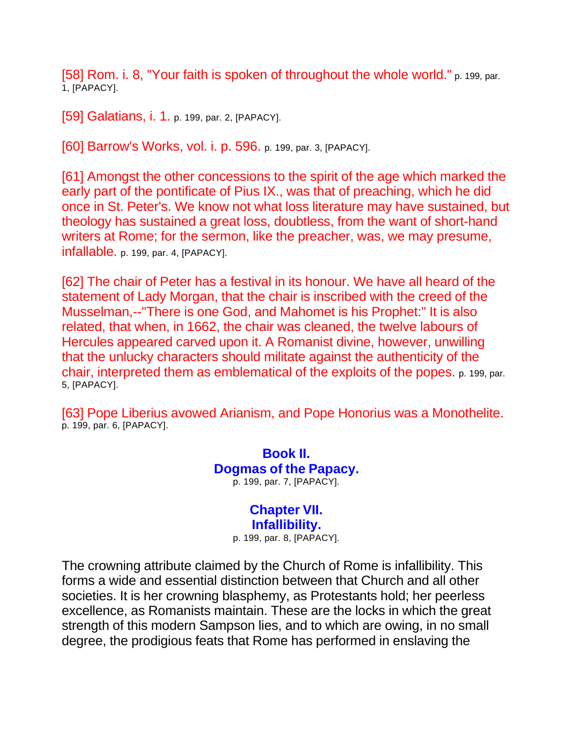[58] Rom. i. 8, "Your faith is spoken of throughout the whole world." p. 199, par. 1, [PAPACY].

[59] Galatians, i. 1. p. 199, par. 2, [PAPACY].

[60] Barrow's Works, vol. i. p. 596. p. 199, par. 3, [PAPACY].

[61] Amongst the other concessions to the spirit of the age which marked the early part of the pontificate of Pius IX., was that of preaching, which he did once in St. Peter's. We know not what loss literature may have sustained, but theology has sustained a great loss, doubtless, from the want of short-hand writers at Rome; for the sermon, like the preacher, was, we may presume, infallable. p. 199, par. 4, [PAPACY].

[62] The chair of Peter has a festival in its honour. We have all heard of the statement of Lady Morgan, that the chair is inscribed with the creed of the Musselman,--"There is one God, and Mahomet is his Prophet:" It is also related, that when, in 1662, the chair was cleaned, the twelve labours of Hercules appeared carved upon it. A Romanist divine, however, unwilling that the unlucky characters should militate against the authenticity of the chair, interpreted them as emblematical of the exploits of the popes. p. 199, par. 5, [PAPACY].

[63] Pope Liberius avowed Arianism, and Pope Honorius was a Monothelite. p. 199, par. 6, [PAPACY].

> **Book II. Dogmas of the Papacy.** p. 199, par. 7, [PAPACY].

> > **Chapter VII. Infallibility.**

p. 199, par. 8, [PAPACY].

The crowning attribute claimed by the Church of Rome is infallibility. This forms a wide and essential distinction between that Church and all other societies. It is her crowning blasphemy, as Protestants hold; her peerless excellence, as Romanists maintain. These are the locks in which the great strength of this modern Sampson lies, and to which are owing, in no small degree, the prodigious feats that Rome has performed in enslaving the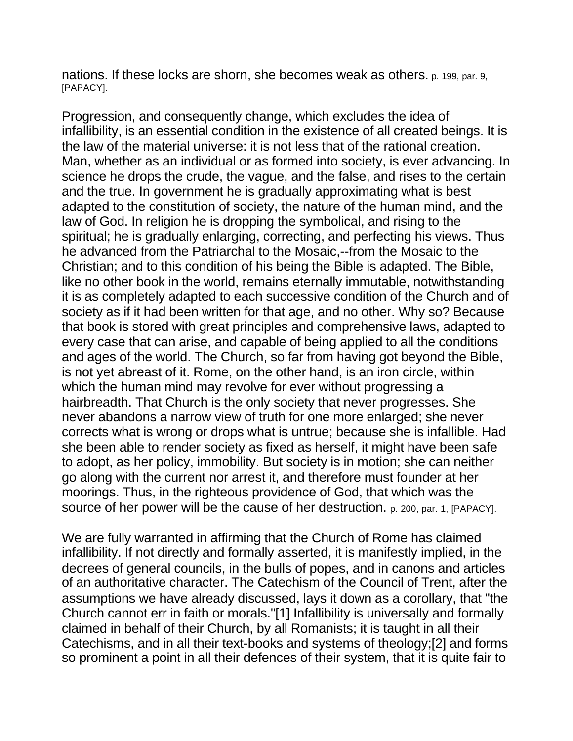nations. If these locks are shorn, she becomes weak as others. p. 199, par. 9, [PAPACY].

Progression, and consequently change, which excludes the idea of infallibility, is an essential condition in the existence of all created beings. It is the law of the material universe: it is not less that of the rational creation. Man, whether as an individual or as formed into society, is ever advancing. In science he drops the crude, the vague, and the false, and rises to the certain and the true. In government he is gradually approximating what is best adapted to the constitution of society, the nature of the human mind, and the law of God. In religion he is dropping the symbolical, and rising to the spiritual; he is gradually enlarging, correcting, and perfecting his views. Thus he advanced from the Patriarchal to the Mosaic,--from the Mosaic to the Christian; and to this condition of his being the Bible is adapted. The Bible, like no other book in the world, remains eternally immutable, notwithstanding it is as completely adapted to each successive condition of the Church and of society as if it had been written for that age, and no other. Why so? Because that book is stored with great principles and comprehensive laws, adapted to every case that can arise, and capable of being applied to all the conditions and ages of the world. The Church, so far from having got beyond the Bible, is not yet abreast of it. Rome, on the other hand, is an iron circle, within which the human mind may revolve for ever without progressing a hairbreadth. That Church is the only society that never progresses. She never abandons a narrow view of truth for one more enlarged; she never corrects what is wrong or drops what is untrue; because she is infallible. Had she been able to render society as fixed as herself, it might have been safe to adopt, as her policy, immobility. But society is in motion; she can neither go along with the current nor arrest it, and therefore must founder at her moorings. Thus, in the righteous providence of God, that which was the source of her power will be the cause of her destruction. p. 200, par. 1, [PAPACY].

We are fully warranted in affirming that the Church of Rome has claimed infallibility. If not directly and formally asserted, it is manifestly implied, in the decrees of general councils, in the bulls of popes, and in canons and articles of an authoritative character. The Catechism of the Council of Trent, after the assumptions we have already discussed, lays it down as a corollary, that "the Church cannot err in faith or morals."[1] Infallibility is universally and formally claimed in behalf of their Church, by all Romanists; it is taught in all their Catechisms, and in all their text-books and systems of theology;[2] and forms so prominent a point in all their defences of their system, that it is quite fair to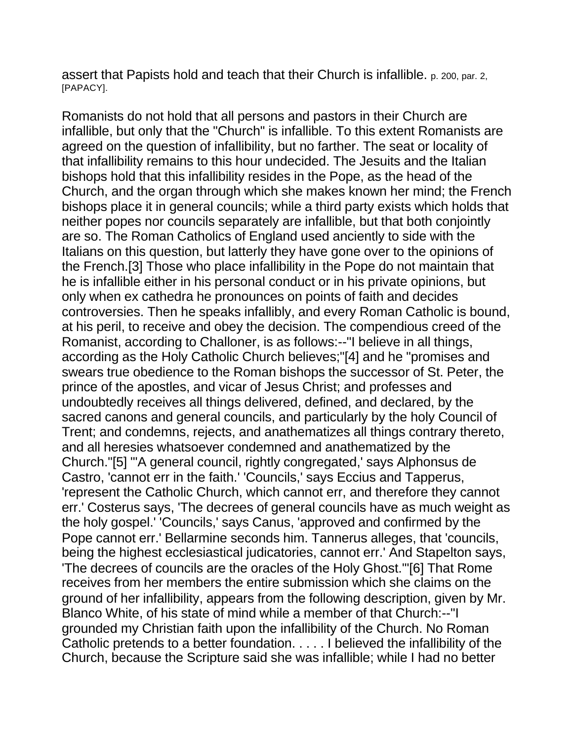assert that Papists hold and teach that their Church is infallible. p. 200, par. 2, [PAPACY].

Romanists do not hold that all persons and pastors in their Church are infallible, but only that the "Church" is infallible. To this extent Romanists are agreed on the question of infallibility, but no farther. The seat or locality of that infallibility remains to this hour undecided. The Jesuits and the Italian bishops hold that this infallibility resides in the Pope, as the head of the Church, and the organ through which she makes known her mind; the French bishops place it in general councils; while a third party exists which holds that neither popes nor councils separately are infallible, but that both conjointly are so. The Roman Catholics of England used anciently to side with the Italians on this question, but latterly they have gone over to the opinions of the French.[3] Those who place infallibility in the Pope do not maintain that he is infallible either in his personal conduct or in his private opinions, but only when ex cathedra he pronounces on points of faith and decides controversies. Then he speaks infallibly, and every Roman Catholic is bound, at his peril, to receive and obey the decision. The compendious creed of the Romanist, according to Challoner, is as follows:--"I believe in all things, according as the Holy Catholic Church believes;"[4] and he "promises and swears true obedience to the Roman bishops the successor of St. Peter, the prince of the apostles, and vicar of Jesus Christ; and professes and undoubtedly receives all things delivered, defined, and declared, by the sacred canons and general councils, and particularly by the holy Council of Trent; and condemns, rejects, and anathematizes all things contrary thereto, and all heresies whatsoever condemned and anathematized by the Church."[5] "'A general council, rightly congregated,' says Alphonsus de Castro, 'cannot err in the faith.' 'Councils,' says Eccius and Tapperus, 'represent the Catholic Church, which cannot err, and therefore they cannot err.' Costerus says, 'The decrees of general councils have as much weight as the holy gospel.' 'Councils,' says Canus, 'approved and confirmed by the Pope cannot err.' Bellarmine seconds him. Tannerus alleges, that 'councils, being the highest ecclesiastical judicatories, cannot err.' And Stapelton says, 'The decrees of councils are the oracles of the Holy Ghost.'"[6] That Rome receives from her members the entire submission which she claims on the ground of her infallibility, appears from the following description, given by Mr. Blanco White, of his state of mind while a member of that Church:--"I grounded my Christian faith upon the infallibility of the Church. No Roman Catholic pretends to a better foundation. . . . . I believed the infallibility of the Church, because the Scripture said she was infallible; while I had no better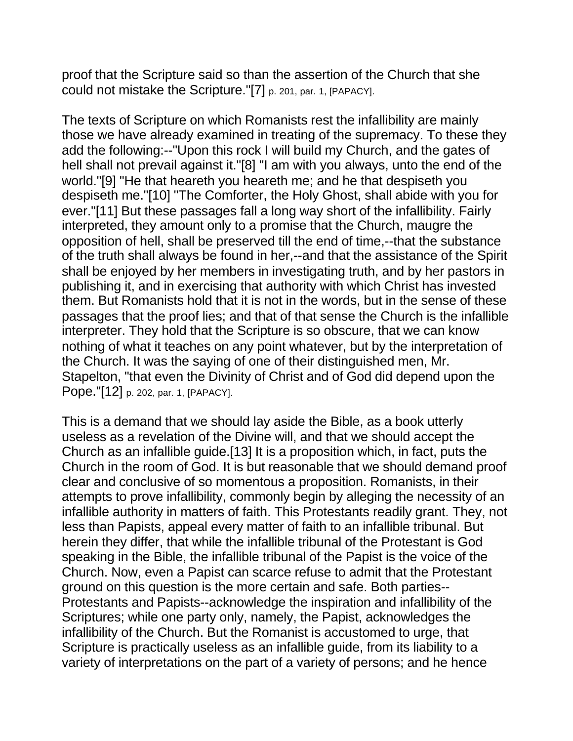proof that the Scripture said so than the assertion of the Church that she could not mistake the Scripture."[7] p. 201, par. 1, [PAPACY].

The texts of Scripture on which Romanists rest the infallibility are mainly those we have already examined in treating of the supremacy. To these they add the following:--"Upon this rock I will build my Church, and the gates of hell shall not prevail against it."[8] "I am with you always, unto the end of the world."[9] "He that heareth you heareth me; and he that despiseth you despiseth me."[10] "The Comforter, the Holy Ghost, shall abide with you for ever."[11] But these passages fall a long way short of the infallibility. Fairly interpreted, they amount only to a promise that the Church, maugre the opposition of hell, shall be preserved till the end of time,--that the substance of the truth shall always be found in her,--and that the assistance of the Spirit shall be enjoyed by her members in investigating truth, and by her pastors in publishing it, and in exercising that authority with which Christ has invested them. But Romanists hold that it is not in the words, but in the sense of these passages that the proof lies; and that of that sense the Church is the infallible interpreter. They hold that the Scripture is so obscure, that we can know nothing of what it teaches on any point whatever, but by the interpretation of the Church. It was the saying of one of their distinguished men, Mr. Stapelton, "that even the Divinity of Christ and of God did depend upon the Pope."[12] p. 202, par. 1, [PAPACY].

This is a demand that we should lay aside the Bible, as a book utterly useless as a revelation of the Divine will, and that we should accept the Church as an infallible guide.[13] It is a proposition which, in fact, puts the Church in the room of God. It is but reasonable that we should demand proof clear and conclusive of so momentous a proposition. Romanists, in their attempts to prove infallibility, commonly begin by alleging the necessity of an infallible authority in matters of faith. This Protestants readily grant. They, not less than Papists, appeal every matter of faith to an infallible tribunal. But herein they differ, that while the infallible tribunal of the Protestant is God speaking in the Bible, the infallible tribunal of the Papist is the voice of the Church. Now, even a Papist can scarce refuse to admit that the Protestant ground on this question is the more certain and safe. Both parties-- Protestants and Papists--acknowledge the inspiration and infallibility of the Scriptures; while one party only, namely, the Papist, acknowledges the infallibility of the Church. But the Romanist is accustomed to urge, that Scripture is practically useless as an infallible guide, from its liability to a variety of interpretations on the part of a variety of persons; and he hence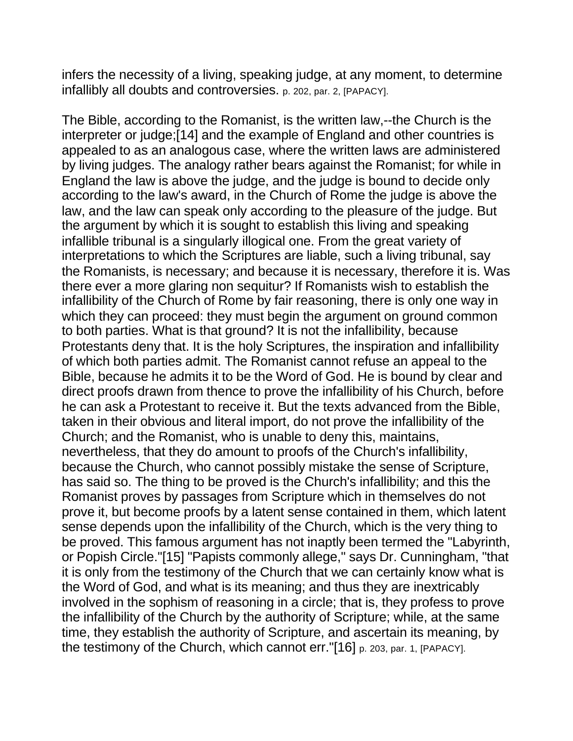infers the necessity of a living, speaking judge, at any moment, to determine infallibly all doubts and controversies. p. 202, par. 2, [PAPACY].

The Bible, according to the Romanist, is the written law,--the Church is the interpreter or judge;[14] and the example of England and other countries is appealed to as an analogous case, where the written laws are administered by living judges. The analogy rather bears against the Romanist; for while in England the law is above the judge, and the judge is bound to decide only according to the law's award, in the Church of Rome the judge is above the law, and the law can speak only according to the pleasure of the judge. But the argument by which it is sought to establish this living and speaking infallible tribunal is a singularly illogical one. From the great variety of interpretations to which the Scriptures are liable, such a living tribunal, say the Romanists, is necessary; and because it is necessary, therefore it is. Was there ever a more glaring non sequitur? If Romanists wish to establish the infallibility of the Church of Rome by fair reasoning, there is only one way in which they can proceed: they must begin the argument on ground common to both parties. What is that ground? It is not the infallibility, because Protestants deny that. It is the holy Scriptures, the inspiration and infallibility of which both parties admit. The Romanist cannot refuse an appeal to the Bible, because he admits it to be the Word of God. He is bound by clear and direct proofs drawn from thence to prove the infallibility of his Church, before he can ask a Protestant to receive it. But the texts advanced from the Bible, taken in their obvious and literal import, do not prove the infallibility of the Church; and the Romanist, who is unable to deny this, maintains, nevertheless, that they do amount to proofs of the Church's infallibility, because the Church, who cannot possibly mistake the sense of Scripture, has said so. The thing to be proved is the Church's infallibility; and this the Romanist proves by passages from Scripture which in themselves do not prove it, but become proofs by a latent sense contained in them, which latent sense depends upon the infallibility of the Church, which is the very thing to be proved. This famous argument has not inaptly been termed the "Labyrinth, or Popish Circle."[15] "Papists commonly allege," says Dr. Cunningham, "that it is only from the testimony of the Church that we can certainly know what is the Word of God, and what is its meaning; and thus they are inextricably involved in the sophism of reasoning in a circle; that is, they profess to prove the infallibility of the Church by the authority of Scripture; while, at the same time, they establish the authority of Scripture, and ascertain its meaning, by the testimony of the Church, which cannot err."[16] p. 203, par. 1, [PAPACY].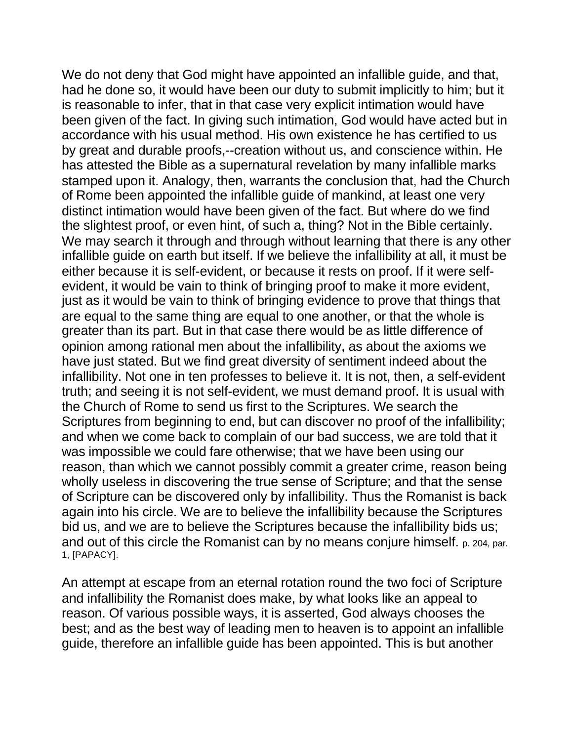We do not deny that God might have appointed an infallible guide, and that, had he done so, it would have been our duty to submit implicitly to him; but it is reasonable to infer, that in that case very explicit intimation would have been given of the fact. In giving such intimation, God would have acted but in accordance with his usual method. His own existence he has certified to us by great and durable proofs,--creation without us, and conscience within. He has attested the Bible as a supernatural revelation by many infallible marks stamped upon it. Analogy, then, warrants the conclusion that, had the Church of Rome been appointed the infallible guide of mankind, at least one very distinct intimation would have been given of the fact. But where do we find the slightest proof, or even hint, of such a, thing? Not in the Bible certainly. We may search it through and through without learning that there is any other infallible guide on earth but itself. If we believe the infallibility at all, it must be either because it is self-evident, or because it rests on proof. If it were selfevident, it would be vain to think of bringing proof to make it more evident, just as it would be vain to think of bringing evidence to prove that things that are equal to the same thing are equal to one another, or that the whole is greater than its part. But in that case there would be as little difference of opinion among rational men about the infallibility, as about the axioms we have just stated. But we find great diversity of sentiment indeed about the infallibility. Not one in ten professes to believe it. It is not, then, a self-evident truth; and seeing it is not self-evident, we must demand proof. It is usual with the Church of Rome to send us first to the Scriptures. We search the Scriptures from beginning to end, but can discover no proof of the infallibility; and when we come back to complain of our bad success, we are told that it was impossible we could fare otherwise; that we have been using our reason, than which we cannot possibly commit a greater crime, reason being wholly useless in discovering the true sense of Scripture; and that the sense of Scripture can be discovered only by infallibility. Thus the Romanist is back again into his circle. We are to believe the infallibility because the Scriptures bid us, and we are to believe the Scriptures because the infallibility bids us; and out of this circle the Romanist can by no means conjure himself. p. 204, par. 1, [PAPACY].

An attempt at escape from an eternal rotation round the two foci of Scripture and infallibility the Romanist does make, by what looks like an appeal to reason. Of various possible ways, it is asserted, God always chooses the best; and as the best way of leading men to heaven is to appoint an infallible guide, therefore an infallible guide has been appointed. This is but another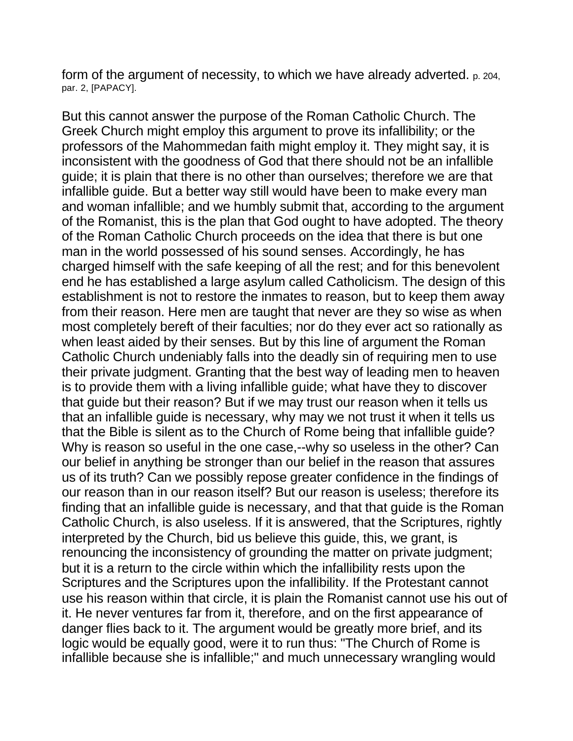form of the argument of necessity, to which we have already adverted. p. 204, par. 2, [PAPACY].

But this cannot answer the purpose of the Roman Catholic Church. The Greek Church might employ this argument to prove its infallibility; or the professors of the Mahommedan faith might employ it. They might say, it is inconsistent with the goodness of God that there should not be an infallible guide; it is plain that there is no other than ourselves; therefore we are that infallible guide. But a better way still would have been to make every man and woman infallible; and we humbly submit that, according to the argument of the Romanist, this is the plan that God ought to have adopted. The theory of the Roman Catholic Church proceeds on the idea that there is but one man in the world possessed of his sound senses. Accordingly, he has charged himself with the safe keeping of all the rest; and for this benevolent end he has established a large asylum called Catholicism. The design of this establishment is not to restore the inmates to reason, but to keep them away from their reason. Here men are taught that never are they so wise as when most completely bereft of their faculties; nor do they ever act so rationally as when least aided by their senses. But by this line of argument the Roman Catholic Church undeniably falls into the deadly sin of requiring men to use their private judgment. Granting that the best way of leading men to heaven is to provide them with a living infallible guide; what have they to discover that guide but their reason? But if we may trust our reason when it tells us that an infallible guide is necessary, why may we not trust it when it tells us that the Bible is silent as to the Church of Rome being that infallible guide? Why is reason so useful in the one case,--why so useless in the other? Can our belief in anything be stronger than our belief in the reason that assures us of its truth? Can we possibly repose greater confidence in the findings of our reason than in our reason itself? But our reason is useless; therefore its finding that an infallible guide is necessary, and that that guide is the Roman Catholic Church, is also useless. If it is answered, that the Scriptures, rightly interpreted by the Church, bid us believe this guide, this, we grant, is renouncing the inconsistency of grounding the matter on private judgment; but it is a return to the circle within which the infallibility rests upon the Scriptures and the Scriptures upon the infallibility. If the Protestant cannot use his reason within that circle, it is plain the Romanist cannot use his out of it. He never ventures far from it, therefore, and on the first appearance of danger flies back to it. The argument would be greatly more brief, and its logic would be equally good, were it to run thus: "The Church of Rome is infallible because she is infallible;" and much unnecessary wrangling would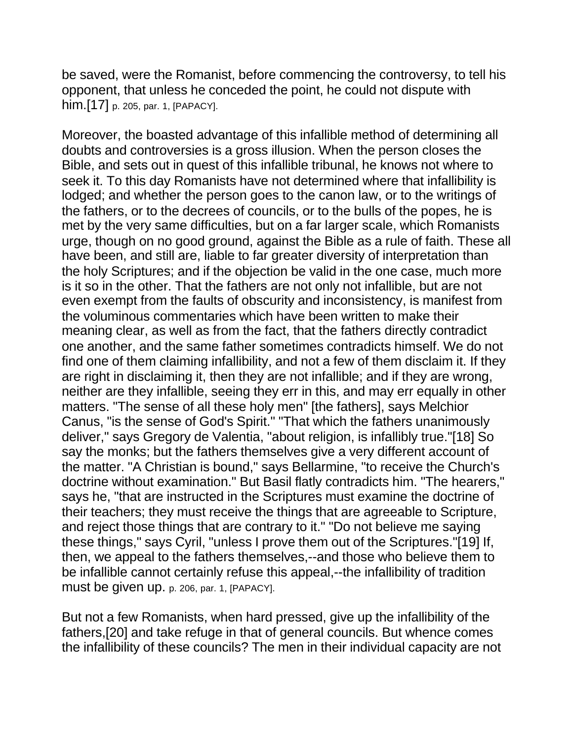be saved, were the Romanist, before commencing the controversy, to tell his opponent, that unless he conceded the point, he could not dispute with him.[17] p. 205, par. 1, [PAPACY].

Moreover, the boasted advantage of this infallible method of determining all doubts and controversies is a gross illusion. When the person closes the Bible, and sets out in quest of this infallible tribunal, he knows not where to seek it. To this day Romanists have not determined where that infallibility is lodged; and whether the person goes to the canon law, or to the writings of the fathers, or to the decrees of councils, or to the bulls of the popes, he is met by the very same difficulties, but on a far larger scale, which Romanists urge, though on no good ground, against the Bible as a rule of faith. These all have been, and still are, liable to far greater diversity of interpretation than the holy Scriptures; and if the objection be valid in the one case, much more is it so in the other. That the fathers are not only not infallible, but are not even exempt from the faults of obscurity and inconsistency, is manifest from the voluminous commentaries which have been written to make their meaning clear, as well as from the fact, that the fathers directly contradict one another, and the same father sometimes contradicts himself. We do not find one of them claiming infallibility, and not a few of them disclaim it. If they are right in disclaiming it, then they are not infallible; and if they are wrong, neither are they infallible, seeing they err in this, and may err equally in other matters. "The sense of all these holy men" [the fathers], says Melchior Canus, "is the sense of God's Spirit." "That which the fathers unanimously deliver," says Gregory de Valentia, "about religion, is infallibly true."[18] So say the monks; but the fathers themselves give a very different account of the matter. "A Christian is bound," says Bellarmine, "to receive the Church's doctrine without examination." But Basil flatly contradicts him. "The hearers," says he, "that are instructed in the Scriptures must examine the doctrine of their teachers; they must receive the things that are agreeable to Scripture, and reject those things that are contrary to it." "Do not believe me saying these things," says Cyril, "unless I prove them out of the Scriptures."[19] If, then, we appeal to the fathers themselves,--and those who believe them to be infallible cannot certainly refuse this appeal,--the infallibility of tradition must be given up. p. 206, par. 1, [PAPACY].

But not a few Romanists, when hard pressed, give up the infallibility of the fathers,[20] and take refuge in that of general councils. But whence comes the infallibility of these councils? The men in their individual capacity are not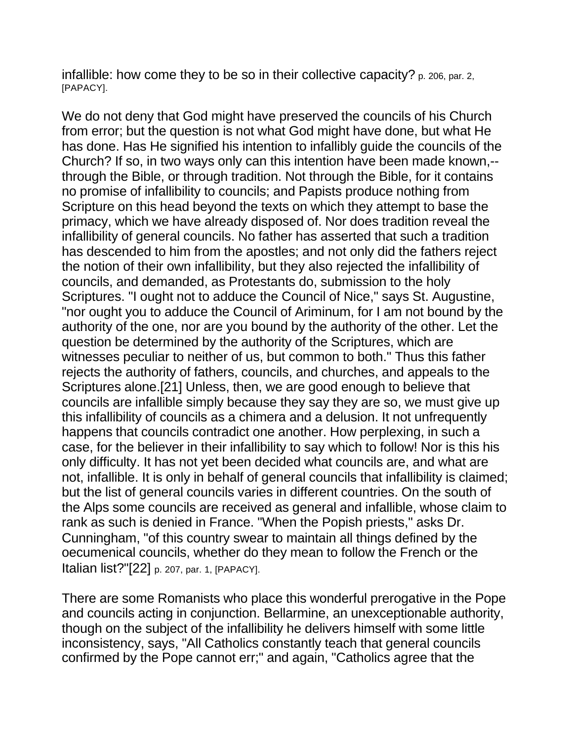infallible: how come they to be so in their collective capacity? p. 206, par. 2, [PAPACY].

We do not deny that God might have preserved the councils of his Church from error; but the question is not what God might have done, but what He has done. Has He signified his intention to infallibly guide the councils of the Church? If so, in two ways only can this intention have been made known,- through the Bible, or through tradition. Not through the Bible, for it contains no promise of infallibility to councils; and Papists produce nothing from Scripture on this head beyond the texts on which they attempt to base the primacy, which we have already disposed of. Nor does tradition reveal the infallibility of general councils. No father has asserted that such a tradition has descended to him from the apostles; and not only did the fathers reject the notion of their own infallibility, but they also rejected the infallibility of councils, and demanded, as Protestants do, submission to the holy Scriptures. "I ought not to adduce the Council of Nice," says St. Augustine, "nor ought you to adduce the Council of Ariminum, for I am not bound by the authority of the one, nor are you bound by the authority of the other. Let the question be determined by the authority of the Scriptures, which are witnesses peculiar to neither of us, but common to both." Thus this father rejects the authority of fathers, councils, and churches, and appeals to the Scriptures alone.[21] Unless, then, we are good enough to believe that councils are infallible simply because they say they are so, we must give up this infallibility of councils as a chimera and a delusion. It not unfrequently happens that councils contradict one another. How perplexing, in such a case, for the believer in their infallibility to say which to follow! Nor is this his only difficulty. It has not yet been decided what councils are, and what are not, infallible. It is only in behalf of general councils that infallibility is claimed; but the list of general councils varies in different countries. On the south of the Alps some councils are received as general and infallible, whose claim to rank as such is denied in France. "When the Popish priests," asks Dr. Cunningham, "of this country swear to maintain all things defined by the oecumenical councils, whether do they mean to follow the French or the Italian list?"[22] p. 207, par. 1, [PAPACY].

There are some Romanists who place this wonderful prerogative in the Pope and councils acting in conjunction. Bellarmine, an unexceptionable authority, though on the subject of the infallibility he delivers himself with some little inconsistency, says, "All Catholics constantly teach that general councils confirmed by the Pope cannot err;" and again, "Catholics agree that the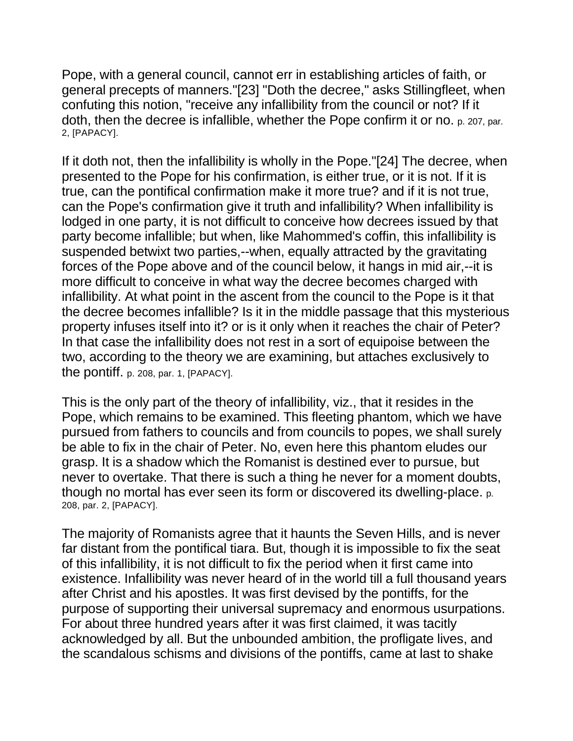Pope, with a general council, cannot err in establishing articles of faith, or general precepts of manners."[23] "Doth the decree," asks Stillingfleet, when confuting this notion, "receive any infallibility from the council or not? If it doth, then the decree is infallible, whether the Pope confirm it or no. p. 207, par. 2, [PAPACY].

If it doth not, then the infallibility is wholly in the Pope."[24] The decree, when presented to the Pope for his confirmation, is either true, or it is not. If it is true, can the pontifical confirmation make it more true? and if it is not true, can the Pope's confirmation give it truth and infallibility? When infallibility is lodged in one party, it is not difficult to conceive how decrees issued by that party become infallible; but when, like Mahommed's coffin, this infallibility is suspended betwixt two parties,--when, equally attracted by the gravitating forces of the Pope above and of the council below, it hangs in mid air,--it is more difficult to conceive in what way the decree becomes charged with infallibility. At what point in the ascent from the council to the Pope is it that the decree becomes infallible? Is it in the middle passage that this mysterious property infuses itself into it? or is it only when it reaches the chair of Peter? In that case the infallibility does not rest in a sort of equipoise between the two, according to the theory we are examining, but attaches exclusively to the pontiff. p. 208, par. 1, [PAPACY].

This is the only part of the theory of infallibility, viz., that it resides in the Pope, which remains to be examined. This fleeting phantom, which we have pursued from fathers to councils and from councils to popes, we shall surely be able to fix in the chair of Peter. No, even here this phantom eludes our grasp. It is a shadow which the Romanist is destined ever to pursue, but never to overtake. That there is such a thing he never for a moment doubts, though no mortal has ever seen its form or discovered its dwelling-place. p. 208, par. 2, [PAPACY].

The majority of Romanists agree that it haunts the Seven Hills, and is never far distant from the pontifical tiara. But, though it is impossible to fix the seat of this infallibility, it is not difficult to fix the period when it first came into existence. Infallibility was never heard of in the world till a full thousand years after Christ and his apostles. It was first devised by the pontiffs, for the purpose of supporting their universal supremacy and enormous usurpations. For about three hundred years after it was first claimed, it was tacitly acknowledged by all. But the unbounded ambition, the profligate lives, and the scandalous schisms and divisions of the pontiffs, came at last to shake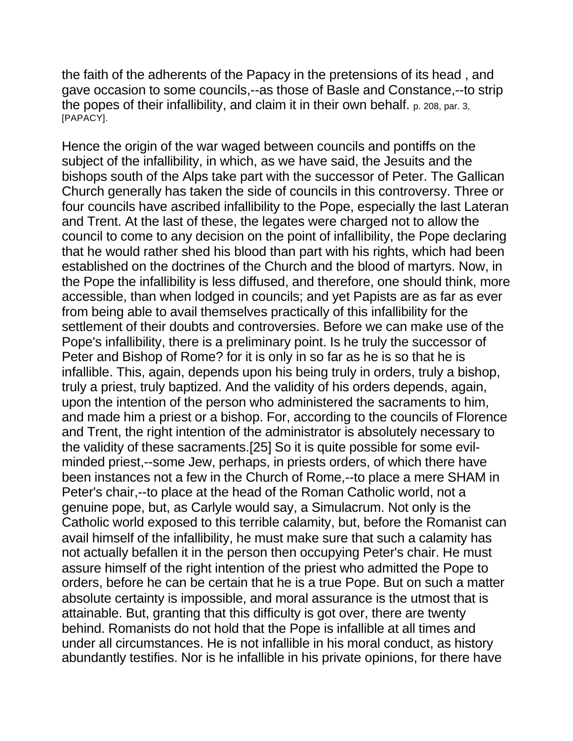the faith of the adherents of the Papacy in the pretensions of its head , and gave occasion to some councils,--as those of Basle and Constance,--to strip the popes of their infallibility, and claim it in their own behalf. p. 208, par. 3, [PAPACY].

Hence the origin of the war waged between councils and pontiffs on the subject of the infallibility, in which, as we have said, the Jesuits and the bishops south of the Alps take part with the successor of Peter. The Gallican Church generally has taken the side of councils in this controversy. Three or four councils have ascribed infallibility to the Pope, especially the last Lateran and Trent. At the last of these, the legates were charged not to allow the council to come to any decision on the point of infallibility, the Pope declaring that he would rather shed his blood than part with his rights, which had been established on the doctrines of the Church and the blood of martyrs. Now, in the Pope the infallibility is less diffused, and therefore, one should think, more accessible, than when lodged in councils; and yet Papists are as far as ever from being able to avail themselves practically of this infallibility for the settlement of their doubts and controversies. Before we can make use of the Pope's infallibility, there is a preliminary point. Is he truly the successor of Peter and Bishop of Rome? for it is only in so far as he is so that he is infallible. This, again, depends upon his being truly in orders, truly a bishop, truly a priest, truly baptized. And the validity of his orders depends, again, upon the intention of the person who administered the sacraments to him, and made him a priest or a bishop. For, according to the councils of Florence and Trent, the right intention of the administrator is absolutely necessary to the validity of these sacraments.[25] So it is quite possible for some evilminded priest,--some Jew, perhaps, in priests orders, of which there have been instances not a few in the Church of Rome,--to place a mere SHAM in Peter's chair,--to place at the head of the Roman Catholic world, not a genuine pope, but, as Carlyle would say, a Simulacrum. Not only is the Catholic world exposed to this terrible calamity, but, before the Romanist can avail himself of the infallibility, he must make sure that such a calamity has not actually befallen it in the person then occupying Peter's chair. He must assure himself of the right intention of the priest who admitted the Pope to orders, before he can be certain that he is a true Pope. But on such a matter absolute certainty is impossible, and moral assurance is the utmost that is attainable. But, granting that this difficulty is got over, there are twenty behind. Romanists do not hold that the Pope is infallible at all times and under all circumstances. He is not infallible in his moral conduct, as history abundantly testifies. Nor is he infallible in his private opinions, for there have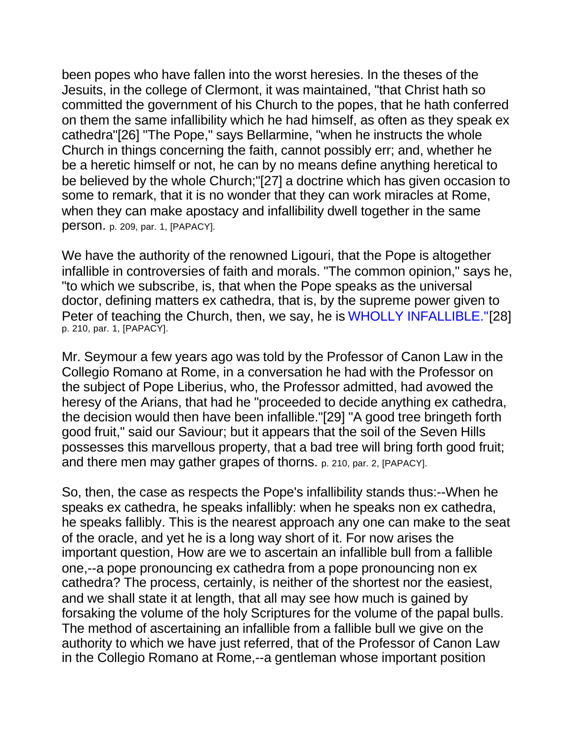been popes who have fallen into the worst heresies. In the theses of the Jesuits, in the college of Clermont, it was maintained, "that Christ hath so committed the government of his Church to the popes, that he hath conferred on them the same infallibility which he had himself, as often as they speak ex cathedra"[26] "The Pope," says Bellarmine, "when he instructs the whole Church in things concerning the faith, cannot possibly err; and, whether he be a heretic himself or not, he can by no means define anything heretical to be believed by the whole Church;"[27] a doctrine which has given occasion to some to remark, that it is no wonder that they can work miracles at Rome, when they can make apostacy and infallibility dwell together in the same person. p. 209, par. 1, [PAPACY].

We have the authority of the renowned Ligouri, that the Pope is altogether infallible in controversies of faith and morals. "The common opinion," says he, "to which we subscribe, is, that when the Pope speaks as the universal doctor, defining matters ex cathedra, that is, by the supreme power given to Peter of teaching the Church, then, we say, he is WHOLLY INFALLIBLE."[28] p. 210, par. 1, [PAPACY].

Mr. Seymour a few years ago was told by the Professor of Canon Law in the Collegio Romano at Rome, in a conversation he had with the Professor on the subject of Pope Liberius, who, the Professor admitted, had avowed the heresy of the Arians, that had he "proceeded to decide anything ex cathedra, the decision would then have been infallible."[29] "A good tree bringeth forth good fruit," said our Saviour; but it appears that the soil of the Seven Hills possesses this marvellous property, that a bad tree will bring forth good fruit; and there men may gather grapes of thorns. p. 210, par. 2, [PAPACY].

So, then, the case as respects the Pope's infallibility stands thus:--When he speaks ex cathedra, he speaks infallibly: when he speaks non ex cathedra, he speaks fallibly. This is the nearest approach any one can make to the seat of the oracle, and yet he is a long way short of it. For now arises the important question, How are we to ascertain an infallible bull from a fallible one,--a pope pronouncing ex cathedra from a pope pronouncing non ex cathedra? The process, certainly, is neither of the shortest nor the easiest, and we shall state it at length, that all may see how much is gained by forsaking the volume of the holy Scriptures for the volume of the papal bulls. The method of ascertaining an infallible from a fallible bull we give on the authority to which we have just referred, that of the Professor of Canon Law in the Collegio Romano at Rome,--a gentleman whose important position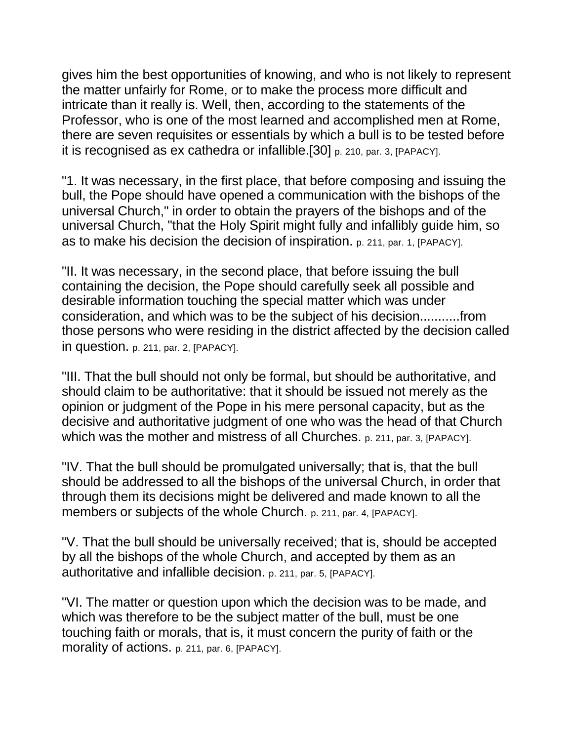gives him the best opportunities of knowing, and who is not likely to represent the matter unfairly for Rome, or to make the process more difficult and intricate than it really is. Well, then, according to the statements of the Professor, who is one of the most learned and accomplished men at Rome, there are seven requisites or essentials by which a bull is to be tested before it is recognised as ex cathedra or infallible.[30] p. 210, par. 3, [PAPACY].

"1. It was necessary, in the first place, that before composing and issuing the bull, the Pope should have opened a communication with the bishops of the universal Church," in order to obtain the prayers of the bishops and of the universal Church, "that the Holy Spirit might fully and infallibly guide him, so as to make his decision the decision of inspiration. p. 211, par. 1, [PAPACY].

"II. It was necessary, in the second place, that before issuing the bull containing the decision, the Pope should carefully seek all possible and desirable information touching the special matter which was under consideration, and which was to be the subject of his decision...........from those persons who were residing in the district affected by the decision called in question. p. 211, par. 2, [PAPACY].

"III. That the bull should not only be formal, but should be authoritative, and should claim to be authoritative: that it should be issued not merely as the opinion or judgment of the Pope in his mere personal capacity, but as the decisive and authoritative judgment of one who was the head of that Church which was the mother and mistress of all Churches. p. 211, par. 3, [PAPACY].

"IV. That the bull should be promulgated universally; that is, that the bull should be addressed to all the bishops of the universal Church, in order that through them its decisions might be delivered and made known to all the members or subjects of the whole Church. p. 211, par. 4, [PAPACY].

"V. That the bull should be universally received; that is, should be accepted by all the bishops of the whole Church, and accepted by them as an authoritative and infallible decision. p. 211, par. 5, [PAPACY].

"VI. The matter or question upon which the decision was to be made, and which was therefore to be the subject matter of the bull, must be one touching faith or morals, that is, it must concern the purity of faith or the morality of actions. p. 211, par. 6, [PAPACY].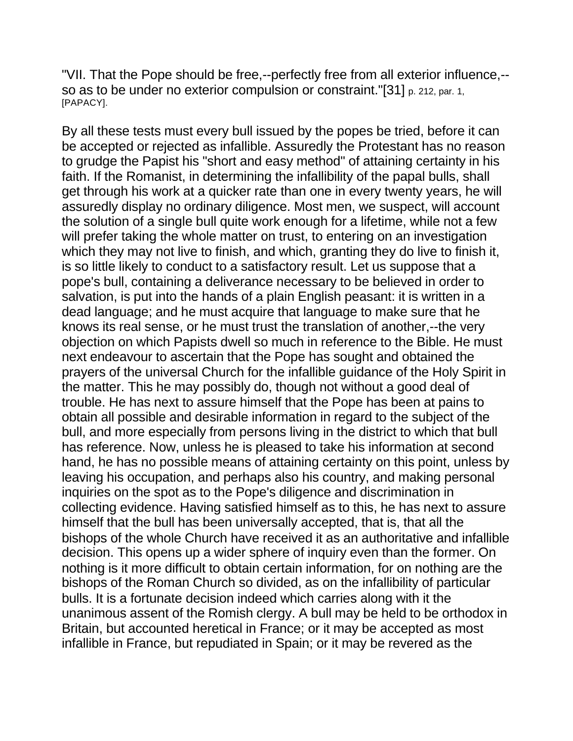"VII. That the Pope should be free,--perfectly free from all exterior influence,- so as to be under no exterior compulsion or constraint."[31] p. 212, par. 1, [PAPACY].

By all these tests must every bull issued by the popes be tried, before it can be accepted or rejected as infallible. Assuredly the Protestant has no reason to grudge the Papist his "short and easy method" of attaining certainty in his faith. If the Romanist, in determining the infallibility of the papal bulls, shall get through his work at a quicker rate than one in every twenty years, he will assuredly display no ordinary diligence. Most men, we suspect, will account the solution of a single bull quite work enough for a lifetime, while not a few will prefer taking the whole matter on trust, to entering on an investigation which they may not live to finish, and which, granting they do live to finish it, is so little likely to conduct to a satisfactory result. Let us suppose that a pope's bull, containing a deliverance necessary to be believed in order to salvation, is put into the hands of a plain English peasant: it is written in a dead language; and he must acquire that language to make sure that he knows its real sense, or he must trust the translation of another,--the very objection on which Papists dwell so much in reference to the Bible. He must next endeavour to ascertain that the Pope has sought and obtained the prayers of the universal Church for the infallible guidance of the Holy Spirit in the matter. This he may possibly do, though not without a good deal of trouble. He has next to assure himself that the Pope has been at pains to obtain all possible and desirable information in regard to the subject of the bull, and more especially from persons living in the district to which that bull has reference. Now, unless he is pleased to take his information at second hand, he has no possible means of attaining certainty on this point, unless by leaving his occupation, and perhaps also his country, and making personal inquiries on the spot as to the Pope's diligence and discrimination in collecting evidence. Having satisfied himself as to this, he has next to assure himself that the bull has been universally accepted, that is, that all the bishops of the whole Church have received it as an authoritative and infallible decision. This opens up a wider sphere of inquiry even than the former. On nothing is it more difficult to obtain certain information, for on nothing are the bishops of the Roman Church so divided, as on the infallibility of particular bulls. It is a fortunate decision indeed which carries along with it the unanimous assent of the Romish clergy. A bull may be held to be orthodox in Britain, but accounted heretical in France; or it may be accepted as most infallible in France, but repudiated in Spain; or it may be revered as the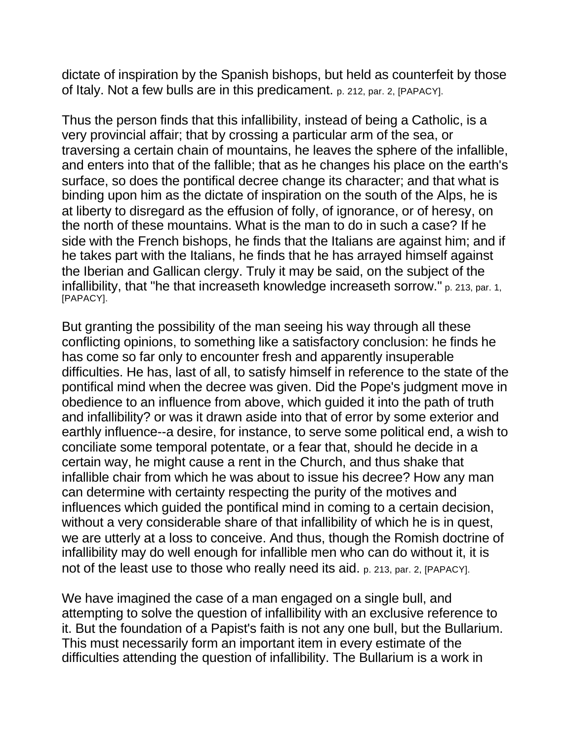dictate of inspiration by the Spanish bishops, but held as counterfeit by those of Italy. Not a few bulls are in this predicament. p. 212, par. 2, [PAPACY].

Thus the person finds that this infallibility, instead of being a Catholic, is a very provincial affair; that by crossing a particular arm of the sea, or traversing a certain chain of mountains, he leaves the sphere of the infallible, and enters into that of the fallible; that as he changes his place on the earth's surface, so does the pontifical decree change its character; and that what is binding upon him as the dictate of inspiration on the south of the Alps, he is at liberty to disregard as the effusion of folly, of ignorance, or of heresy, on the north of these mountains. What is the man to do in such a case? If he side with the French bishops, he finds that the Italians are against him; and if he takes part with the Italians, he finds that he has arrayed himself against the Iberian and Gallican clergy. Truly it may be said, on the subject of the infallibility, that "he that increaseth knowledge increaseth sorrow." p. 213, par. 1, [PAPACY].

But granting the possibility of the man seeing his way through all these conflicting opinions, to something like a satisfactory conclusion: he finds he has come so far only to encounter fresh and apparently insuperable difficulties. He has, last of all, to satisfy himself in reference to the state of the pontifical mind when the decree was given. Did the Pope's judgment move in obedience to an influence from above, which guided it into the path of truth and infallibility? or was it drawn aside into that of error by some exterior and earthly influence--a desire, for instance, to serve some political end, a wish to conciliate some temporal potentate, or a fear that, should he decide in a certain way, he might cause a rent in the Church, and thus shake that infallible chair from which he was about to issue his decree? How any man can determine with certainty respecting the purity of the motives and influences which guided the pontifical mind in coming to a certain decision, without a very considerable share of that infallibility of which he is in quest, we are utterly at a loss to conceive. And thus, though the Romish doctrine of infallibility may do well enough for infallible men who can do without it, it is not of the least use to those who really need its aid. p. 213, par. 2, [PAPACY].

We have imagined the case of a man engaged on a single bull, and attempting to solve the question of infallibility with an exclusive reference to it. But the foundation of a Papist's faith is not any one bull, but the Bullarium. This must necessarily form an important item in every estimate of the difficulties attending the question of infallibility. The Bullarium is a work in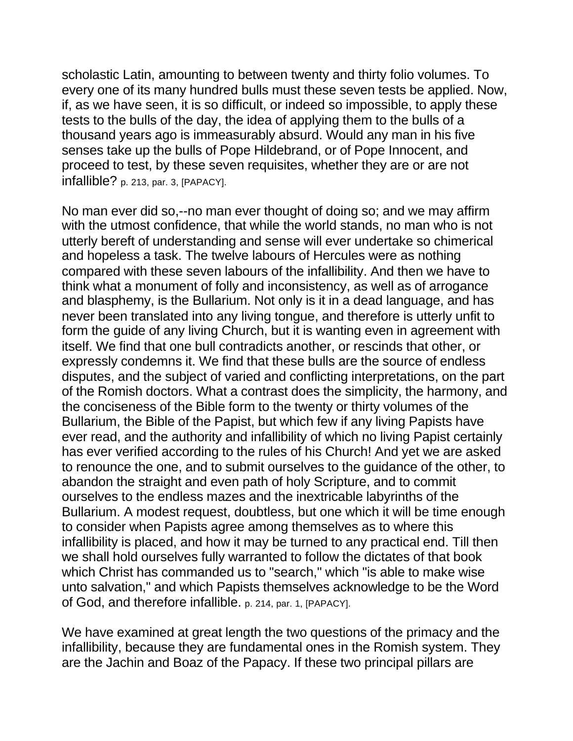scholastic Latin, amounting to between twenty and thirty folio volumes. To every one of its many hundred bulls must these seven tests be applied. Now, if, as we have seen, it is so difficult, or indeed so impossible, to apply these tests to the bulls of the day, the idea of applying them to the bulls of a thousand years ago is immeasurably absurd. Would any man in his five senses take up the bulls of Pope Hildebrand, or of Pope Innocent, and proceed to test, by these seven requisites, whether they are or are not infallible? p. 213, par. 3, [PAPACY].

No man ever did so,--no man ever thought of doing so; and we may affirm with the utmost confidence, that while the world stands, no man who is not utterly bereft of understanding and sense will ever undertake so chimerical and hopeless a task. The twelve labours of Hercules were as nothing compared with these seven labours of the infallibility. And then we have to think what a monument of folly and inconsistency, as well as of arrogance and blasphemy, is the Bullarium. Not only is it in a dead language, and has never been translated into any living tongue, and therefore is utterly unfit to form the guide of any living Church, but it is wanting even in agreement with itself. We find that one bull contradicts another, or rescinds that other, or expressly condemns it. We find that these bulls are the source of endless disputes, and the subject of varied and conflicting interpretations, on the part of the Romish doctors. What a contrast does the simplicity, the harmony, and the conciseness of the Bible form to the twenty or thirty volumes of the Bullarium, the Bible of the Papist, but which few if any living Papists have ever read, and the authority and infallibility of which no living Papist certainly has ever verified according to the rules of his Church! And yet we are asked to renounce the one, and to submit ourselves to the guidance of the other, to abandon the straight and even path of holy Scripture, and to commit ourselves to the endless mazes and the inextricable labyrinths of the Bullarium. A modest request, doubtless, but one which it will be time enough to consider when Papists agree among themselves as to where this infallibility is placed, and how it may be turned to any practical end. Till then we shall hold ourselves fully warranted to follow the dictates of that book which Christ has commanded us to "search," which "is able to make wise unto salvation," and which Papists themselves acknowledge to be the Word of God, and therefore infallible. p. 214, par. 1, [PAPACY].

We have examined at great length the two questions of the primacy and the infallibility, because they are fundamental ones in the Romish system. They are the Jachin and Boaz of the Papacy. If these two principal pillars are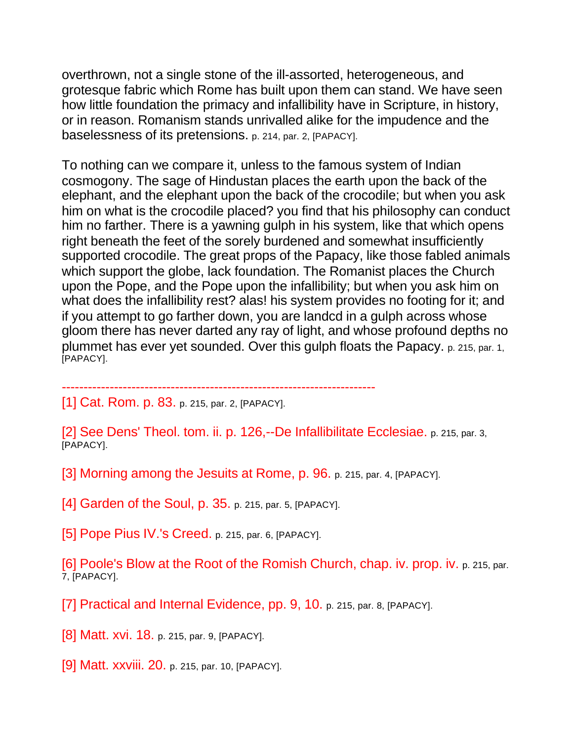overthrown, not a single stone of the ill-assorted, heterogeneous, and grotesque fabric which Rome has built upon them can stand. We have seen how little foundation the primacy and infallibility have in Scripture, in history, or in reason. Romanism stands unrivalled alike for the impudence and the baselessness of its pretensions. p. 214, par. 2, [PAPACY].

To nothing can we compare it, unless to the famous system of Indian cosmogony. The sage of Hindustan places the earth upon the back of the elephant, and the elephant upon the back of the crocodile; but when you ask him on what is the crocodile placed? you find that his philosophy can conduct him no farther. There is a yawning gulph in his system, like that which opens right beneath the feet of the sorely burdened and somewhat insufficiently supported crocodile. The great props of the Papacy, like those fabled animals which support the globe, lack foundation. The Romanist places the Church upon the Pope, and the Pope upon the infallibility; but when you ask him on what does the infallibility rest? alas! his system provides no footing for it; and if you attempt to go farther down, you are landcd in a gulph across whose gloom there has never darted any ray of light, and whose profound depths no plummet has ever yet sounded. Over this gulph floats the Papacy. p. 215, par. 1, [PAPACY].

------------------------------------------------------------------------

[1] Cat. Rom. p. 83. p. 215, par. 2, [PAPACY].

[2] See Dens' Theol. tom. ii. p. 126,--De Infallibilitate Ecclesiae. p. 215, par. 3, [PAPACY].

[3] Morning among the Jesuits at Rome, p. 96. p. 215, par. 4, [PAPACY].

[4] Garden of the Soul, p. 35. p. 215, par. 5, [PAPACY].

[5] Pope Pius IV.'s Creed. p. 215, par. 6, [PAPACY].

[6] Poole's Blow at the Root of the Romish Church, chap. iv. prop. iv. p. 215, par. 7, [PAPACY].

[7] Practical and Internal Evidence, pp. 9, 10. p. 215, par. 8, [PAPACY].

[8] Matt. xvi. 18. p. 215, par. 9, [PAPACY].

[9] Matt. xxviii. 20. p. 215, par. 10, [PAPACY].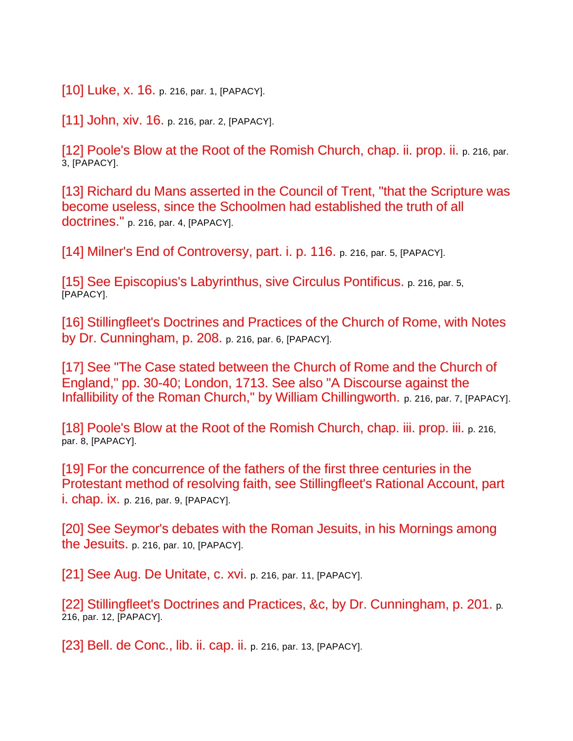[10] Luke, x. 16. p. 216, par. 1, [PAPACY].

[11] John, xiv. 16. p. 216, par. 2, [PAPACY].

[12] Poole's Blow at the Root of the Romish Church, chap. ii. prop. ii. p. 216, par. 3, [PAPACY].

[13] Richard du Mans asserted in the Council of Trent, "that the Scripture was become useless, since the Schoolmen had established the truth of all doctrines." p. 216, par. 4, [PAPACY].

[14] Milner's End of Controversy, part. i. p. 116. p. 216, par. 5, [PAPACY].

[15] See Episcopius's Labyrinthus, sive Circulus Pontificus. p. 216, par. 5, [PAPACY].

[16] Stillingfleet's Doctrines and Practices of the Church of Rome, with Notes by Dr. Cunningham, p. 208. p. 216, par. 6, [PAPACY].

[17] See "The Case stated between the Church of Rome and the Church of England," pp. 30-40; London, 1713. See also "A Discourse against the Infallibility of the Roman Church," by William Chillingworth. p. 216, par. 7, [PAPACY].

[18] Poole's Blow at the Root of the Romish Church, chap. iii. prop. iii. p. 216, par. 8, [PAPACY].

[19] For the concurrence of the fathers of the first three centuries in the Protestant method of resolving faith, see Stillingfleet's Rational Account, part **i. chap. ix.** p. 216, par. 9, [PAPACY].

[20] See Seymor's debates with the Roman Jesuits, in his Mornings among the Jesuits. p. 216, par. 10, [PAPACY].

[21] See Aug. De Unitate, c. xvi. p. 216, par. 11, [PAPACY].

[22] Stillingfleet's Doctrines and Practices, &c, by Dr. Cunningham, p. 201. p. 216, par. 12, [PAPACY].

[23] Bell. de Conc., lib. ii. cap. ii. p. 216, par. 13, [PAPACY].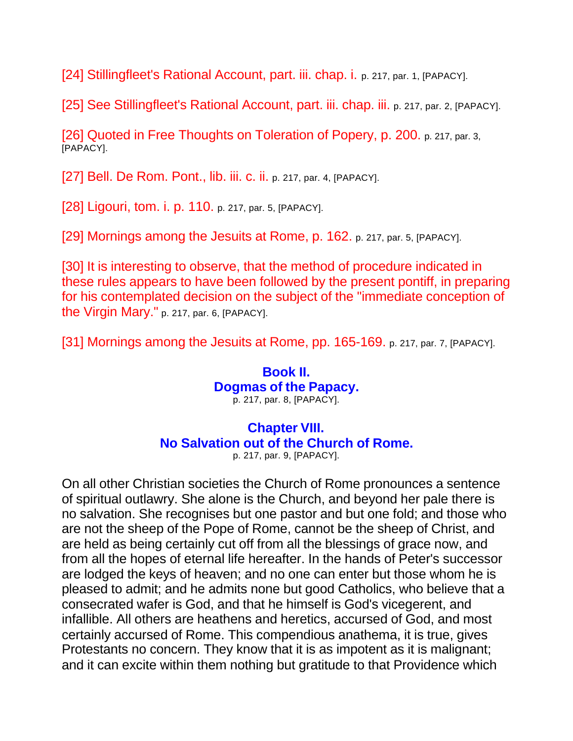[24] Stillingfleet's Rational Account, part. iii. chap. i. p. 217, par. 1, [PAPACY].

[25] See Stillingfleet's Rational Account, part. iii. chap. iii. p. 217, par. 2, [PAPACY].

[26] Quoted in Free Thoughts on Toleration of Popery, p. 200. p. 217, par. 3, [PAPACY].

[27] Bell. De Rom. Pont., lib. iii. c. ii. p. 217, par. 4, [PAPACY].

[28] Ligouri, tom. i. p. 110. p. 217, par. 5, [PAPACY].

[29] Mornings among the Jesuits at Rome, p. 162. p. 217, par. 5, [PAPACY].

[30] It is interesting to observe, that the method of procedure indicated in these rules appears to have been followed by the present pontiff, in preparing for his contemplated decision on the subject of the "immediate conception of the Virgin Mary." p. 217, par. 6, [PAPACY].

[31] Mornings among the Jesuits at Rome, pp. 165-169. p. 217, par. 7, [PAPACY].

# **Book II. Dogmas of the Papacy.**

p. 217, par. 8, [PAPACY].

#### **Chapter VIII. No Salvation out of the Church of Rome.**

p. 217, par. 9, [PAPACY].

On all other Christian societies the Church of Rome pronounces a sentence of spiritual outlawry. She alone is the Church, and beyond her pale there is no salvation. She recognises but one pastor and but one fold; and those who are not the sheep of the Pope of Rome, cannot be the sheep of Christ, and are held as being certainly cut off from all the blessings of grace now, and from all the hopes of eternal life hereafter. In the hands of Peter's successor are lodged the keys of heaven; and no one can enter but those whom he is pleased to admit; and he admits none but good Catholics, who believe that a consecrated wafer is God, and that he himself is God's vicegerent, and infallible. All others are heathens and heretics, accursed of God, and most certainly accursed of Rome. This compendious anathema, it is true, gives Protestants no concern. They know that it is as impotent as it is malignant; and it can excite within them nothing but gratitude to that Providence which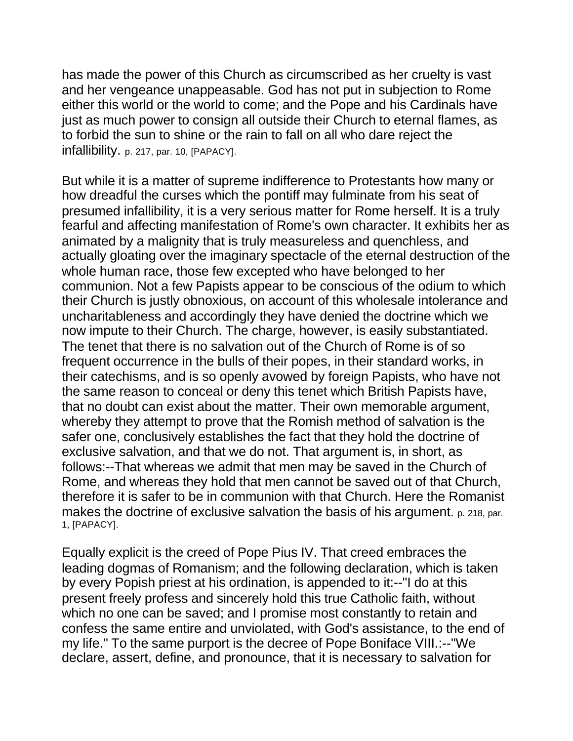has made the power of this Church as circumscribed as her cruelty is vast and her vengeance unappeasable. God has not put in subjection to Rome either this world or the world to come; and the Pope and his Cardinals have just as much power to consign all outside their Church to eternal flames, as to forbid the sun to shine or the rain to fall on all who dare reject the infallibility. p. 217, par. 10, [PAPACY].

But while it is a matter of supreme indifference to Protestants how many or how dreadful the curses which the pontiff may fulminate from his seat of presumed infallibility, it is a very serious matter for Rome herself. It is a truly fearful and affecting manifestation of Rome's own character. It exhibits her as animated by a malignity that is truly measureless and quenchless, and actually gloating over the imaginary spectacle of the eternal destruction of the whole human race, those few excepted who have belonged to her communion. Not a few Papists appear to be conscious of the odium to which their Church is justly obnoxious, on account of this wholesale intolerance and uncharitableness and accordingly they have denied the doctrine which we now impute to their Church. The charge, however, is easily substantiated. The tenet that there is no salvation out of the Church of Rome is of so frequent occurrence in the bulls of their popes, in their standard works, in their catechisms, and is so openly avowed by foreign Papists, who have not the same reason to conceal or deny this tenet which British Papists have, that no doubt can exist about the matter. Their own memorable argument, whereby they attempt to prove that the Romish method of salvation is the safer one, conclusively establishes the fact that they hold the doctrine of exclusive salvation, and that we do not. That argument is, in short, as follows:--That whereas we admit that men may be saved in the Church of Rome, and whereas they hold that men cannot be saved out of that Church, therefore it is safer to be in communion with that Church. Here the Romanist makes the doctrine of exclusive salvation the basis of his argument. p. 218, par. 1, [PAPACY].

Equally explicit is the creed of Pope Pius IV. That creed embraces the leading dogmas of Romanism; and the following declaration, which is taken by every Popish priest at his ordination, is appended to it:--"I do at this present freely profess and sincerely hold this true Catholic faith, without which no one can be saved; and I promise most constantly to retain and confess the same entire and unviolated, with God's assistance, to the end of my life." To the same purport is the decree of Pope Boniface VIII.:--"We declare, assert, define, and pronounce, that it is necessary to salvation for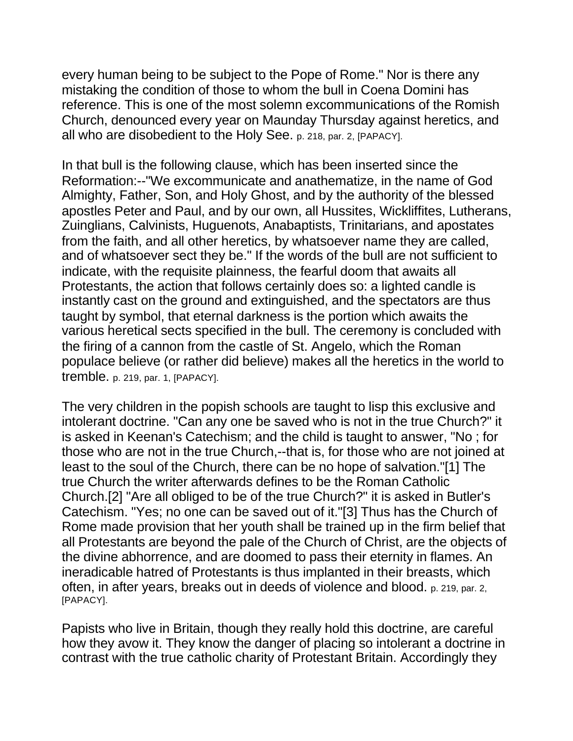every human being to be subject to the Pope of Rome." Nor is there any mistaking the condition of those to whom the bull in Coena Domini has reference. This is one of the most solemn excommunications of the Romish Church, denounced every year on Maunday Thursday against heretics, and all who are disobedient to the Holy See. p. 218, par. 2, [PAPACY].

In that bull is the following clause, which has been inserted since the Reformation:--"We excommunicate and anathematize, in the name of God Almighty, Father, Son, and Holy Ghost, and by the authority of the blessed apostles Peter and Paul, and by our own, all Hussites, Wickliffites, Lutherans, Zuinglians, Calvinists, Huguenots, Anabaptists, Trinitarians, and apostates from the faith, and all other heretics, by whatsoever name they are called, and of whatsoever sect they be." If the words of the bull are not sufficient to indicate, with the requisite plainness, the fearful doom that awaits all Protestants, the action that follows certainly does so: a lighted candle is instantly cast on the ground and extinguished, and the spectators are thus taught by symbol, that eternal darkness is the portion which awaits the various heretical sects specified in the bull. The ceremony is concluded with the firing of a cannon from the castle of St. Angelo, which the Roman populace believe (or rather did believe) makes all the heretics in the world to tremble. p. 219, par. 1, [PAPACY].

The very children in the popish schools are taught to lisp this exclusive and intolerant doctrine. "Can any one be saved who is not in the true Church?" it is asked in Keenan's Catechism; and the child is taught to answer, "No ; for those who are not in the true Church,--that is, for those who are not joined at least to the soul of the Church, there can be no hope of salvation."[1] The true Church the writer afterwards defines to be the Roman Catholic Church.[2] "Are all obliged to be of the true Church?" it is asked in Butler's Catechism. "Yes; no one can be saved out of it."[3] Thus has the Church of Rome made provision that her youth shall be trained up in the firm belief that all Protestants are beyond the pale of the Church of Christ, are the objects of the divine abhorrence, and are doomed to pass their eternity in flames. An ineradicable hatred of Protestants is thus implanted in their breasts, which often, in after years, breaks out in deeds of violence and blood. p. 219, par. 2, [PAPACY].

Papists who live in Britain, though they really hold this doctrine, are careful how they avow it. They know the danger of placing so intolerant a doctrine in contrast with the true catholic charity of Protestant Britain. Accordingly they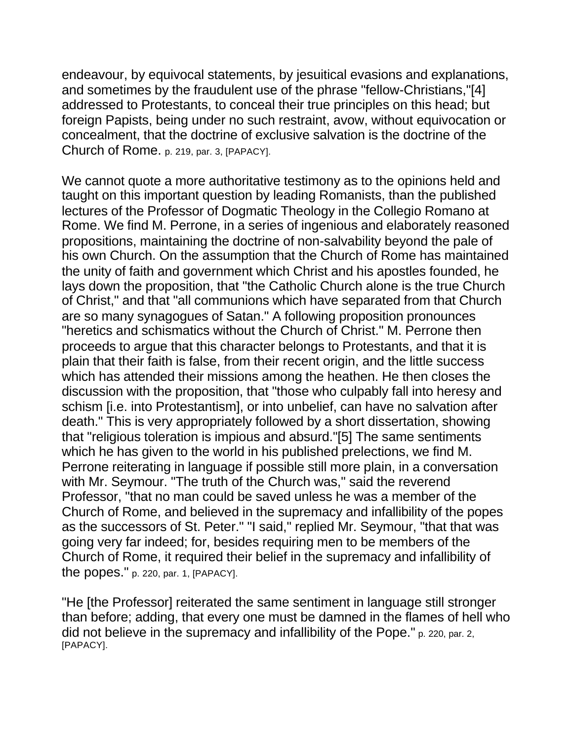endeavour, by equivocal statements, by jesuitical evasions and explanations, and sometimes by the fraudulent use of the phrase "fellow-Christians,"[4] addressed to Protestants, to conceal their true principles on this head; but foreign Papists, being under no such restraint, avow, without equivocation or concealment, that the doctrine of exclusive salvation is the doctrine of the Church of Rome. p. 219, par. 3, [PAPACY].

We cannot quote a more authoritative testimony as to the opinions held and taught on this important question by leading Romanists, than the published lectures of the Professor of Dogmatic Theology in the Collegio Romano at Rome. We find M. Perrone, in a series of ingenious and elaborately reasoned propositions, maintaining the doctrine of non-salvability beyond the pale of his own Church. On the assumption that the Church of Rome has maintained the unity of faith and government which Christ and his apostles founded, he lays down the proposition, that "the Catholic Church alone is the true Church of Christ," and that "all communions which have separated from that Church are so many synagogues of Satan." A following proposition pronounces "heretics and schismatics without the Church of Christ." M. Perrone then proceeds to argue that this character belongs to Protestants, and that it is plain that their faith is false, from their recent origin, and the little success which has attended their missions among the heathen. He then closes the discussion with the proposition, that "those who culpably fall into heresy and schism [i.e. into Protestantism], or into unbelief, can have no salvation after death." This is very appropriately followed by a short dissertation, showing that "religious toleration is impious and absurd."[5] The same sentiments which he has given to the world in his published prelections, we find M. Perrone reiterating in language if possible still more plain, in a conversation with Mr. Seymour. "The truth of the Church was," said the reverend Professor, "that no man could be saved unless he was a member of the Church of Rome, and believed in the supremacy and infallibility of the popes as the successors of St. Peter." "I said," replied Mr. Seymour, "that that was going very far indeed; for, besides requiring men to be members of the Church of Rome, it required their belief in the supremacy and infallibility of the popes." p. 220, par. 1, [PAPACY].

"He [the Professor] reiterated the same sentiment in language still stronger than before; adding, that every one must be damned in the flames of hell who did not believe in the supremacy and infallibility of the Pope." p. 220, par. 2, [PAPACY].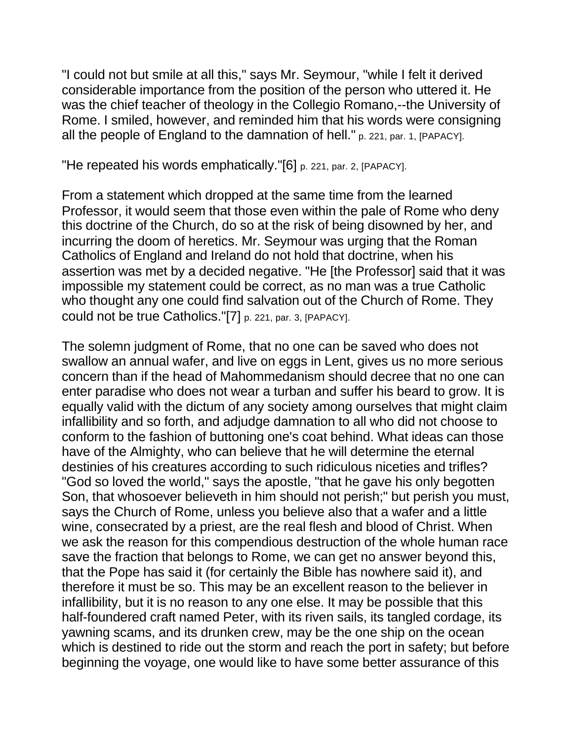"I could not but smile at all this," says Mr. Seymour, "while I felt it derived considerable importance from the position of the person who uttered it. He was the chief teacher of theology in the Collegio Romano,--the University of Rome. I smiled, however, and reminded him that his words were consigning all the people of England to the damnation of hell." p. 221, par. 1, [PAPACY].

"He repeated his words emphatically."[6] p. 221, par. 2, [PAPACY].

From a statement which dropped at the same time from the learned Professor, it would seem that those even within the pale of Rome who deny this doctrine of the Church, do so at the risk of being disowned by her, and incurring the doom of heretics. Mr. Seymour was urging that the Roman Catholics of England and Ireland do not hold that doctrine, when his assertion was met by a decided negative. "He [the Professor] said that it was impossible my statement could be correct, as no man was a true Catholic who thought any one could find salvation out of the Church of Rome. They could not be true Catholics."[7] p. 221, par. 3, [PAPACY].

The solemn judgment of Rome, that no one can be saved who does not swallow an annual wafer, and live on eggs in Lent, gives us no more serious concern than if the head of Mahommedanism should decree that no one can enter paradise who does not wear a turban and suffer his beard to grow. It is equally valid with the dictum of any society among ourselves that might claim infallibility and so forth, and adjudge damnation to all who did not choose to conform to the fashion of buttoning one's coat behind. What ideas can those have of the Almighty, who can believe that he will determine the eternal destinies of his creatures according to such ridiculous niceties and trifles? "God so loved the world," says the apostle, "that he gave his only begotten Son, that whosoever believeth in him should not perish;" but perish you must, says the Church of Rome, unless you believe also that a wafer and a little wine, consecrated by a priest, are the real flesh and blood of Christ. When we ask the reason for this compendious destruction of the whole human race save the fraction that belongs to Rome, we can get no answer beyond this, that the Pope has said it (for certainly the Bible has nowhere said it), and therefore it must be so. This may be an excellent reason to the believer in infallibility, but it is no reason to any one else. It may be possible that this half-foundered craft named Peter, with its riven sails, its tangled cordage, its yawning scams, and its drunken crew, may be the one ship on the ocean which is destined to ride out the storm and reach the port in safety; but before beginning the voyage, one would like to have some better assurance of this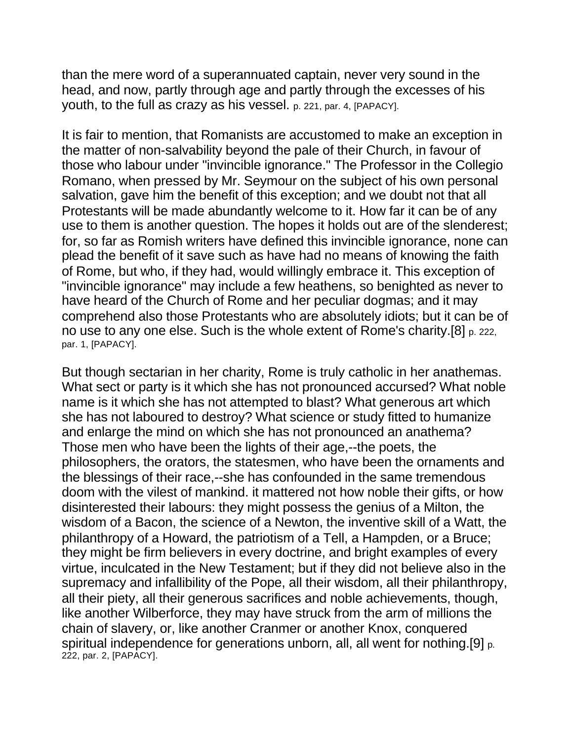than the mere word of a superannuated captain, never very sound in the head, and now, partly through age and partly through the excesses of his youth, to the full as crazy as his vessel. p. 221, par. 4, [PAPACY].

It is fair to mention, that Romanists are accustomed to make an exception in the matter of non-salvability beyond the pale of their Church, in favour of those who labour under "invincible ignorance." The Professor in the Collegio Romano, when pressed by Mr. Seymour on the subject of his own personal salvation, gave him the benefit of this exception; and we doubt not that all Protestants will be made abundantly welcome to it. How far it can be of any use to them is another question. The hopes it holds out are of the slenderest; for, so far as Romish writers have defined this invincible ignorance, none can plead the benefit of it save such as have had no means of knowing the faith of Rome, but who, if they had, would willingly embrace it. This exception of "invincible ignorance" may include a few heathens, so benighted as never to have heard of the Church of Rome and her peculiar dogmas; and it may comprehend also those Protestants who are absolutely idiots; but it can be of no use to any one else. Such is the whole extent of Rome's charity.[8] p. 222, par. 1, [PAPACY].

But though sectarian in her charity, Rome is truly catholic in her anathemas. What sect or party is it which she has not pronounced accursed? What noble name is it which she has not attempted to blast? What generous art which she has not laboured to destroy? What science or study fitted to humanize and enlarge the mind on which she has not pronounced an anathema? Those men who have been the lights of their age,--the poets, the philosophers, the orators, the statesmen, who have been the ornaments and the blessings of their race,--she has confounded in the same tremendous doom with the vilest of mankind. it mattered not how noble their gifts, or how disinterested their labours: they might possess the genius of a Milton, the wisdom of a Bacon, the science of a Newton, the inventive skill of a Watt, the philanthropy of a Howard, the patriotism of a Tell, a Hampden, or a Bruce; they might be firm believers in every doctrine, and bright examples of every virtue, inculcated in the New Testament; but if they did not believe also in the supremacy and infallibility of the Pope, all their wisdom, all their philanthropy, all their piety, all their generous sacrifices and noble achievements, though, like another Wilberforce, they may have struck from the arm of millions the chain of slavery, or, like another Cranmer or another Knox, conquered spiritual independence for generations unborn, all, all went for nothing.[9] p. 222, par. 2, [PAPACY].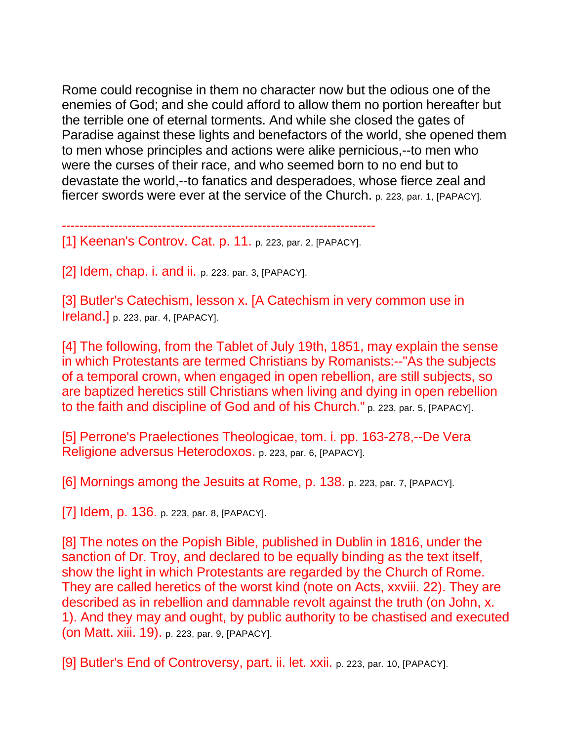Rome could recognise in them no character now but the odious one of the enemies of God; and she could afford to allow them no portion hereafter but the terrible one of eternal torments. And while she closed the gates of Paradise against these lights and benefactors of the world, she opened them to men whose principles and actions were alike pernicious,--to men who were the curses of their race, and who seemed born to no end but to devastate the world,--to fanatics and desperadoes, whose fierce zeal and fiercer swords were ever at the service of the Church. p. 223, par. 1, [PAPACY].

------------------------------------------------------------------------

[1] Keenan's Controv. Cat. p. 11. p. 223, par. 2, [PAPACY].

[2] Idem, chap. i. and ii. p. 223, par. 3, [PAPACY].

[3] Butler's Catechism, lesson x. [A Catechism in very common use in Ireland.] p. 223, par. 4, [PAPACY].

[4] The following, from the Tablet of July 19th, 1851, may explain the sense in which Protestants are termed Christians by Romanists:--"As the subjects of a temporal crown, when engaged in open rebellion, are still subjects, so are baptized heretics still Christians when living and dying in open rebellion to the faith and discipline of God and of his Church." p. 223, par. 5, [PAPACY].

[5] Perrone's Praelectiones Theologicae, tom. i. pp. 163-278,--De Vera Religione adversus Heterodoxos. p. 223, par. 6, [PAPACY].

[6] Mornings among the Jesuits at Rome, p. 138. p. 223, par. 7, [PAPACY].

[7] Idem, p. 136. p. 223, par. 8, [PAPACY].

[8] The notes on the Popish Bible, published in Dublin in 1816, under the sanction of Dr. Troy, and declared to be equally binding as the text itself, show the light in which Protestants are regarded by the Church of Rome. They are called heretics of the worst kind (note on Acts, xxviii. 22). They are described as in rebellion and damnable revolt against the truth (on John, x. 1). And they may and ought, by public authority to be chastised and executed (on Matt. xiii. 19). p. 223, par. 9, [PAPACY].

[9] Butler's End of Controversy, part. ii. let. xxii. p. 223, par. 10, [PAPACY].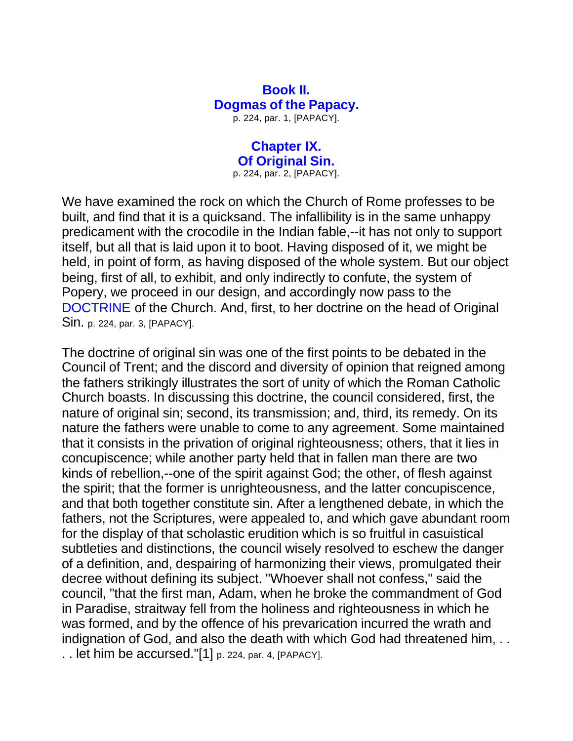#### **Book II. Dogmas of the Papacy.**

p. 224, par. 1, [PAPACY].

## **Chapter IX. Of Original Sin.**

p. 224, par. 2, [PAPACY].

We have examined the rock on which the Church of Rome professes to be built, and find that it is a quicksand. The infallibility is in the same unhappy predicament with the crocodile in the Indian fable,--it has not only to support itself, but all that is laid upon it to boot. Having disposed of it, we might be held, in point of form, as having disposed of the whole system. But our object being, first of all, to exhibit, and only indirectly to confute, the system of Popery, we proceed in our design, and accordingly now pass to the DOCTRINE of the Church. And, first, to her doctrine on the head of Original Sin. p. 224, par. 3, [PAPACY].

The doctrine of original sin was one of the first points to be debated in the Council of Trent; and the discord and diversity of opinion that reigned among the fathers strikingly illustrates the sort of unity of which the Roman Catholic Church boasts. In discussing this doctrine, the council considered, first, the nature of original sin; second, its transmission; and, third, its remedy. On its nature the fathers were unable to come to any agreement. Some maintained that it consists in the privation of original righteousness; others, that it lies in concupiscence; while another party held that in fallen man there are two kinds of rebellion,--one of the spirit against God; the other, of flesh against the spirit; that the former is unrighteousness, and the latter concupiscence, and that both together constitute sin. After a lengthened debate, in which the fathers, not the Scriptures, were appealed to, and which gave abundant room for the display of that scholastic erudition which is so fruitful in casuistical subtleties and distinctions, the council wisely resolved to eschew the danger of a definition, and, despairing of harmonizing their views, promulgated their decree without defining its subject. "Whoever shall not confess," said the council, "that the first man, Adam, when he broke the commandment of God in Paradise, straitway fell from the holiness and righteousness in which he was formed, and by the offence of his prevarication incurred the wrath and indignation of God, and also the death with which God had threatened him... . . let him be accursed."[1] p. 224, par. 4, [PAPACY].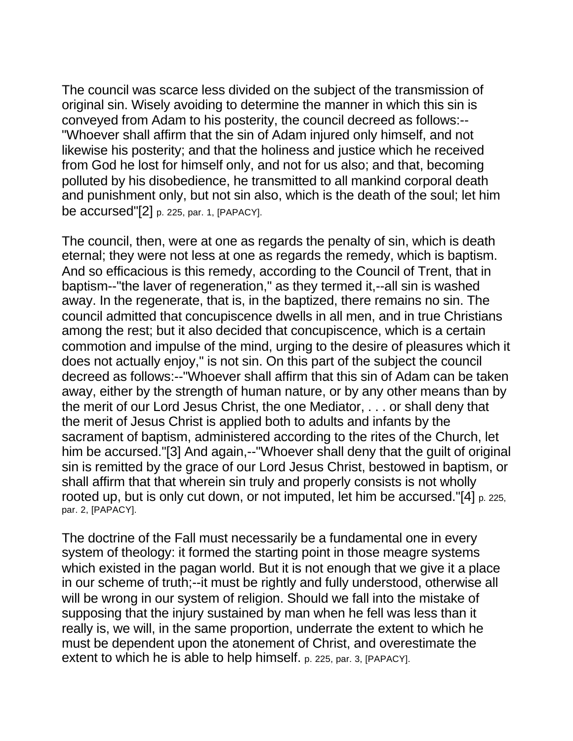The council was scarce less divided on the subject of the transmission of original sin. Wisely avoiding to determine the manner in which this sin is conveyed from Adam to his posterity, the council decreed as follows:-- "Whoever shall affirm that the sin of Adam injured only himself, and not likewise his posterity; and that the holiness and justice which he received from God he lost for himself only, and not for us also; and that, becoming polluted by his disobedience, he transmitted to all mankind corporal death and punishment only, but not sin also, which is the death of the soul; let him be accursed"[2] p. 225, par. 1, [PAPACY].

The council, then, were at one as regards the penalty of sin, which is death eternal; they were not less at one as regards the remedy, which is baptism. And so efficacious is this remedy, according to the Council of Trent, that in baptism--"the laver of regeneration," as they termed it,--all sin is washed away. In the regenerate, that is, in the baptized, there remains no sin. The council admitted that concupiscence dwells in all men, and in true Christians among the rest; but it also decided that concupiscence, which is a certain commotion and impulse of the mind, urging to the desire of pleasures which it does not actually enjoy," is not sin. On this part of the subject the council decreed as follows:--"Whoever shall affirm that this sin of Adam can be taken away, either by the strength of human nature, or by any other means than by the merit of our Lord Jesus Christ, the one Mediator, . . . or shall deny that the merit of Jesus Christ is applied both to adults and infants by the sacrament of baptism, administered according to the rites of the Church, let him be accursed."[3] And again,--"Whoever shall deny that the guilt of original sin is remitted by the grace of our Lord Jesus Christ, bestowed in baptism, or shall affirm that that wherein sin truly and properly consists is not wholly rooted up, but is only cut down, or not imputed, let him be accursed."[4] p. 225, par. 2, [PAPACY].

The doctrine of the Fall must necessarily be a fundamental one in every system of theology: it formed the starting point in those meagre systems which existed in the pagan world. But it is not enough that we give it a place in our scheme of truth;--it must be rightly and fully understood, otherwise all will be wrong in our system of religion. Should we fall into the mistake of supposing that the injury sustained by man when he fell was less than it really is, we will, in the same proportion, underrate the extent to which he must be dependent upon the atonement of Christ, and overestimate the extent to which he is able to help himself. p. 225, par. 3, [PAPACY].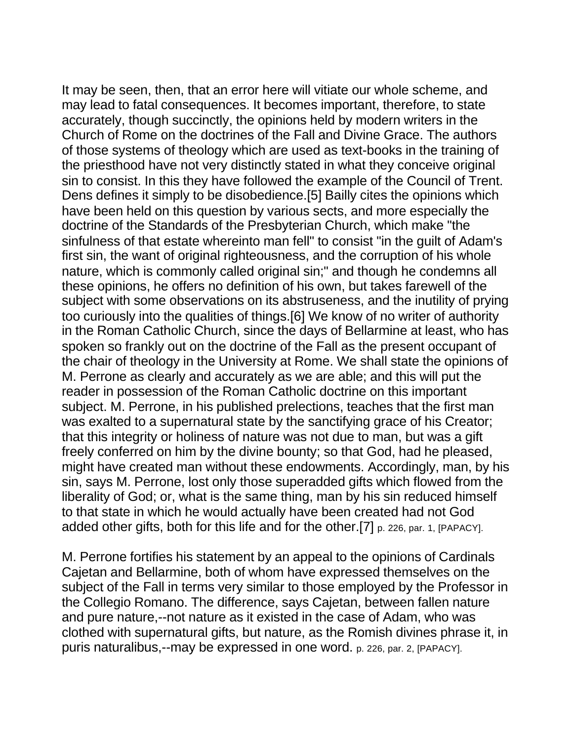It may be seen, then, that an error here will vitiate our whole scheme, and may lead to fatal consequences. It becomes important, therefore, to state accurately, though succinctly, the opinions held by modern writers in the Church of Rome on the doctrines of the Fall and Divine Grace. The authors of those systems of theology which are used as text-books in the training of the priesthood have not very distinctly stated in what they conceive original sin to consist. In this they have followed the example of the Council of Trent. Dens defines it simply to be disobedience.[5] Bailly cites the opinions which have been held on this question by various sects, and more especially the doctrine of the Standards of the Presbyterian Church, which make "the sinfulness of that estate whereinto man fell" to consist "in the guilt of Adam's first sin, the want of original righteousness, and the corruption of his whole nature, which is commonly called original sin;" and though he condemns all these opinions, he offers no definition of his own, but takes farewell of the subject with some observations on its abstruseness, and the inutility of prying too curiously into the qualities of things.[6] We know of no writer of authority in the Roman Catholic Church, since the days of Bellarmine at least, who has spoken so frankly out on the doctrine of the Fall as the present occupant of the chair of theology in the University at Rome. We shall state the opinions of M. Perrone as clearly and accurately as we are able; and this will put the reader in possession of the Roman Catholic doctrine on this important subject. M. Perrone, in his published prelections, teaches that the first man was exalted to a supernatural state by the sanctifying grace of his Creator; that this integrity or holiness of nature was not due to man, but was a gift freely conferred on him by the divine bounty; so that God, had he pleased, might have created man without these endowments. Accordingly, man, by his sin, says M. Perrone, lost only those superadded gifts which flowed from the liberality of God; or, what is the same thing, man by his sin reduced himself to that state in which he would actually have been created had not God added other gifts, both for this life and for the other.[7] p. 226, par. 1, [PAPACY].

M. Perrone fortifies his statement by an appeal to the opinions of Cardinals Cajetan and Bellarmine, both of whom have expressed themselves on the subject of the Fall in terms very similar to those employed by the Professor in the Collegio Romano. The difference, says Cajetan, between fallen nature and pure nature,--not nature as it existed in the case of Adam, who was clothed with supernatural gifts, but nature, as the Romish divines phrase it, in puris naturalibus,--may be expressed in one word. p. 226, par. 2, [PAPACY].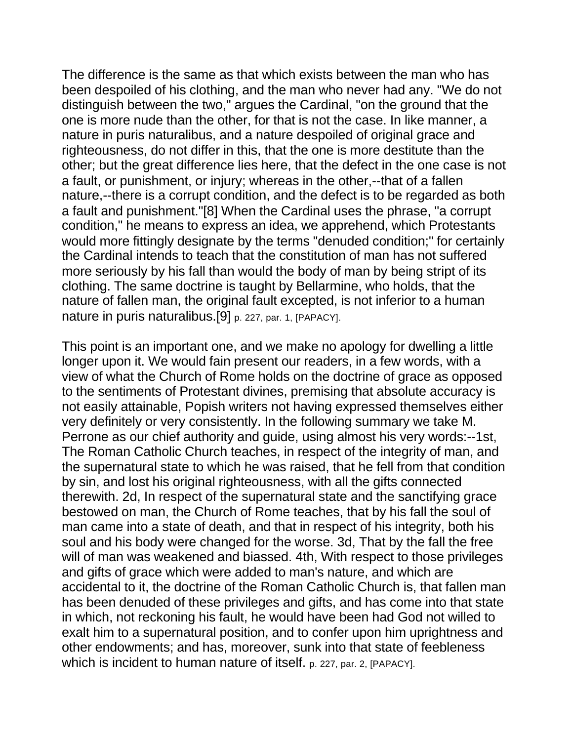The difference is the same as that which exists between the man who has been despoiled of his clothing, and the man who never had any. "We do not distinguish between the two," argues the Cardinal, "on the ground that the one is more nude than the other, for that is not the case. In like manner, a nature in puris naturalibus, and a nature despoiled of original grace and righteousness, do not differ in this, that the one is more destitute than the other; but the great difference lies here, that the defect in the one case is not a fault, or punishment, or injury; whereas in the other,--that of a fallen nature,--there is a corrupt condition, and the defect is to be regarded as both a fault and punishment."[8] When the Cardinal uses the phrase, "a corrupt condition," he means to express an idea, we apprehend, which Protestants would more fittingly designate by the terms "denuded condition;" for certainly the Cardinal intends to teach that the constitution of man has not suffered more seriously by his fall than would the body of man by being stript of its clothing. The same doctrine is taught by Bellarmine, who holds, that the nature of fallen man, the original fault excepted, is not inferior to a human nature in puris naturalibus.[9] p. 227, par. 1, [PAPACY].

This point is an important one, and we make no apology for dwelling a little longer upon it. We would fain present our readers, in a few words, with a view of what the Church of Rome holds on the doctrine of grace as opposed to the sentiments of Protestant divines, premising that absolute accuracy is not easily attainable, Popish writers not having expressed themselves either very definitely or very consistently. In the following summary we take M. Perrone as our chief authority and guide, using almost his very words:--1st, The Roman Catholic Church teaches, in respect of the integrity of man, and the supernatural state to which he was raised, that he fell from that condition by sin, and lost his original righteousness, with all the gifts connected therewith. 2d, In respect of the supernatural state and the sanctifying grace bestowed on man, the Church of Rome teaches, that by his fall the soul of man came into a state of death, and that in respect of his integrity, both his soul and his body were changed for the worse. 3d, That by the fall the free will of man was weakened and biassed. 4th, With respect to those privileges and gifts of grace which were added to man's nature, and which are accidental to it, the doctrine of the Roman Catholic Church is, that fallen man has been denuded of these privileges and gifts, and has come into that state in which, not reckoning his fault, he would have been had God not willed to exalt him to a supernatural position, and to confer upon him uprightness and other endowments; and has, moreover, sunk into that state of feebleness which is incident to human nature of itself. p. 227, par. 2, [PAPACY].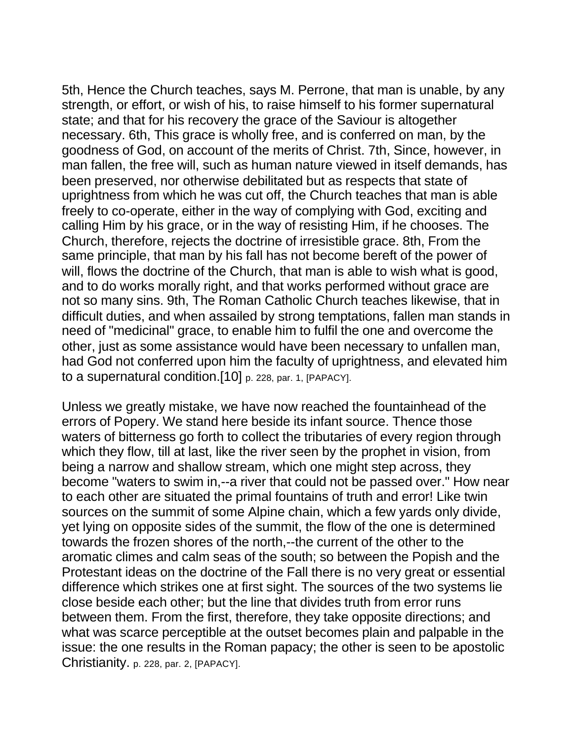5th, Hence the Church teaches, says M. Perrone, that man is unable, by any strength, or effort, or wish of his, to raise himself to his former supernatural state; and that for his recovery the grace of the Saviour is altogether necessary. 6th, This grace is wholly free, and is conferred on man, by the goodness of God, on account of the merits of Christ. 7th, Since, however, in man fallen, the free will, such as human nature viewed in itself demands, has been preserved, nor otherwise debilitated but as respects that state of uprightness from which he was cut off, the Church teaches that man is able freely to co-operate, either in the way of complying with God, exciting and calling Him by his grace, or in the way of resisting Him, if he chooses. The Church, therefore, rejects the doctrine of irresistible grace. 8th, From the same principle, that man by his fall has not become bereft of the power of will, flows the doctrine of the Church, that man is able to wish what is good, and to do works morally right, and that works performed without grace are not so many sins. 9th, The Roman Catholic Church teaches likewise, that in difficult duties, and when assailed by strong temptations, fallen man stands in need of "medicinal" grace, to enable him to fulfil the one and overcome the other, just as some assistance would have been necessary to unfallen man, had God not conferred upon him the faculty of uprightness, and elevated him to a supernatural condition.[10] p. 228, par. 1, [PAPACY].

Unless we greatly mistake, we have now reached the fountainhead of the errors of Popery. We stand here beside its infant source. Thence those waters of bitterness go forth to collect the tributaries of every region through which they flow, till at last, like the river seen by the prophet in vision, from being a narrow and shallow stream, which one might step across, they become "waters to swim in,--a river that could not be passed over." How near to each other are situated the primal fountains of truth and error! Like twin sources on the summit of some Alpine chain, which a few yards only divide, yet lying on opposite sides of the summit, the flow of the one is determined towards the frozen shores of the north,--the current of the other to the aromatic climes and calm seas of the south; so between the Popish and the Protestant ideas on the doctrine of the Fall there is no very great or essential difference which strikes one at first sight. The sources of the two systems lie close beside each other; but the line that divides truth from error runs between them. From the first, therefore, they take opposite directions; and what was scarce perceptible at the outset becomes plain and palpable in the issue: the one results in the Roman papacy; the other is seen to be apostolic Christianity. p. 228, par. 2, [PAPACY].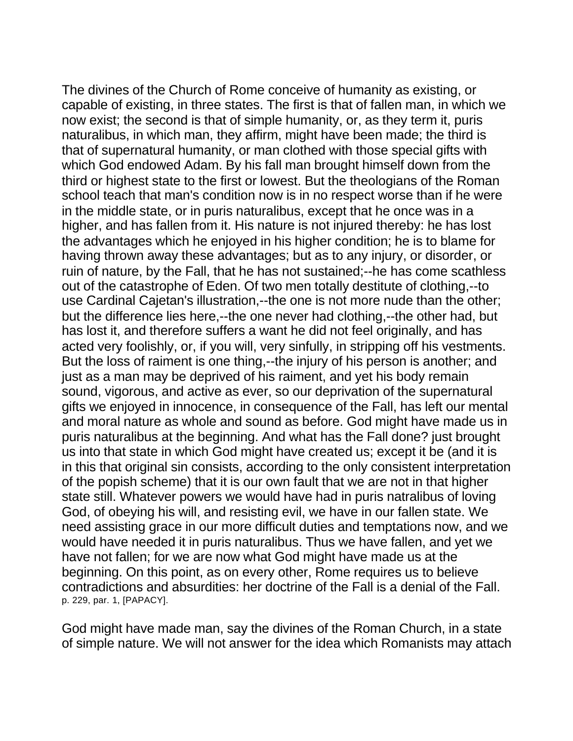The divines of the Church of Rome conceive of humanity as existing, or capable of existing, in three states. The first is that of fallen man, in which we now exist; the second is that of simple humanity, or, as they term it, puris naturalibus, in which man, they affirm, might have been made; the third is that of supernatural humanity, or man clothed with those special gifts with which God endowed Adam. By his fall man brought himself down from the third or highest state to the first or lowest. But the theologians of the Roman school teach that man's condition now is in no respect worse than if he were in the middle state, or in puris naturalibus, except that he once was in a higher, and has fallen from it. His nature is not injured thereby: he has lost the advantages which he enjoyed in his higher condition; he is to blame for having thrown away these advantages; but as to any injury, or disorder, or ruin of nature, by the Fall, that he has not sustained;--he has come scathless out of the catastrophe of Eden. Of two men totally destitute of clothing,--to use Cardinal Cajetan's illustration,--the one is not more nude than the other; but the difference lies here,--the one never had clothing,--the other had, but has lost it, and therefore suffers a want he did not feel originally, and has acted very foolishly, or, if you will, very sinfully, in stripping off his vestments. But the loss of raiment is one thing,--the injury of his person is another; and just as a man may be deprived of his raiment, and yet his body remain sound, vigorous, and active as ever, so our deprivation of the supernatural gifts we enjoyed in innocence, in consequence of the Fall, has left our mental and moral nature as whole and sound as before. God might have made us in puris naturalibus at the beginning. And what has the Fall done? just brought us into that state in which God might have created us; except it be (and it is in this that original sin consists, according to the only consistent interpretation of the popish scheme) that it is our own fault that we are not in that higher state still. Whatever powers we would have had in puris natralibus of loving God, of obeying his will, and resisting evil, we have in our fallen state. We need assisting grace in our more difficult duties and temptations now, and we would have needed it in puris naturalibus. Thus we have fallen, and yet we have not fallen; for we are now what God might have made us at the beginning. On this point, as on every other, Rome requires us to believe contradictions and absurdities: her doctrine of the Fall is a denial of the Fall. p. 229, par. 1, [PAPACY].

God might have made man, say the divines of the Roman Church, in a state of simple nature. We will not answer for the idea which Romanists may attach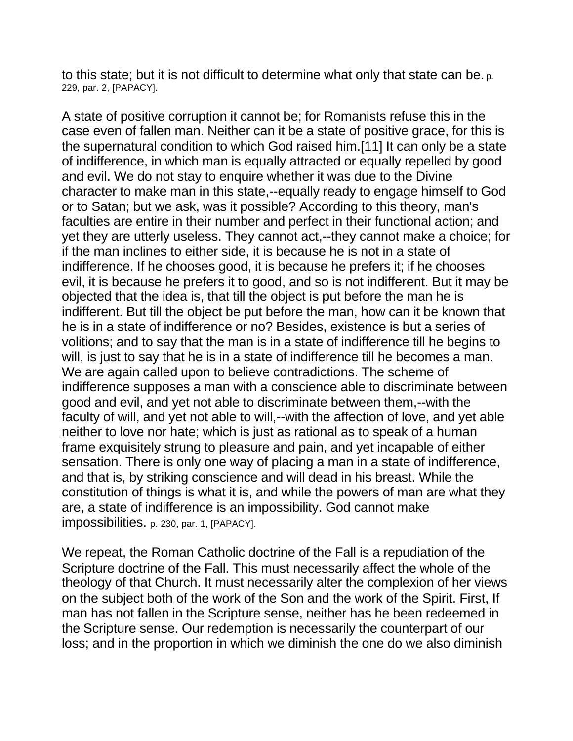to this state; but it is not difficult to determine what only that state can be. p. 229, par. 2, [PAPACY].

A state of positive corruption it cannot be; for Romanists refuse this in the case even of fallen man. Neither can it be a state of positive grace, for this is the supernatural condition to which God raised him.[11] It can only be a state of indifference, in which man is equally attracted or equally repelled by good and evil. We do not stay to enquire whether it was due to the Divine character to make man in this state,--equally ready to engage himself to God or to Satan; but we ask, was it possible? According to this theory, man's faculties are entire in their number and perfect in their functional action; and yet they are utterly useless. They cannot act,--they cannot make a choice; for if the man inclines to either side, it is because he is not in a state of indifference. If he chooses good, it is because he prefers it; if he chooses evil, it is because he prefers it to good, and so is not indifferent. But it may be objected that the idea is, that till the object is put before the man he is indifferent. But till the object be put before the man, how can it be known that he is in a state of indifference or no? Besides, existence is but a series of volitions; and to say that the man is in a state of indifference till he begins to will, is just to say that he is in a state of indifference till he becomes a man. We are again called upon to believe contradictions. The scheme of indifference supposes a man with a conscience able to discriminate between good and evil, and yet not able to discriminate between them,--with the faculty of will, and yet not able to will,--with the affection of love, and yet able neither to love nor hate; which is just as rational as to speak of a human frame exquisitely strung to pleasure and pain, and yet incapable of either sensation. There is only one way of placing a man in a state of indifference, and that is, by striking conscience and will dead in his breast. While the constitution of things is what it is, and while the powers of man are what they are, a state of indifference is an impossibility. God cannot make impossibilities. p. 230, par. 1, [PAPACY].

We repeat, the Roman Catholic doctrine of the Fall is a repudiation of the Scripture doctrine of the Fall. This must necessarily affect the whole of the theology of that Church. It must necessarily alter the complexion of her views on the subject both of the work of the Son and the work of the Spirit. First, If man has not fallen in the Scripture sense, neither has he been redeemed in the Scripture sense. Our redemption is necessarily the counterpart of our loss; and in the proportion in which we diminish the one do we also diminish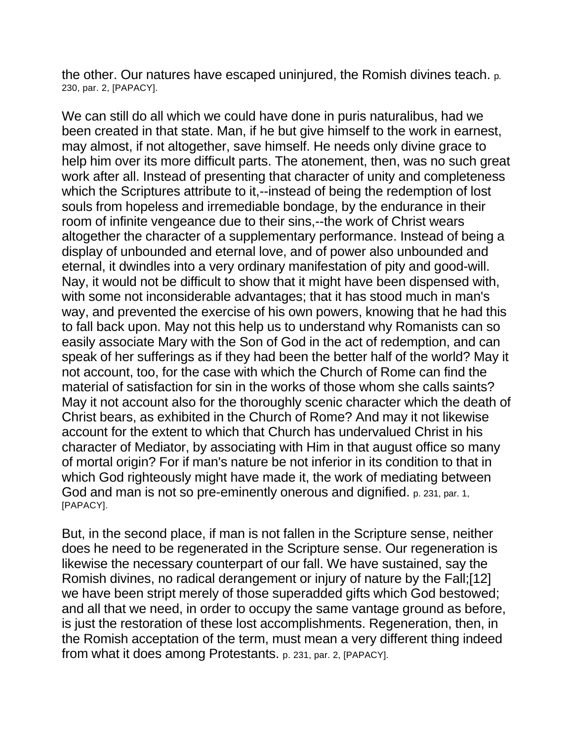the other. Our natures have escaped uninjured, the Romish divines teach. p. 230, par. 2, [PAPACY].

We can still do all which we could have done in puris naturalibus, had we been created in that state. Man, if he but give himself to the work in earnest, may almost, if not altogether, save himself. He needs only divine grace to help him over its more difficult parts. The atonement, then, was no such great work after all. Instead of presenting that character of unity and completeness which the Scriptures attribute to it,--instead of being the redemption of lost souls from hopeless and irremediable bondage, by the endurance in their room of infinite vengeance due to their sins,--the work of Christ wears altogether the character of a supplementary performance. Instead of being a display of unbounded and eternal love, and of power also unbounded and eternal, it dwindles into a very ordinary manifestation of pity and good-will. Nay, it would not be difficult to show that it might have been dispensed with, with some not inconsiderable advantages; that it has stood much in man's way, and prevented the exercise of his own powers, knowing that he had this to fall back upon. May not this help us to understand why Romanists can so easily associate Mary with the Son of God in the act of redemption, and can speak of her sufferings as if they had been the better half of the world? May it not account, too, for the case with which the Church of Rome can find the material of satisfaction for sin in the works of those whom she calls saints? May it not account also for the thoroughly scenic character which the death of Christ bears, as exhibited in the Church of Rome? And may it not likewise account for the extent to which that Church has undervalued Christ in his character of Mediator, by associating with Him in that august office so many of mortal origin? For if man's nature be not inferior in its condition to that in which God righteously might have made it, the work of mediating between God and man is not so pre-eminently onerous and dignified. p. 231, par. 1, [PAPACY].

But, in the second place, if man is not fallen in the Scripture sense, neither does he need to be regenerated in the Scripture sense. Our regeneration is likewise the necessary counterpart of our fall. We have sustained, say the Romish divines, no radical derangement or injury of nature by the Fall;[12] we have been stript merely of those superadded gifts which God bestowed; and all that we need, in order to occupy the same vantage ground as before, is just the restoration of these lost accomplishments. Regeneration, then, in the Romish acceptation of the term, must mean a very different thing indeed from what it does among Protestants. p. 231, par. 2, [PAPACY].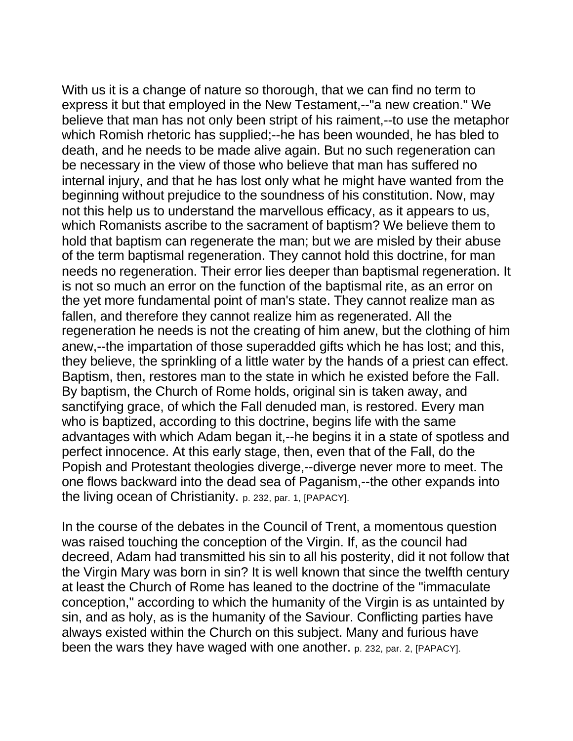With us it is a change of nature so thorough, that we can find no term to express it but that employed in the New Testament,--"a new creation." We believe that man has not only been stript of his raiment,--to use the metaphor which Romish rhetoric has supplied;--he has been wounded, he has bled to death, and he needs to be made alive again. But no such regeneration can be necessary in the view of those who believe that man has suffered no internal injury, and that he has lost only what he might have wanted from the beginning without prejudice to the soundness of his constitution. Now, may not this help us to understand the marvellous efficacy, as it appears to us, which Romanists ascribe to the sacrament of baptism? We believe them to hold that baptism can regenerate the man; but we are misled by their abuse of the term baptismal regeneration. They cannot hold this doctrine, for man needs no regeneration. Their error lies deeper than baptismal regeneration. It is not so much an error on the function of the baptismal rite, as an error on the yet more fundamental point of man's state. They cannot realize man as fallen, and therefore they cannot realize him as regenerated. All the regeneration he needs is not the creating of him anew, but the clothing of him anew,--the impartation of those superadded gifts which he has lost; and this, they believe, the sprinkling of a little water by the hands of a priest can effect. Baptism, then, restores man to the state in which he existed before the Fall. By baptism, the Church of Rome holds, original sin is taken away, and sanctifying grace, of which the Fall denuded man, is restored. Every man who is baptized, according to this doctrine, begins life with the same advantages with which Adam began it,--he begins it in a state of spotless and perfect innocence. At this early stage, then, even that of the Fall, do the Popish and Protestant theologies diverge,--diverge never more to meet. The one flows backward into the dead sea of Paganism,--the other expands into the living ocean of Christianity. p. 232, par. 1, [PAPACY].

In the course of the debates in the Council of Trent, a momentous question was raised touching the conception of the Virgin. If, as the council had decreed, Adam had transmitted his sin to all his posterity, did it not follow that the Virgin Mary was born in sin? It is well known that since the twelfth century at least the Church of Rome has leaned to the doctrine of the "immaculate conception," according to which the humanity of the Virgin is as untainted by sin, and as holy, as is the humanity of the Saviour. Conflicting parties have always existed within the Church on this subject. Many and furious have been the wars they have waged with one another. p. 232, par. 2, [PAPACY].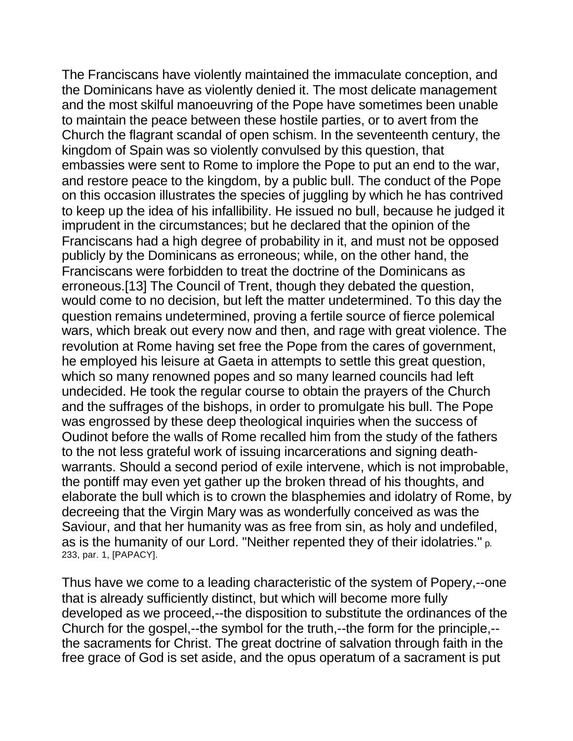The Franciscans have violently maintained the immaculate conception, and the Dominicans have as violently denied it. The most delicate management and the most skilful manoeuvring of the Pope have sometimes been unable to maintain the peace between these hostile parties, or to avert from the Church the flagrant scandal of open schism. In the seventeenth century, the kingdom of Spain was so violently convulsed by this question, that embassies were sent to Rome to implore the Pope to put an end to the war, and restore peace to the kingdom, by a public bull. The conduct of the Pope on this occasion illustrates the species of juggling by which he has contrived to keep up the idea of his infallibility. He issued no bull, because he judged it imprudent in the circumstances; but he declared that the opinion of the Franciscans had a high degree of probability in it, and must not be opposed publicly by the Dominicans as erroneous; while, on the other hand, the Franciscans were forbidden to treat the doctrine of the Dominicans as erroneous.[13] The Council of Trent, though they debated the question, would come to no decision, but left the matter undetermined. To this day the question remains undetermined, proving a fertile source of fierce polemical wars, which break out every now and then, and rage with great violence. The revolution at Rome having set free the Pope from the cares of government, he employed his leisure at Gaeta in attempts to settle this great question, which so many renowned popes and so many learned councils had left undecided. He took the regular course to obtain the prayers of the Church and the suffrages of the bishops, in order to promulgate his bull. The Pope was engrossed by these deep theological inquiries when the success of Oudinot before the walls of Rome recalled him from the study of the fathers to the not less grateful work of issuing incarcerations and signing deathwarrants. Should a second period of exile intervene, which is not improbable, the pontiff may even yet gather up the broken thread of his thoughts, and elaborate the bull which is to crown the blasphemies and idolatry of Rome, by decreeing that the Virgin Mary was as wonderfully conceived as was the Saviour, and that her humanity was as free from sin, as holy and undefiled, as is the humanity of our Lord. "Neither repented they of their idolatries." p. 233, par. 1, [PAPACY].

Thus have we come to a leading characteristic of the system of Popery,--one that is already sufficiently distinct, but which will become more fully developed as we proceed,--the disposition to substitute the ordinances of the Church for the gospel,--the symbol for the truth,--the form for the principle,- the sacraments for Christ. The great doctrine of salvation through faith in the free grace of God is set aside, and the opus operatum of a sacrament is put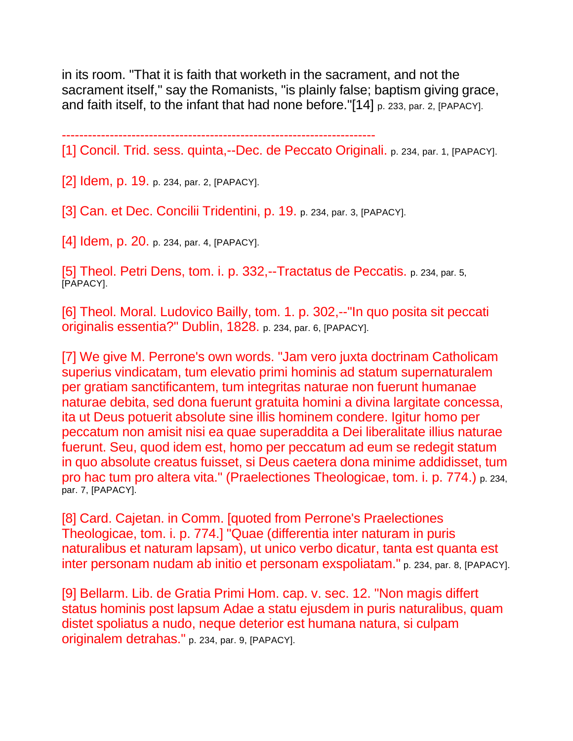in its room. "That it is faith that worketh in the sacrament, and not the sacrament itself," say the Romanists, "is plainly false; baptism giving grace, and faith itself, to the infant that had none before."[14] p. 233, par. 2, [PAPACY].

------------------------------------------------------------------------

[1] Concil. Trid. sess. quinta,--Dec. de Peccato Originali. p. 234, par. 1, [PAPACY].

[2] Idem, p. 19. p. 234, par. 2, [PAPACY].

[3] Can. et Dec. Concilii Tridentini, p. 19. p. 234, par. 3, [PAPACY].

[4] Idem, p. 20. p. 234, par. 4, [PAPACY].

[5] Theol. Petri Dens, tom. i. p. 332,--Tractatus de Peccatis. p. 234, par. 5, [PAPACY].

[6] Theol. Moral. Ludovico Bailly, tom. 1. p. 302,--"In quo posita sit peccati originalis essentia?" Dublin, 1828. p. 234, par. 6, [PAPACY].

[7] We give M. Perrone's own words. "Jam vero juxta doctrinam Catholicam superius vindicatam, tum elevatio primi hominis ad statum supernaturalem per gratiam sanctificantem, tum integritas naturae non fuerunt humanae naturae debita, sed dona fuerunt gratuita homini a divina largitate concessa, ita ut Deus potuerit absolute sine illis hominem condere. Igitur homo per peccatum non amisit nisi ea quae superaddita a Dei liberalitate illius naturae fuerunt. Seu, quod idem est, homo per peccatum ad eum se redegit statum in quo absolute creatus fuisset, si Deus caetera dona minime addidisset, tum pro hac tum pro altera vita." (Praelectiones Theologicae, tom. i. p. 774.) p. 234, par. 7, [PAPACY].

[8] Card. Cajetan. in Comm. [quoted from Perrone's Praelectiones Theologicae, tom. i. p. 774.] "Quae (differentia inter naturam in puris naturalibus et naturam lapsam), ut unico verbo dicatur, tanta est quanta est inter personam nudam ab initio et personam exspoliatam." p. 234, par. 8, [PAPACY].

[9] Bellarm. Lib. de Gratia Primi Hom. cap. v. sec. 12. "Non magis differt status hominis post lapsum Adae a statu ejusdem in puris naturalibus, quam distet spoliatus a nudo, neque deterior est humana natura, si culpam originalem detrahas." p. 234, par. 9, [PAPACY].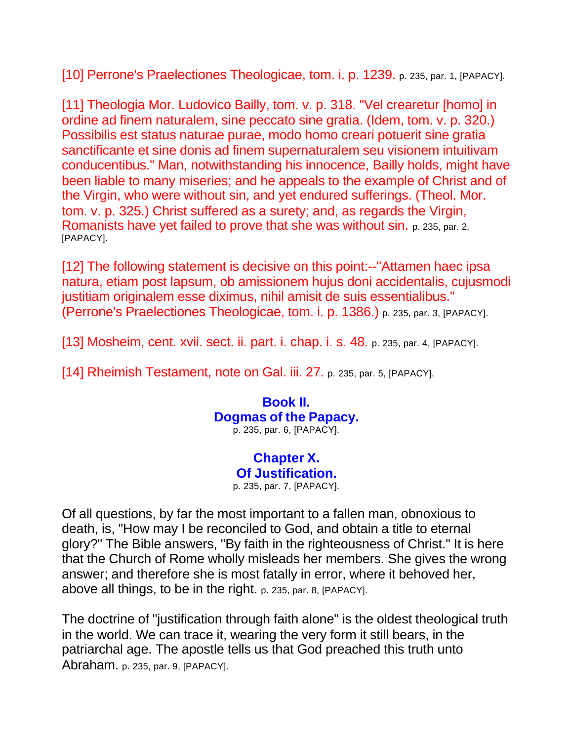[10] Perrone's Praelectiones Theologicae, tom. i. p. 1239. p. 235, par. 1, [PAPACY].

[11] Theologia Mor. Ludovico Bailly, tom. v. p. 318. "Vel crearetur [homo] in ordine ad finem naturalem, sine peccato sine gratia. (Idem, tom. v. p. 320.) Possibilis est status naturae purae, modo homo creari potuerit sine gratia sanctificante et sine donis ad finem supernaturalem seu visionem intuitivam conducentibus." Man, notwithstanding his innocence, Bailly holds, might have been liable to many miseries; and he appeals to the example of Christ and of the Virgin, who were without sin, and yet endured sufferings. (Theol. Mor. tom. v. p. 325.) Christ suffered as a surety; and, as regards the Virgin, Romanists have yet failed to prove that she was without sin. p. 235, par. 2, [PAPACY].

[12] The following statement is decisive on this point:--"Attamen haec ipsa natura, etiam post lapsum, ob amissionem hujus doni accidentalis, cujusmodi justitiam originalem esse diximus, nihil amisit de suis essentialibus." (Perrone's Praelectiones Theologicae, tom. i. p. 1386.) p. 235, par. 3, [PAPACY].

[13] Mosheim, cent. xvii. sect. ii. part. i. chap. i. s. 48. p. 235, par. 4, [PAPACY].

[14] Rheimish Testament, note on Gal. iii. 27. p. 235, par. 5, [PAPACY].

**Book II. Dogmas of the Papacy.** p. 235, par. 6, [PAPACY].

> **Chapter X. Of Justification.** p. 235, par. 7, [PAPACY].

Of all questions, by far the most important to a fallen man, obnoxious to death, is, "How may I be reconciled to God, and obtain a title to eternal glory?" The Bible answers, "By faith in the righteousness of Christ." It is here that the Church of Rome wholly misleads her members. She gives the wrong answer; and therefore she is most fatally in error, where it behoved her, above all things, to be in the right. p. 235, par. 8, [PAPACY].

The doctrine of "justification through faith alone" is the oldest theological truth in the world. We can trace it, wearing the very form it still bears, in the patriarchal age. The apostle tells us that God preached this truth unto Abraham. p. 235, par. 9, [PAPACY].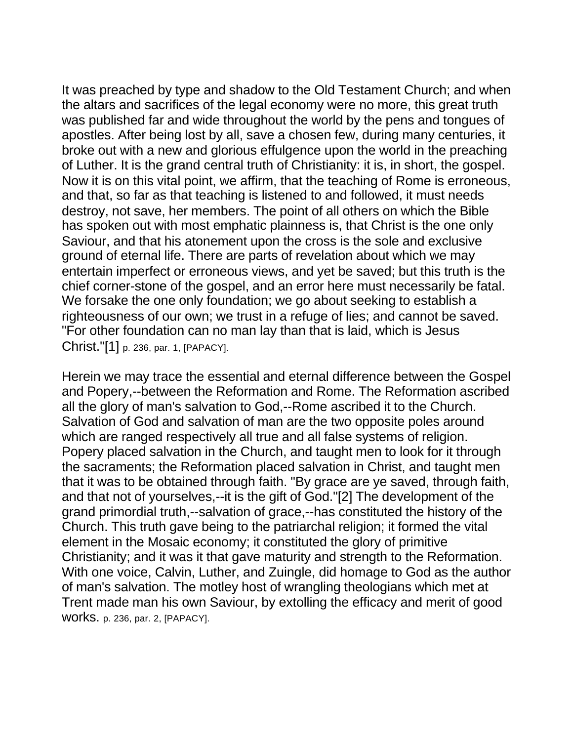It was preached by type and shadow to the Old Testament Church; and when the altars and sacrifices of the legal economy were no more, this great truth was published far and wide throughout the world by the pens and tongues of apostles. After being lost by all, save a chosen few, during many centuries, it broke out with a new and glorious effulgence upon the world in the preaching of Luther. It is the grand central truth of Christianity: it is, in short, the gospel. Now it is on this vital point, we affirm, that the teaching of Rome is erroneous, and that, so far as that teaching is listened to and followed, it must needs destroy, not save, her members. The point of all others on which the Bible has spoken out with most emphatic plainness is, that Christ is the one only Saviour, and that his atonement upon the cross is the sole and exclusive ground of eternal life. There are parts of revelation about which we may entertain imperfect or erroneous views, and yet be saved; but this truth is the chief corner-stone of the gospel, and an error here must necessarily be fatal. We forsake the one only foundation; we go about seeking to establish a righteousness of our own; we trust in a refuge of lies; and cannot be saved. "For other foundation can no man lay than that is laid, which is Jesus Christ."[1] p. 236, par. 1, [PAPACY].

Herein we may trace the essential and eternal difference between the Gospel and Popery,--between the Reformation and Rome. The Reformation ascribed all the glory of man's salvation to God,--Rome ascribed it to the Church. Salvation of God and salvation of man are the two opposite poles around which are ranged respectively all true and all false systems of religion. Popery placed salvation in the Church, and taught men to look for it through the sacraments; the Reformation placed salvation in Christ, and taught men that it was to be obtained through faith. "By grace are ye saved, through faith, and that not of yourselves,--it is the gift of God."[2] The development of the grand primordial truth,--salvation of grace,--has constituted the history of the Church. This truth gave being to the patriarchal religion; it formed the vital element in the Mosaic economy; it constituted the glory of primitive Christianity; and it was it that gave maturity and strength to the Reformation. With one voice, Calvin, Luther, and Zuingle, did homage to God as the author of man's salvation. The motley host of wrangling theologians which met at Trent made man his own Saviour, by extolling the efficacy and merit of good works. p. 236, par. 2, [PAPACY].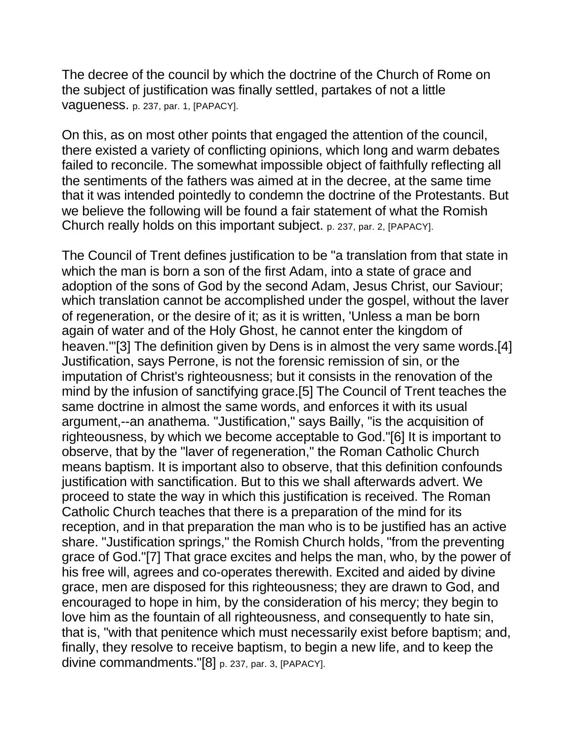The decree of the council by which the doctrine of the Church of Rome on the subject of justification was finally settled, partakes of not a little vagueness. p. 237, par. 1, [PAPACY].

On this, as on most other points that engaged the attention of the council, there existed a variety of conflicting opinions, which long and warm debates failed to reconcile. The somewhat impossible object of faithfully reflecting all the sentiments of the fathers was aimed at in the decree, at the same time that it was intended pointedly to condemn the doctrine of the Protestants. But we believe the following will be found a fair statement of what the Romish Church really holds on this important subject. p. 237, par. 2, [PAPACY].

The Council of Trent defines justification to be "a translation from that state in which the man is born a son of the first Adam, into a state of grace and adoption of the sons of God by the second Adam, Jesus Christ, our Saviour; which translation cannot be accomplished under the gospel, without the laver of regeneration, or the desire of it; as it is written, 'Unless a man be born again of water and of the Holy Ghost, he cannot enter the kingdom of heaven.'"[3] The definition given by Dens is in almost the very same words.[4] Justification, says Perrone, is not the forensic remission of sin, or the imputation of Christ's righteousness; but it consists in the renovation of the mind by the infusion of sanctifying grace.[5] The Council of Trent teaches the same doctrine in almost the same words, and enforces it with its usual argument,--an anathema. "Justification," says Bailly, "is the acquisition of righteousness, by which we become acceptable to God."[6] It is important to observe, that by the "laver of regeneration," the Roman Catholic Church means baptism. It is important also to observe, that this definition confounds justification with sanctification. But to this we shall afterwards advert. We proceed to state the way in which this justification is received. The Roman Catholic Church teaches that there is a preparation of the mind for its reception, and in that preparation the man who is to be justified has an active share. "Justification springs," the Romish Church holds, "from the preventing grace of God."[7] That grace excites and helps the man, who, by the power of his free will, agrees and co-operates therewith. Excited and aided by divine grace, men are disposed for this righteousness; they are drawn to God, and encouraged to hope in him, by the consideration of his mercy; they begin to love him as the fountain of all righteousness, and consequently to hate sin, that is, "with that penitence which must necessarily exist before baptism; and, finally, they resolve to receive baptism, to begin a new life, and to keep the divine commandments."[8] p. 237, par. 3, [PAPACY].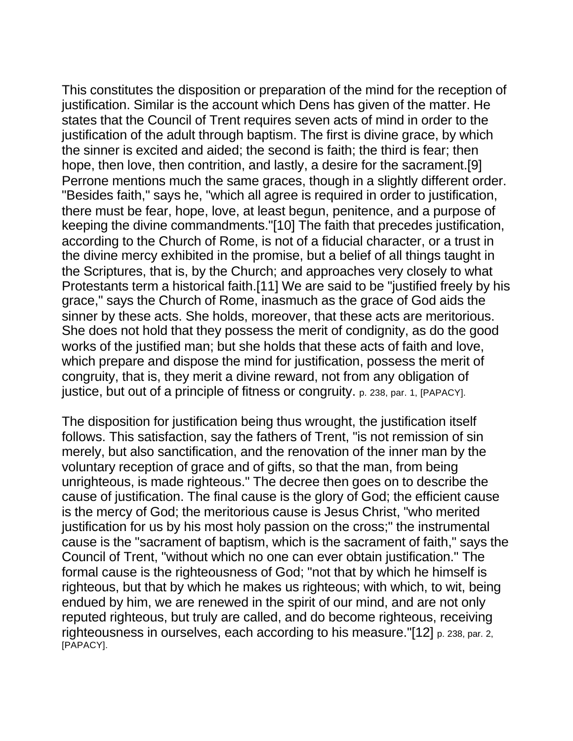This constitutes the disposition or preparation of the mind for the reception of justification. Similar is the account which Dens has given of the matter. He states that the Council of Trent requires seven acts of mind in order to the justification of the adult through baptism. The first is divine grace, by which the sinner is excited and aided; the second is faith; the third is fear; then hope, then love, then contrition, and lastly, a desire for the sacrament.[9] Perrone mentions much the same graces, though in a slightly different order. "Besides faith," says he, "which all agree is required in order to justification, there must be fear, hope, love, at least begun, penitence, and a purpose of keeping the divine commandments."[10] The faith that precedes justification, according to the Church of Rome, is not of a fiducial character, or a trust in the divine mercy exhibited in the promise, but a belief of all things taught in the Scriptures, that is, by the Church; and approaches very closely to what Protestants term a historical faith.[11] We are said to be "justified freely by his grace," says the Church of Rome, inasmuch as the grace of God aids the sinner by these acts. She holds, moreover, that these acts are meritorious. She does not hold that they possess the merit of condignity, as do the good works of the justified man; but she holds that these acts of faith and love, which prepare and dispose the mind for justification, possess the merit of congruity, that is, they merit a divine reward, not from any obligation of justice, but out of a principle of fitness or congruity. p. 238, par. 1, [PAPACY].

The disposition for justification being thus wrought, the justification itself follows. This satisfaction, say the fathers of Trent, "is not remission of sin merely, but also sanctification, and the renovation of the inner man by the voluntary reception of grace and of gifts, so that the man, from being unrighteous, is made righteous." The decree then goes on to describe the cause of justification. The final cause is the glory of God; the efficient cause is the mercy of God; the meritorious cause is Jesus Christ, "who merited justification for us by his most holy passion on the cross;" the instrumental cause is the "sacrament of baptism, which is the sacrament of faith," says the Council of Trent, "without which no one can ever obtain justification." The formal cause is the righteousness of God; "not that by which he himself is righteous, but that by which he makes us righteous; with which, to wit, being endued by him, we are renewed in the spirit of our mind, and are not only reputed righteous, but truly are called, and do become righteous, receiving righteousness in ourselves, each according to his measure."[12] p. 238, par. 2, [PAPACY].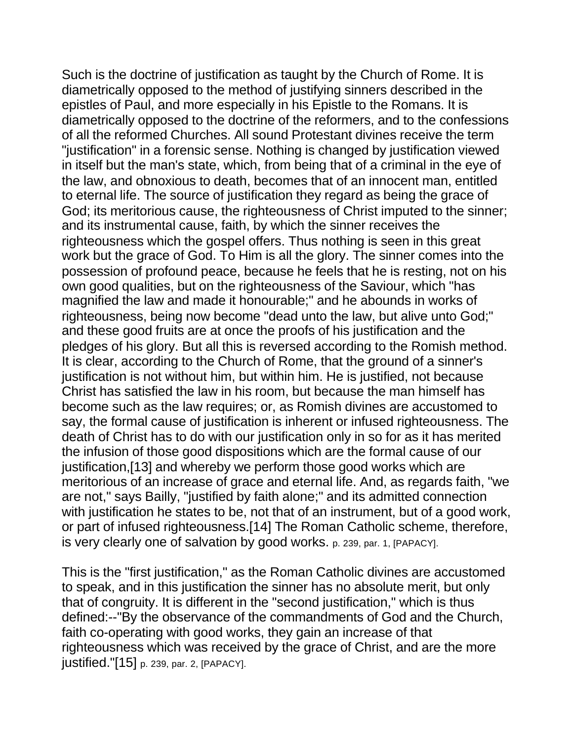Such is the doctrine of justification as taught by the Church of Rome. It is diametrically opposed to the method of justifying sinners described in the epistles of Paul, and more especially in his Epistle to the Romans. It is diametrically opposed to the doctrine of the reformers, and to the confessions of all the reformed Churches. All sound Protestant divines receive the term "justification" in a forensic sense. Nothing is changed by justification viewed in itself but the man's state, which, from being that of a criminal in the eye of the law, and obnoxious to death, becomes that of an innocent man, entitled to eternal life. The source of justification they regard as being the grace of God; its meritorious cause, the righteousness of Christ imputed to the sinner; and its instrumental cause, faith, by which the sinner receives the righteousness which the gospel offers. Thus nothing is seen in this great work but the grace of God. To Him is all the glory. The sinner comes into the possession of profound peace, because he feels that he is resting, not on his own good qualities, but on the righteousness of the Saviour, which "has magnified the law and made it honourable;" and he abounds in works of righteousness, being now become "dead unto the law, but alive unto God;" and these good fruits are at once the proofs of his justification and the pledges of his glory. But all this is reversed according to the Romish method. It is clear, according to the Church of Rome, that the ground of a sinner's justification is not without him, but within him. He is justified, not because Christ has satisfied the law in his room, but because the man himself has become such as the law requires; or, as Romish divines are accustomed to say, the formal cause of justification is inherent or infused righteousness. The death of Christ has to do with our justification only in so for as it has merited the infusion of those good dispositions which are the formal cause of our justification,[13] and whereby we perform those good works which are meritorious of an increase of grace and eternal life. And, as regards faith, "we are not," says Bailly, "justified by faith alone;" and its admitted connection with justification he states to be, not that of an instrument, but of a good work, or part of infused righteousness.[14] The Roman Catholic scheme, therefore, is very clearly one of salvation by good works. p. 239, par. 1, [PAPACY].

This is the "first justification," as the Roman Catholic divines are accustomed to speak, and in this justification the sinner has no absolute merit, but only that of congruity. It is different in the "second justification," which is thus defined:--"By the observance of the commandments of God and the Church, faith co-operating with good works, they gain an increase of that righteousness which was received by the grace of Christ, and are the more justified."[15] p. 239, par. 2, [PAPACY].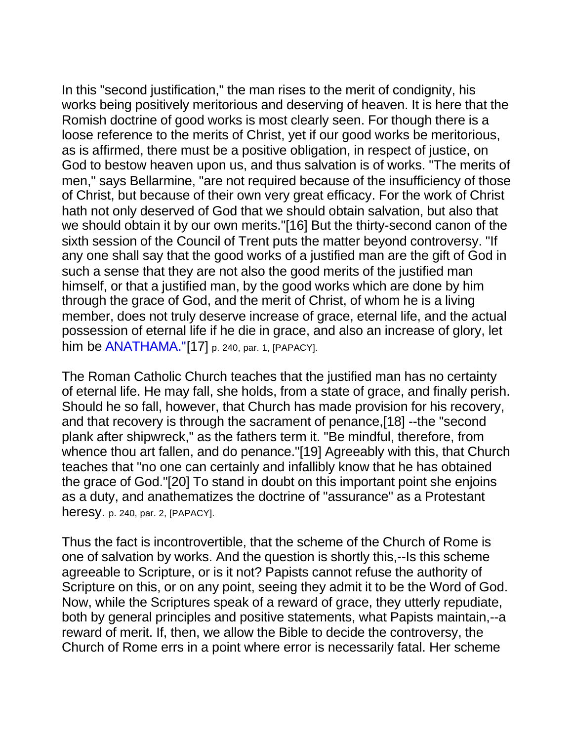In this "second justification," the man rises to the merit of condignity, his works being positively meritorious and deserving of heaven. It is here that the Romish doctrine of good works is most clearly seen. For though there is a loose reference to the merits of Christ, yet if our good works be meritorious, as is affirmed, there must be a positive obligation, in respect of justice, on God to bestow heaven upon us, and thus salvation is of works. "The merits of men," says Bellarmine, "are not required because of the insufficiency of those of Christ, but because of their own very great efficacy. For the work of Christ hath not only deserved of God that we should obtain salvation, but also that we should obtain it by our own merits."[16] But the thirty-second canon of the sixth session of the Council of Trent puts the matter beyond controversy. "If any one shall say that the good works of a justified man are the gift of God in such a sense that they are not also the good merits of the justified man himself, or that a justified man, by the good works which are done by him through the grace of God, and the merit of Christ, of whom he is a living member, does not truly deserve increase of grace, eternal life, and the actual possession of eternal life if he die in grace, and also an increase of glory, let him be **ANATHAMA."[17]** p. 240, par. 1, [PAPACY].

The Roman Catholic Church teaches that the justified man has no certainty of eternal life. He may fall, she holds, from a state of grace, and finally perish. Should he so fall, however, that Church has made provision for his recovery, and that recovery is through the sacrament of penance,[18] --the "second plank after shipwreck," as the fathers term it. "Be mindful, therefore, from whence thou art fallen, and do penance."[19] Agreeably with this, that Church teaches that "no one can certainly and infallibly know that he has obtained the grace of God."[20] To stand in doubt on this important point she enjoins as a duty, and anathematizes the doctrine of "assurance" as a Protestant heresy. p. 240, par. 2, [PAPACY].

Thus the fact is incontrovertible, that the scheme of the Church of Rome is one of salvation by works. And the question is shortly this,--Is this scheme agreeable to Scripture, or is it not? Papists cannot refuse the authority of Scripture on this, or on any point, seeing they admit it to be the Word of God. Now, while the Scriptures speak of a reward of grace, they utterly repudiate, both by general principles and positive statements, what Papists maintain,--a reward of merit. If, then, we allow the Bible to decide the controversy, the Church of Rome errs in a point where error is necessarily fatal. Her scheme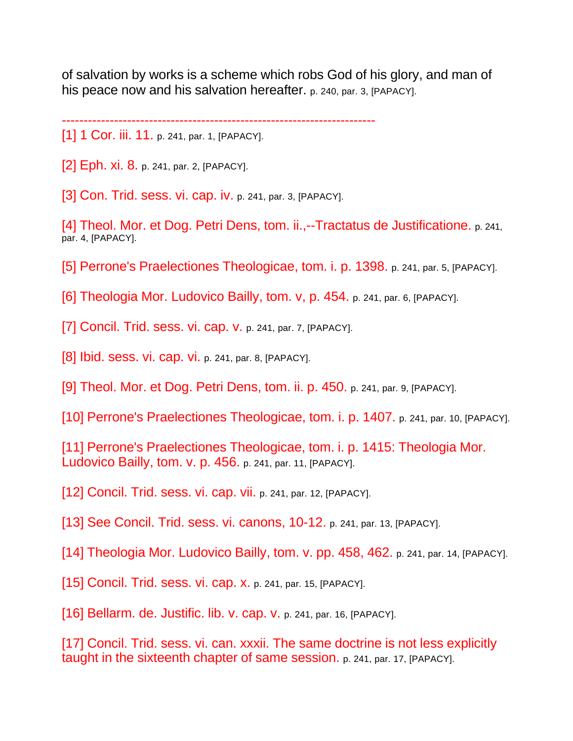of salvation by works is a scheme which robs God of his glory, and man of his peace now and his salvation hereafter. p. 240, par. 3, [PAPACY].

------------------------------------------------------------------------

[1] 1 Cor. iii. 11. p. 241, par. 1, [PAPACY].

[2] Eph. xi. 8. p. 241, par. 2, [PAPACY].

[3] Con. Trid. sess. vi. cap. iv. p. 241, par. 3, [PAPACY].

[4] Theol. Mor. et Dog. Petri Dens, tom. ii.,--Tractatus de Justificatione. p. 241, par. 4, [PAPACY].

[5] Perrone's Praelectiones Theologicae, tom. i. p. 1398. p. 241, par. 5, [PAPACY].

[6] Theologia Mor. Ludovico Bailly, tom. v, p. 454. p. 241, par. 6, [PAPACY].

[7] Concil. Trid. sess. vi. cap. v. p. 241, par. 7, [PAPACY].

[8] Ibid. sess. vi. cap. vi. p. 241, par. 8, [PAPACY].

[9] Theol. Mor. et Dog. Petri Dens, tom. ii. p. 450. p. 241, par. 9, [PAPACY].

[10] Perrone's Praelectiones Theologicae, tom. i. p. 1407. p. 241, par. 10, [PAPACY].

[11] Perrone's Praelectiones Theologicae, tom. i. p. 1415: Theologia Mor. Ludovico Bailly, tom. v. p. 456. p. 241, par. 11, [PAPACY].

[12] Concil. Trid. sess. vi. cap. vii. p. 241, par. 12, [PAPACY].

[13] See Concil. Trid. sess. vi. canons, 10-12. p. 241, par. 13, [PAPACY].

[14] Theologia Mor. Ludovico Bailly, tom. v. pp. 458, 462. p. 241, par. 14, [PAPACY].

[15] Concil. Trid. sess. vi. cap. X. p. 241, par. 15, [PAPACY].

[16] Bellarm. de. Justific. lib. v. cap. v. p. 241, par. 16, [PAPACY].

[17] Concil. Trid. sess. vi. can. xxxii. The same doctrine is not less explicitly taught in the sixteenth chapter of same session. p. 241, par. 17, [PAPACY].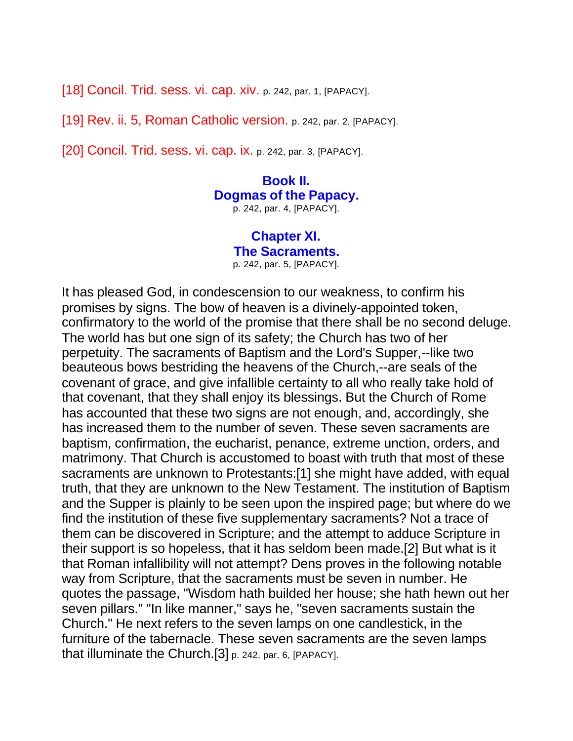[18] Concil. Trid. sess. vi. cap. xiv. p. 242, par. 1, [PAPACY].

[19] Rev. ii. 5, Roman Catholic version. p. 242, par. 2, [PAPACY].

[20] Concil. Trid. sess. vi. cap. ix. p. 242, par. 3, [PAPACY].

**Book II. Dogmas of the Papacy.** p. 242, par. 4, [PAPACY].

> **Chapter XI. The Sacraments.** p. 242, par. 5, [PAPACY].

It has pleased God, in condescension to our weakness, to confirm his promises by signs. The bow of heaven is a divinely-appointed token, confirmatory to the world of the promise that there shall be no second deluge. The world has but one sign of its safety; the Church has two of her perpetuity. The sacraments of Baptism and the Lord's Supper,--like two beauteous bows bestriding the heavens of the Church,--are seals of the covenant of grace, and give infallible certainty to all who really take hold of that covenant, that they shall enjoy its blessings. But the Church of Rome has accounted that these two signs are not enough, and, accordingly, she has increased them to the number of seven. These seven sacraments are baptism, confirmation, the eucharist, penance, extreme unction, orders, and matrimony. That Church is accustomed to boast with truth that most of these sacraments are unknown to Protestants:[1] she might have added, with equal truth, that they are unknown to the New Testament. The institution of Baptism and the Supper is plainly to be seen upon the inspired page; but where do we find the institution of these five supplementary sacraments? Not a trace of them can be discovered in Scripture; and the attempt to adduce Scripture in their support is so hopeless, that it has seldom been made.[2] But what is it that Roman infallibility will not attempt? Dens proves in the following notable way from Scripture, that the sacraments must be seven in number. He quotes the passage, "Wisdom hath builded her house; she hath hewn out her seven pillars." "In like manner," says he, "seven sacraments sustain the Church." He next refers to the seven lamps on one candlestick, in the furniture of the tabernacle. These seven sacraments are the seven lamps that illuminate the Church.[3] p. 242, par. 6, [PAPACY].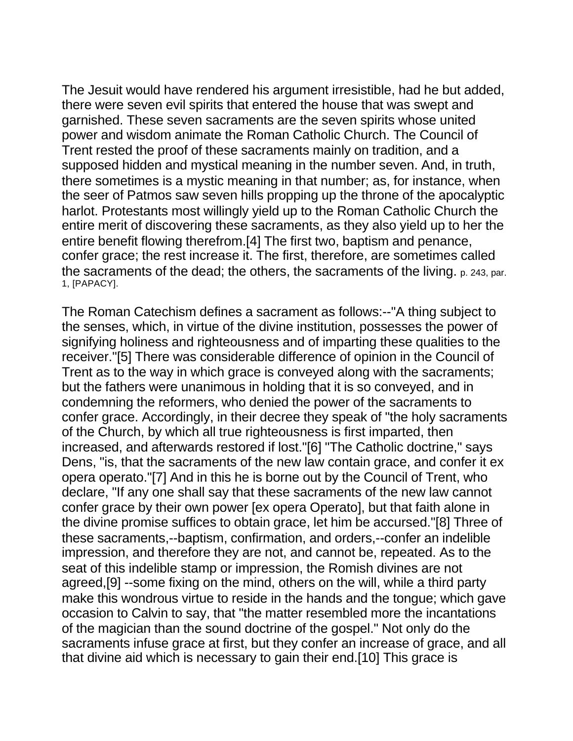The Jesuit would have rendered his argument irresistible, had he but added, there were seven evil spirits that entered the house that was swept and garnished. These seven sacraments are the seven spirits whose united power and wisdom animate the Roman Catholic Church. The Council of Trent rested the proof of these sacraments mainly on tradition, and a supposed hidden and mystical meaning in the number seven. And, in truth, there sometimes is a mystic meaning in that number; as, for instance, when the seer of Patmos saw seven hills propping up the throne of the apocalyptic harlot. Protestants most willingly yield up to the Roman Catholic Church the entire merit of discovering these sacraments, as they also yield up to her the entire benefit flowing therefrom.[4] The first two, baptism and penance, confer grace; the rest increase it. The first, therefore, are sometimes called the sacraments of the dead; the others, the sacraments of the living. p. 243, par. 1, [PAPACY].

The Roman Catechism defines a sacrament as follows:--"A thing subject to the senses, which, in virtue of the divine institution, possesses the power of signifying holiness and righteousness and of imparting these qualities to the receiver."[5] There was considerable difference of opinion in the Council of Trent as to the way in which grace is conveyed along with the sacraments; but the fathers were unanimous in holding that it is so conveyed, and in condemning the reformers, who denied the power of the sacraments to confer grace. Accordingly, in their decree they speak of "the holy sacraments of the Church, by which all true righteousness is first imparted, then increased, and afterwards restored if lost."[6] "The Catholic doctrine," says Dens, "is, that the sacraments of the new law contain grace, and confer it ex opera operato."[7] And in this he is borne out by the Council of Trent, who declare, "If any one shall say that these sacraments of the new law cannot confer grace by their own power [ex opera Operato], but that faith alone in the divine promise suffices to obtain grace, let him be accursed."[8] Three of these sacraments,--baptism, confirmation, and orders,--confer an indelible impression, and therefore they are not, and cannot be, repeated. As to the seat of this indelible stamp or impression, the Romish divines are not agreed,[9] --some fixing on the mind, others on the will, while a third party make this wondrous virtue to reside in the hands and the tongue; which gave occasion to Calvin to say, that "the matter resembled more the incantations of the magician than the sound doctrine of the gospel." Not only do the sacraments infuse grace at first, but they confer an increase of grace, and all that divine aid which is necessary to gain their end.[10] This grace is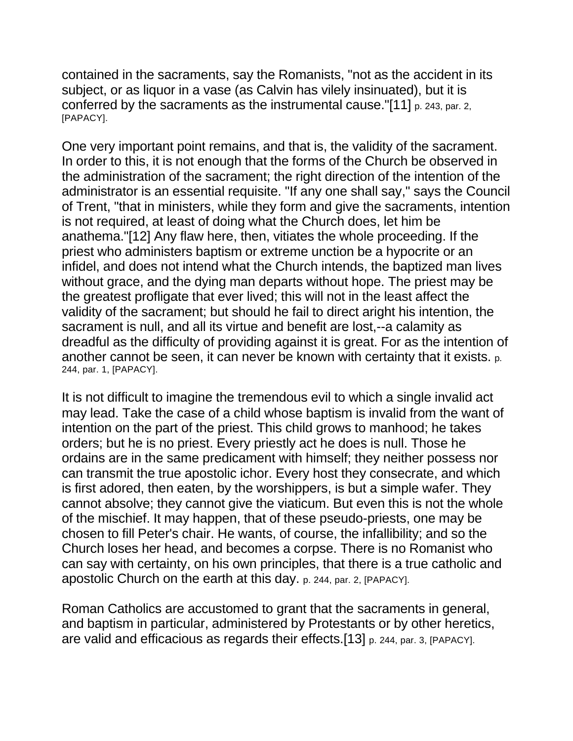contained in the sacraments, say the Romanists, "not as the accident in its subject, or as liquor in a vase (as Calvin has vilely insinuated), but it is conferred by the sacraments as the instrumental cause."[11] p. 243, par. 2, [PAPACY].

One very important point remains, and that is, the validity of the sacrament. In order to this, it is not enough that the forms of the Church be observed in the administration of the sacrament; the right direction of the intention of the administrator is an essential requisite. "If any one shall say," says the Council of Trent, "that in ministers, while they form and give the sacraments, intention is not required, at least of doing what the Church does, let him be anathema."[12] Any flaw here, then, vitiates the whole proceeding. If the priest who administers baptism or extreme unction be a hypocrite or an infidel, and does not intend what the Church intends, the baptized man lives without grace, and the dying man departs without hope. The priest may be the greatest profligate that ever lived; this will not in the least affect the validity of the sacrament; but should he fail to direct aright his intention, the sacrament is null, and all its virtue and benefit are lost,--a calamity as dreadful as the difficulty of providing against it is great. For as the intention of another cannot be seen, it can never be known with certainty that it exists. p. 244, par. 1, [PAPACY].

It is not difficult to imagine the tremendous evil to which a single invalid act may lead. Take the case of a child whose baptism is invalid from the want of intention on the part of the priest. This child grows to manhood; he takes orders; but he is no priest. Every priestly act he does is null. Those he ordains are in the same predicament with himself; they neither possess nor can transmit the true apostolic ichor. Every host they consecrate, and which is first adored, then eaten, by the worshippers, is but a simple wafer. They cannot absolve; they cannot give the viaticum. But even this is not the whole of the mischief. It may happen, that of these pseudo-priests, one may be chosen to fill Peter's chair. He wants, of course, the infallibility; and so the Church loses her head, and becomes a corpse. There is no Romanist who can say with certainty, on his own principles, that there is a true catholic and apostolic Church on the earth at this day. p. 244, par. 2, [PAPACY].

Roman Catholics are accustomed to grant that the sacraments in general, and baptism in particular, administered by Protestants or by other heretics, are valid and efficacious as regards their effects.[13] p. 244, par. 3, [PAPACY].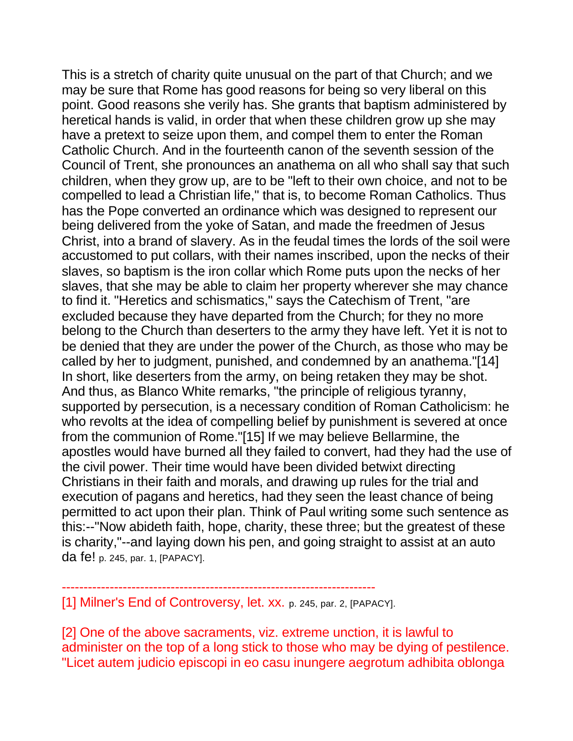This is a stretch of charity quite unusual on the part of that Church; and we may be sure that Rome has good reasons for being so very liberal on this point. Good reasons she verily has. She grants that baptism administered by heretical hands is valid, in order that when these children grow up she may have a pretext to seize upon them, and compel them to enter the Roman Catholic Church. And in the fourteenth canon of the seventh session of the Council of Trent, she pronounces an anathema on all who shall say that such children, when they grow up, are to be "left to their own choice, and not to be compelled to lead a Christian life," that is, to become Roman Catholics. Thus has the Pope converted an ordinance which was designed to represent our being delivered from the yoke of Satan, and made the freedmen of Jesus Christ, into a brand of slavery. As in the feudal times the lords of the soil were accustomed to put collars, with their names inscribed, upon the necks of their slaves, so baptism is the iron collar which Rome puts upon the necks of her slaves, that she may be able to claim her property wherever she may chance to find it. "Heretics and schismatics," says the Catechism of Trent, "are excluded because they have departed from the Church; for they no more belong to the Church than deserters to the army they have left. Yet it is not to be denied that they are under the power of the Church, as those who may be called by her to judgment, punished, and condemned by an anathema."[14] In short, like deserters from the army, on being retaken they may be shot. And thus, as Blanco White remarks, "the principle of religious tyranny, supported by persecution, is a necessary condition of Roman Catholicism: he who revolts at the idea of compelling belief by punishment is severed at once from the communion of Rome."[15] If we may believe Bellarmine, the apostles would have burned all they failed to convert, had they had the use of the civil power. Their time would have been divided betwixt directing Christians in their faith and morals, and drawing up rules for the trial and execution of pagans and heretics, had they seen the least chance of being permitted to act upon their plan. Think of Paul writing some such sentence as this:--"Now abideth faith, hope, charity, these three; but the greatest of these is charity,"--and laying down his pen, and going straight to assist at an auto da fe! p. 245, par. 1, [PAPACY].

[1] Milner's End of Controversy, let. XX. p. 245, par. 2, [PAPACY].

------------------------------------------------------------------------

[2] One of the above sacraments, viz. extreme unction, it is lawful to administer on the top of a long stick to those who may be dying of pestilence. "Licet autem judicio episcopi in eo casu inungere aegrotum adhibita oblonga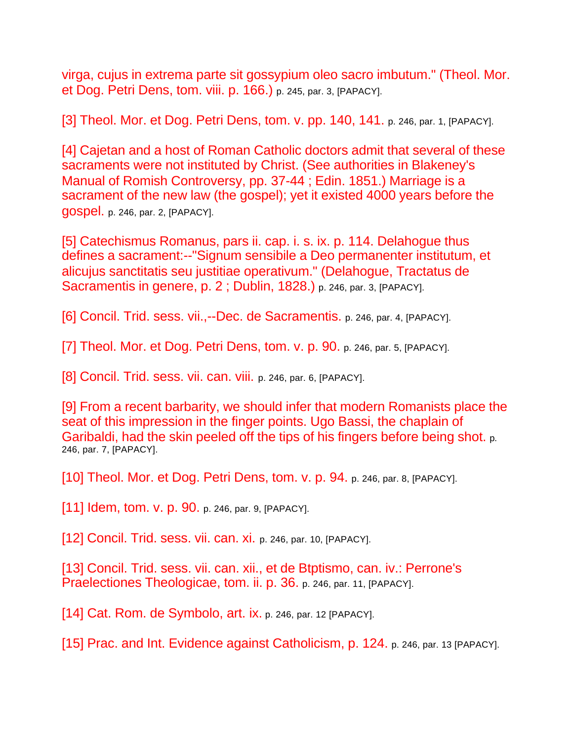virga, cujus in extrema parte sit gossypium oleo sacro imbutum." (Theol. Mor. et Dog. Petri Dens, tom. viii. p. 166.) p. 245, par. 3, [PAPACY].

[3] Theol. Mor. et Dog. Petri Dens, tom. v. pp. 140, 141. p. 246, par. 1, [PAPACY].

[4] Cajetan and a host of Roman Catholic doctors admit that several of these sacraments were not instituted by Christ. (See authorities in Blakeney's Manual of Romish Controversy, pp. 37-44 ; Edin. 1851.) Marriage is a sacrament of the new law (the gospel); yet it existed 4000 years before the gospel. p. 246, par. 2, [PAPACY].

[5] Catechismus Romanus, pars ii. cap. i. s. ix. p. 114. Delahogue thus defines a sacrament:--"Signum sensibile a Deo permanenter institutum, et alicujus sanctitatis seu justitiae operativum." (Delahogue, Tractatus de Sacramentis in genere, p. 2; Dublin, 1828.) p. 246, par. 3, [PAPACY].

[6] Concil. Trid. sess. vii.,--Dec. de Sacramentis. p. 246, par. 4, [PAPACY].

[7] Theol. Mor. et Dog. Petri Dens, tom. v. p. 90. p. 246, par. 5, [PAPACY].

[8] Concil. Trid. sess. vii. can. viii. p. 246, par. 6, [PAPACY].

[9] From a recent barbarity, we should infer that modern Romanists place the seat of this impression in the finger points. Ugo Bassi, the chaplain of Garibaldi, had the skin peeled off the tips of his fingers before being shot. p. 246, par. 7, [PAPACY].

[10] Theol. Mor. et Dog. Petri Dens, tom. v. p. 94. p. 246, par. 8, [PAPACY].

[11] Idem, tom. v. p. 90. p. 246, par. 9, [PAPACY].

[12] Concil. Trid. sess. vii. can. xi. p. 246, par. 10, [PAPACY].

[13] Concil. Trid. sess. vii. can. xii., et de Btptismo, can. iv.: Perrone's Praelectiones Theologicae, tom. ii. p. 36. p. 246, par. 11, [PAPACY].

[14] Cat. Rom. de Symbolo, art. ix. p. 246, par. 12 [PAPACY].

[15] Prac. and Int. Evidence against Catholicism, p. 124. p. 246, par. 13 [PAPACY].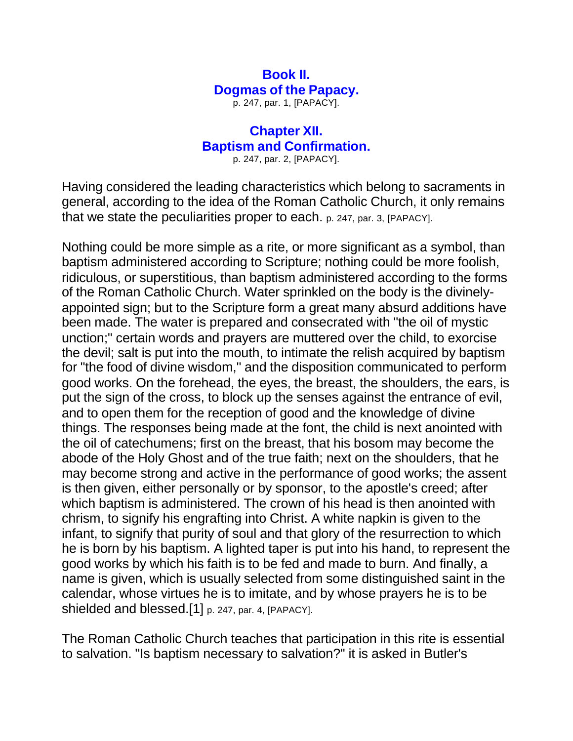### **Book II. Dogmas of the Papacy.**

p. 247, par. 1, [PAPACY].

#### **Chapter XII. Baptism and Confirmation.**

p. 247, par. 2, [PAPACY].

Having considered the leading characteristics which belong to sacraments in general, according to the idea of the Roman Catholic Church, it only remains that we state the peculiarities proper to each. p. 247, par. 3, [PAPACY].

Nothing could be more simple as a rite, or more significant as a symbol, than baptism administered according to Scripture; nothing could be more foolish, ridiculous, or superstitious, than baptism administered according to the forms of the Roman Catholic Church. Water sprinkled on the body is the divinelyappointed sign; but to the Scripture form a great many absurd additions have been made. The water is prepared and consecrated with "the oil of mystic unction;" certain words and prayers are muttered over the child, to exorcise the devil; salt is put into the mouth, to intimate the relish acquired by baptism for "the food of divine wisdom," and the disposition communicated to perform good works. On the forehead, the eyes, the breast, the shoulders, the ears, is put the sign of the cross, to block up the senses against the entrance of evil, and to open them for the reception of good and the knowledge of divine things. The responses being made at the font, the child is next anointed with the oil of catechumens; first on the breast, that his bosom may become the abode of the Holy Ghost and of the true faith; next on the shoulders, that he may become strong and active in the performance of good works; the assent is then given, either personally or by sponsor, to the apostle's creed; after which baptism is administered. The crown of his head is then anointed with chrism, to signify his engrafting into Christ. A white napkin is given to the infant, to signify that purity of soul and that glory of the resurrection to which he is born by his baptism. A lighted taper is put into his hand, to represent the good works by which his faith is to be fed and made to burn. And finally, a name is given, which is usually selected from some distinguished saint in the calendar, whose virtues he is to imitate, and by whose prayers he is to be shielded and blessed.[1] p. 247, par. 4, [PAPACY].

The Roman Catholic Church teaches that participation in this rite is essential to salvation. "Is baptism necessary to salvation?" it is asked in Butler's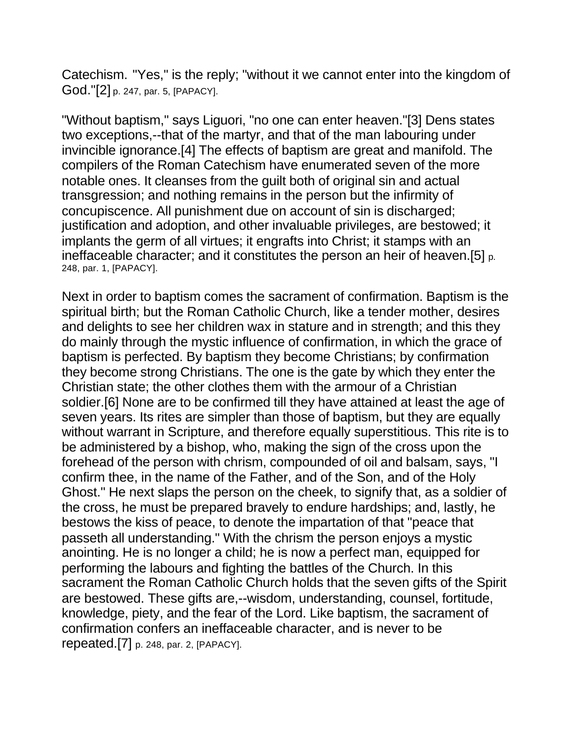Catechism. "Yes," is the reply; "without it we cannot enter into the kingdom of God."[2] p. 247, par. 5, [PAPACY].

"Without baptism," says Liguori, "no one can enter heaven."[3] Dens states two exceptions,--that of the martyr, and that of the man labouring under invincible ignorance.[4] The effects of baptism are great and manifold. The compilers of the Roman Catechism have enumerated seven of the more notable ones. It cleanses from the guilt both of original sin and actual transgression; and nothing remains in the person but the infirmity of concupiscence. All punishment due on account of sin is discharged; justification and adoption, and other invaluable privileges, are bestowed; it implants the germ of all virtues; it engrafts into Christ; it stamps with an ineffaceable character; and it constitutes the person an heir of heaven.[5] p. 248, par. 1, [PAPACY].

Next in order to baptism comes the sacrament of confirmation. Baptism is the spiritual birth; but the Roman Catholic Church, like a tender mother, desires and delights to see her children wax in stature and in strength; and this they do mainly through the mystic influence of confirmation, in which the grace of baptism is perfected. By baptism they become Christians; by confirmation they become strong Christians. The one is the gate by which they enter the Christian state; the other clothes them with the armour of a Christian soldier.[6] None are to be confirmed till they have attained at least the age of seven years. Its rites are simpler than those of baptism, but they are equally without warrant in Scripture, and therefore equally superstitious. This rite is to be administered by a bishop, who, making the sign of the cross upon the forehead of the person with chrism, compounded of oil and balsam, says, "I confirm thee, in the name of the Father, and of the Son, and of the Holy Ghost." He next slaps the person on the cheek, to signify that, as a soldier of the cross, he must be prepared bravely to endure hardships; and, lastly, he bestows the kiss of peace, to denote the impartation of that "peace that passeth all understanding." With the chrism the person enjoys a mystic anointing. He is no longer a child; he is now a perfect man, equipped for performing the labours and fighting the battles of the Church. In this sacrament the Roman Catholic Church holds that the seven gifts of the Spirit are bestowed. These gifts are,--wisdom, understanding, counsel, fortitude, knowledge, piety, and the fear of the Lord. Like baptism, the sacrament of confirmation confers an ineffaceable character, and is never to be repeated.[7] p. 248, par. 2, [PAPACY].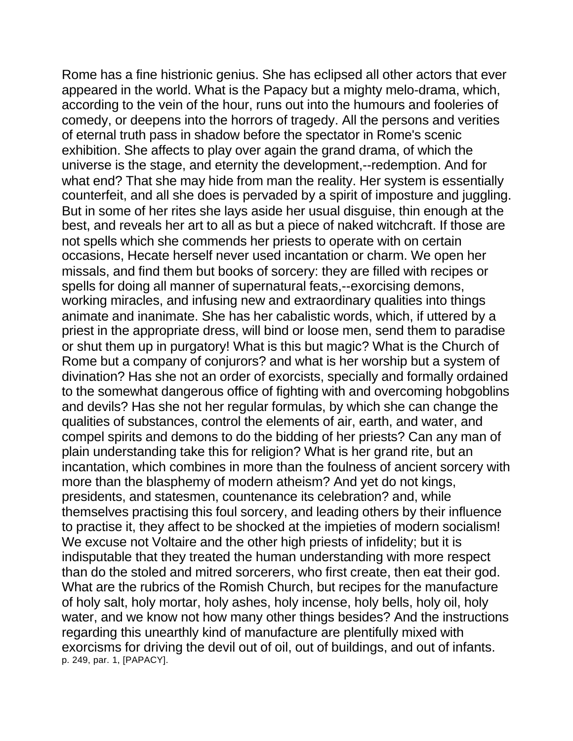Rome has a fine histrionic genius. She has eclipsed all other actors that ever appeared in the world. What is the Papacy but a mighty melo-drama, which, according to the vein of the hour, runs out into the humours and fooleries of comedy, or deepens into the horrors of tragedy. All the persons and verities of eternal truth pass in shadow before the spectator in Rome's scenic exhibition. She affects to play over again the grand drama, of which the universe is the stage, and eternity the development,--redemption. And for what end? That she may hide from man the reality. Her system is essentially counterfeit, and all she does is pervaded by a spirit of imposture and juggling. But in some of her rites she lays aside her usual disguise, thin enough at the best, and reveals her art to all as but a piece of naked witchcraft. If those are not spells which she commends her priests to operate with on certain occasions, Hecate herself never used incantation or charm. We open her missals, and find them but books of sorcery: they are filled with recipes or spells for doing all manner of supernatural feats,--exorcising demons, working miracles, and infusing new and extraordinary qualities into things animate and inanimate. She has her cabalistic words, which, if uttered by a priest in the appropriate dress, will bind or loose men, send them to paradise or shut them up in purgatory! What is this but magic? What is the Church of Rome but a company of conjurors? and what is her worship but a system of divination? Has she not an order of exorcists, specially and formally ordained to the somewhat dangerous office of fighting with and overcoming hobgoblins and devils? Has she not her regular formulas, by which she can change the qualities of substances, control the elements of air, earth, and water, and compel spirits and demons to do the bidding of her priests? Can any man of plain understanding take this for religion? What is her grand rite, but an incantation, which combines in more than the foulness of ancient sorcery with more than the blasphemy of modern atheism? And yet do not kings, presidents, and statesmen, countenance its celebration? and, while themselves practising this foul sorcery, and leading others by their influence to practise it, they affect to be shocked at the impieties of modern socialism! We excuse not Voltaire and the other high priests of infidelity; but it is indisputable that they treated the human understanding with more respect than do the stoled and mitred sorcerers, who first create, then eat their god. What are the rubrics of the Romish Church, but recipes for the manufacture of holy salt, holy mortar, holy ashes, holy incense, holy bells, holy oil, holy water, and we know not how many other things besides? And the instructions regarding this unearthly kind of manufacture are plentifully mixed with exorcisms for driving the devil out of oil, out of buildings, and out of infants. p. 249, par. 1, [PAPACY].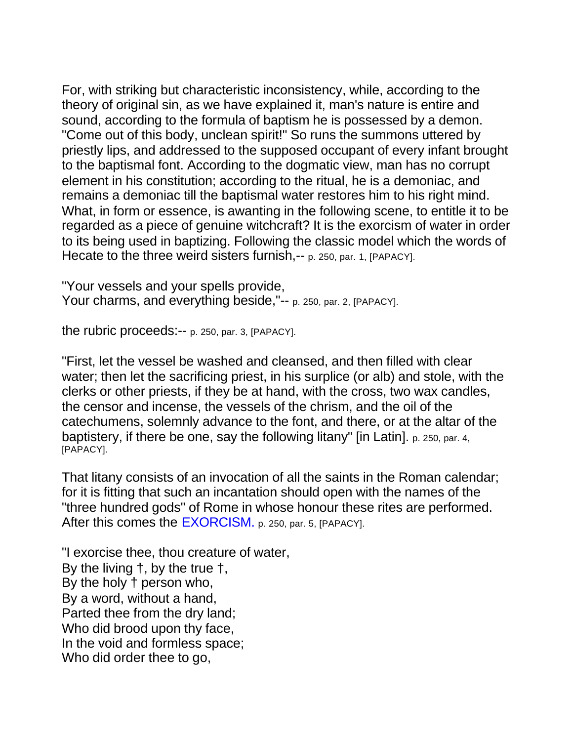For, with striking but characteristic inconsistency, while, according to the theory of original sin, as we have explained it, man's nature is entire and sound, according to the formula of baptism he is possessed by a demon. "Come out of this body, unclean spirit!" So runs the summons uttered by priestly lips, and addressed to the supposed occupant of every infant brought to the baptismal font. According to the dogmatic view, man has no corrupt element in his constitution; according to the ritual, he is a demoniac, and remains a demoniac till the baptismal water restores him to his right mind. What, in form or essence, is awanting in the following scene, to entitle it to be regarded as a piece of genuine witchcraft? It is the exorcism of water in order to its being used in baptizing. Following the classic model which the words of Hecate to the three weird sisters furnish,-- p. 250, par. 1, [PAPACY].

"Your vessels and your spells provide, Your charms, and everything beside,"-- p. 250, par. 2, [PAPACY].

the rubric proceeds:-- p. 250, par. 3, [PAPACY].

"First, let the vessel be washed and cleansed, and then filled with clear water; then let the sacrificing priest, in his surplice (or alb) and stole, with the clerks or other priests, if they be at hand, with the cross, two wax candles, the censor and incense, the vessels of the chrism, and the oil of the catechumens, solemnly advance to the font, and there, or at the altar of the baptistery, if there be one, say the following litany" [in Latin]. p. 250, par. 4, [PAPACY].

That litany consists of an invocation of all the saints in the Roman calendar; for it is fitting that such an incantation should open with the names of the "three hundred gods" of Rome in whose honour these rites are performed. After this comes the EXORCISM. p. 250, par. 5, [PAPACY].

"I exorcise thee, thou creature of water, By the living †, by the true †, By the holy † person who, By a word, without a hand, Parted thee from the dry land; Who did brood upon thy face, In the void and formless space; Who did order thee to go,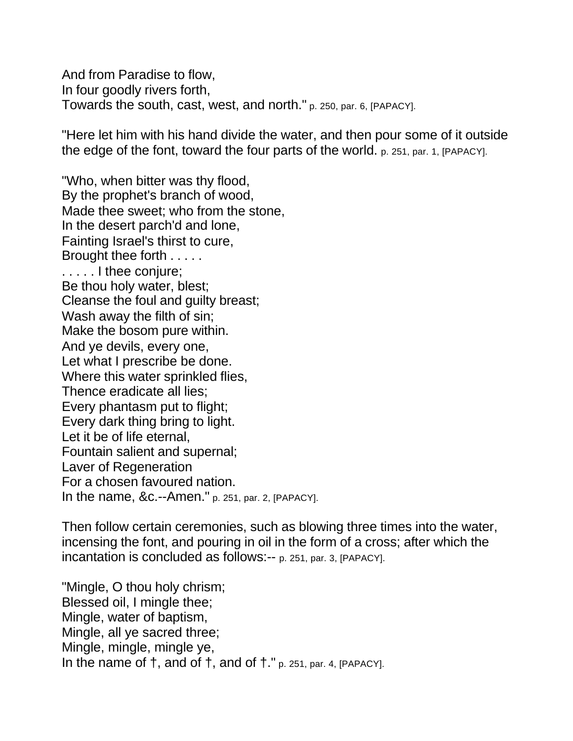And from Paradise to flow, In four goodly rivers forth, Towards the south, cast, west, and north." p. 250, par. 6, [PAPACY].

"Here let him with his hand divide the water, and then pour some of it outside the edge of the font, toward the four parts of the world. p. 251, par. 1, [PAPACY].

"Who, when bitter was thy flood, By the prophet's branch of wood, Made thee sweet; who from the stone, In the desert parch'd and lone, Fainting Israel's thirst to cure, Brought thee forth . . . . . . . . . . I thee conjure; Be thou holy water, blest; Cleanse the foul and guilty breast; Wash away the filth of sin; Make the bosom pure within. And ye devils, every one, Let what I prescribe be done. Where this water sprinkled flies, Thence eradicate all lies; Every phantasm put to flight; Every dark thing bring to light. Let it be of life eternal, Fountain salient and supernal; Laver of Regeneration For a chosen favoured nation. In the name, &c.--Amen." p. 251, par. 2, [PAPACY].

Then follow certain ceremonies, such as blowing three times into the water, incensing the font, and pouring in oil in the form of a cross; after which the incantation is concluded as follows:-- p. 251, par. 3, [PAPACY].

"Mingle, O thou holy chrism; Blessed oil, I mingle thee; Mingle, water of baptism, Mingle, all ye sacred three; Mingle, mingle, mingle ye, In the name of  $\dagger$ , and of  $\dagger$ , and of  $\dagger$ ." p. 251, par. 4, [PAPACY].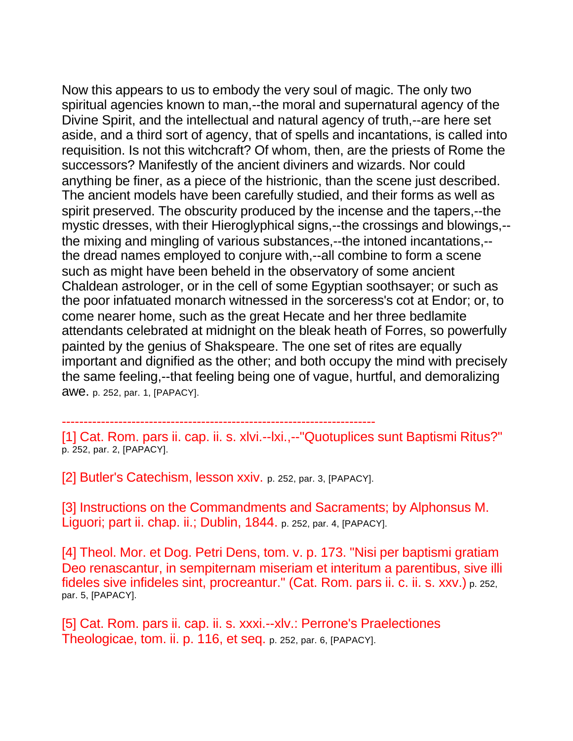Now this appears to us to embody the very soul of magic. The only two spiritual agencies known to man,--the moral and supernatural agency of the Divine Spirit, and the intellectual and natural agency of truth,--are here set aside, and a third sort of agency, that of spells and incantations, is called into requisition. Is not this witchcraft? Of whom, then, are the priests of Rome the successors? Manifestly of the ancient diviners and wizards. Nor could anything be finer, as a piece of the histrionic, than the scene just described. The ancient models have been carefully studied, and their forms as well as spirit preserved. The obscurity produced by the incense and the tapers,--the mystic dresses, with their Hieroglyphical signs,--the crossings and blowings,-the mixing and mingling of various substances,--the intoned incantations,- the dread names employed to conjure with,--all combine to form a scene such as might have been beheld in the observatory of some ancient Chaldean astrologer, or in the cell of some Egyptian soothsayer; or such as the poor infatuated monarch witnessed in the sorceress's cot at Endor; or, to come nearer home, such as the great Hecate and her three bedlamite attendants celebrated at midnight on the bleak heath of Forres, so powerfully painted by the genius of Shakspeare. The one set of rites are equally important and dignified as the other; and both occupy the mind with precisely the same feeling,--that feeling being one of vague, hurtful, and demoralizing awe. p. 252, par. 1, [PAPACY].

------------------------------------------------------------------------

[1] Cat. Rom. pars ii. cap. ii. s. xlvi.--lxi.,--"Quotuplices sunt Baptismi Ritus?" p. 252, par. 2, [PAPACY].

[2] Butler's Catechism, lesson xxiv. p. 252, par. 3, [PAPACY].

[3] Instructions on the Commandments and Sacraments; by Alphonsus M. Liguori; part ii. chap. ii.; Dublin, 1844. p. 252, par. 4, [PAPACY].

[4] Theol. Mor. et Dog. Petri Dens, tom. v. p. 173. "Nisi per baptismi gratiam Deo renascantur, in sempiternam miseriam et interitum a parentibus, sive illi fideles sive infideles sint, procreantur." (Cat. Rom. pars ii. c. ii. s. xxv.) p. 252, par. 5, [PAPACY].

[5] Cat. Rom. pars ii. cap. ii. s. xxxi.--xlv.: Perrone's Praelectiones Theologicae, tom. ii. p. 116, et seq. p. 252, par. 6, [PAPACY].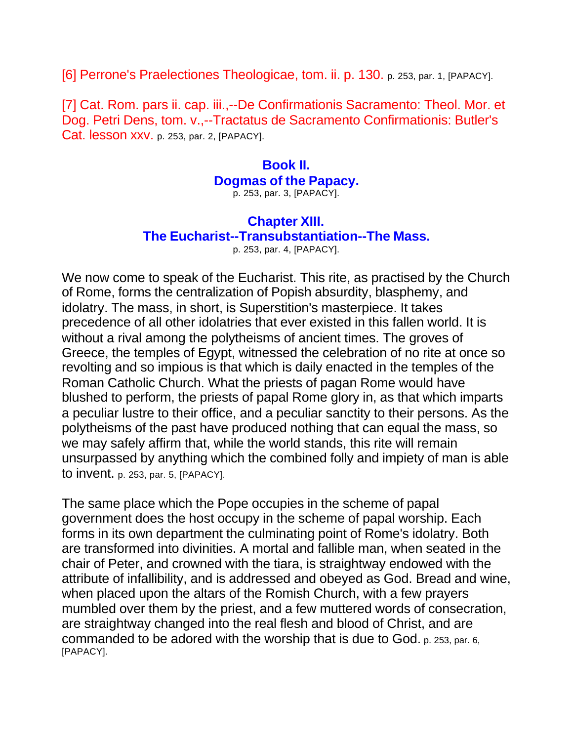[6] Perrone's Praelectiones Theologicae, tom. ii. p. 130. p. 253, par. 1, [PAPACY].

[7] Cat. Rom. pars ii. cap. iii.,--De Confirmationis Sacramento: Theol. Mor. et Dog. Petri Dens, tom. v.,--Tractatus de Sacramento Confirmationis: Butler's Cat. lesson xxv. p. 253, par. 2, [PAPACY].

#### **Book II. Dogmas of the Papacy.** p. 253, par. 3, [PAPACY].

### **Chapter XIII. The Eucharist--Transubstantiation--The Mass.**

p. 253, par. 4, [PAPACY].

We now come to speak of the Eucharist. This rite, as practised by the Church of Rome, forms the centralization of Popish absurdity, blasphemy, and idolatry. The mass, in short, is Superstition's masterpiece. It takes precedence of all other idolatries that ever existed in this fallen world. It is without a rival among the polytheisms of ancient times. The groves of Greece, the temples of Egypt, witnessed the celebration of no rite at once so revolting and so impious is that which is daily enacted in the temples of the Roman Catholic Church. What the priests of pagan Rome would have blushed to perform, the priests of papal Rome glory in, as that which imparts a peculiar lustre to their office, and a peculiar sanctity to their persons. As the polytheisms of the past have produced nothing that can equal the mass, so we may safely affirm that, while the world stands, this rite will remain unsurpassed by anything which the combined folly and impiety of man is able to invent. p. 253, par. 5, [PAPACY].

The same place which the Pope occupies in the scheme of papal government does the host occupy in the scheme of papal worship. Each forms in its own department the culminating point of Rome's idolatry. Both are transformed into divinities. A mortal and fallible man, when seated in the chair of Peter, and crowned with the tiara, is straightway endowed with the attribute of infallibility, and is addressed and obeyed as God. Bread and wine, when placed upon the altars of the Romish Church, with a few prayers mumbled over them by the priest, and a few muttered words of consecration, are straightway changed into the real flesh and blood of Christ, and are commanded to be adored with the worship that is due to God. p. 253, par. 6, [PAPACY].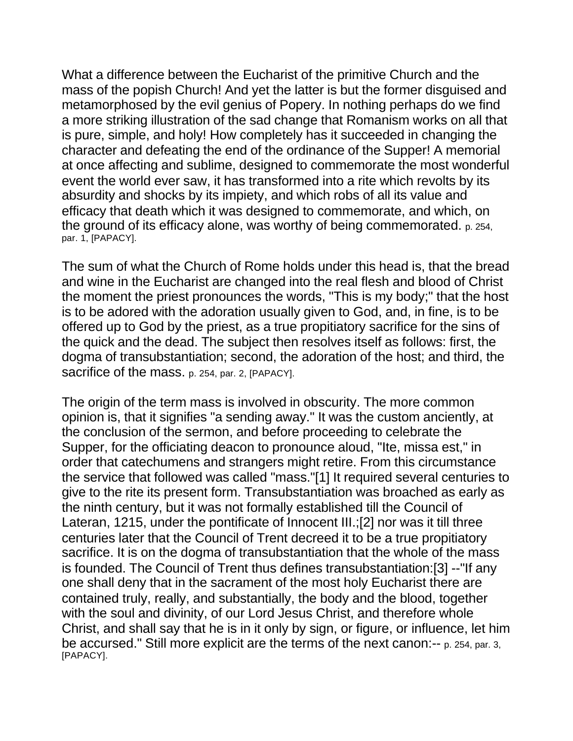What a difference between the Eucharist of the primitive Church and the mass of the popish Church! And yet the latter is but the former disguised and metamorphosed by the evil genius of Popery. In nothing perhaps do we find a more striking illustration of the sad change that Romanism works on all that is pure, simple, and holy! How completely has it succeeded in changing the character and defeating the end of the ordinance of the Supper! A memorial at once affecting and sublime, designed to commemorate the most wonderful event the world ever saw, it has transformed into a rite which revolts by its absurdity and shocks by its impiety, and which robs of all its value and efficacy that death which it was designed to commemorate, and which, on the ground of its efficacy alone, was worthy of being commemorated. p. 254, par. 1, [PAPACY].

The sum of what the Church of Rome holds under this head is, that the bread and wine in the Eucharist are changed into the real flesh and blood of Christ the moment the priest pronounces the words, "This is my body;" that the host is to be adored with the adoration usually given to God, and, in fine, is to be offered up to God by the priest, as a true propitiatory sacrifice for the sins of the quick and the dead. The subject then resolves itself as follows: first, the dogma of transubstantiation; second, the adoration of the host; and third, the sacrifice of the mass. p. 254, par. 2, [PAPACY].

The origin of the term mass is involved in obscurity. The more common opinion is, that it signifies "a sending away." It was the custom anciently, at the conclusion of the sermon, and before proceeding to celebrate the Supper, for the officiating deacon to pronounce aloud, "Ite, missa est," in order that catechumens and strangers might retire. From this circumstance the service that followed was called "mass."[1] It required several centuries to give to the rite its present form. Transubstantiation was broached as early as the ninth century, but it was not formally established till the Council of Lateran, 1215, under the pontificate of Innocent III.;[2] nor was it till three centuries later that the Council of Trent decreed it to be a true propitiatory sacrifice. It is on the dogma of transubstantiation that the whole of the mass is founded. The Council of Trent thus defines transubstantiation:[3] --"If any one shall deny that in the sacrament of the most holy Eucharist there are contained truly, really, and substantially, the body and the blood, together with the soul and divinity, of our Lord Jesus Christ, and therefore whole Christ, and shall say that he is in it only by sign, or figure, or influence, let him be accursed." Still more explicit are the terms of the next canon:-- p. 254, par. 3, [PAPACY].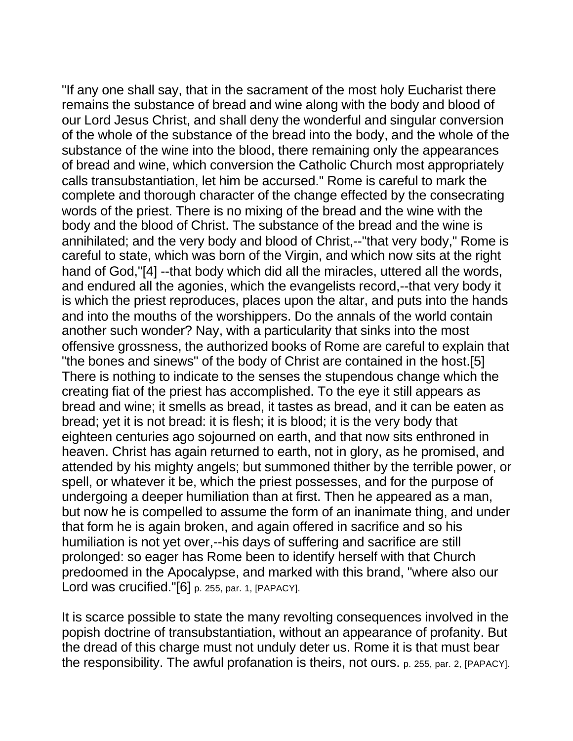"If any one shall say, that in the sacrament of the most holy Eucharist there remains the substance of bread and wine along with the body and blood of our Lord Jesus Christ, and shall deny the wonderful and singular conversion of the whole of the substance of the bread into the body, and the whole of the substance of the wine into the blood, there remaining only the appearances of bread and wine, which conversion the Catholic Church most appropriately calls transubstantiation, let him be accursed." Rome is careful to mark the complete and thorough character of the change effected by the consecrating words of the priest. There is no mixing of the bread and the wine with the body and the blood of Christ. The substance of the bread and the wine is annihilated; and the very body and blood of Christ,--"that very body," Rome is careful to state, which was born of the Virgin, and which now sits at the right hand of God,"[4] --that body which did all the miracles, uttered all the words, and endured all the agonies, which the evangelists record,--that very body it is which the priest reproduces, places upon the altar, and puts into the hands and into the mouths of the worshippers. Do the annals of the world contain another such wonder? Nay, with a particularity that sinks into the most offensive grossness, the authorized books of Rome are careful to explain that "the bones and sinews" of the body of Christ are contained in the host.[5] There is nothing to indicate to the senses the stupendous change which the creating fiat of the priest has accomplished. To the eye it still appears as bread and wine; it smells as bread, it tastes as bread, and it can be eaten as bread; yet it is not bread: it is flesh; it is blood; it is the very body that eighteen centuries ago sojourned on earth, and that now sits enthroned in heaven. Christ has again returned to earth, not in glory, as he promised, and attended by his mighty angels; but summoned thither by the terrible power, or spell, or whatever it be, which the priest possesses, and for the purpose of undergoing a deeper humiliation than at first. Then he appeared as a man, but now he is compelled to assume the form of an inanimate thing, and under that form he is again broken, and again offered in sacrifice and so his humiliation is not yet over,--his days of suffering and sacrifice are still prolonged: so eager has Rome been to identify herself with that Church predoomed in the Apocalypse, and marked with this brand, "where also our Lord was crucified."[6] p. 255, par. 1, [PAPACY].

It is scarce possible to state the many revolting consequences involved in the popish doctrine of transubstantiation, without an appearance of profanity. But the dread of this charge must not unduly deter us. Rome it is that must bear the responsibility. The awful profanation is theirs, not ours. p. 255, par. 2, [PAPACY].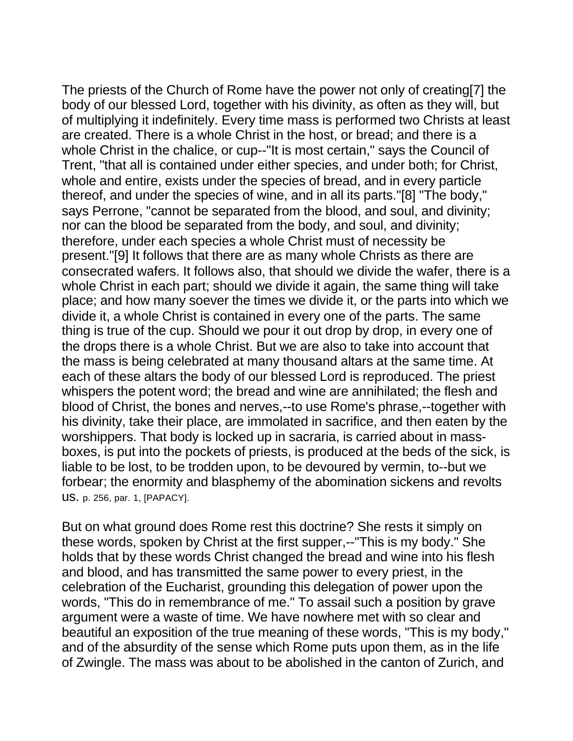The priests of the Church of Rome have the power not only of creating[7] the body of our blessed Lord, together with his divinity, as often as they will, but of multiplying it indefinitely. Every time mass is performed two Christs at least are created. There is a whole Christ in the host, or bread; and there is a whole Christ in the chalice, or cup--"It is most certain," says the Council of Trent, "that all is contained under either species, and under both; for Christ, whole and entire, exists under the species of bread, and in every particle thereof, and under the species of wine, and in all its parts."[8] "The body," says Perrone, "cannot be separated from the blood, and soul, and divinity; nor can the blood be separated from the body, and soul, and divinity; therefore, under each species a whole Christ must of necessity be present."[9] It follows that there are as many whole Christs as there are consecrated wafers. It follows also, that should we divide the wafer, there is a whole Christ in each part; should we divide it again, the same thing will take place; and how many soever the times we divide it, or the parts into which we divide it, a whole Christ is contained in every one of the parts. The same thing is true of the cup. Should we pour it out drop by drop, in every one of the drops there is a whole Christ. But we are also to take into account that the mass is being celebrated at many thousand altars at the same time. At each of these altars the body of our blessed Lord is reproduced. The priest whispers the potent word; the bread and wine are annihilated; the flesh and blood of Christ, the bones and nerves,--to use Rome's phrase,--together with his divinity, take their place, are immolated in sacrifice, and then eaten by the worshippers. That body is locked up in sacraria, is carried about in massboxes, is put into the pockets of priests, is produced at the beds of the sick, is liable to be lost, to be trodden upon, to be devoured by vermin, to--but we forbear; the enormity and blasphemy of the abomination sickens and revolts us. p. 256, par. 1, [PAPACY].

But on what ground does Rome rest this doctrine? She rests it simply on these words, spoken by Christ at the first supper,--"This is my body." She holds that by these words Christ changed the bread and wine into his flesh and blood, and has transmitted the same power to every priest, in the celebration of the Eucharist, grounding this delegation of power upon the words, "This do in remembrance of me." To assail such a position by grave argument were a waste of time. We have nowhere met with so clear and beautiful an exposition of the true meaning of these words, "This is my body," and of the absurdity of the sense which Rome puts upon them, as in the life of Zwingle. The mass was about to be abolished in the canton of Zurich, and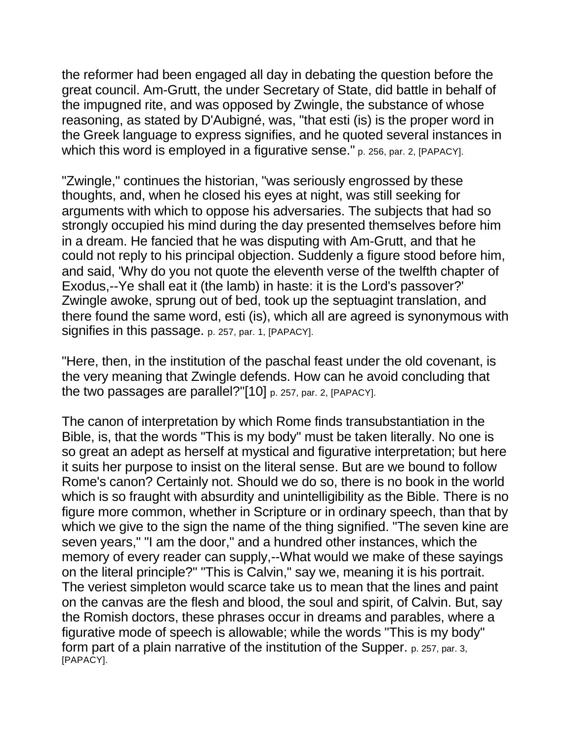the reformer had been engaged all day in debating the question before the great council. Am-Grutt, the under Secretary of State, did battle in behalf of the impugned rite, and was opposed by Zwingle, the substance of whose reasoning, as stated by D'Aubigné, was, "that esti (is) is the proper word in the Greek language to express signifies, and he quoted several instances in which this word is employed in a figurative sense." p. 256, par. 2, [PAPACY].

"Zwingle," continues the historian, "was seriously engrossed by these thoughts, and, when he closed his eyes at night, was still seeking for arguments with which to oppose his adversaries. The subjects that had so strongly occupied his mind during the day presented themselves before him in a dream. He fancied that he was disputing with Am-Grutt, and that he could not reply to his principal objection. Suddenly a figure stood before him, and said, 'Why do you not quote the eleventh verse of the twelfth chapter of Exodus,--Ye shall eat it (the lamb) in haste: it is the Lord's passover?' Zwingle awoke, sprung out of bed, took up the septuagint translation, and there found the same word, esti (is), which all are agreed is synonymous with signifies in this passage. p. 257, par. 1, [PAPACY].

"Here, then, in the institution of the paschal feast under the old covenant, is the very meaning that Zwingle defends. How can he avoid concluding that the two passages are parallel?"[10] p. 257, par. 2, [PAPACY].

The canon of interpretation by which Rome finds transubstantiation in the Bible, is, that the words "This is my body" must be taken literally. No one is so great an adept as herself at mystical and figurative interpretation; but here it suits her purpose to insist on the literal sense. But are we bound to follow Rome's canon? Certainly not. Should we do so, there is no book in the world which is so fraught with absurdity and unintelligibility as the Bible. There is no figure more common, whether in Scripture or in ordinary speech, than that by which we give to the sign the name of the thing signified. "The seven kine are seven years," "I am the door," and a hundred other instances, which the memory of every reader can supply,--What would we make of these sayings on the literal principle?" "This is Calvin," say we, meaning it is his portrait. The veriest simpleton would scarce take us to mean that the lines and paint on the canvas are the flesh and blood, the soul and spirit, of Calvin. But, say the Romish doctors, these phrases occur in dreams and parables, where a figurative mode of speech is allowable; while the words "This is my body" form part of a plain narrative of the institution of the Supper. p. 257, par. 3, [PAPACY].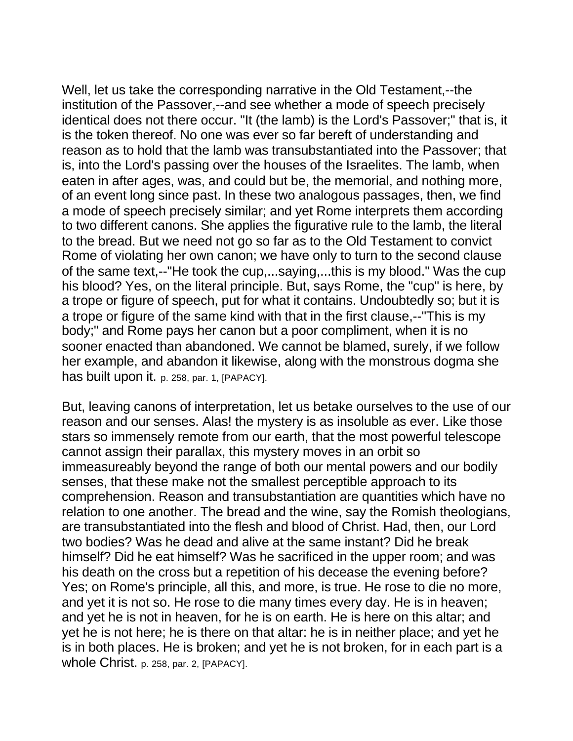Well, let us take the corresponding narrative in the Old Testament,--the institution of the Passover,--and see whether a mode of speech precisely identical does not there occur. "It (the lamb) is the Lord's Passover;" that is, it is the token thereof. No one was ever so far bereft of understanding and reason as to hold that the lamb was transubstantiated into the Passover; that is, into the Lord's passing over the houses of the Israelites. The lamb, when eaten in after ages, was, and could but be, the memorial, and nothing more, of an event long since past. In these two analogous passages, then, we find a mode of speech precisely similar; and yet Rome interprets them according to two different canons. She applies the figurative rule to the lamb, the literal to the bread. But we need not go so far as to the Old Testament to convict Rome of violating her own canon; we have only to turn to the second clause of the same text,--"He took the cup,...saying,...this is my blood." Was the cup his blood? Yes, on the literal principle. But, says Rome, the "cup" is here, by a trope or figure of speech, put for what it contains. Undoubtedly so; but it is a trope or figure of the same kind with that in the first clause,--"This is my body;" and Rome pays her canon but a poor compliment, when it is no sooner enacted than abandoned. We cannot be blamed, surely, if we follow her example, and abandon it likewise, along with the monstrous dogma she has built upon it. p. 258, par. 1, [PAPACY].

But, leaving canons of interpretation, let us betake ourselves to the use of our reason and our senses. Alas! the mystery is as insoluble as ever. Like those stars so immensely remote from our earth, that the most powerful telescope cannot assign their parallax, this mystery moves in an orbit so immeasureably beyond the range of both our mental powers and our bodily senses, that these make not the smallest perceptible approach to its comprehension. Reason and transubstantiation are quantities which have no relation to one another. The bread and the wine, say the Romish theologians, are transubstantiated into the flesh and blood of Christ. Had, then, our Lord two bodies? Was he dead and alive at the same instant? Did he break himself? Did he eat himself? Was he sacrificed in the upper room; and was his death on the cross but a repetition of his decease the evening before? Yes; on Rome's principle, all this, and more, is true. He rose to die no more, and yet it is not so. He rose to die many times every day. He is in heaven; and yet he is not in heaven, for he is on earth. He is here on this altar; and yet he is not here; he is there on that altar: he is in neither place; and yet he is in both places. He is broken; and yet he is not broken, for in each part is a whole Christ. p. 258, par. 2, [PAPACY].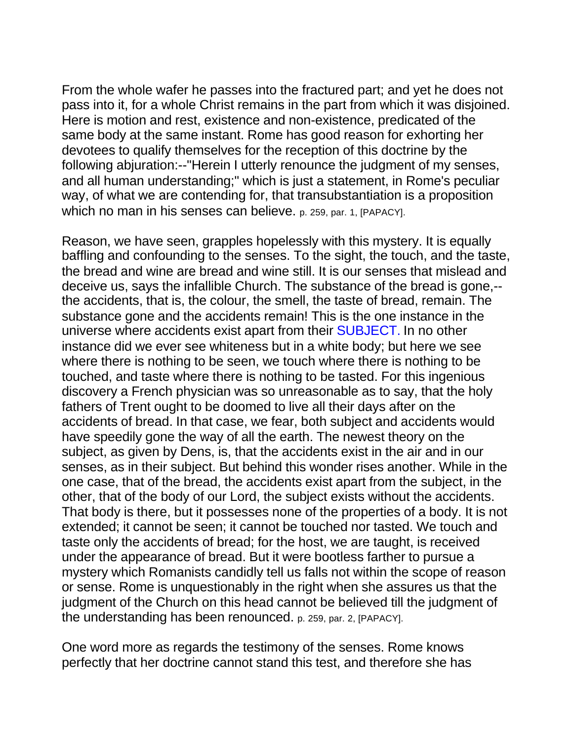From the whole wafer he passes into the fractured part; and yet he does not pass into it, for a whole Christ remains in the part from which it was disjoined. Here is motion and rest, existence and non-existence, predicated of the same body at the same instant. Rome has good reason for exhorting her devotees to qualify themselves for the reception of this doctrine by the following abjuration:--"Herein I utterly renounce the judgment of my senses, and all human understanding;" which is just a statement, in Rome's peculiar way, of what we are contending for, that transubstantiation is a proposition which no man in his senses can believe. p. 259, par. 1, [PAPACY].

Reason, we have seen, grapples hopelessly with this mystery. It is equally baffling and confounding to the senses. To the sight, the touch, and the taste, the bread and wine are bread and wine still. It is our senses that mislead and deceive us, says the infallible Church. The substance of the bread is gone,- the accidents, that is, the colour, the smell, the taste of bread, remain. The substance gone and the accidents remain! This is the one instance in the universe where accidents exist apart from their SUBJECT. In no other instance did we ever see whiteness but in a white body; but here we see where there is nothing to be seen, we touch where there is nothing to be touched, and taste where there is nothing to be tasted. For this ingenious discovery a French physician was so unreasonable as to say, that the holy fathers of Trent ought to be doomed to live all their days after on the accidents of bread. In that case, we fear, both subject and accidents would have speedily gone the way of all the earth. The newest theory on the subject, as given by Dens, is, that the accidents exist in the air and in our senses, as in their subject. But behind this wonder rises another. While in the one case, that of the bread, the accidents exist apart from the subject, in the other, that of the body of our Lord, the subject exists without the accidents. That body is there, but it possesses none of the properties of a body. It is not extended; it cannot be seen; it cannot be touched nor tasted. We touch and taste only the accidents of bread; for the host, we are taught, is received under the appearance of bread. But it were bootless farther to pursue a mystery which Romanists candidly tell us falls not within the scope of reason or sense. Rome is unquestionably in the right when she assures us that the judgment of the Church on this head cannot be believed till the judgment of the understanding has been renounced. p. 259, par. 2, [PAPACY].

One word more as regards the testimony of the senses. Rome knows perfectly that her doctrine cannot stand this test, and therefore she has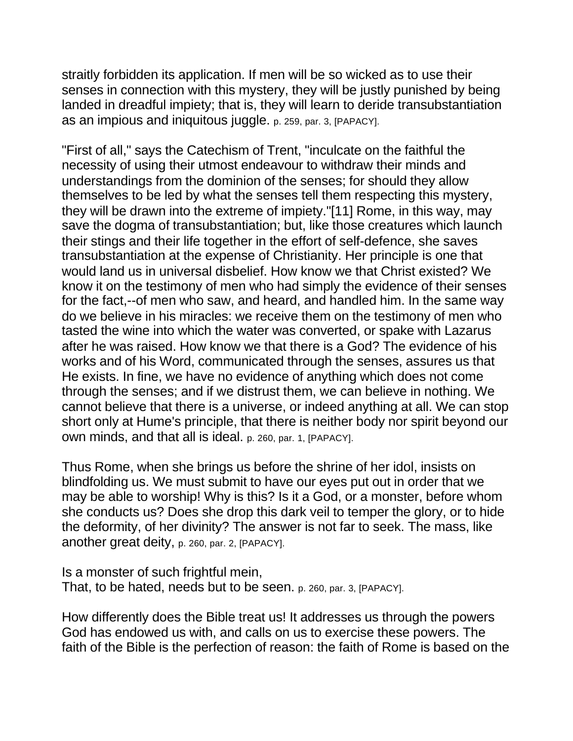straitly forbidden its application. If men will be so wicked as to use their senses in connection with this mystery, they will be justly punished by being landed in dreadful impiety; that is, they will learn to deride transubstantiation as an impious and iniquitous juggle. p. 259, par. 3, [PAPACY].

"First of all," says the Catechism of Trent, "inculcate on the faithful the necessity of using their utmost endeavour to withdraw their minds and understandings from the dominion of the senses; for should they allow themselves to be led by what the senses tell them respecting this mystery, they will be drawn into the extreme of impiety."[11] Rome, in this way, may save the dogma of transubstantiation; but, like those creatures which launch their stings and their life together in the effort of self-defence, she saves transubstantiation at the expense of Christianity. Her principle is one that would land us in universal disbelief. How know we that Christ existed? We know it on the testimony of men who had simply the evidence of their senses for the fact,--of men who saw, and heard, and handled him. In the same way do we believe in his miracles: we receive them on the testimony of men who tasted the wine into which the water was converted, or spake with Lazarus after he was raised. How know we that there is a God? The evidence of his works and of his Word, communicated through the senses, assures us that He exists. In fine, we have no evidence of anything which does not come through the senses; and if we distrust them, we can believe in nothing. We cannot believe that there is a universe, or indeed anything at all. We can stop short only at Hume's principle, that there is neither body nor spirit beyond our own minds, and that all is ideal. p. 260, par. 1, [PAPACY].

Thus Rome, when she brings us before the shrine of her idol, insists on blindfolding us. We must submit to have our eyes put out in order that we may be able to worship! Why is this? Is it a God, or a monster, before whom she conducts us? Does she drop this dark veil to temper the glory, or to hide the deformity, of her divinity? The answer is not far to seek. The mass, like another great deity, p. 260, par. 2, [PAPACY].

Is a monster of such frightful mein, That, to be hated, needs but to be seen. p. 260, par. 3, [PAPACY].

How differently does the Bible treat us! It addresses us through the powers God has endowed us with, and calls on us to exercise these powers. The faith of the Bible is the perfection of reason: the faith of Rome is based on the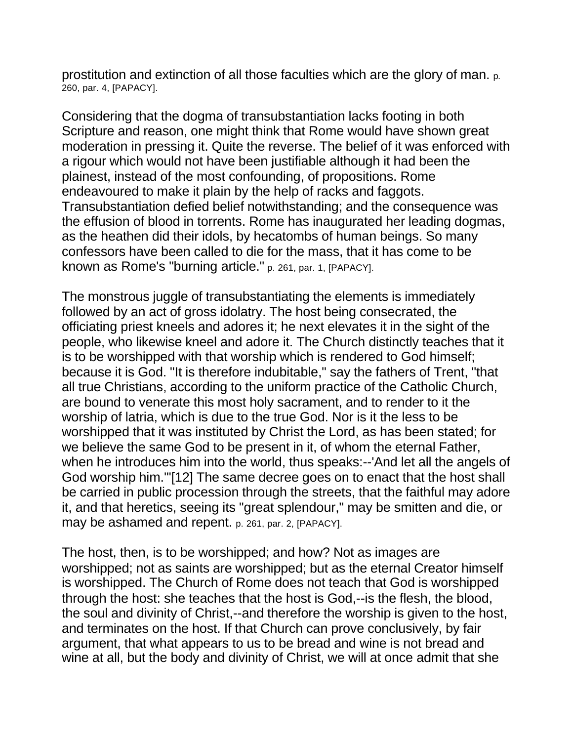prostitution and extinction of all those faculties which are the glory of man. p. 260, par. 4, [PAPACY].

Considering that the dogma of transubstantiation lacks footing in both Scripture and reason, one might think that Rome would have shown great moderation in pressing it. Quite the reverse. The belief of it was enforced with a rigour which would not have been justifiable although it had been the plainest, instead of the most confounding, of propositions. Rome endeavoured to make it plain by the help of racks and faggots. Transubstantiation defied belief notwithstanding; and the consequence was the effusion of blood in torrents. Rome has inaugurated her leading dogmas, as the heathen did their idols, by hecatombs of human beings. So many confessors have been called to die for the mass, that it has come to be known as Rome's "burning article." p. 261, par. 1, [PAPACY].

The monstrous juggle of transubstantiating the elements is immediately followed by an act of gross idolatry. The host being consecrated, the officiating priest kneels and adores it; he next elevates it in the sight of the people, who likewise kneel and adore it. The Church distinctly teaches that it is to be worshipped with that worship which is rendered to God himself; because it is God. "It is therefore indubitable," say the fathers of Trent, "that all true Christians, according to the uniform practice of the Catholic Church, are bound to venerate this most holy sacrament, and to render to it the worship of latria, which is due to the true God. Nor is it the less to be worshipped that it was instituted by Christ the Lord, as has been stated; for we believe the same God to be present in it, of whom the eternal Father, when he introduces him into the world, thus speaks:--'And let all the angels of God worship him.'"[12] The same decree goes on to enact that the host shall be carried in public procession through the streets, that the faithful may adore it, and that heretics, seeing its "great splendour," may be smitten and die, or may be ashamed and repent. p. 261, par. 2, [PAPACY].

The host, then, is to be worshipped; and how? Not as images are worshipped; not as saints are worshipped; but as the eternal Creator himself is worshipped. The Church of Rome does not teach that God is worshipped through the host: she teaches that the host is God,--is the flesh, the blood, the soul and divinity of Christ,--and therefore the worship is given to the host, and terminates on the host. If that Church can prove conclusively, by fair argument, that what appears to us to be bread and wine is not bread and wine at all, but the body and divinity of Christ, we will at once admit that she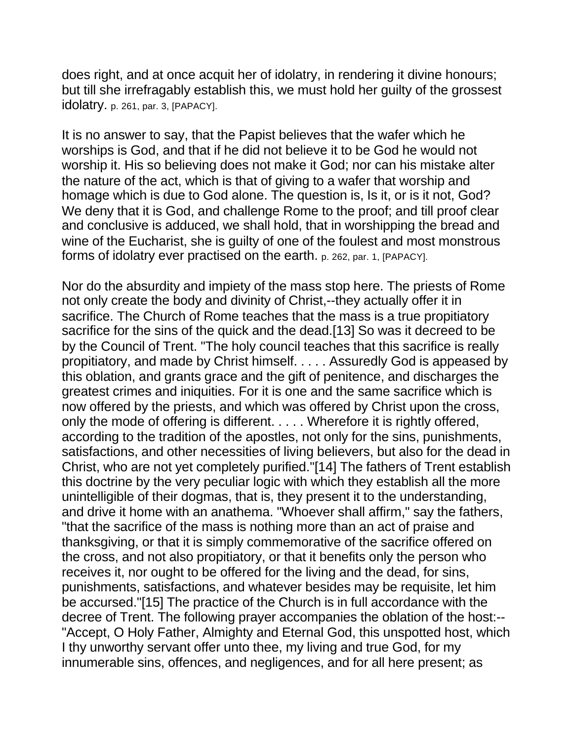does right, and at once acquit her of idolatry, in rendering it divine honours; but till she irrefragably establish this, we must hold her guilty of the grossest idolatry. p. 261, par. 3, [PAPACY].

It is no answer to say, that the Papist believes that the wafer which he worships is God, and that if he did not believe it to be God he would not worship it. His so believing does not make it God; nor can his mistake alter the nature of the act, which is that of giving to a wafer that worship and homage which is due to God alone. The question is, Is it, or is it not, God? We deny that it is God, and challenge Rome to the proof; and till proof clear and conclusive is adduced, we shall hold, that in worshipping the bread and wine of the Eucharist, she is guilty of one of the foulest and most monstrous forms of idolatry ever practised on the earth. p. 262, par. 1, [PAPACY].

Nor do the absurdity and impiety of the mass stop here. The priests of Rome not only create the body and divinity of Christ,--they actually offer it in sacrifice. The Church of Rome teaches that the mass is a true propitiatory sacrifice for the sins of the quick and the dead.[13] So was it decreed to be by the Council of Trent. "The holy council teaches that this sacrifice is really propitiatory, and made by Christ himself. . . . . Assuredly God is appeased by this oblation, and grants grace and the gift of penitence, and discharges the greatest crimes and iniquities. For it is one and the same sacrifice which is now offered by the priests, and which was offered by Christ upon the cross, only the mode of offering is different. . . . . Wherefore it is rightly offered, according to the tradition of the apostles, not only for the sins, punishments, satisfactions, and other necessities of living believers, but also for the dead in Christ, who are not yet completely purified."[14] The fathers of Trent establish this doctrine by the very peculiar logic with which they establish all the more unintelligible of their dogmas, that is, they present it to the understanding, and drive it home with an anathema. "Whoever shall affirm," say the fathers, "that the sacrifice of the mass is nothing more than an act of praise and thanksgiving, or that it is simply commemorative of the sacrifice offered on the cross, and not also propitiatory, or that it benefits only the person who receives it, nor ought to be offered for the living and the dead, for sins, punishments, satisfactions, and whatever besides may be requisite, let him be accursed."[15] The practice of the Church is in full accordance with the decree of Trent. The following prayer accompanies the oblation of the host:-- "Accept, O Holy Father, Almighty and Eternal God, this unspotted host, which I thy unworthy servant offer unto thee, my living and true God, for my innumerable sins, offences, and negligences, and for all here present; as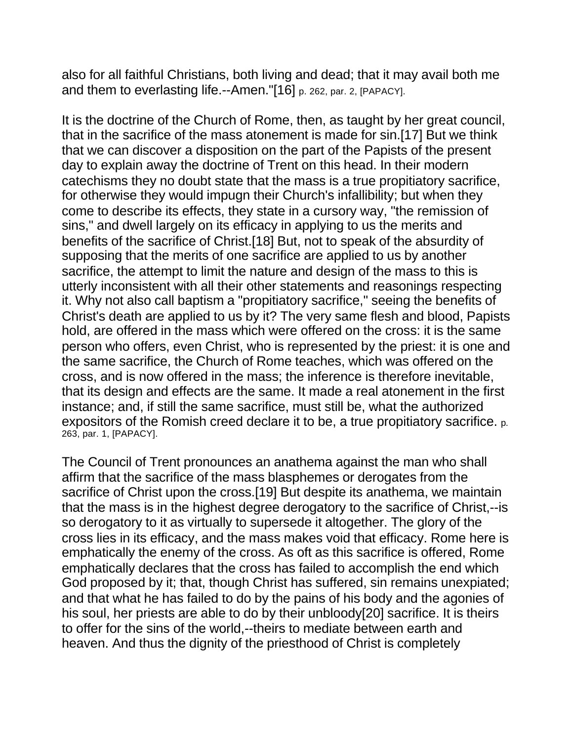also for all faithful Christians, both living and dead; that it may avail both me and them to everlasting life.--Amen."[16] p. 262, par. 2, [PAPACY].

It is the doctrine of the Church of Rome, then, as taught by her great council, that in the sacrifice of the mass atonement is made for sin.[17] But we think that we can discover a disposition on the part of the Papists of the present day to explain away the doctrine of Trent on this head. In their modern catechisms they no doubt state that the mass is a true propitiatory sacrifice, for otherwise they would impugn their Church's infallibility; but when they come to describe its effects, they state in a cursory way, "the remission of sins," and dwell largely on its efficacy in applying to us the merits and benefits of the sacrifice of Christ.[18] But, not to speak of the absurdity of supposing that the merits of one sacrifice are applied to us by another sacrifice, the attempt to limit the nature and design of the mass to this is utterly inconsistent with all their other statements and reasonings respecting it. Why not also call baptism a "propitiatory sacrifice," seeing the benefits of Christ's death are applied to us by it? The very same flesh and blood, Papists hold, are offered in the mass which were offered on the cross: it is the same person who offers, even Christ, who is represented by the priest: it is one and the same sacrifice, the Church of Rome teaches, which was offered on the cross, and is now offered in the mass; the inference is therefore inevitable, that its design and effects are the same. It made a real atonement in the first instance; and, if still the same sacrifice, must still be, what the authorized expositors of the Romish creed declare it to be, a true propitiatory sacrifice. p. 263, par. 1, [PAPACY].

The Council of Trent pronounces an anathema against the man who shall affirm that the sacrifice of the mass blasphemes or derogates from the sacrifice of Christ upon the cross.[19] But despite its anathema, we maintain that the mass is in the highest degree derogatory to the sacrifice of Christ,--is so derogatory to it as virtually to supersede it altogether. The glory of the cross lies in its efficacy, and the mass makes void that efficacy. Rome here is emphatically the enemy of the cross. As oft as this sacrifice is offered, Rome emphatically declares that the cross has failed to accomplish the end which God proposed by it; that, though Christ has suffered, sin remains unexpiated; and that what he has failed to do by the pains of his body and the agonies of his soul, her priests are able to do by their unbloody[20] sacrifice. It is theirs to offer for the sins of the world,--theirs to mediate between earth and heaven. And thus the dignity of the priesthood of Christ is completely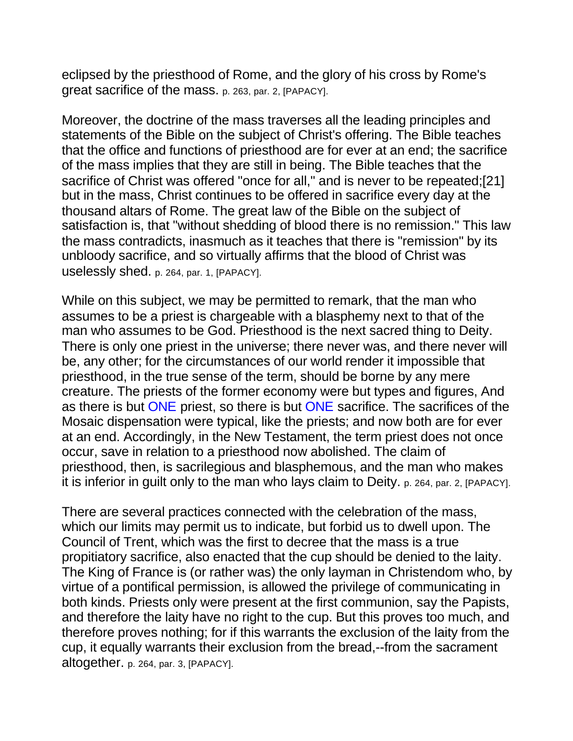eclipsed by the priesthood of Rome, and the glory of his cross by Rome's great sacrifice of the mass. p. 263, par. 2, [PAPACY].

Moreover, the doctrine of the mass traverses all the leading principles and statements of the Bible on the subject of Christ's offering. The Bible teaches that the office and functions of priesthood are for ever at an end; the sacrifice of the mass implies that they are still in being. The Bible teaches that the sacrifice of Christ was offered "once for all," and is never to be repeated;[21] but in the mass, Christ continues to be offered in sacrifice every day at the thousand altars of Rome. The great law of the Bible on the subject of satisfaction is, that "without shedding of blood there is no remission." This law the mass contradicts, inasmuch as it teaches that there is "remission" by its unbloody sacrifice, and so virtually affirms that the blood of Christ was uselessly shed. p. 264, par. 1, [PAPACY].

While on this subject, we may be permitted to remark, that the man who assumes to be a priest is chargeable with a blasphemy next to that of the man who assumes to be God. Priesthood is the next sacred thing to Deity. There is only one priest in the universe; there never was, and there never will be, any other; for the circumstances of our world render it impossible that priesthood, in the true sense of the term, should be borne by any mere creature. The priests of the former economy were but types and figures, And as there is but ONE priest, so there is but ONE sacrifice. The sacrifices of the Mosaic dispensation were typical, like the priests; and now both are for ever at an end. Accordingly, in the New Testament, the term priest does not once occur, save in relation to a priesthood now abolished. The claim of priesthood, then, is sacrilegious and blasphemous, and the man who makes it is inferior in guilt only to the man who lays claim to Deity. p. 264, par. 2, [PAPACY].

There are several practices connected with the celebration of the mass, which our limits may permit us to indicate, but forbid us to dwell upon. The Council of Trent, which was the first to decree that the mass is a true propitiatory sacrifice, also enacted that the cup should be denied to the laity. The King of France is (or rather was) the only layman in Christendom who, by virtue of a pontifical permission, is allowed the privilege of communicating in both kinds. Priests only were present at the first communion, say the Papists, and therefore the laity have no right to the cup. But this proves too much, and therefore proves nothing; for if this warrants the exclusion of the laity from the cup, it equally warrants their exclusion from the bread,--from the sacrament altogether. p. 264, par. 3, [PAPACY].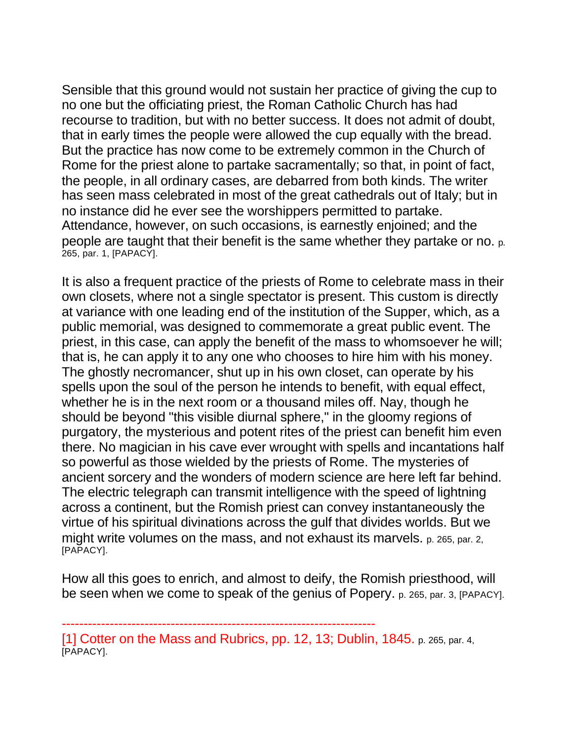Sensible that this ground would not sustain her practice of giving the cup to no one but the officiating priest, the Roman Catholic Church has had recourse to tradition, but with no better success. It does not admit of doubt, that in early times the people were allowed the cup equally with the bread. But the practice has now come to be extremely common in the Church of Rome for the priest alone to partake sacramentally; so that, in point of fact, the people, in all ordinary cases, are debarred from both kinds. The writer has seen mass celebrated in most of the great cathedrals out of Italy; but in no instance did he ever see the worshippers permitted to partake. Attendance, however, on such occasions, is earnestly enjoined; and the people are taught that their benefit is the same whether they partake or no. p. 265, par. 1, [PAPACY].

It is also a frequent practice of the priests of Rome to celebrate mass in their own closets, where not a single spectator is present. This custom is directly at variance with one leading end of the institution of the Supper, which, as a public memorial, was designed to commemorate a great public event. The priest, in this case, can apply the benefit of the mass to whomsoever he will; that is, he can apply it to any one who chooses to hire him with his money. The ghostly necromancer, shut up in his own closet, can operate by his spells upon the soul of the person he intends to benefit, with equal effect, whether he is in the next room or a thousand miles off. Nay, though he should be beyond "this visible diurnal sphere," in the gloomy regions of purgatory, the mysterious and potent rites of the priest can benefit him even there. No magician in his cave ever wrought with spells and incantations half so powerful as those wielded by the priests of Rome. The mysteries of ancient sorcery and the wonders of modern science are here left far behind. The electric telegraph can transmit intelligence with the speed of lightning across a continent, but the Romish priest can convey instantaneously the virtue of his spiritual divinations across the gulf that divides worlds. But we might write volumes on the mass, and not exhaust its marvels. p. 265, par. 2, [PAPACY].

How all this goes to enrich, and almost to deify, the Romish priesthood, will be seen when we come to speak of the genius of Popery. p. 265, par. 3, [PAPACY].

[1] Cotter on the Mass and Rubrics, pp. 12, 13; Dublin, 1845. p. 265, par. 4, [PAPACY].

<sup>------------------------------------------------------------------------</sup>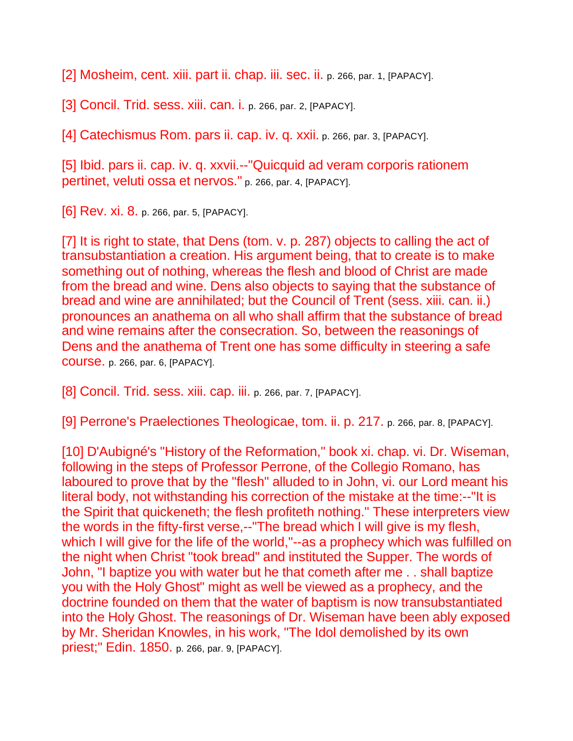[2] Mosheim, cent. xiii. part ii. chap. iii. sec. ii. p. 266, par. 1, [PAPACY].

[3] Concil. Trid. sess. xiii. can. i. p. 266, par. 2, [PAPACY].

[4] Catechismus Rom. pars ii. cap. iv. q. xxii. p. 266, par. 3, [PAPACY].

[5] Ibid. pars ii. cap. iv. q. xxvii.--"Quicquid ad veram corporis rationem pertinet, veluti ossa et nervos." p. 266, par. 4, [PAPACY].

[6] Rev. xi. 8. p. 266, par. 5, [PAPACY].

[7] It is right to state, that Dens (tom. v. p. 287) objects to calling the act of transubstantiation a creation. His argument being, that to create is to make something out of nothing, whereas the flesh and blood of Christ are made from the bread and wine. Dens also objects to saying that the substance of bread and wine are annihilated; but the Council of Trent (sess. xiii. can. ii.) pronounces an anathema on all who shall affirm that the substance of bread and wine remains after the consecration. So, between the reasonings of Dens and the anathema of Trent one has some difficulty in steering a safe course. p. 266, par. 6, [PAPACY].

[8] Concil. Trid. sess. xiii. cap. iii. p. 266, par. 7, [PAPACY].

[9] Perrone's Praelectiones Theologicae, tom. ii. p. 217. p. 266, par. 8, [PAPACY].

[10] D'Aubigné's "History of the Reformation," book xi. chap. vi. Dr. Wiseman, following in the steps of Professor Perrone, of the Collegio Romano, has laboured to prove that by the "flesh" alluded to in John, vi. our Lord meant his literal body, not withstanding his correction of the mistake at the time:--"It is the Spirit that quickeneth; the flesh profiteth nothing." These interpreters view the words in the fifty-first verse,--"The bread which I will give is my flesh, which I will give for the life of the world,"--as a prophecy which was fulfilled on the night when Christ "took bread" and instituted the Supper. The words of John, "I baptize you with water but he that cometh after me . . shall baptize you with the Holy Ghost" might as well be viewed as a prophecy, and the doctrine founded on them that the water of baptism is now transubstantiated into the Holy Ghost. The reasonings of Dr. Wiseman have been ably exposed by Mr. Sheridan Knowles, in his work, "The Idol demolished by its own priest;" Edin. 1850. p. 266, par. 9, [PAPACY].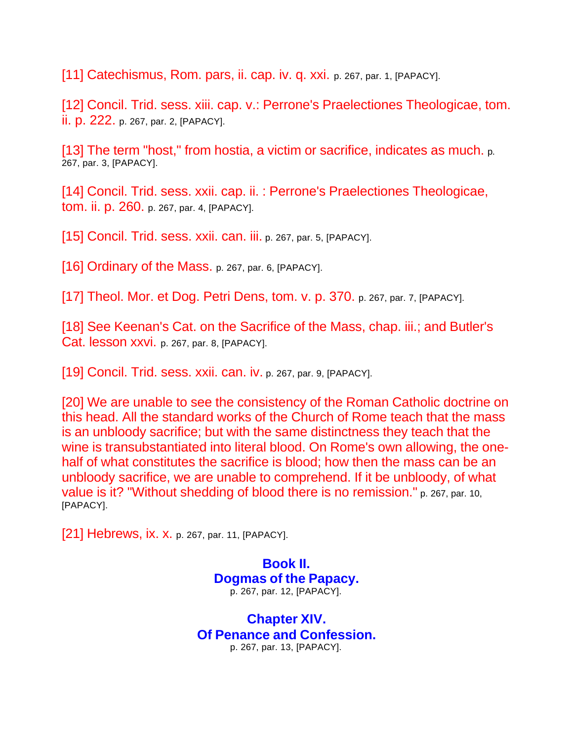[11] Catechismus, Rom. pars, ii. cap. iv. q. xxi. p. 267, par. 1, [PAPACY].

[12] Concil. Trid. sess. xiii. cap. v.: Perrone's Praelectiones Theologicae, tom. ii. p. 222. p. 267, par. 2, [PAPACY].

[13] The term "host," from hostia, a victim or sacrifice, indicates as much. p. 267, par. 3, [PAPACY].

[14] Concil. Trid. sess. xxii. cap. ii. : Perrone's Praelectiones Theologicae, tom. ii. p. 260. p. 267, par. 4, [PAPACY].

[15] Concil. Trid. sess.  $xxii$ . can.  $iii$ . p. 267, par. 5, [PAPACY].

[16] Ordinary of the Mass. p. 267, par. 6, [PAPACY].

[17] Theol. Mor. et Dog. Petri Dens, tom. v. p. 370. p. 267, par. 7, [PAPACY].

[18] See Keenan's Cat. on the Sacrifice of the Mass, chap. iii.; and Butler's Cat. lesson xxvi. p. 267, par. 8, [PAPACY].

[19] Concil. Trid. sess. xxii. can. iv. p. 267, par. 9, [PAPACY].

[20] We are unable to see the consistency of the Roman Catholic doctrine on this head. All the standard works of the Church of Rome teach that the mass is an unbloody sacrifice; but with the same distinctness they teach that the wine is transubstantiated into literal blood. On Rome's own allowing, the onehalf of what constitutes the sacrifice is blood; how then the mass can be an unbloody sacrifice, we are unable to comprehend. If it be unbloody, of what value is it? "Without shedding of blood there is no remission." p. 267, par. 10, [PAPACY].

[21] Hebrews, ix. x. p. 267, par. 11, [PAPACY].

**Book II. Dogmas of the Papacy.** p. 267, par. 12, [PAPACY].

**Chapter XIV. Of Penance and Confession.** p. 267, par. 13, [PAPACY].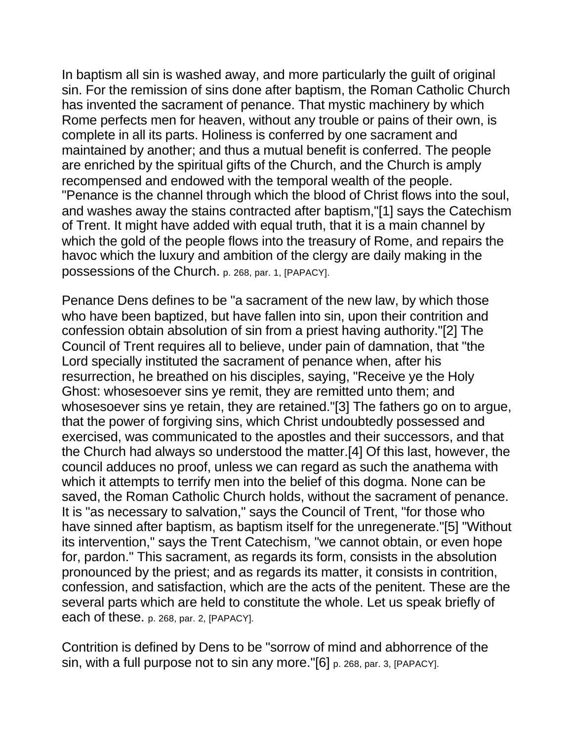In baptism all sin is washed away, and more particularly the guilt of original sin. For the remission of sins done after baptism, the Roman Catholic Church has invented the sacrament of penance. That mystic machinery by which Rome perfects men for heaven, without any trouble or pains of their own, is complete in all its parts. Holiness is conferred by one sacrament and maintained by another; and thus a mutual benefit is conferred. The people are enriched by the spiritual gifts of the Church, and the Church is amply recompensed and endowed with the temporal wealth of the people. "Penance is the channel through which the blood of Christ flows into the soul, and washes away the stains contracted after baptism,"[1] says the Catechism of Trent. It might have added with equal truth, that it is a main channel by which the gold of the people flows into the treasury of Rome, and repairs the havoc which the luxury and ambition of the clergy are daily making in the possessions of the Church. p. 268, par. 1, [PAPACY].

Penance Dens defines to be "a sacrament of the new law, by which those who have been baptized, but have fallen into sin, upon their contrition and confession obtain absolution of sin from a priest having authority."[2] The Council of Trent requires all to believe, under pain of damnation, that "the Lord specially instituted the sacrament of penance when, after his resurrection, he breathed on his disciples, saying, "Receive ye the Holy Ghost: whosesoever sins ye remit, they are remitted unto them; and whosesoever sins ye retain, they are retained."[3] The fathers go on to argue, that the power of forgiving sins, which Christ undoubtedly possessed and exercised, was communicated to the apostles and their successors, and that the Church had always so understood the matter.[4] Of this last, however, the council adduces no proof, unless we can regard as such the anathema with which it attempts to terrify men into the belief of this dogma. None can be saved, the Roman Catholic Church holds, without the sacrament of penance. It is "as necessary to salvation," says the Council of Trent, "for those who have sinned after baptism, as baptism itself for the unregenerate."[5] "Without its intervention," says the Trent Catechism, "we cannot obtain, or even hope for, pardon." This sacrament, as regards its form, consists in the absolution pronounced by the priest; and as regards its matter, it consists in contrition, confession, and satisfaction, which are the acts of the penitent. These are the several parts which are held to constitute the whole. Let us speak briefly of each of these. p. 268, par. 2, [PAPACY].

Contrition is defined by Dens to be "sorrow of mind and abhorrence of the sin, with a full purpose not to sin any more."[6] p. 268, par. 3, [PAPACY].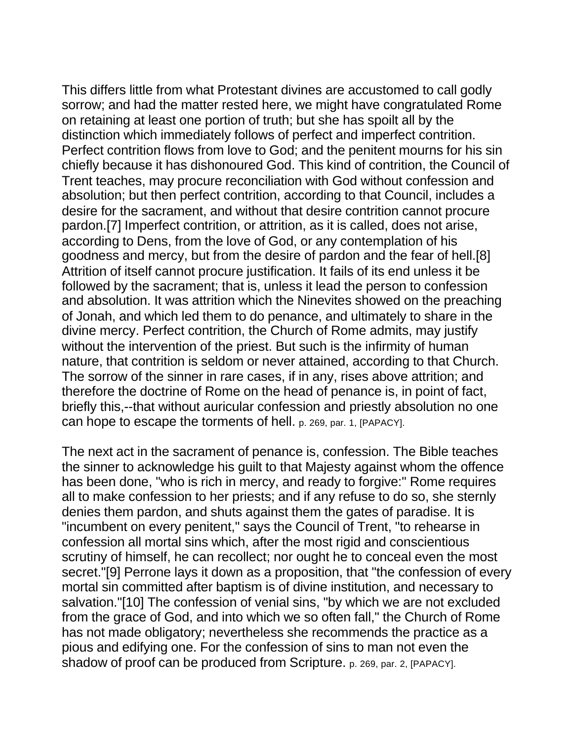This differs little from what Protestant divines are accustomed to call godly sorrow; and had the matter rested here, we might have congratulated Rome on retaining at least one portion of truth; but she has spoilt all by the distinction which immediately follows of perfect and imperfect contrition. Perfect contrition flows from love to God; and the penitent mourns for his sin chiefly because it has dishonoured God. This kind of contrition, the Council of Trent teaches, may procure reconciliation with God without confession and absolution; but then perfect contrition, according to that Council, includes a desire for the sacrament, and without that desire contrition cannot procure pardon.[7] Imperfect contrition, or attrition, as it is called, does not arise, according to Dens, from the love of God, or any contemplation of his goodness and mercy, but from the desire of pardon and the fear of hell.[8] Attrition of itself cannot procure justification. It fails of its end unless it be followed by the sacrament; that is, unless it lead the person to confession and absolution. It was attrition which the Ninevites showed on the preaching of Jonah, and which led them to do penance, and ultimately to share in the divine mercy. Perfect contrition, the Church of Rome admits, may justify without the intervention of the priest. But such is the infirmity of human nature, that contrition is seldom or never attained, according to that Church. The sorrow of the sinner in rare cases, if in any, rises above attrition; and therefore the doctrine of Rome on the head of penance is, in point of fact, briefly this,--that without auricular confession and priestly absolution no one can hope to escape the torments of hell. p. 269, par. 1, [PAPACY].

The next act in the sacrament of penance is, confession. The Bible teaches the sinner to acknowledge his guilt to that Majesty against whom the offence has been done, "who is rich in mercy, and ready to forgive:" Rome requires all to make confession to her priests; and if any refuse to do so, she sternly denies them pardon, and shuts against them the gates of paradise. It is "incumbent on every penitent," says the Council of Trent, "to rehearse in confession all mortal sins which, after the most rigid and conscientious scrutiny of himself, he can recollect; nor ought he to conceal even the most secret."[9] Perrone lays it down as a proposition, that "the confession of every mortal sin committed after baptism is of divine institution, and necessary to salvation."[10] The confession of venial sins, "by which we are not excluded from the grace of God, and into which we so often fall," the Church of Rome has not made obligatory; nevertheless she recommends the practice as a pious and edifying one. For the confession of sins to man not even the shadow of proof can be produced from Scripture. p. 269, par. 2, [PAPACY].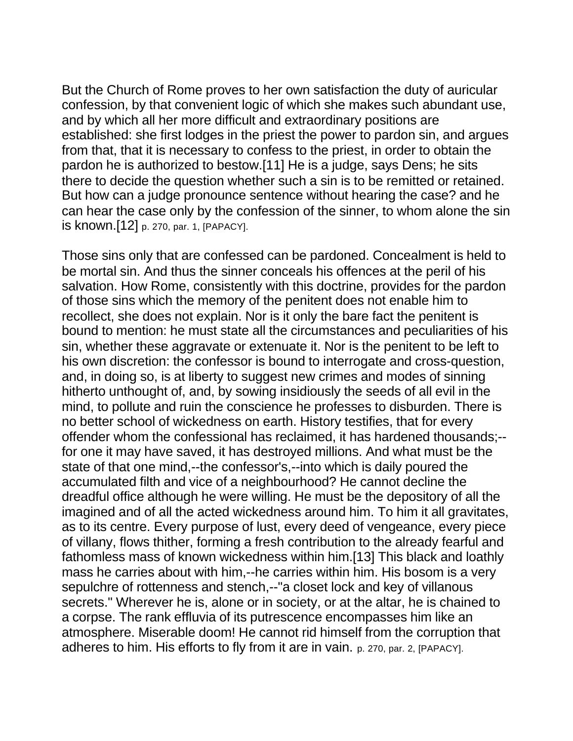But the Church of Rome proves to her own satisfaction the duty of auricular confession, by that convenient logic of which she makes such abundant use, and by which all her more difficult and extraordinary positions are established: she first lodges in the priest the power to pardon sin, and argues from that, that it is necessary to confess to the priest, in order to obtain the pardon he is authorized to bestow.[11] He is a judge, says Dens; he sits there to decide the question whether such a sin is to be remitted or retained. But how can a judge pronounce sentence without hearing the case? and he can hear the case only by the confession of the sinner, to whom alone the sin is known.[12] p. 270, par. 1, [PAPACY].

Those sins only that are confessed can be pardoned. Concealment is held to be mortal sin. And thus the sinner conceals his offences at the peril of his salvation. How Rome, consistently with this doctrine, provides for the pardon of those sins which the memory of the penitent does not enable him to recollect, she does not explain. Nor is it only the bare fact the penitent is bound to mention: he must state all the circumstances and peculiarities of his sin, whether these aggravate or extenuate it. Nor is the penitent to be left to his own discretion: the confessor is bound to interrogate and cross-question, and, in doing so, is at liberty to suggest new crimes and modes of sinning hitherto unthought of, and, by sowing insidiously the seeds of all evil in the mind, to pollute and ruin the conscience he professes to disburden. There is no better school of wickedness on earth. History testifies, that for every offender whom the confessional has reclaimed, it has hardened thousands;- for one it may have saved, it has destroyed millions. And what must be the state of that one mind,--the confessor's,--into which is daily poured the accumulated filth and vice of a neighbourhood? He cannot decline the dreadful office although he were willing. He must be the depository of all the imagined and of all the acted wickedness around him. To him it all gravitates, as to its centre. Every purpose of lust, every deed of vengeance, every piece of villany, flows thither, forming a fresh contribution to the already fearful and fathomless mass of known wickedness within him.[13] This black and loathly mass he carries about with him,--he carries within him. His bosom is a very sepulchre of rottenness and stench,--"a closet lock and key of villanous secrets." Wherever he is, alone or in society, or at the altar, he is chained to a corpse. The rank effluvia of its putrescence encompasses him like an atmosphere. Miserable doom! He cannot rid himself from the corruption that adheres to him. His efforts to fly from it are in vain. p. 270, par. 2, [PAPACY].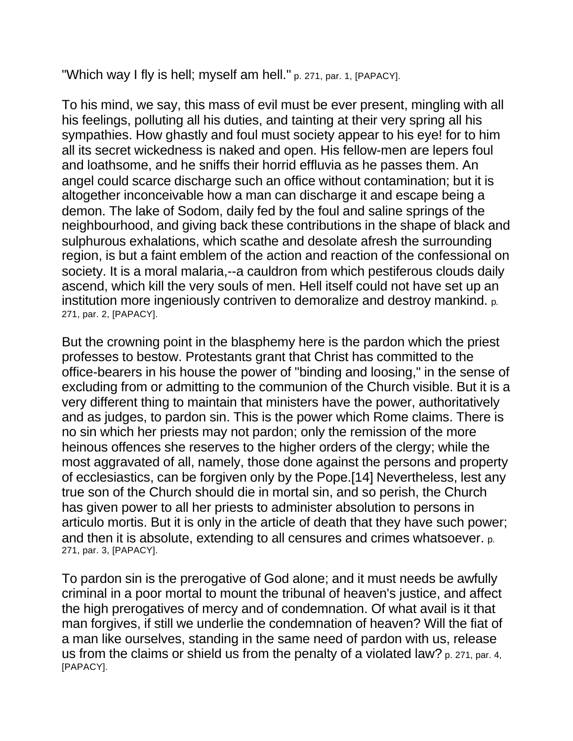"Which way I fly is hell; myself am hell." p. 271, par. 1, [PAPACY].

To his mind, we say, this mass of evil must be ever present, mingling with all his feelings, polluting all his duties, and tainting at their very spring all his sympathies. How ghastly and foul must society appear to his eye! for to him all its secret wickedness is naked and open. His fellow-men are lepers foul and loathsome, and he sniffs their horrid effluvia as he passes them. An angel could scarce discharge such an office without contamination; but it is altogether inconceivable how a man can discharge it and escape being a demon. The lake of Sodom, daily fed by the foul and saline springs of the neighbourhood, and giving back these contributions in the shape of black and sulphurous exhalations, which scathe and desolate afresh the surrounding region, is but a faint emblem of the action and reaction of the confessional on society. It is a moral malaria,--a cauldron from which pestiferous clouds daily ascend, which kill the very souls of men. Hell itself could not have set up an institution more ingeniously contriven to demoralize and destroy mankind. p. 271, par. 2, [PAPACY].

But the crowning point in the blasphemy here is the pardon which the priest professes to bestow. Protestants grant that Christ has committed to the office-bearers in his house the power of "binding and loosing," in the sense of excluding from or admitting to the communion of the Church visible. But it is a very different thing to maintain that ministers have the power, authoritatively and as judges, to pardon sin. This is the power which Rome claims. There is no sin which her priests may not pardon; only the remission of the more heinous offences she reserves to the higher orders of the clergy; while the most aggravated of all, namely, those done against the persons and property of ecclesiastics, can be forgiven only by the Pope.[14] Nevertheless, lest any true son of the Church should die in mortal sin, and so perish, the Church has given power to all her priests to administer absolution to persons in articulo mortis. But it is only in the article of death that they have such power; and then it is absolute, extending to all censures and crimes whatsoever. p. 271, par. 3, [PAPACY].

To pardon sin is the prerogative of God alone; and it must needs be awfully criminal in a poor mortal to mount the tribunal of heaven's justice, and affect the high prerogatives of mercy and of condemnation. Of what avail is it that man forgives, if still we underlie the condemnation of heaven? Will the fiat of a man like ourselves, standing in the same need of pardon with us, release us from the claims or shield us from the penalty of a violated law? p. 271, par. 4, [PAPACY].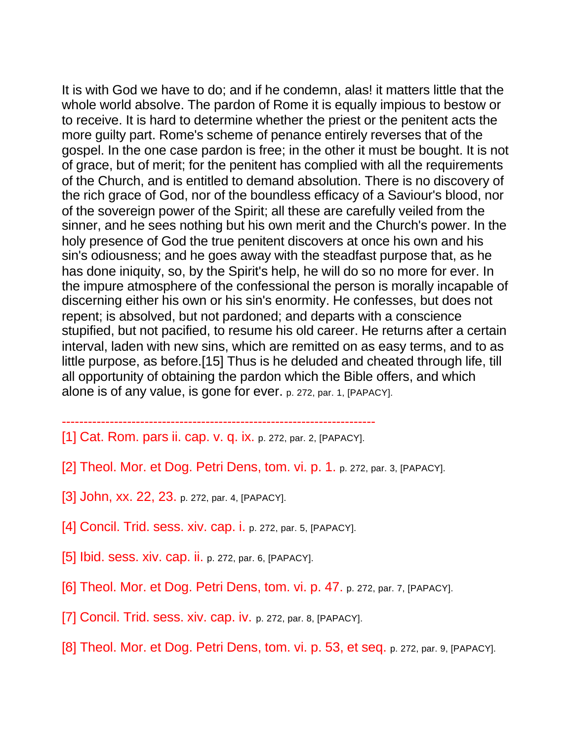It is with God we have to do; and if he condemn, alas! it matters little that the whole world absolve. The pardon of Rome it is equally impious to bestow or to receive. It is hard to determine whether the priest or the penitent acts the more guilty part. Rome's scheme of penance entirely reverses that of the gospel. In the one case pardon is free; in the other it must be bought. It is not of grace, but of merit; for the penitent has complied with all the requirements of the Church, and is entitled to demand absolution. There is no discovery of the rich grace of God, nor of the boundless efficacy of a Saviour's blood, nor of the sovereign power of the Spirit; all these are carefully veiled from the sinner, and he sees nothing but his own merit and the Church's power. In the holy presence of God the true penitent discovers at once his own and his sin's odiousness; and he goes away with the steadfast purpose that, as he has done iniquity, so, by the Spirit's help, he will do so no more for ever. In the impure atmosphere of the confessional the person is morally incapable of discerning either his own or his sin's enormity. He confesses, but does not repent; is absolved, but not pardoned; and departs with a conscience stupified, but not pacified, to resume his old career. He returns after a certain interval, laden with new sins, which are remitted on as easy terms, and to as little purpose, as before.[15] Thus is he deluded and cheated through life, till all opportunity of obtaining the pardon which the Bible offers, and which alone is of any value, is gone for ever. p. 272, par. 1, [PAPACY].

- ------------------------------------------------------------------------ [1] Cat. Rom. pars ii. cap. v. q. ix. p. 272, par. 2, [PAPACY].
- [2] Theol. Mor. et Dog. Petri Dens, tom. vi. p. 1. p. 272, par. 3, [PAPACY].
- [3] John, xx. 22, 23. p. 272, par. 4, [PAPACY].
- [4] Concil. Trid. sess. xiv. cap. i. p. 272, par. 5, [PAPACY].
- [5] Ibid. sess. xiv. cap. ii. p. 272, par. 6, [PAPACY].
- [6] Theol. Mor. et Dog. Petri Dens, tom. vi. p. 47. p. 272, par. 7, [PAPACY].
- [7] Concil. Trid. sess. xiv. cap. iv. p. 272, par. 8, [PAPACY].
- [8] Theol. Mor. et Dog. Petri Dens, tom. vi. p. 53, et seq. p. 272, par. 9, [PAPACY].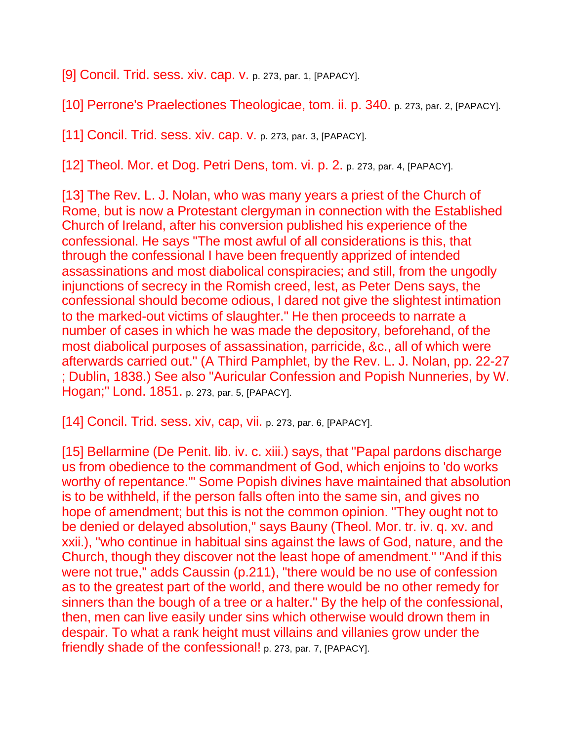[9] Concil. Trid. sess. xiv. cap. v. p. 273, par. 1, [PAPACY].

[10] Perrone's Praelectiones Theologicae, tom. ii. p. 340. p. 273, par. 2, [PAPACY].

[11] Concil. Trid. sess. xiv. cap. v. p. 273, par. 3, [PAPACY].

[12] Theol. Mor. et Dog. Petri Dens, tom. vi. p. 2. p. 273, par. 4, [PAPACY].

[13] The Rev. L. J. Nolan, who was many years a priest of the Church of Rome, but is now a Protestant clergyman in connection with the Established Church of Ireland, after his conversion published his experience of the confessional. He says "The most awful of all considerations is this, that through the confessional I have been frequently apprized of intended assassinations and most diabolical conspiracies; and still, from the ungodly injunctions of secrecy in the Romish creed, lest, as Peter Dens says, the confessional should become odious, I dared not give the slightest intimation to the marked-out victims of slaughter." He then proceeds to narrate a number of cases in which he was made the depository, beforehand, of the most diabolical purposes of assassination, parricide, &c., all of which were afterwards carried out." (A Third Pamphlet, by the Rev. L. J. Nolan, pp. 22-27 ; Dublin, 1838.) See also "Auricular Confession and Popish Nunneries, by W. Hogan;" Lond. 1851. p. 273, par. 5, [PAPACY].

[14] Concil. Trid. sess. xiv, cap, vii. p. 273, par. 6, [PAPACY].

[15] Bellarmine (De Penit. lib. iv. c. xiii.) says, that "Papal pardons discharge us from obedience to the commandment of God, which enjoins to 'do works worthy of repentance.'" Some Popish divines have maintained that absolution is to be withheld, if the person falls often into the same sin, and gives no hope of amendment; but this is not the common opinion. "They ought not to be denied or delayed absolution," says Bauny (Theol. Mor. tr. iv. q. xv. and xxii.), "who continue in habitual sins against the laws of God, nature, and the Church, though they discover not the least hope of amendment." "And if this were not true," adds Caussin (p.211), "there would be no use of confession as to the greatest part of the world, and there would be no other remedy for sinners than the bough of a tree or a halter." By the help of the confessional, then, men can live easily under sins which otherwise would drown them in despair. To what a rank height must villains and villanies grow under the friendly shade of the confessional! p. 273, par. 7, [PAPACY].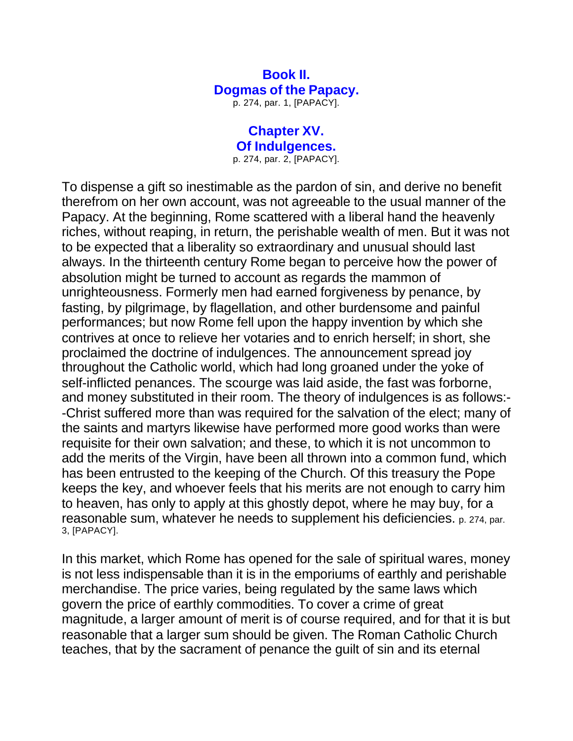## **Book II. Dogmas of the Papacy.**

p. 274, par. 1, [PAPACY].

#### **Chapter XV. Of Indulgences.** p. 274, par. 2, [PAPACY].

To dispense a gift so inestimable as the pardon of sin, and derive no benefit therefrom on her own account, was not agreeable to the usual manner of the Papacy. At the beginning, Rome scattered with a liberal hand the heavenly riches, without reaping, in return, the perishable wealth of men. But it was not to be expected that a liberality so extraordinary and unusual should last always. In the thirteenth century Rome began to perceive how the power of absolution might be turned to account as regards the mammon of unrighteousness. Formerly men had earned forgiveness by penance, by fasting, by pilgrimage, by flagellation, and other burdensome and painful performances; but now Rome fell upon the happy invention by which she contrives at once to relieve her votaries and to enrich herself; in short, she proclaimed the doctrine of indulgences. The announcement spread joy throughout the Catholic world, which had long groaned under the yoke of self-inflicted penances. The scourge was laid aside, the fast was forborne, and money substituted in their room. The theory of indulgences is as follows:- -Christ suffered more than was required for the salvation of the elect; many of the saints and martyrs likewise have performed more good works than were requisite for their own salvation; and these, to which it is not uncommon to add the merits of the Virgin, have been all thrown into a common fund, which has been entrusted to the keeping of the Church. Of this treasury the Pope keeps the key, and whoever feels that his merits are not enough to carry him to heaven, has only to apply at this ghostly depot, where he may buy, for a reasonable sum, whatever he needs to supplement his deficiencies. p. 274, par. 3, [PAPACY].

In this market, which Rome has opened for the sale of spiritual wares, money is not less indispensable than it is in the emporiums of earthly and perishable merchandise. The price varies, being regulated by the same laws which govern the price of earthly commodities. To cover a crime of great magnitude, a larger amount of merit is of course required, and for that it is but reasonable that a larger sum should be given. The Roman Catholic Church teaches, that by the sacrament of penance the guilt of sin and its eternal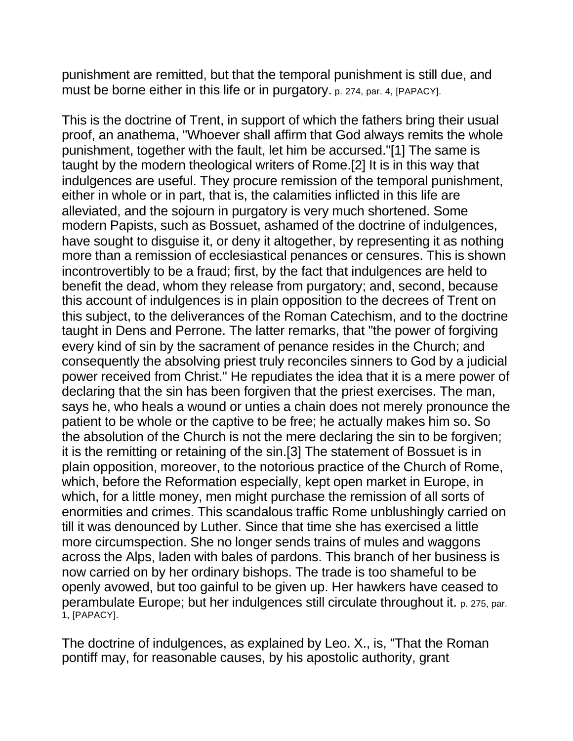punishment are remitted, but that the temporal punishment is still due, and must be borne either in this life or in purgatory. p. 274, par. 4, [PAPACY].

This is the doctrine of Trent, in support of which the fathers bring their usual proof, an anathema, "Whoever shall affirm that God always remits the whole punishment, together with the fault, let him be accursed."[1] The same is taught by the modern theological writers of Rome.[2] It is in this way that indulgences are useful. They procure remission of the temporal punishment, either in whole or in part, that is, the calamities inflicted in this life are alleviated, and the sojourn in purgatory is very much shortened. Some modern Papists, such as Bossuet, ashamed of the doctrine of indulgences, have sought to disguise it, or deny it altogether, by representing it as nothing more than a remission of ecclesiastical penances or censures. This is shown incontrovertibly to be a fraud; first, by the fact that indulgences are held to benefit the dead, whom they release from purgatory; and, second, because this account of indulgences is in plain opposition to the decrees of Trent on this subject, to the deliverances of the Roman Catechism, and to the doctrine taught in Dens and Perrone. The latter remarks, that "the power of forgiving every kind of sin by the sacrament of penance resides in the Church; and consequently the absolving priest truly reconciles sinners to God by a judicial power received from Christ." He repudiates the idea that it is a mere power of declaring that the sin has been forgiven that the priest exercises. The man, says he, who heals a wound or unties a chain does not merely pronounce the patient to be whole or the captive to be free; he actually makes him so. So the absolution of the Church is not the mere declaring the sin to be forgiven; it is the remitting or retaining of the sin.[3] The statement of Bossuet is in plain opposition, moreover, to the notorious practice of the Church of Rome, which, before the Reformation especially, kept open market in Europe, in which, for a little money, men might purchase the remission of all sorts of enormities and crimes. This scandalous traffic Rome unblushingly carried on till it was denounced by Luther. Since that time she has exercised a little more circumspection. She no longer sends trains of mules and waggons across the Alps, laden with bales of pardons. This branch of her business is now carried on by her ordinary bishops. The trade is too shameful to be openly avowed, but too gainful to be given up. Her hawkers have ceased to perambulate Europe; but her indulgences still circulate throughout it. p. 275, par. 1, [PAPACY].

The doctrine of indulgences, as explained by Leo. X., is, "That the Roman pontiff may, for reasonable causes, by his apostolic authority, grant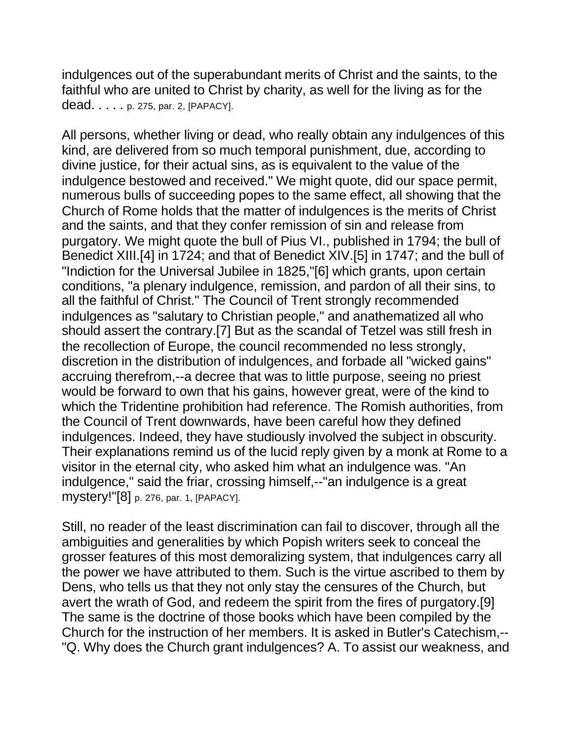indulgences out of the superabundant merits of Christ and the saints, to the faithful who are united to Christ by charity, as well for the living as for the dead. . . . . p. 275, par. 2, [PAPACY].

All persons, whether living or dead, who really obtain any indulgences of this kind, are delivered from so much temporal punishment, due, according to divine justice, for their actual sins, as is equivalent to the value of the indulgence bestowed and received." We might quote, did our space permit, numerous bulls of succeeding popes to the same effect, all showing that the Church of Rome holds that the matter of indulgences is the merits of Christ and the saints, and that they confer remission of sin and release from purgatory. We might quote the bull of Pius VI., published in 1794; the bull of Benedict XIII.[4] in 1724; and that of Benedict XIV.[5] in 1747; and the bull of "Indiction for the Universal Jubilee in 1825,"[6] which grants, upon certain conditions, "a plenary indulgence, remission, and pardon of all their sins, to all the faithful of Christ." The Council of Trent strongly recommended indulgences as "salutary to Christian people," and anathematized all who should assert the contrary.[7] But as the scandal of Tetzel was still fresh in the recollection of Europe, the council recommended no less strongly, discretion in the distribution of indulgences, and forbade all "wicked gains" accruing therefrom,--a decree that was to little purpose, seeing no priest would be forward to own that his gains, however great, were of the kind to which the Tridentine prohibition had reference. The Romish authorities, from the Council of Trent downwards, have been careful how they defined indulgences. Indeed, they have studiously involved the subject in obscurity. Their explanations remind us of the lucid reply given by a monk at Rome to a visitor in the eternal city, who asked him what an indulgence was. "An indulgence," said the friar, crossing himself,--"an indulgence is a great mystery!"[8] p. 276, par. 1, [PAPACY].

Still, no reader of the least discrimination can fail to discover, through all the ambiguities and generalities by which Popish writers seek to conceal the grosser features of this most demoralizing system, that indulgences carry all the power we have attributed to them. Such is the virtue ascribed to them by Dens, who tells us that they not only stay the censures of the Church, but avert the wrath of God, and redeem the spirit from the fires of purgatory.[9] The same is the doctrine of those books which have been compiled by the Church for the instruction of her members. It is asked in Butler's Catechism,-- "Q. Why does the Church grant indulgences? A. To assist our weakness, and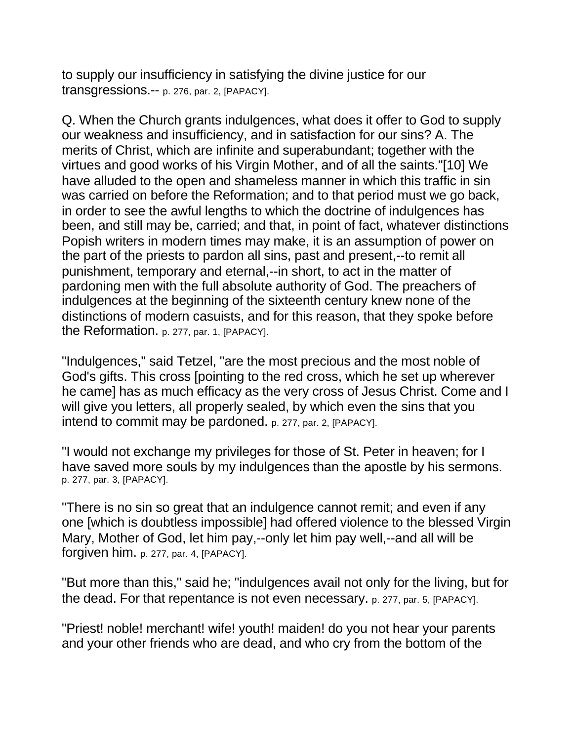to supply our insufficiency in satisfying the divine justice for our transgressions.-- p. 276, par. 2, [PAPACY].

Q. When the Church grants indulgences, what does it offer to God to supply our weakness and insufficiency, and in satisfaction for our sins? A. The merits of Christ, which are infinite and superabundant; together with the virtues and good works of his Virgin Mother, and of all the saints."[10] We have alluded to the open and shameless manner in which this traffic in sin was carried on before the Reformation; and to that period must we go back, in order to see the awful lengths to which the doctrine of indulgences has been, and still may be, carried; and that, in point of fact, whatever distinctions Popish writers in modern times may make, it is an assumption of power on the part of the priests to pardon all sins, past and present,--to remit all punishment, temporary and eternal,--in short, to act in the matter of pardoning men with the full absolute authority of God. The preachers of indulgences at the beginning of the sixteenth century knew none of the distinctions of modern casuists, and for this reason, that they spoke before the Reformation. p. 277, par. 1, [PAPACY].

"Indulgences," said Tetzel, "are the most precious and the most noble of God's gifts. This cross [pointing to the red cross, which he set up wherever he came] has as much efficacy as the very cross of Jesus Christ. Come and I will give you letters, all properly sealed, by which even the sins that you intend to commit may be pardoned. p. 277, par. 2, [PAPACY].

"I would not exchange my privileges for those of St. Peter in heaven; for I have saved more souls by my indulgences than the apostle by his sermons. p. 277, par. 3, [PAPACY].

"There is no sin so great that an indulgence cannot remit; and even if any one [which is doubtless impossible] had offered violence to the blessed Virgin Mary, Mother of God, let him pay,--only let him pay well,--and all will be forgiven him. p. 277, par. 4, [PAPACY].

"But more than this," said he; "indulgences avail not only for the living, but for the dead. For that repentance is not even necessary. p. 277, par. 5, [PAPACY].

"Priest! noble! merchant! wife! youth! maiden! do you not hear your parents and your other friends who are dead, and who cry from the bottom of the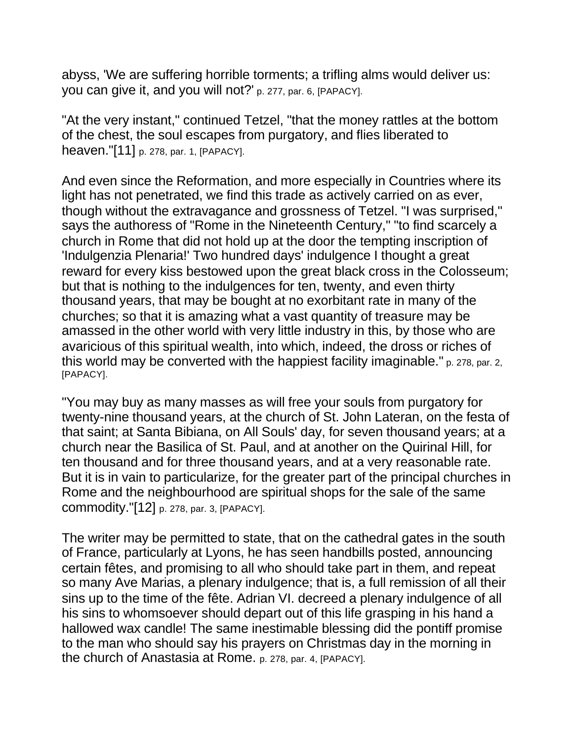abyss, 'We are suffering horrible torments; a trifling alms would deliver us: you can give it, and you will not?' p. 277, par. 6, [PAPACY].

"At the very instant," continued Tetzel, "that the money rattles at the bottom of the chest, the soul escapes from purgatory, and flies liberated to heaven."[11] p. 278, par. 1, [PAPACY].

And even since the Reformation, and more especially in Countries where its light has not penetrated, we find this trade as actively carried on as ever, though without the extravagance and grossness of Tetzel. "I was surprised," says the authoress of "Rome in the Nineteenth Century," "to find scarcely a church in Rome that did not hold up at the door the tempting inscription of 'Indulgenzia Plenaria!' Two hundred days' indulgence I thought a great reward for every kiss bestowed upon the great black cross in the Colosseum; but that is nothing to the indulgences for ten, twenty, and even thirty thousand years, that may be bought at no exorbitant rate in many of the churches; so that it is amazing what a vast quantity of treasure may be amassed in the other world with very little industry in this, by those who are avaricious of this spiritual wealth, into which, indeed, the dross or riches of this world may be converted with the happiest facility imaginable." p. 278, par. 2, [PAPACY].

"You may buy as many masses as will free your souls from purgatory for twenty-nine thousand years, at the church of St. John Lateran, on the festa of that saint; at Santa Bibiana, on All Souls' day, for seven thousand years; at a church near the Basilica of St. Paul, and at another on the Quirinal Hill, for ten thousand and for three thousand years, and at a very reasonable rate. But it is in vain to particularize, for the greater part of the principal churches in Rome and the neighbourhood are spiritual shops for the sale of the same commodity."[12] p. 278, par. 3, [PAPACY].

The writer may be permitted to state, that on the cathedral gates in the south of France, particularly at Lyons, he has seen handbills posted, announcing certain fêtes, and promising to all who should take part in them, and repeat so many Ave Marias, a plenary indulgence; that is, a full remission of all their sins up to the time of the fête. Adrian VI. decreed a plenary indulgence of all his sins to whomsoever should depart out of this life grasping in his hand a hallowed wax candle! The same inestimable blessing did the pontiff promise to the man who should say his prayers on Christmas day in the morning in the church of Anastasia at Rome. p. 278, par. 4, [PAPACY].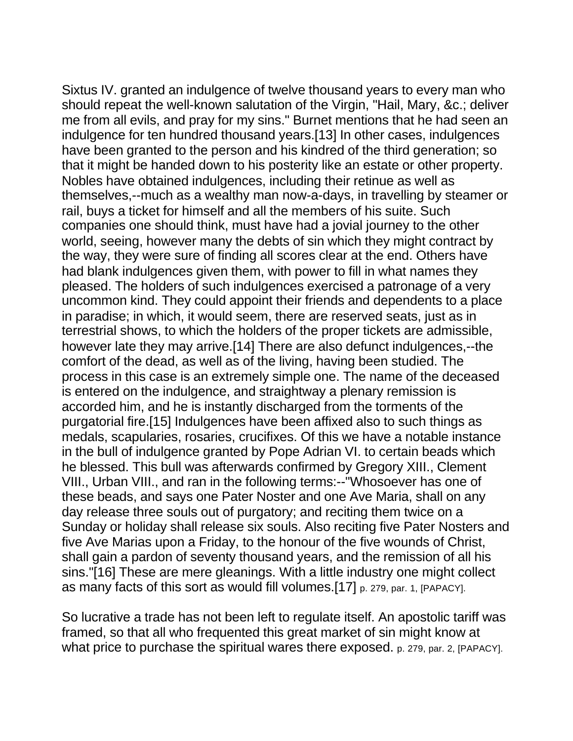Sixtus IV. granted an indulgence of twelve thousand years to every man who should repeat the well-known salutation of the Virgin, "Hail, Mary, &c.; deliver me from all evils, and pray for my sins." Burnet mentions that he had seen an indulgence for ten hundred thousand years.[13] In other cases, indulgences have been granted to the person and his kindred of the third generation; so that it might be handed down to his posterity like an estate or other property. Nobles have obtained indulgences, including their retinue as well as themselves,--much as a wealthy man now-a-days, in travelling by steamer or rail, buys a ticket for himself and all the members of his suite. Such companies one should think, must have had a jovial journey to the other world, seeing, however many the debts of sin which they might contract by the way, they were sure of finding all scores clear at the end. Others have had blank indulgences given them, with power to fill in what names they pleased. The holders of such indulgences exercised a patronage of a very uncommon kind. They could appoint their friends and dependents to a place in paradise; in which, it would seem, there are reserved seats, just as in terrestrial shows, to which the holders of the proper tickets are admissible, however late they may arrive.[14] There are also defunct indulgences,--the comfort of the dead, as well as of the living, having been studied. The process in this case is an extremely simple one. The name of the deceased is entered on the indulgence, and straightway a plenary remission is accorded him, and he is instantly discharged from the torments of the purgatorial fire.[15] Indulgences have been affixed also to such things as medals, scapularies, rosaries, crucifixes. Of this we have a notable instance in the bull of indulgence granted by Pope Adrian VI. to certain beads which he blessed. This bull was afterwards confirmed by Gregory XIII., Clement VIII., Urban VIII., and ran in the following terms:--"Whosoever has one of these beads, and says one Pater Noster and one Ave Maria, shall on any day release three souls out of purgatory; and reciting them twice on a Sunday or holiday shall release six souls. Also reciting five Pater Nosters and five Ave Marias upon a Friday, to the honour of the five wounds of Christ, shall gain a pardon of seventy thousand years, and the remission of all his sins."[16] These are mere gleanings. With a little industry one might collect as many facts of this sort as would fill volumes.[17] p. 279, par. 1, [PAPACY].

So lucrative a trade has not been left to regulate itself. An apostolic tariff was framed, so that all who frequented this great market of sin might know at what price to purchase the spiritual wares there exposed. p. 279, par. 2, [PAPACY].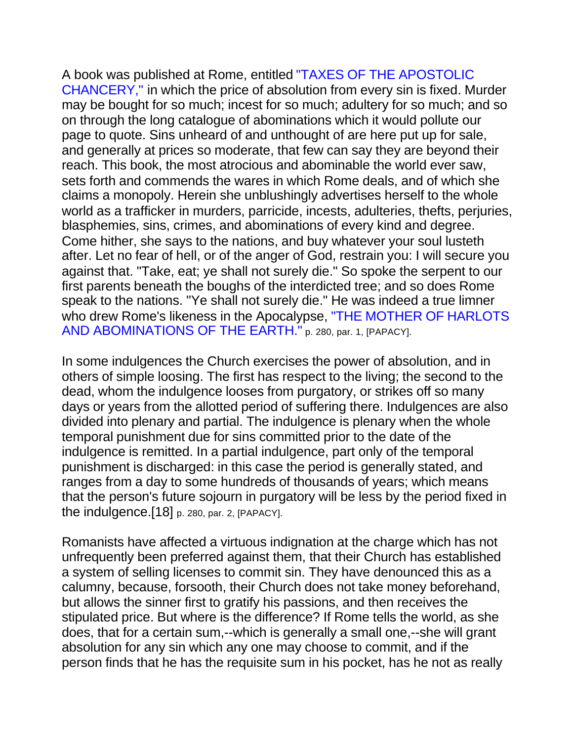A book was published at Rome, entitled "TAXES OF THE APOSTOLIC CHANCERY," in which the price of absolution from every sin is fixed. Murder may be bought for so much; incest for so much; adultery for so much; and so on through the long catalogue of abominations which it would pollute our page to quote. Sins unheard of and unthought of are here put up for sale, and generally at prices so moderate, that few can say they are beyond their reach. This book, the most atrocious and abominable the world ever saw, sets forth and commends the wares in which Rome deals, and of which she claims a monopoly. Herein she unblushingly advertises herself to the whole world as a trafficker in murders, parricide, incests, adulteries, thefts, perjuries, blasphemies, sins, crimes, and abominations of every kind and degree. Come hither, she says to the nations, and buy whatever your soul lusteth after. Let no fear of hell, or of the anger of God, restrain you: I will secure you against that. "Take, eat; ye shall not surely die." So spoke the serpent to our first parents beneath the boughs of the interdicted tree; and so does Rome speak to the nations. "Ye shall not surely die." He was indeed a true limner who drew Rome's likeness in the Apocalypse, "THE MOTHER OF HARLOTS AND ABOMINATIONS OF THE EARTH." p. 280, par. 1, [PAPACY].

In some indulgences the Church exercises the power of absolution, and in others of simple loosing. The first has respect to the living; the second to the dead, whom the indulgence looses from purgatory, or strikes off so many days or years from the allotted period of suffering there. Indulgences are also divided into plenary and partial. The indulgence is plenary when the whole temporal punishment due for sins committed prior to the date of the indulgence is remitted. In a partial indulgence, part only of the temporal punishment is discharged: in this case the period is generally stated, and ranges from a day to some hundreds of thousands of years; which means that the person's future sojourn in purgatory will be less by the period fixed in the indulgence.[18] p. 280, par. 2, [PAPACY].

Romanists have affected a virtuous indignation at the charge which has not unfrequently been preferred against them, that their Church has established a system of selling licenses to commit sin. They have denounced this as a calumny, because, forsooth, their Church does not take money beforehand, but allows the sinner first to gratify his passions, and then receives the stipulated price. But where is the difference? If Rome tells the world, as she does, that for a certain sum,--which is generally a small one,--she will grant absolution for any sin which any one may choose to commit, and if the person finds that he has the requisite sum in his pocket, has he not as really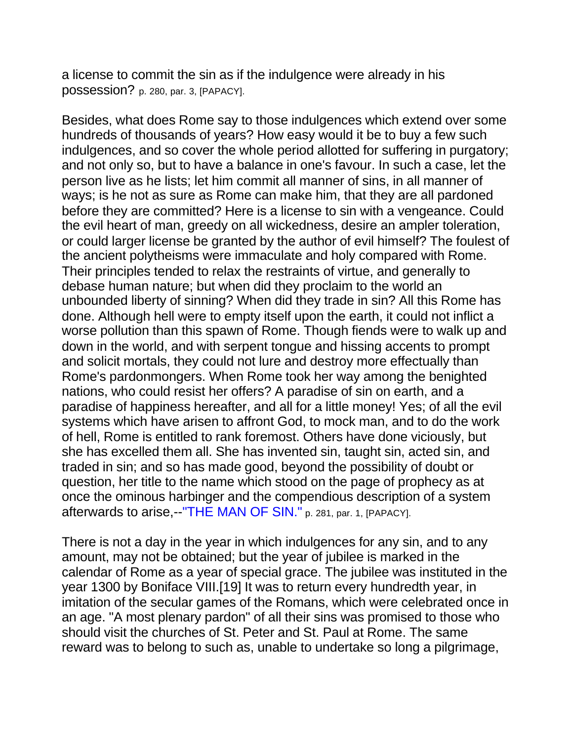a license to commit the sin as if the indulgence were already in his possession? p. 280, par. 3, [PAPACY].

Besides, what does Rome say to those indulgences which extend over some hundreds of thousands of years? How easy would it be to buy a few such indulgences, and so cover the whole period allotted for suffering in purgatory; and not only so, but to have a balance in one's favour. In such a case, let the person live as he lists; let him commit all manner of sins, in all manner of ways; is he not as sure as Rome can make him, that they are all pardoned before they are committed? Here is a license to sin with a vengeance. Could the evil heart of man, greedy on all wickedness, desire an ampler toleration, or could larger license be granted by the author of evil himself? The foulest of the ancient polytheisms were immaculate and holy compared with Rome. Their principles tended to relax the restraints of virtue, and generally to debase human nature; but when did they proclaim to the world an unbounded liberty of sinning? When did they trade in sin? All this Rome has done. Although hell were to empty itself upon the earth, it could not inflict a worse pollution than this spawn of Rome. Though fiends were to walk up and down in the world, and with serpent tongue and hissing accents to prompt and solicit mortals, they could not lure and destroy more effectually than Rome's pardonmongers. When Rome took her way among the benighted nations, who could resist her offers? A paradise of sin on earth, and a paradise of happiness hereafter, and all for a little money! Yes; of all the evil systems which have arisen to affront God, to mock man, and to do the work of hell, Rome is entitled to rank foremost. Others have done viciously, but she has excelled them all. She has invented sin, taught sin, acted sin, and traded in sin; and so has made good, beyond the possibility of doubt or question, her title to the name which stood on the page of prophecy as at once the ominous harbinger and the compendious description of a system afterwards to arise,--"THE MAN OF SIN." p. 281, par. 1, [PAPACY].

There is not a day in the year in which indulgences for any sin, and to any amount, may not be obtained; but the year of jubilee is marked in the calendar of Rome as a year of special grace. The jubilee was instituted in the year 1300 by Boniface VIII.[19] It was to return every hundredth year, in imitation of the secular games of the Romans, which were celebrated once in an age. "A most plenary pardon" of all their sins was promised to those who should visit the churches of St. Peter and St. Paul at Rome. The same reward was to belong to such as, unable to undertake so long a pilgrimage,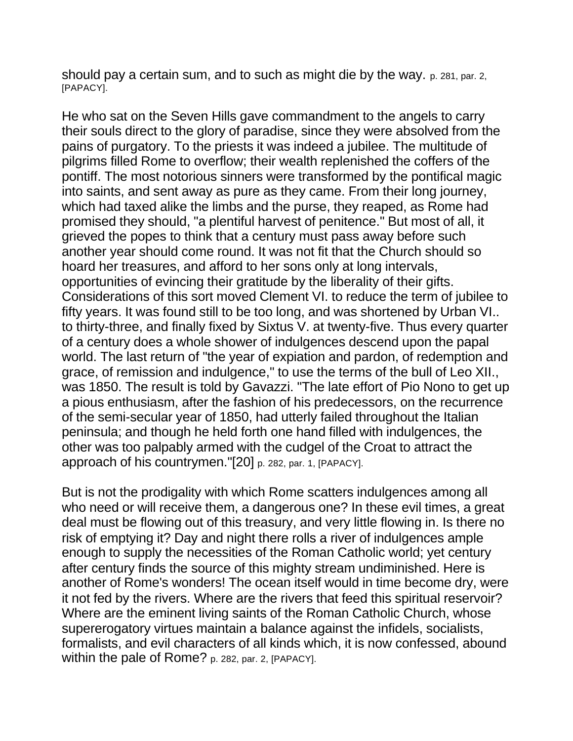should pay a certain sum, and to such as might die by the way. p. 281, par. 2, [PAPACY].

He who sat on the Seven Hills gave commandment to the angels to carry their souls direct to the glory of paradise, since they were absolved from the pains of purgatory. To the priests it was indeed a jubilee. The multitude of pilgrims filled Rome to overflow; their wealth replenished the coffers of the pontiff. The most notorious sinners were transformed by the pontifical magic into saints, and sent away as pure as they came. From their long journey, which had taxed alike the limbs and the purse, they reaped, as Rome had promised they should, "a plentiful harvest of penitence." But most of all, it grieved the popes to think that a century must pass away before such another year should come round. It was not fit that the Church should so hoard her treasures, and afford to her sons only at long intervals, opportunities of evincing their gratitude by the liberality of their gifts. Considerations of this sort moved Clement VI. to reduce the term of jubilee to fifty years. It was found still to be too long, and was shortened by Urban VI.. to thirty-three, and finally fixed by Sixtus V. at twenty-five. Thus every quarter of a century does a whole shower of indulgences descend upon the papal world. The last return of "the year of expiation and pardon, of redemption and grace, of remission and indulgence," to use the terms of the bull of Leo XII., was 1850. The result is told by Gavazzi. "The late effort of Pio Nono to get up a pious enthusiasm, after the fashion of his predecessors, on the recurrence of the semi-secular year of 1850, had utterly failed throughout the Italian peninsula; and though he held forth one hand filled with indulgences, the other was too palpably armed with the cudgel of the Croat to attract the approach of his countrymen."[20] p. 282, par. 1, [PAPACY].

But is not the prodigality with which Rome scatters indulgences among all who need or will receive them, a dangerous one? In these evil times, a great deal must be flowing out of this treasury, and very little flowing in. Is there no risk of emptying it? Day and night there rolls a river of indulgences ample enough to supply the necessities of the Roman Catholic world; yet century after century finds the source of this mighty stream undiminished. Here is another of Rome's wonders! The ocean itself would in time become dry, were it not fed by the rivers. Where are the rivers that feed this spiritual reservoir? Where are the eminent living saints of the Roman Catholic Church, whose supererogatory virtues maintain a balance against the infidels, socialists, formalists, and evil characters of all kinds which, it is now confessed, abound within the pale of Rome? p. 282, par. 2, [PAPACY].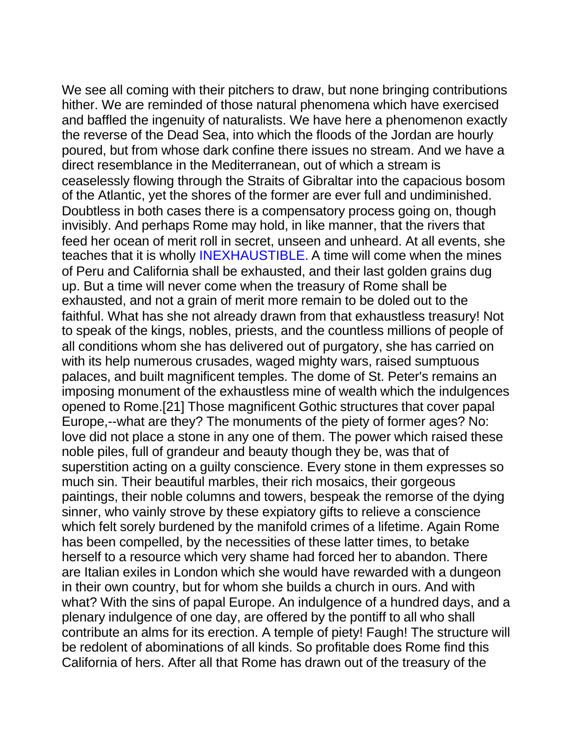We see all coming with their pitchers to draw, but none bringing contributions hither. We are reminded of those natural phenomena which have exercised and baffled the ingenuity of naturalists. We have here a phenomenon exactly the reverse of the Dead Sea, into which the floods of the Jordan are hourly poured, but from whose dark confine there issues no stream. And we have a direct resemblance in the Mediterranean, out of which a stream is ceaselessly flowing through the Straits of Gibraltar into the capacious bosom of the Atlantic, yet the shores of the former are ever full and undiminished. Doubtless in both cases there is a compensatory process going on, though invisibly. And perhaps Rome may hold, in like manner, that the rivers that feed her ocean of merit roll in secret, unseen and unheard. At all events, she teaches that it is wholly INEXHAUSTIBLE. A time will come when the mines of Peru and California shall be exhausted, and their last golden grains dug up. But a time will never come when the treasury of Rome shall be exhausted, and not a grain of merit more remain to be doled out to the faithful. What has she not already drawn from that exhaustless treasury! Not to speak of the kings, nobles, priests, and the countless millions of people of all conditions whom she has delivered out of purgatory, she has carried on with its help numerous crusades, waged mighty wars, raised sumptuous palaces, and built magnificent temples. The dome of St. Peter's remains an imposing monument of the exhaustless mine of wealth which the indulgences opened to Rome.[21] Those magnificent Gothic structures that cover papal Europe,--what are they? The monuments of the piety of former ages? No: love did not place a stone in any one of them. The power which raised these noble piles, full of grandeur and beauty though they be, was that of superstition acting on a guilty conscience. Every stone in them expresses so much sin. Their beautiful marbles, their rich mosaics, their gorgeous paintings, their noble columns and towers, bespeak the remorse of the dying sinner, who vainly strove by these expiatory gifts to relieve a conscience which felt sorely burdened by the manifold crimes of a lifetime. Again Rome has been compelled, by the necessities of these latter times, to betake herself to a resource which very shame had forced her to abandon. There are Italian exiles in London which she would have rewarded with a dungeon in their own country, but for whom she builds a church in ours. And with what? With the sins of papal Europe. An indulgence of a hundred days, and a plenary indulgence of one day, are offered by the pontiff to all who shall contribute an alms for its erection. A temple of piety! Faugh! The structure will be redolent of abominations of all kinds. So profitable does Rome find this California of hers. After all that Rome has drawn out of the treasury of the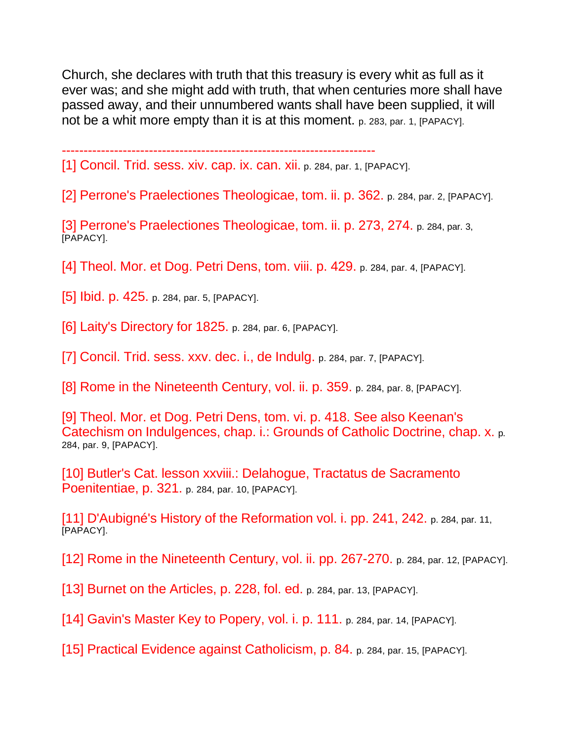Church, she declares with truth that this treasury is every whit as full as it ever was; and she might add with truth, that when centuries more shall have passed away, and their unnumbered wants shall have been supplied, it will not be a whit more empty than it is at this moment. p. 283, par. 1, [PAPACY].

------------------------------------------------------------------------

[1] Concil. Trid. sess. xiv. cap. ix. can. xii. p. 284, par. 1, [PAPACY].

[2] Perrone's Praelectiones Theologicae, tom. ii. p. 362. p. 284, par. 2, [PAPACY].

[3] Perrone's Praelectiones Theologicae, tom. ii. p. 273, 274. p. 284, par. 3, [PAPACY].

[4] Theol. Mor. et Dog. Petri Dens, tom. viii. p. 429. p. 284, par. 4, [PAPACY].

[5] **Ibid. p. 425.** p. 284, par. 5, [PAPACY].

[6] Laity's Directory for 1825. p. 284, par. 6, [PAPACY].

[7] Concil. Trid. sess. xxv. dec. i., de Indulg. p. 284, par. 7, [PAPACY].

[8] Rome in the Nineteenth Century, vol. ii. p. 359. p. 284, par. 8, [PAPACY].

[9] Theol. Mor. et Dog. Petri Dens, tom. vi. p. 418. See also Keenan's Catechism on Indulgences, chap. i.: Grounds of Catholic Doctrine, chap. x. p. 284, par. 9, [PAPACY].

[10] Butler's Cat. lesson xxviii.: Delahogue, Tractatus de Sacramento Poenitentiae, p. 321. p. 284, par. 10, [PAPACY].

[11] D'Aubigné's History of the Reformation vol. i. pp. 241, 242. p. 284, par. 11, [PAPACY].

[12] Rome in the Nineteenth Century, vol. ii. pp. 267-270. p. 284, par. 12, [PAPACY].

[13] Burnet on the Articles, p. 228, fol. ed. p. 284, par. 13, [PAPACY].

[14] Gavin's Master Key to Popery, vol. i. p. 111. p. 284, par. 14, [PAPACY].

[15] Practical Evidence against Catholicism, p. 84. p. 284, par. 15, [PAPACY].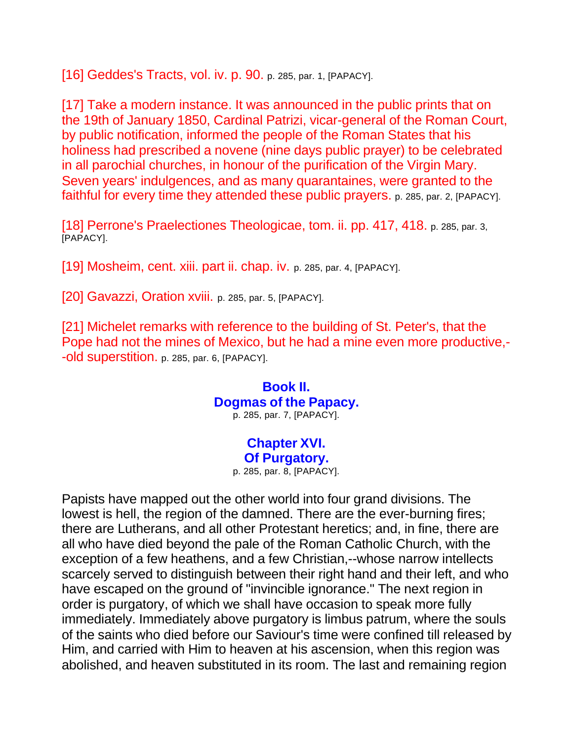[16] Geddes's Tracts, vol. iv. p. 90. p. 285, par. 1, [PAPACY].

[17] Take a modern instance. It was announced in the public prints that on the 19th of January 1850, Cardinal Patrizi, vicar-general of the Roman Court, by public notification, informed the people of the Roman States that his holiness had prescribed a novene (nine days public prayer) to be celebrated in all parochial churches, in honour of the purification of the Virgin Mary. Seven years' indulgences, and as many quarantaines, were granted to the faithful for every time they attended these public prayers. p. 285, par. 2, [PAPACY].

[18] Perrone's Praelectiones Theologicae, tom. ii. pp. 417, 418. p. 285, par. 3, [PAPACY].

[19] Mosheim, cent. xiii. part ii. chap. iv. p. 285, par. 4, [PAPACY].

[20] Gavazzi, Oration xviii. p. 285, par. 5, [PAPACY].

[21] Michelet remarks with reference to the building of St. Peter's, that the Pope had not the mines of Mexico, but he had a mine even more productive,- -old superstition. p. 285, par. 6, [PAPACY].

#### **Book II. Dogmas of the Papacy.** p. 285, par. 7, [PAPACY].

# **Chapter XVI.**

**Of Purgatory.**

p. 285, par. 8, [PAPACY].

Papists have mapped out the other world into four grand divisions. The lowest is hell, the region of the damned. There are the ever-burning fires; there are Lutherans, and all other Protestant heretics; and, in fine, there are all who have died beyond the pale of the Roman Catholic Church, with the exception of a few heathens, and a few Christian,--whose narrow intellects scarcely served to distinguish between their right hand and their left, and who have escaped on the ground of "invincible ignorance." The next region in order is purgatory, of which we shall have occasion to speak more fully immediately. Immediately above purgatory is limbus patrum, where the souls of the saints who died before our Saviour's time were confined till released by Him, and carried with Him to heaven at his ascension, when this region was abolished, and heaven substituted in its room. The last and remaining region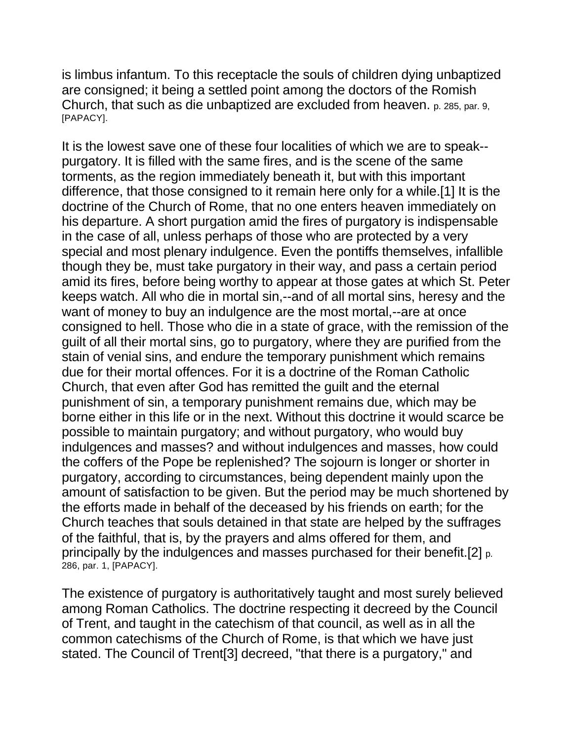is limbus infantum. To this receptacle the souls of children dying unbaptized are consigned; it being a settled point among the doctors of the Romish Church, that such as die unbaptized are excluded from heaven. p. 285, par. 9, [PAPACY].

It is the lowest save one of these four localities of which we are to speak- purgatory. It is filled with the same fires, and is the scene of the same torments, as the region immediately beneath it, but with this important difference, that those consigned to it remain here only for a while.[1] It is the doctrine of the Church of Rome, that no one enters heaven immediately on his departure. A short purgation amid the fires of purgatory is indispensable in the case of all, unless perhaps of those who are protected by a very special and most plenary indulgence. Even the pontiffs themselves, infallible though they be, must take purgatory in their way, and pass a certain period amid its fires, before being worthy to appear at those gates at which St. Peter keeps watch. All who die in mortal sin,--and of all mortal sins, heresy and the want of money to buy an indulgence are the most mortal,--are at once consigned to hell. Those who die in a state of grace, with the remission of the guilt of all their mortal sins, go to purgatory, where they are purified from the stain of venial sins, and endure the temporary punishment which remains due for their mortal offences. For it is a doctrine of the Roman Catholic Church, that even after God has remitted the guilt and the eternal punishment of sin, a temporary punishment remains due, which may be borne either in this life or in the next. Without this doctrine it would scarce be possible to maintain purgatory; and without purgatory, who would buy indulgences and masses? and without indulgences and masses, how could the coffers of the Pope be replenished? The sojourn is longer or shorter in purgatory, according to circumstances, being dependent mainly upon the amount of satisfaction to be given. But the period may be much shortened by the efforts made in behalf of the deceased by his friends on earth; for the Church teaches that souls detained in that state are helped by the suffrages of the faithful, that is, by the prayers and alms offered for them, and principally by the indulgences and masses purchased for their benefit.[2] p. 286, par. 1, [PAPACY].

The existence of purgatory is authoritatively taught and most surely believed among Roman Catholics. The doctrine respecting it decreed by the Council of Trent, and taught in the catechism of that council, as well as in all the common catechisms of the Church of Rome, is that which we have just stated. The Council of Trent[3] decreed, "that there is a purgatory," and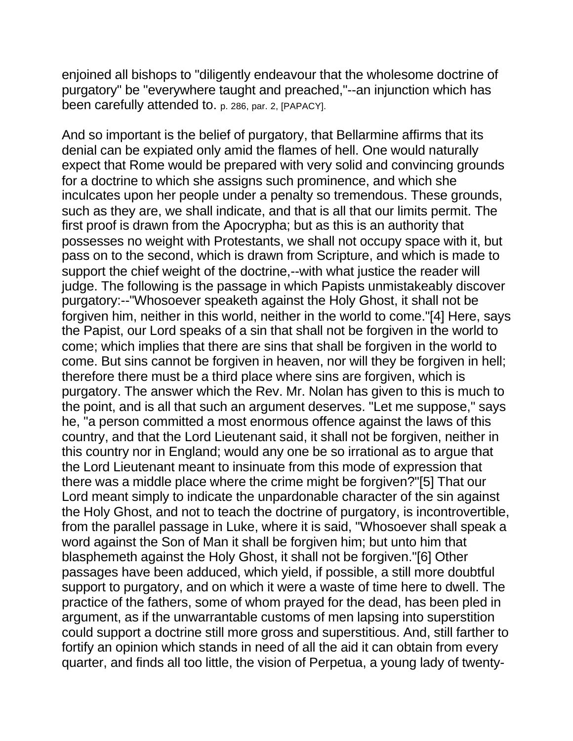enjoined all bishops to "diligently endeavour that the wholesome doctrine of purgatory" be "everywhere taught and preached,"--an injunction which has been carefully attended to. p. 286, par. 2, [PAPACY].

And so important is the belief of purgatory, that Bellarmine affirms that its denial can be expiated only amid the flames of hell. One would naturally expect that Rome would be prepared with very solid and convincing grounds for a doctrine to which she assigns such prominence, and which she inculcates upon her people under a penalty so tremendous. These grounds, such as they are, we shall indicate, and that is all that our limits permit. The first proof is drawn from the Apocrypha; but as this is an authority that possesses no weight with Protestants, we shall not occupy space with it, but pass on to the second, which is drawn from Scripture, and which is made to support the chief weight of the doctrine,--with what justice the reader will judge. The following is the passage in which Papists unmistakeably discover purgatory:--"Whosoever speaketh against the Holy Ghost, it shall not be forgiven him, neither in this world, neither in the world to come."[4] Here, says the Papist, our Lord speaks of a sin that shall not be forgiven in the world to come; which implies that there are sins that shall be forgiven in the world to come. But sins cannot be forgiven in heaven, nor will they be forgiven in hell; therefore there must be a third place where sins are forgiven, which is purgatory. The answer which the Rev. Mr. Nolan has given to this is much to the point, and is all that such an argument deserves. "Let me suppose," says he, "a person committed a most enormous offence against the laws of this country, and that the Lord Lieutenant said, it shall not be forgiven, neither in this country nor in England; would any one be so irrational as to argue that the Lord Lieutenant meant to insinuate from this mode of expression that there was a middle place where the crime might be forgiven?"[5] That our Lord meant simply to indicate the unpardonable character of the sin against the Holy Ghost, and not to teach the doctrine of purgatory, is incontrovertible, from the parallel passage in Luke, where it is said, "Whosoever shall speak a word against the Son of Man it shall be forgiven him; but unto him that blasphemeth against the Holy Ghost, it shall not be forgiven."[6] Other passages have been adduced, which yield, if possible, a still more doubtful support to purgatory, and on which it were a waste of time here to dwell. The practice of the fathers, some of whom prayed for the dead, has been pled in argument, as if the unwarrantable customs of men lapsing into superstition could support a doctrine still more gross and superstitious. And, still farther to fortify an opinion which stands in need of all the aid it can obtain from every quarter, and finds all too little, the vision of Perpetua, a young lady of twenty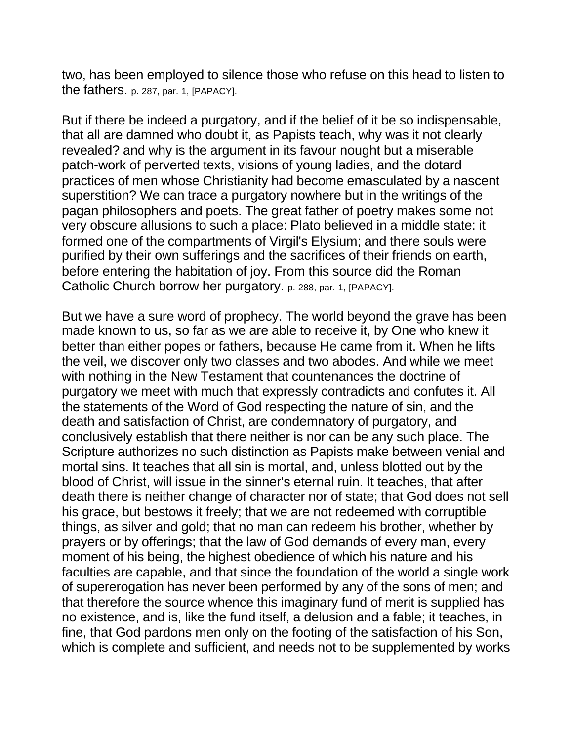two, has been employed to silence those who refuse on this head to listen to the fathers. p. 287, par. 1, [PAPACY].

But if there be indeed a purgatory, and if the belief of it be so indispensable, that all are damned who doubt it, as Papists teach, why was it not clearly revealed? and why is the argument in its favour nought but a miserable patch-work of perverted texts, visions of young ladies, and the dotard practices of men whose Christianity had become emasculated by a nascent superstition? We can trace a purgatory nowhere but in the writings of the pagan philosophers and poets. The great father of poetry makes some not very obscure allusions to such a place: Plato believed in a middle state: it formed one of the compartments of Virgil's Elysium; and there souls were purified by their own sufferings and the sacrifices of their friends on earth, before entering the habitation of joy. From this source did the Roman Catholic Church borrow her purgatory. p. 288, par. 1, [PAPACY].

But we have a sure word of prophecy. The world beyond the grave has been made known to us, so far as we are able to receive it, by One who knew it better than either popes or fathers, because He came from it. When he lifts the veil, we discover only two classes and two abodes. And while we meet with nothing in the New Testament that countenances the doctrine of purgatory we meet with much that expressly contradicts and confutes it. All the statements of the Word of God respecting the nature of sin, and the death and satisfaction of Christ, are condemnatory of purgatory, and conclusively establish that there neither is nor can be any such place. The Scripture authorizes no such distinction as Papists make between venial and mortal sins. It teaches that all sin is mortal, and, unless blotted out by the blood of Christ, will issue in the sinner's eternal ruin. It teaches, that after death there is neither change of character nor of state; that God does not sell his grace, but bestows it freely; that we are not redeemed with corruptible things, as silver and gold; that no man can redeem his brother, whether by prayers or by offerings; that the law of God demands of every man, every moment of his being, the highest obedience of which his nature and his faculties are capable, and that since the foundation of the world a single work of supererogation has never been performed by any of the sons of men; and that therefore the source whence this imaginary fund of merit is supplied has no existence, and is, like the fund itself, a delusion and a fable; it teaches, in fine, that God pardons men only on the footing of the satisfaction of his Son, which is complete and sufficient, and needs not to be supplemented by works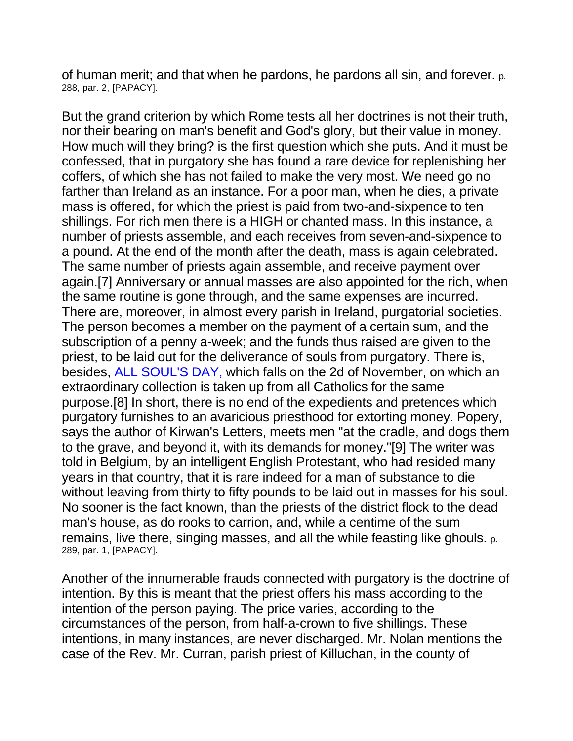of human merit; and that when he pardons, he pardons all sin, and forever. p. 288, par. 2, [PAPACY].

But the grand criterion by which Rome tests all her doctrines is not their truth, nor their bearing on man's benefit and God's glory, but their value in money. How much will they bring? is the first question which she puts. And it must be confessed, that in purgatory she has found a rare device for replenishing her coffers, of which she has not failed to make the very most. We need go no farther than Ireland as an instance. For a poor man, when he dies, a private mass is offered, for which the priest is paid from two-and-sixpence to ten shillings. For rich men there is a HIGH or chanted mass. In this instance, a number of priests assemble, and each receives from seven-and-sixpence to a pound. At the end of the month after the death, mass is again celebrated. The same number of priests again assemble, and receive payment over again.[7] Anniversary or annual masses are also appointed for the rich, when the same routine is gone through, and the same expenses are incurred. There are, moreover, in almost every parish in Ireland, purgatorial societies. The person becomes a member on the payment of a certain sum, and the subscription of a penny a-week; and the funds thus raised are given to the priest, to be laid out for the deliverance of souls from purgatory. There is, besides, ALL SOUL'S DAY, which falls on the 2d of November, on which an extraordinary collection is taken up from all Catholics for the same purpose.[8] In short, there is no end of the expedients and pretences which purgatory furnishes to an avaricious priesthood for extorting money. Popery, says the author of Kirwan's Letters, meets men "at the cradle, and dogs them to the grave, and beyond it, with its demands for money."[9] The writer was told in Belgium, by an intelligent English Protestant, who had resided many years in that country, that it is rare indeed for a man of substance to die without leaving from thirty to fifty pounds to be laid out in masses for his soul. No sooner is the fact known, than the priests of the district flock to the dead man's house, as do rooks to carrion, and, while a centime of the sum remains, live there, singing masses, and all the while feasting like ghouls. p. 289, par. 1, [PAPACY].

Another of the innumerable frauds connected with purgatory is the doctrine of intention. By this is meant that the priest offers his mass according to the intention of the person paying. The price varies, according to the circumstances of the person, from half-a-crown to five shillings. These intentions, in many instances, are never discharged. Mr. Nolan mentions the case of the Rev. Mr. Curran, parish priest of Killuchan, in the county of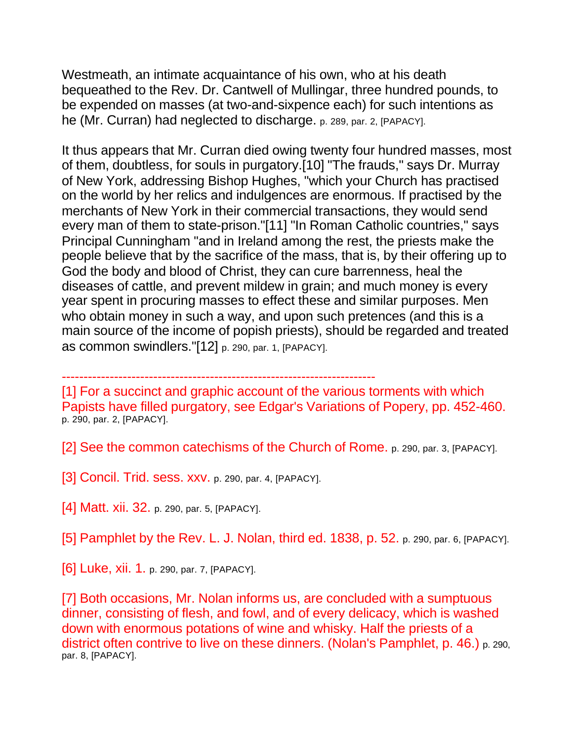Westmeath, an intimate acquaintance of his own, who at his death bequeathed to the Rev. Dr. Cantwell of Mullingar, three hundred pounds, to be expended on masses (at two-and-sixpence each) for such intentions as he (Mr. Curran) had neglected to discharge. p. 289, par. 2, [PAPACY].

It thus appears that Mr. Curran died owing twenty four hundred masses, most of them, doubtless, for souls in purgatory.[10] "The frauds," says Dr. Murray of New York, addressing Bishop Hughes, "which your Church has practised on the world by her relics and indulgences are enormous. If practised by the merchants of New York in their commercial transactions, they would send every man of them to state-prison."[11] "In Roman Catholic countries," says Principal Cunningham "and in Ireland among the rest, the priests make the people believe that by the sacrifice of the mass, that is, by their offering up to God the body and blood of Christ, they can cure barrenness, heal the diseases of cattle, and prevent mildew in grain; and much money is every year spent in procuring masses to effect these and similar purposes. Men who obtain money in such a way, and upon such pretences (and this is a main source of the income of popish priests), should be regarded and treated as common swindlers."[12] p. 290, par. 1, [PAPACY].

------------------------------------------------------------------------

[1] For a succinct and graphic account of the various torments with which Papists have filled purgatory, see Edgar's Variations of Popery, pp. 452-460. p. 290, par. 2, [PAPACY].

[2] See the common catechisms of the Church of Rome. p. 290, par. 3, [PAPACY].

[3] Concil. Trid. sess. XXV. p. 290, par. 4, [PAPACY].

[4] Matt. xii. 32. p. 290, par. 5, [PAPACY].

[5] Pamphlet by the Rev. L. J. Nolan, third ed. 1838, p. 52. p. 290, par. 6, [PAPACY].

[6] Luke, xii. 1. p. 290, par. 7, [PAPACY].

[7] Both occasions, Mr. Nolan informs us, are concluded with a sumptuous dinner, consisting of flesh, and fowl, and of every delicacy, which is washed down with enormous potations of wine and whisky. Half the priests of a district often contrive to live on these dinners. (Nolan's Pamphlet, p. 46.) p. 290, par. 8, [PAPACY].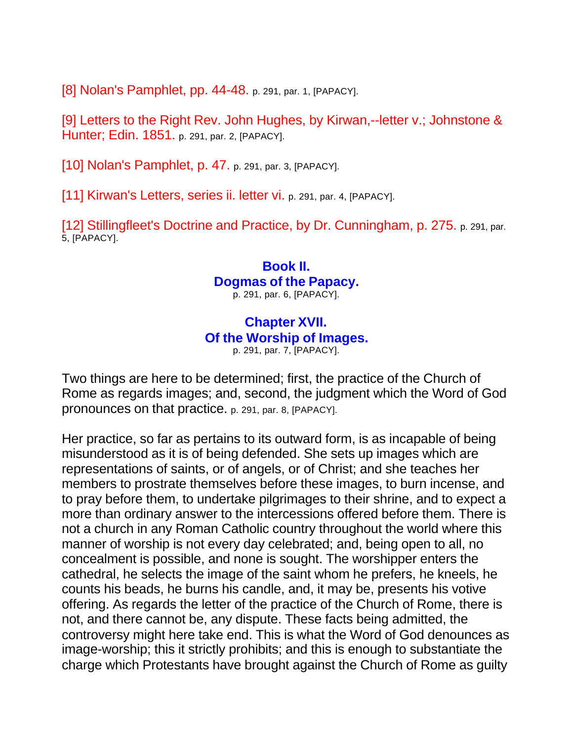[8] Nolan's Pamphlet, pp. 44-48. p. 291, par. 1, [PAPACY].

[9] Letters to the Right Rev. John Hughes, by Kirwan,--letter v.; Johnstone & Hunter; Edin. 1851. p. 291, par. 2, [PAPACY].

[10] Nolan's Pamphlet, p. 47. p. 291, par. 3, [PAPACY].

[11] Kirwan's Letters, series ii. letter vi. p. 291, par. 4, [PAPACY].

[12] Stillingfleet's Doctrine and Practice, by Dr. Cunningham, p. 275. p. 291, par. 5, [PAPACY].

## **Book II. Dogmas of the Papacy.** p. 291, par. 6, [PAPACY].

# **Chapter XVII.**

**Of the Worship of Images.**

p. 291, par. 7, [PAPACY].

Two things are here to be determined; first, the practice of the Church of Rome as regards images; and, second, the judgment which the Word of God pronounces on that practice. p. 291, par. 8, [PAPACY].

Her practice, so far as pertains to its outward form, is as incapable of being misunderstood as it is of being defended. She sets up images which are representations of saints, or of angels, or of Christ; and she teaches her members to prostrate themselves before these images, to burn incense, and to pray before them, to undertake pilgrimages to their shrine, and to expect a more than ordinary answer to the intercessions offered before them. There is not a church in any Roman Catholic country throughout the world where this manner of worship is not every day celebrated; and, being open to all, no concealment is possible, and none is sought. The worshipper enters the cathedral, he selects the image of the saint whom he prefers, he kneels, he counts his beads, he burns his candle, and, it may be, presents his votive offering. As regards the letter of the practice of the Church of Rome, there is not, and there cannot be, any dispute. These facts being admitted, the controversy might here take end. This is what the Word of God denounces as image-worship; this it strictly prohibits; and this is enough to substantiate the charge which Protestants have brought against the Church of Rome as guilty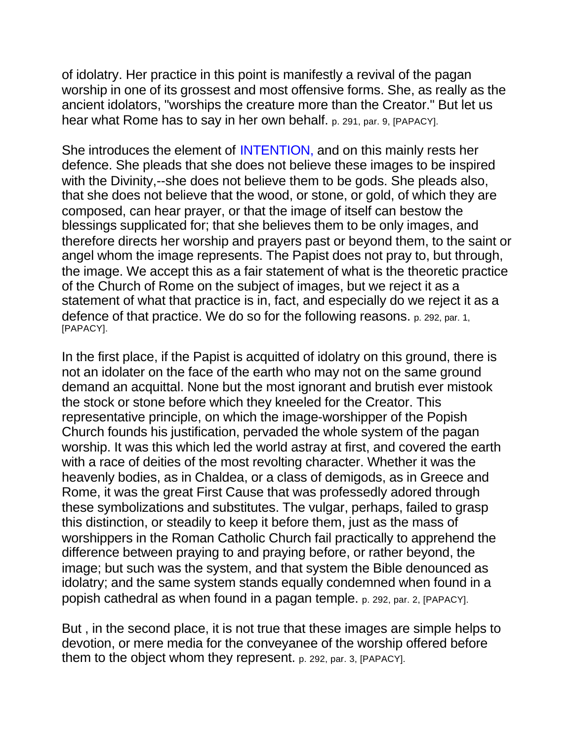of idolatry. Her practice in this point is manifestly a revival of the pagan worship in one of its grossest and most offensive forms. She, as really as the ancient idolators, "worships the creature more than the Creator." But let us hear what Rome has to say in her own behalf. p. 291, par. 9, [PAPACY].

She introduces the element of INTENTION, and on this mainly rests her defence. She pleads that she does not believe these images to be inspired with the Divinity,--she does not believe them to be gods. She pleads also, that she does not believe that the wood, or stone, or gold, of which they are composed, can hear prayer, or that the image of itself can bestow the blessings supplicated for; that she believes them to be only images, and therefore directs her worship and prayers past or beyond them, to the saint or angel whom the image represents. The Papist does not pray to, but through, the image. We accept this as a fair statement of what is the theoretic practice of the Church of Rome on the subject of images, but we reject it as a statement of what that practice is in, fact, and especially do we reject it as a defence of that practice. We do so for the following reasons. p. 292, par. 1, [PAPACY].

In the first place, if the Papist is acquitted of idolatry on this ground, there is not an idolater on the face of the earth who may not on the same ground demand an acquittal. None but the most ignorant and brutish ever mistook the stock or stone before which they kneeled for the Creator. This representative principle, on which the image-worshipper of the Popish Church founds his justification, pervaded the whole system of the pagan worship. It was this which led the world astray at first, and covered the earth with a race of deities of the most revolting character. Whether it was the heavenly bodies, as in Chaldea, or a class of demigods, as in Greece and Rome, it was the great First Cause that was professedly adored through these symbolizations and substitutes. The vulgar, perhaps, failed to grasp this distinction, or steadily to keep it before them, just as the mass of worshippers in the Roman Catholic Church fail practically to apprehend the difference between praying to and praying before, or rather beyond, the image; but such was the system, and that system the Bible denounced as idolatry; and the same system stands equally condemned when found in a popish cathedral as when found in a pagan temple. p. 292, par. 2, [PAPACY].

But , in the second place, it is not true that these images are simple helps to devotion, or mere media for the conveyanee of the worship offered before them to the object whom they represent. p. 292, par. 3, [PAPACY].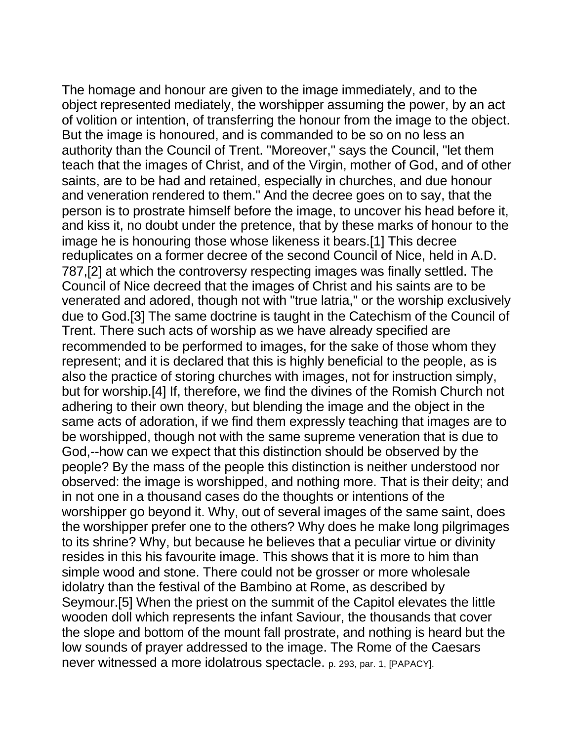The homage and honour are given to the image immediately, and to the object represented mediately, the worshipper assuming the power, by an act of volition or intention, of transferring the honour from the image to the object. But the image is honoured, and is commanded to be so on no less an authority than the Council of Trent. "Moreover," says the Council, "let them teach that the images of Christ, and of the Virgin, mother of God, and of other saints, are to be had and retained, especially in churches, and due honour and veneration rendered to them." And the decree goes on to say, that the person is to prostrate himself before the image, to uncover his head before it, and kiss it, no doubt under the pretence, that by these marks of honour to the image he is honouring those whose likeness it bears.[1] This decree reduplicates on a former decree of the second Council of Nice, held in A.D. 787,[2] at which the controversy respecting images was finally settled. The Council of Nice decreed that the images of Christ and his saints are to be venerated and adored, though not with "true latria," or the worship exclusively due to God.[3] The same doctrine is taught in the Catechism of the Council of Trent. There such acts of worship as we have already specified are recommended to be performed to images, for the sake of those whom they represent; and it is declared that this is highly beneficial to the people, as is also the practice of storing churches with images, not for instruction simply, but for worship.[4] If, therefore, we find the divines of the Romish Church not adhering to their own theory, but blending the image and the object in the same acts of adoration, if we find them expressly teaching that images are to be worshipped, though not with the same supreme veneration that is due to God,--how can we expect that this distinction should be observed by the people? By the mass of the people this distinction is neither understood nor observed: the image is worshipped, and nothing more. That is their deity; and in not one in a thousand cases do the thoughts or intentions of the worshipper go beyond it. Why, out of several images of the same saint, does the worshipper prefer one to the others? Why does he make long pilgrimages to its shrine? Why, but because he believes that a peculiar virtue or divinity resides in this his favourite image. This shows that it is more to him than simple wood and stone. There could not be grosser or more wholesale idolatry than the festival of the Bambino at Rome, as described by Seymour.[5] When the priest on the summit of the Capitol elevates the little wooden doll which represents the infant Saviour, the thousands that cover the slope and bottom of the mount fall prostrate, and nothing is heard but the low sounds of prayer addressed to the image. The Rome of the Caesars never witnessed a more idolatrous spectacle. p. 293, par. 1, [PAPACY].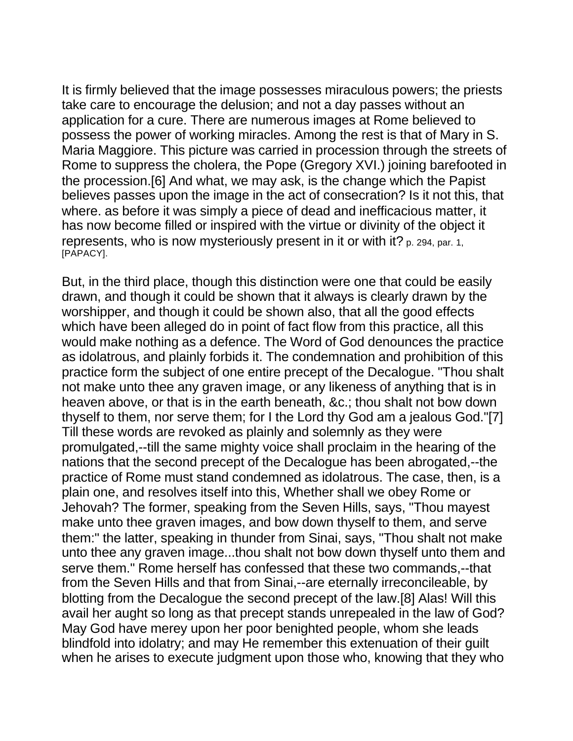It is firmly believed that the image possesses miraculous powers; the priests take care to encourage the delusion; and not a day passes without an application for a cure. There are numerous images at Rome believed to possess the power of working miracles. Among the rest is that of Mary in S. Maria Maggiore. This picture was carried in procession through the streets of Rome to suppress the cholera, the Pope (Gregory XVI.) joining barefooted in the procession.[6] And what, we may ask, is the change which the Papist believes passes upon the image in the act of consecration? Is it not this, that where. as before it was simply a piece of dead and inefficacious matter, it has now become filled or inspired with the virtue or divinity of the object it represents, who is now mysteriously present in it or with it? p. 294, par. 1, [PAPACY].

But, in the third place, though this distinction were one that could be easily drawn, and though it could be shown that it always is clearly drawn by the worshipper, and though it could be shown also, that all the good effects which have been alleged do in point of fact flow from this practice, all this would make nothing as a defence. The Word of God denounces the practice as idolatrous, and plainly forbids it. The condemnation and prohibition of this practice form the subject of one entire precept of the Decalogue. "Thou shalt not make unto thee any graven image, or any likeness of anything that is in heaven above, or that is in the earth beneath, &c.; thou shalt not bow down thyself to them, nor serve them; for I the Lord thy God am a jealous God."[7] Till these words are revoked as plainly and solemnly as they were promulgated,--till the same mighty voice shall proclaim in the hearing of the nations that the second precept of the Decalogue has been abrogated,--the practice of Rome must stand condemned as idolatrous. The case, then, is a plain one, and resolves itself into this, Whether shall we obey Rome or Jehovah? The former, speaking from the Seven Hills, says, "Thou mayest make unto thee graven images, and bow down thyself to them, and serve them:" the latter, speaking in thunder from Sinai, says, "Thou shalt not make unto thee any graven image...thou shalt not bow down thyself unto them and serve them." Rome herself has confessed that these two commands,--that from the Seven Hills and that from Sinai,--are eternally irreconcileable, by blotting from the Decalogue the second precept of the law.[8] Alas! Will this avail her aught so long as that precept stands unrepealed in the law of God? May God have merey upon her poor benighted people, whom she leads blindfold into idolatry; and may He remember this extenuation of their guilt when he arises to execute judgment upon those who, knowing that they who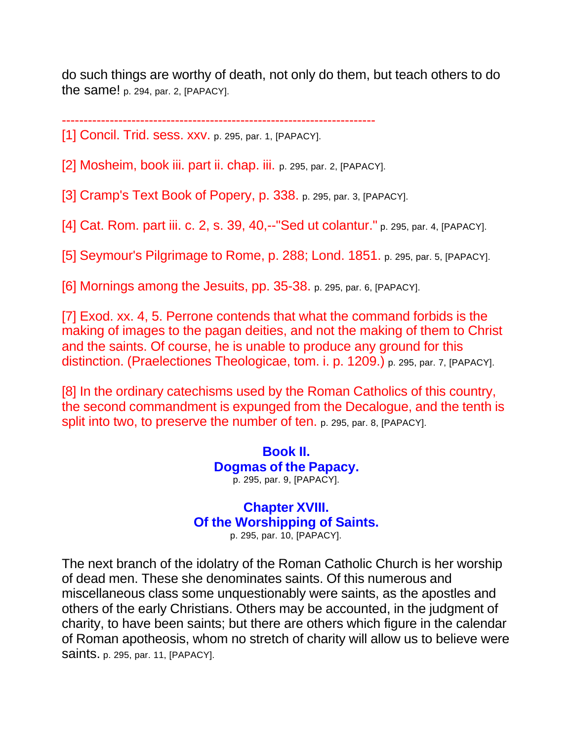do such things are worthy of death, not only do them, but teach others to do the same! p. 294, par. 2, [PAPACY].

------------------------------------------------------------------------

[1] Concil. Trid. sess. xxv. p. 295, par. 1, [PAPACY].

[2] Mosheim, book iii. part ii. chap. iii. p. 295, par. 2, [PAPACY].

[3] Cramp's Text Book of Popery, p. 338. p. 295, par. 3, [PAPACY].

[4] Cat. Rom. part iii. c. 2, s. 39, 40,--"Sed ut colantur." p. 295, par. 4, [PAPACY].

[5] Seymour's Pilgrimage to Rome, p. 288; Lond. 1851. p. 295, par. 5, [PAPACY].

[6] Mornings among the Jesuits, pp. 35-38. p. 295, par. 6, [PAPACY].

[7] Exod. xx. 4, 5. Perrone contends that what the command forbids is the making of images to the pagan deities, and not the making of them to Christ and the saints. Of course, he is unable to produce any ground for this distinction. (Praelectiones Theologicae, tom. i. p. 1209.) p. 295, par. 7, [PAPACY].

[8] In the ordinary catechisms used by the Roman Catholics of this country, the second commandment is expunged from the Decalogue, and the tenth is split into two, to preserve the number of ten. p. 295, par. 8, [PAPACY].

> **Book II. Dogmas of the Papacy.** p. 295, par. 9, [PAPACY].

# **Chapter XVIII. Of the Worshipping of Saints.**

p. 295, par. 10, [PAPACY].

The next branch of the idolatry of the Roman Catholic Church is her worship of dead men. These she denominates saints. Of this numerous and miscellaneous class some unquestionably were saints, as the apostles and others of the early Christians. Others may be accounted, in the judgment of charity, to have been saints; but there are others which figure in the calendar of Roman apotheosis, whom no stretch of charity will allow us to believe were saints. p. 295, par. 11, [PAPACY].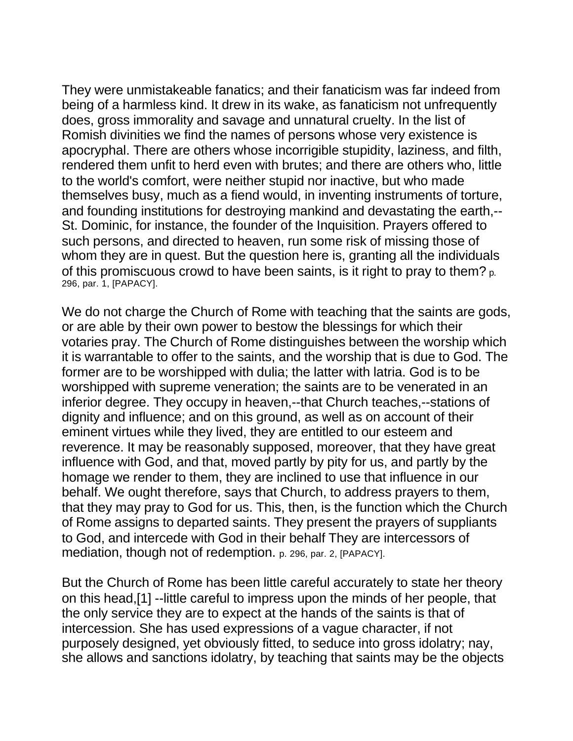They were unmistakeable fanatics; and their fanaticism was far indeed from being of a harmless kind. It drew in its wake, as fanaticism not unfrequently does, gross immorality and savage and unnatural cruelty. In the list of Romish divinities we find the names of persons whose very existence is apocryphal. There are others whose incorrigible stupidity, laziness, and filth, rendered them unfit to herd even with brutes; and there are others who, little to the world's comfort, were neither stupid nor inactive, but who made themselves busy, much as a fiend would, in inventing instruments of torture, and founding institutions for destroying mankind and devastating the earth,-- St. Dominic, for instance, the founder of the Inquisition. Prayers offered to such persons, and directed to heaven, run some risk of missing those of whom they are in quest. But the question here is, granting all the individuals of this promiscuous crowd to have been saints, is it right to pray to them? p. 296, par. 1, [PAPACY].

We do not charge the Church of Rome with teaching that the saints are gods, or are able by their own power to bestow the blessings for which their votaries pray. The Church of Rome distinguishes between the worship which it is warrantable to offer to the saints, and the worship that is due to God. The former are to be worshipped with dulia; the latter with latria. God is to be worshipped with supreme veneration; the saints are to be venerated in an inferior degree. They occupy in heaven,--that Church teaches,--stations of dignity and influence; and on this ground, as well as on account of their eminent virtues while they lived, they are entitled to our esteem and reverence. It may be reasonably supposed, moreover, that they have great influence with God, and that, moved partly by pity for us, and partly by the homage we render to them, they are inclined to use that influence in our behalf. We ought therefore, says that Church, to address prayers to them, that they may pray to God for us. This, then, is the function which the Church of Rome assigns to departed saints. They present the prayers of suppliants to God, and intercede with God in their behalf They are intercessors of mediation, though not of redemption. p. 296, par. 2, [PAPACY].

But the Church of Rome has been little careful accurately to state her theory on this head,[1] --little careful to impress upon the minds of her people, that the only service they are to expect at the hands of the saints is that of intercession. She has used expressions of a vague character, if not purposely designed, yet obviously fitted, to seduce into gross idolatry; nay, she allows and sanctions idolatry, by teaching that saints may be the objects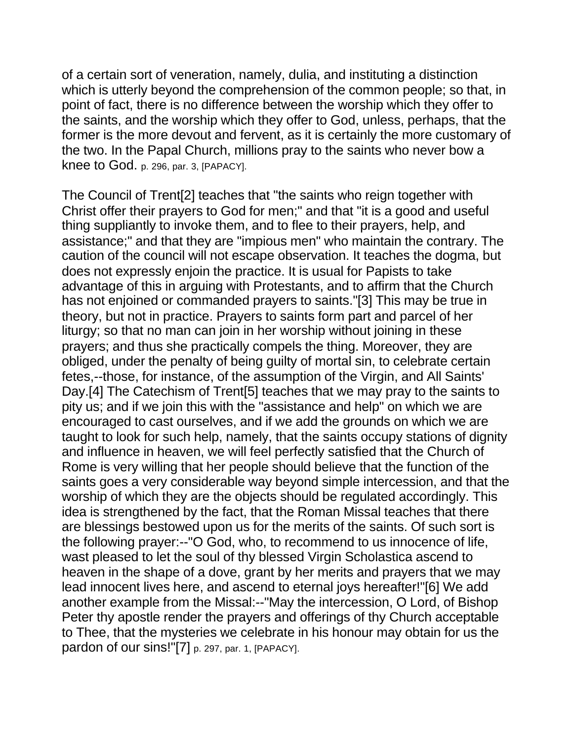of a certain sort of veneration, namely, dulia, and instituting a distinction which is utterly beyond the comprehension of the common people; so that, in point of fact, there is no difference between the worship which they offer to the saints, and the worship which they offer to God, unless, perhaps, that the former is the more devout and fervent, as it is certainly the more customary of the two. In the Papal Church, millions pray to the saints who never bow a knee to God. p. 296, par. 3, [PAPACY].

The Council of Trent[2] teaches that "the saints who reign together with Christ offer their prayers to God for men;" and that "it is a good and useful thing suppliantly to invoke them, and to flee to their prayers, help, and assistance;" and that they are "impious men" who maintain the contrary. The caution of the council will not escape observation. It teaches the dogma, but does not expressly enjoin the practice. It is usual for Papists to take advantage of this in arguing with Protestants, and to affirm that the Church has not enjoined or commanded prayers to saints."[3] This may be true in theory, but not in practice. Prayers to saints form part and parcel of her liturgy; so that no man can join in her worship without joining in these prayers; and thus she practically compels the thing. Moreover, they are obliged, under the penalty of being guilty of mortal sin, to celebrate certain fetes,--those, for instance, of the assumption of the Virgin, and All Saints' Day.[4] The Catechism of Trent[5] teaches that we may pray to the saints to pity us; and if we join this with the "assistance and help" on which we are encouraged to cast ourselves, and if we add the grounds on which we are taught to look for such help, namely, that the saints occupy stations of dignity and influence in heaven, we will feel perfectly satisfied that the Church of Rome is very willing that her people should believe that the function of the saints goes a very considerable way beyond simple intercession, and that the worship of which they are the objects should be regulated accordingly. This idea is strengthened by the fact, that the Roman Missal teaches that there are blessings bestowed upon us for the merits of the saints. Of such sort is the following prayer:--"O God, who, to recommend to us innocence of life, wast pleased to let the soul of thy blessed Virgin Scholastica ascend to heaven in the shape of a dove, grant by her merits and prayers that we may lead innocent lives here, and ascend to eternal joys hereafter!"[6] We add another example from the Missal:--"May the intercession, O Lord, of Bishop Peter thy apostle render the prayers and offerings of thy Church acceptable to Thee, that the mysteries we celebrate in his honour may obtain for us the pardon of our sins!"[7] p. 297, par. 1, [PAPACY].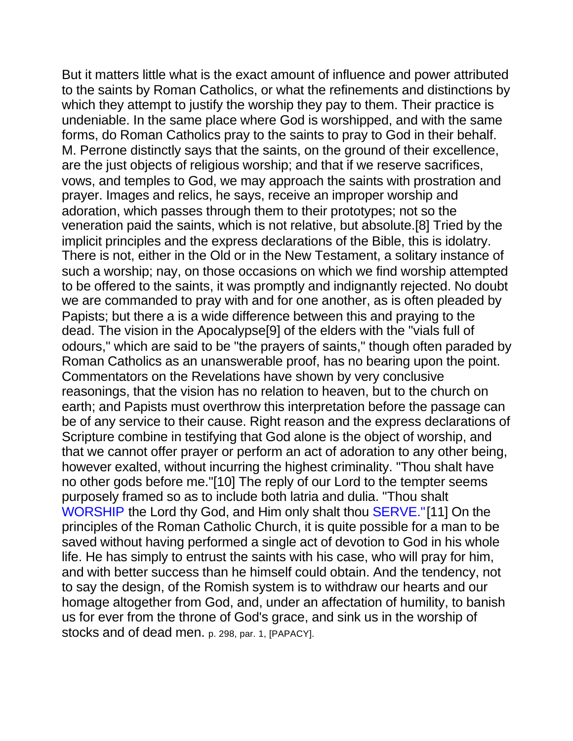But it matters little what is the exact amount of influence and power attributed to the saints by Roman Catholics, or what the refinements and distinctions by which they attempt to justify the worship they pay to them. Their practice is undeniable. In the same place where God is worshipped, and with the same forms, do Roman Catholics pray to the saints to pray to God in their behalf. M. Perrone distinctly says that the saints, on the ground of their excellence, are the just objects of religious worship; and that if we reserve sacrifices, vows, and temples to God, we may approach the saints with prostration and prayer. Images and relics, he says, receive an improper worship and adoration, which passes through them to their prototypes; not so the veneration paid the saints, which is not relative, but absolute.[8] Tried by the implicit principles and the express declarations of the Bible, this is idolatry. There is not, either in the Old or in the New Testament, a solitary instance of such a worship; nay, on those occasions on which we find worship attempted to be offered to the saints, it was promptly and indignantly rejected. No doubt we are commanded to pray with and for one another, as is often pleaded by Papists; but there a is a wide difference between this and praying to the dead. The vision in the Apocalypse[9] of the elders with the "vials full of odours," which are said to be "the prayers of saints," though often paraded by Roman Catholics as an unanswerable proof, has no bearing upon the point. Commentators on the Revelations have shown by very conclusive reasonings, that the vision has no relation to heaven, but to the church on earth; and Papists must overthrow this interpretation before the passage can be of any service to their cause. Right reason and the express declarations of Scripture combine in testifying that God alone is the object of worship, and that we cannot offer prayer or perform an act of adoration to any other being, however exalted, without incurring the highest criminality. "Thou shalt have no other gods before me."[10] The reply of our Lord to the tempter seems purposely framed so as to include both latria and dulia. "Thou shalt WORSHIP the Lord thy God, and Him only shalt thou SERVE."[11] On the principles of the Roman Catholic Church, it is quite possible for a man to be saved without having performed a single act of devotion to God in his whole life. He has simply to entrust the saints with his case, who will pray for him, and with better success than he himself could obtain. And the tendency, not to say the design, of the Romish system is to withdraw our hearts and our homage altogether from God, and, under an affectation of humility, to banish us for ever from the throne of God's grace, and sink us in the worship of stocks and of dead men. p. 298, par. 1, [PAPACY].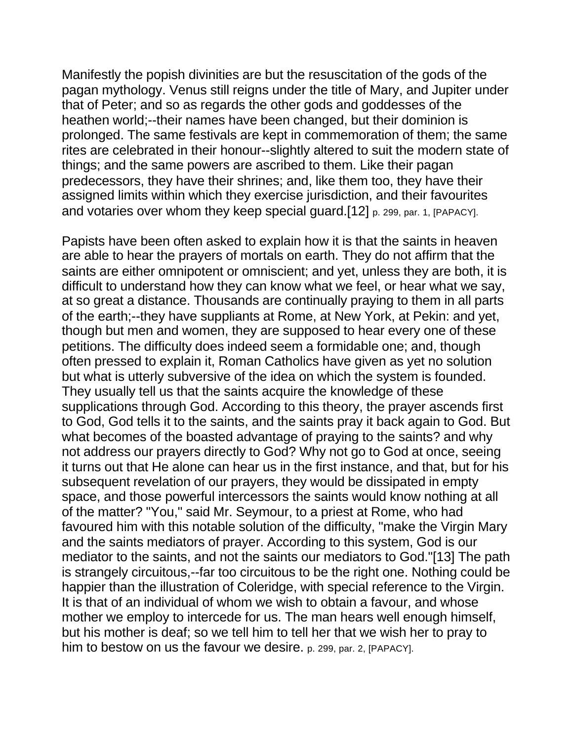Manifestly the popish divinities are but the resuscitation of the gods of the pagan mythology. Venus still reigns under the title of Mary, and Jupiter under that of Peter; and so as regards the other gods and goddesses of the heathen world;--their names have been changed, but their dominion is prolonged. The same festivals are kept in commemoration of them; the same rites are celebrated in their honour--slightly altered to suit the modern state of things; and the same powers are ascribed to them. Like their pagan predecessors, they have their shrines; and, like them too, they have their assigned limits within which they exercise jurisdiction, and their favourites and votaries over whom they keep special guard.[12] p. 299, par. 1, [PAPACY].

Papists have been often asked to explain how it is that the saints in heaven are able to hear the prayers of mortals on earth. They do not affirm that the saints are either omnipotent or omniscient; and yet, unless they are both, it is difficult to understand how they can know what we feel, or hear what we say, at so great a distance. Thousands are continually praying to them in all parts of the earth;--they have suppliants at Rome, at New York, at Pekin: and yet, though but men and women, they are supposed to hear every one of these petitions. The difficulty does indeed seem a formidable one; and, though often pressed to explain it, Roman Catholics have given as yet no solution but what is utterly subversive of the idea on which the system is founded. They usually tell us that the saints acquire the knowledge of these supplications through God. According to this theory, the prayer ascends first to God, God tells it to the saints, and the saints pray it back again to God. But what becomes of the boasted advantage of praying to the saints? and why not address our prayers directly to God? Why not go to God at once, seeing it turns out that He alone can hear us in the first instance, and that, but for his subsequent revelation of our prayers, they would be dissipated in empty space, and those powerful intercessors the saints would know nothing at all of the matter? "You," said Mr. Seymour, to a priest at Rome, who had favoured him with this notable solution of the difficulty, "make the Virgin Mary and the saints mediators of prayer. According to this system, God is our mediator to the saints, and not the saints our mediators to God."[13] The path is strangely circuitous,--far too circuitous to be the right one. Nothing could be happier than the illustration of Coleridge, with special reference to the Virgin. It is that of an individual of whom we wish to obtain a favour, and whose mother we employ to intercede for us. The man hears well enough himself, but his mother is deaf; so we tell him to tell her that we wish her to pray to him to bestow on us the favour we desire. p. 299, par. 2, [PAPACY].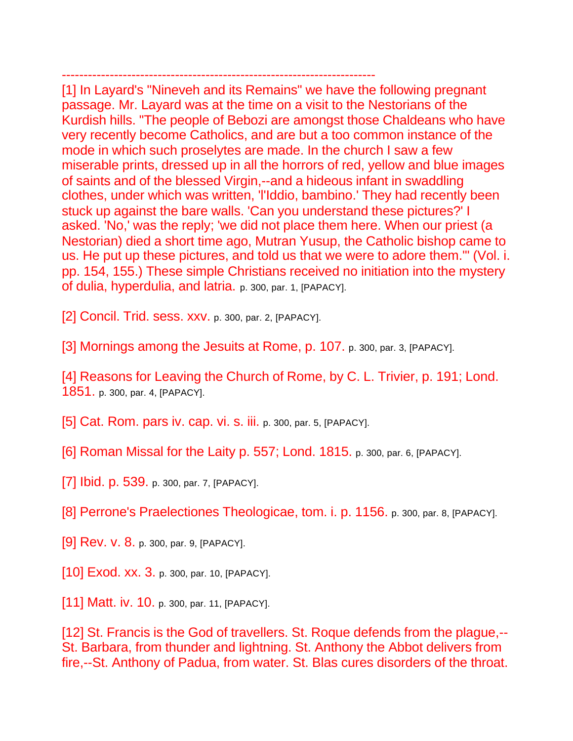------------------------------------------------------------------------ [1] In Layard's "Nineveh and its Remains" we have the following pregnant passage. Mr. Layard was at the time on a visit to the Nestorians of the Kurdish hills. "The people of Bebozi are amongst those Chaldeans who have very recently become Catholics, and are but a too common instance of the mode in which such proselytes are made. In the church I saw a few miserable prints, dressed up in all the horrors of red, yellow and blue images of saints and of the blessed Virgin,--and a hideous infant in swaddling clothes, under which was written, 'l'Iddio, bambino.' They had recently been stuck up against the bare walls. 'Can you understand these pictures?' I asked. 'No,' was the reply; 'we did not place them here. When our priest (a Nestorian) died a short time ago, Mutran Yusup, the Catholic bishop came to us. He put up these pictures, and told us that we were to adore them.'" (Vol. i. pp. 154, 155.) These simple Christians received no initiation into the mystery of dulia, hyperdulia, and latria. p. 300, par. 1, [PAPACY].

- [2] Concil. Trid. sess. xxv. p. 300, par. 2, [PAPACY].
- [3] Mornings among the Jesuits at Rome, p. 107. p. 300, par. 3, [PAPACY].
- [4] Reasons for Leaving the Church of Rome, by C. L. Trivier, p. 191; Lond. 1851. p. 300, par. 4, [PAPACY].
- [5] Cat. Rom. pars iv. cap. vi. s. iii. p. 300, par. 5, [PAPACY].
- [6] Roman Missal for the Laity p. 557; Lond. 1815. p. 300, par. 6, [PAPACY].
- [7] Ibid. p. 539. p. 300, par. 7, [PAPACY].
- [8] Perrone's Praelectiones Theologicae, tom. i. p. 1156. p. 300, par. 8, [PAPACY].
- [9] Rev. v. 8. p. 300, par. 9, [PAPACY].
- [10] Exod. xx. 3. p. 300, par. 10, [PAPACY].
- [11] Matt. iv. 10. p. 300, par. 11, [PAPACY].

[12] St. Francis is the God of travellers. St. Roque defends from the plague,--St. Barbara, from thunder and lightning. St. Anthony the Abbot delivers from fire,--St. Anthony of Padua, from water. St. Blas cures disorders of the throat.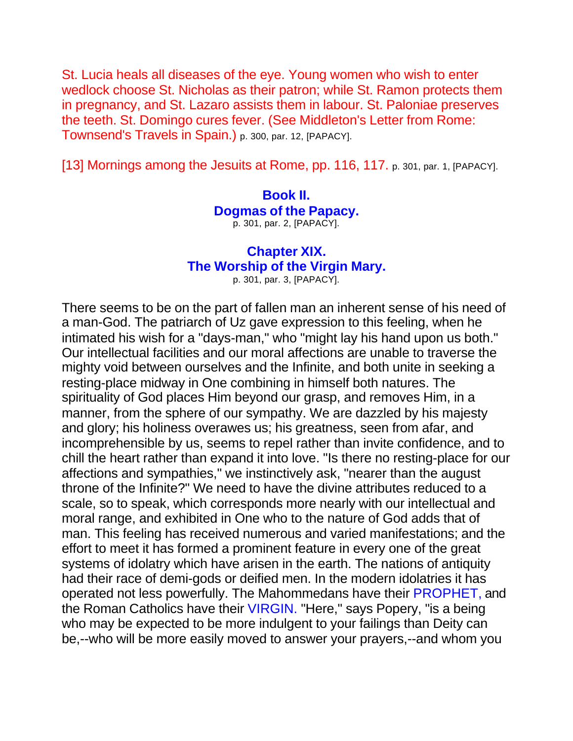St. Lucia heals all diseases of the eye. Young women who wish to enter wedlock choose St. Nicholas as their patron; while St. Ramon protects them in pregnancy, and St. Lazaro assists them in labour. St. Paloniae preserves the teeth. St. Domingo cures fever. (See Middleton's Letter from Rome: Townsend's Travels in Spain.) p. 300, par. 12, [PAPACY].

[13] Mornings among the Jesuits at Rome, pp. 116, 117. p. 301, par. 1, [PAPACY].

## **Book II. Dogmas of the Papacy.** p. 301, par. 2, [PAPACY].

## **Chapter XIX. The Worship of the Virgin Mary.**

p. 301, par. 3, [PAPACY].

There seems to be on the part of fallen man an inherent sense of his need of a man-God. The patriarch of Uz gave expression to this feeling, when he intimated his wish for a "days-man," who "might lay his hand upon us both." Our intellectual facilities and our moral affections are unable to traverse the mighty void between ourselves and the Infinite, and both unite in seeking a resting-place midway in One combining in himself both natures. The spirituality of God places Him beyond our grasp, and removes Him, in a manner, from the sphere of our sympathy. We are dazzled by his majesty and glory; his holiness overawes us; his greatness, seen from afar, and incomprehensible by us, seems to repel rather than invite confidence, and to chill the heart rather than expand it into love. "Is there no resting-place for our affections and sympathies," we instinctively ask, "nearer than the august throne of the Infinite?" We need to have the divine attributes reduced to a scale, so to speak, which corresponds more nearly with our intellectual and moral range, and exhibited in One who to the nature of God adds that of man. This feeling has received numerous and varied manifestations; and the effort to meet it has formed a prominent feature in every one of the great systems of idolatry which have arisen in the earth. The nations of antiquity had their race of demi-gods or deified men. In the modern idolatries it has operated not less powerfully. The Mahommedans have their PROPHET, and the Roman Catholics have their VIRGIN. "Here," says Popery, "is a being who may be expected to be more indulgent to your failings than Deity can be,--who will be more easily moved to answer your prayers,--and whom you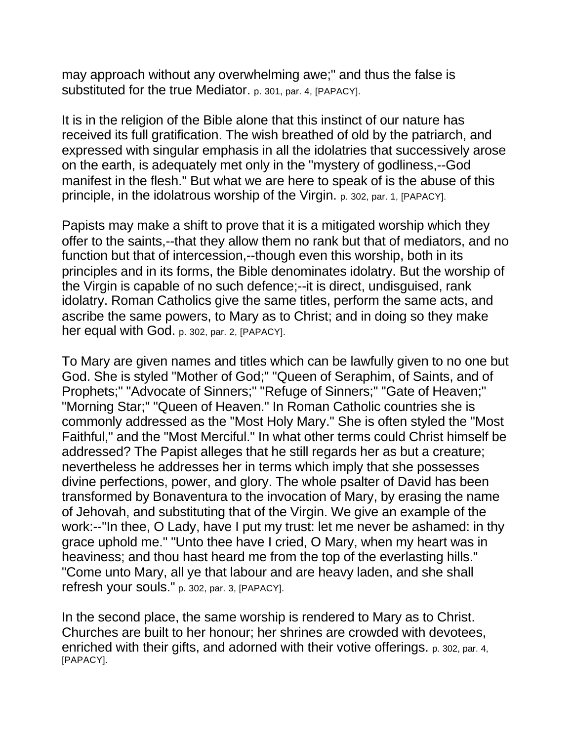may approach without any overwhelming awe;" and thus the false is substituted for the true Mediator. p. 301, par. 4, [PAPACY].

It is in the religion of the Bible alone that this instinct of our nature has received its full gratification. The wish breathed of old by the patriarch, and expressed with singular emphasis in all the idolatries that successively arose on the earth, is adequately met only in the "mystery of godliness,--God manifest in the flesh." But what we are here to speak of is the abuse of this principle, in the idolatrous worship of the Virgin. p. 302, par. 1, [PAPACY].

Papists may make a shift to prove that it is a mitigated worship which they offer to the saints,--that they allow them no rank but that of mediators, and no function but that of intercession,--though even this worship, both in its principles and in its forms, the Bible denominates idolatry. But the worship of the Virgin is capable of no such defence;--it is direct, undisguised, rank idolatry. Roman Catholics give the same titles, perform the same acts, and ascribe the same powers, to Mary as to Christ; and in doing so they make her equal with God. p. 302, par. 2, [PAPACY].

To Mary are given names and titles which can be lawfully given to no one but God. She is styled "Mother of God;" "Queen of Seraphim, of Saints, and of Prophets;" "Advocate of Sinners;" "Refuge of Sinners;" "Gate of Heaven;" "Morning Star;" "Queen of Heaven." In Roman Catholic countries she is commonly addressed as the "Most Holy Mary." She is often styled the "Most Faithful," and the "Most Merciful." In what other terms could Christ himself be addressed? The Papist alleges that he still regards her as but a creature; nevertheless he addresses her in terms which imply that she possesses divine perfections, power, and glory. The whole psalter of David has been transformed by Bonaventura to the invocation of Mary, by erasing the name of Jehovah, and substituting that of the Virgin. We give an example of the work:--"In thee, O Lady, have I put my trust: let me never be ashamed: in thy grace uphold me." "Unto thee have I cried, O Mary, when my heart was in heaviness; and thou hast heard me from the top of the everlasting hills." "Come unto Mary, all ye that labour and are heavy laden, and she shall refresh your souls." p. 302, par. 3, [PAPACY].

In the second place, the same worship is rendered to Mary as to Christ. Churches are built to her honour; her shrines are crowded with devotees, enriched with their gifts, and adorned with their votive offerings. p. 302, par. 4, [PAPACY].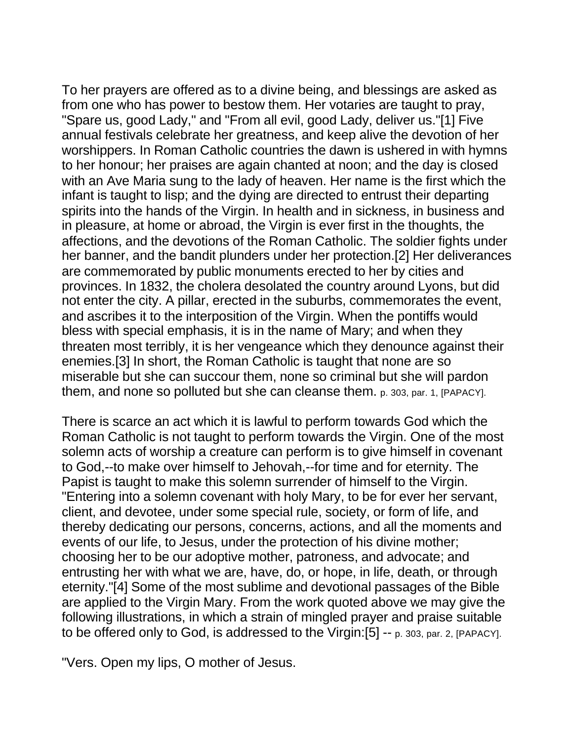To her prayers are offered as to a divine being, and blessings are asked as from one who has power to bestow them. Her votaries are taught to pray, "Spare us, good Lady," and "From all evil, good Lady, deliver us."[1] Five annual festivals celebrate her greatness, and keep alive the devotion of her worshippers. In Roman Catholic countries the dawn is ushered in with hymns to her honour; her praises are again chanted at noon; and the day is closed with an Ave Maria sung to the lady of heaven. Her name is the first which the infant is taught to lisp; and the dying are directed to entrust their departing spirits into the hands of the Virgin. In health and in sickness, in business and in pleasure, at home or abroad, the Virgin is ever first in the thoughts, the affections, and the devotions of the Roman Catholic. The soldier fights under her banner, and the bandit plunders under her protection.[2] Her deliverances are commemorated by public monuments erected to her by cities and provinces. In 1832, the cholera desolated the country around Lyons, but did not enter the city. A pillar, erected in the suburbs, commemorates the event, and ascribes it to the interposition of the Virgin. When the pontiffs would bless with special emphasis, it is in the name of Mary; and when they threaten most terribly, it is her vengeance which they denounce against their enemies.[3] In short, the Roman Catholic is taught that none are so miserable but she can succour them, none so criminal but she will pardon them, and none so polluted but she can cleanse them. p. 303, par. 1, [PAPACY].

There is scarce an act which it is lawful to perform towards God which the Roman Catholic is not taught to perform towards the Virgin. One of the most solemn acts of worship a creature can perform is to give himself in covenant to God,--to make over himself to Jehovah,--for time and for eternity. The Papist is taught to make this solemn surrender of himself to the Virgin. "Entering into a solemn covenant with holy Mary, to be for ever her servant, client, and devotee, under some special rule, society, or form of life, and thereby dedicating our persons, concerns, actions, and all the moments and events of our life, to Jesus, under the protection of his divine mother; choosing her to be our adoptive mother, patroness, and advocate; and entrusting her with what we are, have, do, or hope, in life, death, or through eternity."[4] Some of the most sublime and devotional passages of the Bible are applied to the Virgin Mary. From the work quoted above we may give the following illustrations, in which a strain of mingled prayer and praise suitable to be offered only to God, is addressed to the Virgin:[5] -- p. 303, par. 2, [PAPACY].

"Vers. Open my lips, O mother of Jesus.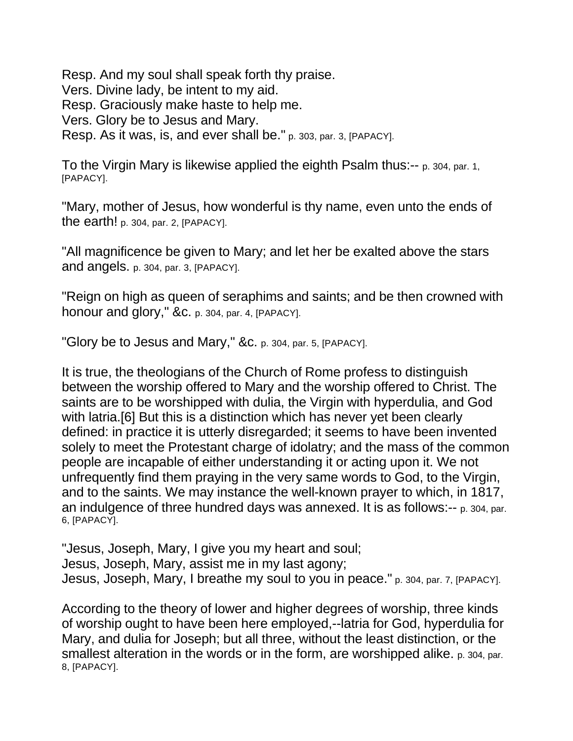Resp. And my soul shall speak forth thy praise. Vers. Divine lady, be intent to my aid. Resp. Graciously make haste to help me. Vers. Glory be to Jesus and Mary. Resp. As it was, is, and ever shall be." p. 303, par. 3, [PAPACY].

To the Virgin Mary is likewise applied the eighth Psalm thus:-- p. 304, par. 1, [PAPACY].

"Mary, mother of Jesus, how wonderful is thy name, even unto the ends of the earth! p. 304, par. 2, [PAPACY].

"All magnificence be given to Mary; and let her be exalted above the stars and angels. p. 304, par. 3, [PAPACY].

"Reign on high as queen of seraphims and saints; and be then crowned with honour and glory," &c. p. 304, par. 4, [PAPACY].

"Glory be to Jesus and Mary," &c. p. 304, par. 5, [PAPACY].

It is true, the theologians of the Church of Rome profess to distinguish between the worship offered to Mary and the worship offered to Christ. The saints are to be worshipped with dulia, the Virgin with hyperdulia, and God with latria. [6] But this is a distinction which has never yet been clearly defined: in practice it is utterly disregarded; it seems to have been invented solely to meet the Protestant charge of idolatry; and the mass of the common people are incapable of either understanding it or acting upon it. We not unfrequently find them praying in the very same words to God, to the Virgin, and to the saints. We may instance the well-known prayer to which, in 1817, an indulgence of three hundred days was annexed. It is as follows:-- p. 304, par. 6, [PAPACY].

"Jesus, Joseph, Mary, I give you my heart and soul; Jesus, Joseph, Mary, assist me in my last agony; Jesus, Joseph, Mary, I breathe my soul to you in peace." p. 304, par. 7, [PAPACY].

According to the theory of lower and higher degrees of worship, three kinds of worship ought to have been here employed,--latria for God, hyperdulia for Mary, and dulia for Joseph; but all three, without the least distinction, or the smallest alteration in the words or in the form, are worshipped alike. p. 304, par. 8, [PAPACY].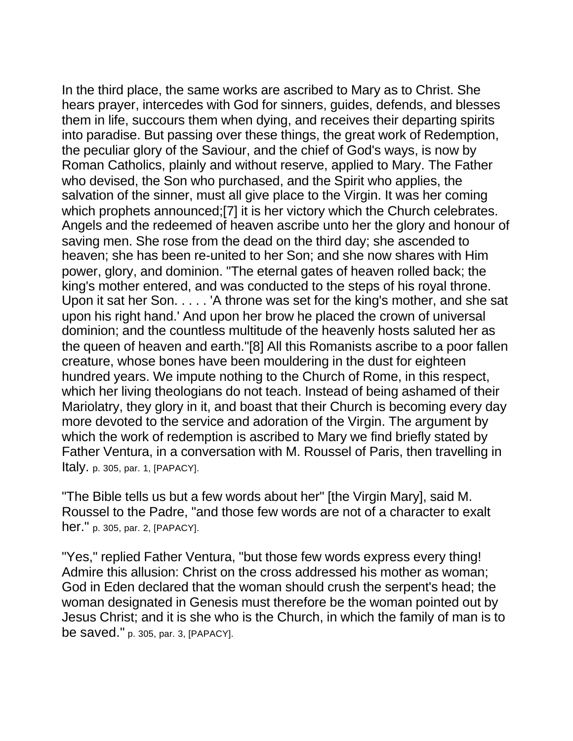In the third place, the same works are ascribed to Mary as to Christ. She hears prayer, intercedes with God for sinners, guides, defends, and blesses them in life, succours them when dying, and receives their departing spirits into paradise. But passing over these things, the great work of Redemption, the peculiar glory of the Saviour, and the chief of God's ways, is now by Roman Catholics, plainly and without reserve, applied to Mary. The Father who devised, the Son who purchased, and the Spirit who applies, the salvation of the sinner, must all give place to the Virgin. It was her coming which prophets announced;[7] it is her victory which the Church celebrates. Angels and the redeemed of heaven ascribe unto her the glory and honour of saving men. She rose from the dead on the third day; she ascended to heaven; she has been re-united to her Son; and she now shares with Him power, glory, and dominion. "The eternal gates of heaven rolled back; the king's mother entered, and was conducted to the steps of his royal throne. Upon it sat her Son. . . . . 'A throne was set for the king's mother, and she sat upon his right hand.' And upon her brow he placed the crown of universal dominion; and the countless multitude of the heavenly hosts saluted her as the queen of heaven and earth."[8] All this Romanists ascribe to a poor fallen creature, whose bones have been mouldering in the dust for eighteen hundred years. We impute nothing to the Church of Rome, in this respect, which her living theologians do not teach. Instead of being ashamed of their Mariolatry, they glory in it, and boast that their Church is becoming every day more devoted to the service and adoration of the Virgin. The argument by which the work of redemption is ascribed to Mary we find briefly stated by Father Ventura, in a conversation with M. Roussel of Paris, then travelling in Italy. p. 305, par. 1, [PAPACY].

"The Bible tells us but a few words about her" [the Virgin Mary], said M. Roussel to the Padre, "and those few words are not of a character to exalt her." p. 305, par. 2, [PAPACY].

"Yes," replied Father Ventura, "but those few words express every thing! Admire this allusion: Christ on the cross addressed his mother as woman; God in Eden declared that the woman should crush the serpent's head; the woman designated in Genesis must therefore be the woman pointed out by Jesus Christ; and it is she who is the Church, in which the family of man is to be saved." p. 305, par. 3, [PAPACY].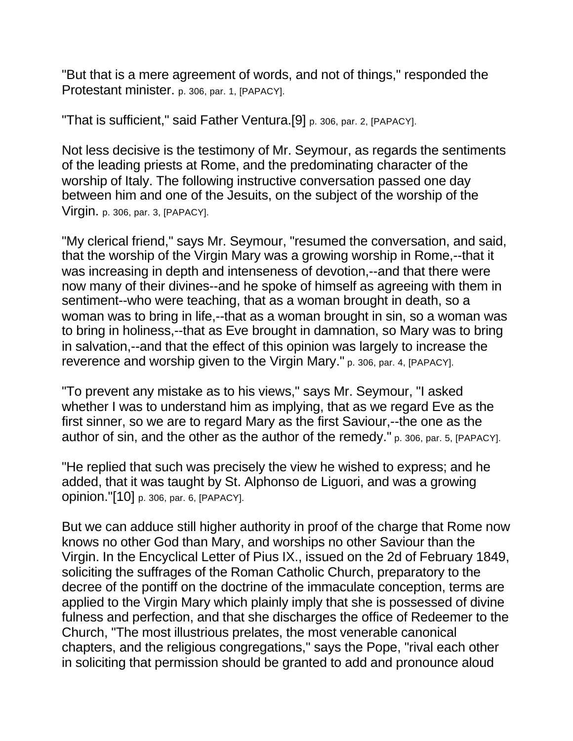"But that is a mere agreement of words, and not of things," responded the Protestant minister. p. 306, par. 1, [PAPACY].

"That is sufficient," said Father Ventura.[9] p. 306, par. 2, [PAPACY].

Not less decisive is the testimony of Mr. Seymour, as regards the sentiments of the leading priests at Rome, and the predominating character of the worship of Italy. The following instructive conversation passed one day between him and one of the Jesuits, on the subject of the worship of the Virgin. p. 306, par. 3, [PAPACY].

"My clerical friend," says Mr. Seymour, "resumed the conversation, and said, that the worship of the Virgin Mary was a growing worship in Rome,--that it was increasing in depth and intenseness of devotion,--and that there were now many of their divines--and he spoke of himself as agreeing with them in sentiment--who were teaching, that as a woman brought in death, so a woman was to bring in life,--that as a woman brought in sin, so a woman was to bring in holiness,--that as Eve brought in damnation, so Mary was to bring in salvation,--and that the effect of this opinion was largely to increase the reverence and worship given to the Virgin Mary." p. 306, par. 4, [PAPACY].

"To prevent any mistake as to his views," says Mr. Seymour, "I asked whether I was to understand him as implying, that as we regard Eve as the first sinner, so we are to regard Mary as the first Saviour,--the one as the author of sin, and the other as the author of the remedy." p. 306, par. 5, [PAPACY].

"He replied that such was precisely the view he wished to express; and he added, that it was taught by St. Alphonso de Liguori, and was a growing opinion."[10] p. 306, par. 6, [PAPACY].

But we can adduce still higher authority in proof of the charge that Rome now knows no other God than Mary, and worships no other Saviour than the Virgin. In the Encyclical Letter of Pius IX., issued on the 2d of February 1849, soliciting the suffrages of the Roman Catholic Church, preparatory to the decree of the pontiff on the doctrine of the immaculate conception, terms are applied to the Virgin Mary which plainly imply that she is possessed of divine fulness and perfection, and that she discharges the office of Redeemer to the Church, "The most illustrious prelates, the most venerable canonical chapters, and the religious congregations," says the Pope, "rival each other in soliciting that permission should be granted to add and pronounce aloud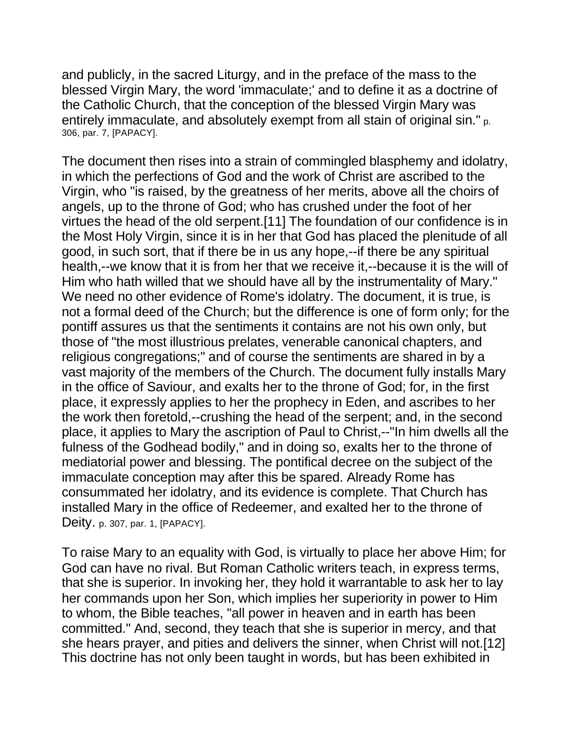and publicly, in the sacred Liturgy, and in the preface of the mass to the blessed Virgin Mary, the word 'immaculate;' and to define it as a doctrine of the Catholic Church, that the conception of the blessed Virgin Mary was entirely immaculate, and absolutely exempt from all stain of original sin." p. 306, par. 7, [PAPACY].

The document then rises into a strain of commingled blasphemy and idolatry, in which the perfections of God and the work of Christ are ascribed to the Virgin, who "is raised, by the greatness of her merits, above all the choirs of angels, up to the throne of God; who has crushed under the foot of her virtues the head of the old serpent.[11] The foundation of our confidence is in the Most Holy Virgin, since it is in her that God has placed the plenitude of all good, in such sort, that if there be in us any hope,--if there be any spiritual health,--we know that it is from her that we receive it,--because it is the will of Him who hath willed that we should have all by the instrumentality of Mary." We need no other evidence of Rome's idolatry. The document, it is true, is not a formal deed of the Church; but the difference is one of form only; for the pontiff assures us that the sentiments it contains are not his own only, but those of "the most illustrious prelates, venerable canonical chapters, and religious congregations;" and of course the sentiments are shared in by a vast majority of the members of the Church. The document fully installs Mary in the office of Saviour, and exalts her to the throne of God; for, in the first place, it expressly applies to her the prophecy in Eden, and ascribes to her the work then foretold,--crushing the head of the serpent; and, in the second place, it applies to Mary the ascription of Paul to Christ,--"In him dwells all the fulness of the Godhead bodily," and in doing so, exalts her to the throne of mediatorial power and blessing. The pontifical decree on the subject of the immaculate conception may after this be spared. Already Rome has consummated her idolatry, and its evidence is complete. That Church has installed Mary in the office of Redeemer, and exalted her to the throne of Deity. p. 307, par. 1, [PAPACY].

To raise Mary to an equality with God, is virtually to place her above Him; for God can have no rival. But Roman Catholic writers teach, in express terms, that she is superior. In invoking her, they hold it warrantable to ask her to lay her commands upon her Son, which implies her superiority in power to Him to whom, the Bible teaches, "all power in heaven and in earth has been committed." And, second, they teach that she is superior in mercy, and that she hears prayer, and pities and delivers the sinner, when Christ will not.[12] This doctrine has not only been taught in words, but has been exhibited in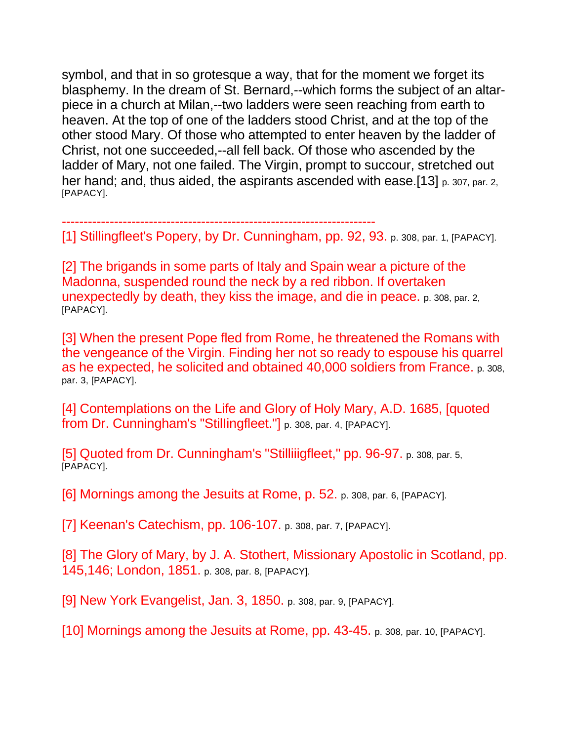symbol, and that in so grotesque a way, that for the moment we forget its blasphemy. In the dream of St. Bernard,--which forms the subject of an altarpiece in a church at Milan,--two ladders were seen reaching from earth to heaven. At the top of one of the ladders stood Christ, and at the top of the other stood Mary. Of those who attempted to enter heaven by the ladder of Christ, not one succeeded,--all fell back. Of those who ascended by the ladder of Mary, not one failed. The Virgin, prompt to succour, stretched out her hand; and, thus aided, the aspirants ascended with ease.[13] p. 307, par. 2, [PAPACY].

------------------------------------------------------------------------ [1] Stillingfleet's Popery, by Dr. Cunningham, pp. 92, 93. p. 308, par. 1, [PAPACY].

[2] The brigands in some parts of Italy and Spain wear a picture of the Madonna, suspended round the neck by a red ribbon. If overtaken unexpectedly by death, they kiss the image, and die in peace. p. 308, par. 2, [PAPACY].

[3] When the present Pope fled from Rome, he threatened the Romans with the vengeance of the Virgin. Finding her not so ready to espouse his quarrel as he expected, he solicited and obtained 40,000 soldiers from France. p. 308, par. 3, [PAPACY].

[4] Contemplations on the Life and Glory of Holy Mary, A.D. 1685, [quoted from Dr. Cunningham's "StilIingfleet."] p. 308, par. 4, [PAPACY].

[5] Quoted from Dr. Cunningham's "Stilliiigfleet," pp. 96-97. p. 308, par. 5, [PAPACY].

[6] Mornings among the Jesuits at Rome, p. 52. p. 308, par. 6, [PAPACY].

[7] Keenan's Catechism, pp. 106-107. p. 308, par. 7, [PAPACY].

[8] The Glory of Mary, by J. A. Stothert, Missionary Apostolic in Scotland, pp. 145,146; London, 1851. p. 308, par. 8, [PAPACY].

[9] New York Evangelist, Jan. 3, 1850. p. 308, par. 9, [PAPACY].

[10] Mornings among the Jesuits at Rome, pp. 43-45. p. 308, par. 10, [PAPACY].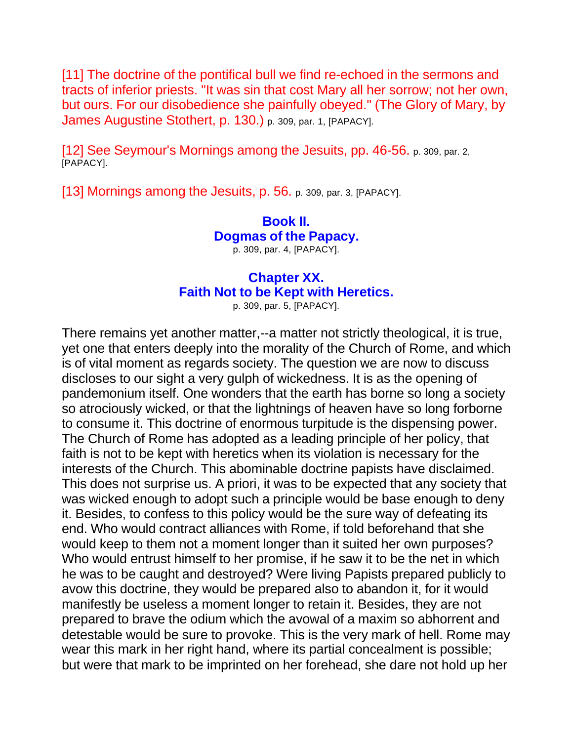[11] The doctrine of the pontifical bull we find re-echoed in the sermons and tracts of inferior priests. "It was sin that cost Mary all her sorrow; not her own, but ours. For our disobedience she painfully obeyed." (The Glory of Mary, by James Augustine Stothert, p. 130.) p. 309, par. 1, [PAPACY].

[12] See Seymour's Mornings among the Jesuits, pp. 46-56. p. 309, par. 2, [PAPACY].

[13] Mornings among the Jesuits, p. 56. p. 309, par. 3, [PAPACY].

# **Book II. Dogmas of the Papacy.**

p. 309, par. 4, [PAPACY].

## **Chapter XX. Faith Not to be Kept with Heretics.**

p. 309, par. 5, [PAPACY].

There remains yet another matter,--a matter not strictly theological, it is true, yet one that enters deeply into the morality of the Church of Rome, and which is of vital moment as regards society. The question we are now to discuss discloses to our sight a very gulph of wickedness. It is as the opening of pandemonium itself. One wonders that the earth has borne so long a society so atrociously wicked, or that the lightnings of heaven have so long forborne to consume it. This doctrine of enormous turpitude is the dispensing power. The Church of Rome has adopted as a leading principle of her policy, that faith is not to be kept with heretics when its violation is necessary for the interests of the Church. This abominable doctrine papists have disclaimed. This does not surprise us. A priori, it was to be expected that any society that was wicked enough to adopt such a principle would be base enough to deny it. Besides, to confess to this policy would be the sure way of defeating its end. Who would contract alliances with Rome, if told beforehand that she would keep to them not a moment longer than it suited her own purposes? Who would entrust himself to her promise, if he saw it to be the net in which he was to be caught and destroyed? Were living Papists prepared publicly to avow this doctrine, they would be prepared also to abandon it, for it would manifestly be useless a moment longer to retain it. Besides, they are not prepared to brave the odium which the avowal of a maxim so abhorrent and detestable would be sure to provoke. This is the very mark of hell. Rome may wear this mark in her right hand, where its partial concealment is possible; but were that mark to be imprinted on her forehead, she dare not hold up her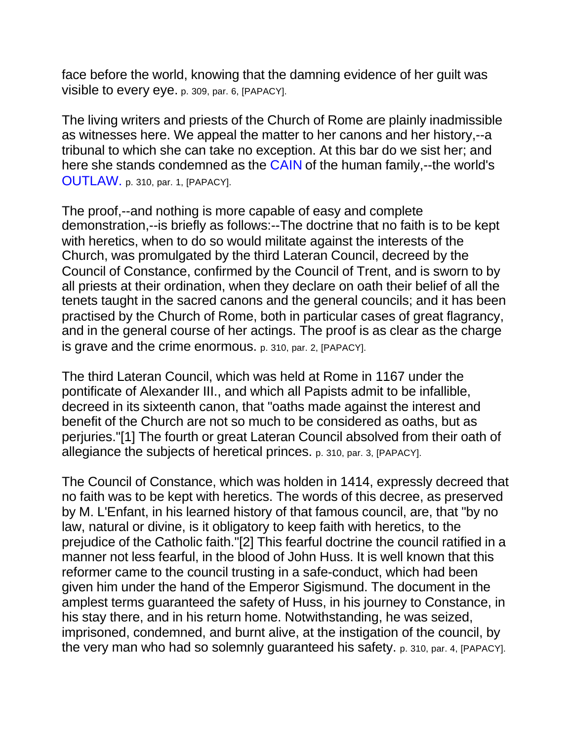face before the world, knowing that the damning evidence of her guilt was visible to every eye. p. 309, par. 6, [PAPACY].

The living writers and priests of the Church of Rome are plainly inadmissible as witnesses here. We appeal the matter to her canons and her history,--a tribunal to which she can take no exception. At this bar do we sist her; and here she stands condemned as the CAIN of the human family,--the world's OUTLAW. p. 310, par. 1, [PAPACY].

The proof,--and nothing is more capable of easy and complete demonstration,--is briefly as follows:--The doctrine that no faith is to be kept with heretics, when to do so would militate against the interests of the Church, was promulgated by the third Lateran Council, decreed by the Council of Constance, confirmed by the Council of Trent, and is sworn to by all priests at their ordination, when they declare on oath their belief of all the tenets taught in the sacred canons and the general councils; and it has been practised by the Church of Rome, both in particular cases of great flagrancy, and in the general course of her actings. The proof is as clear as the charge is grave and the crime enormous. p. 310, par. 2, [PAPACY].

The third Lateran Council, which was held at Rome in 1167 under the pontificate of Alexander III., and which all Papists admit to be infallible, decreed in its sixteenth canon, that "oaths made against the interest and benefit of the Church are not so much to be considered as oaths, but as perjuries."[1] The fourth or great Lateran Council absolved from their oath of allegiance the subjects of heretical princes. p. 310, par. 3, [PAPACY].

The Council of Constance, which was holden in 1414, expressly decreed that no faith was to be kept with heretics. The words of this decree, as preserved by M. L'Enfant, in his learned history of that famous council, are, that "by no law, natural or divine, is it obligatory to keep faith with heretics, to the prejudice of the Catholic faith."[2] This fearful doctrine the council ratified in a manner not less fearful, in the blood of John Huss. It is well known that this reformer came to the council trusting in a safe-conduct, which had been given him under the hand of the Emperor Sigismund. The document in the amplest terms guaranteed the safety of Huss, in his journey to Constance, in his stay there, and in his return home. Notwithstanding, he was seized, imprisoned, condemned, and burnt alive, at the instigation of the council, by the very man who had so solemnly guaranteed his safety. p. 310, par. 4, [PAPACY].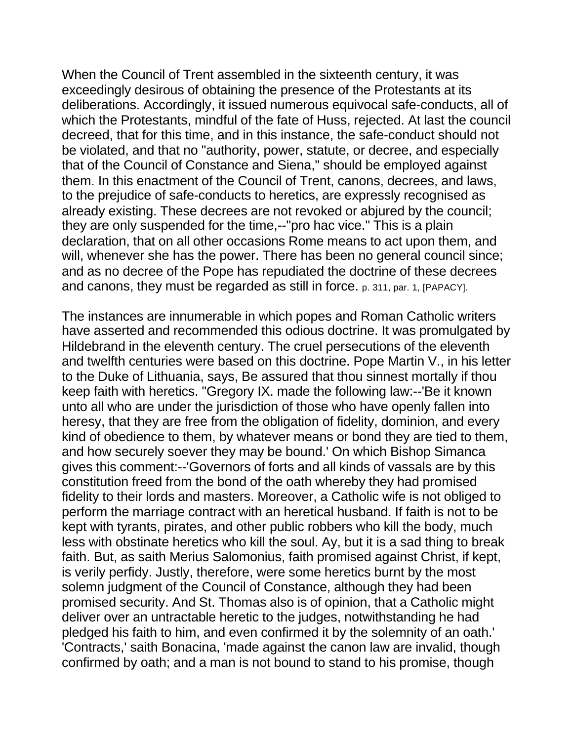When the Council of Trent assembled in the sixteenth century, it was exceedingly desirous of obtaining the presence of the Protestants at its deliberations. Accordingly, it issued numerous equivocal safe-conducts, all of which the Protestants, mindful of the fate of Huss, rejected. At last the council decreed, that for this time, and in this instance, the safe-conduct should not be violated, and that no "authority, power, statute, or decree, and especially that of the Council of Constance and Siena," should be employed against them. In this enactment of the Council of Trent, canons, decrees, and laws, to the prejudice of safe-conducts to heretics, are expressly recognised as already existing. These decrees are not revoked or abjured by the council; they are only suspended for the time,--"pro hac vice." This is a plain declaration, that on all other occasions Rome means to act upon them, and will, whenever she has the power. There has been no general council since; and as no decree of the Pope has repudiated the doctrine of these decrees and canons, they must be regarded as still in force. p. 311, par. 1, [PAPACY].

The instances are innumerable in which popes and Roman Catholic writers have asserted and recommended this odious doctrine. It was promulgated by Hildebrand in the eleventh century. The cruel persecutions of the eleventh and twelfth centuries were based on this doctrine. Pope Martin V., in his letter to the Duke of Lithuania, says, Be assured that thou sinnest mortally if thou keep faith with heretics. "Gregory IX. made the following law:--'Be it known unto all who are under the jurisdiction of those who have openly fallen into heresy, that they are free from the obligation of fidelity, dominion, and every kind of obedience to them, by whatever means or bond they are tied to them, and how securely soever they may be bound.' On which Bishop Simanca gives this comment:--'Governors of forts and all kinds of vassals are by this constitution freed from the bond of the oath whereby they had promised fidelity to their lords and masters. Moreover, a Catholic wife is not obliged to perform the marriage contract with an heretical husband. If faith is not to be kept with tyrants, pirates, and other public robbers who kill the body, much less with obstinate heretics who kill the soul. Ay, but it is a sad thing to break faith. But, as saith Merius Salomonius, faith promised against Christ, if kept, is verily perfidy. Justly, therefore, were some heretics burnt by the most solemn judgment of the Council of Constance, although they had been promised security. And St. Thomas also is of opinion, that a Catholic might deliver over an untractable heretic to the judges, notwithstanding he had pledged his faith to him, and even confirmed it by the solemnity of an oath.' 'Contracts,' saith Bonacina, 'made against the canon law are invalid, though confirmed by oath; and a man is not bound to stand to his promise, though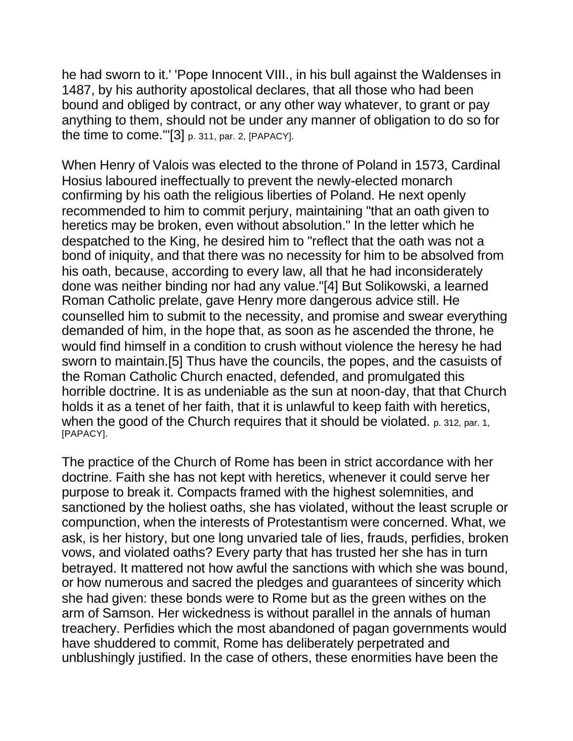he had sworn to it.' 'Pope Innocent VIII., in his bull against the Waldenses in 1487, by his authority apostolical declares, that all those who had been bound and obliged by contract, or any other way whatever, to grant or pay anything to them, should not be under any manner of obligation to do so for the time to come.'"[3] p. 311, par. 2, [PAPACY].

When Henry of Valois was elected to the throne of Poland in 1573, Cardinal Hosius laboured ineffectually to prevent the newly-elected monarch confirming by his oath the religious liberties of Poland. He next openly recommended to him to commit perjury, maintaining "that an oath given to heretics may be broken, even without absolution." In the letter which he despatched to the King, he desired him to "reflect that the oath was not a bond of iniquity, and that there was no necessity for him to be absolved from his oath, because, according to every law, all that he had inconsiderately done was neither binding nor had any value."[4] But Solikowski, a learned Roman Catholic prelate, gave Henry more dangerous advice still. He counselled him to submit to the necessity, and promise and swear everything demanded of him, in the hope that, as soon as he ascended the throne, he would find himself in a condition to crush without violence the heresy he had sworn to maintain.[5] Thus have the councils, the popes, and the casuists of the Roman Catholic Church enacted, defended, and promulgated this horrible doctrine. It is as undeniable as the sun at noon-day, that that Church holds it as a tenet of her faith, that it is unlawful to keep faith with heretics, when the good of the Church requires that it should be violated. p. 312, par. 1, [PAPACY].

The practice of the Church of Rome has been in strict accordance with her doctrine. Faith she has not kept with heretics, whenever it could serve her purpose to break it. Compacts framed with the highest solemnities, and sanctioned by the holiest oaths, she has violated, without the least scruple or compunction, when the interests of Protestantism were concerned. What, we ask, is her history, but one long unvaried tale of lies, frauds, perfidies, broken vows, and violated oaths? Every party that has trusted her she has in turn betrayed. It mattered not how awful the sanctions with which she was bound, or how numerous and sacred the pledges and guarantees of sincerity which she had given: these bonds were to Rome but as the green withes on the arm of Samson. Her wickedness is without parallel in the annals of human treachery. Perfidies which the most abandoned of pagan governments would have shuddered to commit, Rome has deliberately perpetrated and unblushingly justified. In the case of others, these enormities have been the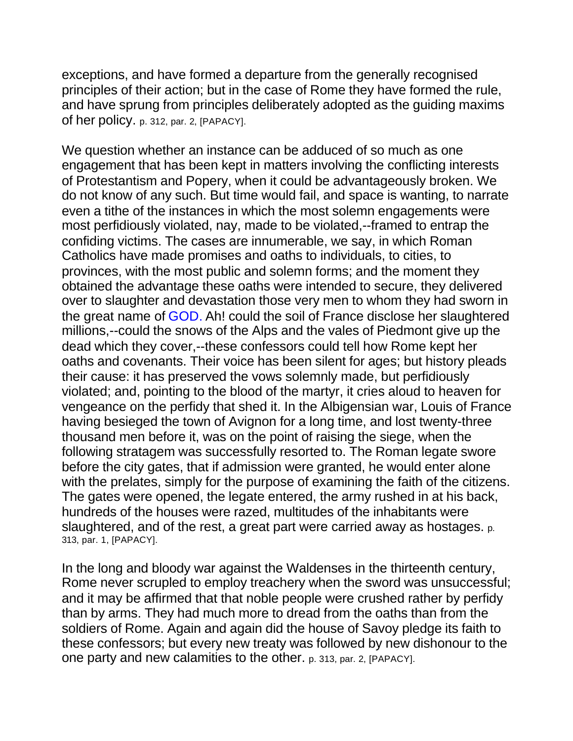exceptions, and have formed a departure from the generally recognised principles of their action; but in the case of Rome they have formed the rule, and have sprung from principles deliberately adopted as the guiding maxims of her policy. p. 312, par. 2, [PAPACY].

We question whether an instance can be adduced of so much as one engagement that has been kept in matters involving the conflicting interests of Protestantism and Popery, when it could be advantageously broken. We do not know of any such. But time would fail, and space is wanting, to narrate even a tithe of the instances in which the most solemn engagements were most perfidiously violated, nay, made to be violated,--framed to entrap the confiding victims. The cases are innumerable, we say, in which Roman Catholics have made promises and oaths to individuals, to cities, to provinces, with the most public and solemn forms; and the moment they obtained the advantage these oaths were intended to secure, they delivered over to slaughter and devastation those very men to whom they had sworn in the great name of GOD. Ah! could the soil of France disclose her slaughtered millions,--could the snows of the Alps and the vales of Piedmont give up the dead which they cover,--these confessors could tell how Rome kept her oaths and covenants. Their voice has been silent for ages; but history pleads their cause: it has preserved the vows solemnly made, but perfidiously violated; and, pointing to the blood of the martyr, it cries aloud to heaven for vengeance on the perfidy that shed it. In the Albigensian war, Louis of France having besieged the town of Avignon for a long time, and lost twenty-three thousand men before it, was on the point of raising the siege, when the following stratagem was successfully resorted to. The Roman legate swore before the city gates, that if admission were granted, he would enter alone with the prelates, simply for the purpose of examining the faith of the citizens. The gates were opened, the legate entered, the army rushed in at his back, hundreds of the houses were razed, multitudes of the inhabitants were slaughtered, and of the rest, a great part were carried away as hostages. p. 313, par. 1, [PAPACY].

In the long and bloody war against the Waldenses in the thirteenth century, Rome never scrupled to employ treachery when the sword was unsuccessful; and it may be affirmed that that noble people were crushed rather by perfidy than by arms. They had much more to dread from the oaths than from the soldiers of Rome. Again and again did the house of Savoy pledge its faith to these confessors; but every new treaty was followed by new dishonour to the one party and new calamities to the other. p. 313, par. 2, [PAPACY].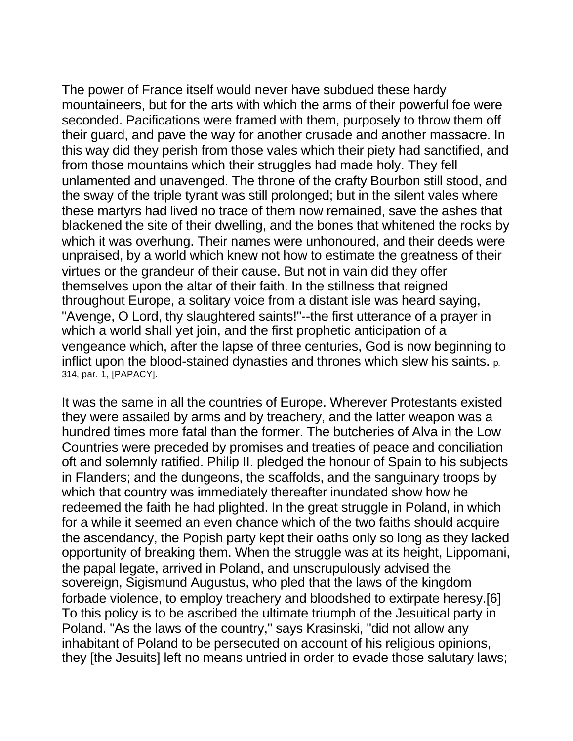The power of France itself would never have subdued these hardy mountaineers, but for the arts with which the arms of their powerful foe were seconded. Pacifications were framed with them, purposely to throw them off their guard, and pave the way for another crusade and another massacre. In this way did they perish from those vales which their piety had sanctified, and from those mountains which their struggles had made holy. They fell unlamented and unavenged. The throne of the crafty Bourbon still stood, and the sway of the triple tyrant was still prolonged; but in the silent vales where these martyrs had lived no trace of them now remained, save the ashes that blackened the site of their dwelling, and the bones that whitened the rocks by which it was overhung. Their names were unhonoured, and their deeds were unpraised, by a world which knew not how to estimate the greatness of their virtues or the grandeur of their cause. But not in vain did they offer themselves upon the altar of their faith. In the stillness that reigned throughout Europe, a solitary voice from a distant isle was heard saying, "Avenge, O Lord, thy slaughtered saints!"--the first utterance of a prayer in which a world shall yet join, and the first prophetic anticipation of a vengeance which, after the lapse of three centuries, God is now beginning to inflict upon the blood-stained dynasties and thrones which slew his saints. p. 314, par. 1, [PAPACY].

It was the same in all the countries of Europe. Wherever Protestants existed they were assailed by arms and by treachery, and the latter weapon was a hundred times more fatal than the former. The butcheries of Alva in the Low Countries were preceded by promises and treaties of peace and conciliation oft and solemnly ratified. Philip II. pledged the honour of Spain to his subjects in Flanders; and the dungeons, the scaffolds, and the sanguinary troops by which that country was immediately thereafter inundated show how he redeemed the faith he had plighted. In the great struggle in Poland, in which for a while it seemed an even chance which of the two faiths should acquire the ascendancy, the Popish party kept their oaths only so long as they lacked opportunity of breaking them. When the struggle was at its height, Lippomani, the papal legate, arrived in Poland, and unscrupulously advised the sovereign, Sigismund Augustus, who pled that the laws of the kingdom forbade violence, to employ treachery and bloodshed to extirpate heresy.[6] To this policy is to be ascribed the ultimate triumph of the Jesuitical party in Poland. "As the laws of the country," says Krasinski, "did not allow any inhabitant of Poland to be persecuted on account of his religious opinions, they [the Jesuits] left no means untried in order to evade those salutary laws;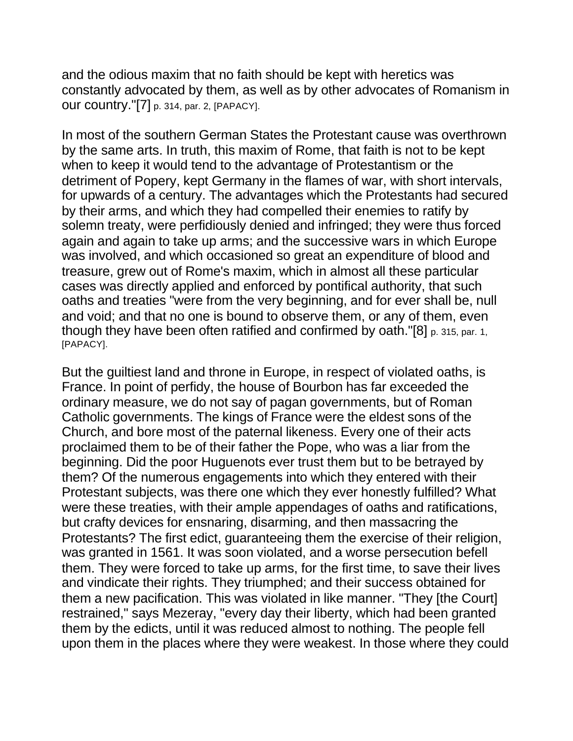and the odious maxim that no faith should be kept with heretics was constantly advocated by them, as well as by other advocates of Romanism in our country."[7] p. 314, par. 2, [PAPACY].

In most of the southern German States the Protestant cause was overthrown by the same arts. In truth, this maxim of Rome, that faith is not to be kept when to keep it would tend to the advantage of Protestantism or the detriment of Popery, kept Germany in the flames of war, with short intervals, for upwards of a century. The advantages which the Protestants had secured by their arms, and which they had compelled their enemies to ratify by solemn treaty, were perfidiously denied and infringed; they were thus forced again and again to take up arms; and the successive wars in which Europe was involved, and which occasioned so great an expenditure of blood and treasure, grew out of Rome's maxim, which in almost all these particular cases was directly applied and enforced by pontifical authority, that such oaths and treaties "were from the very beginning, and for ever shall be, null and void; and that no one is bound to observe them, or any of them, even though they have been often ratified and confirmed by oath."[8] p. 315, par. 1, [PAPACY].

But the guiltiest land and throne in Europe, in respect of violated oaths, is France. In point of perfidy, the house of Bourbon has far exceeded the ordinary measure, we do not say of pagan governments, but of Roman Catholic governments. The kings of France were the eldest sons of the Church, and bore most of the paternal likeness. Every one of their acts proclaimed them to be of their father the Pope, who was a liar from the beginning. Did the poor Huguenots ever trust them but to be betrayed by them? Of the numerous engagements into which they entered with their Protestant subjects, was there one which they ever honestly fulfilled? What were these treaties, with their ample appendages of oaths and ratifications, but crafty devices for ensnaring, disarming, and then massacring the Protestants? The first edict, guaranteeing them the exercise of their religion, was granted in 1561. It was soon violated, and a worse persecution befell them. They were forced to take up arms, for the first time, to save their lives and vindicate their rights. They triumphed; and their success obtained for them a new pacification. This was violated in like manner. "They [the Court] restrained," says Mezeray, "every day their liberty, which had been granted them by the edicts, until it was reduced almost to nothing. The people fell upon them in the places where they were weakest. In those where they could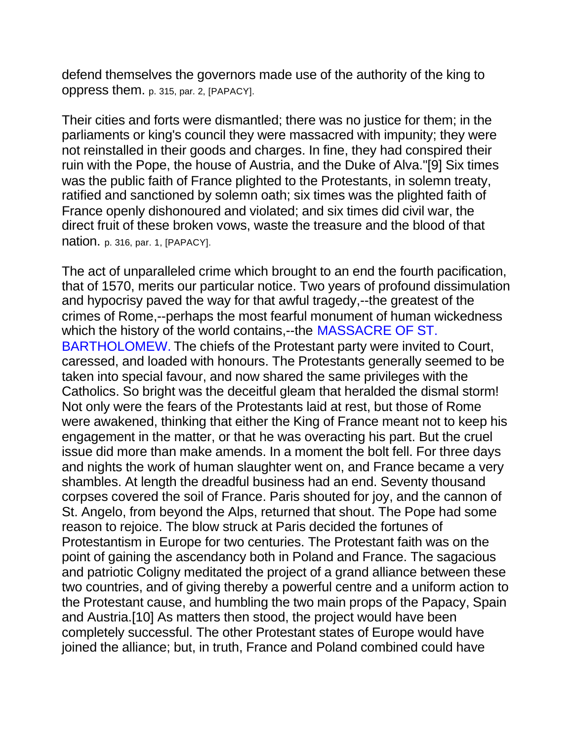defend themselves the governors made use of the authority of the king to oppress them. p. 315, par. 2, [PAPACY].

Their cities and forts were dismantled; there was no justice for them; in the parliaments or king's council they were massacred with impunity; they were not reinstalled in their goods and charges. In fine, they had conspired their ruin with the Pope, the house of Austria, and the Duke of Alva."[9] Six times was the public faith of France plighted to the Protestants, in solemn treaty, ratified and sanctioned by solemn oath; six times was the plighted faith of France openly dishonoured and violated; and six times did civil war, the direct fruit of these broken vows, waste the treasure and the blood of that nation. p. 316, par. 1, [PAPACY].

The act of unparalleled crime which brought to an end the fourth pacification, that of 1570, merits our particular notice. Two years of profound dissimulation and hypocrisy paved the way for that awful tragedy,--the greatest of the crimes of Rome,--perhaps the most fearful monument of human wickedness which the history of the world contains,--the MASSACRE OF ST. BARTHOLOMEW. The chiefs of the Protestant party were invited to Court, caressed, and loaded with honours. The Protestants generally seemed to be taken into special favour, and now shared the same privileges with the Catholics. So bright was the deceitful gleam that heralded the dismal storm! Not only were the fears of the Protestants laid at rest, but those of Rome were awakened, thinking that either the King of France meant not to keep his engagement in the matter, or that he was overacting his part. But the cruel issue did more than make amends. In a moment the bolt fell. For three days and nights the work of human slaughter went on, and France became a very shambles. At length the dreadful business had an end. Seventy thousand corpses covered the soil of France. Paris shouted for joy, and the cannon of St. Angelo, from beyond the Alps, returned that shout. The Pope had some reason to rejoice. The blow struck at Paris decided the fortunes of Protestantism in Europe for two centuries. The Protestant faith was on the point of gaining the ascendancy both in Poland and France. The sagacious and patriotic Coligny meditated the project of a grand alliance between these two countries, and of giving thereby a powerful centre and a uniform action to the Protestant cause, and humbling the two main props of the Papacy, Spain and Austria.[10] As matters then stood, the project would have been completely successful. The other Protestant states of Europe would have joined the alliance; but, in truth, France and Poland combined could have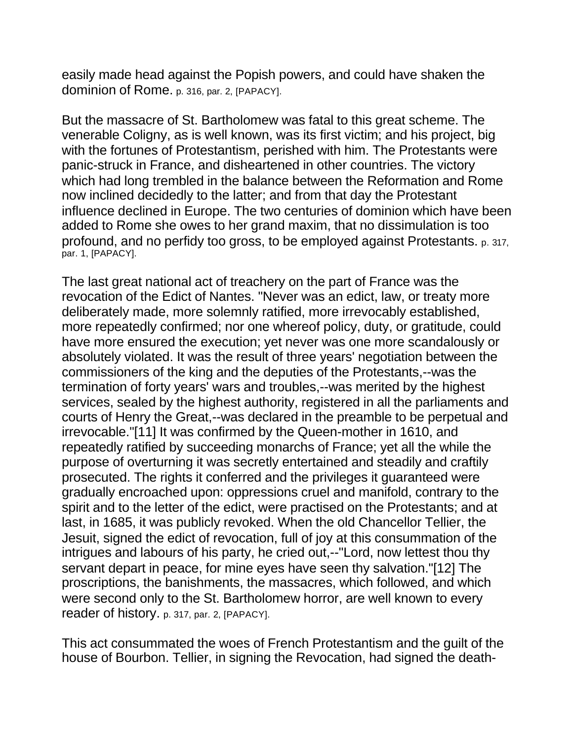easily made head against the Popish powers, and could have shaken the dominion of Rome. p. 316, par. 2, [PAPACY].

But the massacre of St. Bartholomew was fatal to this great scheme. The venerable Coligny, as is well known, was its first victim; and his project, big with the fortunes of Protestantism, perished with him. The Protestants were panic-struck in France, and disheartened in other countries. The victory which had long trembled in the balance between the Reformation and Rome now inclined decidedly to the latter; and from that day the Protestant influence declined in Europe. The two centuries of dominion which have been added to Rome she owes to her grand maxim, that no dissimulation is too profound, and no perfidy too gross, to be employed against Protestants. p. 317, par. 1, [PAPACY].

The last great national act of treachery on the part of France was the revocation of the Edict of Nantes. "Never was an edict, law, or treaty more deliberately made, more solemnly ratified, more irrevocably established, more repeatedly confirmed; nor one whereof policy, duty, or gratitude, could have more ensured the execution; yet never was one more scandalously or absolutely violated. It was the result of three years' negotiation between the commissioners of the king and the deputies of the Protestants,--was the termination of forty years' wars and troubles,--was merited by the highest services, sealed by the highest authority, registered in all the parliaments and courts of Henry the Great,--was declared in the preamble to be perpetual and irrevocable."[11] It was confirmed by the Queen-mother in 1610, and repeatedly ratified by succeeding monarchs of France; yet all the while the purpose of overturning it was secretly entertained and steadily and craftily prosecuted. The rights it conferred and the privileges it guaranteed were gradually encroached upon: oppressions cruel and manifold, contrary to the spirit and to the letter of the edict, were practised on the Protestants; and at last, in 1685, it was publicly revoked. When the old Chancellor Tellier, the Jesuit, signed the edict of revocation, full of joy at this consummation of the intrigues and labours of his party, he cried out,--"Lord, now lettest thou thy servant depart in peace, for mine eyes have seen thy salvation."[12] The proscriptions, the banishments, the massacres, which followed, and which were second only to the St. Bartholomew horror, are well known to every reader of history. p. 317, par. 2, [PAPACY].

This act consummated the woes of French Protestantism and the guilt of the house of Bourbon. Tellier, in signing the Revocation, had signed the death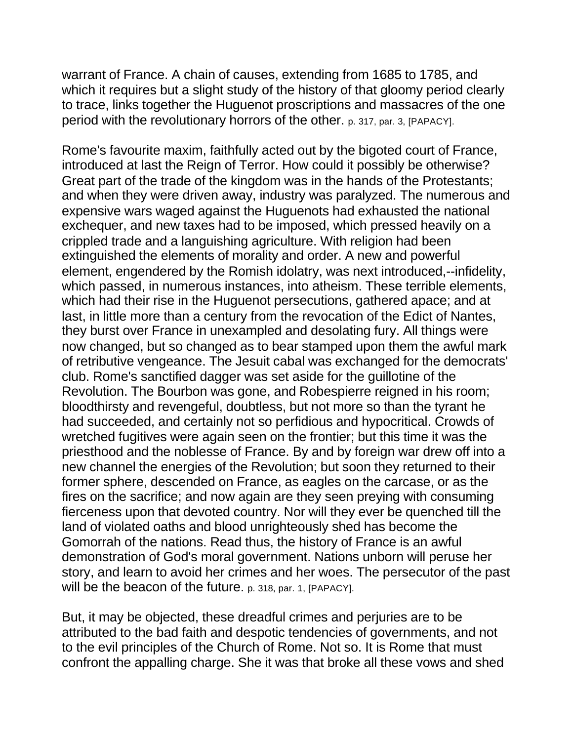warrant of France. A chain of causes, extending from 1685 to 1785, and which it requires but a slight study of the history of that gloomy period clearly to trace, links together the Huguenot proscriptions and massacres of the one period with the revolutionary horrors of the other. p. 317, par. 3, [PAPACY].

Rome's favourite maxim, faithfully acted out by the bigoted court of France, introduced at last the Reign of Terror. How could it possibly be otherwise? Great part of the trade of the kingdom was in the hands of the Protestants; and when they were driven away, industry was paralyzed. The numerous and expensive wars waged against the Huguenots had exhausted the national exchequer, and new taxes had to be imposed, which pressed heavily on a crippled trade and a languishing agriculture. With religion had been extinguished the elements of morality and order. A new and powerful element, engendered by the Romish idolatry, was next introduced,--infidelity, which passed, in numerous instances, into atheism. These terrible elements, which had their rise in the Huguenot persecutions, gathered apace; and at last, in little more than a century from the revocation of the Edict of Nantes, they burst over France in unexampled and desolating fury. All things were now changed, but so changed as to bear stamped upon them the awful mark of retributive vengeance. The Jesuit cabal was exchanged for the democrats' club. Rome's sanctified dagger was set aside for the guillotine of the Revolution. The Bourbon was gone, and Robespierre reigned in his room; bloodthirsty and revengeful, doubtless, but not more so than the tyrant he had succeeded, and certainly not so perfidious and hypocritical. Crowds of wretched fugitives were again seen on the frontier; but this time it was the priesthood and the noblesse of France. By and by foreign war drew off into a new channel the energies of the Revolution; but soon they returned to their former sphere, descended on France, as eagles on the carcase, or as the fires on the sacrifice; and now again are they seen preying with consuming fierceness upon that devoted country. Nor will they ever be quenched till the land of violated oaths and blood unrighteously shed has become the Gomorrah of the nations. Read thus, the history of France is an awful demonstration of God's moral government. Nations unborn will peruse her story, and learn to avoid her crimes and her woes. The persecutor of the past will be the beacon of the future. p. 318, par. 1, [PAPACY].

But, it may be objected, these dreadful crimes and perjuries are to be attributed to the bad faith and despotic tendencies of governments, and not to the evil principles of the Church of Rome. Not so. It is Rome that must confront the appalling charge. She it was that broke all these vows and shed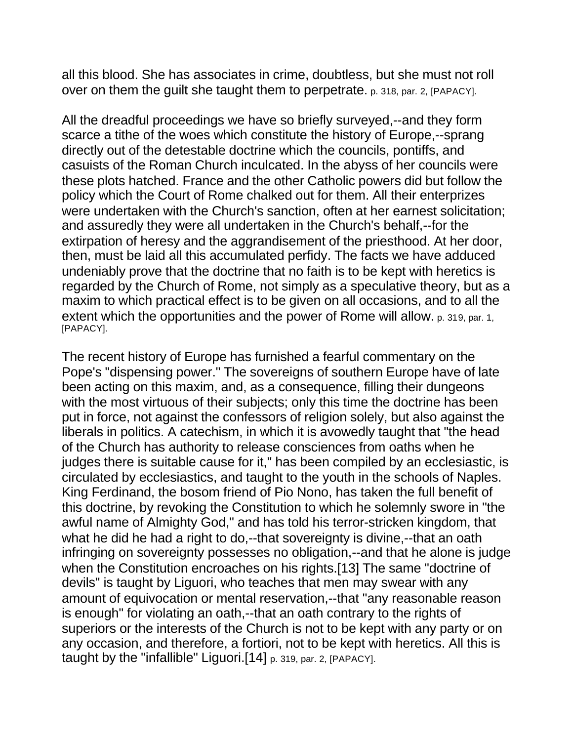all this blood. She has associates in crime, doubtless, but she must not roll over on them the guilt she taught them to perpetrate. p. 318, par. 2, [PAPACY].

All the dreadful proceedings we have so briefly surveyed,--and they form scarce a tithe of the woes which constitute the history of Europe,--sprang directly out of the detestable doctrine which the councils, pontiffs, and casuists of the Roman Church inculcated. In the abyss of her councils were these plots hatched. France and the other Catholic powers did but follow the policy which the Court of Rome chalked out for them. All their enterprizes were undertaken with the Church's sanction, often at her earnest solicitation; and assuredly they were all undertaken in the Church's behalf,--for the extirpation of heresy and the aggrandisement of the priesthood. At her door, then, must be laid all this accumulated perfidy. The facts we have adduced undeniably prove that the doctrine that no faith is to be kept with heretics is regarded by the Church of Rome, not simply as a speculative theory, but as a maxim to which practical effect is to be given on all occasions, and to all the extent which the opportunities and the power of Rome will allow. p. 319, par. 1, [PAPACY].

The recent history of Europe has furnished a fearful commentary on the Pope's "dispensing power." The sovereigns of southern Europe have of late been acting on this maxim, and, as a consequence, filling their dungeons with the most virtuous of their subjects; only this time the doctrine has been put in force, not against the confessors of religion solely, but also against the liberals in politics. A catechism, in which it is avowedly taught that "the head of the Church has authority to release consciences from oaths when he judges there is suitable cause for it," has been compiled by an ecclesiastic, is circulated by ecclesiastics, and taught to the youth in the schools of Naples. King Ferdinand, the bosom friend of Pio Nono, has taken the full benefit of this doctrine, by revoking the Constitution to which he solemnly swore in "the awful name of Almighty God," and has told his terror-stricken kingdom, that what he did he had a right to do,--that sovereignty is divine,--that an oath infringing on sovereignty possesses no obligation,--and that he alone is judge when the Constitution encroaches on his rights.[13] The same "doctrine of devils" is taught by Liguori, who teaches that men may swear with any amount of equivocation or mental reservation,--that "any reasonable reason is enough" for violating an oath,--that an oath contrary to the rights of superiors or the interests of the Church is not to be kept with any party or on any occasion, and therefore, a fortiori, not to be kept with heretics. All this is taught by the "infallible" Liguori.[14] p. 319, par. 2, [PAPACY].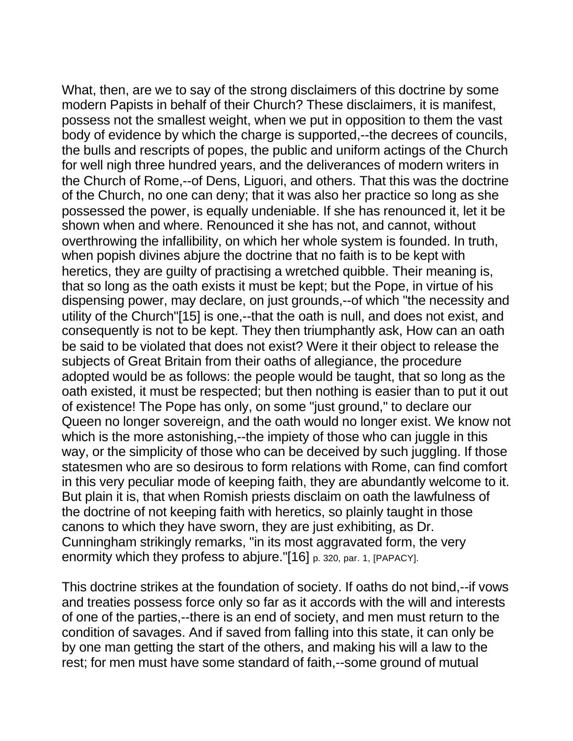What, then, are we to say of the strong disclaimers of this doctrine by some modern Papists in behalf of their Church? These disclaimers, it is manifest, possess not the smallest weight, when we put in opposition to them the vast body of evidence by which the charge is supported,--the decrees of councils, the bulls and rescripts of popes, the public and uniform actings of the Church for well nigh three hundred years, and the deliverances of modern writers in the Church of Rome,--of Dens, Liguori, and others. That this was the doctrine of the Church, no one can deny; that it was also her practice so long as she possessed the power, is equally undeniable. If she has renounced it, let it be shown when and where. Renounced it she has not, and cannot, without overthrowing the infallibility, on which her whole system is founded. In truth, when popish divines abjure the doctrine that no faith is to be kept with heretics, they are guilty of practising a wretched quibble. Their meaning is, that so long as the oath exists it must be kept; but the Pope, in virtue of his dispensing power, may declare, on just grounds,--of which "the necessity and utility of the Church"[15] is one,--that the oath is null, and does not exist, and consequently is not to be kept. They then triumphantly ask, How can an oath be said to be violated that does not exist? Were it their object to release the subjects of Great Britain from their oaths of allegiance, the procedure adopted would be as follows: the people would be taught, that so long as the oath existed, it must be respected; but then nothing is easier than to put it out of existence! The Pope has only, on some "just ground," to declare our Queen no longer sovereign, and the oath would no longer exist. We know not which is the more astonishing,--the impiety of those who can juggle in this way, or the simplicity of those who can be deceived by such juggling. If those statesmen who are so desirous to form relations with Rome, can find comfort in this very peculiar mode of keeping faith, they are abundantly welcome to it. But plain it is, that when Romish priests disclaim on oath the lawfulness of the doctrine of not keeping faith with heretics, so plainly taught in those canons to which they have sworn, they are just exhibiting, as Dr. Cunningham strikingly remarks, "in its most aggravated form, the very enormity which they profess to abjure."[16] p. 320, par. 1, [PAPACY].

This doctrine strikes at the foundation of society. If oaths do not bind,--if vows and treaties possess force only so far as it accords with the will and interests of one of the parties,--there is an end of society, and men must return to the condition of savages. And if saved from falling into this state, it can only be by one man getting the start of the others, and making his will a law to the rest; for men must have some standard of faith,--some ground of mutual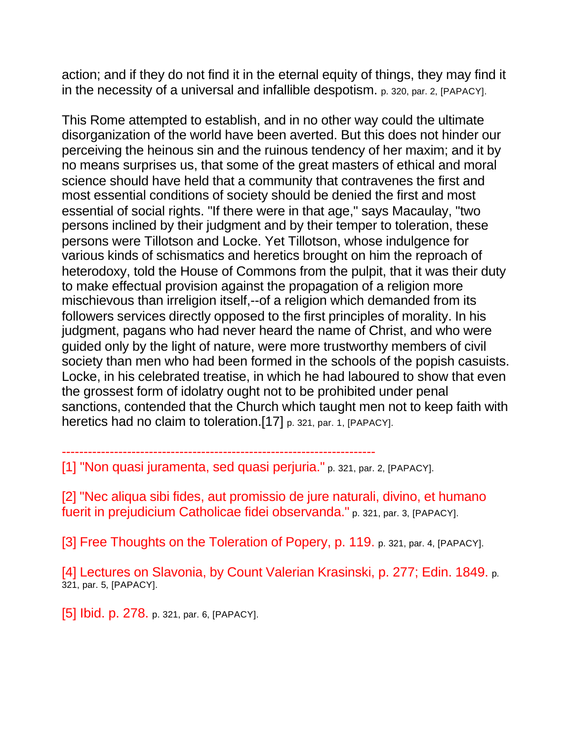action; and if they do not find it in the eternal equity of things, they may find it in the necessity of a universal and infallible despotism. p. 320, par. 2, [PAPACY].

This Rome attempted to establish, and in no other way could the ultimate disorganization of the world have been averted. But this does not hinder our perceiving the heinous sin and the ruinous tendency of her maxim; and it by no means surprises us, that some of the great masters of ethical and moral science should have held that a community that contravenes the first and most essential conditions of society should be denied the first and most essential of social rights. "If there were in that age," says Macaulay, "two persons inclined by their judgment and by their temper to toleration, these persons were Tillotson and Locke. Yet Tillotson, whose indulgence for various kinds of schismatics and heretics brought on him the reproach of heterodoxy, told the House of Commons from the pulpit, that it was their duty to make effectual provision against the propagation of a religion more mischievous than irreligion itself,--of a religion which demanded from its followers services directly opposed to the first principles of morality. In his judgment, pagans who had never heard the name of Christ, and who were guided only by the light of nature, were more trustworthy members of civil society than men who had been formed in the schools of the popish casuists. Locke, in his celebrated treatise, in which he had laboured to show that even the grossest form of idolatry ought not to be prohibited under penal sanctions, contended that the Church which taught men not to keep faith with heretics had no claim to toleration.[17] p. 321, par. 1, [PAPACY].

[1] "Non quasi juramenta, sed quasi perjuria." p. 321, par. 2, [PAPACY].

------------------------------------------------------------------------

[2] "Nec aliqua sibi fides, aut promissio de jure naturali, divino, et humano fuerit in prejudicium Catholicae fidei observanda." p. 321, par. 3, [PAPACY].

[3] Free Thoughts on the Toleration of Popery, p. 119. p. 321, par. 4, [PAPACY].

[4] Lectures on Slavonia, by Count Valerian Krasinski, p. 277; Edin. 1849. p. 321, par. 5, [PAPACY].

[5] **Ibid. p. 278.** p. 321, par. 6, [PAPACY].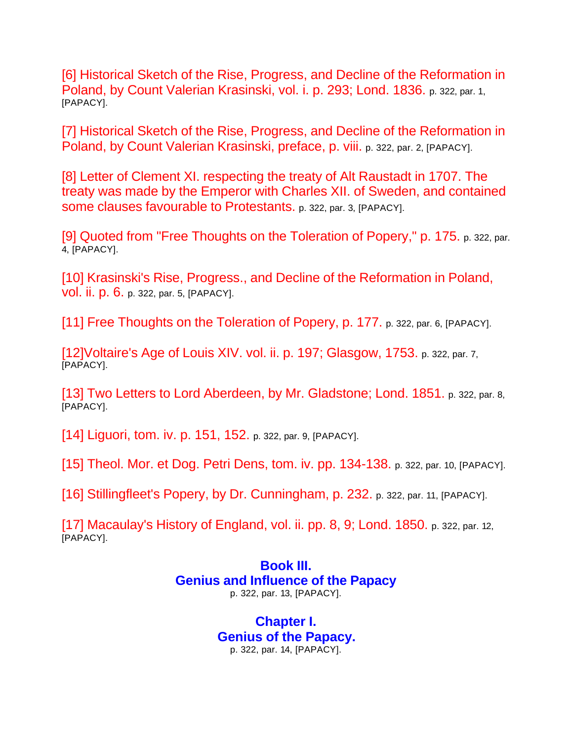[6] Historical Sketch of the Rise, Progress, and Decline of the Reformation in Poland, by Count Valerian Krasinski, vol. i. p. 293; Lond. 1836. p. 322, par. 1, [PAPACY].

[7] Historical Sketch of the Rise, Progress, and Decline of the Reformation in Poland, by Count Valerian Krasinski, preface, p. viii. p. 322, par. 2, [PAPACY].

[8] Letter of Clement XI. respecting the treaty of Alt Raustadt in 1707. The treaty was made by the Emperor with Charles XII. of Sweden, and contained some clauses favourable to Protestants. p. 322, par. 3, [PAPACY].

[9] Quoted from "Free Thoughts on the Toleration of Popery," p. 175. p. 322, par. 4, [PAPACY].

[10] Krasinski's Rise, Progress., and Decline of the Reformation in Poland, vol. ii. p. 6. p. 322, par. 5, [PAPACY].

[11] Free Thoughts on the Toleration of Popery, p. 177. p. 322, par. 6, [PAPACY].

[12]Voltaire's Age of Louis XIV. vol. ii. p. 197; Glasgow, 1753. p. 322, par. 7, [PAPACY].

[13] Two Letters to Lord Aberdeen, by Mr. Gladstone; Lond. 1851. p. 322, par. 8, [PAPACY].

[14] Liguori, tom. iv. p. 151, 152. p. 322, par. 9, [PAPACY].

[15] Theol. Mor. et Dog. Petri Dens, tom. iv. pp. 134-138. p. 322, par. 10, [PAPACY].

[16] Stillingfleet's Popery, by Dr. Cunningham, p. 232. p. 322, par. 11, [PAPACY].

[17] Macaulay's History of England, vol. ii. pp. 8, 9; Lond. 1850. p. 322, par. 12, [PAPACY].

## **Book III. Genius and Influence of the Papacy** p. 322, par. 13, [PAPACY].

**Chapter I. Genius of the Papacy.** p. 322, par. 14, [PAPACY].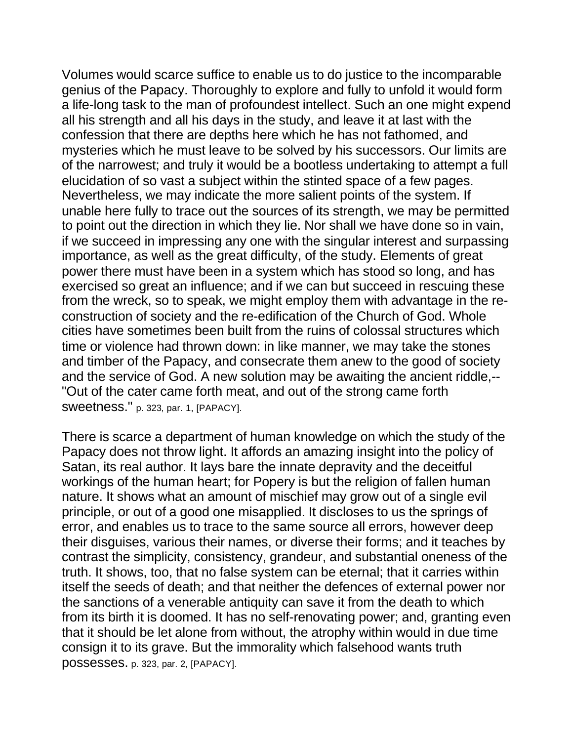Volumes would scarce suffice to enable us to do justice to the incomparable genius of the Papacy. Thoroughly to explore and fully to unfold it would form a life-long task to the man of profoundest intellect. Such an one might expend all his strength and all his days in the study, and leave it at last with the confession that there are depths here which he has not fathomed, and mysteries which he must leave to be solved by his successors. Our limits are of the narrowest; and truly it would be a bootless undertaking to attempt a full elucidation of so vast a subject within the stinted space of a few pages. Nevertheless, we may indicate the more salient points of the system. If unable here fully to trace out the sources of its strength, we may be permitted to point out the direction in which they lie. Nor shall we have done so in vain, if we succeed in impressing any one with the singular interest and surpassing importance, as well as the great difficulty, of the study. Elements of great power there must have been in a system which has stood so long, and has exercised so great an influence; and if we can but succeed in rescuing these from the wreck, so to speak, we might employ them with advantage in the reconstruction of society and the re-edification of the Church of God. Whole cities have sometimes been built from the ruins of colossal structures which time or violence had thrown down: in like manner, we may take the stones and timber of the Papacy, and consecrate them anew to the good of society and the service of God. A new solution may be awaiting the ancient riddle,-- "Out of the cater came forth meat, and out of the strong came forth sweetness." p. 323, par. 1, [PAPACY].

There is scarce a department of human knowledge on which the study of the Papacy does not throw light. It affords an amazing insight into the policy of Satan, its real author. It lays bare the innate depravity and the deceitful workings of the human heart; for Popery is but the religion of fallen human nature. It shows what an amount of mischief may grow out of a single evil principle, or out of a good one misapplied. It discloses to us the springs of error, and enables us to trace to the same source all errors, however deep their disguises, various their names, or diverse their forms; and it teaches by contrast the simplicity, consistency, grandeur, and substantial oneness of the truth. It shows, too, that no false system can be eternal; that it carries within itself the seeds of death; and that neither the defences of external power nor the sanctions of a venerable antiquity can save it from the death to which from its birth it is doomed. It has no self-renovating power; and, granting even that it should be let alone from without, the atrophy within would in due time consign it to its grave. But the immorality which falsehood wants truth possesses. p. 323, par. 2, [PAPACY].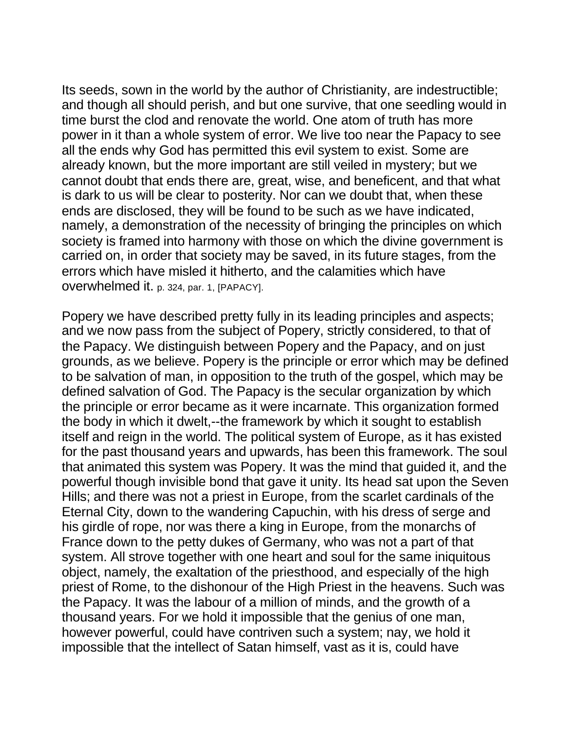Its seeds, sown in the world by the author of Christianity, are indestructible; and though all should perish, and but one survive, that one seedling would in time burst the clod and renovate the world. One atom of truth has more power in it than a whole system of error. We live too near the Papacy to see all the ends why God has permitted this evil system to exist. Some are already known, but the more important are still veiled in mystery; but we cannot doubt that ends there are, great, wise, and beneficent, and that what is dark to us will be clear to posterity. Nor can we doubt that, when these ends are disclosed, they will be found to be such as we have indicated, namely, a demonstration of the necessity of bringing the principles on which society is framed into harmony with those on which the divine government is carried on, in order that society may be saved, in its future stages, from the errors which have misled it hitherto, and the calamities which have overwhelmed it. p. 324, par. 1, [PAPACY].

Popery we have described pretty fully in its leading principles and aspects; and we now pass from the subject of Popery, strictly considered, to that of the Papacy. We distinguish between Popery and the Papacy, and on just grounds, as we believe. Popery is the principle or error which may be defined to be salvation of man, in opposition to the truth of the gospel, which may be defined salvation of God. The Papacy is the secular organization by which the principle or error became as it were incarnate. This organization formed the body in which it dwelt,--the framework by which it sought to establish itself and reign in the world. The political system of Europe, as it has existed for the past thousand years and upwards, has been this framework. The soul that animated this system was Popery. It was the mind that guided it, and the powerful though invisible bond that gave it unity. Its head sat upon the Seven Hills; and there was not a priest in Europe, from the scarlet cardinals of the Eternal City, down to the wandering Capuchin, with his dress of serge and his girdle of rope, nor was there a king in Europe, from the monarchs of France down to the petty dukes of Germany, who was not a part of that system. All strove together with one heart and soul for the same iniquitous object, namely, the exaltation of the priesthood, and especially of the high priest of Rome, to the dishonour of the High Priest in the heavens. Such was the Papacy. It was the labour of a million of minds, and the growth of a thousand years. For we hold it impossible that the genius of one man, however powerful, could have contriven such a system; nay, we hold it impossible that the intellect of Satan himself, vast as it is, could have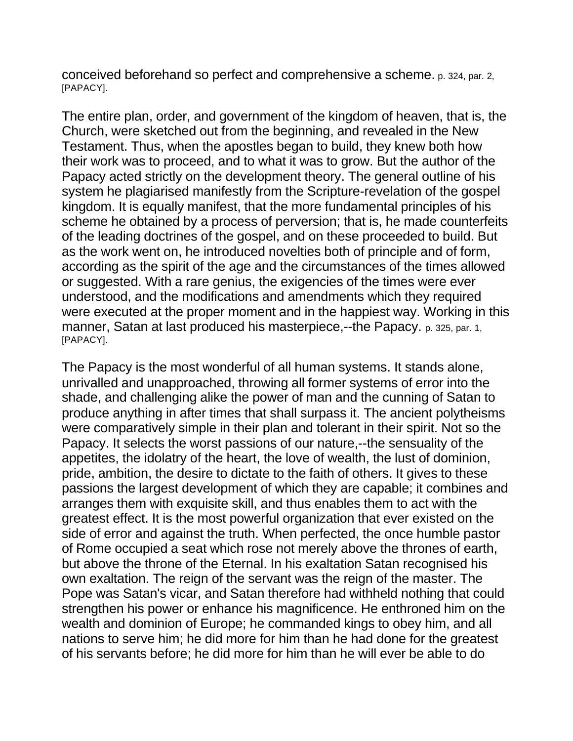conceived beforehand so perfect and comprehensive a scheme. p. 324, par. 2, [PAPACY].

The entire plan, order, and government of the kingdom of heaven, that is, the Church, were sketched out from the beginning, and revealed in the New Testament. Thus, when the apostles began to build, they knew both how their work was to proceed, and to what it was to grow. But the author of the Papacy acted strictly on the development theory. The general outline of his system he plagiarised manifestly from the Scripture-revelation of the gospel kingdom. It is equally manifest, that the more fundamental principles of his scheme he obtained by a process of perversion; that is, he made counterfeits of the leading doctrines of the gospel, and on these proceeded to build. But as the work went on, he introduced novelties both of principle and of form, according as the spirit of the age and the circumstances of the times allowed or suggested. With a rare genius, the exigencies of the times were ever understood, and the modifications and amendments which they required were executed at the proper moment and in the happiest way. Working in this manner, Satan at last produced his masterpiece,--the Papacy. p. 325, par. 1, [PAPACY].

The Papacy is the most wonderful of all human systems. It stands alone, unrivalled and unapproached, throwing all former systems of error into the shade, and challenging alike the power of man and the cunning of Satan to produce anything in after times that shall surpass it. The ancient polytheisms were comparatively simple in their plan and tolerant in their spirit. Not so the Papacy. It selects the worst passions of our nature,--the sensuality of the appetites, the idolatry of the heart, the love of wealth, the lust of dominion, pride, ambition, the desire to dictate to the faith of others. It gives to these passions the largest development of which they are capable; it combines and arranges them with exquisite skill, and thus enables them to act with the greatest effect. It is the most powerful organization that ever existed on the side of error and against the truth. When perfected, the once humble pastor of Rome occupied a seat which rose not merely above the thrones of earth, but above the throne of the Eternal. In his exaltation Satan recognised his own exaltation. The reign of the servant was the reign of the master. The Pope was Satan's vicar, and Satan therefore had withheld nothing that could strengthen his power or enhance his magnificence. He enthroned him on the wealth and dominion of Europe; he commanded kings to obey him, and all nations to serve him; he did more for him than he had done for the greatest of his servants before; he did more for him than he will ever be able to do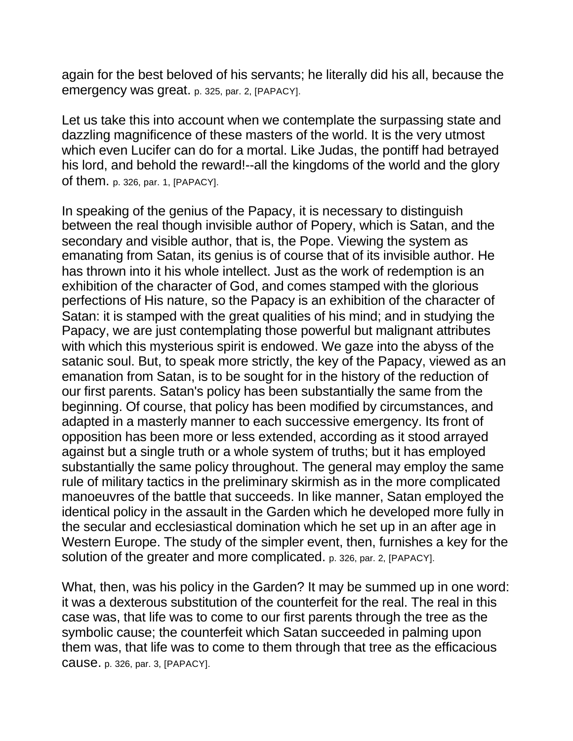again for the best beloved of his servants; he literally did his all, because the emergency was great. p. 325, par. 2, [PAPACY].

Let us take this into account when we contemplate the surpassing state and dazzling magnificence of these masters of the world. It is the very utmost which even Lucifer can do for a mortal. Like Judas, the pontiff had betrayed his lord, and behold the reward!--all the kingdoms of the world and the glory of them. p. 326, par. 1, [PAPACY].

In speaking of the genius of the Papacy, it is necessary to distinguish between the real though invisible author of Popery, which is Satan, and the secondary and visible author, that is, the Pope. Viewing the system as emanating from Satan, its genius is of course that of its invisible author. He has thrown into it his whole intellect. Just as the work of redemption is an exhibition of the character of God, and comes stamped with the glorious perfections of His nature, so the Papacy is an exhibition of the character of Satan: it is stamped with the great qualities of his mind; and in studying the Papacy, we are just contemplating those powerful but malignant attributes with which this mysterious spirit is endowed. We gaze into the abyss of the satanic soul. But, to speak more strictly, the key of the Papacy, viewed as an emanation from Satan, is to be sought for in the history of the reduction of our first parents. Satan's policy has been substantially the same from the beginning. Of course, that policy has been modified by circumstances, and adapted in a masterly manner to each successive emergency. Its front of opposition has been more or less extended, according as it stood arrayed against but a single truth or a whole system of truths; but it has employed substantially the same policy throughout. The general may employ the same rule of military tactics in the preliminary skirmish as in the more complicated manoeuvres of the battle that succeeds. In like manner, Satan employed the identical policy in the assault in the Garden which he developed more fully in the secular and ecclesiastical domination which he set up in an after age in Western Europe. The study of the simpler event, then, furnishes a key for the solution of the greater and more complicated. p. 326, par. 2, [PAPACY].

What, then, was his policy in the Garden? It may be summed up in one word: it was a dexterous substitution of the counterfeit for the real. The real in this case was, that life was to come to our first parents through the tree as the symbolic cause; the counterfeit which Satan succeeded in palming upon them was, that life was to come to them through that tree as the efficacious cause. p. 326, par. 3, [PAPACY].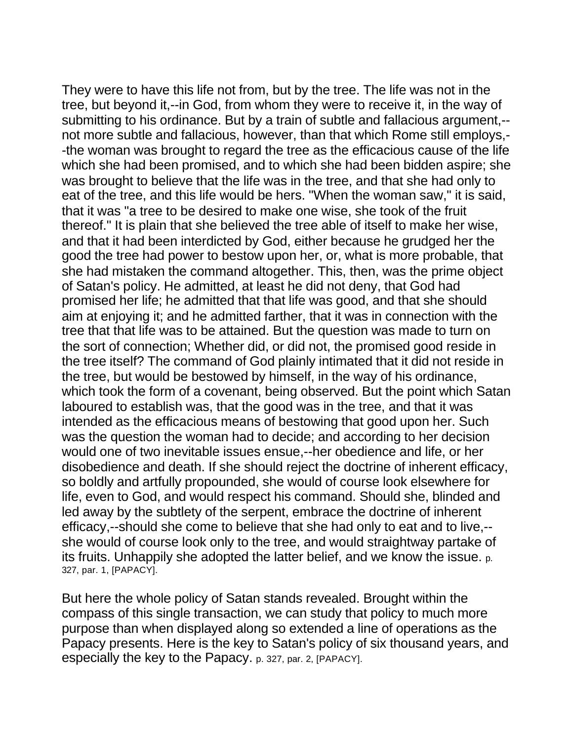They were to have this life not from, but by the tree. The life was not in the tree, but beyond it,--in God, from whom they were to receive it, in the way of submitting to his ordinance. But by a train of subtle and fallacious argument,- not more subtle and fallacious, however, than that which Rome still employs,- -the woman was brought to regard the tree as the efficacious cause of the life which she had been promised, and to which she had been bidden aspire; she was brought to believe that the life was in the tree, and that she had only to eat of the tree, and this life would be hers. "When the woman saw," it is said, that it was "a tree to be desired to make one wise, she took of the fruit thereof." It is plain that she believed the tree able of itself to make her wise, and that it had been interdicted by God, either because he grudged her the good the tree had power to bestow upon her, or, what is more probable, that she had mistaken the command altogether. This, then, was the prime object of Satan's policy. He admitted, at least he did not deny, that God had promised her life; he admitted that that life was good, and that she should aim at enjoying it; and he admitted farther, that it was in connection with the tree that that life was to be attained. But the question was made to turn on the sort of connection; Whether did, or did not, the promised good reside in the tree itself? The command of God plainly intimated that it did not reside in the tree, but would be bestowed by himself, in the way of his ordinance, which took the form of a covenant, being observed. But the point which Satan laboured to establish was, that the good was in the tree, and that it was intended as the efficacious means of bestowing that good upon her. Such was the question the woman had to decide; and according to her decision would one of two inevitable issues ensue,--her obedience and life, or her disobedience and death. If she should reject the doctrine of inherent efficacy, so boldly and artfully propounded, she would of course look elsewhere for life, even to God, and would respect his command. Should she, blinded and led away by the subtlety of the serpent, embrace the doctrine of inherent efficacy,--should she come to believe that she had only to eat and to live,- she would of course look only to the tree, and would straightway partake of its fruits. Unhappily she adopted the latter belief, and we know the issue. p. 327, par. 1, [PAPACY].

But here the whole policy of Satan stands revealed. Brought within the compass of this single transaction, we can study that policy to much more purpose than when displayed along so extended a line of operations as the Papacy presents. Here is the key to Satan's policy of six thousand years, and especially the key to the Papacy. p. 327, par. 2, [PAPACY].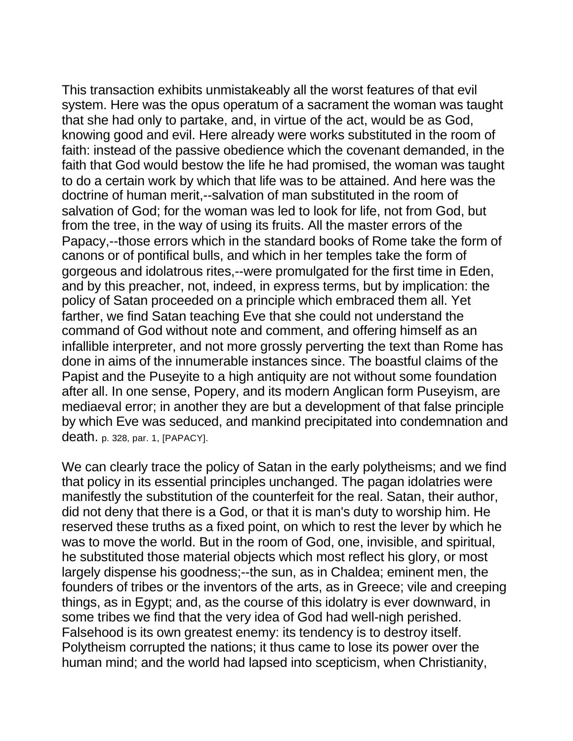This transaction exhibits unmistakeably all the worst features of that evil system. Here was the opus operatum of a sacrament the woman was taught that she had only to partake, and, in virtue of the act, would be as God, knowing good and evil. Here already were works substituted in the room of faith: instead of the passive obedience which the covenant demanded, in the faith that God would bestow the life he had promised, the woman was taught to do a certain work by which that life was to be attained. And here was the doctrine of human merit,--salvation of man substituted in the room of salvation of God; for the woman was led to look for life, not from God, but from the tree, in the way of using its fruits. All the master errors of the Papacy,--those errors which in the standard books of Rome take the form of canons or of pontifical bulls, and which in her temples take the form of gorgeous and idolatrous rites,--were promulgated for the first time in Eden, and by this preacher, not, indeed, in express terms, but by implication: the policy of Satan proceeded on a principle which embraced them all. Yet farther, we find Satan teaching Eve that she could not understand the command of God without note and comment, and offering himself as an infallible interpreter, and not more grossly perverting the text than Rome has done in aims of the innumerable instances since. The boastful claims of the Papist and the Puseyite to a high antiquity are not without some foundation after all. In one sense, Popery, and its modern Anglican form Puseyism, are mediaeval error; in another they are but a development of that false principle by which Eve was seduced, and mankind precipitated into condemnation and death. p. 328, par. 1, [PAPACY].

We can clearly trace the policy of Satan in the early polytheisms; and we find that policy in its essential principles unchanged. The pagan idolatries were manifestly the substitution of the counterfeit for the real. Satan, their author, did not deny that there is a God, or that it is man's duty to worship him. He reserved these truths as a fixed point, on which to rest the lever by which he was to move the world. But in the room of God, one, invisible, and spiritual, he substituted those material objects which most reflect his glory, or most largely dispense his goodness;--the sun, as in Chaldea; eminent men, the founders of tribes or the inventors of the arts, as in Greece; vile and creeping things, as in Egypt; and, as the course of this idolatry is ever downward, in some tribes we find that the very idea of God had well-nigh perished. Falsehood is its own greatest enemy: its tendency is to destroy itself. Polytheism corrupted the nations; it thus came to lose its power over the human mind; and the world had lapsed into scepticism, when Christianity,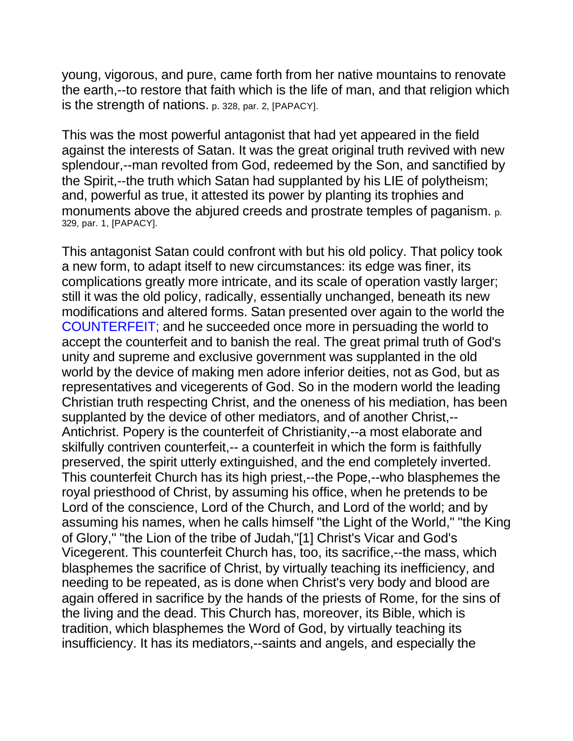young, vigorous, and pure, came forth from her native mountains to renovate the earth,--to restore that faith which is the life of man, and that religion which is the strength of nations. p. 328, par. 2, [PAPACY].

This was the most powerful antagonist that had yet appeared in the field against the interests of Satan. It was the great original truth revived with new splendour,--man revolted from God, redeemed by the Son, and sanctified by the Spirit,--the truth which Satan had supplanted by his LIE of polytheism; and, powerful as true, it attested its power by planting its trophies and monuments above the abjured creeds and prostrate temples of paganism. p. 329, par. 1, [PAPACY].

This antagonist Satan could confront with but his old policy. That policy took a new form, to adapt itself to new circumstances: its edge was finer, its complications greatly more intricate, and its scale of operation vastly larger; still it was the old policy, radically, essentially unchanged, beneath its new modifications and altered forms. Satan presented over again to the world the COUNTERFEIT; and he succeeded once more in persuading the world to accept the counterfeit and to banish the real. The great primal truth of God's unity and supreme and exclusive government was supplanted in the old world by the device of making men adore inferior deities, not as God, but as representatives and vicegerents of God. So in the modern world the leading Christian truth respecting Christ, and the oneness of his mediation, has been supplanted by the device of other mediators, and of another Christ,-- Antichrist. Popery is the counterfeit of Christianity,--a most elaborate and skilfully contriven counterfeit,-- a counterfeit in which the form is faithfully preserved, the spirit utterly extinguished, and the end completely inverted. This counterfeit Church has its high priest,--the Pope,--who blasphemes the royal priesthood of Christ, by assuming his office, when he pretends to be Lord of the conscience, Lord of the Church, and Lord of the world; and by assuming his names, when he calls himself "the Light of the World," "the King of Glory," "the Lion of the tribe of Judah,"[1] Christ's Vicar and God's Vicegerent. This counterfeit Church has, too, its sacrifice,--the mass, which blasphemes the sacrifice of Christ, by virtually teaching its inefficiency, and needing to be repeated, as is done when Christ's very body and blood are again offered in sacrifice by the hands of the priests of Rome, for the sins of the living and the dead. This Church has, moreover, its Bible, which is tradition, which blasphemes the Word of God, by virtually teaching its insufficiency. It has its mediators,--saints and angels, and especially the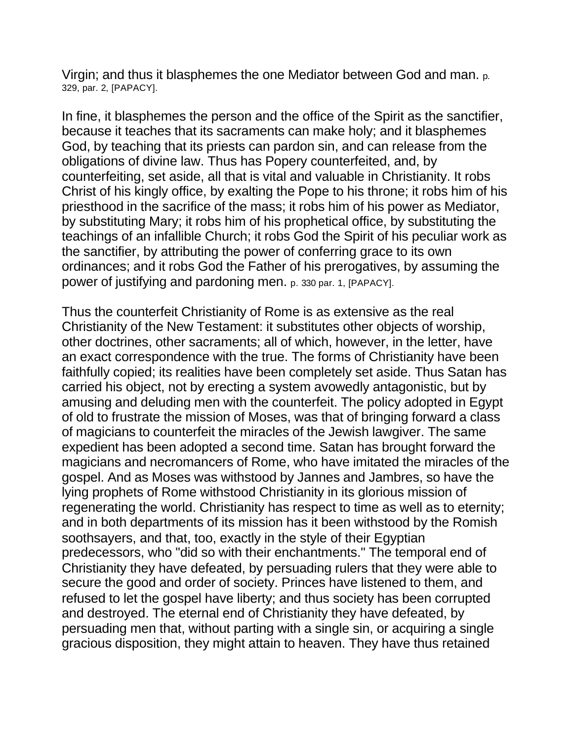Virgin; and thus it blasphemes the one Mediator between God and man. p. 329, par. 2, [PAPACY].

In fine, it blasphemes the person and the office of the Spirit as the sanctifier, because it teaches that its sacraments can make holy; and it blasphemes God, by teaching that its priests can pardon sin, and can release from the obligations of divine law. Thus has Popery counterfeited, and, by counterfeiting, set aside, all that is vital and valuable in Christianity. It robs Christ of his kingly office, by exalting the Pope to his throne; it robs him of his priesthood in the sacrifice of the mass; it robs him of his power as Mediator, by substituting Mary; it robs him of his prophetical office, by substituting the teachings of an infallible Church; it robs God the Spirit of his peculiar work as the sanctifier, by attributing the power of conferring grace to its own ordinances; and it robs God the Father of his prerogatives, by assuming the power of justifying and pardoning men. p. 330 par. 1, [PAPACY].

Thus the counterfeit Christianity of Rome is as extensive as the real Christianity of the New Testament: it substitutes other objects of worship, other doctrines, other sacraments; all of which, however, in the letter, have an exact correspondence with the true. The forms of Christianity have been faithfully copied; its realities have been completely set aside. Thus Satan has carried his object, not by erecting a system avowedly antagonistic, but by amusing and deluding men with the counterfeit. The policy adopted in Egypt of old to frustrate the mission of Moses, was that of bringing forward a class of magicians to counterfeit the miracles of the Jewish lawgiver. The same expedient has been adopted a second time. Satan has brought forward the magicians and necromancers of Rome, who have imitated the miracles of the gospel. And as Moses was withstood by Jannes and Jambres, so have the lying prophets of Rome withstood Christianity in its glorious mission of regenerating the world. Christianity has respect to time as well as to eternity; and in both departments of its mission has it been withstood by the Romish soothsayers, and that, too, exactly in the style of their Egyptian predecessors, who "did so with their enchantments." The temporal end of Christianity they have defeated, by persuading rulers that they were able to secure the good and order of society. Princes have listened to them, and refused to let the gospel have liberty; and thus society has been corrupted and destroyed. The eternal end of Christianity they have defeated, by persuading men that, without parting with a single sin, or acquiring a single gracious disposition, they might attain to heaven. They have thus retained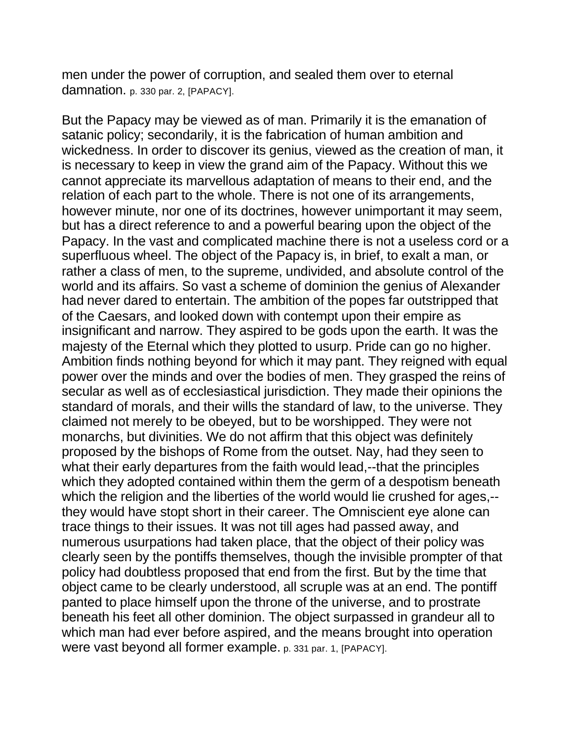men under the power of corruption, and sealed them over to eternal damnation. p. 330 par. 2, [PAPACY].

But the Papacy may be viewed as of man. Primarily it is the emanation of satanic policy; secondarily, it is the fabrication of human ambition and wickedness. In order to discover its genius, viewed as the creation of man, it is necessary to keep in view the grand aim of the Papacy. Without this we cannot appreciate its marvellous adaptation of means to their end, and the relation of each part to the whole. There is not one of its arrangements, however minute, nor one of its doctrines, however unimportant it may seem, but has a direct reference to and a powerful bearing upon the object of the Papacy. In the vast and complicated machine there is not a useless cord or a superfluous wheel. The object of the Papacy is, in brief, to exalt a man, or rather a class of men, to the supreme, undivided, and absolute control of the world and its affairs. So vast a scheme of dominion the genius of Alexander had never dared to entertain. The ambition of the popes far outstripped that of the Caesars, and looked down with contempt upon their empire as insignificant and narrow. They aspired to be gods upon the earth. It was the majesty of the Eternal which they plotted to usurp. Pride can go no higher. Ambition finds nothing beyond for which it may pant. They reigned with equal power over the minds and over the bodies of men. They grasped the reins of secular as well as of ecclesiastical jurisdiction. They made their opinions the standard of morals, and their wills the standard of law, to the universe. They claimed not merely to be obeyed, but to be worshipped. They were not monarchs, but divinities. We do not affirm that this object was definitely proposed by the bishops of Rome from the outset. Nay, had they seen to what their early departures from the faith would lead,--that the principles which they adopted contained within them the germ of a despotism beneath which the religion and the liberties of the world would lie crushed for ages,-they would have stopt short in their career. The Omniscient eye alone can trace things to their issues. It was not till ages had passed away, and numerous usurpations had taken place, that the object of their policy was clearly seen by the pontiffs themselves, though the invisible prompter of that policy had doubtless proposed that end from the first. But by the time that object came to be clearly understood, all scruple was at an end. The pontiff panted to place himself upon the throne of the universe, and to prostrate beneath his feet all other dominion. The object surpassed in grandeur all to which man had ever before aspired, and the means brought into operation were vast beyond all former example. p. 331 par. 1, [PAPACY].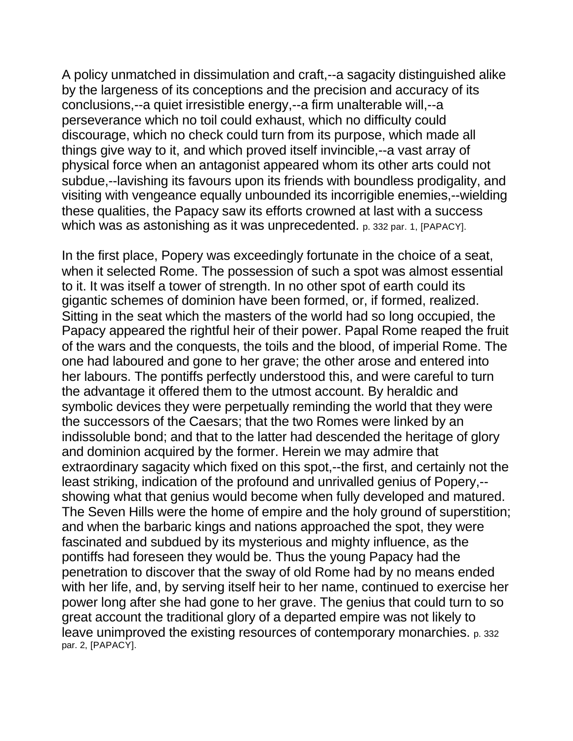A policy unmatched in dissimulation and craft,--a sagacity distinguished alike by the largeness of its conceptions and the precision and accuracy of its conclusions,--a quiet irresistible energy,--a firm unalterable will,--a perseverance which no toil could exhaust, which no difficulty could discourage, which no check could turn from its purpose, which made all things give way to it, and which proved itself invincible,--a vast array of physical force when an antagonist appeared whom its other arts could not subdue,--lavishing its favours upon its friends with boundless prodigality, and visiting with vengeance equally unbounded its incorrigible enemies,--wielding these qualities, the Papacy saw its efforts crowned at last with a success which was as astonishing as it was unprecedented. p. 332 par. 1, [PAPACY].

In the first place, Popery was exceedingly fortunate in the choice of a seat, when it selected Rome. The possession of such a spot was almost essential to it. It was itself a tower of strength. In no other spot of earth could its gigantic schemes of dominion have been formed, or, if formed, realized. Sitting in the seat which the masters of the world had so long occupied, the Papacy appeared the rightful heir of their power. Papal Rome reaped the fruit of the wars and the conquests, the toils and the blood, of imperial Rome. The one had laboured and gone to her grave; the other arose and entered into her labours. The pontiffs perfectly understood this, and were careful to turn the advantage it offered them to the utmost account. By heraldic and symbolic devices they were perpetually reminding the world that they were the successors of the Caesars; that the two Romes were linked by an indissoluble bond; and that to the latter had descended the heritage of glory and dominion acquired by the former. Herein we may admire that extraordinary sagacity which fixed on this spot,--the first, and certainly not the least striking, indication of the profound and unrivalled genius of Popery,- showing what that genius would become when fully developed and matured. The Seven Hills were the home of empire and the holy ground of superstition; and when the barbaric kings and nations approached the spot, they were fascinated and subdued by its mysterious and mighty influence, as the pontiffs had foreseen they would be. Thus the young Papacy had the penetration to discover that the sway of old Rome had by no means ended with her life, and, by serving itself heir to her name, continued to exercise her power long after she had gone to her grave. The genius that could turn to so great account the traditional glory of a departed empire was not likely to leave unimproved the existing resources of contemporary monarchies. p. 332 par. 2, [PAPACY].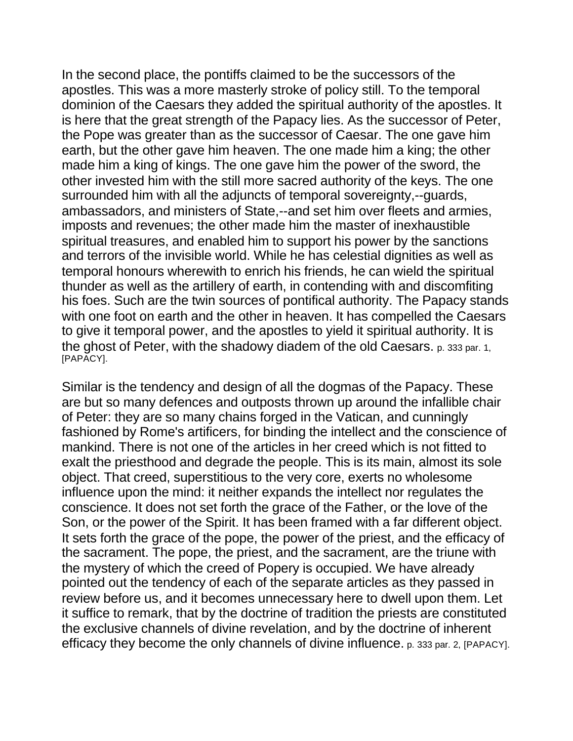In the second place, the pontiffs claimed to be the successors of the apostles. This was a more masterly stroke of policy still. To the temporal dominion of the Caesars they added the spiritual authority of the apostles. It is here that the great strength of the Papacy lies. As the successor of Peter, the Pope was greater than as the successor of Caesar. The one gave him earth, but the other gave him heaven. The one made him a king; the other made him a king of kings. The one gave him the power of the sword, the other invested him with the still more sacred authority of the keys. The one surrounded him with all the adjuncts of temporal sovereignty,--guards, ambassadors, and ministers of State,--and set him over fleets and armies, imposts and revenues; the other made him the master of inexhaustible spiritual treasures, and enabled him to support his power by the sanctions and terrors of the invisible world. While he has celestial dignities as well as temporal honours wherewith to enrich his friends, he can wield the spiritual thunder as well as the artillery of earth, in contending with and discomfiting his foes. Such are the twin sources of pontifical authority. The Papacy stands with one foot on earth and the other in heaven. It has compelled the Caesars to give it temporal power, and the apostles to yield it spiritual authority. It is the ghost of Peter, with the shadowy diadem of the old Caesars. p. 333 par. 1, [PAPACY].

Similar is the tendency and design of all the dogmas of the Papacy. These are but so many defences and outposts thrown up around the infallible chair of Peter: they are so many chains forged in the Vatican, and cunningly fashioned by Rome's artificers, for binding the intellect and the conscience of mankind. There is not one of the articles in her creed which is not fitted to exalt the priesthood and degrade the people. This is its main, almost its sole object. That creed, superstitious to the very core, exerts no wholesome influence upon the mind: it neither expands the intellect nor regulates the conscience. It does not set forth the grace of the Father, or the love of the Son, or the power of the Spirit. It has been framed with a far different object. It sets forth the grace of the pope, the power of the priest, and the efficacy of the sacrament. The pope, the priest, and the sacrament, are the triune with the mystery of which the creed of Popery is occupied. We have already pointed out the tendency of each of the separate articles as they passed in review before us, and it becomes unnecessary here to dwell upon them. Let it suffice to remark, that by the doctrine of tradition the priests are constituted the exclusive channels of divine revelation, and by the doctrine of inherent efficacy they become the only channels of divine influence. p. 333 par. 2, [PAPACY].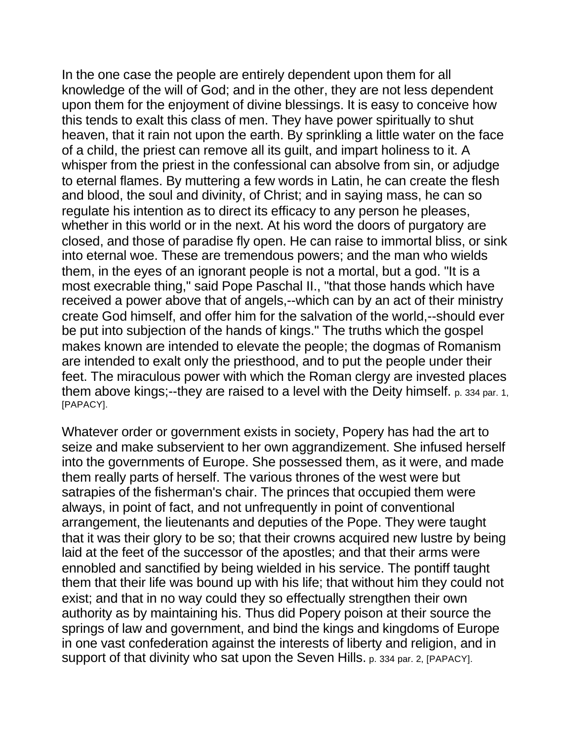In the one case the people are entirely dependent upon them for all knowledge of the will of God; and in the other, they are not less dependent upon them for the enjoyment of divine blessings. It is easy to conceive how this tends to exalt this class of men. They have power spiritually to shut heaven, that it rain not upon the earth. By sprinkling a little water on the face of a child, the priest can remove all its guilt, and impart holiness to it. A whisper from the priest in the confessional can absolve from sin, or adjudge to eternal flames. By muttering a few words in Latin, he can create the flesh and blood, the soul and divinity, of Christ; and in saying mass, he can so regulate his intention as to direct its efficacy to any person he pleases, whether in this world or in the next. At his word the doors of purgatory are closed, and those of paradise fly open. He can raise to immortal bliss, or sink into eternal woe. These are tremendous powers; and the man who wields them, in the eyes of an ignorant people is not a mortal, but a god. "It is a most execrable thing," said Pope Paschal II., "that those hands which have received a power above that of angels,--which can by an act of their ministry create God himself, and offer him for the salvation of the world,--should ever be put into subjection of the hands of kings." The truths which the gospel makes known are intended to elevate the people; the dogmas of Romanism are intended to exalt only the priesthood, and to put the people under their feet. The miraculous power with which the Roman clergy are invested places them above kings;--they are raised to a level with the Deity himself. p. 334 par. 1, [PAPACY].

Whatever order or government exists in society, Popery has had the art to seize and make subservient to her own aggrandizement. She infused herself into the governments of Europe. She possessed them, as it were, and made them really parts of herself. The various thrones of the west were but satrapies of the fisherman's chair. The princes that occupied them were always, in point of fact, and not unfrequently in point of conventional arrangement, the lieutenants and deputies of the Pope. They were taught that it was their glory to be so; that their crowns acquired new lustre by being laid at the feet of the successor of the apostles; and that their arms were ennobled and sanctified by being wielded in his service. The pontiff taught them that their life was bound up with his life; that without him they could not exist; and that in no way could they so effectually strengthen their own authority as by maintaining his. Thus did Popery poison at their source the springs of law and government, and bind the kings and kingdoms of Europe in one vast confederation against the interests of liberty and religion, and in support of that divinity who sat upon the Seven Hills. p. 334 par. 2, [PAPACY].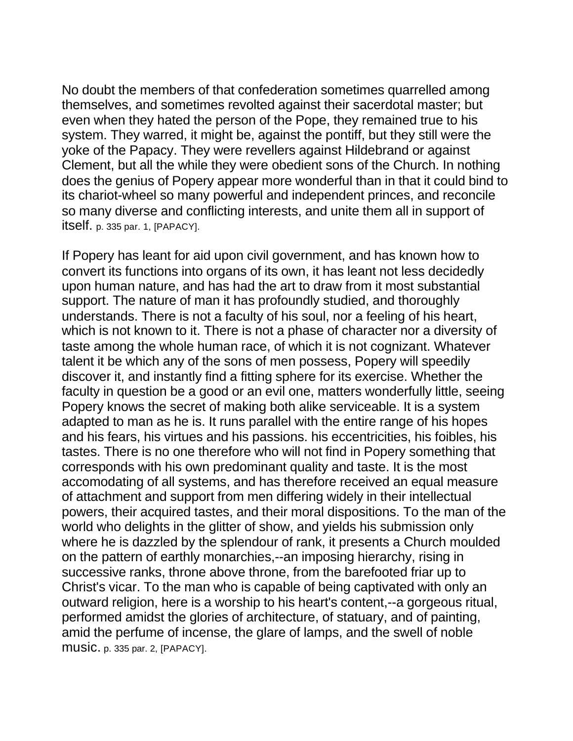No doubt the members of that confederation sometimes quarrelled among themselves, and sometimes revolted against their sacerdotal master; but even when they hated the person of the Pope, they remained true to his system. They warred, it might be, against the pontiff, but they still were the yoke of the Papacy. They were revellers against Hildebrand or against Clement, but all the while they were obedient sons of the Church. In nothing does the genius of Popery appear more wonderful than in that it could bind to its chariot-wheel so many powerful and independent princes, and reconcile so many diverse and conflicting interests, and unite them all in support of itself. p. 335 par. 1, [PAPACY].

If Popery has leant for aid upon civil government, and has known how to convert its functions into organs of its own, it has leant not less decidedly upon human nature, and has had the art to draw from it most substantial support. The nature of man it has profoundly studied, and thoroughly understands. There is not a faculty of his soul, nor a feeling of his heart, which is not known to it. There is not a phase of character nor a diversity of taste among the whole human race, of which it is not cognizant. Whatever talent it be which any of the sons of men possess, Popery will speedily discover it, and instantly find a fitting sphere for its exercise. Whether the faculty in question be a good or an evil one, matters wonderfully little, seeing Popery knows the secret of making both alike serviceable. It is a system adapted to man as he is. It runs parallel with the entire range of his hopes and his fears, his virtues and his passions. his eccentricities, his foibles, his tastes. There is no one therefore who will not find in Popery something that corresponds with his own predominant quality and taste. It is the most accomodating of all systems, and has therefore received an equal measure of attachment and support from men differing widely in their intellectual powers, their acquired tastes, and their moral dispositions. To the man of the world who delights in the glitter of show, and yields his submission only where he is dazzled by the splendour of rank, it presents a Church moulded on the pattern of earthly monarchies,--an imposing hierarchy, rising in successive ranks, throne above throne, from the barefooted friar up to Christ's vicar. To the man who is capable of being captivated with only an outward religion, here is a worship to his heart's content,--a gorgeous ritual, performed amidst the glories of architecture, of statuary, and of painting, amid the perfume of incense, the glare of lamps, and the swell of noble music. p. 335 par. 2, [PAPACY].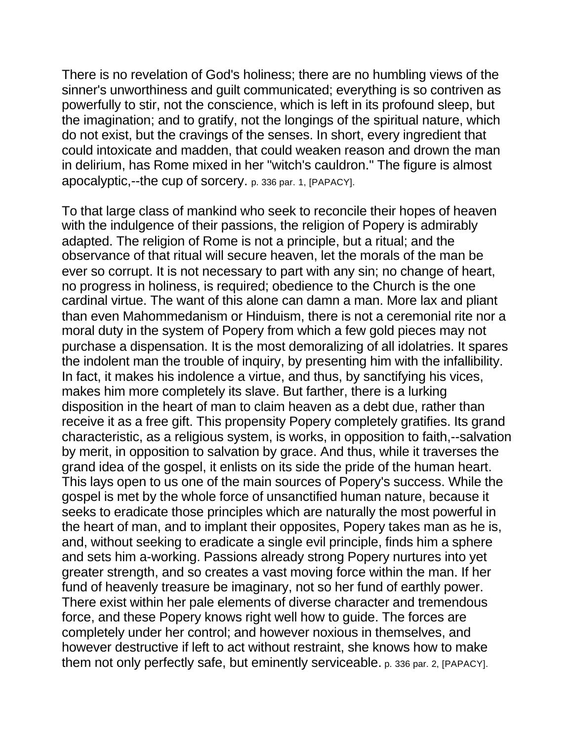There is no revelation of God's holiness; there are no humbling views of the sinner's unworthiness and guilt communicated; everything is so contriven as powerfully to stir, not the conscience, which is left in its profound sleep, but the imagination; and to gratify, not the longings of the spiritual nature, which do not exist, but the cravings of the senses. In short, every ingredient that could intoxicate and madden, that could weaken reason and drown the man in delirium, has Rome mixed in her "witch's cauldron." The figure is almost apocalyptic,--the cup of sorcery. p. 336 par. 1, [PAPACY].

To that large class of mankind who seek to reconcile their hopes of heaven with the indulgence of their passions, the religion of Popery is admirably adapted. The religion of Rome is not a principle, but a ritual; and the observance of that ritual will secure heaven, let the morals of the man be ever so corrupt. It is not necessary to part with any sin; no change of heart, no progress in holiness, is required; obedience to the Church is the one cardinal virtue. The want of this alone can damn a man. More lax and pliant than even Mahommedanism or Hinduism, there is not a ceremonial rite nor a moral duty in the system of Popery from which a few gold pieces may not purchase a dispensation. It is the most demoralizing of all idolatries. It spares the indolent man the trouble of inquiry, by presenting him with the infallibility. In fact, it makes his indolence a virtue, and thus, by sanctifying his vices, makes him more completely its slave. But farther, there is a lurking disposition in the heart of man to claim heaven as a debt due, rather than receive it as a free gift. This propensity Popery completely gratifies. Its grand characteristic, as a religious system, is works, in opposition to faith,--salvation by merit, in opposition to salvation by grace. And thus, while it traverses the grand idea of the gospel, it enlists on its side the pride of the human heart. This lays open to us one of the main sources of Popery's success. While the gospel is met by the whole force of unsanctified human nature, because it seeks to eradicate those principles which are naturally the most powerful in the heart of man, and to implant their opposites, Popery takes man as he is, and, without seeking to eradicate a single evil principle, finds him a sphere and sets him a-working. Passions already strong Popery nurtures into yet greater strength, and so creates a vast moving force within the man. If her fund of heavenly treasure be imaginary, not so her fund of earthly power. There exist within her pale elements of diverse character and tremendous force, and these Popery knows right well how to guide. The forces are completely under her control; and however noxious in themselves, and however destructive if left to act without restraint, she knows how to make them not only perfectly safe, but eminently serviceable. p. 336 par. 2, [PAPACY].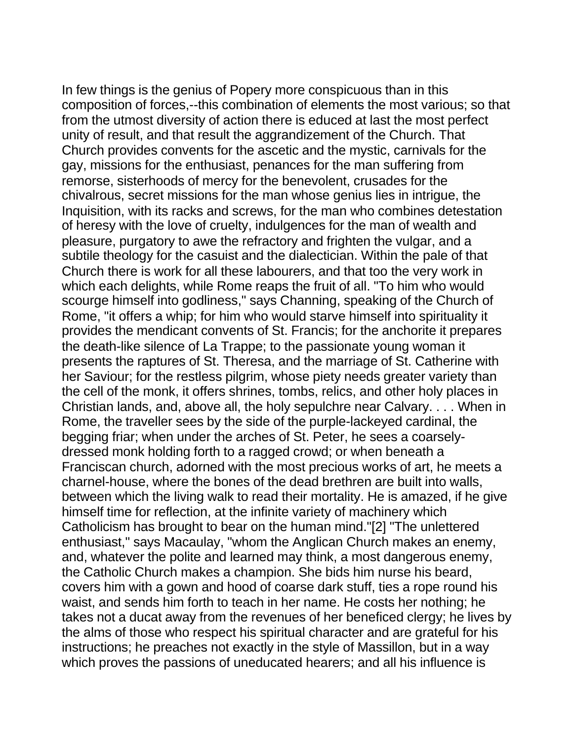In few things is the genius of Popery more conspicuous than in this composition of forces,--this combination of elements the most various; so that from the utmost diversity of action there is educed at last the most perfect unity of result, and that result the aggrandizement of the Church. That Church provides convents for the ascetic and the mystic, carnivals for the gay, missions for the enthusiast, penances for the man suffering from remorse, sisterhoods of mercy for the benevolent, crusades for the chivalrous, secret missions for the man whose genius lies in intrigue, the Inquisition, with its racks and screws, for the man who combines detestation of heresy with the love of cruelty, indulgences for the man of wealth and pleasure, purgatory to awe the refractory and frighten the vulgar, and a subtile theology for the casuist and the dialectician. Within the pale of that Church there is work for all these labourers, and that too the very work in which each delights, while Rome reaps the fruit of all. "To him who would scourge himself into godliness," says Channing, speaking of the Church of Rome, "it offers a whip; for him who would starve himself into spirituality it provides the mendicant convents of St. Francis; for the anchorite it prepares the death-like silence of La Trappe; to the passionate young woman it presents the raptures of St. Theresa, and the marriage of St. Catherine with her Saviour; for the restless pilgrim, whose piety needs greater variety than the cell of the monk, it offers shrines, tombs, relics, and other holy places in Christian lands, and, above all, the holy sepulchre near Calvary. . . . When in Rome, the traveller sees by the side of the purple-lackeyed cardinal, the begging friar; when under the arches of St. Peter, he sees a coarselydressed monk holding forth to a ragged crowd; or when beneath a Franciscan church, adorned with the most precious works of art, he meets a charnel-house, where the bones of the dead brethren are built into walls, between which the living walk to read their mortality. He is amazed, if he give himself time for reflection, at the infinite variety of machinery which Catholicism has brought to bear on the human mind."[2] "The unlettered enthusiast," says Macaulay, "whom the Anglican Church makes an enemy, and, whatever the polite and learned may think, a most dangerous enemy, the Catholic Church makes a champion. She bids him nurse his beard, covers him with a gown and hood of coarse dark stuff, ties a rope round his waist, and sends him forth to teach in her name. He costs her nothing; he takes not a ducat away from the revenues of her beneficed clergy; he lives by the alms of those who respect his spiritual character and are grateful for his instructions; he preaches not exactly in the style of Massillon, but in a way which proves the passions of uneducated hearers; and all his influence is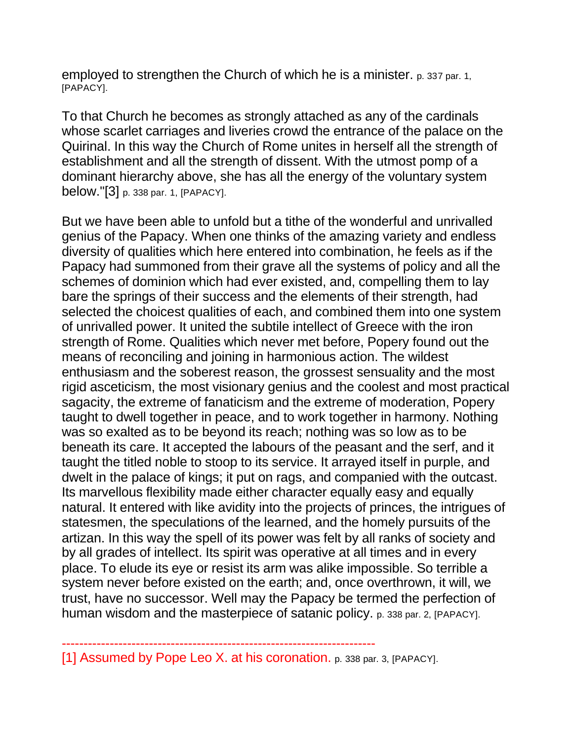employed to strengthen the Church of which he is a minister. p. 337 par. 1, [PAPACY].

To that Church he becomes as strongly attached as any of the cardinals whose scarlet carriages and liveries crowd the entrance of the palace on the Quirinal. In this way the Church of Rome unites in herself all the strength of establishment and all the strength of dissent. With the utmost pomp of a dominant hierarchy above, she has all the energy of the voluntary system below."[3] p. 338 par. 1, [PAPACY].

But we have been able to unfold but a tithe of the wonderful and unrivalled genius of the Papacy. When one thinks of the amazing variety and endless diversity of qualities which here entered into combination, he feels as if the Papacy had summoned from their grave all the systems of policy and all the schemes of dominion which had ever existed, and, compelling them to lay bare the springs of their success and the elements of their strength, had selected the choicest qualities of each, and combined them into one system of unrivalled power. It united the subtile intellect of Greece with the iron strength of Rome. Qualities which never met before, Popery found out the means of reconciling and joining in harmonious action. The wildest enthusiasm and the soberest reason, the grossest sensuality and the most rigid asceticism, the most visionary genius and the coolest and most practical sagacity, the extreme of fanaticism and the extreme of moderation, Popery taught to dwell together in peace, and to work together in harmony. Nothing was so exalted as to be beyond its reach; nothing was so low as to be beneath its care. It accepted the labours of the peasant and the serf, and it taught the titled noble to stoop to its service. It arrayed itself in purple, and dwelt in the palace of kings; it put on rags, and companied with the outcast. Its marvellous flexibility made either character equally easy and equally natural. It entered with like avidity into the projects of princes, the intrigues of statesmen, the speculations of the learned, and the homely pursuits of the artizan. In this way the spell of its power was felt by all ranks of society and by all grades of intellect. Its spirit was operative at all times and in every place. To elude its eye or resist its arm was alike impossible. So terrible a system never before existed on the earth; and, once overthrown, it will, we trust, have no successor. Well may the Papacy be termed the perfection of human wisdom and the masterpiece of satanic policy. p. 338 par. 2, [PAPACY].

[1] Assumed by Pope Leo X. at his coronation. p. 338 par. 3, [PAPACY].

------------------------------------------------------------------------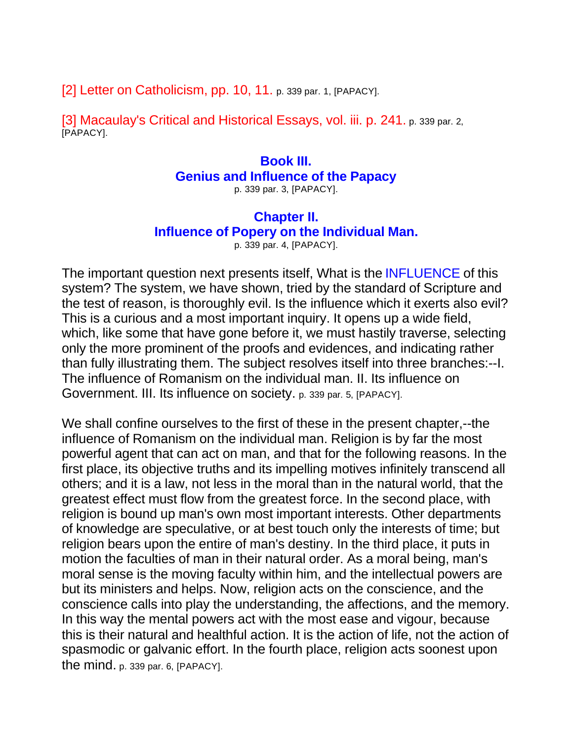[2] Letter on Catholicism, pp. 10, 11. p. 339 par. 1, [PAPACY].

[3] Macaulay's Critical and Historical Essays, vol. iii. p. 241. p. 339 par. 2, [PAPACY].

## **Book III. Genius and Influence of the Papacy**

p. 339 par. 3, [PAPACY].

## **Chapter II.**

**Influence of Popery on the Individual Man.**

p. 339 par. 4, [PAPACY].

The important question next presents itself, What is the **INFLUENCE** of this system? The system, we have shown, tried by the standard of Scripture and the test of reason, is thoroughly evil. Is the influence which it exerts also evil? This is a curious and a most important inquiry. It opens up a wide field, which, like some that have gone before it, we must hastily traverse, selecting only the more prominent of the proofs and evidences, and indicating rather than fully illustrating them. The subject resolves itself into three branches:--I. The influence of Romanism on the individual man. II. Its influence on Government. III. Its influence on society. p. 339 par. 5, [PAPACY].

We shall confine ourselves to the first of these in the present chapter,--the influence of Romanism on the individual man. Religion is by far the most powerful agent that can act on man, and that for the following reasons. In the first place, its objective truths and its impelling motives infinitely transcend all others; and it is a law, not less in the moral than in the natural world, that the greatest effect must flow from the greatest force. In the second place, with religion is bound up man's own most important interests. Other departments of knowledge are speculative, or at best touch only the interests of time; but religion bears upon the entire of man's destiny. In the third place, it puts in motion the faculties of man in their natural order. As a moral being, man's moral sense is the moving faculty within him, and the intellectual powers are but its ministers and helps. Now, religion acts on the conscience, and the conscience calls into play the understanding, the affections, and the memory. In this way the mental powers act with the most ease and vigour, because this is their natural and healthful action. It is the action of life, not the action of spasmodic or galvanic effort. In the fourth place, religion acts soonest upon the mind. p. 339 par. 6, [PAPACY].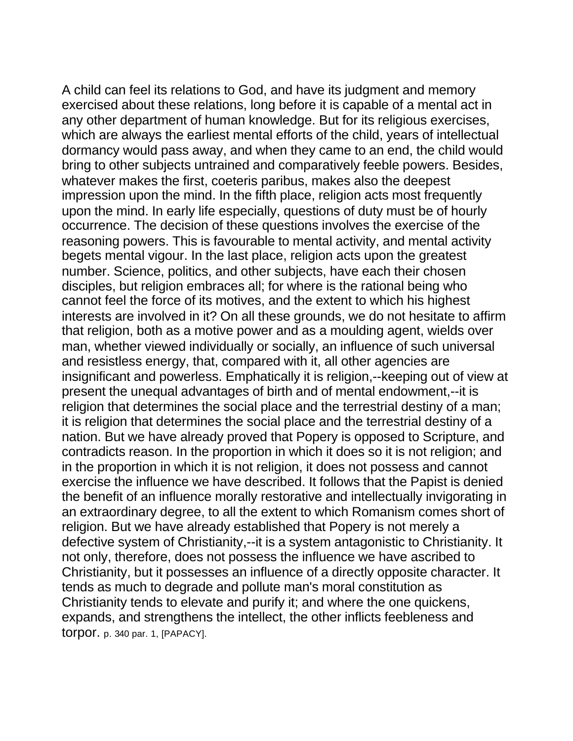A child can feel its relations to God, and have its judgment and memory exercised about these relations, long before it is capable of a mental act in any other department of human knowledge. But for its religious exercises, which are always the earliest mental efforts of the child, years of intellectual dormancy would pass away, and when they came to an end, the child would bring to other subjects untrained and comparatively feeble powers. Besides, whatever makes the first, coeteris paribus, makes also the deepest impression upon the mind. In the fifth place, religion acts most frequently upon the mind. In early life especially, questions of duty must be of hourly occurrence. The decision of these questions involves the exercise of the reasoning powers. This is favourable to mental activity, and mental activity begets mental vigour. In the last place, religion acts upon the greatest number. Science, politics, and other subjects, have each their chosen disciples, but religion embraces all; for where is the rational being who cannot feel the force of its motives, and the extent to which his highest interests are involved in it? On all these grounds, we do not hesitate to affirm that religion, both as a motive power and as a moulding agent, wields over man, whether viewed individually or socially, an influence of such universal and resistless energy, that, compared with it, all other agencies are insignificant and powerless. Emphatically it is religion,--keeping out of view at present the unequal advantages of birth and of mental endowment,--it is religion that determines the social place and the terrestrial destiny of a man: it is religion that determines the social place and the terrestrial destiny of a nation. But we have already proved that Popery is opposed to Scripture, and contradicts reason. In the proportion in which it does so it is not religion; and in the proportion in which it is not religion, it does not possess and cannot exercise the influence we have described. It follows that the Papist is denied the benefit of an influence morally restorative and intellectually invigorating in an extraordinary degree, to all the extent to which Romanism comes short of religion. But we have already established that Popery is not merely a defective system of Christianity,--it is a system antagonistic to Christianity. It not only, therefore, does not possess the influence we have ascribed to Christianity, but it possesses an influence of a directly opposite character. It tends as much to degrade and pollute man's moral constitution as Christianity tends to elevate and purify it; and where the one quickens, expands, and strengthens the intellect, the other inflicts feebleness and torpor. p. 340 par. 1, [PAPACY].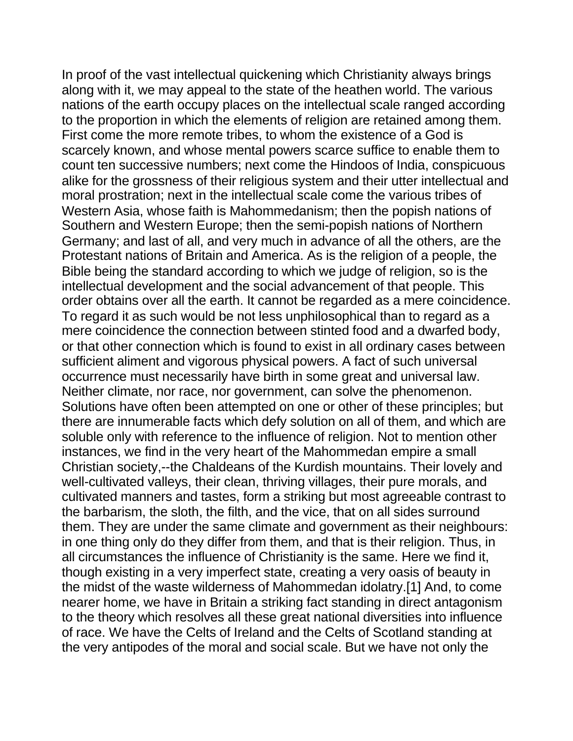In proof of the vast intellectual quickening which Christianity always brings along with it, we may appeal to the state of the heathen world. The various nations of the earth occupy places on the intellectual scale ranged according to the proportion in which the elements of religion are retained among them. First come the more remote tribes, to whom the existence of a God is scarcely known, and whose mental powers scarce suffice to enable them to count ten successive numbers; next come the Hindoos of India, conspicuous alike for the grossness of their religious system and their utter intellectual and moral prostration; next in the intellectual scale come the various tribes of Western Asia, whose faith is Mahommedanism; then the popish nations of Southern and Western Europe; then the semi-popish nations of Northern Germany; and last of all, and very much in advance of all the others, are the Protestant nations of Britain and America. As is the religion of a people, the Bible being the standard according to which we judge of religion, so is the intellectual development and the social advancement of that people. This order obtains over all the earth. It cannot be regarded as a mere coincidence. To regard it as such would be not less unphilosophical than to regard as a mere coincidence the connection between stinted food and a dwarfed body, or that other connection which is found to exist in all ordinary cases between sufficient aliment and vigorous physical powers. A fact of such universal occurrence must necessarily have birth in some great and universal law. Neither climate, nor race, nor government, can solve the phenomenon. Solutions have often been attempted on one or other of these principles; but there are innumerable facts which defy solution on all of them, and which are soluble only with reference to the influence of religion. Not to mention other instances, we find in the very heart of the Mahommedan empire a small Christian society,--the Chaldeans of the Kurdish mountains. Their lovely and well-cultivated valleys, their clean, thriving villages, their pure morals, and cultivated manners and tastes, form a striking but most agreeable contrast to the barbarism, the sloth, the filth, and the vice, that on all sides surround them. They are under the same climate and government as their neighbours: in one thing only do they differ from them, and that is their religion. Thus, in all circumstances the influence of Christianity is the same. Here we find it, though existing in a very imperfect state, creating a very oasis of beauty in the midst of the waste wilderness of Mahommedan idolatry.[1] And, to come nearer home, we have in Britain a striking fact standing in direct antagonism to the theory which resolves all these great national diversities into influence of race. We have the Celts of Ireland and the Celts of Scotland standing at the very antipodes of the moral and social scale. But we have not only the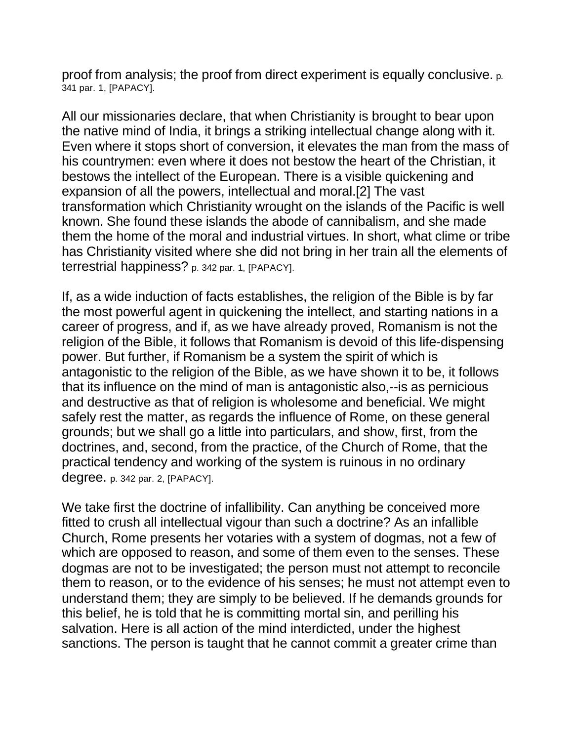proof from analysis; the proof from direct experiment is equally conclusive. p. 341 par. 1, [PAPACY].

All our missionaries declare, that when Christianity is brought to bear upon the native mind of India, it brings a striking intellectual change along with it. Even where it stops short of conversion, it elevates the man from the mass of his countrymen: even where it does not bestow the heart of the Christian, it bestows the intellect of the European. There is a visible quickening and expansion of all the powers, intellectual and moral.[2] The vast transformation which Christianity wrought on the islands of the Pacific is well known. She found these islands the abode of cannibalism, and she made them the home of the moral and industrial virtues. In short, what clime or tribe has Christianity visited where she did not bring in her train all the elements of terrestrial happiness? p. 342 par. 1, [PAPACY].

If, as a wide induction of facts establishes, the religion of the Bible is by far the most powerful agent in quickening the intellect, and starting nations in a career of progress, and if, as we have already proved, Romanism is not the religion of the Bible, it follows that Romanism is devoid of this life-dispensing power. But further, if Romanism be a system the spirit of which is antagonistic to the religion of the Bible, as we have shown it to be, it follows that its influence on the mind of man is antagonistic also,--is as pernicious and destructive as that of religion is wholesome and beneficial. We might safely rest the matter, as regards the influence of Rome, on these general grounds; but we shall go a little into particulars, and show, first, from the doctrines, and, second, from the practice, of the Church of Rome, that the practical tendency and working of the system is ruinous in no ordinary degree. p. 342 par. 2, [PAPACY].

We take first the doctrine of infallibility. Can anything be conceived more fitted to crush all intellectual vigour than such a doctrine? As an infallible Church, Rome presents her votaries with a system of dogmas, not a few of which are opposed to reason, and some of them even to the senses. These dogmas are not to be investigated; the person must not attempt to reconcile them to reason, or to the evidence of his senses; he must not attempt even to understand them; they are simply to be believed. If he demands grounds for this belief, he is told that he is committing mortal sin, and perilling his salvation. Here is all action of the mind interdicted, under the highest sanctions. The person is taught that he cannot commit a greater crime than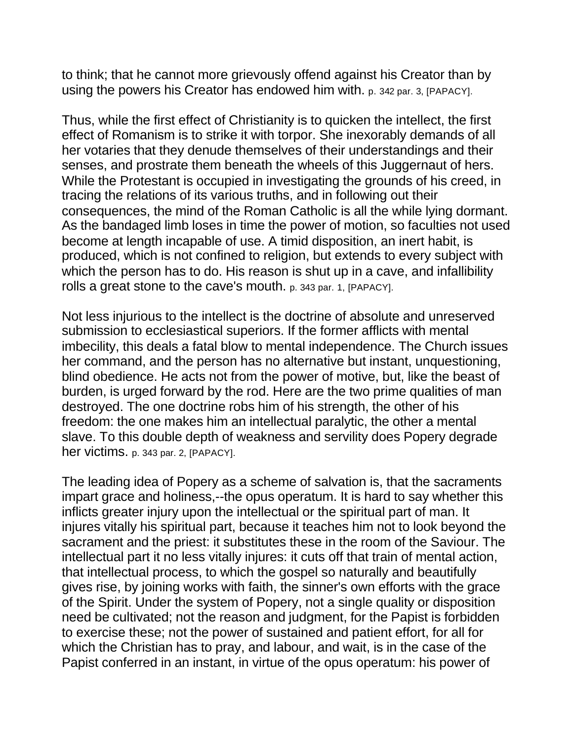to think; that he cannot more grievously offend against his Creator than by using the powers his Creator has endowed him with. p. 342 par. 3, [PAPACY].

Thus, while the first effect of Christianity is to quicken the intellect, the first effect of Romanism is to strike it with torpor. She inexorably demands of all her votaries that they denude themselves of their understandings and their senses, and prostrate them beneath the wheels of this Juggernaut of hers. While the Protestant is occupied in investigating the grounds of his creed, in tracing the relations of its various truths, and in following out their consequences, the mind of the Roman Catholic is all the while lying dormant. As the bandaged limb loses in time the power of motion, so faculties not used become at length incapable of use. A timid disposition, an inert habit, is produced, which is not confined to religion, but extends to every subject with which the person has to do. His reason is shut up in a cave, and infallibility rolls a great stone to the cave's mouth. p. 343 par. 1, [PAPACY].

Not less injurious to the intellect is the doctrine of absolute and unreserved submission to ecclesiastical superiors. If the former afflicts with mental imbecility, this deals a fatal blow to mental independence. The Church issues her command, and the person has no alternative but instant, unquestioning, blind obedience. He acts not from the power of motive, but, like the beast of burden, is urged forward by the rod. Here are the two prime qualities of man destroyed. The one doctrine robs him of his strength, the other of his freedom: the one makes him an intellectual paralytic, the other a mental slave. To this double depth of weakness and servility does Popery degrade her victims. p. 343 par. 2, [PAPACY].

The leading idea of Popery as a scheme of salvation is, that the sacraments impart grace and holiness,--the opus operatum. It is hard to say whether this inflicts greater injury upon the intellectual or the spiritual part of man. It injures vitally his spiritual part, because it teaches him not to look beyond the sacrament and the priest: it substitutes these in the room of the Saviour. The intellectual part it no less vitally injures: it cuts off that train of mental action, that intellectual process, to which the gospel so naturally and beautifully gives rise, by joining works with faith, the sinner's own efforts with the grace of the Spirit. Under the system of Popery, not a single quality or disposition need be cultivated; not the reason and judgment, for the Papist is forbidden to exercise these; not the power of sustained and patient effort, for all for which the Christian has to pray, and labour, and wait, is in the case of the Papist conferred in an instant, in virtue of the opus operatum: his power of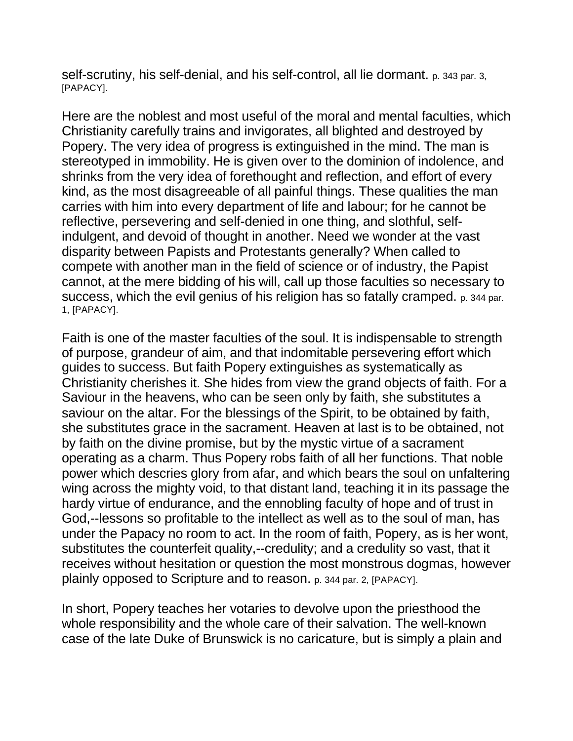self-scrutiny, his self-denial, and his self-control, all lie dormant. p. 343 par. 3, [PAPACY].

Here are the noblest and most useful of the moral and mental faculties, which Christianity carefully trains and invigorates, all blighted and destroyed by Popery. The very idea of progress is extinguished in the mind. The man is stereotyped in immobility. He is given over to the dominion of indolence, and shrinks from the very idea of forethought and reflection, and effort of every kind, as the most disagreeable of all painful things. These qualities the man carries with him into every department of life and labour; for he cannot be reflective, persevering and self-denied in one thing, and slothful, selfindulgent, and devoid of thought in another. Need we wonder at the vast disparity between Papists and Protestants generally? When called to compete with another man in the field of science or of industry, the Papist cannot, at the mere bidding of his will, call up those faculties so necessary to success, which the evil genius of his religion has so fatally cramped. p. 344 par. 1, [PAPACY].

Faith is one of the master faculties of the soul. It is indispensable to strength of purpose, grandeur of aim, and that indomitable persevering effort which guides to success. But faith Popery extinguishes as systematically as Christianity cherishes it. She hides from view the grand objects of faith. For a Saviour in the heavens, who can be seen only by faith, she substitutes a saviour on the altar. For the blessings of the Spirit, to be obtained by faith, she substitutes grace in the sacrament. Heaven at last is to be obtained, not by faith on the divine promise, but by the mystic virtue of a sacrament operating as a charm. Thus Popery robs faith of all her functions. That noble power which descries glory from afar, and which bears the soul on unfaltering wing across the mighty void, to that distant land, teaching it in its passage the hardy virtue of endurance, and the ennobling faculty of hope and of trust in God,--lessons so profitable to the intellect as well as to the soul of man, has under the Papacy no room to act. In the room of faith, Popery, as is her wont, substitutes the counterfeit quality,--credulity; and a credulity so vast, that it receives without hesitation or question the most monstrous dogmas, however plainly opposed to Scripture and to reason. p. 344 par. 2, [PAPACY].

In short, Popery teaches her votaries to devolve upon the priesthood the whole responsibility and the whole care of their salvation. The well-known case of the late Duke of Brunswick is no caricature, but is simply a plain and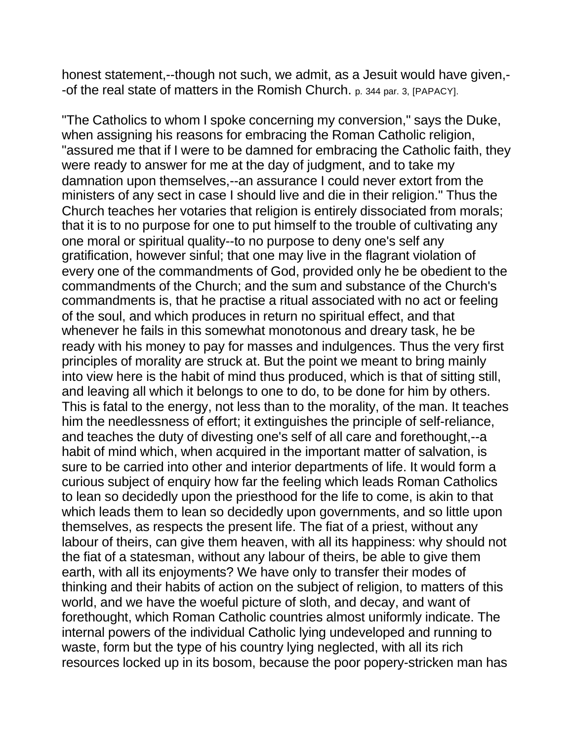honest statement,--though not such, we admit, as a Jesuit would have given,- -of the real state of matters in the Romish Church. p. 344 par. 3, [PAPACY].

"The Catholics to whom I spoke concerning my conversion," says the Duke, when assigning his reasons for embracing the Roman Catholic religion, "assured me that if I were to be damned for embracing the Catholic faith, they were ready to answer for me at the day of judgment, and to take my damnation upon themselves,--an assurance I could never extort from the ministers of any sect in case I should live and die in their religion." Thus the Church teaches her votaries that religion is entirely dissociated from morals; that it is to no purpose for one to put himself to the trouble of cultivating any one moral or spiritual quality--to no purpose to deny one's self any gratification, however sinful; that one may live in the flagrant violation of every one of the commandments of God, provided only he be obedient to the commandments of the Church; and the sum and substance of the Church's commandments is, that he practise a ritual associated with no act or feeling of the soul, and which produces in return no spiritual effect, and that whenever he fails in this somewhat monotonous and dreary task, he be ready with his money to pay for masses and indulgences. Thus the very first principles of morality are struck at. But the point we meant to bring mainly into view here is the habit of mind thus produced, which is that of sitting still, and leaving all which it belongs to one to do, to be done for him by others. This is fatal to the energy, not less than to the morality, of the man. It teaches him the needlessness of effort; it extinguishes the principle of self-reliance, and teaches the duty of divesting one's self of all care and forethought,--a habit of mind which, when acquired in the important matter of salvation, is sure to be carried into other and interior departments of life. It would form a curious subject of enquiry how far the feeling which leads Roman Catholics to lean so decidedly upon the priesthood for the life to come, is akin to that which leads them to lean so decidedly upon governments, and so little upon themselves, as respects the present life. The fiat of a priest, without any labour of theirs, can give them heaven, with all its happiness: why should not the fiat of a statesman, without any labour of theirs, be able to give them earth, with all its enjoyments? We have only to transfer their modes of thinking and their habits of action on the subject of religion, to matters of this world, and we have the woeful picture of sloth, and decay, and want of forethought, which Roman Catholic countries almost uniformly indicate. The internal powers of the individual Catholic lying undeveloped and running to waste, form but the type of his country lying neglected, with all its rich resources locked up in its bosom, because the poor popery-stricken man has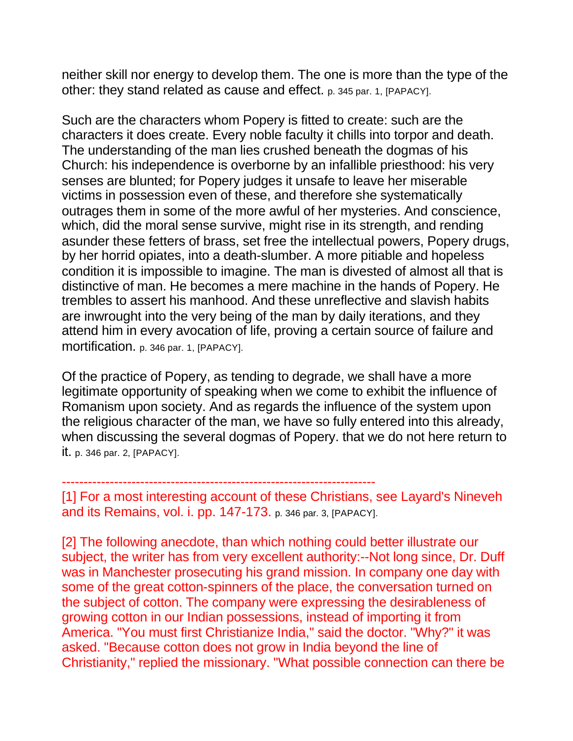neither skill nor energy to develop them. The one is more than the type of the other: they stand related as cause and effect. p. 345 par. 1, [PAPACY].

Such are the characters whom Popery is fitted to create: such are the characters it does create. Every noble faculty it chills into torpor and death. The understanding of the man lies crushed beneath the dogmas of his Church: his independence is overborne by an infallible priesthood: his very senses are blunted; for Popery judges it unsafe to leave her miserable victims in possession even of these, and therefore she systematically outrages them in some of the more awful of her mysteries. And conscience, which, did the moral sense survive, might rise in its strength, and rending asunder these fetters of brass, set free the intellectual powers, Popery drugs, by her horrid opiates, into a death-slumber. A more pitiable and hopeless condition it is impossible to imagine. The man is divested of almost all that is distinctive of man. He becomes a mere machine in the hands of Popery. He trembles to assert his manhood. And these unreflective and slavish habits are inwrought into the very being of the man by daily iterations, and they attend him in every avocation of life, proving a certain source of failure and mortification. p. 346 par. 1, [PAPACY].

Of the practice of Popery, as tending to degrade, we shall have a more legitimate opportunity of speaking when we come to exhibit the influence of Romanism upon society. And as regards the influence of the system upon the religious character of the man, we have so fully entered into this already, when discussing the several dogmas of Popery. that we do not here return to it. p. 346 par. 2, [PAPACY].

[1] For a most interesting account of these Christians, see Layard's Nineveh and its Remains, vol. i. pp. 147-173. p. 346 par. 3, [PAPACY].

------------------------------------------------------------------------

[2] The following anecdote, than which nothing could better illustrate our subject, the writer has from very excellent authority:--Not long since, Dr. Duff was in Manchester prosecuting his grand mission. In company one day with some of the great cotton-spinners of the place, the conversation turned on the subject of cotton. The company were expressing the desirableness of growing cotton in our Indian possessions, instead of importing it from America. "You must first Christianize India," said the doctor. "Why?" it was asked. "Because cotton does not grow in India beyond the line of Christianity," replied the missionary. "What possible connection can there be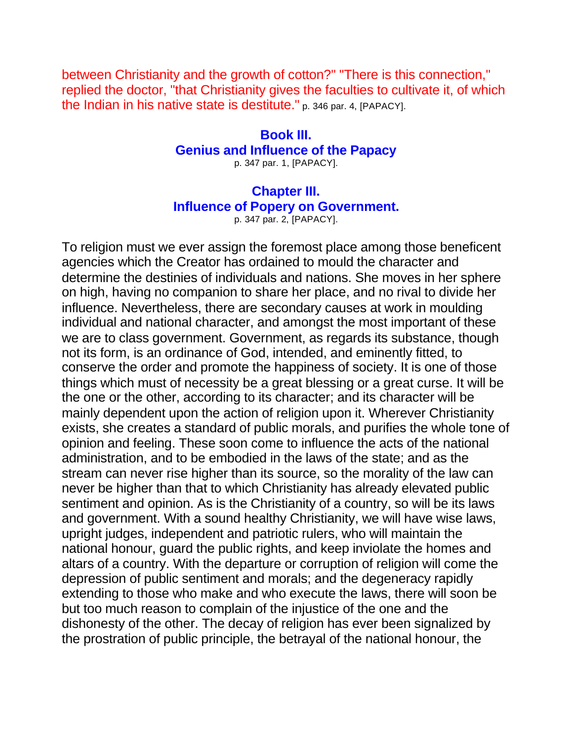between Christianity and the growth of cotton?" "There is this connection," replied the doctor, "that Christianity gives the faculties to cultivate it, of which the Indian in his native state is destitute." p. 346 par. 4, [PAPACY].

## **Book III. Genius and Influence of the Papacy**

p. 347 par. 1, [PAPACY].

## **Chapter III. Influence of Popery on Government.** p. 347 par. 2, [PAPACY].

To religion must we ever assign the foremost place among those beneficent agencies which the Creator has ordained to mould the character and determine the destinies of individuals and nations. She moves in her sphere on high, having no companion to share her place, and no rival to divide her influence. Nevertheless, there are secondary causes at work in moulding individual and national character, and amongst the most important of these we are to class government. Government, as regards its substance, though not its form, is an ordinance of God, intended, and eminently fitted, to conserve the order and promote the happiness of society. It is one of those things which must of necessity be a great blessing or a great curse. It will be the one or the other, according to its character; and its character will be mainly dependent upon the action of religion upon it. Wherever Christianity exists, she creates a standard of public morals, and purifies the whole tone of opinion and feeling. These soon come to influence the acts of the national administration, and to be embodied in the laws of the state; and as the stream can never rise higher than its source, so the morality of the law can never be higher than that to which Christianity has already elevated public sentiment and opinion. As is the Christianity of a country, so will be its laws and government. With a sound healthy Christianity, we will have wise laws, upright judges, independent and patriotic rulers, who will maintain the national honour, guard the public rights, and keep inviolate the homes and altars of a country. With the departure or corruption of religion will come the depression of public sentiment and morals; and the degeneracy rapidly extending to those who make and who execute the laws, there will soon be but too much reason to complain of the injustice of the one and the dishonesty of the other. The decay of religion has ever been signalized by the prostration of public principle, the betrayal of the national honour, the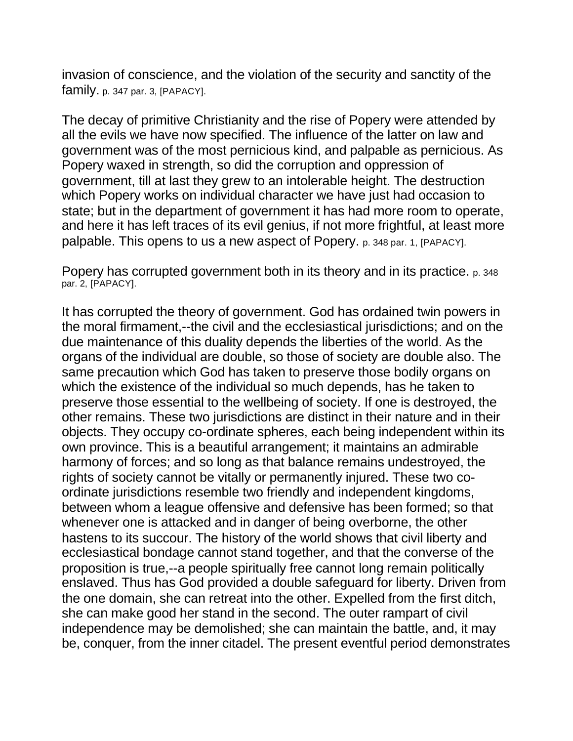invasion of conscience, and the violation of the security and sanctity of the family. p. 347 par. 3, [PAPACY].

The decay of primitive Christianity and the rise of Popery were attended by all the evils we have now specified. The influence of the latter on law and government was of the most pernicious kind, and palpable as pernicious. As Popery waxed in strength, so did the corruption and oppression of government, till at last they grew to an intolerable height. The destruction which Popery works on individual character we have just had occasion to state; but in the department of government it has had more room to operate, and here it has left traces of its evil genius, if not more frightful, at least more palpable. This opens to us a new aspect of Popery. p. 348 par. 1, [PAPACY].

Popery has corrupted government both in its theory and in its practice. p. 348 par. 2, [PAPACY].

It has corrupted the theory of government. God has ordained twin powers in the moral firmament,--the civil and the ecclesiastical jurisdictions; and on the due maintenance of this duality depends the liberties of the world. As the organs of the individual are double, so those of society are double also. The same precaution which God has taken to preserve those bodily organs on which the existence of the individual so much depends, has he taken to preserve those essential to the wellbeing of society. If one is destroyed, the other remains. These two jurisdictions are distinct in their nature and in their objects. They occupy co-ordinate spheres, each being independent within its own province. This is a beautiful arrangement; it maintains an admirable harmony of forces; and so long as that balance remains undestroyed, the rights of society cannot be vitally or permanently injured. These two coordinate jurisdictions resemble two friendly and independent kingdoms, between whom a league offensive and defensive has been formed; so that whenever one is attacked and in danger of being overborne, the other hastens to its succour. The history of the world shows that civil liberty and ecclesiastical bondage cannot stand together, and that the converse of the proposition is true,--a people spiritually free cannot long remain politically enslaved. Thus has God provided a double safeguard for liberty. Driven from the one domain, she can retreat into the other. Expelled from the first ditch, she can make good her stand in the second. The outer rampart of civil independence may be demolished; she can maintain the battle, and, it may be, conquer, from the inner citadel. The present eventful period demonstrates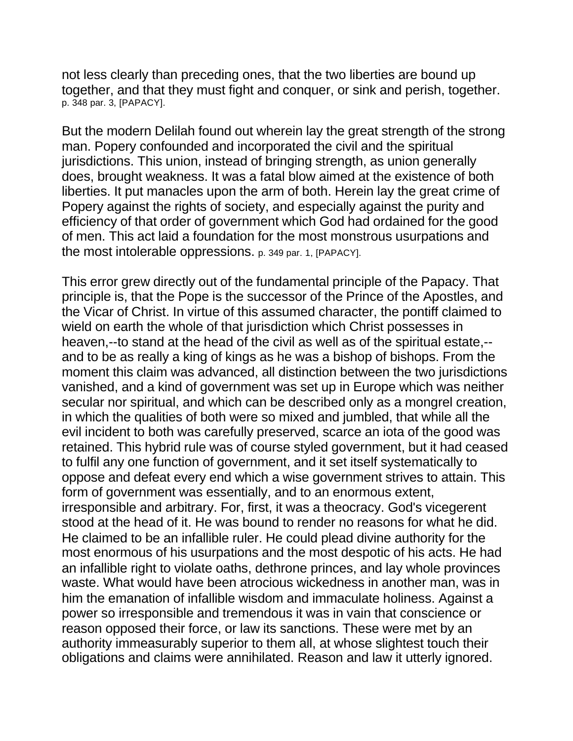not less clearly than preceding ones, that the two liberties are bound up together, and that they must fight and conquer, or sink and perish, together. p. 348 par. 3, [PAPACY].

But the modern Delilah found out wherein lay the great strength of the strong man. Popery confounded and incorporated the civil and the spiritual jurisdictions. This union, instead of bringing strength, as union generally does, brought weakness. It was a fatal blow aimed at the existence of both liberties. It put manacles upon the arm of both. Herein lay the great crime of Popery against the rights of society, and especially against the purity and efficiency of that order of government which God had ordained for the good of men. This act laid a foundation for the most monstrous usurpations and the most intolerable oppressions. p. 349 par. 1, [PAPACY].

This error grew directly out of the fundamental principle of the Papacy. That principle is, that the Pope is the successor of the Prince of the Apostles, and the Vicar of Christ. In virtue of this assumed character, the pontiff claimed to wield on earth the whole of that jurisdiction which Christ possesses in heaven,--to stand at the head of the civil as well as of the spiritual estate,- and to be as really a king of kings as he was a bishop of bishops. From the moment this claim was advanced, all distinction between the two jurisdictions vanished, and a kind of government was set up in Europe which was neither secular nor spiritual, and which can be described only as a mongrel creation, in which the qualities of both were so mixed and jumbled, that while all the evil incident to both was carefully preserved, scarce an iota of the good was retained. This hybrid rule was of course styled government, but it had ceased to fulfil any one function of government, and it set itself systematically to oppose and defeat every end which a wise government strives to attain. This form of government was essentially, and to an enormous extent, irresponsible and arbitrary. For, first, it was a theocracy. God's vicegerent stood at the head of it. He was bound to render no reasons for what he did. He claimed to be an infallible ruler. He could plead divine authority for the most enormous of his usurpations and the most despotic of his acts. He had an infallible right to violate oaths, dethrone princes, and lay whole provinces waste. What would have been atrocious wickedness in another man, was in him the emanation of infallible wisdom and immaculate holiness. Against a power so irresponsible and tremendous it was in vain that conscience or reason opposed their force, or law its sanctions. These were met by an authority immeasurably superior to them all, at whose slightest touch their obligations and claims were annihilated. Reason and law it utterly ignored.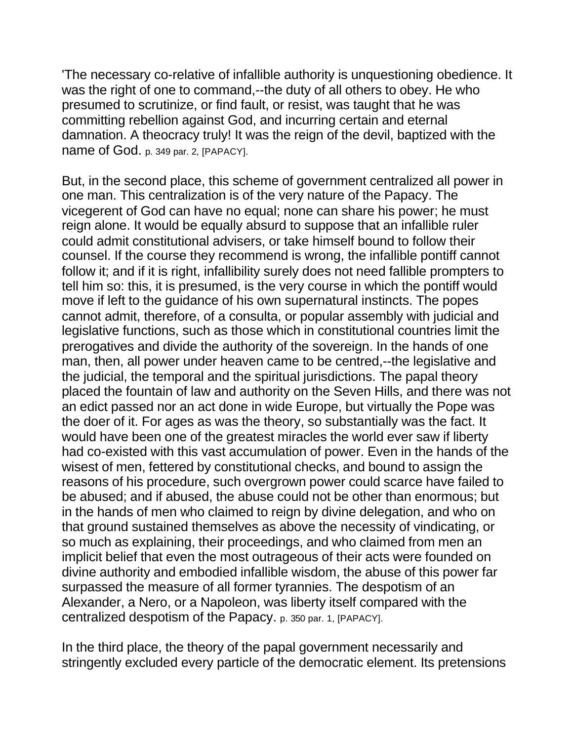'The necessary co-relative of infallible authority is unquestioning obedience. It was the right of one to command,--the duty of all others to obey. He who presumed to scrutinize, or find fault, or resist, was taught that he was committing rebellion against God, and incurring certain and eternal damnation. A theocracy truly! It was the reign of the devil, baptized with the name of God. p. 349 par. 2, [PAPACY].

But, in the second place, this scheme of government centralized all power in one man. This centralization is of the very nature of the Papacy. The vicegerent of God can have no equal; none can share his power; he must reign alone. It would be equally absurd to suppose that an infallible ruler could admit constitutional advisers, or take himself bound to follow their counsel. If the course they recommend is wrong, the infallible pontiff cannot follow it; and if it is right, infallibility surely does not need fallible prompters to tell him so: this, it is presumed, is the very course in which the pontiff would move if left to the guidance of his own supernatural instincts. The popes cannot admit, therefore, of a consulta, or popular assembly with judicial and legislative functions, such as those which in constitutional countries limit the prerogatives and divide the authority of the sovereign. In the hands of one man, then, all power under heaven came to be centred,--the legislative and the judicial, the temporal and the spiritual jurisdictions. The papal theory placed the fountain of law and authority on the Seven Hills, and there was not an edict passed nor an act done in wide Europe, but virtually the Pope was the doer of it. For ages as was the theory, so substantially was the fact. It would have been one of the greatest miracles the world ever saw if liberty had co-existed with this vast accumulation of power. Even in the hands of the wisest of men, fettered by constitutional checks, and bound to assign the reasons of his procedure, such overgrown power could scarce have failed to be abused; and if abused, the abuse could not be other than enormous; but in the hands of men who claimed to reign by divine delegation, and who on that ground sustained themselves as above the necessity of vindicating, or so much as explaining, their proceedings, and who claimed from men an implicit belief that even the most outrageous of their acts were founded on divine authority and embodied infallible wisdom, the abuse of this power far surpassed the measure of all former tyrannies. The despotism of an Alexander, a Nero, or a Napoleon, was liberty itself compared with the centralized despotism of the Papacy. p. 350 par. 1, [PAPACY].

In the third place, the theory of the papal government necessarily and stringently excluded every particle of the democratic element. Its pretensions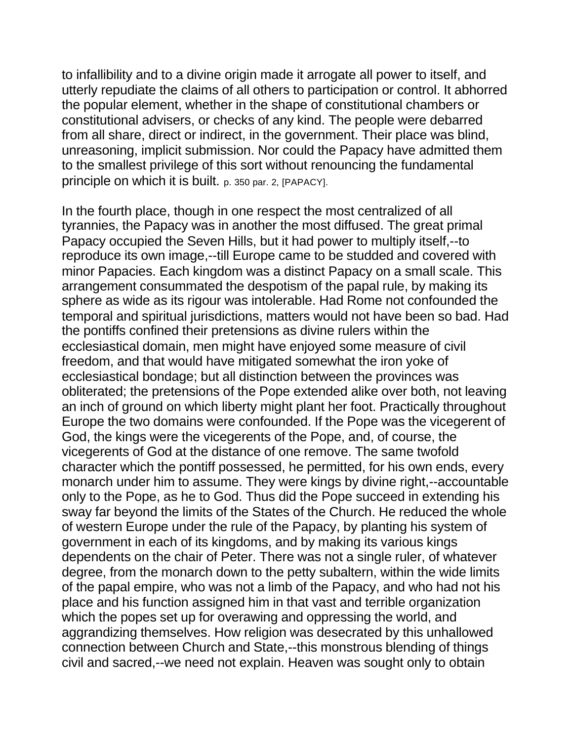to infallibility and to a divine origin made it arrogate all power to itself, and utterly repudiate the claims of all others to participation or control. It abhorred the popular element, whether in the shape of constitutional chambers or constitutional advisers, or checks of any kind. The people were debarred from all share, direct or indirect, in the government. Their place was blind, unreasoning, implicit submission. Nor could the Papacy have admitted them to the smallest privilege of this sort without renouncing the fundamental principle on which it is built. p. 350 par. 2, [PAPACY].

In the fourth place, though in one respect the most centralized of all tyrannies, the Papacy was in another the most diffused. The great primal Papacy occupied the Seven Hills, but it had power to multiply itself,--to reproduce its own image,--till Europe came to be studded and covered with minor Papacies. Each kingdom was a distinct Papacy on a small scale. This arrangement consummated the despotism of the papal rule, by making its sphere as wide as its rigour was intolerable. Had Rome not confounded the temporal and spiritual jurisdictions, matters would not have been so bad. Had the pontiffs confined their pretensions as divine rulers within the ecclesiastical domain, men might have enjoyed some measure of civil freedom, and that would have mitigated somewhat the iron yoke of ecclesiastical bondage; but all distinction between the provinces was obliterated; the pretensions of the Pope extended alike over both, not leaving an inch of ground on which liberty might plant her foot. Practically throughout Europe the two domains were confounded. If the Pope was the vicegerent of God, the kings were the vicegerents of the Pope, and, of course, the vicegerents of God at the distance of one remove. The same twofold character which the pontiff possessed, he permitted, for his own ends, every monarch under him to assume. They were kings by divine right,--accountable only to the Pope, as he to God. Thus did the Pope succeed in extending his sway far beyond the limits of the States of the Church. He reduced the whole of western Europe under the rule of the Papacy, by planting his system of government in each of its kingdoms, and by making its various kings dependents on the chair of Peter. There was not a single ruler, of whatever degree, from the monarch down to the petty subaltern, within the wide limits of the papal empire, who was not a limb of the Papacy, and who had not his place and his function assigned him in that vast and terrible organization which the popes set up for overawing and oppressing the world, and aggrandizing themselves. How religion was desecrated by this unhallowed connection between Church and State,--this monstrous blending of things civil and sacred,--we need not explain. Heaven was sought only to obtain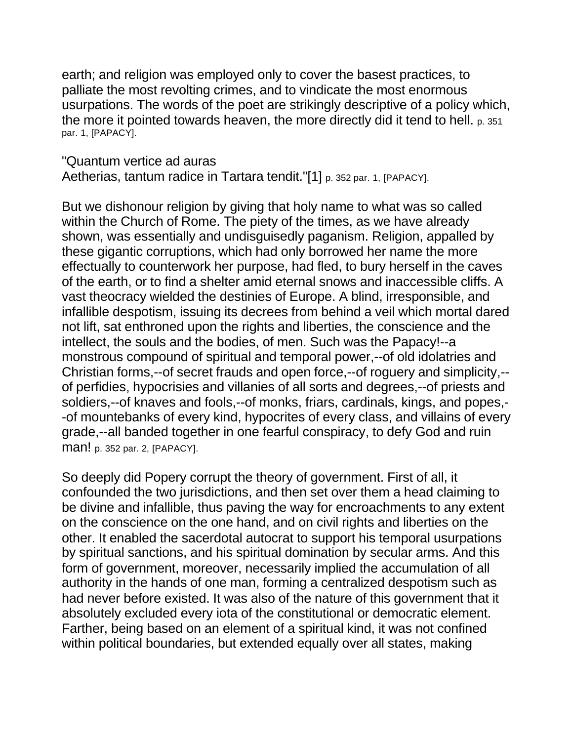earth; and religion was employed only to cover the basest practices, to palliate the most revolting crimes, and to vindicate the most enormous usurpations. The words of the poet are strikingly descriptive of a policy which, the more it pointed towards heaven, the more directly did it tend to hell. p. 351 par. 1, [PAPACY].

"Quantum vertice ad auras

Aetherias, tantum radice in Tartara tendit."[1] p. 352 par. 1, [PAPACY].

But we dishonour religion by giving that holy name to what was so called within the Church of Rome. The piety of the times, as we have already shown, was essentially and undisguisedly paganism. Religion, appalled by these gigantic corruptions, which had only borrowed her name the more effectually to counterwork her purpose, had fled, to bury herself in the caves of the earth, or to find a shelter amid eternal snows and inaccessible cliffs. A vast theocracy wielded the destinies of Europe. A blind, irresponsible, and infallible despotism, issuing its decrees from behind a veil which mortal dared not lift, sat enthroned upon the rights and liberties, the conscience and the intellect, the souls and the bodies, of men. Such was the Papacy!--a monstrous compound of spiritual and temporal power,--of old idolatries and Christian forms,--of secret frauds and open force,--of roguery and simplicity,- of perfidies, hypocrisies and villanies of all sorts and degrees,--of priests and soldiers,--of knaves and fools,--of monks, friars, cardinals, kings, and popes,- -of mountebanks of every kind, hypocrites of every class, and villains of every grade,--all banded together in one fearful conspiracy, to defy God and ruin man! p. 352 par. 2, [PAPACY].

So deeply did Popery corrupt the theory of government. First of all, it confounded the two jurisdictions, and then set over them a head claiming to be divine and infallible, thus paving the way for encroachments to any extent on the conscience on the one hand, and on civil rights and liberties on the other. It enabled the sacerdotal autocrat to support his temporal usurpations by spiritual sanctions, and his spiritual domination by secular arms. And this form of government, moreover, necessarily implied the accumulation of all authority in the hands of one man, forming a centralized despotism such as had never before existed. It was also of the nature of this government that it absolutely excluded every iota of the constitutional or democratic element. Farther, being based on an element of a spiritual kind, it was not confined within political boundaries, but extended equally over all states, making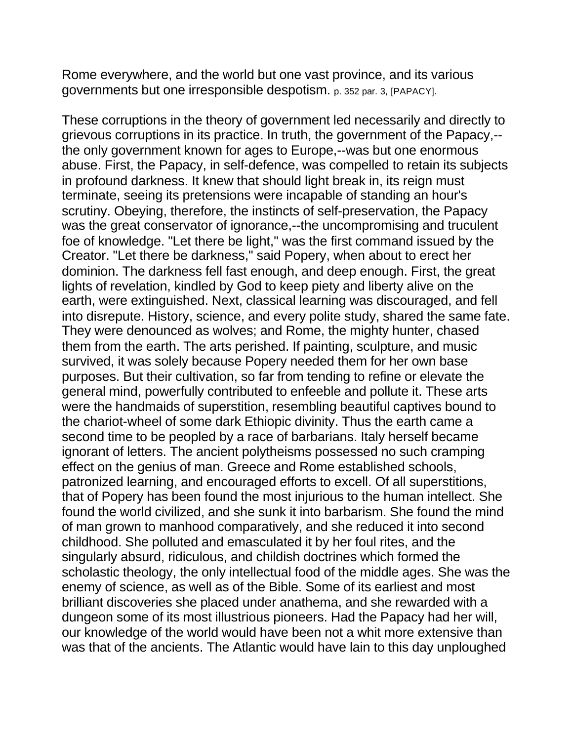Rome everywhere, and the world but one vast province, and its various governments but one irresponsible despotism. p. 352 par. 3, [PAPACY].

These corruptions in the theory of government led necessarily and directly to grievous corruptions in its practice. In truth, the government of the Papacy,- the only government known for ages to Europe,--was but one enormous abuse. First, the Papacy, in self-defence, was compelled to retain its subjects in profound darkness. It knew that should light break in, its reign must terminate, seeing its pretensions were incapable of standing an hour's scrutiny. Obeying, therefore, the instincts of self-preservation, the Papacy was the great conservator of ignorance,--the uncompromising and truculent foe of knowledge. "Let there be light," was the first command issued by the Creator. "Let there be darkness," said Popery, when about to erect her dominion. The darkness fell fast enough, and deep enough. First, the great lights of revelation, kindled by God to keep piety and liberty alive on the earth, were extinguished. Next, classical learning was discouraged, and fell into disrepute. History, science, and every polite study, shared the same fate. They were denounced as wolves; and Rome, the mighty hunter, chased them from the earth. The arts perished. If painting, sculpture, and music survived, it was solely because Popery needed them for her own base purposes. But their cultivation, so far from tending to refine or elevate the general mind, powerfully contributed to enfeeble and pollute it. These arts were the handmaids of superstition, resembling beautiful captives bound to the chariot-wheel of some dark Ethiopic divinity. Thus the earth came a second time to be peopled by a race of barbarians. Italy herself became ignorant of letters. The ancient polytheisms possessed no such cramping effect on the genius of man. Greece and Rome established schools, patronized learning, and encouraged efforts to excell. Of all superstitions, that of Popery has been found the most injurious to the human intellect. She found the world civilized, and she sunk it into barbarism. She found the mind of man grown to manhood comparatively, and she reduced it into second childhood. She polluted and emasculated it by her foul rites, and the singularly absurd, ridiculous, and childish doctrines which formed the scholastic theology, the only intellectual food of the middle ages. She was the enemy of science, as well as of the Bible. Some of its earliest and most brilliant discoveries she placed under anathema, and she rewarded with a dungeon some of its most illustrious pioneers. Had the Papacy had her will, our knowledge of the world would have been not a whit more extensive than was that of the ancients. The Atlantic would have lain to this day unploughed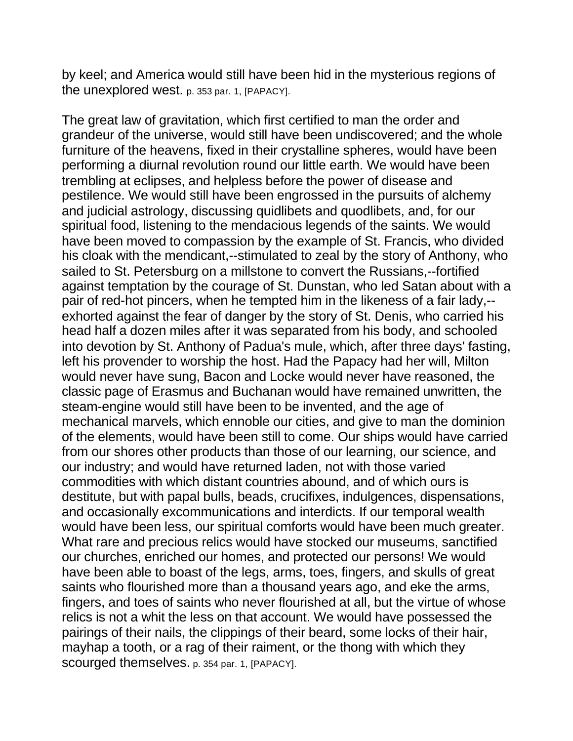by keel; and America would still have been hid in the mysterious regions of the unexplored west. p. 353 par. 1, [PAPACY].

The great law of gravitation, which first certified to man the order and grandeur of the universe, would still have been undiscovered; and the whole furniture of the heavens, fixed in their crystalline spheres, would have been performing a diurnal revolution round our little earth. We would have been trembling at eclipses, and helpless before the power of disease and pestilence. We would still have been engrossed in the pursuits of alchemy and judicial astrology, discussing quidlibets and quodlibets, and, for our spiritual food, listening to the mendacious legends of the saints. We would have been moved to compassion by the example of St. Francis, who divided his cloak with the mendicant,--stimulated to zeal by the story of Anthony, who sailed to St. Petersburg on a millstone to convert the Russians,--fortified against temptation by the courage of St. Dunstan, who led Satan about with a pair of red-hot pincers, when he tempted him in the likeness of a fair lady,- exhorted against the fear of danger by the story of St. Denis, who carried his head half a dozen miles after it was separated from his body, and schooled into devotion by St. Anthony of Padua's mule, which, after three days' fasting, left his provender to worship the host. Had the Papacy had her will, Milton would never have sung, Bacon and Locke would never have reasoned, the classic page of Erasmus and Buchanan would have remained unwritten, the steam-engine would still have been to be invented, and the age of mechanical marvels, which ennoble our cities, and give to man the dominion of the elements, would have been still to come. Our ships would have carried from our shores other products than those of our learning, our science, and our industry; and would have returned laden, not with those varied commodities with which distant countries abound, and of which ours is destitute, but with papal bulls, beads, crucifixes, indulgences, dispensations, and occasionally excommunications and interdicts. If our temporal wealth would have been less, our spiritual comforts would have been much greater. What rare and precious relics would have stocked our museums, sanctified our churches, enriched our homes, and protected our persons! We would have been able to boast of the legs, arms, toes, fingers, and skulls of great saints who flourished more than a thousand years ago, and eke the arms, fingers, and toes of saints who never flourished at all, but the virtue of whose relics is not a whit the less on that account. We would have possessed the pairings of their nails, the clippings of their beard, some locks of their hair, mayhap a tooth, or a rag of their raiment, or the thong with which they scourged themselves. p. 354 par. 1, [PAPACY].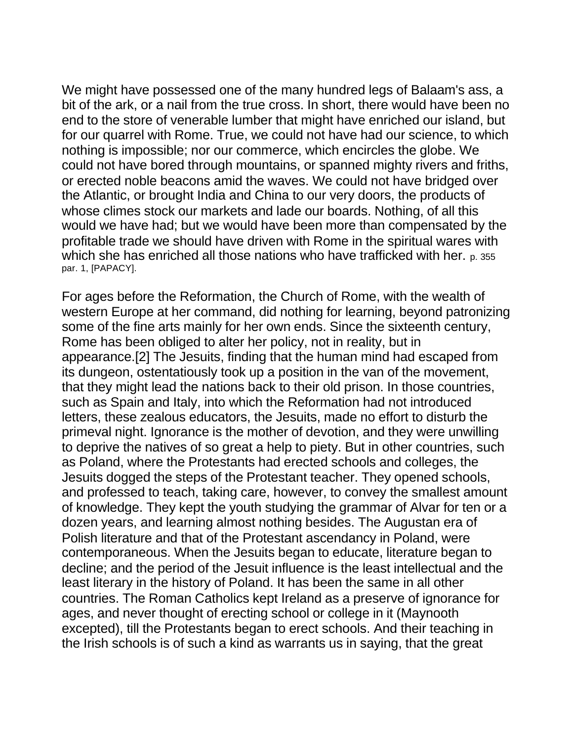We might have possessed one of the many hundred legs of Balaam's ass, a bit of the ark, or a nail from the true cross. In short, there would have been no end to the store of venerable lumber that might have enriched our island, but for our quarrel with Rome. True, we could not have had our science, to which nothing is impossible; nor our commerce, which encircles the globe. We could not have bored through mountains, or spanned mighty rivers and friths, or erected noble beacons amid the waves. We could not have bridged over the Atlantic, or brought India and China to our very doors, the products of whose climes stock our markets and lade our boards. Nothing, of all this would we have had; but we would have been more than compensated by the profitable trade we should have driven with Rome in the spiritual wares with which she has enriched all those nations who have trafficked with her. p. 355 par. 1, [PAPACY].

For ages before the Reformation, the Church of Rome, with the wealth of western Europe at her command, did nothing for learning, beyond patronizing some of the fine arts mainly for her own ends. Since the sixteenth century, Rome has been obliged to alter her policy, not in reality, but in appearance.[2] The Jesuits, finding that the human mind had escaped from its dungeon, ostentatiously took up a position in the van of the movement, that they might lead the nations back to their old prison. In those countries, such as Spain and Italy, into which the Reformation had not introduced letters, these zealous educators, the Jesuits, made no effort to disturb the primeval night. Ignorance is the mother of devotion, and they were unwilling to deprive the natives of so great a help to piety. But in other countries, such as Poland, where the Protestants had erected schools and colleges, the Jesuits dogged the steps of the Protestant teacher. They opened schools, and professed to teach, taking care, however, to convey the smallest amount of knowledge. They kept the youth studying the grammar of Alvar for ten or a dozen years, and learning almost nothing besides. The Augustan era of Polish literature and that of the Protestant ascendancy in Poland, were contemporaneous. When the Jesuits began to educate, literature began to decline; and the period of the Jesuit influence is the least intellectual and the least literary in the history of Poland. It has been the same in all other countries. The Roman Catholics kept Ireland as a preserve of ignorance for ages, and never thought of erecting school or college in it (Maynooth excepted), till the Protestants began to erect schools. And their teaching in the Irish schools is of such a kind as warrants us in saying, that the great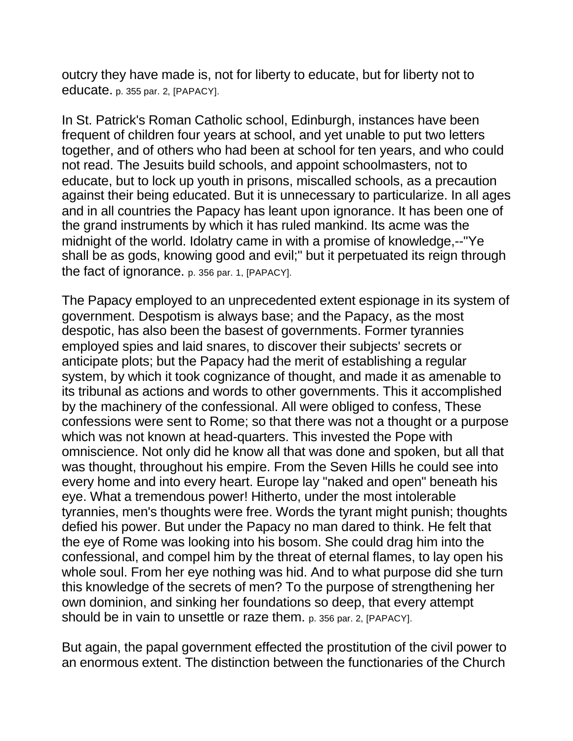outcry they have made is, not for liberty to educate, but for liberty not to educate. p. 355 par. 2, [PAPACY].

In St. Patrick's Roman Catholic school, Edinburgh, instances have been frequent of children four years at school, and yet unable to put two letters together, and of others who had been at school for ten years, and who could not read. The Jesuits build schools, and appoint schoolmasters, not to educate, but to lock up youth in prisons, miscalled schools, as a precaution against their being educated. But it is unnecessary to particularize. In all ages and in all countries the Papacy has leant upon ignorance. It has been one of the grand instruments by which it has ruled mankind. Its acme was the midnight of the world. Idolatry came in with a promise of knowledge,--"Ye shall be as gods, knowing good and evil;" but it perpetuated its reign through the fact of ignorance. p. 356 par. 1, [PAPACY].

The Papacy employed to an unprecedented extent espionage in its system of government. Despotism is always base; and the Papacy, as the most despotic, has also been the basest of governments. Former tyrannies employed spies and laid snares, to discover their subjects' secrets or anticipate plots; but the Papacy had the merit of establishing a regular system, by which it took cognizance of thought, and made it as amenable to its tribunal as actions and words to other governments. This it accomplished by the machinery of the confessional. All were obliged to confess, These confessions were sent to Rome; so that there was not a thought or a purpose which was not known at head-quarters. This invested the Pope with omniscience. Not only did he know all that was done and spoken, but all that was thought, throughout his empire. From the Seven Hills he could see into every home and into every heart. Europe lay "naked and open" beneath his eye. What a tremendous power! Hitherto, under the most intolerable tyrannies, men's thoughts were free. Words the tyrant might punish; thoughts defied his power. But under the Papacy no man dared to think. He felt that the eye of Rome was looking into his bosom. She could drag him into the confessional, and compel him by the threat of eternal flames, to lay open his whole soul. From her eye nothing was hid. And to what purpose did she turn this knowledge of the secrets of men? To the purpose of strengthening her own dominion, and sinking her foundations so deep, that every attempt should be in vain to unsettle or raze them. p. 356 par. 2, [PAPACY].

But again, the papal government effected the prostitution of the civil power to an enormous extent. The distinction between the functionaries of the Church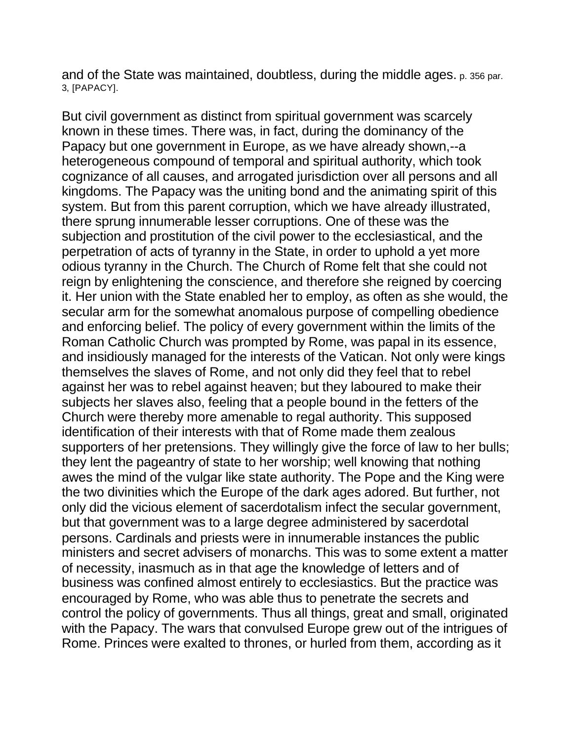and of the State was maintained, doubtless, during the middle ages. p. 356 par. 3, [PAPACY].

But civil government as distinct from spiritual government was scarcely known in these times. There was, in fact, during the dominancy of the Papacy but one government in Europe, as we have already shown,--a heterogeneous compound of temporal and spiritual authority, which took cognizance of all causes, and arrogated jurisdiction over all persons and all kingdoms. The Papacy was the uniting bond and the animating spirit of this system. But from this parent corruption, which we have already illustrated, there sprung innumerable lesser corruptions. One of these was the subjection and prostitution of the civil power to the ecclesiastical, and the perpetration of acts of tyranny in the State, in order to uphold a yet more odious tyranny in the Church. The Church of Rome felt that she could not reign by enlightening the conscience, and therefore she reigned by coercing it. Her union with the State enabled her to employ, as often as she would, the secular arm for the somewhat anomalous purpose of compelling obedience and enforcing belief. The policy of every government within the limits of the Roman Catholic Church was prompted by Rome, was papal in its essence, and insidiously managed for the interests of the Vatican. Not only were kings themselves the slaves of Rome, and not only did they feel that to rebel against her was to rebel against heaven; but they laboured to make their subjects her slaves also, feeling that a people bound in the fetters of the Church were thereby more amenable to regal authority. This supposed identification of their interests with that of Rome made them zealous supporters of her pretensions. They willingly give the force of law to her bulls; they lent the pageantry of state to her worship; well knowing that nothing awes the mind of the vulgar like state authority. The Pope and the King were the two divinities which the Europe of the dark ages adored. But further, not only did the vicious element of sacerdotalism infect the secular government, but that government was to a large degree administered by sacerdotal persons. Cardinals and priests were in innumerable instances the public ministers and secret advisers of monarchs. This was to some extent a matter of necessity, inasmuch as in that age the knowledge of letters and of business was confined almost entirely to ecclesiastics. But the practice was encouraged by Rome, who was able thus to penetrate the secrets and control the policy of governments. Thus all things, great and small, originated with the Papacy. The wars that convulsed Europe grew out of the intrigues of Rome. Princes were exalted to thrones, or hurled from them, according as it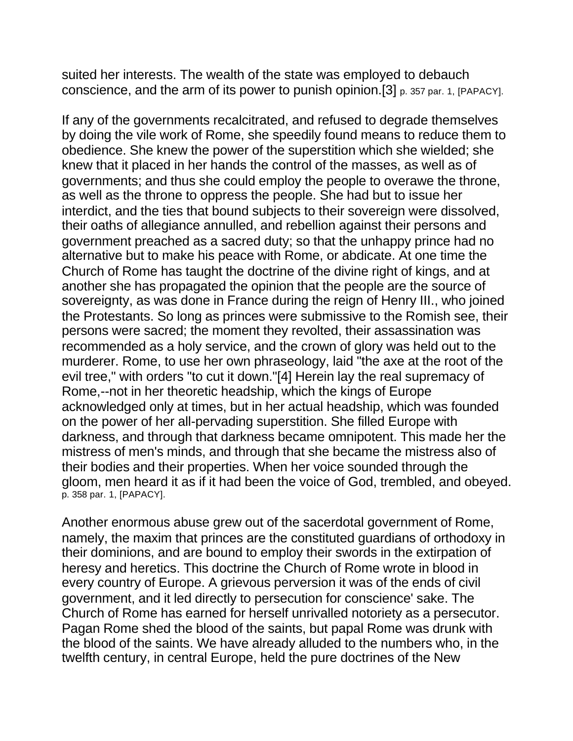suited her interests. The wealth of the state was employed to debauch conscience, and the arm of its power to punish opinion.[3] p. 357 par. 1, [PAPACY].

If any of the governments recalcitrated, and refused to degrade themselves by doing the vile work of Rome, she speedily found means to reduce them to obedience. She knew the power of the superstition which she wielded; she knew that it placed in her hands the control of the masses, as well as of governments; and thus she could employ the people to overawe the throne, as well as the throne to oppress the people. She had but to issue her interdict, and the ties that bound subjects to their sovereign were dissolved, their oaths of allegiance annulled, and rebellion against their persons and government preached as a sacred duty; so that the unhappy prince had no alternative but to make his peace with Rome, or abdicate. At one time the Church of Rome has taught the doctrine of the divine right of kings, and at another she has propagated the opinion that the people are the source of sovereignty, as was done in France during the reign of Henry III., who joined the Protestants. So long as princes were submissive to the Romish see, their persons were sacred; the moment they revolted, their assassination was recommended as a holy service, and the crown of glory was held out to the murderer. Rome, to use her own phraseology, laid "the axe at the root of the evil tree," with orders "to cut it down."[4] Herein lay the real supremacy of Rome,--not in her theoretic headship, which the kings of Europe acknowledged only at times, but in her actual headship, which was founded on the power of her all-pervading superstition. She filled Europe with darkness, and through that darkness became omnipotent. This made her the mistress of men's minds, and through that she became the mistress also of their bodies and their properties. When her voice sounded through the gloom, men heard it as if it had been the voice of God, trembled, and obeyed. p. 358 par. 1, [PAPACY].

Another enormous abuse grew out of the sacerdotal government of Rome, namely, the maxim that princes are the constituted guardians of orthodoxy in their dominions, and are bound to employ their swords in the extirpation of heresy and heretics. This doctrine the Church of Rome wrote in blood in every country of Europe. A grievous perversion it was of the ends of civil government, and it led directly to persecution for conscience' sake. The Church of Rome has earned for herself unrivalled notoriety as a persecutor. Pagan Rome shed the blood of the saints, but papal Rome was drunk with the blood of the saints. We have already alluded to the numbers who, in the twelfth century, in central Europe, held the pure doctrines of the New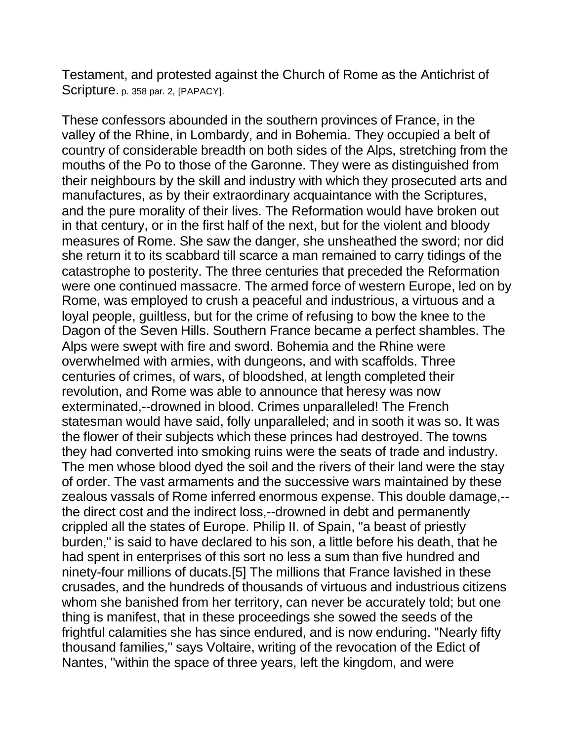Testament, and protested against the Church of Rome as the Antichrist of Scripture. p. 358 par. 2, [PAPACY].

These confessors abounded in the southern provinces of France, in the valley of the Rhine, in Lombardy, and in Bohemia. They occupied a belt of country of considerable breadth on both sides of the Alps, stretching from the mouths of the Po to those of the Garonne. They were as distinguished from their neighbours by the skill and industry with which they prosecuted arts and manufactures, as by their extraordinary acquaintance with the Scriptures, and the pure morality of their lives. The Reformation would have broken out in that century, or in the first half of the next, but for the violent and bloody measures of Rome. She saw the danger, she unsheathed the sword; nor did she return it to its scabbard till scarce a man remained to carry tidings of the catastrophe to posterity. The three centuries that preceded the Reformation were one continued massacre. The armed force of western Europe, led on by Rome, was employed to crush a peaceful and industrious, a virtuous and a loyal people, guiltless, but for the crime of refusing to bow the knee to the Dagon of the Seven Hills. Southern France became a perfect shambles. The Alps were swept with fire and sword. Bohemia and the Rhine were overwhelmed with armies, with dungeons, and with scaffolds. Three centuries of crimes, of wars, of bloodshed, at length completed their revolution, and Rome was able to announce that heresy was now exterminated,--drowned in blood. Crimes unparalleled! The French statesman would have said, folly unparalleled; and in sooth it was so. It was the flower of their subjects which these princes had destroyed. The towns they had converted into smoking ruins were the seats of trade and industry. The men whose blood dyed the soil and the rivers of their land were the stay of order. The vast armaments and the successive wars maintained by these zealous vassals of Rome inferred enormous expense. This double damage,- the direct cost and the indirect loss,--drowned in debt and permanently crippled all the states of Europe. Philip II. of Spain, "a beast of priestly burden," is said to have declared to his son, a little before his death, that he had spent in enterprises of this sort no less a sum than five hundred and ninety-four millions of ducats.[5] The millions that France lavished in these crusades, and the hundreds of thousands of virtuous and industrious citizens whom she banished from her territory, can never be accurately told; but one thing is manifest, that in these proceedings she sowed the seeds of the frightful calamities she has since endured, and is now enduring. "Nearly fifty thousand families," says Voltaire, writing of the revocation of the Edict of Nantes, "within the space of three years, left the kingdom, and were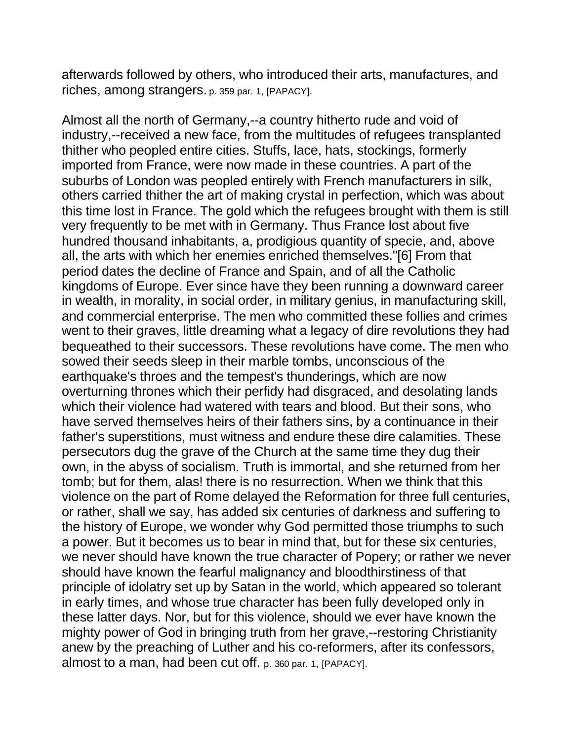afterwards followed by others, who introduced their arts, manufactures, and riches, among strangers. p. 359 par. 1, [PAPACY].

Almost all the north of Germany,--a country hitherto rude and void of industry,--received a new face, from the multitudes of refugees transplanted thither who peopled entire cities. Stuffs, lace, hats, stockings, formerly imported from France, were now made in these countries. A part of the suburbs of London was peopled entirely with French manufacturers in silk, others carried thither the art of making crystal in perfection, which was about this time lost in France. The gold which the refugees brought with them is still very frequently to be met with in Germany. Thus France lost about five hundred thousand inhabitants, a, prodigious quantity of specie, and, above all, the arts with which her enemies enriched themselves."[6] From that period dates the decline of France and Spain, and of all the Catholic kingdoms of Europe. Ever since have they been running a downward career in wealth, in morality, in social order, in military genius, in manufacturing skill, and commercial enterprise. The men who committed these follies and crimes went to their graves, little dreaming what a legacy of dire revolutions they had bequeathed to their successors. These revolutions have come. The men who sowed their seeds sleep in their marble tombs, unconscious of the earthquake's throes and the tempest's thunderings, which are now overturning thrones which their perfidy had disgraced, and desolating lands which their violence had watered with tears and blood. But their sons, who have served themselves heirs of their fathers sins, by a continuance in their father's superstitions, must witness and endure these dire calamities. These persecutors dug the grave of the Church at the same time they dug their own, in the abyss of socialism. Truth is immortal, and she returned from her tomb; but for them, alas! there is no resurrection. When we think that this violence on the part of Rome delayed the Reformation for three full centuries, or rather, shall we say, has added six centuries of darkness and suffering to the history of Europe, we wonder why God permitted those triumphs to such a power. But it becomes us to bear in mind that, but for these six centuries, we never should have known the true character of Popery; or rather we never should have known the fearful malignancy and bloodthirstiness of that principle of idolatry set up by Satan in the world, which appeared so tolerant in early times, and whose true character has been fully developed only in these latter days. Nor, but for this violence, should we ever have known the mighty power of God in bringing truth from her grave,--restoring Christianity anew by the preaching of Luther and his co-reformers, after its confessors, almost to a man, had been cut off. p. 360 par. 1, [PAPACY].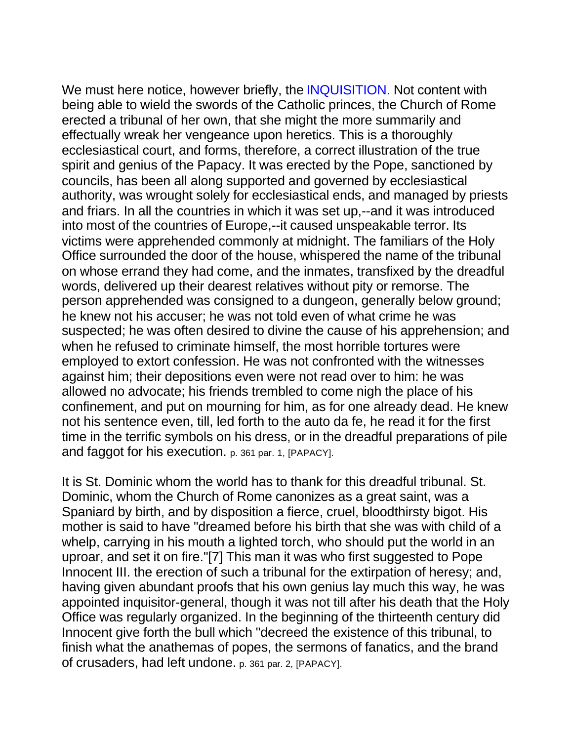We must here notice, however briefly, the INQUISITION. Not content with being able to wield the swords of the Catholic princes, the Church of Rome erected a tribunal of her own, that she might the more summarily and effectually wreak her vengeance upon heretics. This is a thoroughly ecclesiastical court, and forms, therefore, a correct illustration of the true spirit and genius of the Papacy. It was erected by the Pope, sanctioned by councils, has been all along supported and governed by ecclesiastical authority, was wrought solely for ecclesiastical ends, and managed by priests and friars. In all the countries in which it was set up,--and it was introduced into most of the countries of Europe,--it caused unspeakable terror. Its victims were apprehended commonly at midnight. The familiars of the Holy Office surrounded the door of the house, whispered the name of the tribunal on whose errand they had come, and the inmates, transfixed by the dreadful words, delivered up their dearest relatives without pity or remorse. The person apprehended was consigned to a dungeon, generally below ground; he knew not his accuser; he was not told even of what crime he was suspected; he was often desired to divine the cause of his apprehension; and when he refused to criminate himself, the most horrible tortures were employed to extort confession. He was not confronted with the witnesses against him; their depositions even were not read over to him: he was allowed no advocate; his friends trembled to come nigh the place of his confinement, and put on mourning for him, as for one already dead. He knew not his sentence even, till, led forth to the auto da fe, he read it for the first time in the terrific symbols on his dress, or in the dreadful preparations of pile and faggot for his execution. p. 361 par. 1, [PAPACY].

It is St. Dominic whom the world has to thank for this dreadful tribunal. St. Dominic, whom the Church of Rome canonizes as a great saint, was a Spaniard by birth, and by disposition a fierce, cruel, bloodthirsty bigot. His mother is said to have "dreamed before his birth that she was with child of a whelp, carrying in his mouth a lighted torch, who should put the world in an uproar, and set it on fire."[7] This man it was who first suggested to Pope Innocent III. the erection of such a tribunal for the extirpation of heresy; and, having given abundant proofs that his own genius lay much this way, he was appointed inquisitor-general, though it was not till after his death that the Holy Office was regularly organized. In the beginning of the thirteenth century did Innocent give forth the bull which "decreed the existence of this tribunal, to finish what the anathemas of popes, the sermons of fanatics, and the brand of crusaders, had left undone. p. 361 par. 2, [PAPACY].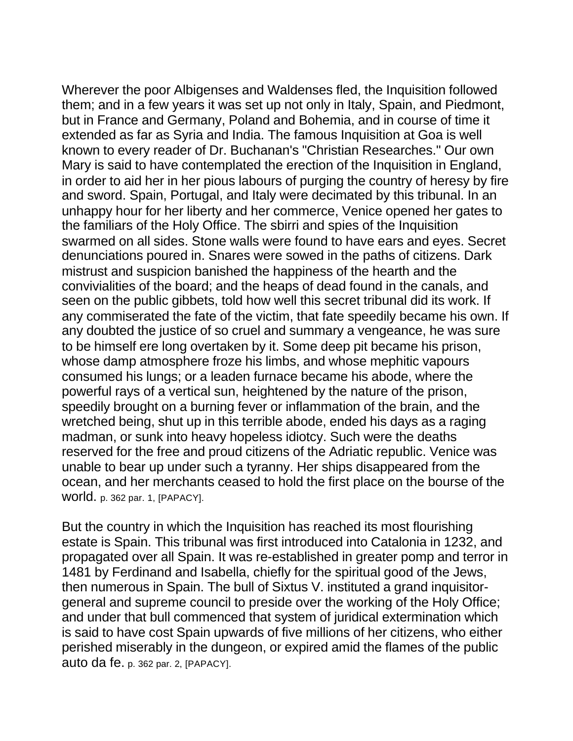Wherever the poor Albigenses and Waldenses fled, the Inquisition followed them; and in a few years it was set up not only in Italy, Spain, and Piedmont, but in France and Germany, Poland and Bohemia, and in course of time it extended as far as Syria and India. The famous Inquisition at Goa is well known to every reader of Dr. Buchanan's "Christian Researches." Our own Mary is said to have contemplated the erection of the Inquisition in England, in order to aid her in her pious labours of purging the country of heresy by fire and sword. Spain, Portugal, and Italy were decimated by this tribunal. In an unhappy hour for her liberty and her commerce, Venice opened her gates to the familiars of the Holy Office. The sbirri and spies of the Inquisition swarmed on all sides. Stone walls were found to have ears and eyes. Secret denunciations poured in. Snares were sowed in the paths of citizens. Dark mistrust and suspicion banished the happiness of the hearth and the convivialities of the board; and the heaps of dead found in the canals, and seen on the public gibbets, told how well this secret tribunal did its work. If any commiserated the fate of the victim, that fate speedily became his own. If any doubted the justice of so cruel and summary a vengeance, he was sure to be himself ere long overtaken by it. Some deep pit became his prison, whose damp atmosphere froze his limbs, and whose mephitic vapours consumed his lungs; or a leaden furnace became his abode, where the powerful rays of a vertical sun, heightened by the nature of the prison, speedily brought on a burning fever or inflammation of the brain, and the wretched being, shut up in this terrible abode, ended his days as a raging madman, or sunk into heavy hopeless idiotcy. Such were the deaths reserved for the free and proud citizens of the Adriatic republic. Venice was unable to bear up under such a tyranny. Her ships disappeared from the ocean, and her merchants ceased to hold the first place on the bourse of the world. p. 362 par. 1, [PAPACY].

But the country in which the Inquisition has reached its most flourishing estate is Spain. This tribunal was first introduced into Catalonia in 1232, and propagated over all Spain. It was re-established in greater pomp and terror in 1481 by Ferdinand and Isabella, chiefly for the spiritual good of the Jews, then numerous in Spain. The bull of Sixtus V. instituted a grand inquisitorgeneral and supreme council to preside over the working of the Holy Office; and under that bull commenced that system of juridical extermination which is said to have cost Spain upwards of five millions of her citizens, who either perished miserably in the dungeon, or expired amid the flames of the public auto da fe. p. 362 par. 2, [PAPACY].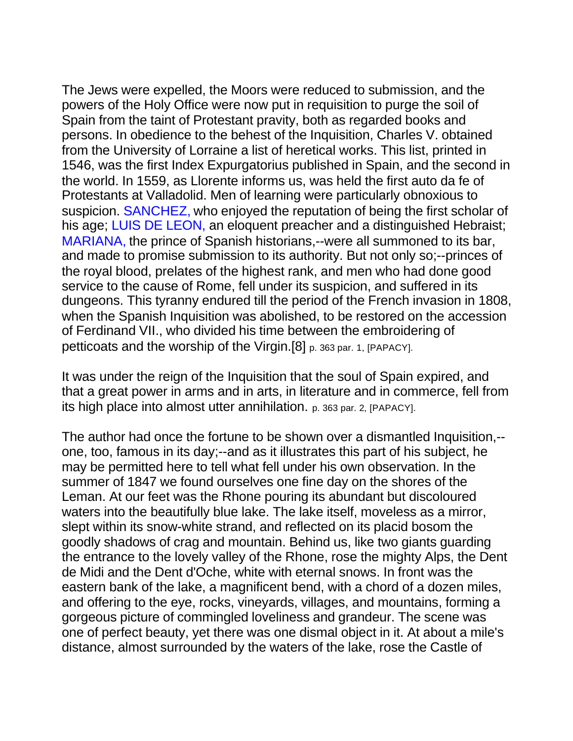The Jews were expelled, the Moors were reduced to submission, and the powers of the Holy Office were now put in requisition to purge the soil of Spain from the taint of Protestant pravity, both as regarded books and persons. In obedience to the behest of the Inquisition, Charles V. obtained from the University of Lorraine a list of heretical works. This list, printed in 1546, was the first Index Expurgatorius published in Spain, and the second in the world. In 1559, as Llorente informs us, was held the first auto da fe of Protestants at Valladolid. Men of learning were particularly obnoxious to suspicion. SANCHEZ, who enjoved the reputation of being the first scholar of his age; LUIS DE LEON, an eloquent preacher and a distinguished Hebraist; MARIANA, the prince of Spanish historians,--were all summoned to its bar, and made to promise submission to its authority. But not only so;--princes of the royal blood, prelates of the highest rank, and men who had done good service to the cause of Rome, fell under its suspicion, and suffered in its dungeons. This tyranny endured till the period of the French invasion in 1808, when the Spanish Inquisition was abolished, to be restored on the accession of Ferdinand VII., who divided his time between the embroidering of petticoats and the worship of the Virgin.[8] p. 363 par. 1, [PAPACY].

It was under the reign of the Inquisition that the soul of Spain expired, and that a great power in arms and in arts, in literature and in commerce, fell from its high place into almost utter annihilation. p. 363 par. 2, [PAPACY].

The author had once the fortune to be shown over a dismantled Inquisition,- one, too, famous in its day;--and as it illustrates this part of his subject, he may be permitted here to tell what fell under his own observation. In the summer of 1847 we found ourselves one fine day on the shores of the Leman. At our feet was the Rhone pouring its abundant but discoloured waters into the beautifully blue lake. The lake itself, moveless as a mirror, slept within its snow-white strand, and reflected on its placid bosom the goodly shadows of crag and mountain. Behind us, like two giants guarding the entrance to the lovely valley of the Rhone, rose the mighty Alps, the Dent de Midi and the Dent d'Oche, white with eternal snows. In front was the eastern bank of the lake, a magnificent bend, with a chord of a dozen miles, and offering to the eye, rocks, vineyards, villages, and mountains, forming a gorgeous picture of commingled loveliness and grandeur. The scene was one of perfect beauty, yet there was one dismal object in it. At about a mile's distance, almost surrounded by the waters of the lake, rose the Castle of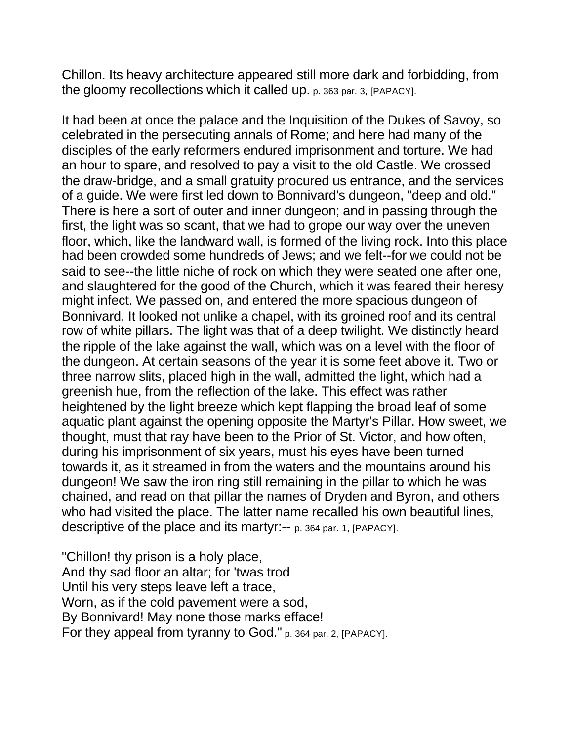Chillon. Its heavy architecture appeared still more dark and forbidding, from the gloomy recollections which it called up. p. 363 par. 3, [PAPACY].

It had been at once the palace and the Inquisition of the Dukes of Savoy, so celebrated in the persecuting annals of Rome; and here had many of the disciples of the early reformers endured imprisonment and torture. We had an hour to spare, and resolved to pay a visit to the old Castle. We crossed the draw-bridge, and a small gratuity procured us entrance, and the services of a guide. We were first led down to Bonnivard's dungeon, "deep and old." There is here a sort of outer and inner dungeon; and in passing through the first, the light was so scant, that we had to grope our way over the uneven floor, which, like the landward wall, is formed of the living rock. Into this place had been crowded some hundreds of Jews; and we felt--for we could not be said to see--the little niche of rock on which they were seated one after one, and slaughtered for the good of the Church, which it was feared their heresy might infect. We passed on, and entered the more spacious dungeon of Bonnivard. It looked not unlike a chapel, with its groined roof and its central row of white pillars. The light was that of a deep twilight. We distinctly heard the ripple of the lake against the wall, which was on a level with the floor of the dungeon. At certain seasons of the year it is some feet above it. Two or three narrow slits, placed high in the wall, admitted the light, which had a greenish hue, from the reflection of the lake. This effect was rather heightened by the light breeze which kept flapping the broad leaf of some aquatic plant against the opening opposite the Martyr's Pillar. How sweet, we thought, must that ray have been to the Prior of St. Victor, and how often, during his imprisonment of six years, must his eyes have been turned towards it, as it streamed in from the waters and the mountains around his dungeon! We saw the iron ring still remaining in the pillar to which he was chained, and read on that pillar the names of Dryden and Byron, and others who had visited the place. The latter name recalled his own beautiful lines, descriptive of the place and its martyr:-- p. 364 par. 1, [PAPACY].

"Chillon! thy prison is a holy place, And thy sad floor an altar; for 'twas trod Until his very steps leave left a trace, Worn, as if the cold pavement were a sod, By Bonnivard! May none those marks efface! For they appeal from tyranny to God." p. 364 par. 2, [PAPACY].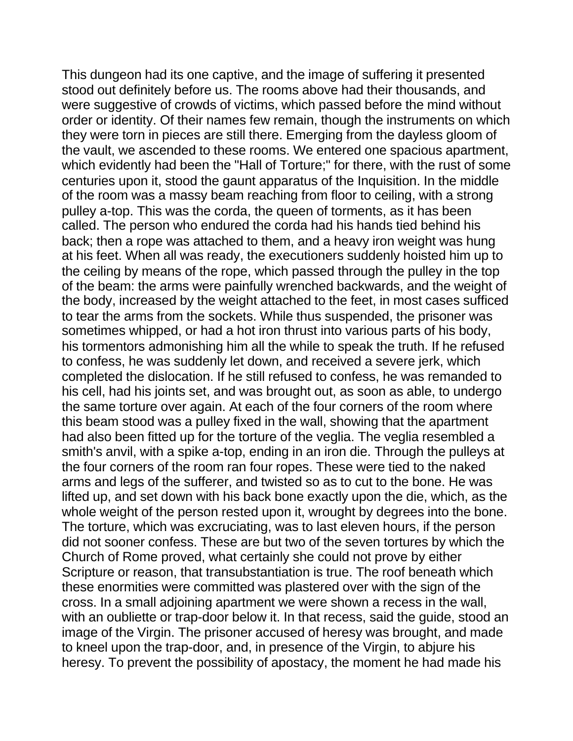This dungeon had its one captive, and the image of suffering it presented stood out definitely before us. The rooms above had their thousands, and were suggestive of crowds of victims, which passed before the mind without order or identity. Of their names few remain, though the instruments on which they were torn in pieces are still there. Emerging from the dayless gloom of the vault, we ascended to these rooms. We entered one spacious apartment, which evidently had been the "Hall of Torture;" for there, with the rust of some centuries upon it, stood the gaunt apparatus of the Inquisition. In the middle of the room was a massy beam reaching from floor to ceiling, with a strong pulley a-top. This was the corda, the queen of torments, as it has been called. The person who endured the corda had his hands tied behind his back; then a rope was attached to them, and a heavy iron weight was hung at his feet. When all was ready, the executioners suddenly hoisted him up to the ceiling by means of the rope, which passed through the pulley in the top of the beam: the arms were painfully wrenched backwards, and the weight of the body, increased by the weight attached to the feet, in most cases sufficed to tear the arms from the sockets. While thus suspended, the prisoner was sometimes whipped, or had a hot iron thrust into various parts of his body, his tormentors admonishing him all the while to speak the truth. If he refused to confess, he was suddenly let down, and received a severe jerk, which completed the dislocation. If he still refused to confess, he was remanded to his cell, had his joints set, and was brought out, as soon as able, to undergo the same torture over again. At each of the four corners of the room where this beam stood was a pulley fixed in the wall, showing that the apartment had also been fitted up for the torture of the veglia. The veglia resembled a smith's anvil, with a spike a-top, ending in an iron die. Through the pulleys at the four corners of the room ran four ropes. These were tied to the naked arms and legs of the sufferer, and twisted so as to cut to the bone. He was lifted up, and set down with his back bone exactly upon the die, which, as the whole weight of the person rested upon it, wrought by degrees into the bone. The torture, which was excruciating, was to last eleven hours, if the person did not sooner confess. These are but two of the seven tortures by which the Church of Rome proved, what certainly she could not prove by either Scripture or reason, that transubstantiation is true. The roof beneath which these enormities were committed was plastered over with the sign of the cross. In a small adjoining apartment we were shown a recess in the wall, with an oubliette or trap-door below it. In that recess, said the guide, stood an image of the Virgin. The prisoner accused of heresy was brought, and made to kneel upon the trap-door, and, in presence of the Virgin, to abjure his heresy. To prevent the possibility of apostacy, the moment he had made his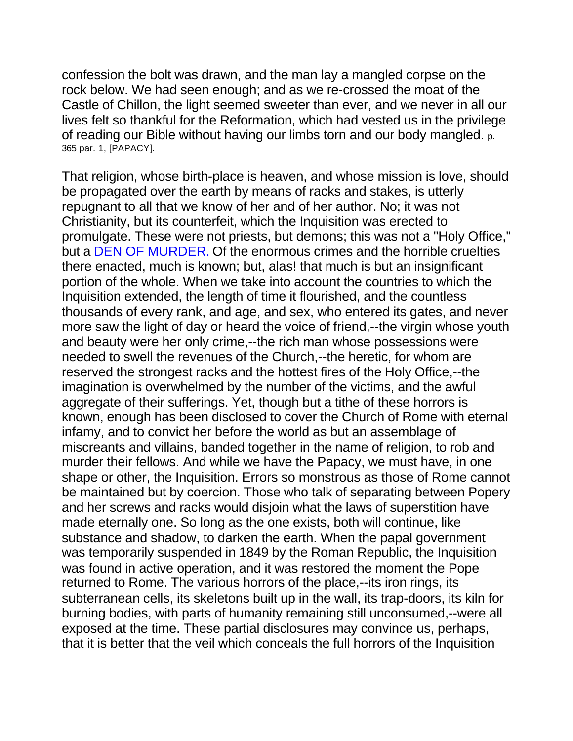confession the bolt was drawn, and the man lay a mangled corpse on the rock below. We had seen enough; and as we re-crossed the moat of the Castle of Chillon, the light seemed sweeter than ever, and we never in all our lives felt so thankful for the Reformation, which had vested us in the privilege of reading our Bible without having our limbs torn and our body mangled. p. 365 par. 1, [PAPACY].

That religion, whose birth-place is heaven, and whose mission is love, should be propagated over the earth by means of racks and stakes, is utterly repugnant to all that we know of her and of her author. No; it was not Christianity, but its counterfeit, which the Inquisition was erected to promulgate. These were not priests, but demons; this was not a "Holy Office," but a DEN OF MURDER. Of the enormous crimes and the horrible cruelties there enacted, much is known; but, alas! that much is but an insignificant portion of the whole. When we take into account the countries to which the Inquisition extended, the length of time it flourished, and the countless thousands of every rank, and age, and sex, who entered its gates, and never more saw the light of day or heard the voice of friend,--the virgin whose youth and beauty were her only crime,--the rich man whose possessions were needed to swell the revenues of the Church,--the heretic, for whom are reserved the strongest racks and the hottest fires of the Holy Office,--the imagination is overwhelmed by the number of the victims, and the awful aggregate of their sufferings. Yet, though but a tithe of these horrors is known, enough has been disclosed to cover the Church of Rome with eternal infamy, and to convict her before the world as but an assemblage of miscreants and villains, banded together in the name of religion, to rob and murder their fellows. And while we have the Papacy, we must have, in one shape or other, the Inquisition. Errors so monstrous as those of Rome cannot be maintained but by coercion. Those who talk of separating between Popery and her screws and racks would disjoin what the laws of superstition have made eternally one. So long as the one exists, both will continue, like substance and shadow, to darken the earth. When the papal government was temporarily suspended in 1849 by the Roman Republic, the Inquisition was found in active operation, and it was restored the moment the Pope returned to Rome. The various horrors of the place,--its iron rings, its subterranean cells, its skeletons built up in the wall, its trap-doors, its kiln for burning bodies, with parts of humanity remaining still unconsumed,--were all exposed at the time. These partial disclosures may convince us, perhaps, that it is better that the veil which conceals the full horrors of the Inquisition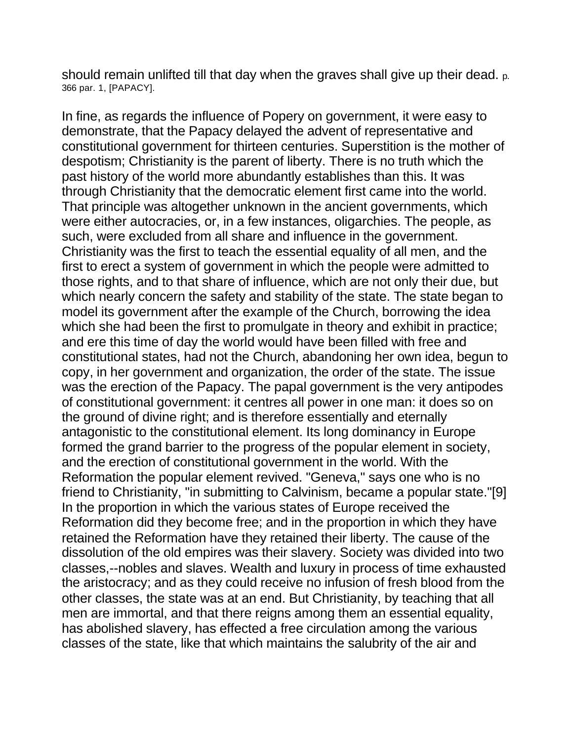should remain unlifted till that day when the graves shall give up their dead. p. 366 par. 1, [PAPACY].

In fine, as regards the influence of Popery on government, it were easy to demonstrate, that the Papacy delayed the advent of representative and constitutional government for thirteen centuries. Superstition is the mother of despotism; Christianity is the parent of liberty. There is no truth which the past history of the world more abundantly establishes than this. It was through Christianity that the democratic element first came into the world. That principle was altogether unknown in the ancient governments, which were either autocracies, or, in a few instances, oligarchies. The people, as such, were excluded from all share and influence in the government. Christianity was the first to teach the essential equality of all men, and the first to erect a system of government in which the people were admitted to those rights, and to that share of influence, which are not only their due, but which nearly concern the safety and stability of the state. The state began to model its government after the example of the Church, borrowing the idea which she had been the first to promulgate in theory and exhibit in practice; and ere this time of day the world would have been filled with free and constitutional states, had not the Church, abandoning her own idea, begun to copy, in her government and organization, the order of the state. The issue was the erection of the Papacy. The papal government is the very antipodes of constitutional government: it centres all power in one man: it does so on the ground of divine right; and is therefore essentially and eternally antagonistic to the constitutional element. Its long dominancy in Europe formed the grand barrier to the progress of the popular element in society, and the erection of constitutional government in the world. With the Reformation the popular element revived. "Geneva," says one who is no friend to Christianity, "in submitting to Calvinism, became a popular state."[9] In the proportion in which the various states of Europe received the Reformation did they become free; and in the proportion in which they have retained the Reformation have they retained their liberty. The cause of the dissolution of the old empires was their slavery. Society was divided into two classes,--nobles and slaves. Wealth and luxury in process of time exhausted the aristocracy; and as they could receive no infusion of fresh blood from the other classes, the state was at an end. But Christianity, by teaching that all men are immortal, and that there reigns among them an essential equality, has abolished slavery, has effected a free circulation among the various classes of the state, like that which maintains the salubrity of the air and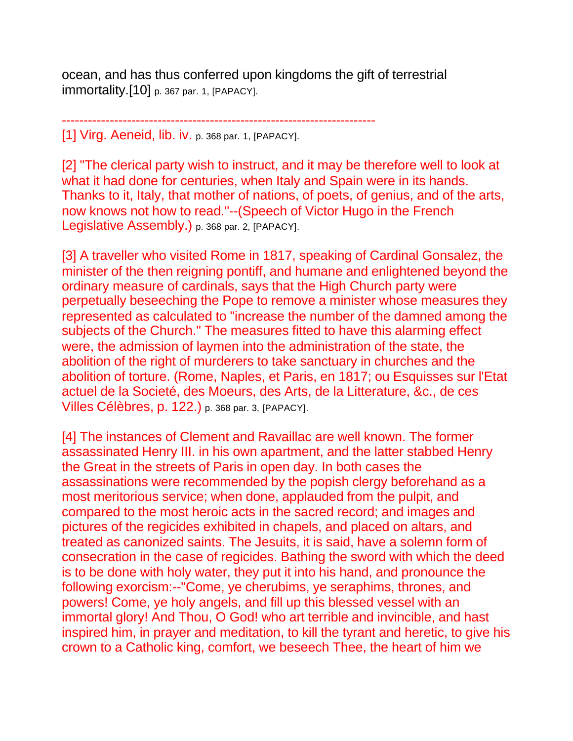ocean, and has thus conferred upon kingdoms the gift of terrestrial immortality.[10] p. 367 par. 1, [PAPACY].

------------------------------------------------------------------------

[1] Virg. Aeneid, lib. iv. p. 368 par. 1, [PAPACY].

[2] "The clerical party wish to instruct, and it may be therefore well to look at what it had done for centuries, when Italy and Spain were in its hands. Thanks to it, Italy, that mother of nations, of poets, of genius, and of the arts, now knows not how to read."--(Speech of Victor Hugo in the French Legislative Assembly.) p. 368 par. 2, [PAPACY].

[3] A traveller who visited Rome in 1817, speaking of Cardinal Gonsalez, the minister of the then reigning pontiff, and humane and enlightened beyond the ordinary measure of cardinals, says that the High Church party were perpetually beseeching the Pope to remove a minister whose measures they represented as calculated to "increase the number of the damned among the subjects of the Church." The measures fitted to have this alarming effect were, the admission of laymen into the administration of the state, the abolition of the right of murderers to take sanctuary in churches and the abolition of torture. (Rome, Naples, et Paris, en 1817; ou Esquisses sur l'Etat actuel de la Societé, des Moeurs, des Arts, de la Litterature, &c., de ces Villes Célèbres, p. 122.) p. 368 par. 3, [PAPACY].

[4] The instances of Clement and Ravaillac are well known. The former assassinated Henry III. in his own apartment, and the latter stabbed Henry the Great in the streets of Paris in open day. In both cases the assassinations were recommended by the popish clergy beforehand as a most meritorious service; when done, applauded from the pulpit, and compared to the most heroic acts in the sacred record; and images and pictures of the regicides exhibited in chapels, and placed on altars, and treated as canonized saints. The Jesuits, it is said, have a solemn form of consecration in the case of regicides. Bathing the sword with which the deed is to be done with holy water, they put it into his hand, and pronounce the following exorcism:--"Come, ye cherubims, ye seraphims, thrones, and powers! Come, ye holy angels, and fill up this blessed vessel with an immortal glory! And Thou, O God! who art terrible and invincible, and hast inspired him, in prayer and meditation, to kill the tyrant and heretic, to give his crown to a Catholic king, comfort, we beseech Thee, the heart of him we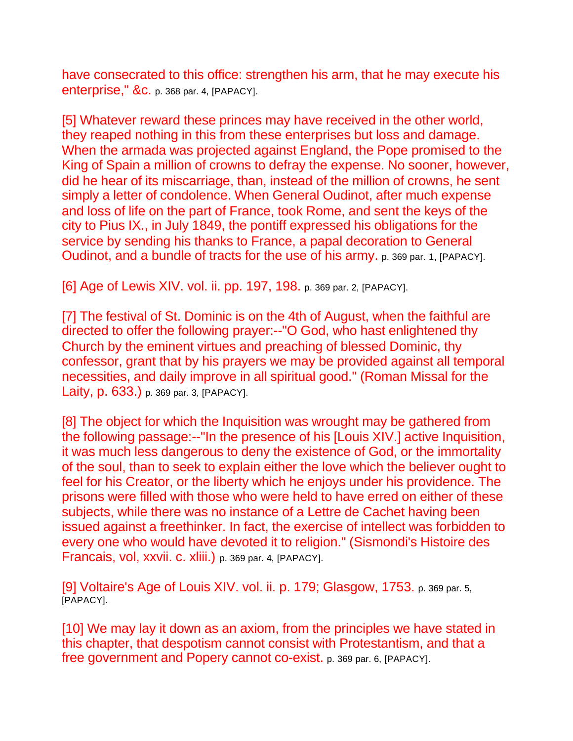have consecrated to this office: strengthen his arm, that he may execute his enterprise," &c. p. 368 par. 4, [PAPACY].

[5] Whatever reward these princes may have received in the other world, they reaped nothing in this from these enterprises but loss and damage. When the armada was projected against England, the Pope promised to the King of Spain a million of crowns to defray the expense. No sooner, however, did he hear of its miscarriage, than, instead of the million of crowns, he sent simply a letter of condolence. When General Oudinot, after much expense and loss of life on the part of France, took Rome, and sent the keys of the city to Pius IX., in July 1849, the pontiff expressed his obligations for the service by sending his thanks to France, a papal decoration to General Oudinot, and a bundle of tracts for the use of his army. p. 369 par. 1, [PAPACY].

[6] Age of Lewis XIV. vol. ii. pp. 197, 198. p. 369 par. 2, [PAPACY].

[7] The festival of St. Dominic is on the 4th of August, when the faithful are directed to offer the following prayer:--"O God, who hast enlightened thy Church by the eminent virtues and preaching of blessed Dominic, thy confessor, grant that by his prayers we may be provided against all temporal necessities, and daily improve in all spiritual good." (Roman Missal for the Laity, p. 633.) p. 369 par. 3, [PAPACY].

[8] The object for which the Inquisition was wrought may be gathered from the following passage:--"In the presence of his [Louis XIV.] active Inquisition, it was much less dangerous to deny the existence of God, or the immortality of the soul, than to seek to explain either the love which the believer ought to feel for his Creator, or the liberty which he enjoys under his providence. The prisons were filled with those who were held to have erred on either of these subjects, while there was no instance of a Lettre de Cachet having been issued against a freethinker. In fact, the exercise of intellect was forbidden to every one who would have devoted it to religion." (Sismondi's Histoire des Francais, vol, xxvii. c. xliii.) p. 369 par. 4, [PAPACY].

[9] Voltaire's Age of Louis XIV. vol. ii. p. 179; Glasgow, 1753. p. 369 par. 5, [PAPACY].

[10] We may lay it down as an axiom, from the principles we have stated in this chapter, that despotism cannot consist with Protestantism, and that a free government and Popery cannot co-exist. p. 369 par. 6, [PAPACY].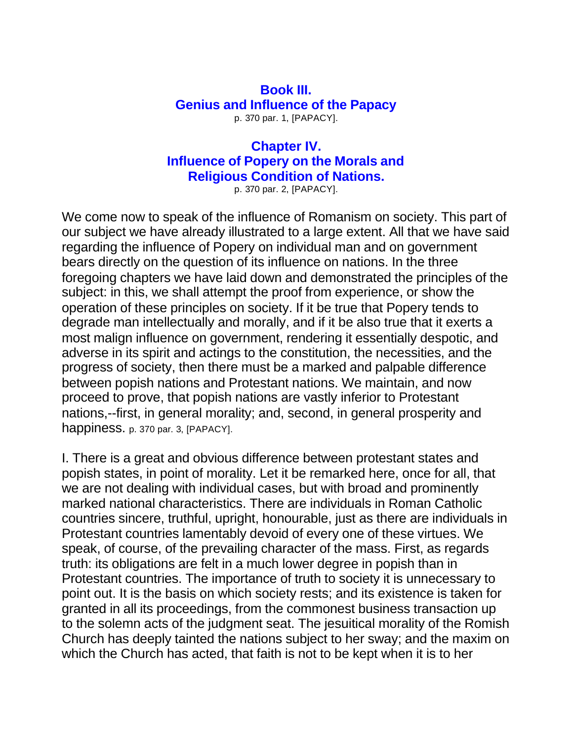## **Book III. Genius and Influence of the Papacy** p. 370 par. 1, [PAPACY].

## **Chapter IV. Influence of Popery on the Morals and Religious Condition of Nations.**

p. 370 par. 2, [PAPACY].

We come now to speak of the influence of Romanism on society. This part of our subject we have already illustrated to a large extent. All that we have said regarding the influence of Popery on individual man and on government bears directly on the question of its influence on nations. In the three foregoing chapters we have laid down and demonstrated the principles of the subject: in this, we shall attempt the proof from experience, or show the operation of these principles on society. If it be true that Popery tends to degrade man intellectually and morally, and if it be also true that it exerts a most malign influence on government, rendering it essentially despotic, and adverse in its spirit and actings to the constitution, the necessities, and the progress of society, then there must be a marked and palpable difference between popish nations and Protestant nations. We maintain, and now proceed to prove, that popish nations are vastly inferior to Protestant nations,--first, in general morality; and, second, in general prosperity and happiness. p. 370 par. 3, [PAPACY].

I. There is a great and obvious difference between protestant states and popish states, in point of morality. Let it be remarked here, once for all, that we are not dealing with individual cases, but with broad and prominently marked national characteristics. There are individuals in Roman Catholic countries sincere, truthful, upright, honourable, just as there are individuals in Protestant countries lamentably devoid of every one of these virtues. We speak, of course, of the prevailing character of the mass. First, as regards truth: its obligations are felt in a much lower degree in popish than in Protestant countries. The importance of truth to society it is unnecessary to point out. It is the basis on which society rests; and its existence is taken for granted in all its proceedings, from the commonest business transaction up to the solemn acts of the judgment seat. The jesuitical morality of the Romish Church has deeply tainted the nations subject to her sway; and the maxim on which the Church has acted, that faith is not to be kept when it is to her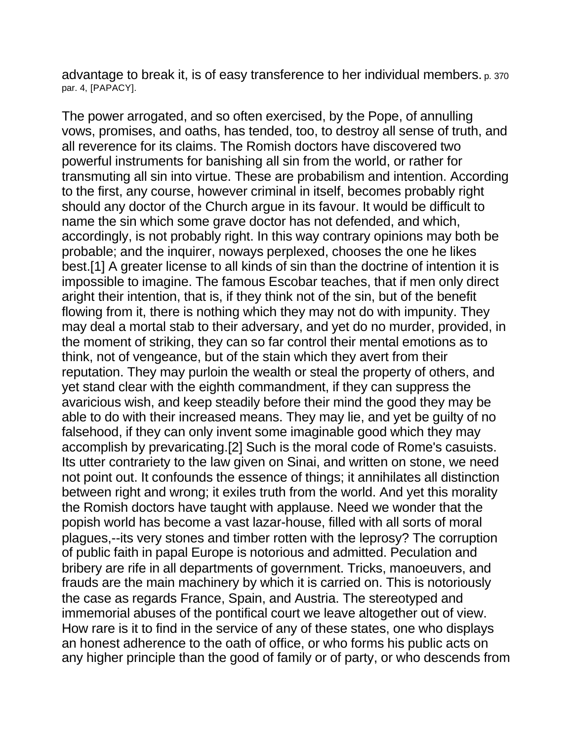advantage to break it, is of easy transference to her individual members. p. 370 par. 4, [PAPACY].

The power arrogated, and so often exercised, by the Pope, of annulling vows, promises, and oaths, has tended, too, to destroy all sense of truth, and all reverence for its claims. The Romish doctors have discovered two powerful instruments for banishing all sin from the world, or rather for transmuting all sin into virtue. These are probabilism and intention. According to the first, any course, however criminal in itself, becomes probably right should any doctor of the Church argue in its favour. It would be difficult to name the sin which some grave doctor has not defended, and which, accordingly, is not probably right. In this way contrary opinions may both be probable; and the inquirer, noways perplexed, chooses the one he likes best.[1] A greater license to all kinds of sin than the doctrine of intention it is impossible to imagine. The famous Escobar teaches, that if men only direct aright their intention, that is, if they think not of the sin, but of the benefit flowing from it, there is nothing which they may not do with impunity. They may deal a mortal stab to their adversary, and yet do no murder, provided, in the moment of striking, they can so far control their mental emotions as to think, not of vengeance, but of the stain which they avert from their reputation. They may purloin the wealth or steal the property of others, and yet stand clear with the eighth commandment, if they can suppress the avaricious wish, and keep steadily before their mind the good they may be able to do with their increased means. They may lie, and yet be guilty of no falsehood, if they can only invent some imaginable good which they may accomplish by prevaricating.[2] Such is the moral code of Rome's casuists. Its utter contrariety to the law given on Sinai, and written on stone, we need not point out. It confounds the essence of things; it annihilates all distinction between right and wrong; it exiles truth from the world. And yet this morality the Romish doctors have taught with applause. Need we wonder that the popish world has become a vast lazar-house, filled with all sorts of moral plagues,--its very stones and timber rotten with the leprosy? The corruption of public faith in papal Europe is notorious and admitted. Peculation and bribery are rife in all departments of government. Tricks, manoeuvers, and frauds are the main machinery by which it is carried on. This is notoriously the case as regards France, Spain, and Austria. The stereotyped and immemorial abuses of the pontifical court we leave altogether out of view. How rare is it to find in the service of any of these states, one who displays an honest adherence to the oath of office, or who forms his public acts on any higher principle than the good of family or of party, or who descends from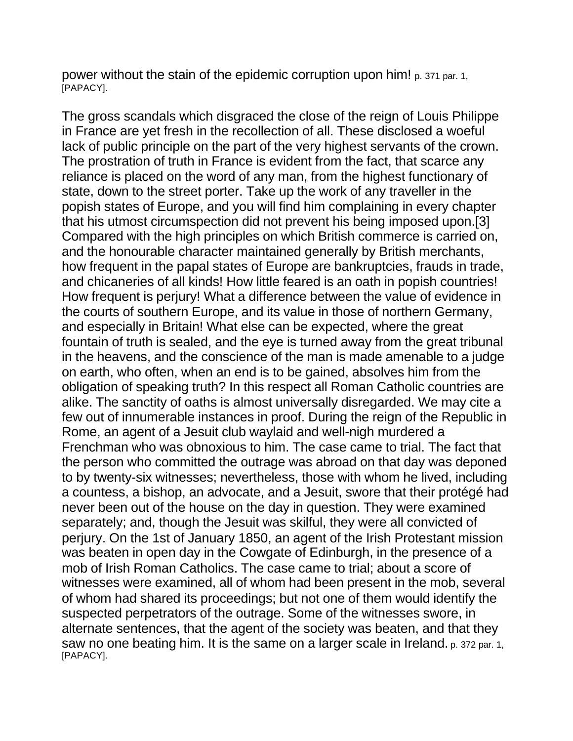power without the stain of the epidemic corruption upon him! p. 371 par. 1, [PAPACY].

The gross scandals which disgraced the close of the reign of Louis Philippe in France are yet fresh in the recollection of all. These disclosed a woeful lack of public principle on the part of the very highest servants of the crown. The prostration of truth in France is evident from the fact, that scarce any reliance is placed on the word of any man, from the highest functionary of state, down to the street porter. Take up the work of any traveller in the popish states of Europe, and you will find him complaining in every chapter that his utmost circumspection did not prevent his being imposed upon.[3] Compared with the high principles on which British commerce is carried on, and the honourable character maintained generally by British merchants, how frequent in the papal states of Europe are bankruptcies, frauds in trade, and chicaneries of all kinds! How little feared is an oath in popish countries! How frequent is perjury! What a difference between the value of evidence in the courts of southern Europe, and its value in those of northern Germany, and especially in Britain! What else can be expected, where the great fountain of truth is sealed, and the eye is turned away from the great tribunal in the heavens, and the conscience of the man is made amenable to a judge on earth, who often, when an end is to be gained, absolves him from the obligation of speaking truth? In this respect all Roman Catholic countries are alike. The sanctity of oaths is almost universally disregarded. We may cite a few out of innumerable instances in proof. During the reign of the Republic in Rome, an agent of a Jesuit club waylaid and well-nigh murdered a Frenchman who was obnoxious to him. The case came to trial. The fact that the person who committed the outrage was abroad on that day was deponed to by twenty-six witnesses; nevertheless, those with whom he lived, including a countess, a bishop, an advocate, and a Jesuit, swore that their protégé had never been out of the house on the day in question. They were examined separately; and, though the Jesuit was skilful, they were all convicted of perjury. On the 1st of January 1850, an agent of the Irish Protestant mission was beaten in open day in the Cowgate of Edinburgh, in the presence of a mob of Irish Roman Catholics. The case came to trial; about a score of witnesses were examined, all of whom had been present in the mob, several of whom had shared its proceedings; but not one of them would identify the suspected perpetrators of the outrage. Some of the witnesses swore, in alternate sentences, that the agent of the society was beaten, and that they saw no one beating him. It is the same on a larger scale in Ireland. p. 372 par. 1, [PAPACY].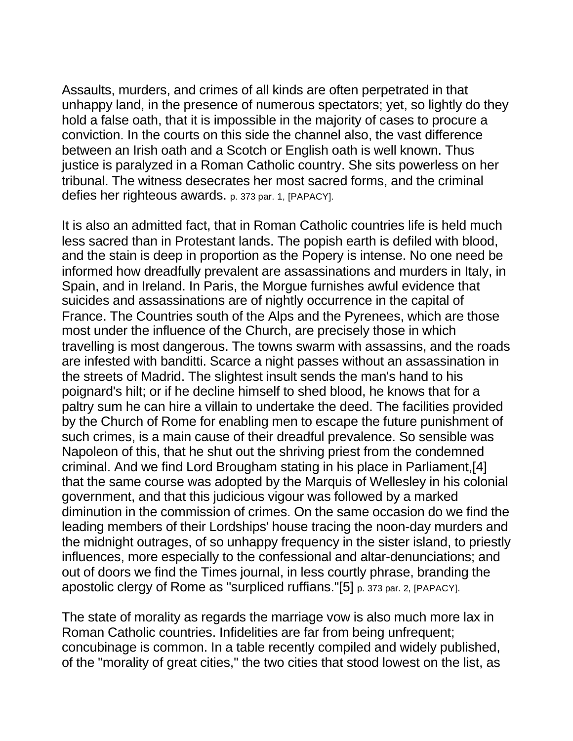Assaults, murders, and crimes of all kinds are often perpetrated in that unhappy land, in the presence of numerous spectators; yet, so lightly do they hold a false oath, that it is impossible in the majority of cases to procure a conviction. In the courts on this side the channel also, the vast difference between an Irish oath and a Scotch or English oath is well known. Thus justice is paralyzed in a Roman Catholic country. She sits powerless on her tribunal. The witness desecrates her most sacred forms, and the criminal defies her righteous awards. p. 373 par. 1, [PAPACY].

It is also an admitted fact, that in Roman Catholic countries life is held much less sacred than in Protestant lands. The popish earth is defiled with blood, and the stain is deep in proportion as the Popery is intense. No one need be informed how dreadfully prevalent are assassinations and murders in Italy, in Spain, and in Ireland. In Paris, the Morgue furnishes awful evidence that suicides and assassinations are of nightly occurrence in the capital of France. The Countries south of the Alps and the Pyrenees, which are those most under the influence of the Church, are precisely those in which travelling is most dangerous. The towns swarm with assassins, and the roads are infested with banditti. Scarce a night passes without an assassination in the streets of Madrid. The slightest insult sends the man's hand to his poignard's hilt; or if he decline himself to shed blood, he knows that for a paltry sum he can hire a villain to undertake the deed. The facilities provided by the Church of Rome for enabling men to escape the future punishment of such crimes, is a main cause of their dreadful prevalence. So sensible was Napoleon of this, that he shut out the shriving priest from the condemned criminal. And we find Lord Brougham stating in his place in Parliament,[4] that the same course was adopted by the Marquis of Wellesley in his colonial government, and that this judicious vigour was followed by a marked diminution in the commission of crimes. On the same occasion do we find the leading members of their Lordships' house tracing the noon-day murders and the midnight outrages, of so unhappy frequency in the sister island, to priestly influences, more especially to the confessional and altar-denunciations; and out of doors we find the Times journal, in less courtly phrase, branding the apostolic clergy of Rome as "surpliced ruffians."[5] p. 373 par. 2, [PAPACY].

The state of morality as regards the marriage vow is also much more lax in Roman Catholic countries. Infidelities are far from being unfrequent; concubinage is common. In a table recently compiled and widely published, of the "morality of great cities," the two cities that stood lowest on the list, as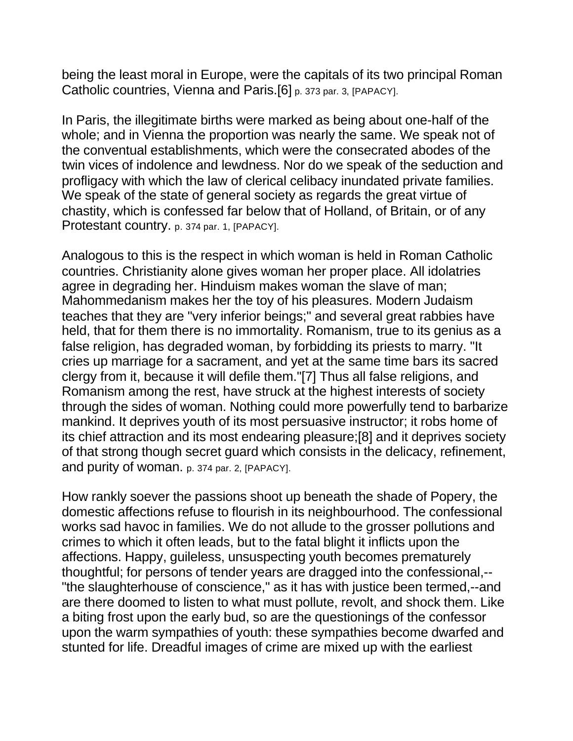being the least moral in Europe, were the capitals of its two principal Roman Catholic countries, Vienna and Paris.[6] p. 373 par. 3, [PAPACY].

In Paris, the illegitimate births were marked as being about one-half of the whole; and in Vienna the proportion was nearly the same. We speak not of the conventual establishments, which were the consecrated abodes of the twin vices of indolence and lewdness. Nor do we speak of the seduction and profligacy with which the law of clerical celibacy inundated private families. We speak of the state of general society as regards the great virtue of chastity, which is confessed far below that of Holland, of Britain, or of any Protestant country. p. 374 par. 1, [PAPACY].

Analogous to this is the respect in which woman is held in Roman Catholic countries. Christianity alone gives woman her proper place. All idolatries agree in degrading her. Hinduism makes woman the slave of man; Mahommedanism makes her the toy of his pleasures. Modern Judaism teaches that they are "very inferior beings;" and several great rabbies have held, that for them there is no immortality. Romanism, true to its genius as a false religion, has degraded woman, by forbidding its priests to marry. "It cries up marriage for a sacrament, and yet at the same time bars its sacred clergy from it, because it will defile them."[7] Thus all false religions, and Romanism among the rest, have struck at the highest interests of society through the sides of woman. Nothing could more powerfully tend to barbarize mankind. It deprives youth of its most persuasive instructor; it robs home of its chief attraction and its most endearing pleasure;[8] and it deprives society of that strong though secret guard which consists in the delicacy, refinement, and purity of woman. p. 374 par. 2, [PAPACY].

How rankly soever the passions shoot up beneath the shade of Popery, the domestic affections refuse to flourish in its neighbourhood. The confessional works sad havoc in families. We do not allude to the grosser pollutions and crimes to which it often leads, but to the fatal blight it inflicts upon the affections. Happy, guileless, unsuspecting youth becomes prematurely thoughtful; for persons of tender years are dragged into the confessional,-- "the slaughterhouse of conscience," as it has with justice been termed,--and are there doomed to listen to what must pollute, revolt, and shock them. Like a biting frost upon the early bud, so are the questionings of the confessor upon the warm sympathies of youth: these sympathies become dwarfed and stunted for life. Dreadful images of crime are mixed up with the earliest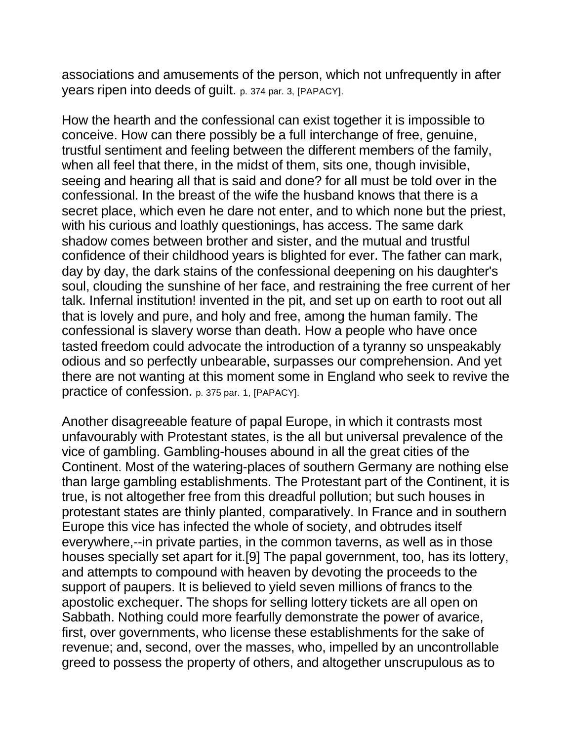associations and amusements of the person, which not unfrequently in after years ripen into deeds of guilt. p. 374 par. 3, [PAPACY].

How the hearth and the confessional can exist together it is impossible to conceive. How can there possibly be a full interchange of free, genuine, trustful sentiment and feeling between the different members of the family, when all feel that there, in the midst of them, sits one, though invisible, seeing and hearing all that is said and done? for all must be told over in the confessional. In the breast of the wife the husband knows that there is a secret place, which even he dare not enter, and to which none but the priest, with his curious and loathly questionings, has access. The same dark shadow comes between brother and sister, and the mutual and trustful confidence of their childhood years is blighted for ever. The father can mark, day by day, the dark stains of the confessional deepening on his daughter's soul, clouding the sunshine of her face, and restraining the free current of her talk. Infernal institution! invented in the pit, and set up on earth to root out all that is lovely and pure, and holy and free, among the human family. The confessional is slavery worse than death. How a people who have once tasted freedom could advocate the introduction of a tyranny so unspeakably odious and so perfectly unbearable, surpasses our comprehension. And yet there are not wanting at this moment some in England who seek to revive the practice of confession. p. 375 par. 1, [PAPACY].

Another disagreeable feature of papal Europe, in which it contrasts most unfavourably with Protestant states, is the all but universal prevalence of the vice of gambling. Gambling-houses abound in all the great cities of the Continent. Most of the watering-places of southern Germany are nothing else than large gambling establishments. The Protestant part of the Continent, it is true, is not altogether free from this dreadful pollution; but such houses in protestant states are thinly planted, comparatively. In France and in southern Europe this vice has infected the whole of society, and obtrudes itself everywhere,--in private parties, in the common taverns, as well as in those houses specially set apart for it.[9] The papal government, too, has its lottery, and attempts to compound with heaven by devoting the proceeds to the support of paupers. It is believed to yield seven millions of francs to the apostolic exchequer. The shops for selling lottery tickets are all open on Sabbath. Nothing could more fearfully demonstrate the power of avarice, first, over governments, who license these establishments for the sake of revenue; and, second, over the masses, who, impelled by an uncontrollable greed to possess the property of others, and altogether unscrupulous as to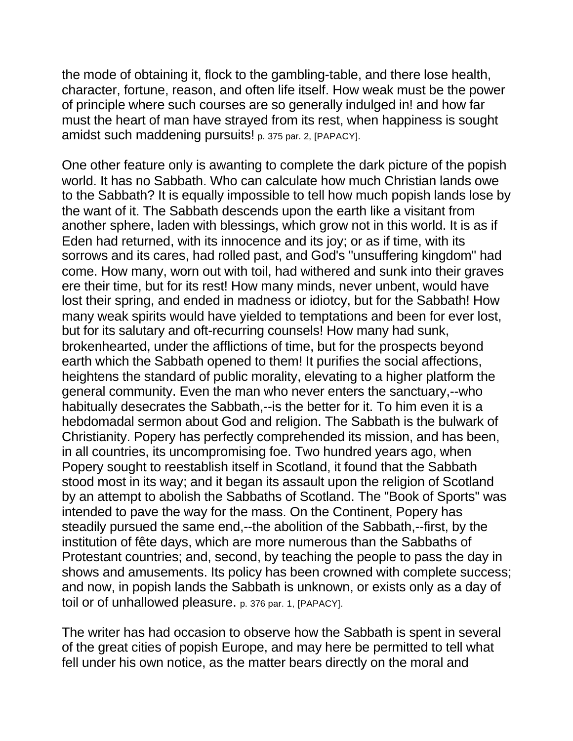the mode of obtaining it, flock to the gambling-table, and there lose health, character, fortune, reason, and often life itself. How weak must be the power of principle where such courses are so generally indulged in! and how far must the heart of man have strayed from its rest, when happiness is sought amidst such maddening pursuits! p. 375 par. 2, [PAPACY].

One other feature only is awanting to complete the dark picture of the popish world. It has no Sabbath. Who can calculate how much Christian lands owe to the Sabbath? It is equally impossible to tell how much popish lands lose by the want of it. The Sabbath descends upon the earth like a visitant from another sphere, laden with blessings, which grow not in this world. It is as if Eden had returned, with its innocence and its joy; or as if time, with its sorrows and its cares, had rolled past, and God's "unsuffering kingdom" had come. How many, worn out with toil, had withered and sunk into their graves ere their time, but for its rest! How many minds, never unbent, would have lost their spring, and ended in madness or idiotcy, but for the Sabbath! How many weak spirits would have yielded to temptations and been for ever lost, but for its salutary and oft-recurring counsels! How many had sunk, brokenhearted, under the afflictions of time, but for the prospects beyond earth which the Sabbath opened to them! It purifies the social affections, heightens the standard of public morality, elevating to a higher platform the general community. Even the man who never enters the sanctuary,--who habitually desecrates the Sabbath,--is the better for it. To him even it is a hebdomadal sermon about God and religion. The Sabbath is the bulwark of Christianity. Popery has perfectly comprehended its mission, and has been, in all countries, its uncompromising foe. Two hundred years ago, when Popery sought to reestablish itself in Scotland, it found that the Sabbath stood most in its way; and it began its assault upon the religion of Scotland by an attempt to abolish the Sabbaths of Scotland. The "Book of Sports" was intended to pave the way for the mass. On the Continent, Popery has steadily pursued the same end,--the abolition of the Sabbath,--first, by the institution of fête days, which are more numerous than the Sabbaths of Protestant countries; and, second, by teaching the people to pass the day in shows and amusements. Its policy has been crowned with complete success; and now, in popish lands the Sabbath is unknown, or exists only as a day of toil or of unhallowed pleasure. p. 376 par. 1, [PAPACY].

The writer has had occasion to observe how the Sabbath is spent in several of the great cities of popish Europe, and may here be permitted to tell what fell under his own notice, as the matter bears directly on the moral and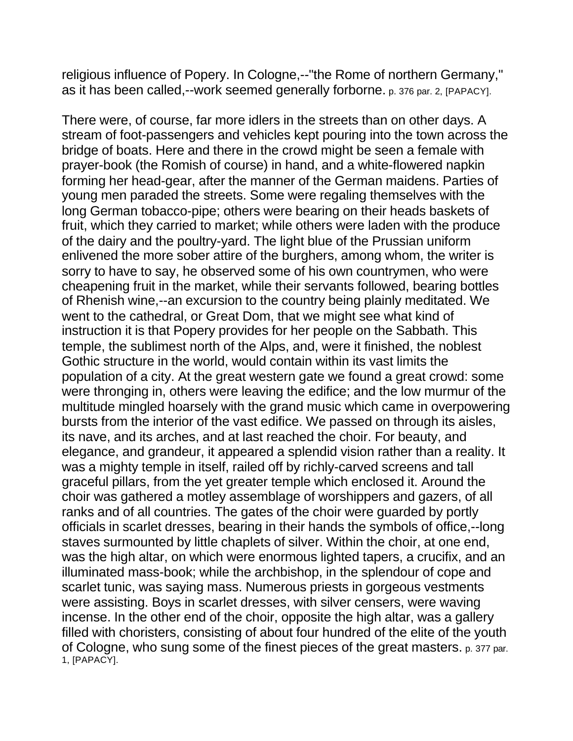religious influence of Popery. In Cologne,--"the Rome of northern Germany," as it has been called,--work seemed generally forborne. p. 376 par. 2, [PAPACY].

There were, of course, far more idlers in the streets than on other days. A stream of foot-passengers and vehicles kept pouring into the town across the bridge of boats. Here and there in the crowd might be seen a female with prayer-book (the Romish of course) in hand, and a white-flowered napkin forming her head-gear, after the manner of the German maidens. Parties of young men paraded the streets. Some were regaling themselves with the long German tobacco-pipe; others were bearing on their heads baskets of fruit, which they carried to market; while others were laden with the produce of the dairy and the poultry-yard. The light blue of the Prussian uniform enlivened the more sober attire of the burghers, among whom, the writer is sorry to have to say, he observed some of his own countrymen, who were cheapening fruit in the market, while their servants followed, bearing bottles of Rhenish wine,--an excursion to the country being plainly meditated. We went to the cathedral, or Great Dom, that we might see what kind of instruction it is that Popery provides for her people on the Sabbath. This temple, the sublimest north of the Alps, and, were it finished, the noblest Gothic structure in the world, would contain within its vast limits the population of a city. At the great western gate we found a great crowd: some were thronging in, others were leaving the edifice; and the low murmur of the multitude mingled hoarsely with the grand music which came in overpowering bursts from the interior of the vast edifice. We passed on through its aisles, its nave, and its arches, and at last reached the choir. For beauty, and elegance, and grandeur, it appeared a splendid vision rather than a reality. It was a mighty temple in itself, railed off by richly-carved screens and tall graceful pillars, from the yet greater temple which enclosed it. Around the choir was gathered a motley assemblage of worshippers and gazers, of all ranks and of all countries. The gates of the choir were guarded by portly officials in scarlet dresses, bearing in their hands the symbols of office,--long staves surmounted by little chaplets of silver. Within the choir, at one end, was the high altar, on which were enormous lighted tapers, a crucifix, and an illuminated mass-book; while the archbishop, in the splendour of cope and scarlet tunic, was saying mass. Numerous priests in gorgeous vestments were assisting. Boys in scarlet dresses, with silver censers, were waving incense. In the other end of the choir, opposite the high altar, was a gallery filled with choristers, consisting of about four hundred of the elite of the youth of Cologne, who sung some of the finest pieces of the great masters. p. 377 par. 1, [PAPACY].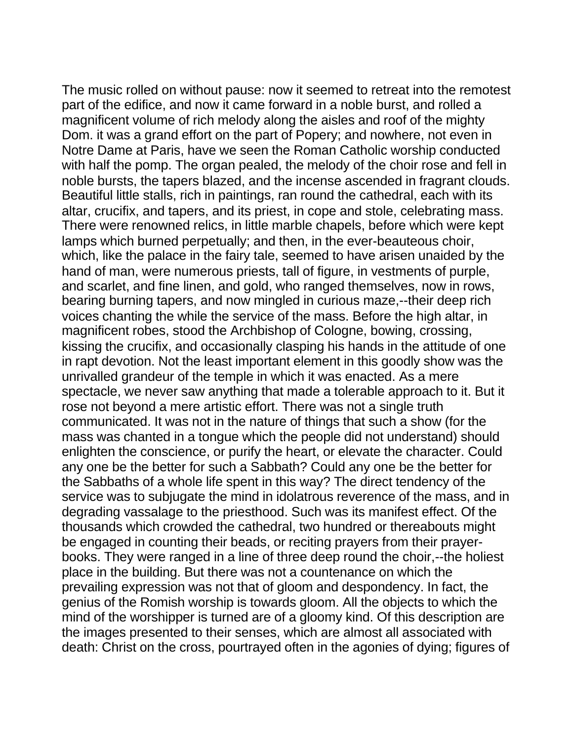The music rolled on without pause: now it seemed to retreat into the remotest part of the edifice, and now it came forward in a noble burst, and rolled a magnificent volume of rich melody along the aisles and roof of the mighty Dom. it was a grand effort on the part of Popery; and nowhere, not even in Notre Dame at Paris, have we seen the Roman Catholic worship conducted with half the pomp. The organ pealed, the melody of the choir rose and fell in noble bursts, the tapers blazed, and the incense ascended in fragrant clouds. Beautiful little stalls, rich in paintings, ran round the cathedral, each with its altar, crucifix, and tapers, and its priest, in cope and stole, celebrating mass. There were renowned relics, in little marble chapels, before which were kept lamps which burned perpetually; and then, in the ever-beauteous choir, which, like the palace in the fairy tale, seemed to have arisen unaided by the hand of man, were numerous priests, tall of figure, in vestments of purple, and scarlet, and fine linen, and gold, who ranged themselves, now in rows, bearing burning tapers, and now mingled in curious maze,--their deep rich voices chanting the while the service of the mass. Before the high altar, in magnificent robes, stood the Archbishop of Cologne, bowing, crossing, kissing the crucifix, and occasionally clasping his hands in the attitude of one in rapt devotion. Not the least important element in this goodly show was the unrivalled grandeur of the temple in which it was enacted. As a mere spectacle, we never saw anything that made a tolerable approach to it. But it rose not beyond a mere artistic effort. There was not a single truth communicated. It was not in the nature of things that such a show (for the mass was chanted in a tongue which the people did not understand) should enlighten the conscience, or purify the heart, or elevate the character. Could any one be the better for such a Sabbath? Could any one be the better for the Sabbaths of a whole life spent in this way? The direct tendency of the service was to subjugate the mind in idolatrous reverence of the mass, and in degrading vassalage to the priesthood. Such was its manifest effect. Of the thousands which crowded the cathedral, two hundred or thereabouts might be engaged in counting their beads, or reciting prayers from their prayerbooks. They were ranged in a line of three deep round the choir,--the holiest place in the building. But there was not a countenance on which the prevailing expression was not that of gloom and despondency. In fact, the genius of the Romish worship is towards gloom. All the objects to which the mind of the worshipper is turned are of a gloomy kind. Of this description are the images presented to their senses, which are almost all associated with death: Christ on the cross, pourtrayed often in the agonies of dying; figures of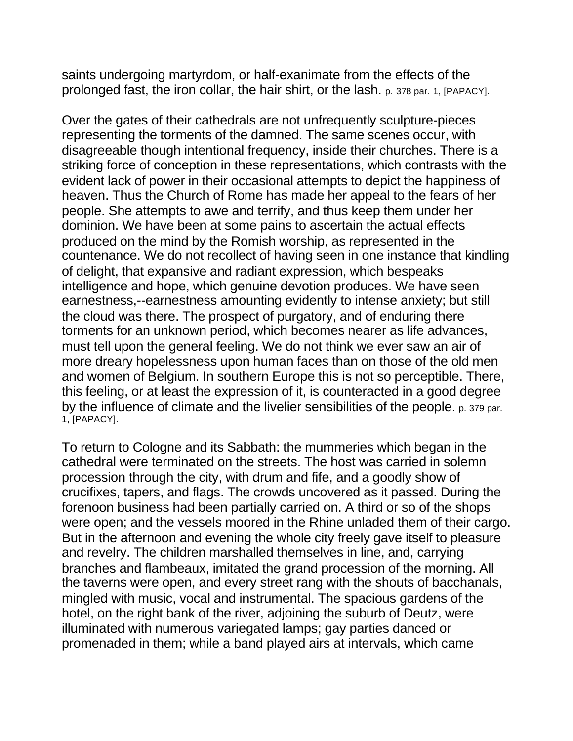saints undergoing martyrdom, or half-exanimate from the effects of the prolonged fast, the iron collar, the hair shirt, or the lash. p. 378 par. 1, [PAPACY].

Over the gates of their cathedrals are not unfrequently sculpture-pieces representing the torments of the damned. The same scenes occur, with disagreeable though intentional frequency, inside their churches. There is a striking force of conception in these representations, which contrasts with the evident lack of power in their occasional attempts to depict the happiness of heaven. Thus the Church of Rome has made her appeal to the fears of her people. She attempts to awe and terrify, and thus keep them under her dominion. We have been at some pains to ascertain the actual effects produced on the mind by the Romish worship, as represented in the countenance. We do not recollect of having seen in one instance that kindling of delight, that expansive and radiant expression, which bespeaks intelligence and hope, which genuine devotion produces. We have seen earnestness,--earnestness amounting evidently to intense anxiety; but still the cloud was there. The prospect of purgatory, and of enduring there torments for an unknown period, which becomes nearer as life advances, must tell upon the general feeling. We do not think we ever saw an air of more dreary hopelessness upon human faces than on those of the old men and women of Belgium. In southern Europe this is not so perceptible. There, this feeling, or at least the expression of it, is counteracted in a good degree by the influence of climate and the livelier sensibilities of the people. p. 379 par. 1, [PAPACY].

To return to Cologne and its Sabbath: the mummeries which began in the cathedral were terminated on the streets. The host was carried in solemn procession through the city, with drum and fife, and a goodly show of crucifixes, tapers, and flags. The crowds uncovered as it passed. During the forenoon business had been partially carried on. A third or so of the shops were open; and the vessels moored in the Rhine unladed them of their cargo. But in the afternoon and evening the whole city freely gave itself to pleasure and revelry. The children marshalled themselves in line, and, carrying branches and flambeaux, imitated the grand procession of the morning. All the taverns were open, and every street rang with the shouts of bacchanals, mingled with music, vocal and instrumental. The spacious gardens of the hotel, on the right bank of the river, adjoining the suburb of Deutz, were illuminated with numerous variegated lamps; gay parties danced or promenaded in them; while a band played airs at intervals, which came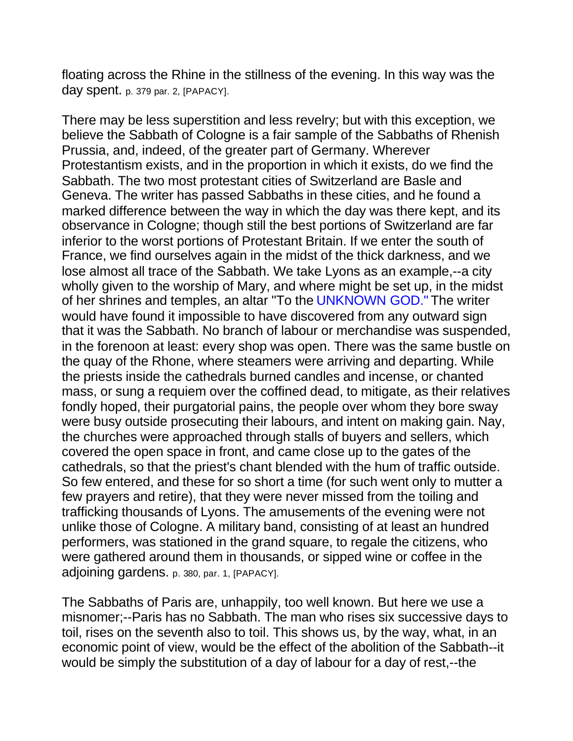floating across the Rhine in the stillness of the evening. In this way was the day spent. p. 379 par. 2, [PAPACY].

There may be less superstition and less revelry; but with this exception, we believe the Sabbath of Cologne is a fair sample of the Sabbaths of Rhenish Prussia, and, indeed, of the greater part of Germany. Wherever Protestantism exists, and in the proportion in which it exists, do we find the Sabbath. The two most protestant cities of Switzerland are Basle and Geneva. The writer has passed Sabbaths in these cities, and he found a marked difference between the way in which the day was there kept, and its observance in Cologne; though still the best portions of Switzerland are far inferior to the worst portions of Protestant Britain. If we enter the south of France, we find ourselves again in the midst of the thick darkness, and we lose almost all trace of the Sabbath. We take Lyons as an example,--a city wholly given to the worship of Mary, and where might be set up, in the midst of her shrines and temples, an altar "To the UNKNOWN GOD." The writer would have found it impossible to have discovered from any outward sign that it was the Sabbath. No branch of labour or merchandise was suspended, in the forenoon at least: every shop was open. There was the same bustle on the quay of the Rhone, where steamers were arriving and departing. While the priests inside the cathedrals burned candles and incense, or chanted mass, or sung a requiem over the coffined dead, to mitigate, as their relatives fondly hoped, their purgatorial pains, the people over whom they bore sway were busy outside prosecuting their labours, and intent on making gain. Nay, the churches were approached through stalls of buyers and sellers, which covered the open space in front, and came close up to the gates of the cathedrals, so that the priest's chant blended with the hum of traffic outside. So few entered, and these for so short a time (for such went only to mutter a few prayers and retire), that they were never missed from the toiling and trafficking thousands of Lyons. The amusements of the evening were not unlike those of Cologne. A military band, consisting of at least an hundred performers, was stationed in the grand square, to regale the citizens, who were gathered around them in thousands, or sipped wine or coffee in the adjoining gardens. p. 380, par. 1, [PAPACY].

The Sabbaths of Paris are, unhappily, too well known. But here we use a misnomer;--Paris has no Sabbath. The man who rises six successive days to toil, rises on the seventh also to toil. This shows us, by the way, what, in an economic point of view, would be the effect of the abolition of the Sabbath--it would be simply the substitution of a day of labour for a day of rest,--the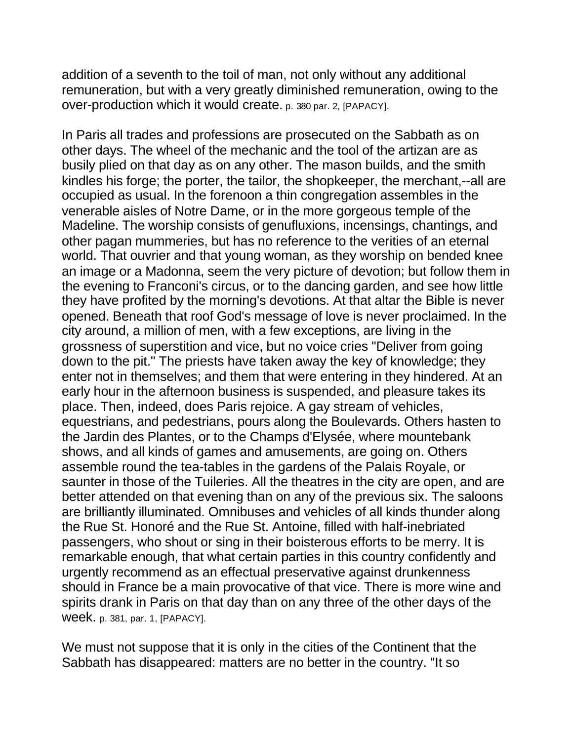addition of a seventh to the toil of man, not only without any additional remuneration, but with a very greatly diminished remuneration, owing to the over-production which it would create. p. 380 par. 2, [PAPACY].

In Paris all trades and professions are prosecuted on the Sabbath as on other days. The wheel of the mechanic and the tool of the artizan are as busily plied on that day as on any other. The mason builds, and the smith kindles his forge; the porter, the tailor, the shopkeeper, the merchant,--all are occupied as usual. In the forenoon a thin congregation assembles in the venerable aisles of Notre Dame, or in the more gorgeous temple of the Madeline. The worship consists of genufluxions, incensings, chantings, and other pagan mummeries, but has no reference to the verities of an eternal world. That ouvrier and that young woman, as they worship on bended knee an image or a Madonna, seem the very picture of devotion; but follow them in the evening to Franconi's circus, or to the dancing garden, and see how little they have profited by the morning's devotions. At that altar the Bible is never opened. Beneath that roof God's message of love is never proclaimed. In the city around, a million of men, with a few exceptions, are living in the grossness of superstition and vice, but no voice cries "Deliver from going down to the pit." The priests have taken away the key of knowledge; they enter not in themselves; and them that were entering in they hindered. At an early hour in the afternoon business is suspended, and pleasure takes its place. Then, indeed, does Paris rejoice. A gay stream of vehicles, equestrians, and pedestrians, pours along the Boulevards. Others hasten to the Jardin des Plantes, or to the Champs d'Elysée, where mountebank shows, and all kinds of games and amusements, are going on. Others assemble round the tea-tables in the gardens of the Palais Royale, or saunter in those of the Tuileries. All the theatres in the city are open, and are better attended on that evening than on any of the previous six. The saloons are brilliantly illuminated. Omnibuses and vehicles of all kinds thunder along the Rue St. Honoré and the Rue St. Antoine, filled with half-inebriated passengers, who shout or sing in their boisterous efforts to be merry. It is remarkable enough, that what certain parties in this country confidently and urgently recommend as an effectual preservative against drunkenness should in France be a main provocative of that vice. There is more wine and spirits drank in Paris on that day than on any three of the other days of the week. p. 381, par. 1, [PAPACY].

We must not suppose that it is only in the cities of the Continent that the Sabbath has disappeared: matters are no better in the country. "It so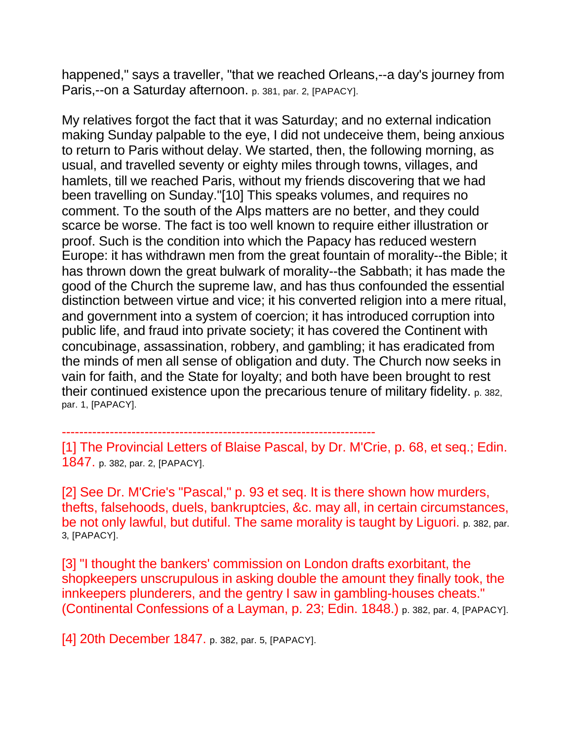happened," says a traveller, "that we reached Orleans,--a day's journey from Paris,--on a Saturday afternoon. p. 381, par. 2, [PAPACY].

My relatives forgot the fact that it was Saturday; and no external indication making Sunday palpable to the eye, I did not undeceive them, being anxious to return to Paris without delay. We started, then, the following morning, as usual, and travelled seventy or eighty miles through towns, villages, and hamlets, till we reached Paris, without my friends discovering that we had been travelling on Sunday."[10] This speaks volumes, and requires no comment. To the south of the Alps matters are no better, and they could scarce be worse. The fact is too well known to require either illustration or proof. Such is the condition into which the Papacy has reduced western Europe: it has withdrawn men from the great fountain of morality--the Bible; it has thrown down the great bulwark of morality--the Sabbath; it has made the good of the Church the supreme law, and has thus confounded the essential distinction between virtue and vice; it his converted religion into a mere ritual, and government into a system of coercion; it has introduced corruption into public life, and fraud into private society; it has covered the Continent with concubinage, assassination, robbery, and gambling; it has eradicated from the minds of men all sense of obligation and duty. The Church now seeks in vain for faith, and the State for loyalty; and both have been brought to rest their continued existence upon the precarious tenure of military fidelity. p. 382, par. 1, [PAPACY].

------------------------------------------------------------------------

[1] The Provincial Letters of Blaise Pascal, by Dr. M'Crie, p. 68, et seq.; Edin. 1847. p. 382, par. 2, [PAPACY].

[2] See Dr. M'Crie's "Pascal," p. 93 et seq. It is there shown how murders, thefts, falsehoods, duels, bankruptcies, &c. may all, in certain circumstances, be not only lawful, but dutiful. The same morality is taught by Liguori. p. 382, par. 3, [PAPACY].

[3] "I thought the bankers' commission on London drafts exorbitant, the shopkeepers unscrupulous in asking double the amount they finally took, the innkeepers plunderers, and the gentry I saw in gambling-houses cheats." (Continental Confessions of a Layman, p. 23; Edin. 1848.) p. 382, par. 4, [PAPACY].

[4] 20th December 1847. p. 382, par. 5, [PAPACY].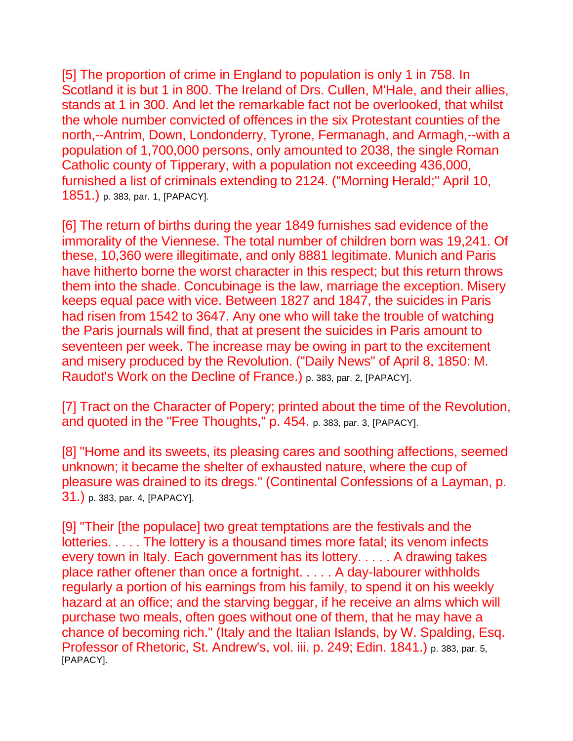[5] The proportion of crime in England to population is only 1 in 758. In Scotland it is but 1 in 800. The Ireland of Drs. Cullen, M'Hale, and their allies, stands at 1 in 300. And let the remarkable fact not be overlooked, that whilst the whole number convicted of offences in the six Protestant counties of the north,--Antrim, Down, Londonderry, Tyrone, Fermanagh, and Armagh,--with a population of 1,700,000 persons, only amounted to 2038, the single Roman Catholic county of Tipperary, with a population not exceeding 436,000, furnished a list of criminals extending to 2124. ("Morning Herald;" April 10, 1851.) p. 383, par. 1, [PAPACY].

[6] The return of births during the year 1849 furnishes sad evidence of the immorality of the Viennese. The total number of children born was 19,241. Of these, 10,360 were illegitimate, and only 8881 legitimate. Munich and Paris have hitherto borne the worst character in this respect; but this return throws them into the shade. Concubinage is the law, marriage the exception. Misery keeps equal pace with vice. Between 1827 and 1847, the suicides in Paris had risen from 1542 to 3647. Any one who will take the trouble of watching the Paris journals will find, that at present the suicides in Paris amount to seventeen per week. The increase may be owing in part to the excitement and misery produced by the Revolution. ("Daily News" of April 8, 1850: M. Raudot's Work on the Decline of France.) p. 383, par. 2, [PAPACY].

[7] Tract on the Character of Popery; printed about the time of the Revolution, and quoted in the "Free Thoughts," p. 454. p. 383, par. 3, [PAPACY].

[8] "Home and its sweets, its pleasing cares and soothing affections, seemed unknown; it became the shelter of exhausted nature, where the cup of pleasure was drained to its dregs." (Continental Confessions of a Layman, p. 31.) p. 383, par. 4, [PAPACY].

[9] "Their [the populace] two great temptations are the festivals and the lotteries. . . . . The lottery is a thousand times more fatal; its venom infects every town in Italy. Each government has its lottery. . . . . A drawing takes place rather oftener than once a fortnight. . . . . A day-labourer withholds regularly a portion of his earnings from his family, to spend it on his weekly hazard at an office; and the starving beggar, if he receive an alms which will purchase two meals, often goes without one of them, that he may have a chance of becoming rich." (Italy and the Italian Islands, by W. Spalding, Esq. Professor of Rhetoric, St. Andrew's, vol. iii. p. 249; Edin. 1841.) p. 383, par. 5, [PAPACY].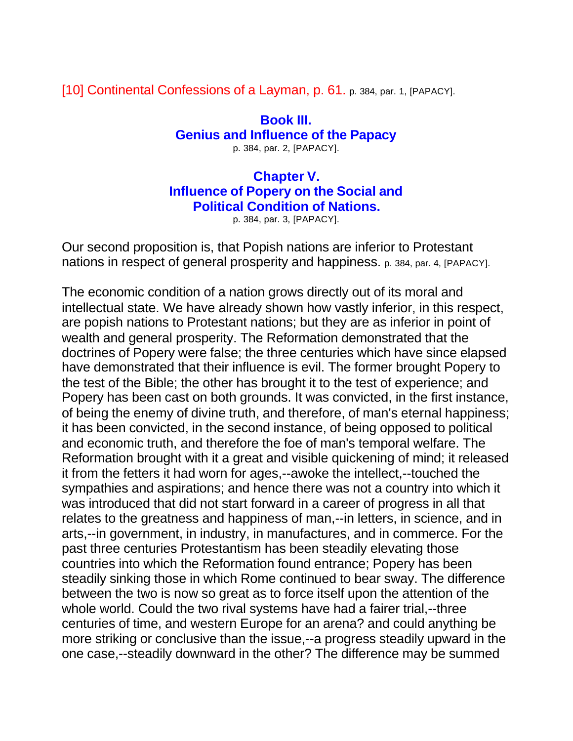[10] Continental Confessions of a Layman, p. 61. p. 384, par. 1, [PAPACY].

**Book III. Genius and Influence of the Papacy** p. 384, par. 2, [PAPACY].

**Chapter V. Influence of Popery on the Social and Political Condition of Nations.**

p. 384, par. 3, [PAPACY].

Our second proposition is, that Popish nations are inferior to Protestant nations in respect of general prosperity and happiness. p. 384, par. 4, [PAPACY].

The economic condition of a nation grows directly out of its moral and intellectual state. We have already shown how vastly inferior, in this respect, are popish nations to Protestant nations; but they are as inferior in point of wealth and general prosperity. The Reformation demonstrated that the doctrines of Popery were false; the three centuries which have since elapsed have demonstrated that their influence is evil. The former brought Popery to the test of the Bible; the other has brought it to the test of experience; and Popery has been cast on both grounds. It was convicted, in the first instance, of being the enemy of divine truth, and therefore, of man's eternal happiness; it has been convicted, in the second instance, of being opposed to political and economic truth, and therefore the foe of man's temporal welfare. The Reformation brought with it a great and visible quickening of mind; it released it from the fetters it had worn for ages,--awoke the intellect,--touched the sympathies and aspirations; and hence there was not a country into which it was introduced that did not start forward in a career of progress in all that relates to the greatness and happiness of man,--in letters, in science, and in arts,--in government, in industry, in manufactures, and in commerce. For the past three centuries Protestantism has been steadily elevating those countries into which the Reformation found entrance; Popery has been steadily sinking those in which Rome continued to bear sway. The difference between the two is now so great as to force itself upon the attention of the whole world. Could the two rival systems have had a fairer trial,--three centuries of time, and western Europe for an arena? and could anything be more striking or conclusive than the issue,--a progress steadily upward in the one case,--steadily downward in the other? The difference may be summed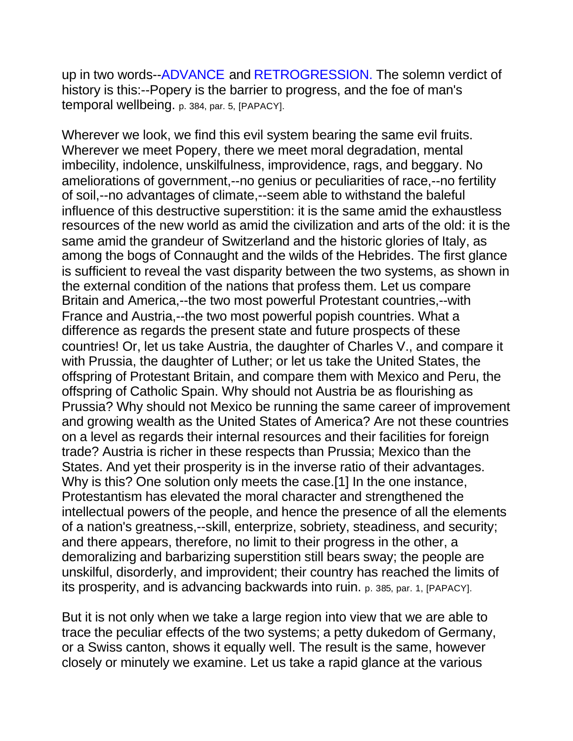up in two words--ADVANCE and RETROGRESSION. The solemn verdict of history is this:--Popery is the barrier to progress, and the foe of man's temporal wellbeing. p. 384, par. 5, [PAPACY].

Wherever we look, we find this evil system bearing the same evil fruits. Wherever we meet Popery, there we meet moral degradation, mental imbecility, indolence, unskilfulness, improvidence, rags, and beggary. No ameliorations of government,--no genius or peculiarities of race,--no fertility of soil,--no advantages of climate,--seem able to withstand the baleful influence of this destructive superstition: it is the same amid the exhaustless resources of the new world as amid the civilization and arts of the old: it is the same amid the grandeur of Switzerland and the historic glories of Italy, as among the bogs of Connaught and the wilds of the Hebrides. The first glance is sufficient to reveal the vast disparity between the two systems, as shown in the external condition of the nations that profess them. Let us compare Britain and America,--the two most powerful Protestant countries,--with France and Austria,--the two most powerful popish countries. What a difference as regards the present state and future prospects of these countries! Or, let us take Austria, the daughter of Charles V., and compare it with Prussia, the daughter of Luther; or let us take the United States, the offspring of Protestant Britain, and compare them with Mexico and Peru, the offspring of Catholic Spain. Why should not Austria be as flourishing as Prussia? Why should not Mexico be running the same career of improvement and growing wealth as the United States of America? Are not these countries on a level as regards their internal resources and their facilities for foreign trade? Austria is richer in these respects than Prussia; Mexico than the States. And yet their prosperity is in the inverse ratio of their advantages. Why is this? One solution only meets the case.[1] In the one instance, Protestantism has elevated the moral character and strengthened the intellectual powers of the people, and hence the presence of all the elements of a nation's greatness,--skill, enterprize, sobriety, steadiness, and security; and there appears, therefore, no limit to their progress in the other, a demoralizing and barbarizing superstition still bears sway; the people are unskilful, disorderly, and improvident; their country has reached the limits of its prosperity, and is advancing backwards into ruin. p. 385, par. 1, [PAPACY].

But it is not only when we take a large region into view that we are able to trace the peculiar effects of the two systems; a petty dukedom of Germany, or a Swiss canton, shows it equally well. The result is the same, however closely or minutely we examine. Let us take a rapid glance at the various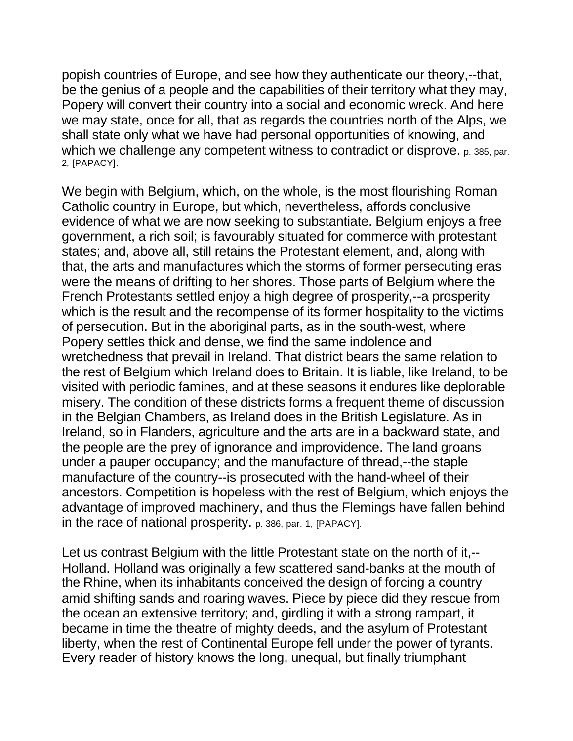popish countries of Europe, and see how they authenticate our theory,--that, be the genius of a people and the capabilities of their territory what they may, Popery will convert their country into a social and economic wreck. And here we may state, once for all, that as regards the countries north of the Alps, we shall state only what we have had personal opportunities of knowing, and which we challenge any competent witness to contradict or disprove. p. 385, par. 2, [PAPACY].

We begin with Belgium, which, on the whole, is the most flourishing Roman Catholic country in Europe, but which, nevertheless, affords conclusive evidence of what we are now seeking to substantiate. Belgium enjoys a free government, a rich soil; is favourably situated for commerce with protestant states; and, above all, still retains the Protestant element, and, along with that, the arts and manufactures which the storms of former persecuting eras were the means of drifting to her shores. Those parts of Belgium where the French Protestants settled enjoy a high degree of prosperity,--a prosperity which is the result and the recompense of its former hospitality to the victims of persecution. But in the aboriginal parts, as in the south-west, where Popery settles thick and dense, we find the same indolence and wretchedness that prevail in Ireland. That district bears the same relation to the rest of Belgium which Ireland does to Britain. It is liable, like Ireland, to be visited with periodic famines, and at these seasons it endures like deplorable misery. The condition of these districts forms a frequent theme of discussion in the Belgian Chambers, as Ireland does in the British Legislature. As in Ireland, so in Flanders, agriculture and the arts are in a backward state, and the people are the prey of ignorance and improvidence. The land groans under a pauper occupancy; and the manufacture of thread,--the staple manufacture of the country--is prosecuted with the hand-wheel of their ancestors. Competition is hopeless with the rest of Belgium, which enjoys the advantage of improved machinery, and thus the Flemings have fallen behind in the race of national prosperity. p. 386, par. 1, [PAPACY].

Let us contrast Belgium with the little Protestant state on the north of it,-- Holland. Holland was originally a few scattered sand-banks at the mouth of the Rhine, when its inhabitants conceived the design of forcing a country amid shifting sands and roaring waves. Piece by piece did they rescue from the ocean an extensive territory; and, girdling it with a strong rampart, it became in time the theatre of mighty deeds, and the asylum of Protestant liberty, when the rest of Continental Europe fell under the power of tyrants. Every reader of history knows the long, unequal, but finally triumphant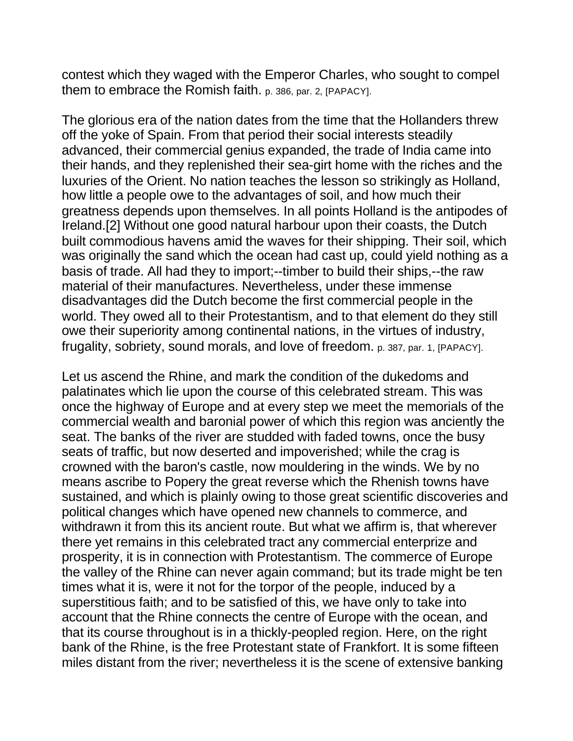contest which they waged with the Emperor Charles, who sought to compel them to embrace the Romish faith. p. 386, par. 2, [PAPACY].

The glorious era of the nation dates from the time that the Hollanders threw off the yoke of Spain. From that period their social interests steadily advanced, their commercial genius expanded, the trade of India came into their hands, and they replenished their sea-girt home with the riches and the luxuries of the Orient. No nation teaches the lesson so strikingly as Holland, how little a people owe to the advantages of soil, and how much their greatness depends upon themselves. In all points Holland is the antipodes of Ireland.[2] Without one good natural harbour upon their coasts, the Dutch built commodious havens amid the waves for their shipping. Their soil, which was originally the sand which the ocean had cast up, could yield nothing as a basis of trade. All had they to import;--timber to build their ships,--the raw material of their manufactures. Nevertheless, under these immense disadvantages did the Dutch become the first commercial people in the world. They owed all to their Protestantism, and to that element do they still owe their superiority among continental nations, in the virtues of industry, frugality, sobriety, sound morals, and love of freedom. p. 387, par. 1, [PAPACY].

Let us ascend the Rhine, and mark the condition of the dukedoms and palatinates which lie upon the course of this celebrated stream. This was once the highway of Europe and at every step we meet the memorials of the commercial wealth and baronial power of which this region was anciently the seat. The banks of the river are studded with faded towns, once the busy seats of traffic, but now deserted and impoverished; while the crag is crowned with the baron's castle, now mouldering in the winds. We by no means ascribe to Popery the great reverse which the Rhenish towns have sustained, and which is plainly owing to those great scientific discoveries and political changes which have opened new channels to commerce, and withdrawn it from this its ancient route. But what we affirm is, that wherever there yet remains in this celebrated tract any commercial enterprize and prosperity, it is in connection with Protestantism. The commerce of Europe the valley of the Rhine can never again command; but its trade might be ten times what it is, were it not for the torpor of the people, induced by a superstitious faith; and to be satisfied of this, we have only to take into account that the Rhine connects the centre of Europe with the ocean, and that its course throughout is in a thickly-peopled region. Here, on the right bank of the Rhine, is the free Protestant state of Frankfort. It is some fifteen miles distant from the river; nevertheless it is the scene of extensive banking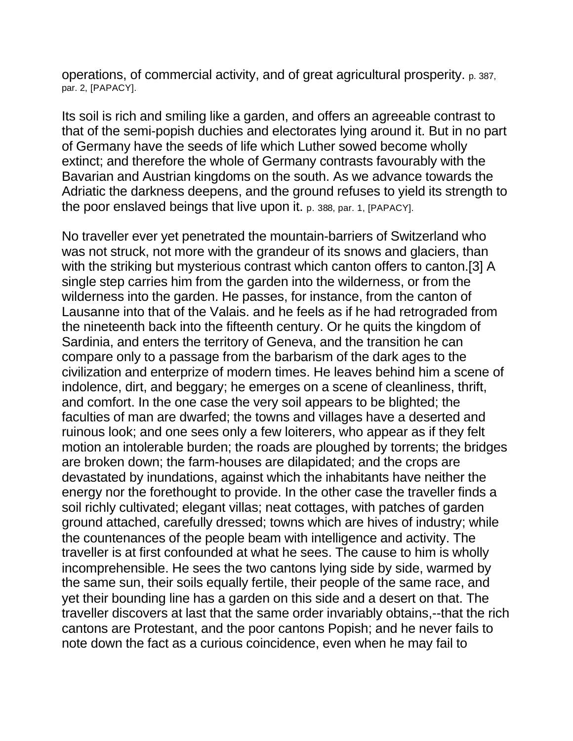operations, of commercial activity, and of great agricultural prosperity. p. 387, par. 2, [PAPACY].

Its soil is rich and smiling like a garden, and offers an agreeable contrast to that of the semi-popish duchies and electorates lying around it. But in no part of Germany have the seeds of life which Luther sowed become wholly extinct; and therefore the whole of Germany contrasts favourably with the Bavarian and Austrian kingdoms on the south. As we advance towards the Adriatic the darkness deepens, and the ground refuses to yield its strength to the poor enslaved beings that live upon it. p. 388, par. 1, [PAPACY].

No traveller ever yet penetrated the mountain-barriers of Switzerland who was not struck, not more with the grandeur of its snows and glaciers, than with the striking but mysterious contrast which canton offers to canton.[3] A single step carries him from the garden into the wilderness, or from the wilderness into the garden. He passes, for instance, from the canton of Lausanne into that of the Valais. and he feels as if he had retrograded from the nineteenth back into the fifteenth century. Or he quits the kingdom of Sardinia, and enters the territory of Geneva, and the transition he can compare only to a passage from the barbarism of the dark ages to the civilization and enterprize of modern times. He leaves behind him a scene of indolence, dirt, and beggary; he emerges on a scene of cleanliness, thrift, and comfort. In the one case the very soil appears to be blighted; the faculties of man are dwarfed; the towns and villages have a deserted and ruinous look; and one sees only a few loiterers, who appear as if they felt motion an intolerable burden; the roads are ploughed by torrents; the bridges are broken down; the farm-houses are dilapidated; and the crops are devastated by inundations, against which the inhabitants have neither the energy nor the forethought to provide. In the other case the traveller finds a soil richly cultivated; elegant villas; neat cottages, with patches of garden ground attached, carefully dressed; towns which are hives of industry; while the countenances of the people beam with intelligence and activity. The traveller is at first confounded at what he sees. The cause to him is wholly incomprehensible. He sees the two cantons lying side by side, warmed by the same sun, their soils equally fertile, their people of the same race, and yet their bounding line has a garden on this side and a desert on that. The traveller discovers at last that the same order invariably obtains,--that the rich cantons are Protestant, and the poor cantons Popish; and he never fails to note down the fact as a curious coincidence, even when he may fail to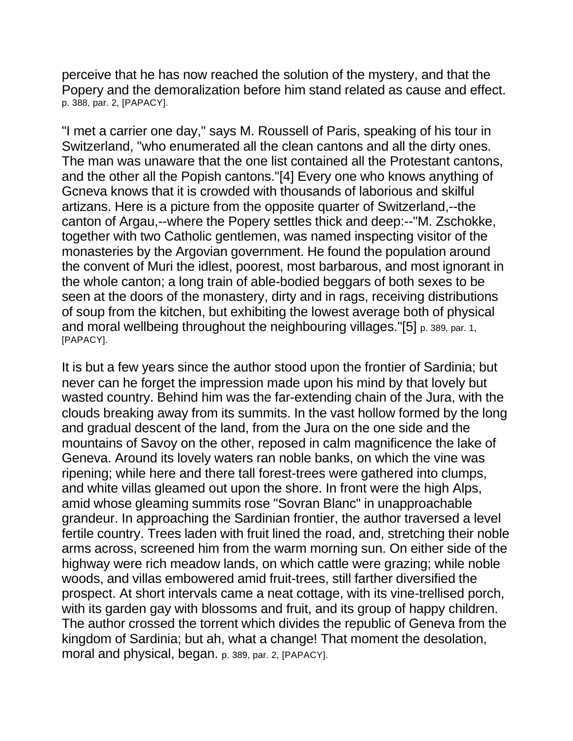perceive that he has now reached the solution of the mystery, and that the Popery and the demoralization before him stand related as cause and effect. p. 388, par. 2, [PAPACY].

"I met a carrier one day," says M. Roussell of Paris, speaking of his tour in Switzerland, "who enumerated all the clean cantons and all the dirty ones. The man was unaware that the one list contained all the Protestant cantons, and the other all the Popish cantons."[4] Every one who knows anything of Gcneva knows that it is crowded with thousands of laborious and skilful artizans. Here is a picture from the opposite quarter of Switzerland,--the canton of Argau,--where the Popery settles thick and deep:--"M. Zschokke, together with two Catholic gentlemen, was named inspecting visitor of the monasteries by the Argovian government. He found the population around the convent of Muri the idlest, poorest, most barbarous, and most ignorant in the whole canton; a long train of able-bodied beggars of both sexes to be seen at the doors of the monastery, dirty and in rags, receiving distributions of soup from the kitchen, but exhibiting the lowest average both of physical and moral wellbeing throughout the neighbouring villages."[5] p. 389, par. 1, [PAPACY].

It is but a few years since the author stood upon the frontier of Sardinia; but never can he forget the impression made upon his mind by that lovely but wasted country. Behind him was the far-extending chain of the Jura, with the clouds breaking away from its summits. In the vast hollow formed by the long and gradual descent of the land, from the Jura on the one side and the mountains of Savoy on the other, reposed in calm magnificence the lake of Geneva. Around its lovely waters ran noble banks, on which the vine was ripening; while here and there tall forest-trees were gathered into clumps, and white villas gleamed out upon the shore. In front were the high Alps, amid whose gleaming summits rose "Sovran Blanc" in unapproachable grandeur. In approaching the Sardinian frontier, the author traversed a level fertile country. Trees laden with fruit lined the road, and, stretching their noble arms across, screened him from the warm morning sun. On either side of the highway were rich meadow lands, on which cattle were grazing; while noble woods, and villas embowered amid fruit-trees, still farther diversified the prospect. At short intervals came a neat cottage, with its vine-trellised porch, with its garden gay with blossoms and fruit, and its group of happy children. The author crossed the torrent which divides the republic of Geneva from the kingdom of Sardinia; but ah, what a change! That moment the desolation, moral and physical, began. p. 389, par. 2, [PAPACY].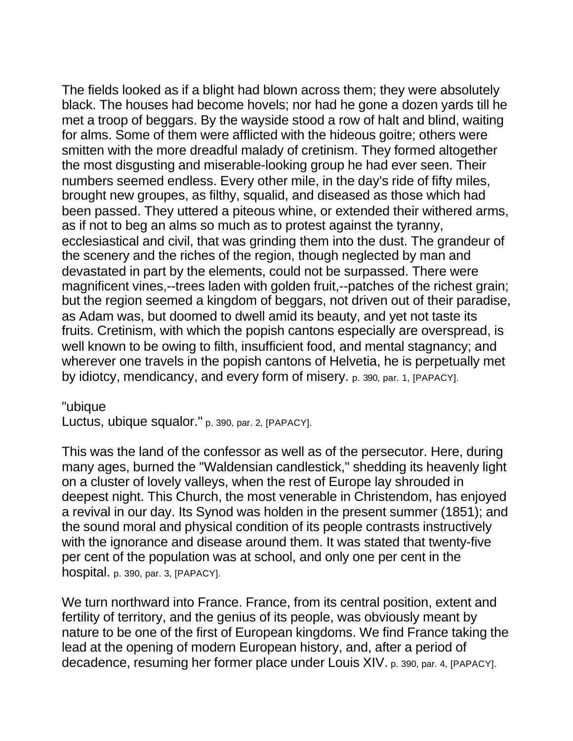The fields looked as if a blight had blown across them; they were absolutely black. The houses had become hovels; nor had he gone a dozen yards till he met a troop of beggars. By the wayside stood a row of halt and blind, waiting for alms. Some of them were afflicted with the hideous goitre; others were smitten with the more dreadful malady of cretinism. They formed altogether the most disgusting and miserable-looking group he had ever seen. Their numbers seemed endless. Every other mile, in the day's ride of fifty miles, brought new groupes, as filthy, squalid, and diseased as those which had been passed. They uttered a piteous whine, or extended their withered arms, as if not to beg an alms so much as to protest against the tyranny, ecclesiastical and civil, that was grinding them into the dust. The grandeur of the scenery and the riches of the region, though neglected by man and devastated in part by the elements, could not be surpassed. There were magnificent vines,--trees laden with golden fruit,--patches of the richest grain; but the region seemed a kingdom of beggars, not driven out of their paradise, as Adam was, but doomed to dwell amid its beauty, and yet not taste its fruits. Cretinism, with which the popish cantons especially are overspread, is well known to be owing to filth, insufficient food, and mental stagnancy; and wherever one travels in the popish cantons of Helvetia, he is perpetually met by idiotcy, mendicancy, and every form of misery. p. 390, par. 1, [PAPACY].

"ubique

Luctus, ubique squalor." p. 390, par. 2, [PAPACY].

This was the land of the confessor as well as of the persecutor. Here, during many ages, burned the "Waldensian candlestick," shedding its heavenly light on a cluster of lovely valleys, when the rest of Europe lay shrouded in deepest night. This Church, the most venerable in Christendom, has enjoyed a revival in our day. Its Synod was holden in the present summer (1851); and the sound moral and physical condition of its people contrasts instructively with the ignorance and disease around them. It was stated that twenty-five per cent of the population was at school, and only one per cent in the hospital. p. 390, par. 3, [PAPACY].

We turn northward into France. France, from its central position, extent and fertility of territory, and the genius of its people, was obviously meant by nature to be one of the first of European kingdoms. We find France taking the lead at the opening of modern European history, and, after a period of decadence, resuming her former place under Louis XIV. p. 390, par. 4, [PAPACY].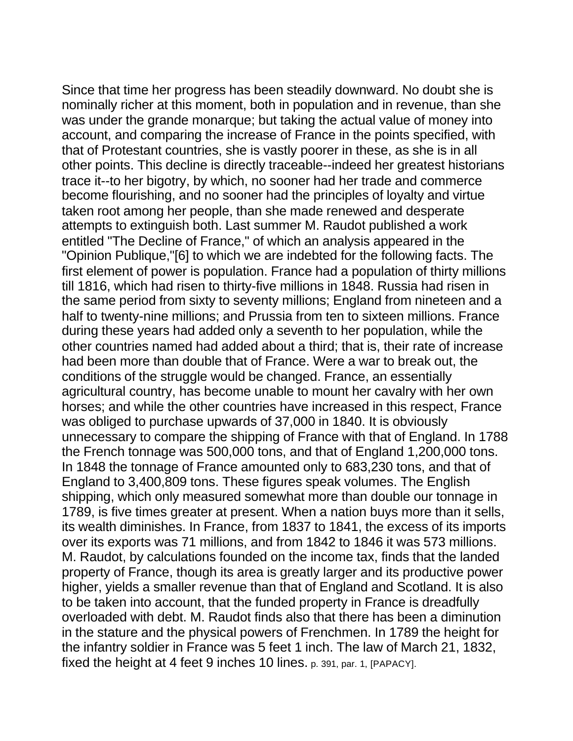Since that time her progress has been steadily downward. No doubt she is nominally richer at this moment, both in population and in revenue, than she was under the grande monarque; but taking the actual value of money into account, and comparing the increase of France in the points specified, with that of Protestant countries, she is vastly poorer in these, as she is in all other points. This decline is directly traceable--indeed her greatest historians trace it--to her bigotry, by which, no sooner had her trade and commerce become flourishing, and no sooner had the principles of loyalty and virtue taken root among her people, than she made renewed and desperate attempts to extinguish both. Last summer M. Raudot published a work entitled "The Decline of France," of which an analysis appeared in the "Opinion Publique,"[6] to which we are indebted for the following facts. The first element of power is population. France had a population of thirty millions till 1816, which had risen to thirty-five millions in 1848. Russia had risen in the same period from sixty to seventy millions; England from nineteen and a half to twenty-nine millions; and Prussia from ten to sixteen millions. France during these years had added only a seventh to her population, while the other countries named had added about a third; that is, their rate of increase had been more than double that of France. Were a war to break out, the conditions of the struggle would be changed. France, an essentially agricultural country, has become unable to mount her cavalry with her own horses; and while the other countries have increased in this respect, France was obliged to purchase upwards of 37,000 in 1840. It is obviously unnecessary to compare the shipping of France with that of England. In 1788 the French tonnage was 500,000 tons, and that of England 1,200,000 tons. In 1848 the tonnage of France amounted only to 683,230 tons, and that of England to 3,400,809 tons. These figures speak volumes. The English shipping, which only measured somewhat more than double our tonnage in 1789, is five times greater at present. When a nation buys more than it sells, its wealth diminishes. In France, from 1837 to 1841, the excess of its imports over its exports was 71 millions, and from 1842 to 1846 it was 573 millions. M. Raudot, by calculations founded on the income tax, finds that the landed property of France, though its area is greatly larger and its productive power higher, yields a smaller revenue than that of England and Scotland. It is also to be taken into account, that the funded property in France is dreadfully overloaded with debt. M. Raudot finds also that there has been a diminution in the stature and the physical powers of Frenchmen. In 1789 the height for the infantry soldier in France was 5 feet 1 inch. The law of March 21, 1832, fixed the height at 4 feet 9 inches 10 lines. p. 391, par. 1, [PAPACY].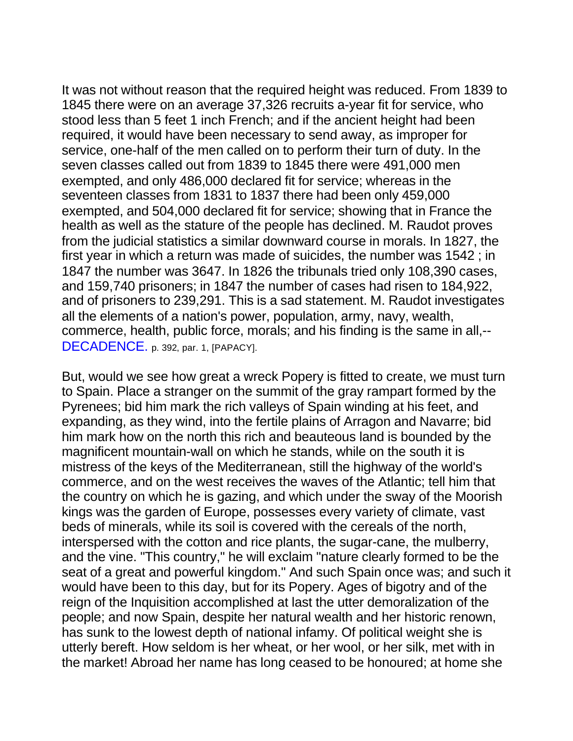It was not without reason that the required height was reduced. From 1839 to 1845 there were on an average 37,326 recruits a-year fit for service, who stood less than 5 feet 1 inch French; and if the ancient height had been required, it would have been necessary to send away, as improper for service, one-half of the men called on to perform their turn of duty. In the seven classes called out from 1839 to 1845 there were 491,000 men exempted, and only 486,000 declared fit for service; whereas in the seventeen classes from 1831 to 1837 there had been only 459,000 exempted, and 504,000 declared fit for service; showing that in France the health as well as the stature of the people has declined. M. Raudot proves from the judicial statistics a similar downward course in morals. In 1827, the first year in which a return was made of suicides, the number was 1542 ; in 1847 the number was 3647. In 1826 the tribunals tried only 108,390 cases, and 159,740 prisoners; in 1847 the number of cases had risen to 184,922, and of prisoners to 239,291. This is a sad statement. M. Raudot investigates all the elements of a nation's power, population, army, navy, wealth, commerce, health, public force, morals; and his finding is the same in all,-- DECADENCE. p. 392, par. 1, [PAPACY].

But, would we see how great a wreck Popery is fitted to create, we must turn to Spain. Place a stranger on the summit of the gray rampart formed by the Pyrenees; bid him mark the rich valleys of Spain winding at his feet, and expanding, as they wind, into the fertile plains of Arragon and Navarre; bid him mark how on the north this rich and beauteous land is bounded by the magnificent mountain-wall on which he stands, while on the south it is mistress of the keys of the Mediterranean, still the highway of the world's commerce, and on the west receives the waves of the Atlantic; tell him that the country on which he is gazing, and which under the sway of the Moorish kings was the garden of Europe, possesses every variety of climate, vast beds of minerals, while its soil is covered with the cereals of the north, interspersed with the cotton and rice plants, the sugar-cane, the mulberry, and the vine. "This country," he will exclaim "nature clearly formed to be the seat of a great and powerful kingdom." And such Spain once was; and such it would have been to this day, but for its Popery. Ages of bigotry and of the reign of the Inquisition accomplished at last the utter demoralization of the people; and now Spain, despite her natural wealth and her historic renown, has sunk to the lowest depth of national infamy. Of political weight she is utterly bereft. How seldom is her wheat, or her wool, or her silk, met with in the market! Abroad her name has long ceased to be honoured; at home she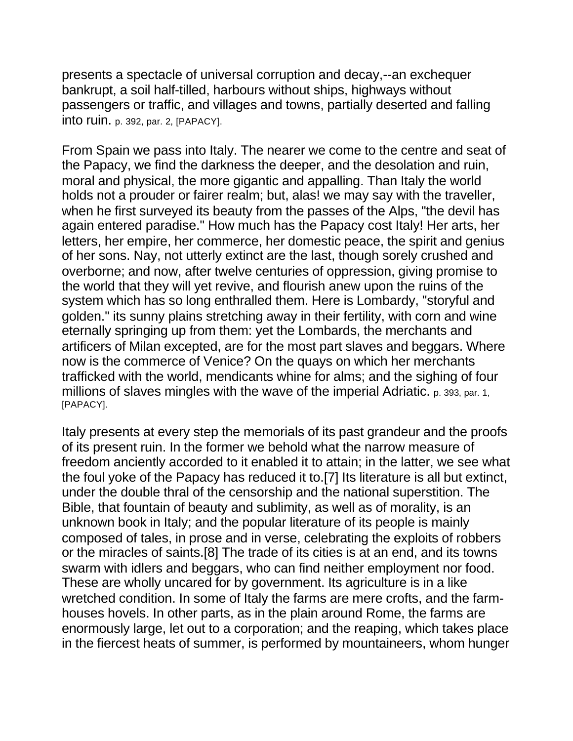presents a spectacle of universal corruption and decay,--an exchequer bankrupt, a soil half-tilled, harbours without ships, highways without passengers or traffic, and villages and towns, partially deserted and falling into ruin. p. 392, par. 2, [PAPACY].

From Spain we pass into Italy. The nearer we come to the centre and seat of the Papacy, we find the darkness the deeper, and the desolation and ruin, moral and physical, the more gigantic and appalling. Than Italy the world holds not a prouder or fairer realm; but, alas! we may say with the traveller, when he first surveyed its beauty from the passes of the Alps, "the devil has again entered paradise." How much has the Papacy cost Italy! Her arts, her letters, her empire, her commerce, her domestic peace, the spirit and genius of her sons. Nay, not utterly extinct are the last, though sorely crushed and overborne; and now, after twelve centuries of oppression, giving promise to the world that they will yet revive, and flourish anew upon the ruins of the system which has so long enthralled them. Here is Lombardy, "storyful and golden." its sunny plains stretching away in their fertility, with corn and wine eternally springing up from them: yet the Lombards, the merchants and artificers of Milan excepted, are for the most part slaves and beggars. Where now is the commerce of Venice? On the quays on which her merchants trafficked with the world, mendicants whine for alms; and the sighing of four millions of slaves mingles with the wave of the imperial Adriatic. p. 393, par. 1, [PAPACY].

Italy presents at every step the memorials of its past grandeur and the proofs of its present ruin. In the former we behold what the narrow measure of freedom anciently accorded to it enabled it to attain; in the latter, we see what the foul yoke of the Papacy has reduced it to.[7] Its literature is all but extinct, under the double thral of the censorship and the national superstition. The Bible, that fountain of beauty and sublimity, as well as of morality, is an unknown book in Italy; and the popular literature of its people is mainly composed of tales, in prose and in verse, celebrating the exploits of robbers or the miracles of saints.[8] The trade of its cities is at an end, and its towns swarm with idlers and beggars, who can find neither employment nor food. These are wholly uncared for by government. Its agriculture is in a like wretched condition. In some of Italy the farms are mere crofts, and the farmhouses hovels. In other parts, as in the plain around Rome, the farms are enormously large, let out to a corporation; and the reaping, which takes place in the fiercest heats of summer, is performed by mountaineers, whom hunger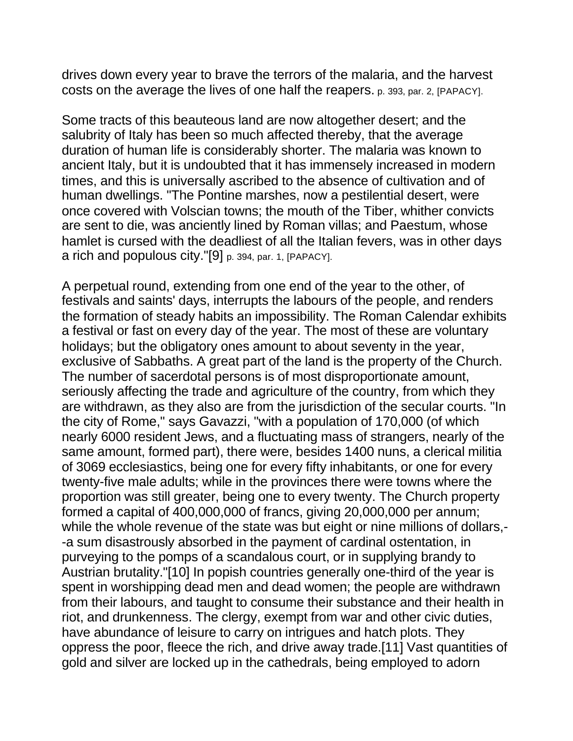drives down every year to brave the terrors of the malaria, and the harvest costs on the average the lives of one half the reapers. p. 393, par. 2, [PAPACY].

Some tracts of this beauteous land are now altogether desert; and the salubrity of Italy has been so much affected thereby, that the average duration of human life is considerably shorter. The malaria was known to ancient Italy, but it is undoubted that it has immensely increased in modern times, and this is universally ascribed to the absence of cultivation and of human dwellings. "The Pontine marshes, now a pestilential desert, were once covered with Volscian towns; the mouth of the Tiber, whither convicts are sent to die, was anciently lined by Roman villas; and Paestum, whose hamlet is cursed with the deadliest of all the Italian fevers, was in other days a rich and populous city."[9] p. 394, par. 1, [PAPACY].

A perpetual round, extending from one end of the year to the other, of festivals and saints' days, interrupts the labours of the people, and renders the formation of steady habits an impossibility. The Roman Calendar exhibits a festival or fast on every day of the year. The most of these are voluntary holidays; but the obligatory ones amount to about seventy in the year, exclusive of Sabbaths. A great part of the land is the property of the Church. The number of sacerdotal persons is of most disproportionate amount, seriously affecting the trade and agriculture of the country, from which they are withdrawn, as they also are from the jurisdiction of the secular courts. "In the city of Rome," says Gavazzi, "with a population of 170,000 (of which nearly 6000 resident Jews, and a fluctuating mass of strangers, nearly of the same amount, formed part), there were, besides 1400 nuns, a clerical militia of 3069 ecclesiastics, being one for every fifty inhabitants, or one for every twenty-five male adults; while in the provinces there were towns where the proportion was still greater, being one to every twenty. The Church property formed a capital of 400,000,000 of francs, giving 20,000,000 per annum; while the whole revenue of the state was but eight or nine millions of dollars,- -a sum disastrously absorbed in the payment of cardinal ostentation, in purveying to the pomps of a scandalous court, or in supplying brandy to Austrian brutality."[10] In popish countries generally one-third of the year is spent in worshipping dead men and dead women; the people are withdrawn from their labours, and taught to consume their substance and their health in riot, and drunkenness. The clergy, exempt from war and other civic duties, have abundance of leisure to carry on intrigues and hatch plots. They oppress the poor, fleece the rich, and drive away trade.[11] Vast quantities of gold and silver are locked up in the cathedrals, being employed to adorn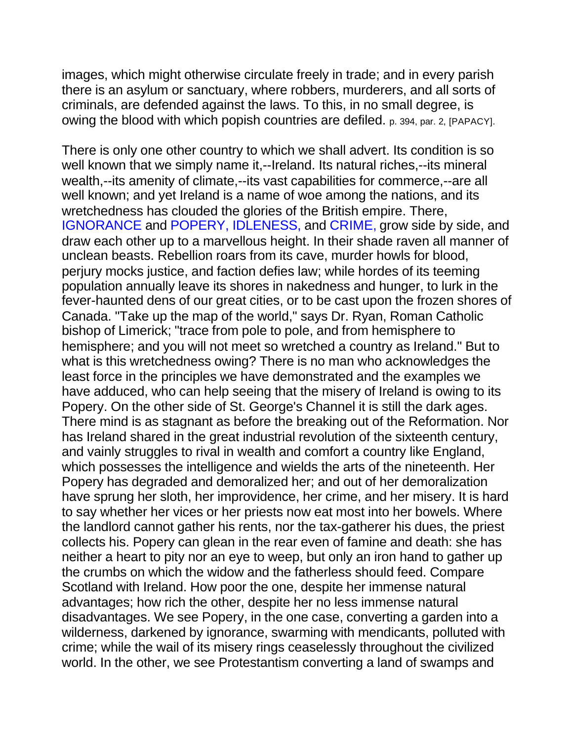images, which might otherwise circulate freely in trade; and in every parish there is an asylum or sanctuary, where robbers, murderers, and all sorts of criminals, are defended against the laws. To this, in no small degree, is owing the blood with which popish countries are defiled. p. 394, par. 2, [PAPACY].

There is only one other country to which we shall advert. Its condition is so well known that we simply name it,--Ireland. Its natural riches,--its mineral wealth,--its amenity of climate,--its vast capabilities for commerce,--are all well known; and yet Ireland is a name of woe among the nations, and its wretchedness has clouded the glories of the British empire. There, IGNORANCE and POPERY, IDLENESS, and CRIME, grow side by side, and draw each other up to a marvellous height. In their shade raven all manner of unclean beasts. Rebellion roars from its cave, murder howls for blood, perjury mocks justice, and faction defies law; while hordes of its teeming population annually leave its shores in nakedness and hunger, to lurk in the fever-haunted dens of our great cities, or to be cast upon the frozen shores of Canada. "Take up the map of the world," says Dr. Ryan, Roman Catholic bishop of Limerick; "trace from pole to pole, and from hemisphere to hemisphere; and you will not meet so wretched a country as Ireland." But to what is this wretchedness owing? There is no man who acknowledges the least force in the principles we have demonstrated and the examples we have adduced, who can help seeing that the misery of Ireland is owing to its Popery. On the other side of St. George's Channel it is still the dark ages. There mind is as stagnant as before the breaking out of the Reformation. Nor has Ireland shared in the great industrial revolution of the sixteenth century, and vainly struggles to rival in wealth and comfort a country like England, which possesses the intelligence and wields the arts of the nineteenth. Her Popery has degraded and demoralized her; and out of her demoralization have sprung her sloth, her improvidence, her crime, and her misery. It is hard to say whether her vices or her priests now eat most into her bowels. Where the landlord cannot gather his rents, nor the tax-gatherer his dues, the priest collects his. Popery can glean in the rear even of famine and death: she has neither a heart to pity nor an eye to weep, but only an iron hand to gather up the crumbs on which the widow and the fatherless should feed. Compare Scotland with Ireland. How poor the one, despite her immense natural advantages; how rich the other, despite her no less immense natural disadvantages. We see Popery, in the one case, converting a garden into a wilderness, darkened by ignorance, swarming with mendicants, polluted with crime; while the wail of its misery rings ceaselessly throughout the civilized world. In the other, we see Protestantism converting a land of swamps and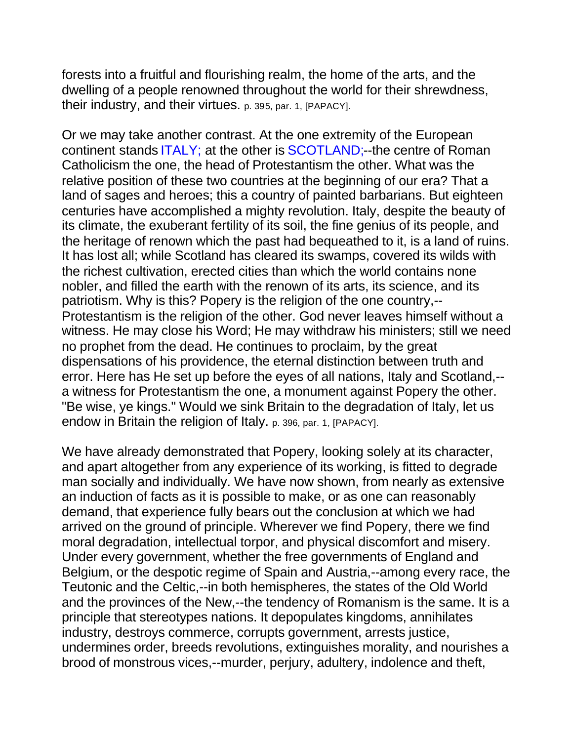forests into a fruitful and flourishing realm, the home of the arts, and the dwelling of a people renowned throughout the world for their shrewdness, their industry, and their virtues. p. 395, par. 1, [PAPACY].

Or we may take another contrast. At the one extremity of the European continent stands ITALY; at the other is SCOTLAND;--the centre of Roman Catholicism the one, the head of Protestantism the other. What was the relative position of these two countries at the beginning of our era? That a land of sages and heroes; this a country of painted barbarians. But eighteen centuries have accomplished a mighty revolution. Italy, despite the beauty of its climate, the exuberant fertility of its soil, the fine genius of its people, and the heritage of renown which the past had bequeathed to it, is a land of ruins. It has lost all; while Scotland has cleared its swamps, covered its wilds with the richest cultivation, erected cities than which the world contains none nobler, and filled the earth with the renown of its arts, its science, and its patriotism. Why is this? Popery is the religion of the one country,-- Protestantism is the religion of the other. God never leaves himself without a witness. He may close his Word; He may withdraw his ministers; still we need no prophet from the dead. He continues to proclaim, by the great dispensations of his providence, the eternal distinction between truth and error. Here has He set up before the eyes of all nations, Italy and Scotland,- a witness for Protestantism the one, a monument against Popery the other. "Be wise, ye kings." Would we sink Britain to the degradation of Italy, let us endow in Britain the religion of Italy. p. 396, par. 1, [PAPACY].

We have already demonstrated that Popery, looking solely at its character, and apart altogether from any experience of its working, is fitted to degrade man socially and individually. We have now shown, from nearly as extensive an induction of facts as it is possible to make, or as one can reasonably demand, that experience fully bears out the conclusion at which we had arrived on the ground of principle. Wherever we find Popery, there we find moral degradation, intellectual torpor, and physical discomfort and misery. Under every government, whether the free governments of England and Belgium, or the despotic regime of Spain and Austria,--among every race, the Teutonic and the Celtic,--in both hemispheres, the states of the Old World and the provinces of the New,--the tendency of Romanism is the same. It is a principle that stereotypes nations. It depopulates kingdoms, annihilates industry, destroys commerce, corrupts government, arrests justice, undermines order, breeds revolutions, extinguishes morality, and nourishes a brood of monstrous vices,--murder, perjury, adultery, indolence and theft,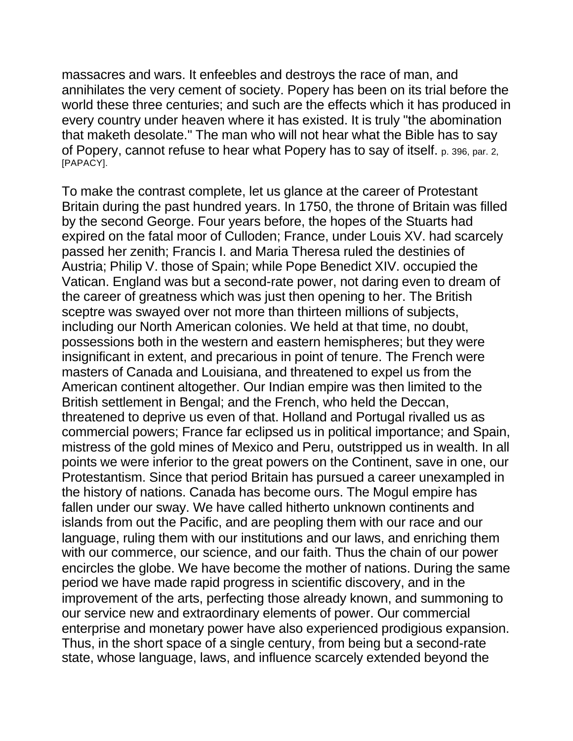massacres and wars. It enfeebles and destroys the race of man, and annihilates the very cement of society. Popery has been on its trial before the world these three centuries; and such are the effects which it has produced in every country under heaven where it has existed. It is truly "the abomination that maketh desolate." The man who will not hear what the Bible has to say of Popery, cannot refuse to hear what Popery has to say of itself. p. 396, par. 2, [PAPACY].

To make the contrast complete, let us glance at the career of Protestant Britain during the past hundred years. In 1750, the throne of Britain was filled by the second George. Four years before, the hopes of the Stuarts had expired on the fatal moor of Culloden; France, under Louis XV. had scarcely passed her zenith; Francis I. and Maria Theresa ruled the destinies of Austria; Philip V. those of Spain; while Pope Benedict XIV. occupied the Vatican. England was but a second-rate power, not daring even to dream of the career of greatness which was just then opening to her. The British sceptre was swayed over not more than thirteen millions of subjects, including our North American colonies. We held at that time, no doubt, possessions both in the western and eastern hemispheres; but they were insignificant in extent, and precarious in point of tenure. The French were masters of Canada and Louisiana, and threatened to expel us from the American continent altogether. Our Indian empire was then limited to the British settlement in Bengal; and the French, who held the Deccan, threatened to deprive us even of that. Holland and Portugal rivalled us as commercial powers; France far eclipsed us in political importance; and Spain, mistress of the gold mines of Mexico and Peru, outstripped us in wealth. In all points we were inferior to the great powers on the Continent, save in one, our Protestantism. Since that period Britain has pursued a career unexampled in the history of nations. Canada has become ours. The Mogul empire has fallen under our sway. We have called hitherto unknown continents and islands from out the Pacific, and are peopling them with our race and our language, ruling them with our institutions and our laws, and enriching them with our commerce, our science, and our faith. Thus the chain of our power encircles the globe. We have become the mother of nations. During the same period we have made rapid progress in scientific discovery, and in the improvement of the arts, perfecting those already known, and summoning to our service new and extraordinary elements of power. Our commercial enterprise and monetary power have also experienced prodigious expansion. Thus, in the short space of a single century, from being but a second-rate state, whose language, laws, and influence scarcely extended beyond the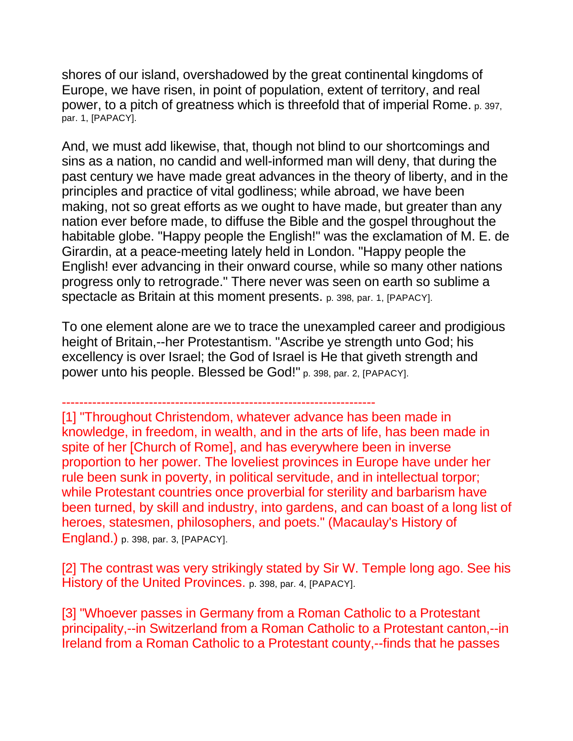shores of our island, overshadowed by the great continental kingdoms of Europe, we have risen, in point of population, extent of territory, and real power, to a pitch of greatness which is threefold that of imperial Rome. p. 397, par. 1, [PAPACY].

And, we must add likewise, that, though not blind to our shortcomings and sins as a nation, no candid and well-informed man will deny, that during the past century we have made great advances in the theory of liberty, and in the principles and practice of vital godliness; while abroad, we have been making, not so great efforts as we ought to have made, but greater than any nation ever before made, to diffuse the Bible and the gospel throughout the habitable globe. "Happy people the English!" was the exclamation of M. E. de Girardin, at a peace-meeting lately held in London. "Happy people the English! ever advancing in their onward course, while so many other nations progress only to retrograde." There never was seen on earth so sublime a spectacle as Britain at this moment presents. p. 398, par. 1, [PAPACY].

To one element alone are we to trace the unexampled career and prodigious height of Britain,--her Protestantism. "Ascribe ye strength unto God; his excellency is over Israel; the God of Israel is He that giveth strength and power unto his people. Blessed be God!" p. 398, par. 2, [PAPACY].

------------------------------------------------------------------------

[1] "Throughout Christendom, whatever advance has been made in knowledge, in freedom, in wealth, and in the arts of life, has been made in spite of her [Church of Rome], and has everywhere been in inverse proportion to her power. The loveliest provinces in Europe have under her rule been sunk in poverty, in political servitude, and in intellectual torpor; while Protestant countries once proverbial for sterility and barbarism have been turned, by skill and industry, into gardens, and can boast of a long list of heroes, statesmen, philosophers, and poets." (Macaulay's History of England.) p. 398, par. 3, [PAPACY].

[2] The contrast was very strikingly stated by Sir W. Temple long ago. See his History of the United Provinces. p. 398, par. 4, [PAPACY].

[3] "Whoever passes in Germany from a Roman Catholic to a Protestant principality,--in Switzerland from a Roman Catholic to a Protestant canton,--in Ireland from a Roman Catholic to a Protestant county,--finds that he passes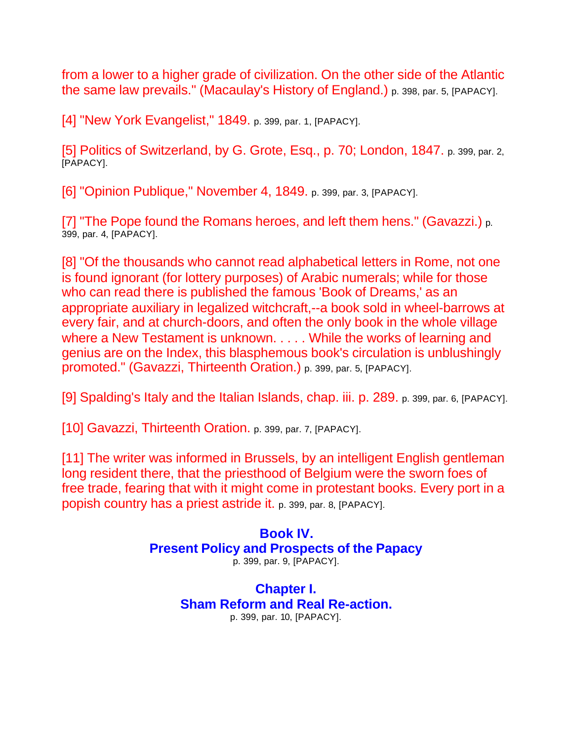from a lower to a higher grade of civilization. On the other side of the Atlantic the same law prevails." (Macaulay's History of England.) p. 398, par. 5, [PAPACY].

[4] "New York Evangelist," 1849. p. 399, par. 1, [PAPACY].

[5] Politics of Switzerland, by G. Grote, Esq., p. 70; London, 1847. p. 399, par. 2, [PAPACY].

[6] "Opinion Publique," November 4, 1849. p. 399, par. 3, [PAPACY].

[7] "The Pope found the Romans heroes, and left them hens." (Gavazzi.) p. 399, par. 4, [PAPACY].

[8] "Of the thousands who cannot read alphabetical letters in Rome, not one is found ignorant (for lottery purposes) of Arabic numerals; while for those who can read there is published the famous 'Book of Dreams,' as an appropriate auxiliary in legalized witchcraft,--a book sold in wheel-barrows at every fair, and at church-doors, and often the only book in the whole village where a New Testament is unknown. . . . . While the works of learning and genius are on the Index, this blasphemous book's circulation is unblushingly promoted." (Gavazzi, Thirteenth Oration.) p. 399, par. 5, [PAPACY].

[9] Spalding's Italy and the Italian Islands, chap. iii. p. 289. p. 399, par. 6, [PAPACY].

[10] Gavazzi, Thirteenth Oration. p. 399, par. 7, [PAPACY].

[11] The writer was informed in Brussels, by an intelligent English gentleman long resident there, that the priesthood of Belgium were the sworn foes of free trade, fearing that with it might come in protestant books. Every port in a popish country has a priest astride it. p. 399, par. 8, [PAPACY].

#### **Book IV. Present Policy and Prospects of the Papacy** p. 399, par. 9, [PAPACY].

# **Chapter I. Sham Reform and Real Re-action.** p. 399, par. 10, [PAPACY].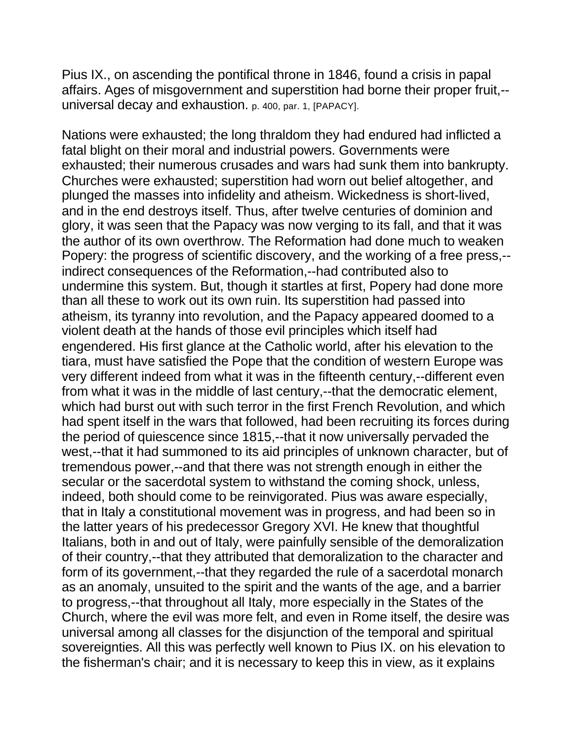Pius IX., on ascending the pontifical throne in 1846, found a crisis in papal affairs. Ages of misgovernment and superstition had borne their proper fruit,- universal decay and exhaustion. p. 400, par. 1, [PAPACY].

Nations were exhausted; the long thraldom they had endured had inflicted a fatal blight on their moral and industrial powers. Governments were exhausted; their numerous crusades and wars had sunk them into bankrupty. Churches were exhausted; superstition had worn out belief altogether, and plunged the masses into infidelity and atheism. Wickedness is short-lived, and in the end destroys itself. Thus, after twelve centuries of dominion and glory, it was seen that the Papacy was now verging to its fall, and that it was the author of its own overthrow. The Reformation had done much to weaken Popery: the progress of scientific discovery, and the working of a free press,- indirect consequences of the Reformation,--had contributed also to undermine this system. But, though it startles at first, Popery had done more than all these to work out its own ruin. Its superstition had passed into atheism, its tyranny into revolution, and the Papacy appeared doomed to a violent death at the hands of those evil principles which itself had engendered. His first glance at the Catholic world, after his elevation to the tiara, must have satisfied the Pope that the condition of western Europe was very different indeed from what it was in the fifteenth century,--different even from what it was in the middle of last century,--that the democratic element, which had burst out with such terror in the first French Revolution, and which had spent itself in the wars that followed, had been recruiting its forces during the period of quiescence since 1815,--that it now universally pervaded the west,--that it had summoned to its aid principles of unknown character, but of tremendous power,--and that there was not strength enough in either the secular or the sacerdotal system to withstand the coming shock, unless, indeed, both should come to be reinvigorated. Pius was aware especially, that in Italy a constitutional movement was in progress, and had been so in the latter years of his predecessor Gregory XVI. He knew that thoughtful Italians, both in and out of Italy, were painfully sensible of the demoralization of their country,--that they attributed that demoralization to the character and form of its government,--that they regarded the rule of a sacerdotal monarch as an anomaly, unsuited to the spirit and the wants of the age, and a barrier to progress,--that throughout all Italy, more especially in the States of the Church, where the evil was more felt, and even in Rome itself, the desire was universal among all classes for the disjunction of the temporal and spiritual sovereignties. All this was perfectly well known to Pius IX. on his elevation to the fisherman's chair; and it is necessary to keep this in view, as it explains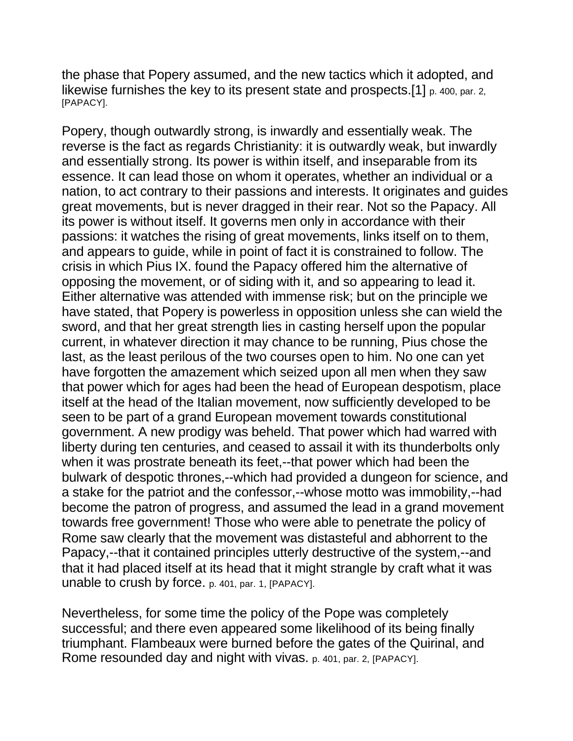the phase that Popery assumed, and the new tactics which it adopted, and likewise furnishes the key to its present state and prospects.<sup>[1]</sup> p. 400, par. 2, [PAPACY].

Popery, though outwardly strong, is inwardly and essentially weak. The reverse is the fact as regards Christianity: it is outwardly weak, but inwardly and essentially strong. Its power is within itself, and inseparable from its essence. It can lead those on whom it operates, whether an individual or a nation, to act contrary to their passions and interests. It originates and guides great movements, but is never dragged in their rear. Not so the Papacy. All its power is without itself. It governs men only in accordance with their passions: it watches the rising of great movements, links itself on to them, and appears to guide, while in point of fact it is constrained to follow. The crisis in which Pius IX. found the Papacy offered him the alternative of opposing the movement, or of siding with it, and so appearing to lead it. Either alternative was attended with immense risk; but on the principle we have stated, that Popery is powerless in opposition unless she can wield the sword, and that her great strength lies in casting herself upon the popular current, in whatever direction it may chance to be running, Pius chose the last, as the least perilous of the two courses open to him. No one can yet have forgotten the amazement which seized upon all men when they saw that power which for ages had been the head of European despotism, place itself at the head of the Italian movement, now sufficiently developed to be seen to be part of a grand European movement towards constitutional government. A new prodigy was beheld. That power which had warred with liberty during ten centuries, and ceased to assail it with its thunderbolts only when it was prostrate beneath its feet,--that power which had been the bulwark of despotic thrones,--which had provided a dungeon for science, and a stake for the patriot and the confessor,--whose motto was immobility,--had become the patron of progress, and assumed the lead in a grand movement towards free government! Those who were able to penetrate the policy of Rome saw clearly that the movement was distasteful and abhorrent to the Papacy,--that it contained principles utterly destructive of the system,--and that it had placed itself at its head that it might strangle by craft what it was unable to crush by force. p. 401, par. 1, [PAPACY].

Nevertheless, for some time the policy of the Pope was completely successful; and there even appeared some likelihood of its being finally triumphant. Flambeaux were burned before the gates of the Quirinal, and Rome resounded day and night with vivas. p. 401, par. 2, [PAPACY].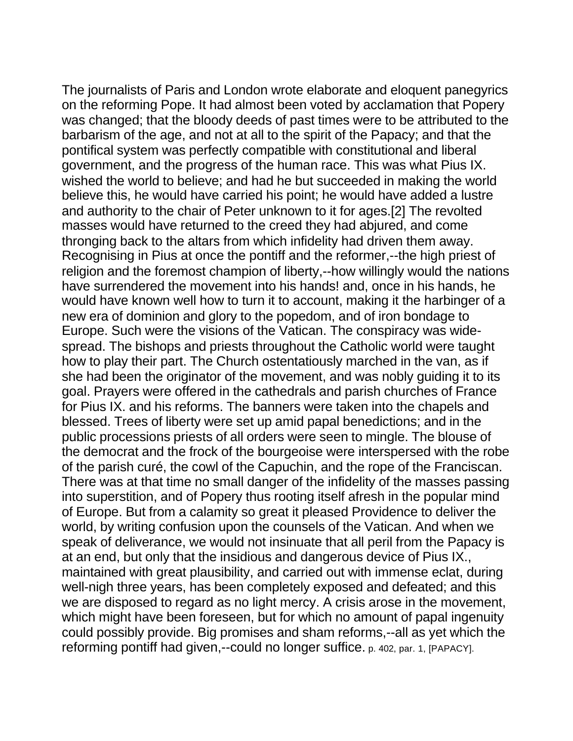The journalists of Paris and London wrote elaborate and eloquent panegyrics on the reforming Pope. It had almost been voted by acclamation that Popery was changed; that the bloody deeds of past times were to be attributed to the barbarism of the age, and not at all to the spirit of the Papacy; and that the pontifical system was perfectly compatible with constitutional and liberal government, and the progress of the human race. This was what Pius IX. wished the world to believe; and had he but succeeded in making the world believe this, he would have carried his point; he would have added a lustre and authority to the chair of Peter unknown to it for ages.[2] The revolted masses would have returned to the creed they had abjured, and come thronging back to the altars from which infidelity had driven them away. Recognising in Pius at once the pontiff and the reformer,--the high priest of religion and the foremost champion of liberty,--how willingly would the nations have surrendered the movement into his hands! and, once in his hands, he would have known well how to turn it to account, making it the harbinger of a new era of dominion and glory to the popedom, and of iron bondage to Europe. Such were the visions of the Vatican. The conspiracy was widespread. The bishops and priests throughout the Catholic world were taught how to play their part. The Church ostentatiously marched in the van, as if she had been the originator of the movement, and was nobly guiding it to its goal. Prayers were offered in the cathedrals and parish churches of France for Pius IX. and his reforms. The banners were taken into the chapels and blessed. Trees of liberty were set up amid papal benedictions; and in the public processions priests of all orders were seen to mingle. The blouse of the democrat and the frock of the bourgeoise were interspersed with the robe of the parish curé, the cowl of the Capuchin, and the rope of the Franciscan. There was at that time no small danger of the infidelity of the masses passing into superstition, and of Popery thus rooting itself afresh in the popular mind of Europe. But from a calamity so great it pleased Providence to deliver the world, by writing confusion upon the counsels of the Vatican. And when we speak of deliverance, we would not insinuate that all peril from the Papacy is at an end, but only that the insidious and dangerous device of Pius IX., maintained with great plausibility, and carried out with immense eclat, during well-nigh three years, has been completely exposed and defeated; and this we are disposed to regard as no light mercy. A crisis arose in the movement, which might have been foreseen, but for which no amount of papal ingenuity could possibly provide. Big promises and sham reforms,--all as yet which the reforming pontiff had given,--could no longer suffice. p. 402, par. 1, [PAPACY].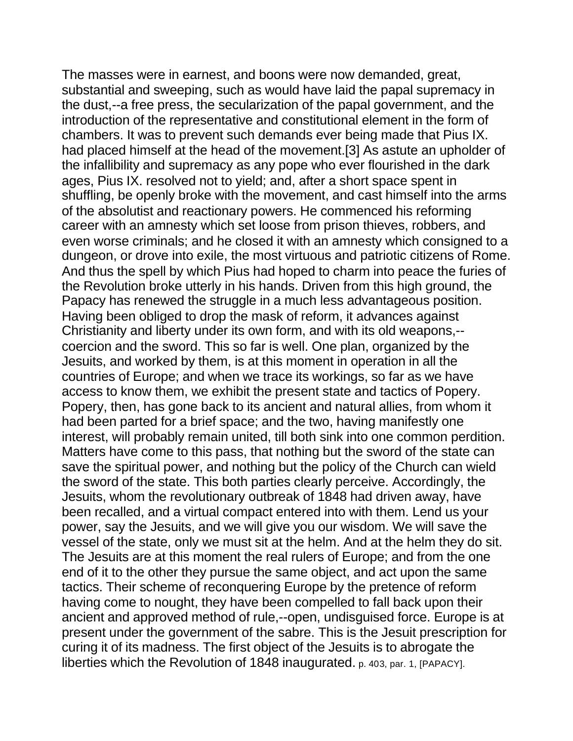The masses were in earnest, and boons were now demanded, great, substantial and sweeping, such as would have laid the papal supremacy in the dust,--a free press, the secularization of the papal government, and the introduction of the representative and constitutional element in the form of chambers. It was to prevent such demands ever being made that Pius IX. had placed himself at the head of the movement.[3] As astute an upholder of the infallibility and supremacy as any pope who ever flourished in the dark ages, Pius IX. resolved not to yield; and, after a short space spent in shuffling, be openly broke with the movement, and cast himself into the arms of the absolutist and reactionary powers. He commenced his reforming career with an amnesty which set loose from prison thieves, robbers, and even worse criminals; and he closed it with an amnesty which consigned to a dungeon, or drove into exile, the most virtuous and patriotic citizens of Rome. And thus the spell by which Pius had hoped to charm into peace the furies of the Revolution broke utterly in his hands. Driven from this high ground, the Papacy has renewed the struggle in a much less advantageous position. Having been obliged to drop the mask of reform, it advances against Christianity and liberty under its own form, and with its old weapons,- coercion and the sword. This so far is well. One plan, organized by the Jesuits, and worked by them, is at this moment in operation in all the countries of Europe; and when we trace its workings, so far as we have access to know them, we exhibit the present state and tactics of Popery. Popery, then, has gone back to its ancient and natural allies, from whom it had been parted for a brief space; and the two, having manifestly one interest, will probably remain united, till both sink into one common perdition. Matters have come to this pass, that nothing but the sword of the state can save the spiritual power, and nothing but the policy of the Church can wield the sword of the state. This both parties clearly perceive. Accordingly, the Jesuits, whom the revolutionary outbreak of 1848 had driven away, have been recalled, and a virtual compact entered into with them. Lend us your power, say the Jesuits, and we will give you our wisdom. We will save the vessel of the state, only we must sit at the helm. And at the helm they do sit. The Jesuits are at this moment the real rulers of Europe; and from the one end of it to the other they pursue the same object, and act upon the same tactics. Their scheme of reconquering Europe by the pretence of reform having come to nought, they have been compelled to fall back upon their ancient and approved method of rule,--open, undisguised force. Europe is at present under the government of the sabre. This is the Jesuit prescription for curing it of its madness. The first object of the Jesuits is to abrogate the liberties which the Revolution of 1848 inaugurated. p. 403, par. 1, [PAPACY].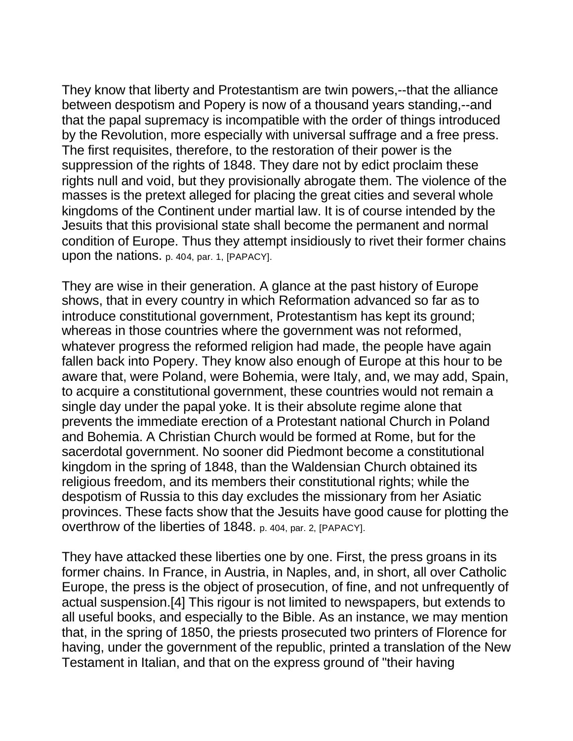They know that liberty and Protestantism are twin powers,--that the alliance between despotism and Popery is now of a thousand years standing,--and that the papal supremacy is incompatible with the order of things introduced by the Revolution, more especially with universal suffrage and a free press. The first requisites, therefore, to the restoration of their power is the suppression of the rights of 1848. They dare not by edict proclaim these rights null and void, but they provisionally abrogate them. The violence of the masses is the pretext alleged for placing the great cities and several whole kingdoms of the Continent under martial law. It is of course intended by the Jesuits that this provisional state shall become the permanent and normal condition of Europe. Thus they attempt insidiously to rivet their former chains upon the nations. p. 404, par. 1, [PAPACY].

They are wise in their generation. A glance at the past history of Europe shows, that in every country in which Reformation advanced so far as to introduce constitutional government, Protestantism has kept its ground; whereas in those countries where the government was not reformed, whatever progress the reformed religion had made, the people have again fallen back into Popery. They know also enough of Europe at this hour to be aware that, were Poland, were Bohemia, were Italy, and, we may add, Spain, to acquire a constitutional government, these countries would not remain a single day under the papal yoke. It is their absolute regime alone that prevents the immediate erection of a Protestant national Church in Poland and Bohemia. A Christian Church would be formed at Rome, but for the sacerdotal government. No sooner did Piedmont become a constitutional kingdom in the spring of 1848, than the Waldensian Church obtained its religious freedom, and its members their constitutional rights; while the despotism of Russia to this day excludes the missionary from her Asiatic provinces. These facts show that the Jesuits have good cause for plotting the overthrow of the liberties of 1848. p. 404, par. 2, [PAPACY].

They have attacked these liberties one by one. First, the press groans in its former chains. In France, in Austria, in Naples, and, in short, all over Catholic Europe, the press is the object of prosecution, of fine, and not unfrequently of actual suspension.[4] This rigour is not limited to newspapers, but extends to all useful books, and especially to the Bible. As an instance, we may mention that, in the spring of 1850, the priests prosecuted two printers of Florence for having, under the government of the republic, printed a translation of the New Testament in Italian, and that on the express ground of "their having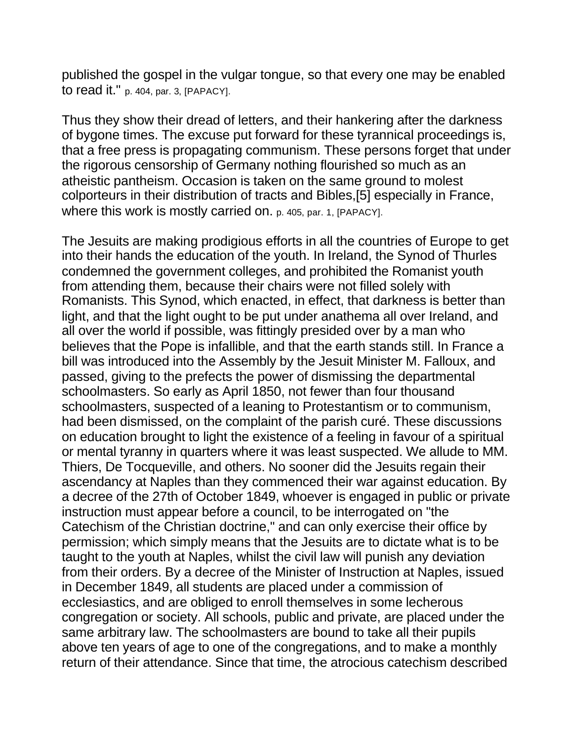published the gospel in the vulgar tongue, so that every one may be enabled to read it." p. 404, par. 3, [PAPACY].

Thus they show their dread of letters, and their hankering after the darkness of bygone times. The excuse put forward for these tyrannical proceedings is, that a free press is propagating communism. These persons forget that under the rigorous censorship of Germany nothing flourished so much as an atheistic pantheism. Occasion is taken on the same ground to molest colporteurs in their distribution of tracts and Bibles,[5] especially in France, where this work is mostly carried on. p. 405, par. 1, [PAPACY].

The Jesuits are making prodigious efforts in all the countries of Europe to get into their hands the education of the youth. In Ireland, the Synod of Thurles condemned the government colleges, and prohibited the Romanist youth from attending them, because their chairs were not filled solely with Romanists. This Synod, which enacted, in effect, that darkness is better than light, and that the light ought to be put under anathema all over Ireland, and all over the world if possible, was fittingly presided over by a man who believes that the Pope is infallible, and that the earth stands still. In France a bill was introduced into the Assembly by the Jesuit Minister M. Falloux, and passed, giving to the prefects the power of dismissing the departmental schoolmasters. So early as April 1850, not fewer than four thousand schoolmasters, suspected of a leaning to Protestantism or to communism, had been dismissed, on the complaint of the parish curé. These discussions on education brought to light the existence of a feeling in favour of a spiritual or mental tyranny in quarters where it was least suspected. We allude to MM. Thiers, De Tocqueville, and others. No sooner did the Jesuits regain their ascendancy at Naples than they commenced their war against education. By a decree of the 27th of October 1849, whoever is engaged in public or private instruction must appear before a council, to be interrogated on "the Catechism of the Christian doctrine," and can only exercise their office by permission; which simply means that the Jesuits are to dictate what is to be taught to the youth at Naples, whilst the civil law will punish any deviation from their orders. By a decree of the Minister of Instruction at Naples, issued in December 1849, all students are placed under a commission of ecclesiastics, and are obliged to enroll themselves in some lecherous congregation or society. All schools, public and private, are placed under the same arbitrary law. The schoolmasters are bound to take all their pupils above ten years of age to one of the congregations, and to make a monthly return of their attendance. Since that time, the atrocious catechism described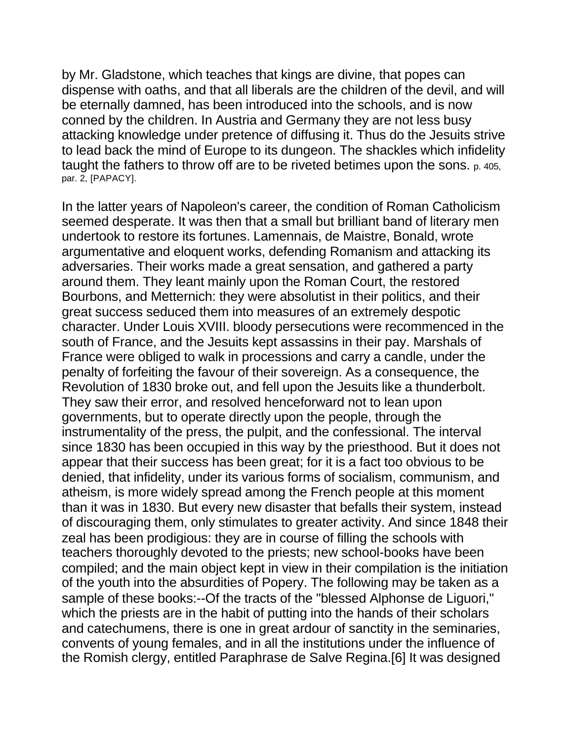by Mr. Gladstone, which teaches that kings are divine, that popes can dispense with oaths, and that all liberals are the children of the devil, and will be eternally damned, has been introduced into the schools, and is now conned by the children. In Austria and Germany they are not less busy attacking knowledge under pretence of diffusing it. Thus do the Jesuits strive to lead back the mind of Europe to its dungeon. The shackles which infidelity taught the fathers to throw off are to be riveted betimes upon the sons. p. 405, par. 2, [PAPACY].

In the latter years of Napoleon's career, the condition of Roman Catholicism seemed desperate. It was then that a small but brilliant band of literary men undertook to restore its fortunes. Lamennais, de Maistre, Bonald, wrote argumentative and eloquent works, defending Romanism and attacking its adversaries. Their works made a great sensation, and gathered a party around them. They leant mainly upon the Roman Court, the restored Bourbons, and Metternich: they were absolutist in their politics, and their great success seduced them into measures of an extremely despotic character. Under Louis XVIII. bloody persecutions were recommenced in the south of France, and the Jesuits kept assassins in their pay. Marshals of France were obliged to walk in processions and carry a candle, under the penalty of forfeiting the favour of their sovereign. As a consequence, the Revolution of 1830 broke out, and fell upon the Jesuits like a thunderbolt. They saw their error, and resolved henceforward not to lean upon governments, but to operate directly upon the people, through the instrumentality of the press, the pulpit, and the confessional. The interval since 1830 has been occupied in this way by the priesthood. But it does not appear that their success has been great; for it is a fact too obvious to be denied, that infidelity, under its various forms of socialism, communism, and atheism, is more widely spread among the French people at this moment than it was in 1830. But every new disaster that befalls their system, instead of discouraging them, only stimulates to greater activity. And since 1848 their zeal has been prodigious: they are in course of filling the schools with teachers thoroughly devoted to the priests; new school-books have been compiled; and the main object kept in view in their compilation is the initiation of the youth into the absurdities of Popery. The following may be taken as a sample of these books:--Of the tracts of the "blessed Alphonse de Liguori," which the priests are in the habit of putting into the hands of their scholars and catechumens, there is one in great ardour of sanctity in the seminaries, convents of young females, and in all the institutions under the influence of the Romish clergy, entitled Paraphrase de Salve Regina.[6] It was designed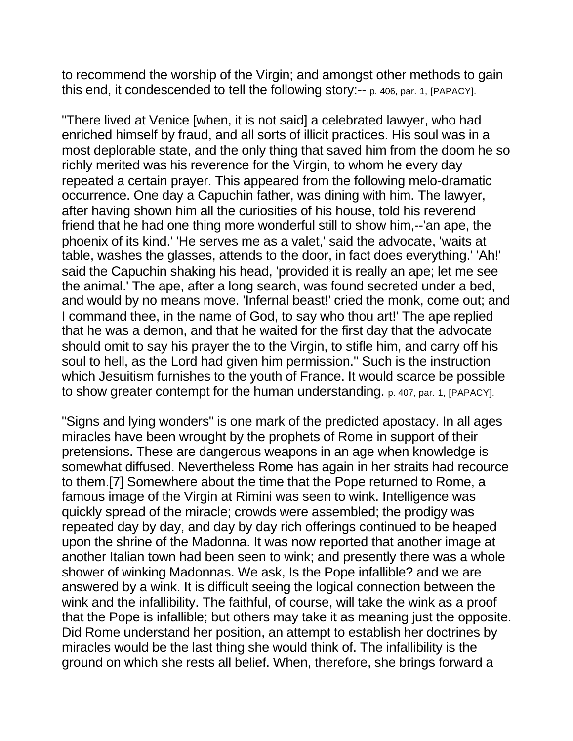to recommend the worship of the Virgin; and amongst other methods to gain this end, it condescended to tell the following story:-- p. 406, par. 1, [PAPACY].

"There lived at Venice [when, it is not said] a celebrated lawyer, who had enriched himself by fraud, and all sorts of illicit practices. His soul was in a most deplorable state, and the only thing that saved him from the doom he so richly merited was his reverence for the Virgin, to whom he every day repeated a certain prayer. This appeared from the following melo-dramatic occurrence. One day a Capuchin father, was dining with him. The lawyer, after having shown him all the curiosities of his house, told his reverend friend that he had one thing more wonderful still to show him,--'an ape, the phoenix of its kind.' 'He serves me as a valet,' said the advocate, 'waits at table, washes the glasses, attends to the door, in fact does everything.' 'Ah!' said the Capuchin shaking his head, 'provided it is really an ape; let me see the animal.' The ape, after a long search, was found secreted under a bed, and would by no means move. 'Infernal beast!' cried the monk, come out; and I command thee, in the name of God, to say who thou art!' The ape replied that he was a demon, and that he waited for the first day that the advocate should omit to say his prayer the to the Virgin, to stifle him, and carry off his soul to hell, as the Lord had given him permission." Such is the instruction which Jesuitism furnishes to the youth of France. It would scarce be possible to show greater contempt for the human understanding. p. 407, par. 1, [PAPACY].

"Signs and lying wonders" is one mark of the predicted apostacy. In all ages miracles have been wrought by the prophets of Rome in support of their pretensions. These are dangerous weapons in an age when knowledge is somewhat diffused. Nevertheless Rome has again in her straits had recource to them.[7] Somewhere about the time that the Pope returned to Rome, a famous image of the Virgin at Rimini was seen to wink. Intelligence was quickly spread of the miracle; crowds were assembled; the prodigy was repeated day by day, and day by day rich offerings continued to be heaped upon the shrine of the Madonna. It was now reported that another image at another Italian town had been seen to wink; and presently there was a whole shower of winking Madonnas. We ask, Is the Pope infallible? and we are answered by a wink. It is difficult seeing the logical connection between the wink and the infallibility. The faithful, of course, will take the wink as a proof that the Pope is infallible; but others may take it as meaning just the opposite. Did Rome understand her position, an attempt to establish her doctrines by miracles would be the last thing she would think of. The infallibility is the ground on which she rests all belief. When, therefore, she brings forward a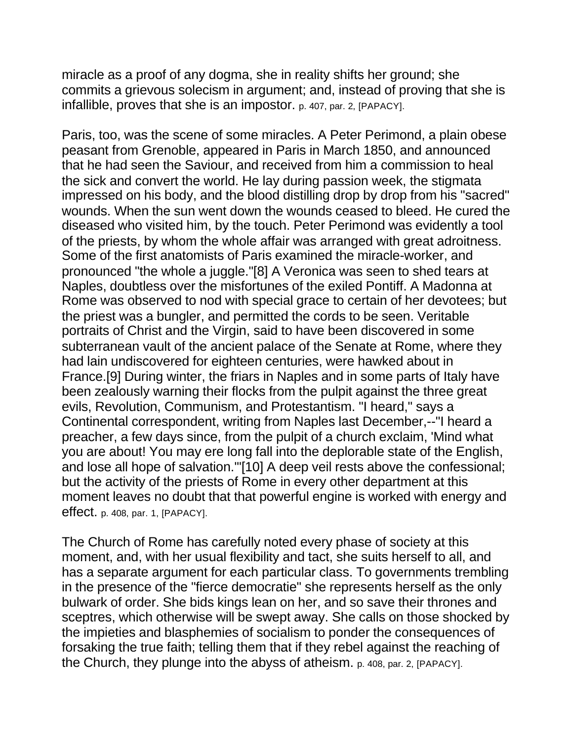miracle as a proof of any dogma, she in reality shifts her ground; she commits a grievous solecism in argument; and, instead of proving that she is infallible, proves that she is an impostor. p. 407, par. 2, [PAPACY].

Paris, too, was the scene of some miracles. A Peter Perimond, a plain obese peasant from Grenoble, appeared in Paris in March 1850, and announced that he had seen the Saviour, and received from him a commission to heal the sick and convert the world. He lay during passion week, the stigmata impressed on his body, and the blood distilling drop by drop from his "sacred" wounds. When the sun went down the wounds ceased to bleed. He cured the diseased who visited him, by the touch. Peter Perimond was evidently a tool of the priests, by whom the whole affair was arranged with great adroitness. Some of the first anatomists of Paris examined the miracle-worker, and pronounced "the whole a juggle."[8] A Veronica was seen to shed tears at Naples, doubtless over the misfortunes of the exiled Pontiff. A Madonna at Rome was observed to nod with special grace to certain of her devotees; but the priest was a bungler, and permitted the cords to be seen. Veritable portraits of Christ and the Virgin, said to have been discovered in some subterranean vault of the ancient palace of the Senate at Rome, where they had lain undiscovered for eighteen centuries, were hawked about in France.[9] During winter, the friars in Naples and in some parts of Italy have been zealously warning their flocks from the pulpit against the three great evils, Revolution, Communism, and Protestantism. "I heard," says a Continental correspondent, writing from Naples last December,--"I heard a preacher, a few days since, from the pulpit of a church exclaim, 'Mind what you are about! You may ere long fall into the deplorable state of the English, and lose all hope of salvation.'"[10] A deep veil rests above the confessional; but the activity of the priests of Rome in every other department at this moment leaves no doubt that that powerful engine is worked with energy and effect. p. 408, par. 1, [PAPACY].

The Church of Rome has carefully noted every phase of society at this moment, and, with her usual flexibility and tact, she suits herself to all, and has a separate argument for each particular class. To governments trembling in the presence of the "fierce democratie" she represents herself as the only bulwark of order. She bids kings lean on her, and so save their thrones and sceptres, which otherwise will be swept away. She calls on those shocked by the impieties and blasphemies of socialism to ponder the consequences of forsaking the true faith; telling them that if they rebel against the reaching of the Church, they plunge into the abyss of atheism. p. 408, par. 2, [PAPACY].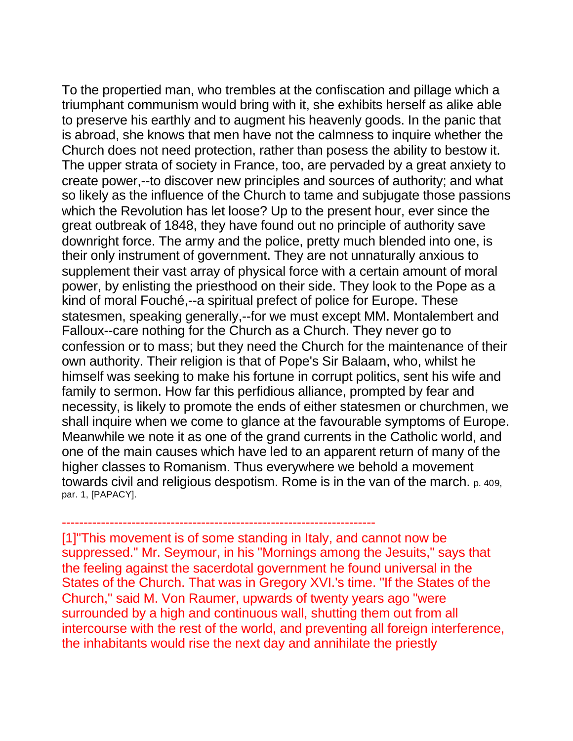To the propertied man, who trembles at the confiscation and pillage which a triumphant communism would bring with it, she exhibits herself as alike able to preserve his earthly and to augment his heavenly goods. In the panic that is abroad, she knows that men have not the calmness to inquire whether the Church does not need protection, rather than posess the ability to bestow it. The upper strata of society in France, too, are pervaded by a great anxiety to create power,--to discover new principles and sources of authority; and what so likely as the influence of the Church to tame and subjugate those passions which the Revolution has let loose? Up to the present hour, ever since the great outbreak of 1848, they have found out no principle of authority save downright force. The army and the police, pretty much blended into one, is their only instrument of government. They are not unnaturally anxious to supplement their vast array of physical force with a certain amount of moral power, by enlisting the priesthood on their side. They look to the Pope as a kind of moral Fouché,--a spiritual prefect of police for Europe. These statesmen, speaking generally,--for we must except MM. Montalembert and Falloux--care nothing for the Church as a Church. They never go to confession or to mass; but they need the Church for the maintenance of their own authority. Their religion is that of Pope's Sir Balaam, who, whilst he himself was seeking to make his fortune in corrupt politics, sent his wife and family to sermon. How far this perfidious alliance, prompted by fear and necessity, is likely to promote the ends of either statesmen or churchmen, we shall inquire when we come to glance at the favourable symptoms of Europe. Meanwhile we note it as one of the grand currents in the Catholic world, and one of the main causes which have led to an apparent return of many of the higher classes to Romanism. Thus everywhere we behold a movement towards civil and religious despotism. Rome is in the van of the march. p. 409, par. 1, [PAPACY].

[1]"This movement is of some standing in Italy, and cannot now be suppressed." Mr. Seymour, in his "Mornings among the Jesuits," says that the feeling against the sacerdotal government he found universal in the States of the Church. That was in Gregory XVI.'s time. "If the States of the Church," said M. Von Raumer, upwards of twenty years ago "were surrounded by a high and continuous wall, shutting them out from all intercourse with the rest of the world, and preventing all foreign interference, the inhabitants would rise the next day and annihilate the priestly

------------------------------------------------------------------------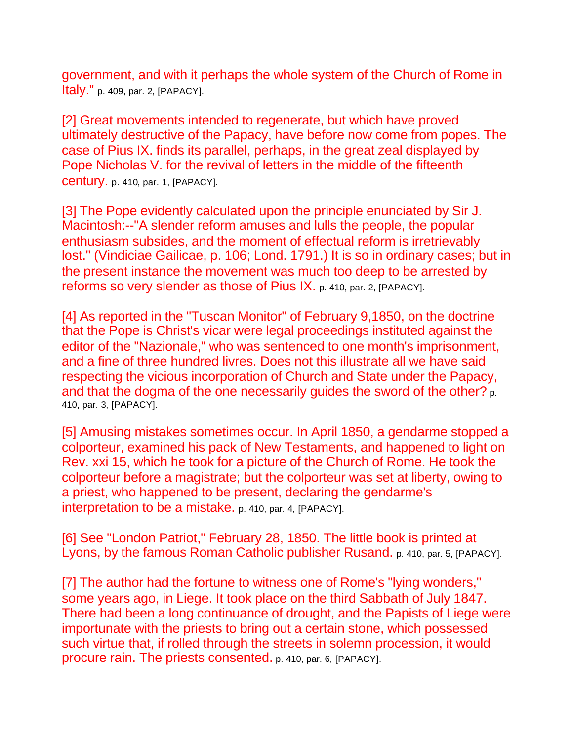government, and with it perhaps the whole system of the Church of Rome in Italy." p. 409, par. 2, [PAPACY].

[2] Great movements intended to regenerate, but which have proved ultimately destructive of the Papacy, have before now come from popes. The case of Pius IX. finds its parallel, perhaps, in the great zeal displayed by Pope Nicholas V. for the revival of letters in the middle of the fifteenth century. p. 410, par. 1, [PAPACY].

[3] The Pope evidently calculated upon the principle enunciated by Sir J. Macintosh:--"A slender reform amuses and lulls the people, the popular enthusiasm subsides, and the moment of effectual reform is irretrievably lost." (Vindiciae Gailicae, p. 106; Lond. 1791.) It is so in ordinary cases; but in the present instance the movement was much too deep to be arrested by reforms so very slender as those of Pius IX. p. 410, par. 2, [PAPACY].

[4] As reported in the "Tuscan Monitor" of February 9,1850, on the doctrine that the Pope is Christ's vicar were legal proceedings instituted against the editor of the "Nazionale," who was sentenced to one month's imprisonment, and a fine of three hundred livres. Does not this illustrate all we have said respecting the vicious incorporation of Church and State under the Papacy, and that the dogma of the one necessarily guides the sword of the other? p. 410, par. 3, [PAPACY].

[5] Amusing mistakes sometimes occur. In April 1850, a gendarme stopped a colporteur, examined his pack of New Testaments, and happened to light on Rev. xxi 15, which he took for a picture of the Church of Rome. He took the colporteur before a magistrate; but the colporteur was set at liberty, owing to a priest, who happened to be present, declaring the gendarme's interpretation to be a mistake. p. 410, par. 4, [PAPACY].

[6] See "London Patriot," February 28, 1850. The little book is printed at Lyons, by the famous Roman Catholic publisher Rusand. p. 410, par. 5, [PAPACY].

[7] The author had the fortune to witness one of Rome's "lying wonders," some years ago, in Liege. It took place on the third Sabbath of July 1847. There had been a long continuance of drought, and the Papists of Liege were importunate with the priests to bring out a certain stone, which possessed such virtue that, if rolled through the streets in solemn procession, it would procure rain. The priests consented. p. 410, par. 6, [PAPACY].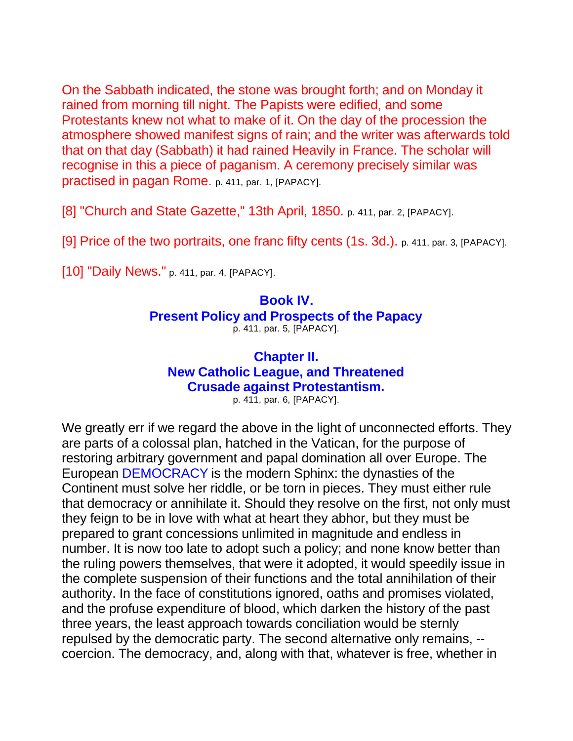On the Sabbath indicated, the stone was brought forth; and on Monday it rained from morning till night. The Papists were edified, and some Protestants knew not what to make of it. On the day of the procession the atmosphere showed manifest signs of rain; and the writer was afterwards told that on that day (Sabbath) it had rained Heavily in France. The scholar will recognise in this a piece of paganism. A ceremony precisely similar was practised in pagan Rome. p. 411, par. 1, [PAPACY].

[8] "Church and State Gazette," 13th April, 1850. p. 411, par. 2, [PAPACY].

[9] Price of the two portraits, one franc fifty cents (1s. 3d.). p. 411, par. 3, [PAPACY].

[10] "Daily News." p. 411, par. 4, [PAPACY].

### **Book IV. Present Policy and Prospects of the Papacy** p. 411, par. 5, [PAPACY].

# **Chapter II. New Catholic League, and Threatened Crusade against Protestantism.** p. 411, par. 6, [PAPACY].

We greatly err if we regard the above in the light of unconnected efforts. They are parts of a colossal plan, hatched in the Vatican, for the purpose of restoring arbitrary government and papal domination all over Europe. The European DEMOCRACY is the modern Sphinx: the dynasties of the Continent must solve her riddle, or be torn in pieces. They must either rule that democracy or annihilate it. Should they resolve on the first, not only must they feign to be in love with what at heart they abhor, but they must be prepared to grant concessions unlimited in magnitude and endless in number. It is now too late to adopt such a policy; and none know better than the ruling powers themselves, that were it adopted, it would speedily issue in the complete suspension of their functions and the total annihilation of their authority. In the face of constitutions ignored, oaths and promises violated, and the profuse expenditure of blood, which darken the history of the past three years, the least approach towards conciliation would be sternly repulsed by the democratic party. The second alternative only remains, - coercion. The democracy, and, along with that, whatever is free, whether in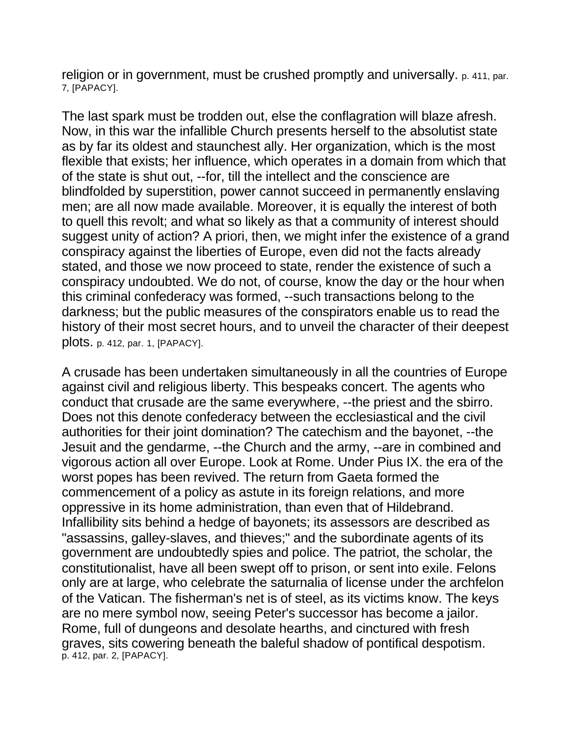religion or in government, must be crushed promptly and universally. p. 411, par. 7, [PAPACY].

The last spark must be trodden out, else the conflagration will blaze afresh. Now, in this war the infallible Church presents herself to the absolutist state as by far its oldest and staunchest ally. Her organization, which is the most flexible that exists; her influence, which operates in a domain from which that of the state is shut out, --for, till the intellect and the conscience are blindfolded by superstition, power cannot succeed in permanently enslaving men; are all now made available. Moreover, it is equally the interest of both to quell this revolt; and what so likely as that a community of interest should suggest unity of action? A priori, then, we might infer the existence of a grand conspiracy against the liberties of Europe, even did not the facts already stated, and those we now proceed to state, render the existence of such a conspiracy undoubted. We do not, of course, know the day or the hour when this criminal confederacy was formed, --such transactions belong to the darkness; but the public measures of the conspirators enable us to read the history of their most secret hours, and to unveil the character of their deepest plots. p. 412, par. 1, [PAPACY].

A crusade has been undertaken simultaneously in all the countries of Europe against civil and religious liberty. This bespeaks concert. The agents who conduct that crusade are the same everywhere, --the priest and the sbirro. Does not this denote confederacy between the ecclesiastical and the civil authorities for their joint domination? The catechism and the bayonet, --the Jesuit and the gendarme, --the Church and the army, --are in combined and vigorous action all over Europe. Look at Rome. Under Pius IX. the era of the worst popes has been revived. The return from Gaeta formed the commencement of a policy as astute in its foreign relations, and more oppressive in its home administration, than even that of Hildebrand. Infallibility sits behind a hedge of bayonets; its assessors are described as "assassins, galley-slaves, and thieves;" and the subordinate agents of its government are undoubtedly spies and police. The patriot, the scholar, the constitutionalist, have all been swept off to prison, or sent into exile. Felons only are at large, who celebrate the saturnalia of license under the archfelon of the Vatican. The fisherman's net is of steel, as its victims know. The keys are no mere symbol now, seeing Peter's successor has become a jailor. Rome, full of dungeons and desolate hearths, and cinctured with fresh graves, sits cowering beneath the baleful shadow of pontifical despotism. p. 412, par. 2, [PAPACY].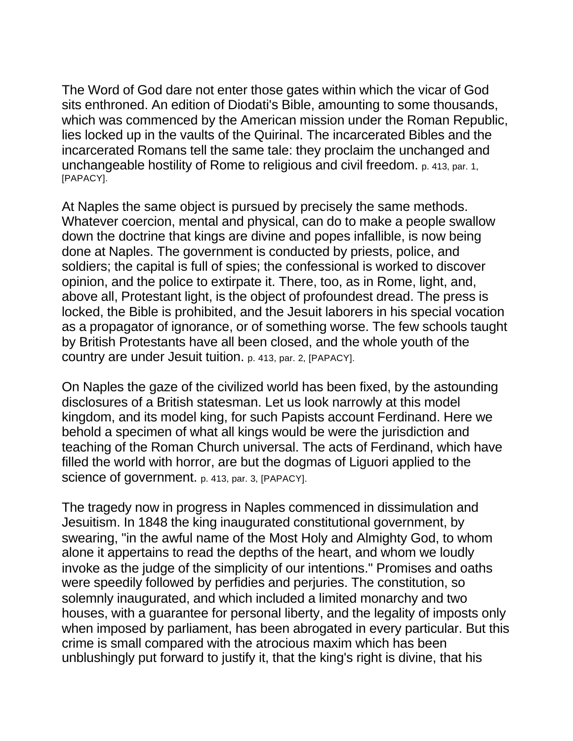The Word of God dare not enter those gates within which the vicar of God sits enthroned. An edition of Diodati's Bible, amounting to some thousands, which was commenced by the American mission under the Roman Republic, lies locked up in the vaults of the Quirinal. The incarcerated Bibles and the incarcerated Romans tell the same tale: they proclaim the unchanged and unchangeable hostility of Rome to religious and civil freedom. p. 413, par. 1, [PAPACY].

At Naples the same object is pursued by precisely the same methods. Whatever coercion, mental and physical, can do to make a people swallow down the doctrine that kings are divine and popes infallible, is now being done at Naples. The government is conducted by priests, police, and soldiers; the capital is full of spies; the confessional is worked to discover opinion, and the police to extirpate it. There, too, as in Rome, light, and, above all, Protestant light, is the object of profoundest dread. The press is locked, the Bible is prohibited, and the Jesuit laborers in his special vocation as a propagator of ignorance, or of something worse. The few schools taught by British Protestants have all been closed, and the whole youth of the country are under Jesuit tuition. p. 413, par. 2, [PAPACY].

On Naples the gaze of the civilized world has been fixed, by the astounding disclosures of a British statesman. Let us look narrowly at this model kingdom, and its model king, for such Papists account Ferdinand. Here we behold a specimen of what all kings would be were the jurisdiction and teaching of the Roman Church universal. The acts of Ferdinand, which have filled the world with horror, are but the dogmas of Liguori applied to the science of government. p. 413, par. 3, [PAPACY].

The tragedy now in progress in Naples commenced in dissimulation and Jesuitism. In 1848 the king inaugurated constitutional government, by swearing, "in the awful name of the Most Holy and Almighty God, to whom alone it appertains to read the depths of the heart, and whom we loudly invoke as the judge of the simplicity of our intentions." Promises and oaths were speedily followed by perfidies and perjuries. The constitution, so solemnly inaugurated, and which included a limited monarchy and two houses, with a guarantee for personal liberty, and the legality of imposts only when imposed by parliament, has been abrogated in every particular. But this crime is small compared with the atrocious maxim which has been unblushingly put forward to justify it, that the king's right is divine, that his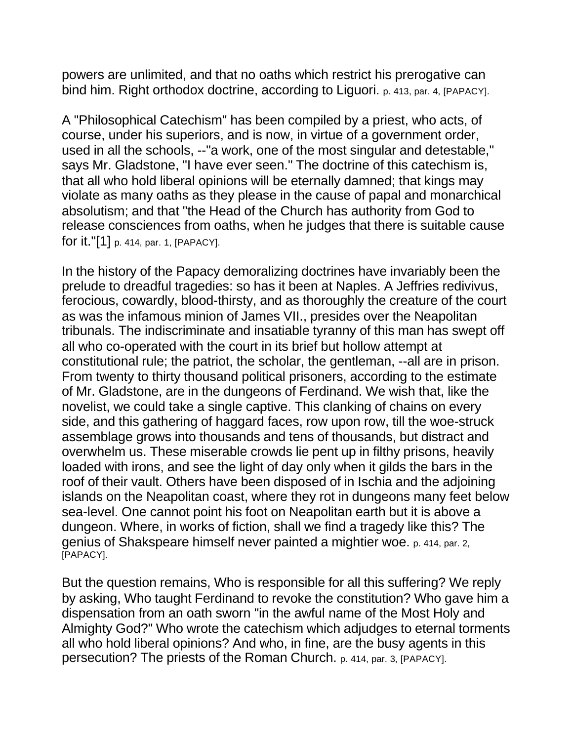powers are unlimited, and that no oaths which restrict his prerogative can bind him. Right orthodox doctrine, according to Liguori. p. 413, par. 4, [PAPACY].

A "Philosophical Catechism" has been compiled by a priest, who acts, of course, under his superiors, and is now, in virtue of a government order, used in all the schools, --"a work, one of the most singular and detestable," says Mr. Gladstone, "I have ever seen." The doctrine of this catechism is, that all who hold liberal opinions will be eternally damned; that kings may violate as many oaths as they please in the cause of papal and monarchical absolutism; and that "the Head of the Church has authority from God to release consciences from oaths, when he judges that there is suitable cause for it."[1] p. 414, par. 1, [PAPACY].

In the history of the Papacy demoralizing doctrines have invariably been the prelude to dreadful tragedies: so has it been at Naples. A Jeffries redivivus, ferocious, cowardly, blood-thirsty, and as thoroughly the creature of the court as was the infamous minion of James VII., presides over the Neapolitan tribunals. The indiscriminate and insatiable tyranny of this man has swept off all who co-operated with the court in its brief but hollow attempt at constitutional rule; the patriot, the scholar, the gentleman, --all are in prison. From twenty to thirty thousand political prisoners, according to the estimate of Mr. Gladstone, are in the dungeons of Ferdinand. We wish that, like the novelist, we could take a single captive. This clanking of chains on every side, and this gathering of haggard faces, row upon row, till the woe-struck assemblage grows into thousands and tens of thousands, but distract and overwhelm us. These miserable crowds lie pent up in filthy prisons, heavily loaded with irons, and see the light of day only when it gilds the bars in the roof of their vault. Others have been disposed of in Ischia and the adjoining islands on the Neapolitan coast, where they rot in dungeons many feet below sea-level. One cannot point his foot on Neapolitan earth but it is above a dungeon. Where, in works of fiction, shall we find a tragedy like this? The genius of Shakspeare himself never painted a mightier woe. p. 414, par. 2, [PAPACY].

But the question remains, Who is responsible for all this suffering? We reply by asking, Who taught Ferdinand to revoke the constitution? Who gave him a dispensation from an oath sworn "in the awful name of the Most Holy and Almighty God?" Who wrote the catechism which adjudges to eternal torments all who hold liberal opinions? And who, in fine, are the busy agents in this persecution? The priests of the Roman Church. p. 414, par. 3, [PAPACY].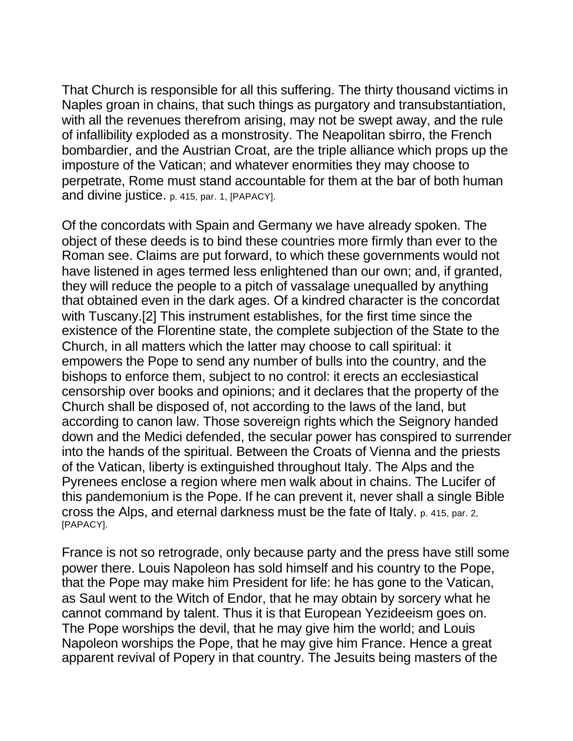That Church is responsible for all this suffering. The thirty thousand victims in Naples groan in chains, that such things as purgatory and transubstantiation, with all the revenues therefrom arising, may not be swept away, and the rule of infallibility exploded as a monstrosity. The Neapolitan sbirro, the French bombardier, and the Austrian Croat, are the triple alliance which props up the imposture of the Vatican; and whatever enormities they may choose to perpetrate, Rome must stand accountable for them at the bar of both human and divine justice. p. 415, par. 1, [PAPACY].

Of the concordats with Spain and Germany we have already spoken. The object of these deeds is to bind these countries more firmly than ever to the Roman see. Claims are put forward, to which these governments would not have listened in ages termed less enlightened than our own; and, if granted, they will reduce the people to a pitch of vassalage unequalled by anything that obtained even in the dark ages. Of a kindred character is the concordat with Tuscany.[2] This instrument establishes, for the first time since the existence of the Florentine state, the complete subjection of the State to the Church, in all matters which the latter may choose to call spiritual: it empowers the Pope to send any number of bulls into the country, and the bishops to enforce them, subject to no control: it erects an ecclesiastical censorship over books and opinions; and it declares that the property of the Church shall be disposed of, not according to the laws of the land, but according to canon law. Those sovereign rights which the Seignory handed down and the Medici defended, the secular power has conspired to surrender into the hands of the spiritual. Between the Croats of Vienna and the priests of the Vatican, liberty is extinguished throughout Italy. The Alps and the Pyrenees enclose a region where men walk about in chains. The Lucifer of this pandemonium is the Pope. If he can prevent it, never shall a single Bible cross the Alps, and eternal darkness must be the fate of Italy. p. 415, par. 2, [PAPACY].

France is not so retrograde, only because party and the press have still some power there. Louis Napoleon has sold himself and his country to the Pope, that the Pope may make him President for life: he has gone to the Vatican, as Saul went to the Witch of Endor, that he may obtain by sorcery what he cannot command by talent. Thus it is that European Yezideeism goes on. The Pope worships the devil, that he may give him the world; and Louis Napoleon worships the Pope, that he may give him France. Hence a great apparent revival of Popery in that country. The Jesuits being masters of the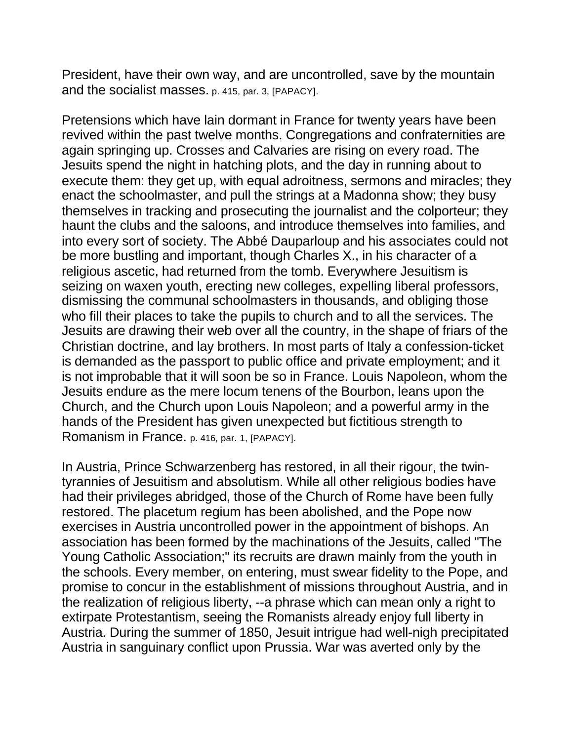President, have their own way, and are uncontrolled, save by the mountain and the socialist masses. p. 415, par. 3, [PAPACY].

Pretensions which have lain dormant in France for twenty years have been revived within the past twelve months. Congregations and confraternities are again springing up. Crosses and Calvaries are rising on every road. The Jesuits spend the night in hatching plots, and the day in running about to execute them: they get up, with equal adroitness, sermons and miracles; they enact the schoolmaster, and pull the strings at a Madonna show; they busy themselves in tracking and prosecuting the journalist and the colporteur; they haunt the clubs and the saloons, and introduce themselves into families, and into every sort of society. The Abbé Dauparloup and his associates could not be more bustling and important, though Charles X., in his character of a religious ascetic, had returned from the tomb. Everywhere Jesuitism is seizing on waxen youth, erecting new colleges, expelling liberal professors, dismissing the communal schoolmasters in thousands, and obliging those who fill their places to take the pupils to church and to all the services. The Jesuits are drawing their web over all the country, in the shape of friars of the Christian doctrine, and lay brothers. In most parts of Italy a confession-ticket is demanded as the passport to public office and private employment; and it is not improbable that it will soon be so in France. Louis Napoleon, whom the Jesuits endure as the mere locum tenens of the Bourbon, leans upon the Church, and the Church upon Louis Napoleon; and a powerful army in the hands of the President has given unexpected but fictitious strength to Romanism in France. p. 416, par. 1, [PAPACY].

In Austria, Prince Schwarzenberg has restored, in all their rigour, the twintyrannies of Jesuitism and absolutism. While all other religious bodies have had their privileges abridged, those of the Church of Rome have been fully restored. The placetum regium has been abolished, and the Pope now exercises in Austria uncontrolled power in the appointment of bishops. An association has been formed by the machinations of the Jesuits, called "The Young Catholic Association;" its recruits are drawn mainly from the youth in the schools. Every member, on entering, must swear fidelity to the Pope, and promise to concur in the establishment of missions throughout Austria, and in the realization of religious liberty, --a phrase which can mean only a right to extirpate Protestantism, seeing the Romanists already enjoy full liberty in Austria. During the summer of 1850, Jesuit intrigue had well-nigh precipitated Austria in sanguinary conflict upon Prussia. War was averted only by the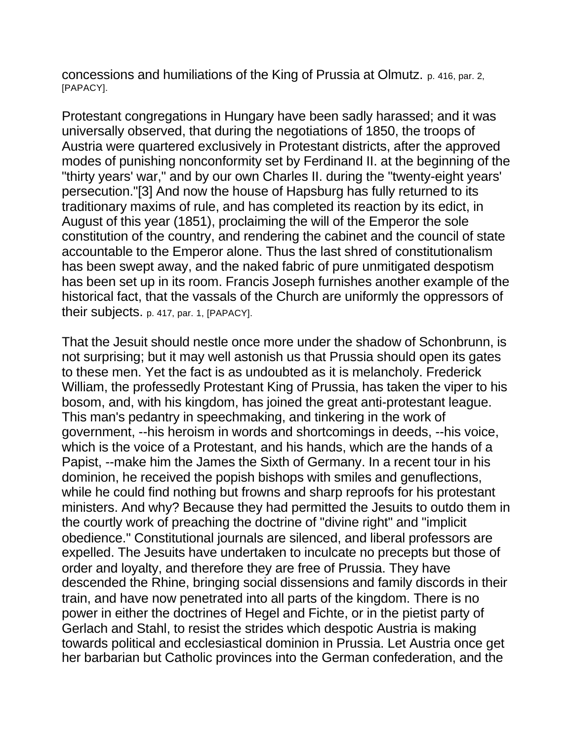concessions and humiliations of the King of Prussia at Olmutz. p. 416, par. 2, [PAPACY].

Protestant congregations in Hungary have been sadly harassed; and it was universally observed, that during the negotiations of 1850, the troops of Austria were quartered exclusively in Protestant districts, after the approved modes of punishing nonconformity set by Ferdinand II. at the beginning of the "thirty years' war," and by our own Charles II. during the "twenty-eight years' persecution."[3] And now the house of Hapsburg has fully returned to its traditionary maxims of rule, and has completed its reaction by its edict, in August of this year (1851), proclaiming the will of the Emperor the sole constitution of the country, and rendering the cabinet and the council of state accountable to the Emperor alone. Thus the last shred of constitutionalism has been swept away, and the naked fabric of pure unmitigated despotism has been set up in its room. Francis Joseph furnishes another example of the historical fact, that the vassals of the Church are uniformly the oppressors of their subjects. p. 417, par. 1, [PAPACY].

That the Jesuit should nestle once more under the shadow of Schonbrunn, is not surprising; but it may well astonish us that Prussia should open its gates to these men. Yet the fact is as undoubted as it is melancholy. Frederick William, the professedly Protestant King of Prussia, has taken the viper to his bosom, and, with his kingdom, has joined the great anti-protestant league. This man's pedantry in speechmaking, and tinkering in the work of government, --his heroism in words and shortcomings in deeds, --his voice, which is the voice of a Protestant, and his hands, which are the hands of a Papist, --make him the James the Sixth of Germany. In a recent tour in his dominion, he received the popish bishops with smiles and genuflections, while he could find nothing but frowns and sharp reproofs for his protestant ministers. And why? Because they had permitted the Jesuits to outdo them in the courtly work of preaching the doctrine of "divine right" and "implicit obedience." Constitutional journals are silenced, and liberal professors are expelled. The Jesuits have undertaken to inculcate no precepts but those of order and loyalty, and therefore they are free of Prussia. They have descended the Rhine, bringing social dissensions and family discords in their train, and have now penetrated into all parts of the kingdom. There is no power in either the doctrines of Hegel and Fichte, or in the pietist party of Gerlach and Stahl, to resist the strides which despotic Austria is making towards political and ecclesiastical dominion in Prussia. Let Austria once get her barbarian but Catholic provinces into the German confederation, and the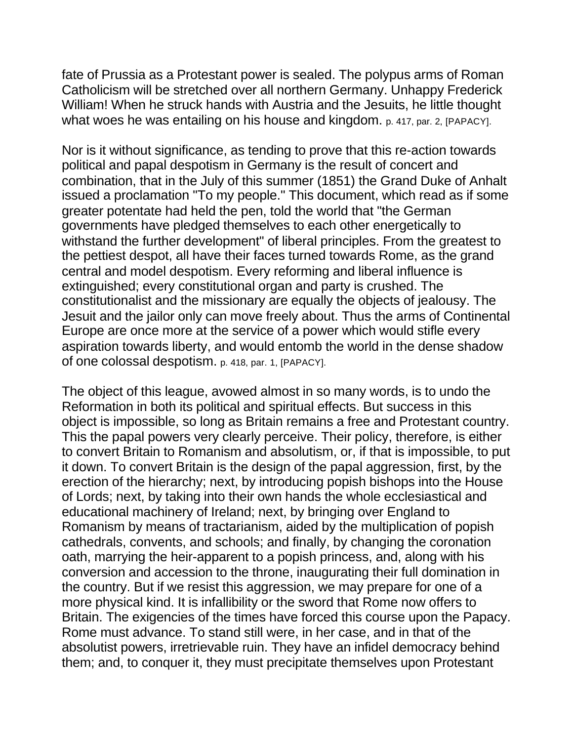fate of Prussia as a Protestant power is sealed. The polypus arms of Roman Catholicism will be stretched over all northern Germany. Unhappy Frederick William! When he struck hands with Austria and the Jesuits, he little thought what woes he was entailing on his house and kingdom. p. 417, par. 2, [PAPACY].

Nor is it without significance, as tending to prove that this re-action towards political and papal despotism in Germany is the result of concert and combination, that in the July of this summer (1851) the Grand Duke of Anhalt issued a proclamation "To my people." This document, which read as if some greater potentate had held the pen, told the world that "the German governments have pledged themselves to each other energetically to withstand the further development" of liberal principles. From the greatest to the pettiest despot, all have their faces turned towards Rome, as the grand central and model despotism. Every reforming and liberal influence is extinguished; every constitutional organ and party is crushed. The constitutionalist and the missionary are equally the objects of jealousy. The Jesuit and the jailor only can move freely about. Thus the arms of Continental Europe are once more at the service of a power which would stifle every aspiration towards liberty, and would entomb the world in the dense shadow of one colossal despotism. p. 418, par. 1, [PAPACY].

The object of this league, avowed almost in so many words, is to undo the Reformation in both its political and spiritual effects. But success in this object is impossible, so long as Britain remains a free and Protestant country. This the papal powers very clearly perceive. Their policy, therefore, is either to convert Britain to Romanism and absolutism, or, if that is impossible, to put it down. To convert Britain is the design of the papal aggression, first, by the erection of the hierarchy; next, by introducing popish bishops into the House of Lords; next, by taking into their own hands the whole ecclesiastical and educational machinery of Ireland; next, by bringing over England to Romanism by means of tractarianism, aided by the multiplication of popish cathedrals, convents, and schools; and finally, by changing the coronation oath, marrying the heir-apparent to a popish princess, and, along with his conversion and accession to the throne, inaugurating their full domination in the country. But if we resist this aggression, we may prepare for one of a more physical kind. It is infallibility or the sword that Rome now offers to Britain. The exigencies of the times have forced this course upon the Papacy. Rome must advance. To stand still were, in her case, and in that of the absolutist powers, irretrievable ruin. They have an infidel democracy behind them; and, to conquer it, they must precipitate themselves upon Protestant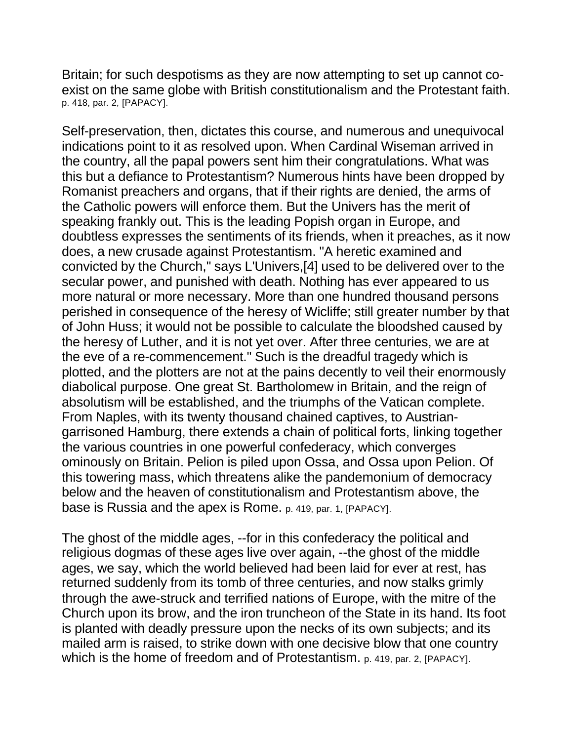Britain; for such despotisms as they are now attempting to set up cannot coexist on the same globe with British constitutionalism and the Protestant faith. p. 418, par. 2, [PAPACY].

Self-preservation, then, dictates this course, and numerous and unequivocal indications point to it as resolved upon. When Cardinal Wiseman arrived in the country, all the papal powers sent him their congratulations. What was this but a defiance to Protestantism? Numerous hints have been dropped by Romanist preachers and organs, that if their rights are denied, the arms of the Catholic powers will enforce them. But the Univers has the merit of speaking frankly out. This is the leading Popish organ in Europe, and doubtless expresses the sentiments of its friends, when it preaches, as it now does, a new crusade against Protestantism. "A heretic examined and convicted by the Church," says L'Univers,[4] used to be delivered over to the secular power, and punished with death. Nothing has ever appeared to us more natural or more necessary. More than one hundred thousand persons perished in consequence of the heresy of Wicliffe; still greater number by that of John Huss; it would not be possible to calculate the bloodshed caused by the heresy of Luther, and it is not yet over. After three centuries, we are at the eve of a re-commencement." Such is the dreadful tragedy which is plotted, and the plotters are not at the pains decently to veil their enormously diabolical purpose. One great St. Bartholomew in Britain, and the reign of absolutism will be established, and the triumphs of the Vatican complete. From Naples, with its twenty thousand chained captives, to Austriangarrisoned Hamburg, there extends a chain of political forts, linking together the various countries in one powerful confederacy, which converges ominously on Britain. Pelion is piled upon Ossa, and Ossa upon Pelion. Of this towering mass, which threatens alike the pandemonium of democracy below and the heaven of constitutionalism and Protestantism above, the base is Russia and the apex is Rome. p. 419, par. 1, [PAPACY].

The ghost of the middle ages, --for in this confederacy the political and religious dogmas of these ages live over again, --the ghost of the middle ages, we say, which the world believed had been laid for ever at rest, has returned suddenly from its tomb of three centuries, and now stalks grimly through the awe-struck and terrified nations of Europe, with the mitre of the Church upon its brow, and the iron truncheon of the State in its hand. Its foot is planted with deadly pressure upon the necks of its own subjects; and its mailed arm is raised, to strike down with one decisive blow that one country which is the home of freedom and of Protestantism. p. 419, par. 2, [PAPACY].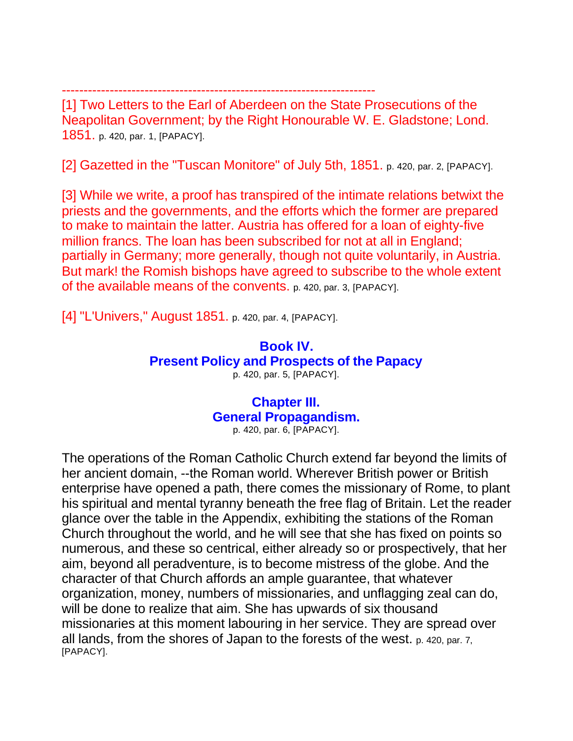------------------------------------------------------------------------ [1] Two Letters to the Earl of Aberdeen on the State Prosecutions of the Neapolitan Government; by the Right Honourable W. E. Gladstone; Lond. 1851. p. 420, par. 1, [PAPACY].

[2] Gazetted in the "Tuscan Monitore" of July 5th, 1851. p. 420, par. 2, [PAPACY].

[3] While we write, a proof has transpired of the intimate relations betwixt the priests and the governments, and the efforts which the former are prepared to make to maintain the latter. Austria has offered for a loan of eighty-five million francs. The loan has been subscribed for not at all in England; partially in Germany; more generally, though not quite voluntarily, in Austria. But mark! the Romish bishops have agreed to subscribe to the whole extent of the available means of the convents. p. 420, par. 3, [PAPACY].

[4] "L'Univers," August 1851. p. 420, par. 4, [PAPACY].

# **Book IV. Present Policy and Prospects of the Papacy** p. 420, par. 5, [PAPACY].

### **Chapter III. General Propagandism.** p. 420, par. 6, [PAPACY].

The operations of the Roman Catholic Church extend far beyond the limits of her ancient domain, --the Roman world. Wherever British power or British enterprise have opened a path, there comes the missionary of Rome, to plant his spiritual and mental tyranny beneath the free flag of Britain. Let the reader glance over the table in the Appendix, exhibiting the stations of the Roman Church throughout the world, and he will see that she has fixed on points so numerous, and these so centrical, either already so or prospectively, that her aim, beyond all peradventure, is to become mistress of the globe. And the character of that Church affords an ample guarantee, that whatever organization, money, numbers of missionaries, and unflagging zeal can do, will be done to realize that aim. She has upwards of six thousand missionaries at this moment labouring in her service. They are spread over all lands, from the shores of Japan to the forests of the west. p. 420, par. 7, [PAPACY].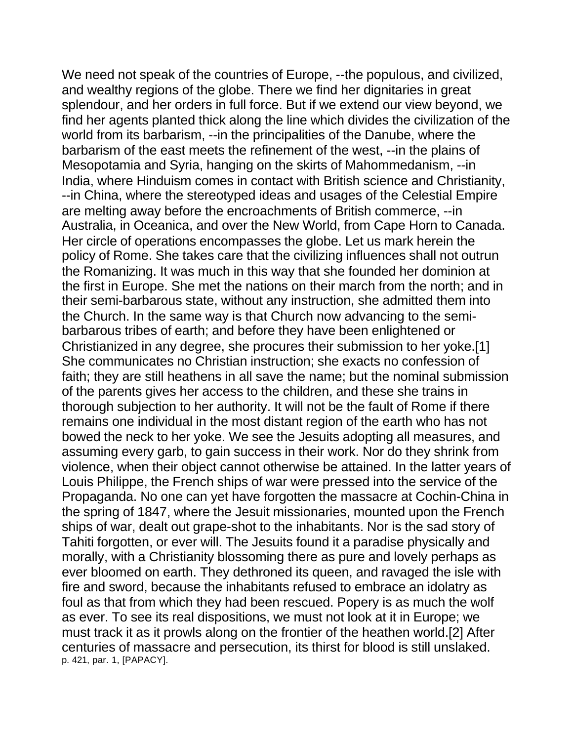We need not speak of the countries of Europe, --the populous, and civilized, and wealthy regions of the globe. There we find her dignitaries in great splendour, and her orders in full force. But if we extend our view beyond, we find her agents planted thick along the line which divides the civilization of the world from its barbarism, --in the principalities of the Danube, where the barbarism of the east meets the refinement of the west, --in the plains of Mesopotamia and Syria, hanging on the skirts of Mahommedanism, --in India, where Hinduism comes in contact with British science and Christianity, --in China, where the stereotyped ideas and usages of the Celestial Empire are melting away before the encroachments of British commerce, --in Australia, in Oceanica, and over the New World, from Cape Horn to Canada. Her circle of operations encompasses the globe. Let us mark herein the policy of Rome. She takes care that the civilizing influences shall not outrun the Romanizing. It was much in this way that she founded her dominion at the first in Europe. She met the nations on their march from the north; and in their semi-barbarous state, without any instruction, she admitted them into the Church. In the same way is that Church now advancing to the semibarbarous tribes of earth; and before they have been enlightened or Christianized in any degree, she procures their submission to her yoke.[1] She communicates no Christian instruction; she exacts no confession of faith; they are still heathens in all save the name; but the nominal submission of the parents gives her access to the children, and these she trains in thorough subjection to her authority. It will not be the fault of Rome if there remains one individual in the most distant region of the earth who has not bowed the neck to her yoke. We see the Jesuits adopting all measures, and assuming every garb, to gain success in their work. Nor do they shrink from violence, when their object cannot otherwise be attained. In the latter years of Louis Philippe, the French ships of war were pressed into the service of the Propaganda. No one can yet have forgotten the massacre at Cochin-China in the spring of 1847, where the Jesuit missionaries, mounted upon the French ships of war, dealt out grape-shot to the inhabitants. Nor is the sad story of Tahiti forgotten, or ever will. The Jesuits found it a paradise physically and morally, with a Christianity blossoming there as pure and lovely perhaps as ever bloomed on earth. They dethroned its queen, and ravaged the isle with fire and sword, because the inhabitants refused to embrace an idolatry as foul as that from which they had been rescued. Popery is as much the wolf as ever. To see its real dispositions, we must not look at it in Europe; we must track it as it prowls along on the frontier of the heathen world.[2] After centuries of massacre and persecution, its thirst for blood is still unslaked. p. 421, par. 1, [PAPACY].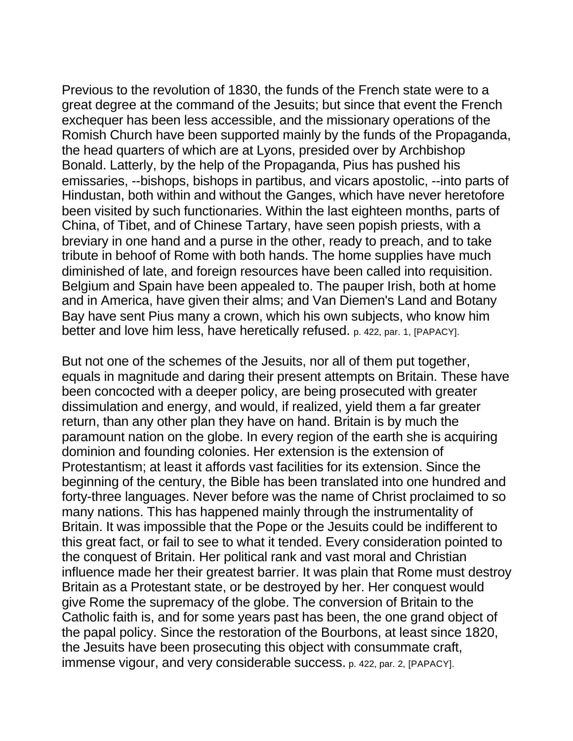Previous to the revolution of 1830, the funds of the French state were to a great degree at the command of the Jesuits; but since that event the French exchequer has been less accessible, and the missionary operations of the Romish Church have been supported mainly by the funds of the Propaganda, the head quarters of which are at Lyons, presided over by Archbishop Bonald. Latterly, by the help of the Propaganda, Pius has pushed his emissaries, --bishops, bishops in partibus, and vicars apostolic, --into parts of Hindustan, both within and without the Ganges, which have never heretofore been visited by such functionaries. Within the last eighteen months, parts of China, of Tibet, and of Chinese Tartary, have seen popish priests, with a breviary in one hand and a purse in the other, ready to preach, and to take tribute in behoof of Rome with both hands. The home supplies have much diminished of late, and foreign resources have been called into requisition. Belgium and Spain have been appealed to. The pauper Irish, both at home and in America, have given their alms; and Van Diemen's Land and Botany Bay have sent Pius many a crown, which his own subjects, who know him better and love him less, have heretically refused. p. 422, par. 1, [PAPACY].

But not one of the schemes of the Jesuits, nor all of them put together, equals in magnitude and daring their present attempts on Britain. These have been concocted with a deeper policy, are being prosecuted with greater dissimulation and energy, and would, if realized, yield them a far greater return, than any other plan they have on hand. Britain is by much the paramount nation on the globe. In every region of the earth she is acquiring dominion and founding colonies. Her extension is the extension of Protestantism; at least it affords vast facilities for its extension. Since the beginning of the century, the Bible has been translated into one hundred and forty-three languages. Never before was the name of Christ proclaimed to so many nations. This has happened mainly through the instrumentality of Britain. It was impossible that the Pope or the Jesuits could be indifferent to this great fact, or fail to see to what it tended. Every consideration pointed to the conquest of Britain. Her political rank and vast moral and Christian influence made her their greatest barrier. It was plain that Rome must destroy Britain as a Protestant state, or be destroyed by her. Her conquest would give Rome the supremacy of the globe. The conversion of Britain to the Catholic faith is, and for some years past has been, the one grand object of the papal policy. Since the restoration of the Bourbons, at least since 1820, the Jesuits have been prosecuting this object with consummate craft, immense vigour, and very considerable success. p. 422, par. 2, [PAPACY].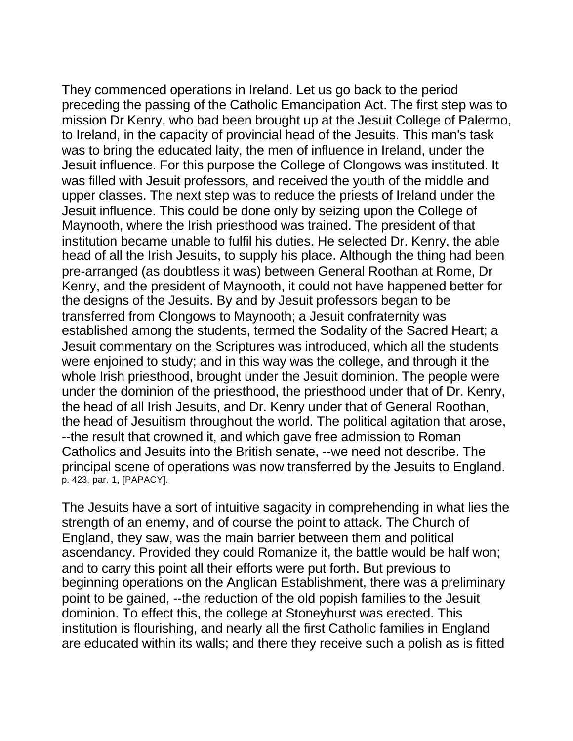They commenced operations in Ireland. Let us go back to the period preceding the passing of the Catholic Emancipation Act. The first step was to mission Dr Kenry, who bad been brought up at the Jesuit College of Palermo, to Ireland, in the capacity of provincial head of the Jesuits. This man's task was to bring the educated laity, the men of influence in Ireland, under the Jesuit influence. For this purpose the College of Clongows was instituted. It was filled with Jesuit professors, and received the youth of the middle and upper classes. The next step was to reduce the priests of Ireland under the Jesuit influence. This could be done only by seizing upon the College of Maynooth, where the Irish priesthood was trained. The president of that institution became unable to fulfil his duties. He selected Dr. Kenry, the able head of all the Irish Jesuits, to supply his place. Although the thing had been pre-arranged (as doubtless it was) between General Roothan at Rome, Dr Kenry, and the president of Maynooth, it could not have happened better for the designs of the Jesuits. By and by Jesuit professors began to be transferred from Clongows to Maynooth; a Jesuit confraternity was established among the students, termed the Sodality of the Sacred Heart; a Jesuit commentary on the Scriptures was introduced, which all the students were enjoined to study; and in this way was the college, and through it the whole Irish priesthood, brought under the Jesuit dominion. The people were under the dominion of the priesthood, the priesthood under that of Dr. Kenry, the head of all Irish Jesuits, and Dr. Kenry under that of General Roothan, the head of Jesuitism throughout the world. The political agitation that arose, --the result that crowned it, and which gave free admission to Roman Catholics and Jesuits into the British senate, --we need not describe. The principal scene of operations was now transferred by the Jesuits to England. p. 423, par. 1, [PAPACY].

The Jesuits have a sort of intuitive sagacity in comprehending in what lies the strength of an enemy, and of course the point to attack. The Church of England, they saw, was the main barrier between them and political ascendancy. Provided they could Romanize it, the battle would be half won; and to carry this point all their efforts were put forth. But previous to beginning operations on the Anglican Establishment, there was a preliminary point to be gained, --the reduction of the old popish families to the Jesuit dominion. To effect this, the college at Stoneyhurst was erected. This institution is flourishing, and nearly all the first Catholic families in England are educated within its walls; and there they receive such a polish as is fitted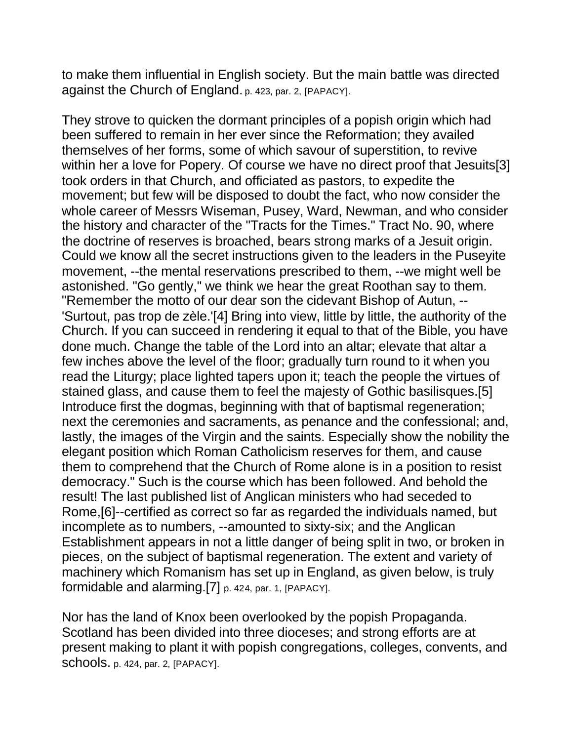to make them influential in English society. But the main battle was directed against the Church of England. p. 423, par. 2, [PAPACY].

They strove to quicken the dormant principles of a popish origin which had been suffered to remain in her ever since the Reformation; they availed themselves of her forms, some of which savour of superstition, to revive within her a love for Popery. Of course we have no direct proof that Jesuits[3] took orders in that Church, and officiated as pastors, to expedite the movement; but few will be disposed to doubt the fact, who now consider the whole career of Messrs Wiseman, Pusey, Ward, Newman, and who consider the history and character of the "Tracts for the Times." Tract No. 90, where the doctrine of reserves is broached, bears strong marks of a Jesuit origin. Could we know all the secret instructions given to the leaders in the Puseyite movement, --the mental reservations prescribed to them, --we might well be astonished. "Go gently," we think we hear the great Roothan say to them. "Remember the motto of our dear son the cidevant Bishop of Autun, -- 'Surtout, pas trop de zèle.'[4] Bring into view, little by little, the authority of the Church. If you can succeed in rendering it equal to that of the Bible, you have done much. Change the table of the Lord into an altar; elevate that altar a few inches above the level of the floor; gradually turn round to it when you read the Liturgy; place lighted tapers upon it; teach the people the virtues of stained glass, and cause them to feel the majesty of Gothic basilisques.[5] Introduce first the dogmas, beginning with that of baptismal regeneration; next the ceremonies and sacraments, as penance and the confessional; and, lastly, the images of the Virgin and the saints. Especially show the nobility the elegant position which Roman Catholicism reserves for them, and cause them to comprehend that the Church of Rome alone is in a position to resist democracy." Such is the course which has been followed. And behold the result! The last published list of Anglican ministers who had seceded to Rome,[6]--certified as correct so far as regarded the individuals named, but incomplete as to numbers, --amounted to sixty-six; and the Anglican Establishment appears in not a little danger of being split in two, or broken in pieces, on the subject of baptismal regeneration. The extent and variety of machinery which Romanism has set up in England, as given below, is truly formidable and alarming.[7] p. 424, par. 1, [PAPACY].

Nor has the land of Knox been overlooked by the popish Propaganda. Scotland has been divided into three dioceses; and strong efforts are at present making to plant it with popish congregations, colleges, convents, and schools. p. 424, par. 2, [PAPACY].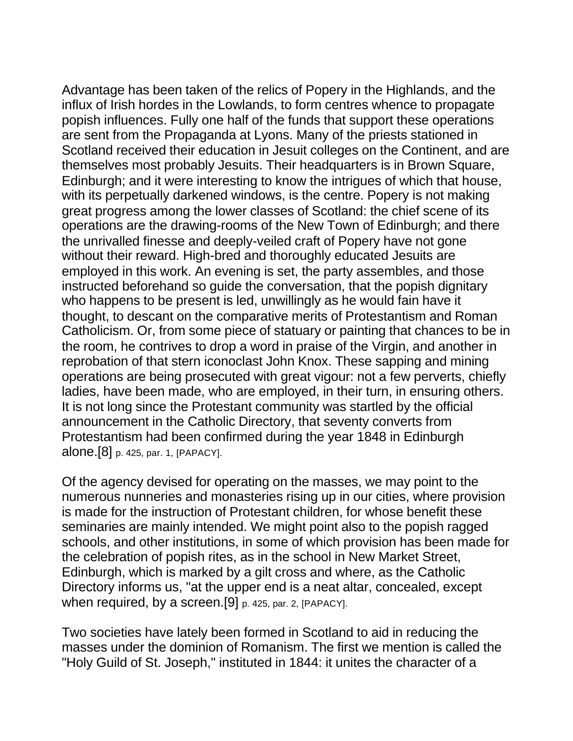Advantage has been taken of the relics of Popery in the Highlands, and the influx of Irish hordes in the Lowlands, to form centres whence to propagate popish influences. Fully one half of the funds that support these operations are sent from the Propaganda at Lyons. Many of the priests stationed in Scotland received their education in Jesuit colleges on the Continent, and are themselves most probably Jesuits. Their headquarters is in Brown Square, Edinburgh; and it were interesting to know the intrigues of which that house, with its perpetually darkened windows, is the centre. Popery is not making great progress among the lower classes of Scotland: the chief scene of its operations are the drawing-rooms of the New Town of Edinburgh; and there the unrivalled finesse and deeply-veiled craft of Popery have not gone without their reward. High-bred and thoroughly educated Jesuits are employed in this work. An evening is set, the party assembles, and those instructed beforehand so guide the conversation, that the popish dignitary who happens to be present is led, unwillingly as he would fain have it thought, to descant on the comparative merits of Protestantism and Roman Catholicism. Or, from some piece of statuary or painting that chances to be in the room, he contrives to drop a word in praise of the Virgin, and another in reprobation of that stern iconoclast John Knox. These sapping and mining operations are being prosecuted with great vigour: not a few perverts, chiefly ladies, have been made, who are employed, in their turn, in ensuring others. It is not long since the Protestant community was startled by the official announcement in the Catholic Directory, that seventy converts from Protestantism had been confirmed during the year 1848 in Edinburgh alone.[8] p. 425, par. 1, [PAPACY].

Of the agency devised for operating on the masses, we may point to the numerous nunneries and monasteries rising up in our cities, where provision is made for the instruction of Protestant children, for whose benefit these seminaries are mainly intended. We might point also to the popish ragged schools, and other institutions, in some of which provision has been made for the celebration of popish rites, as in the school in New Market Street, Edinburgh, which is marked by a gilt cross and where, as the Catholic Directory informs us, "at the upper end is a neat altar, concealed, except when required, by a screen.<sup>[9]</sup> p. 425, par. 2, [PAPACY].

Two societies have lately been formed in Scotland to aid in reducing the masses under the dominion of Romanism. The first we mention is called the "Holy Guild of St. Joseph," instituted in 1844: it unites the character of a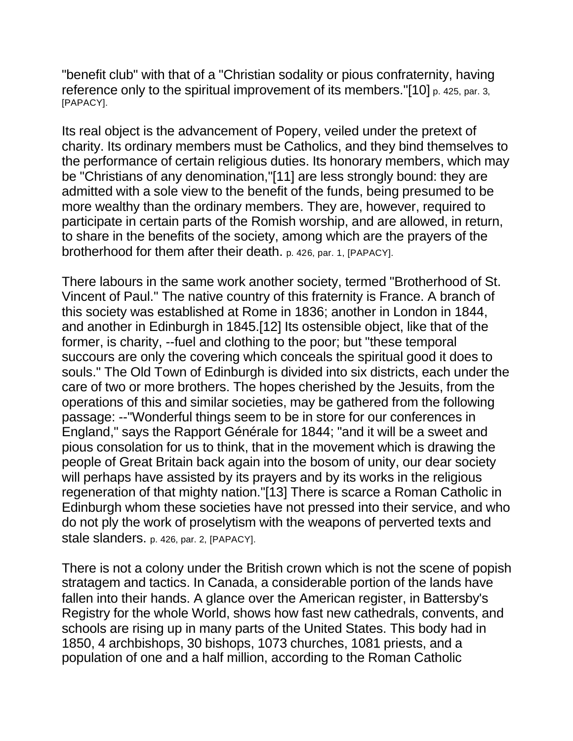"benefit club" with that of a "Christian sodality or pious confraternity, having reference only to the spiritual improvement of its members. "[10] p. 425, par. 3, [PAPACY].

Its real object is the advancement of Popery, veiled under the pretext of charity. Its ordinary members must be Catholics, and they bind themselves to the performance of certain religious duties. Its honorary members, which may be "Christians of any denomination,"[11] are less strongly bound: they are admitted with a sole view to the benefit of the funds, being presumed to be more wealthy than the ordinary members. They are, however, required to participate in certain parts of the Romish worship, and are allowed, in return, to share in the benefits of the society, among which are the prayers of the brotherhood for them after their death. p. 426, par. 1, [PAPACY].

There labours in the same work another society, termed "Brotherhood of St. Vincent of Paul." The native country of this fraternity is France. A branch of this society was established at Rome in 1836; another in London in 1844, and another in Edinburgh in 1845.[12] Its ostensible object, like that of the former, is charity, --fuel and clothing to the poor; but "these temporal succours are only the covering which conceals the spiritual good it does to souls." The Old Town of Edinburgh is divided into six districts, each under the care of two or more brothers. The hopes cherished by the Jesuits, from the operations of this and similar societies, may be gathered from the following passage: --"Wonderful things seem to be in store for our conferences in England," says the Rapport Générale for 1844; "and it will be a sweet and pious consolation for us to think, that in the movement which is drawing the people of Great Britain back again into the bosom of unity, our dear society will perhaps have assisted by its prayers and by its works in the religious regeneration of that mighty nation."[13] There is scarce a Roman Catholic in Edinburgh whom these societies have not pressed into their service, and who do not ply the work of proselytism with the weapons of perverted texts and stale slanders. p. 426, par. 2, [PAPACY].

There is not a colony under the British crown which is not the scene of popish stratagem and tactics. In Canada, a considerable portion of the lands have fallen into their hands. A glance over the American register, in Battersby's Registry for the whole World, shows how fast new cathedrals, convents, and schools are rising up in many parts of the United States. This body had in 1850, 4 archbishops, 30 bishops, 1073 churches, 1081 priests, and a population of one and a half million, according to the Roman Catholic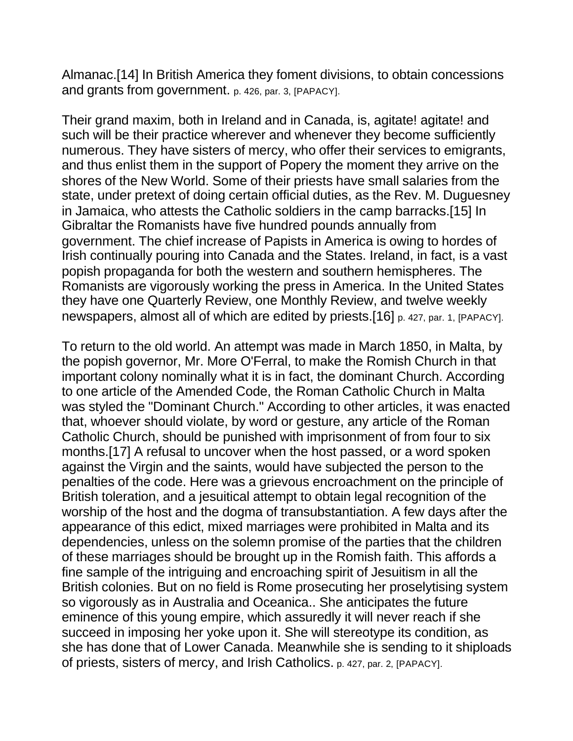Almanac.[14] In British America they foment divisions, to obtain concessions and grants from government. p. 426, par. 3, [PAPACY].

Their grand maxim, both in Ireland and in Canada, is, agitate! agitate! and such will be their practice wherever and whenever they become sufficiently numerous. They have sisters of mercy, who offer their services to emigrants, and thus enlist them in the support of Popery the moment they arrive on the shores of the New World. Some of their priests have small salaries from the state, under pretext of doing certain official duties, as the Rev. M. Duguesney in Jamaica, who attests the Catholic soldiers in the camp barracks.[15] In Gibraltar the Romanists have five hundred pounds annually from government. The chief increase of Papists in America is owing to hordes of Irish continually pouring into Canada and the States. Ireland, in fact, is a vast popish propaganda for both the western and southern hemispheres. The Romanists are vigorously working the press in America. In the United States they have one Quarterly Review, one Monthly Review, and twelve weekly newspapers, almost all of which are edited by priests.[16] p. 427, par. 1, [PAPACY].

To return to the old world. An attempt was made in March 1850, in Malta, by the popish governor, Mr. More O'Ferral, to make the Romish Church in that important colony nominally what it is in fact, the dominant Church. According to one article of the Amended Code, the Roman Catholic Church in Malta was styled the "Dominant Church." According to other articles, it was enacted that, whoever should violate, by word or gesture, any article of the Roman Catholic Church, should be punished with imprisonment of from four to six months.[17] A refusal to uncover when the host passed, or a word spoken against the Virgin and the saints, would have subjected the person to the penalties of the code. Here was a grievous encroachment on the principle of British toleration, and a jesuitical attempt to obtain legal recognition of the worship of the host and the dogma of transubstantiation. A few days after the appearance of this edict, mixed marriages were prohibited in Malta and its dependencies, unless on the solemn promise of the parties that the children of these marriages should be brought up in the Romish faith. This affords a fine sample of the intriguing and encroaching spirit of Jesuitism in all the British colonies. But on no field is Rome prosecuting her proselytising system so vigorously as in Australia and Oceanica.. She anticipates the future eminence of this young empire, which assuredly it will never reach if she succeed in imposing her yoke upon it. She will stereotype its condition, as she has done that of Lower Canada. Meanwhile she is sending to it shiploads of priests, sisters of mercy, and Irish Catholics. p. 427, par. 2, [PAPACY].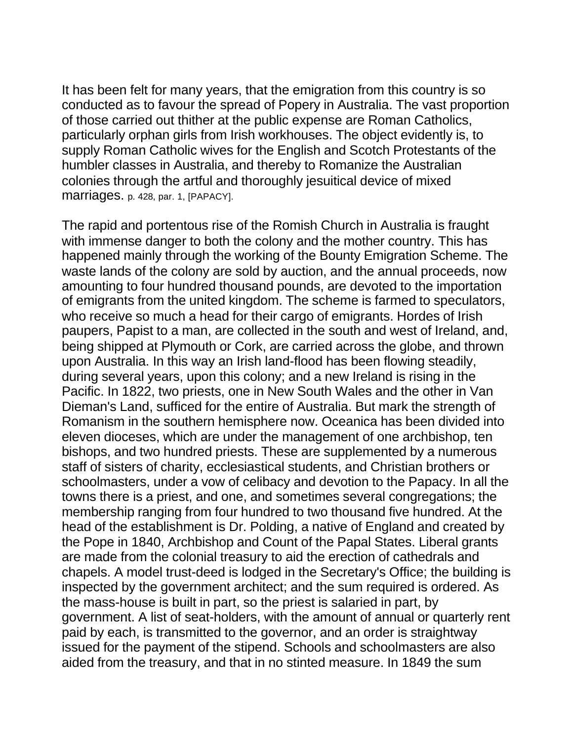It has been felt for many years, that the emigration from this country is so conducted as to favour the spread of Popery in Australia. The vast proportion of those carried out thither at the public expense are Roman Catholics, particularly orphan girls from Irish workhouses. The object evidently is, to supply Roman Catholic wives for the English and Scotch Protestants of the humbler classes in Australia, and thereby to Romanize the Australian colonies through the artful and thoroughly jesuitical device of mixed marriages. p. 428, par. 1, [PAPACY].

The rapid and portentous rise of the Romish Church in Australia is fraught with immense danger to both the colony and the mother country. This has happened mainly through the working of the Bounty Emigration Scheme. The waste lands of the colony are sold by auction, and the annual proceeds, now amounting to four hundred thousand pounds, are devoted to the importation of emigrants from the united kingdom. The scheme is farmed to speculators, who receive so much a head for their cargo of emigrants. Hordes of Irish paupers, Papist to a man, are collected in the south and west of Ireland, and, being shipped at Plymouth or Cork, are carried across the globe, and thrown upon Australia. In this way an Irish land-flood has been flowing steadily, during several years, upon this colony; and a new Ireland is rising in the Pacific. In 1822, two priests, one in New South Wales and the other in Van Dieman's Land, sufficed for the entire of Australia. But mark the strength of Romanism in the southern hemisphere now. Oceanica has been divided into eleven dioceses, which are under the management of one archbishop, ten bishops, and two hundred priests. These are supplemented by a numerous staff of sisters of charity, ecclesiastical students, and Christian brothers or schoolmasters, under a vow of celibacy and devotion to the Papacy. In all the towns there is a priest, and one, and sometimes several congregations; the membership ranging from four hundred to two thousand five hundred. At the head of the establishment is Dr. Polding, a native of England and created by the Pope in 1840, Archbishop and Count of the Papal States. Liberal grants are made from the colonial treasury to aid the erection of cathedrals and chapels. A model trust-deed is lodged in the Secretary's Office; the building is inspected by the government architect; and the sum required is ordered. As the mass-house is built in part, so the priest is salaried in part, by government. A list of seat-holders, with the amount of annual or quarterly rent paid by each, is transmitted to the governor, and an order is straightway issued for the payment of the stipend. Schools and schoolmasters are also aided from the treasury, and that in no stinted measure. In 1849 the sum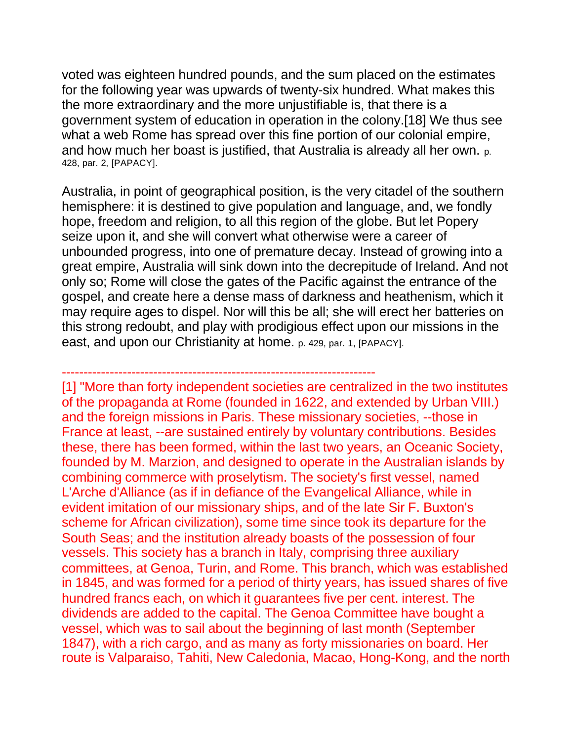voted was eighteen hundred pounds, and the sum placed on the estimates for the following year was upwards of twenty-six hundred. What makes this the more extraordinary and the more unjustifiable is, that there is a government system of education in operation in the colony.[18] We thus see what a web Rome has spread over this fine portion of our colonial empire, and how much her boast is justified, that Australia is already all her own. p. 428, par. 2, [PAPACY].

Australia, in point of geographical position, is the very citadel of the southern hemisphere: it is destined to give population and language, and, we fondly hope, freedom and religion, to all this region of the globe. But let Popery seize upon it, and she will convert what otherwise were a career of unbounded progress, into one of premature decay. Instead of growing into a great empire, Australia will sink down into the decrepitude of Ireland. And not only so; Rome will close the gates of the Pacific against the entrance of the gospel, and create here a dense mass of darkness and heathenism, which it may require ages to dispel. Nor will this be all; she will erect her batteries on this strong redoubt, and play with prodigious effect upon our missions in the east, and upon our Christianity at home. p. 429, par. 1, [PAPACY].

### ------------------------------------------------------------------------

[1] "More than forty independent societies are centralized in the two institutes of the propaganda at Rome (founded in 1622, and extended by Urban VIII.) and the foreign missions in Paris. These missionary societies, --those in France at least, --are sustained entirely by voluntary contributions. Besides these, there has been formed, within the last two years, an Oceanic Society, founded by M. Marzion, and designed to operate in the Australian islands by combining commerce with proselytism. The society's first vessel, named L'Arche d'Alliance (as if in defiance of the Evangelical Alliance, while in evident imitation of our missionary ships, and of the late Sir F. Buxton's scheme for African civilization), some time since took its departure for the South Seas; and the institution already boasts of the possession of four vessels. This society has a branch in Italy, comprising three auxiliary committees, at Genoa, Turin, and Rome. This branch, which was established in 1845, and was formed for a period of thirty years, has issued shares of five hundred francs each, on which it guarantees five per cent. interest. The dividends are added to the capital. The Genoa Committee have bought a vessel, which was to sail about the beginning of last month (September 1847), with a rich cargo, and as many as forty missionaries on board. Her route is Valparaiso, Tahiti, New Caledonia, Macao, Hong-Kong, and the north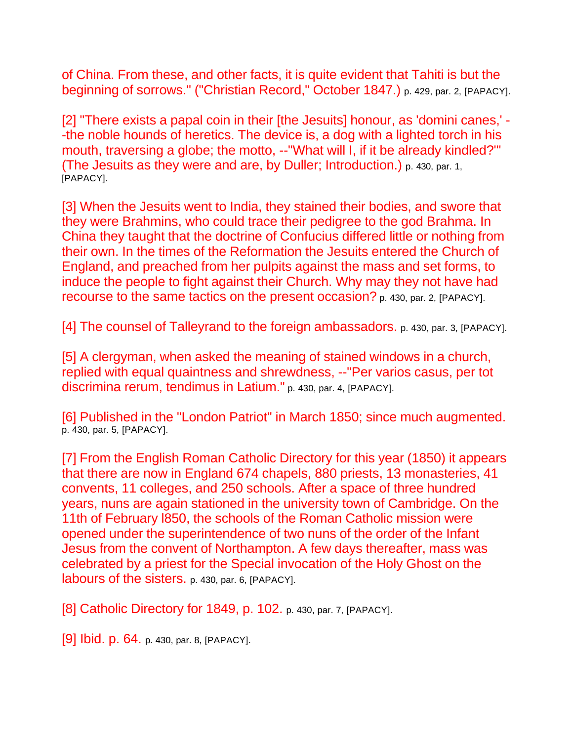of China. From these, and other facts, it is quite evident that Tahiti is but the beginning of sorrows." ("Christian Record," October 1847.) p. 429, par. 2, [PAPACY].

[2] "There exists a papal coin in their [the Jesuits] honour, as 'domini canes,' - -the noble hounds of heretics. The device is, a dog with a lighted torch in his mouth, traversing a globe; the motto, --"What will I, if it be already kindled?" (The Jesuits as they were and are, by Duller; Introduction.) p. 430, par. 1, [PAPACY].

[3] When the Jesuits went to India, they stained their bodies, and swore that they were Brahmins, who could trace their pedigree to the god Brahma. In China they taught that the doctrine of Confucius differed little or nothing from their own. In the times of the Reformation the Jesuits entered the Church of England, and preached from her pulpits against the mass and set forms, to induce the people to fight against their Church. Why may they not have had recourse to the same tactics on the present occasion? p. 430, par. 2, [PAPACY].

[4] The counsel of Talleyrand to the foreign ambassadors. p. 430, par. 3, [PAPACY].

[5] A clergyman, when asked the meaning of stained windows in a church, replied with equal quaintness and shrewdness, --"Per varios casus, per tot discrimina rerum, tendimus in Latium." p. 430, par. 4, [PAPACY].

[6] Published in the "London Patriot" in March 1850; since much augmented. p. 430, par. 5, [PAPACY].

[7] From the English Roman Catholic Directory for this year (1850) it appears that there are now in England 674 chapels, 880 priests, 13 monasteries, 41 convents, 11 colleges, and 250 schools. After a space of three hundred years, nuns are again stationed in the university town of Cambridge. On the 11th of February l850, the schools of the Roman Catholic mission were opened under the superintendence of two nuns of the order of the Infant Jesus from the convent of Northampton. A few days thereafter, mass was celebrated by a priest for the Special invocation of the Holy Ghost on the labours of the sisters. p. 430, par. 6, [PAPACY].

[8] Catholic Directory for 1849, p. 102. p. 430, par. 7, [PAPACY].

[9] **Ibid. p. 64.** p. 430, par. 8, [PAPACY].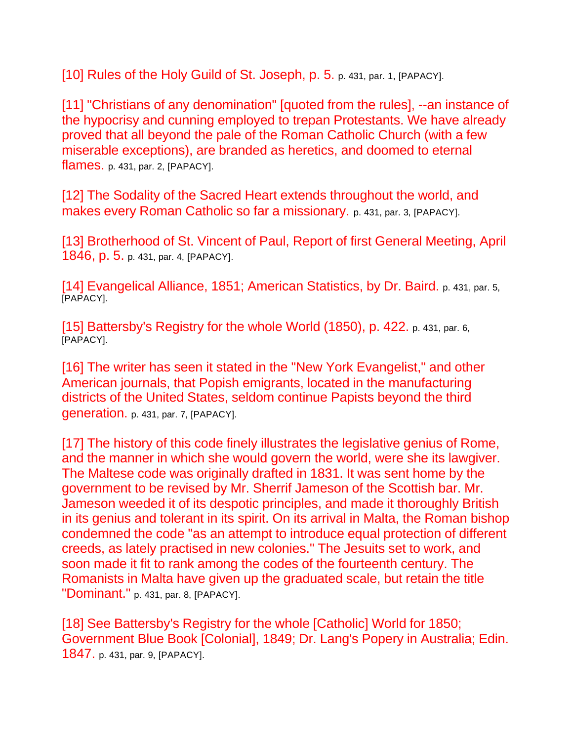[10] Rules of the Holy Guild of St. Joseph, p. 5. p. 431, par. 1, [PAPACY].

[11] "Christians of any denomination" [quoted from the rules], --an instance of the hypocrisy and cunning employed to trepan Protestants. We have already proved that all beyond the pale of the Roman Catholic Church (with a few miserable exceptions), are branded as heretics, and doomed to eternal flames. p. 431, par. 2, [PAPACY].

[12] The Sodality of the Sacred Heart extends throughout the world, and makes every Roman Catholic so far a missionary. p. 431, par. 3, [PAPACY].

[13] Brotherhood of St. Vincent of Paul, Report of first General Meeting, April 1846, p. 5. p. 431, par. 4, [PAPACY].

[14] Evangelical Alliance, 1851; American Statistics, by Dr. Baird. p. 431, par. 5, [PAPACY].

[15] Battersby's Registry for the whole World (1850), p. 422. p. 431, par. 6, [PAPACY].

[16] The writer has seen it stated in the "New York Evangelist," and other American journals, that Popish emigrants, located in the manufacturing districts of the United States, seldom continue Papists beyond the third generation. p. 431, par. 7, [PAPACY].

[17] The history of this code finely illustrates the legislative genius of Rome, and the manner in which she would govern the world, were she its lawgiver. The Maltese code was originally drafted in 1831. It was sent home by the government to be revised by Mr. Sherrif Jameson of the Scottish bar. Mr. Jameson weeded it of its despotic principles, and made it thoroughly British in its genius and tolerant in its spirit. On its arrival in Malta, the Roman bishop condemned the code "as an attempt to introduce equal protection of different creeds, as lately practised in new colonies." The Jesuits set to work, and soon made it fit to rank among the codes of the fourteenth century. The Romanists in Malta have given up the graduated scale, but retain the title "Dominant." p. 431, par. 8, [PAPACY].

[18] See Battersby's Registry for the whole [Catholic] World for 1850; Government Blue Book [Colonial], 1849; Dr. Lang's Popery in Australia; Edin. 1847. p. 431, par. 9, [PAPACY].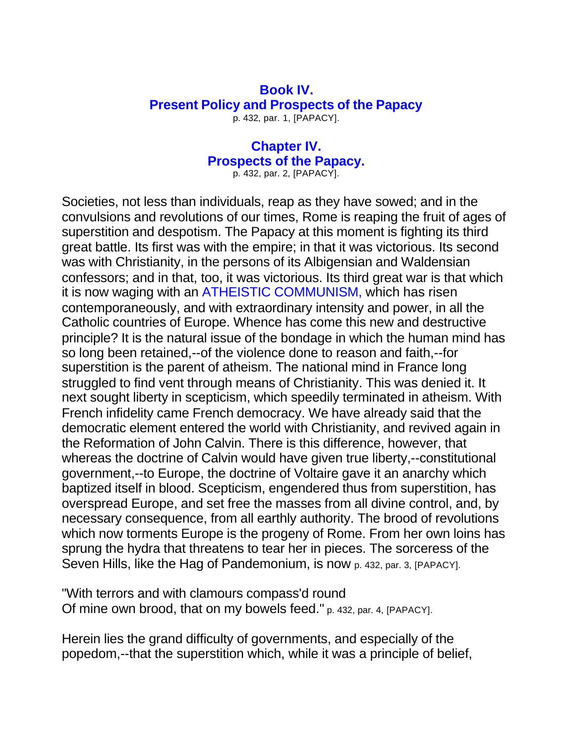# **Book IV. Present Policy and Prospects of the Papacy**

p. 432, par. 1, [PAPACY].

# **Chapter IV. Prospects of the Papacy.**

p. 432, par. 2, [PAPACY].

Societies, not less than individuals, reap as they have sowed; and in the convulsions and revolutions of our times, Rome is reaping the fruit of ages of superstition and despotism. The Papacy at this moment is fighting its third great battle. Its first was with the empire; in that it was victorious. Its second was with Christianity, in the persons of its Albigensian and Waldensian confessors; and in that, too, it was victorious. Its third great war is that which it is now waging with an ATHEISTIC COMMUNISM, which has risen contemporaneously, and with extraordinary intensity and power, in all the Catholic countries of Europe. Whence has come this new and destructive principle? It is the natural issue of the bondage in which the human mind has so long been retained,--of the violence done to reason and faith,--for superstition is the parent of atheism. The national mind in France long struggled to find vent through means of Christianity. This was denied it. It next sought liberty in scepticism, which speedily terminated in atheism. With French infidelity came French democracy. We have already said that the democratic element entered the world with Christianity, and revived again in the Reformation of John Calvin. There is this difference, however, that whereas the doctrine of Calvin would have given true liberty,--constitutional government,--to Europe, the doctrine of Voltaire gave it an anarchy which baptized itself in blood. Scepticism, engendered thus from superstition, has overspread Europe, and set free the masses from all divine control, and, by necessary consequence, from all earthly authority. The brood of revolutions which now torments Europe is the progeny of Rome. From her own loins has sprung the hydra that threatens to tear her in pieces. The sorceress of the Seven Hills, like the Hag of Pandemonium, is now p. 432, par. 3, [PAPACY].

"With terrors and with clamours compass'd round Of mine own brood, that on my bowels feed." p. 432, par. 4, [PAPACY].

Herein lies the grand difficulty of governments, and especially of the popedom,--that the superstition which, while it was a principle of belief,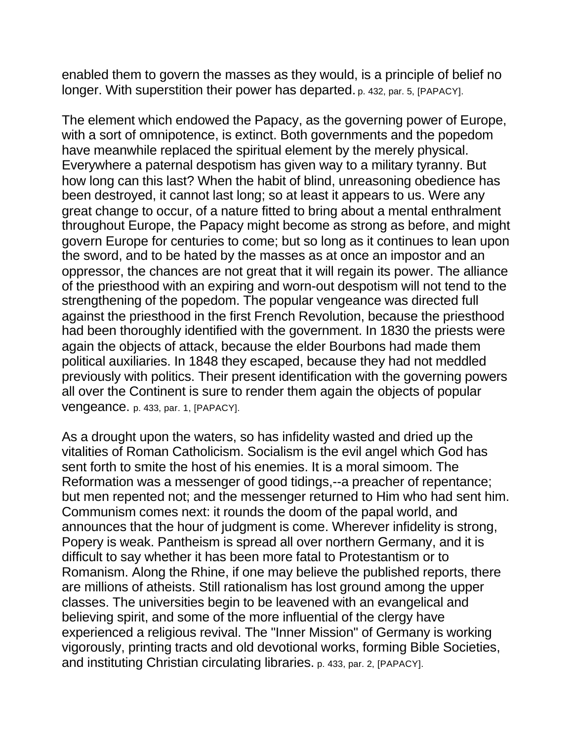enabled them to govern the masses as they would, is a principle of belief no longer. With superstition their power has departed. p. 432, par. 5, [PAPACY].

The element which endowed the Papacy, as the governing power of Europe, with a sort of omnipotence, is extinct. Both governments and the popedom have meanwhile replaced the spiritual element by the merely physical. Everywhere a paternal despotism has given way to a military tyranny. But how long can this last? When the habit of blind, unreasoning obedience has been destroyed, it cannot last long; so at least it appears to us. Were any great change to occur, of a nature fitted to bring about a mental enthralment throughout Europe, the Papacy might become as strong as before, and might govern Europe for centuries to come; but so long as it continues to lean upon the sword, and to be hated by the masses as at once an impostor and an oppressor, the chances are not great that it will regain its power. The alliance of the priesthood with an expiring and worn-out despotism will not tend to the strengthening of the popedom. The popular vengeance was directed full against the priesthood in the first French Revolution, because the priesthood had been thoroughly identified with the government. In 1830 the priests were again the objects of attack, because the elder Bourbons had made them political auxiliaries. In 1848 they escaped, because they had not meddled previously with politics. Their present identification with the governing powers all over the Continent is sure to render them again the objects of popular vengeance. p. 433, par. 1, [PAPACY].

As a drought upon the waters, so has infidelity wasted and dried up the vitalities of Roman Catholicism. Socialism is the evil angel which God has sent forth to smite the host of his enemies. It is a moral simoom. The Reformation was a messenger of good tidings,--a preacher of repentance; but men repented not; and the messenger returned to Him who had sent him. Communism comes next: it rounds the doom of the papal world, and announces that the hour of judgment is come. Wherever infidelity is strong, Popery is weak. Pantheism is spread all over northern Germany, and it is difficult to say whether it has been more fatal to Protestantism or to Romanism. Along the Rhine, if one may believe the published reports, there are millions of atheists. Still rationalism has lost ground among the upper classes. The universities begin to be leavened with an evangelical and believing spirit, and some of the more influential of the clergy have experienced a religious revival. The "Inner Mission" of Germany is working vigorously, printing tracts and old devotional works, forming Bible Societies, and instituting Christian circulating libraries. p. 433, par. 2, [PAPACY].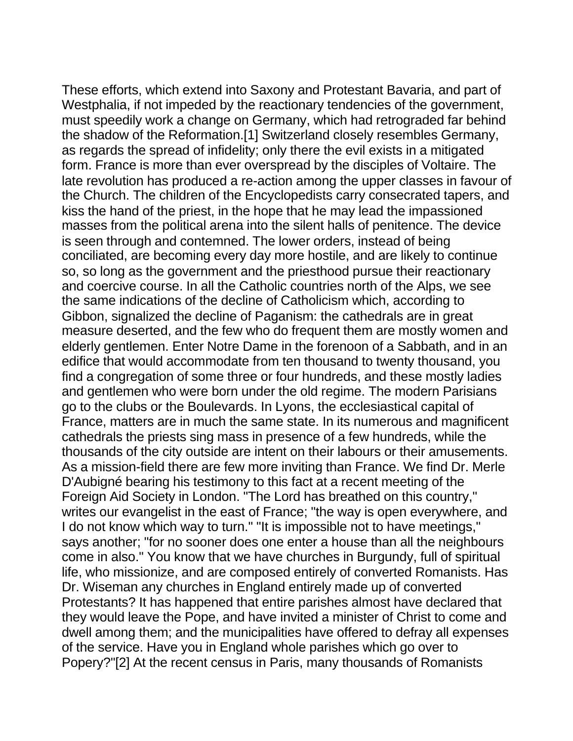These efforts, which extend into Saxony and Protestant Bavaria, and part of Westphalia, if not impeded by the reactionary tendencies of the government, must speedily work a change on Germany, which had retrograded far behind the shadow of the Reformation.[1] Switzerland closely resembles Germany, as regards the spread of infidelity; only there the evil exists in a mitigated form. France is more than ever overspread by the disciples of Voltaire. The late revolution has produced a re-action among the upper classes in favour of the Church. The children of the Encyclopedists carry consecrated tapers, and kiss the hand of the priest, in the hope that he may lead the impassioned masses from the political arena into the silent halls of penitence. The device is seen through and contemned. The lower orders, instead of being conciliated, are becoming every day more hostile, and are likely to continue so, so long as the government and the priesthood pursue their reactionary and coercive course. In all the Catholic countries north of the Alps, we see the same indications of the decline of Catholicism which, according to Gibbon, signalized the decline of Paganism: the cathedrals are in great measure deserted, and the few who do frequent them are mostly women and elderly gentlemen. Enter Notre Dame in the forenoon of a Sabbath, and in an edifice that would accommodate from ten thousand to twenty thousand, you find a congregation of some three or four hundreds, and these mostly ladies and gentlemen who were born under the old regime. The modern Parisians go to the clubs or the Boulevards. In Lyons, the ecclesiastical capital of France, matters are in much the same state. In its numerous and magnificent cathedrals the priests sing mass in presence of a few hundreds, while the thousands of the city outside are intent on their labours or their amusements. As a mission-field there are few more inviting than France. We find Dr. Merle D'Aubigné bearing his testimony to this fact at a recent meeting of the Foreign Aid Society in London. "The Lord has breathed on this country," writes our evangelist in the east of France; "the way is open everywhere, and I do not know which way to turn." "It is impossible not to have meetings," says another; "for no sooner does one enter a house than all the neighbours come in also." You know that we have churches in Burgundy, full of spiritual life, who missionize, and are composed entirely of converted Romanists. Has Dr. Wiseman any churches in England entirely made up of converted Protestants? It has happened that entire parishes almost have declared that they would leave the Pope, and have invited a minister of Christ to come and dwell among them; and the municipalities have offered to defray all expenses of the service. Have you in England whole parishes which go over to Popery?"[2] At the recent census in Paris, many thousands of Romanists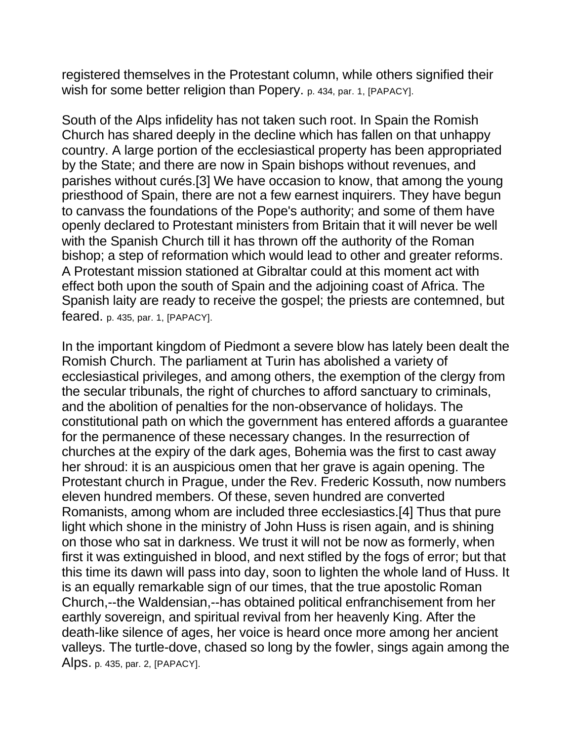registered themselves in the Protestant column, while others signified their wish for some better religion than Popery. p. 434, par. 1, [PAPACY].

South of the Alps infidelity has not taken such root. In Spain the Romish Church has shared deeply in the decline which has fallen on that unhappy country. A large portion of the ecclesiastical property has been appropriated by the State; and there are now in Spain bishops without revenues, and parishes without curés.[3] We have occasion to know, that among the young priesthood of Spain, there are not a few earnest inquirers. They have begun to canvass the foundations of the Pope's authority; and some of them have openly declared to Protestant ministers from Britain that it will never be well with the Spanish Church till it has thrown off the authority of the Roman bishop; a step of reformation which would lead to other and greater reforms. A Protestant mission stationed at Gibraltar could at this moment act with effect both upon the south of Spain and the adjoining coast of Africa. The Spanish laity are ready to receive the gospel; the priests are contemned, but feared. p. 435, par. 1, [PAPACY].

In the important kingdom of Piedmont a severe blow has lately been dealt the Romish Church. The parliament at Turin has abolished a variety of ecclesiastical privileges, and among others, the exemption of the clergy from the secular tribunals, the right of churches to afford sanctuary to criminals, and the abolition of penalties for the non-observance of holidays. The constitutional path on which the government has entered affords a guarantee for the permanence of these necessary changes. In the resurrection of churches at the expiry of the dark ages, Bohemia was the first to cast away her shroud: it is an auspicious omen that her grave is again opening. The Protestant church in Prague, under the Rev. Frederic Kossuth, now numbers eleven hundred members. Of these, seven hundred are converted Romanists, among whom are included three ecclesiastics.[4] Thus that pure light which shone in the ministry of John Huss is risen again, and is shining on those who sat in darkness. We trust it will not be now as formerly, when first it was extinguished in blood, and next stifled by the fogs of error; but that this time its dawn will pass into day, soon to lighten the whole land of Huss. It is an equally remarkable sign of our times, that the true apostolic Roman Church,--the Waldensian,--has obtained political enfranchisement from her earthly sovereign, and spiritual revival from her heavenly King. After the death-like silence of ages, her voice is heard once more among her ancient valleys. The turtle-dove, chased so long by the fowler, sings again among the Alps. p. 435, par. 2, [PAPACY].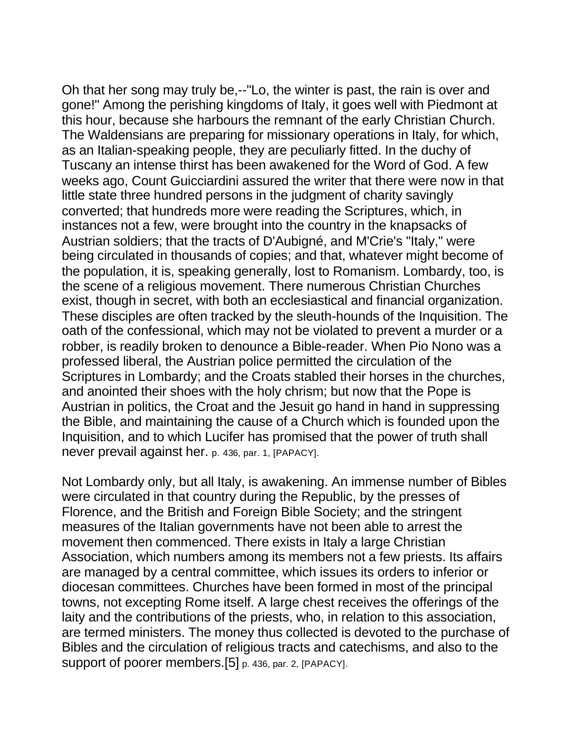Oh that her song may truly be,--"Lo, the winter is past, the rain is over and gone!" Among the perishing kingdoms of Italy, it goes well with Piedmont at this hour, because she harbours the remnant of the early Christian Church. The Waldensians are preparing for missionary operations in Italy, for which, as an Italian-speaking people, they are peculiarly fitted. In the duchy of Tuscany an intense thirst has been awakened for the Word of God. A few weeks ago, Count Guicciardini assured the writer that there were now in that little state three hundred persons in the judgment of charity savingly converted; that hundreds more were reading the Scriptures, which, in instances not a few, were brought into the country in the knapsacks of Austrian soldiers; that the tracts of D'Aubigné, and M'Crie's "Italy," were being circulated in thousands of copies; and that, whatever might become of the population, it is, speaking generally, lost to Romanism. Lombardy, too, is the scene of a religious movement. There numerous Christian Churches exist, though in secret, with both an ecclesiastical and financial organization. These disciples are often tracked by the sleuth-hounds of the Inquisition. The oath of the confessional, which may not be violated to prevent a murder or a robber, is readily broken to denounce a Bible-reader. When Pio Nono was a professed liberal, the Austrian police permitted the circulation of the Scriptures in Lombardy; and the Croats stabled their horses in the churches, and anointed their shoes with the holy chrism; but now that the Pope is Austrian in politics, the Croat and the Jesuit go hand in hand in suppressing the Bible, and maintaining the cause of a Church which is founded upon the Inquisition, and to which Lucifer has promised that the power of truth shall never prevail against her. p. 436, par. 1, [PAPACY].

Not Lombardy only, but all Italy, is awakening. An immense number of Bibles were circulated in that country during the Republic, by the presses of Florence, and the British and Foreign Bible Society; and the stringent measures of the Italian governments have not been able to arrest the movement then commenced. There exists in Italy a large Christian Association, which numbers among its members not a few priests. Its affairs are managed by a central committee, which issues its orders to inferior or diocesan committees. Churches have been formed in most of the principal towns, not excepting Rome itself. A large chest receives the offerings of the laity and the contributions of the priests, who, in relation to this association, are termed ministers. The money thus collected is devoted to the purchase of Bibles and the circulation of religious tracts and catechisms, and also to the support of poorer members.[5] p. 436, par. 2, [PAPACY].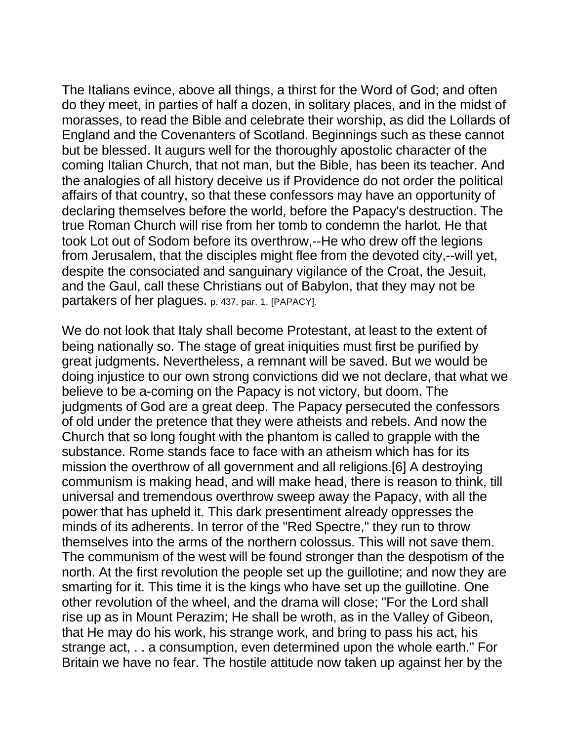The Italians evince, above all things, a thirst for the Word of God; and often do they meet, in parties of half a dozen, in solitary places, and in the midst of morasses, to read the Bible and celebrate their worship, as did the Lollards of England and the Covenanters of Scotland. Beginnings such as these cannot but be blessed. It augurs well for the thoroughly apostolic character of the coming Italian Church, that not man, but the Bible, has been its teacher. And the analogies of all history deceive us if Providence do not order the political affairs of that country, so that these confessors may have an opportunity of declaring themselves before the world, before the Papacy's destruction. The true Roman Church will rise from her tomb to condemn the harlot. He that took Lot out of Sodom before its overthrow,--He who drew off the legions from Jerusalem, that the disciples might flee from the devoted city,--will yet, despite the consociated and sanguinary vigilance of the Croat, the Jesuit, and the Gaul, call these Christians out of Babylon, that they may not be partakers of her plagues. p. 437, par. 1, [PAPACY].

We do not look that Italy shall become Protestant, at least to the extent of being nationally so. The stage of great iniquities must first be purified by great judgments. Nevertheless, a remnant will be saved. But we would be doing injustice to our own strong convictions did we not declare, that what we believe to be a-coming on the Papacy is not victory, but doom. The judgments of God are a great deep. The Papacy persecuted the confessors of old under the pretence that they were atheists and rebels. And now the Church that so long fought with the phantom is called to grapple with the substance. Rome stands face to face with an atheism which has for its mission the overthrow of all government and all religions.[6] A destroying communism is making head, and will make head, there is reason to think, till universal and tremendous overthrow sweep away the Papacy, with all the power that has upheld it. This dark presentiment already oppresses the minds of its adherents. In terror of the "Red Spectre," they run to throw themselves into the arms of the northern colossus. This will not save them. The communism of the west will be found stronger than the despotism of the north. At the first revolution the people set up the guillotine; and now they are smarting for it. This time it is the kings who have set up the guillotine. One other revolution of the wheel, and the drama will close; "For the Lord shall rise up as in Mount Perazim; He shall be wroth, as in the Valley of Gibeon, that He may do his work, his strange work, and bring to pass his act, his strange act, . . a consumption, even determined upon the whole earth." For Britain we have no fear. The hostile attitude now taken up against her by the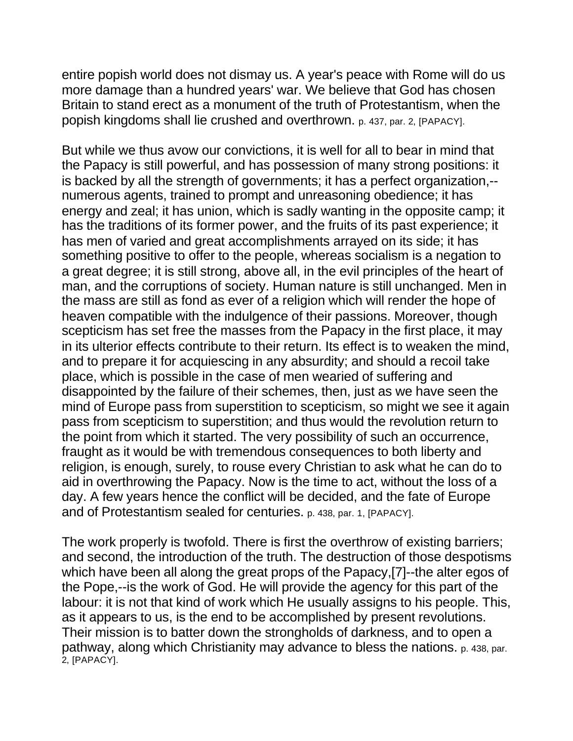entire popish world does not dismay us. A year's peace with Rome will do us more damage than a hundred years' war. We believe that God has chosen Britain to stand erect as a monument of the truth of Protestantism, when the popish kingdoms shall lie crushed and overthrown. p. 437, par. 2, [PAPACY].

But while we thus avow our convictions, it is well for all to bear in mind that the Papacy is still powerful, and has possession of many strong positions: it is backed by all the strength of governments; it has a perfect organization,- numerous agents, trained to prompt and unreasoning obedience; it has energy and zeal; it has union, which is sadly wanting in the opposite camp; it has the traditions of its former power, and the fruits of its past experience; it has men of varied and great accomplishments arrayed on its side; it has something positive to offer to the people, whereas socialism is a negation to a great degree; it is still strong, above all, in the evil principles of the heart of man, and the corruptions of society. Human nature is still unchanged. Men in the mass are still as fond as ever of a religion which will render the hope of heaven compatible with the indulgence of their passions. Moreover, though scepticism has set free the masses from the Papacy in the first place, it may in its ulterior effects contribute to their return. Its effect is to weaken the mind, and to prepare it for acquiescing in any absurdity; and should a recoil take place, which is possible in the case of men wearied of suffering and disappointed by the failure of their schemes, then, just as we have seen the mind of Europe pass from superstition to scepticism, so might we see it again pass from scepticism to superstition; and thus would the revolution return to the point from which it started. The very possibility of such an occurrence, fraught as it would be with tremendous consequences to both liberty and religion, is enough, surely, to rouse every Christian to ask what he can do to aid in overthrowing the Papacy. Now is the time to act, without the loss of a day. A few years hence the conflict will be decided, and the fate of Europe and of Protestantism sealed for centuries. p. 438, par. 1, [PAPACY].

The work properly is twofold. There is first the overthrow of existing barriers; and second, the introduction of the truth. The destruction of those despotisms which have been all along the great props of the Papacy,[7]--the alter egos of the Pope,--is the work of God. He will provide the agency for this part of the labour: it is not that kind of work which He usually assigns to his people. This, as it appears to us, is the end to be accomplished by present revolutions. Their mission is to batter down the strongholds of darkness, and to open a pathway, along which Christianity may advance to bless the nations. p. 438, par. **2, [PAPACY].**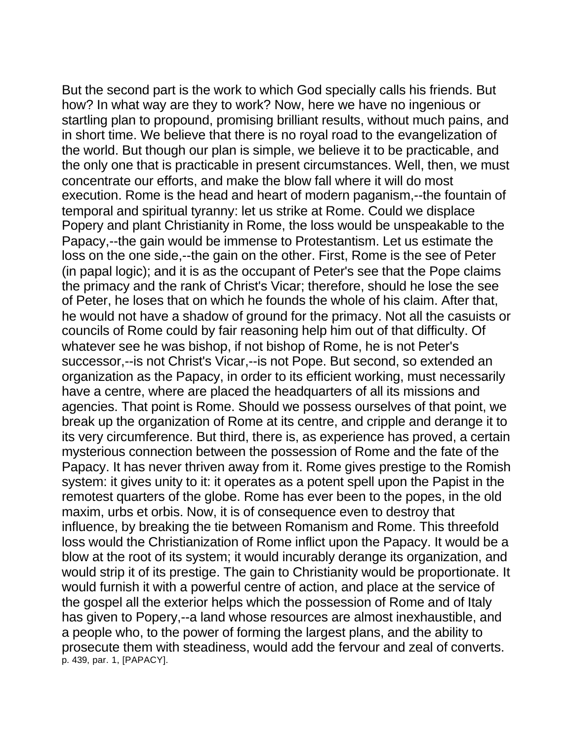But the second part is the work to which God specially calls his friends. But how? In what way are they to work? Now, here we have no ingenious or startling plan to propound, promising brilliant results, without much pains, and in short time. We believe that there is no royal road to the evangelization of the world. But though our plan is simple, we believe it to be practicable, and the only one that is practicable in present circumstances. Well, then, we must concentrate our efforts, and make the blow fall where it will do most execution. Rome is the head and heart of modern paganism,--the fountain of temporal and spiritual tyranny: let us strike at Rome. Could we displace Popery and plant Christianity in Rome, the loss would be unspeakable to the Papacy,--the gain would be immense to Protestantism. Let us estimate the loss on the one side,--the gain on the other. First, Rome is the see of Peter (in papal logic); and it is as the occupant of Peter's see that the Pope claims the primacy and the rank of Christ's Vicar; therefore, should he lose the see of Peter, he loses that on which he founds the whole of his claim. After that, he would not have a shadow of ground for the primacy. Not all the casuists or councils of Rome could by fair reasoning help him out of that difficulty. Of whatever see he was bishop, if not bishop of Rome, he is not Peter's successor,--is not Christ's Vicar,--is not Pope. But second, so extended an organization as the Papacy, in order to its efficient working, must necessarily have a centre, where are placed the headquarters of all its missions and agencies. That point is Rome. Should we possess ourselves of that point, we break up the organization of Rome at its centre, and cripple and derange it to its very circumference. But third, there is, as experience has proved, a certain mysterious connection between the possession of Rome and the fate of the Papacy. It has never thriven away from it. Rome gives prestige to the Romish system: it gives unity to it: it operates as a potent spell upon the Papist in the remotest quarters of the globe. Rome has ever been to the popes, in the old maxim, urbs et orbis. Now, it is of consequence even to destroy that influence, by breaking the tie between Romanism and Rome. This threefold loss would the Christianization of Rome inflict upon the Papacy. It would be a blow at the root of its system; it would incurably derange its organization, and would strip it of its prestige. The gain to Christianity would be proportionate. It would furnish it with a powerful centre of action, and place at the service of the gospel all the exterior helps which the possession of Rome and of Italy has given to Popery,--a land whose resources are almost inexhaustible, and a people who, to the power of forming the largest plans, and the ability to prosecute them with steadiness, would add the fervour and zeal of converts. p. 439, par. 1, [PAPACY].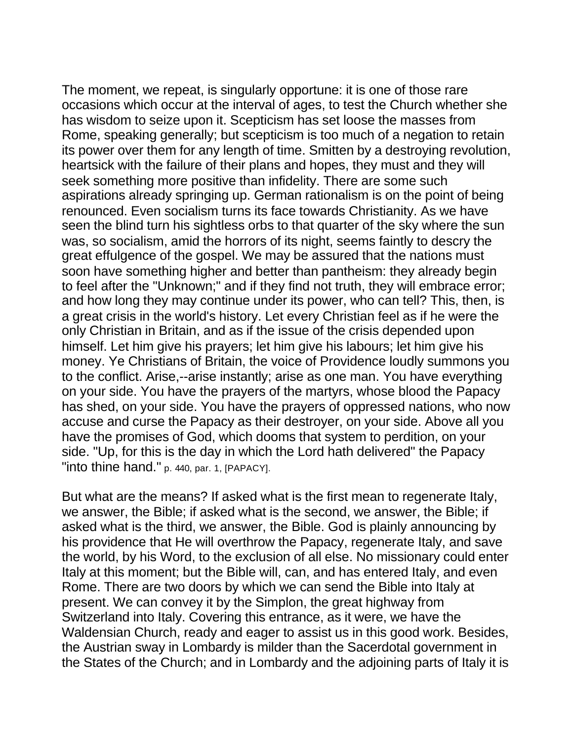The moment, we repeat, is singularly opportune: it is one of those rare occasions which occur at the interval of ages, to test the Church whether she has wisdom to seize upon it. Scepticism has set loose the masses from Rome, speaking generally; but scepticism is too much of a negation to retain its power over them for any length of time. Smitten by a destroying revolution, heartsick with the failure of their plans and hopes, they must and they will seek something more positive than infidelity. There are some such aspirations already springing up. German rationalism is on the point of being renounced. Even socialism turns its face towards Christianity. As we have seen the blind turn his sightless orbs to that quarter of the sky where the sun was, so socialism, amid the horrors of its night, seems faintly to descry the great effulgence of the gospel. We may be assured that the nations must soon have something higher and better than pantheism: they already begin to feel after the "Unknown;" and if they find not truth, they will embrace error; and how long they may continue under its power, who can tell? This, then, is a great crisis in the world's history. Let every Christian feel as if he were the only Christian in Britain, and as if the issue of the crisis depended upon himself. Let him give his prayers; let him give his labours; let him give his money. Ye Christians of Britain, the voice of Providence loudly summons you to the conflict. Arise,--arise instantly; arise as one man. You have everything on your side. You have the prayers of the martyrs, whose blood the Papacy has shed, on your side. You have the prayers of oppressed nations, who now accuse and curse the Papacy as their destroyer, on your side. Above all you have the promises of God, which dooms that system to perdition, on your side. "Up, for this is the day in which the Lord hath delivered" the Papacy "into thine hand." p. 440, par. 1, [PAPACY].

But what are the means? If asked what is the first mean to regenerate Italy, we answer, the Bible; if asked what is the second, we answer, the Bible; if asked what is the third, we answer, the Bible. God is plainly announcing by his providence that He will overthrow the Papacy, regenerate Italy, and save the world, by his Word, to the exclusion of all else. No missionary could enter Italy at this moment; but the Bible will, can, and has entered Italy, and even Rome. There are two doors by which we can send the Bible into Italy at present. We can convey it by the Simplon, the great highway from Switzerland into Italy. Covering this entrance, as it were, we have the Waldensian Church, ready and eager to assist us in this good work. Besides, the Austrian sway in Lombardy is milder than the Sacerdotal government in the States of the Church; and in Lombardy and the adjoining parts of Italy it is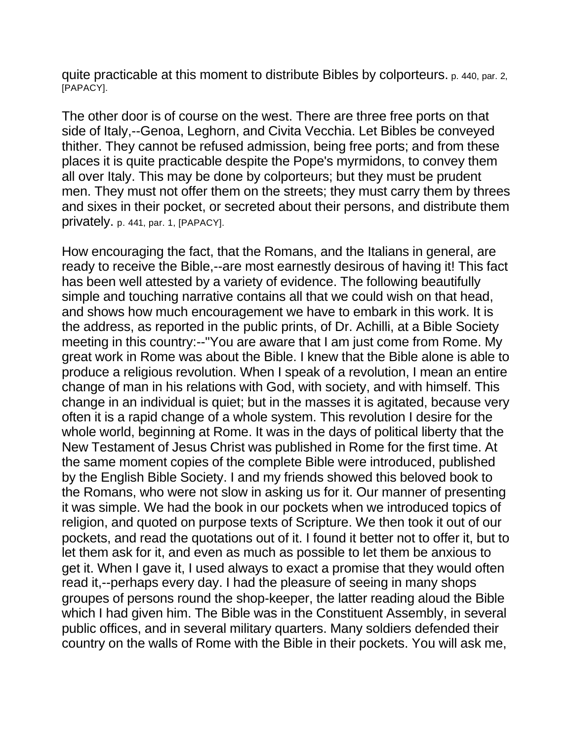quite practicable at this moment to distribute Bibles by colporteurs. p. 440, par. 2, [PAPACY].

The other door is of course on the west. There are three free ports on that side of Italy,--Genoa, Leghorn, and Civita Vecchia. Let Bibles be conveyed thither. They cannot be refused admission, being free ports; and from these places it is quite practicable despite the Pope's myrmidons, to convey them all over Italy. This may be done by colporteurs; but they must be prudent men. They must not offer them on the streets; they must carry them by threes and sixes in their pocket, or secreted about their persons, and distribute them privately. p. 441, par. 1, [PAPACY].

How encouraging the fact, that the Romans, and the Italians in general, are ready to receive the Bible,--are most earnestly desirous of having it! This fact has been well attested by a variety of evidence. The following beautifully simple and touching narrative contains all that we could wish on that head, and shows how much encouragement we have to embark in this work. It is the address, as reported in the public prints, of Dr. Achilli, at a Bible Society meeting in this country:--"You are aware that I am just come from Rome. My great work in Rome was about the Bible. I knew that the Bible alone is able to produce a religious revolution. When I speak of a revolution, I mean an entire change of man in his relations with God, with society, and with himself. This change in an individual is quiet; but in the masses it is agitated, because very often it is a rapid change of a whole system. This revolution I desire for the whole world, beginning at Rome. It was in the days of political liberty that the New Testament of Jesus Christ was published in Rome for the first time. At the same moment copies of the complete Bible were introduced, published by the English Bible Society. I and my friends showed this beloved book to the Romans, who were not slow in asking us for it. Our manner of presenting it was simple. We had the book in our pockets when we introduced topics of religion, and quoted on purpose texts of Scripture. We then took it out of our pockets, and read the quotations out of it. I found it better not to offer it, but to let them ask for it, and even as much as possible to let them be anxious to get it. When I gave it, I used always to exact a promise that they would often read it,--perhaps every day. I had the pleasure of seeing in many shops groupes of persons round the shop-keeper, the latter reading aloud the Bible which I had given him. The Bible was in the Constituent Assembly, in several public offices, and in several military quarters. Many soldiers defended their country on the walls of Rome with the Bible in their pockets. You will ask me,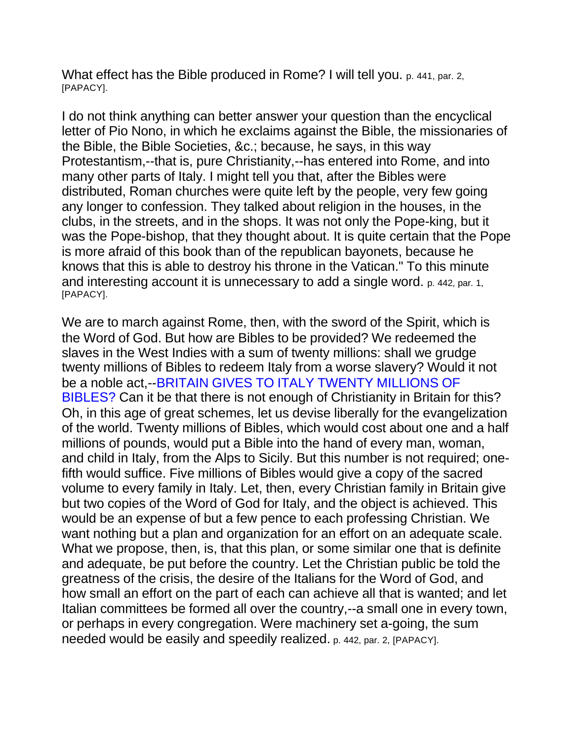What effect has the Bible produced in Rome? I will tell you. p. 441, par. 2, [PAPACY].

I do not think anything can better answer your question than the encyclical letter of Pio Nono, in which he exclaims against the Bible, the missionaries of the Bible, the Bible Societies, &c.; because, he says, in this way Protestantism,--that is, pure Christianity,--has entered into Rome, and into many other parts of Italy. I might tell you that, after the Bibles were distributed, Roman churches were quite left by the people, very few going any longer to confession. They talked about religion in the houses, in the clubs, in the streets, and in the shops. It was not only the Pope-king, but it was the Pope-bishop, that they thought about. It is quite certain that the Pope is more afraid of this book than of the republican bayonets, because he knows that this is able to destroy his throne in the Vatican." To this minute and interesting account it is unnecessary to add a single word. p. 442, par. 1, [PAPACY].

We are to march against Rome, then, with the sword of the Spirit, which is the Word of God. But how are Bibles to be provided? We redeemed the slaves in the West Indies with a sum of twenty millions: shall we grudge twenty millions of Bibles to redeem Italy from a worse slavery? Would it not be a noble act,--BRITAIN GIVES TO ITALY TWENTY MILLIONS OF BIBLES? Can it be that there is not enough of Christianity in Britain for this? Oh, in this age of great schemes, let us devise liberally for the evangelization of the world. Twenty millions of Bibles, which would cost about one and a half millions of pounds, would put a Bible into the hand of every man, woman, and child in Italy, from the Alps to Sicily. But this number is not required; onefifth would suffice. Five millions of Bibles would give a copy of the sacred volume to every family in Italy. Let, then, every Christian family in Britain give but two copies of the Word of God for Italy, and the object is achieved. This would be an expense of but a few pence to each professing Christian. We want nothing but a plan and organization for an effort on an adequate scale. What we propose, then, is, that this plan, or some similar one that is definite and adequate, be put before the country. Let the Christian public be told the greatness of the crisis, the desire of the Italians for the Word of God, and how small an effort on the part of each can achieve all that is wanted; and let Italian committees be formed all over the country,--a small one in every town, or perhaps in every congregation. Were machinery set a-going, the sum needed would be easily and speedily realized. p. 442, par. 2, [PAPACY].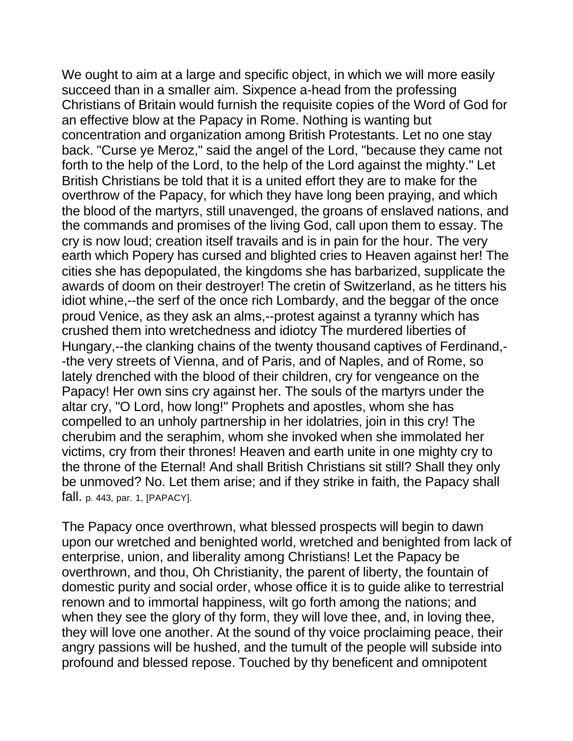We ought to aim at a large and specific object, in which we will more easily succeed than in a smaller aim. Sixpence a-head from the professing Christians of Britain would furnish the requisite copies of the Word of God for an effective blow at the Papacy in Rome. Nothing is wanting but concentration and organization among British Protestants. Let no one stay back. "Curse ye Meroz," said the angel of the Lord, "because they came not forth to the help of the Lord, to the help of the Lord against the mighty." Let British Christians be told that it is a united effort they are to make for the overthrow of the Papacy, for which they have long been praying, and which the blood of the martyrs, still unavenged, the groans of enslaved nations, and the commands and promises of the living God, call upon them to essay. The cry is now loud; creation itself travails and is in pain for the hour. The very earth which Popery has cursed and blighted cries to Heaven against her! The cities she has depopulated, the kingdoms she has barbarized, supplicate the awards of doom on their destroyer! The cretin of Switzerland, as he titters his idiot whine,--the serf of the once rich Lombardy, and the beggar of the once proud Venice, as they ask an alms,--protest against a tyranny which has crushed them into wretchedness and idiotcy The murdered liberties of Hungary,--the clanking chains of the twenty thousand captives of Ferdinand,- -the very streets of Vienna, and of Paris, and of Naples, and of Rome, so lately drenched with the blood of their children, cry for vengeance on the Papacy! Her own sins cry against her. The souls of the martyrs under the altar cry, "O Lord, how long!" Prophets and apostles, whom she has compelled to an unholy partnership in her idolatries, join in this cry! The cherubim and the seraphim, whom she invoked when she immolated her victims, cry from their thrones! Heaven and earth unite in one mighty cry to the throne of the Eternal! And shall British Christians sit still? Shall they only be unmoved? No. Let them arise; and if they strike in faith, the Papacy shall fall. p. 443, par. 1, [PAPACY].

The Papacy once overthrown, what blessed prospects will begin to dawn upon our wretched and benighted world, wretched and benighted from lack of enterprise, union, and liberality among Christians! Let the Papacy be overthrown, and thou, Oh Christianity, the parent of liberty, the fountain of domestic purity and social order, whose office it is to guide alike to terrestrial renown and to immortal happiness, wilt go forth among the nations; and when they see the glory of thy form, they will love thee, and, in loving thee, they will love one another. At the sound of thy voice proclaiming peace, their angry passions will be hushed, and the tumult of the people will subside into profound and blessed repose. Touched by thy beneficent and omnipotent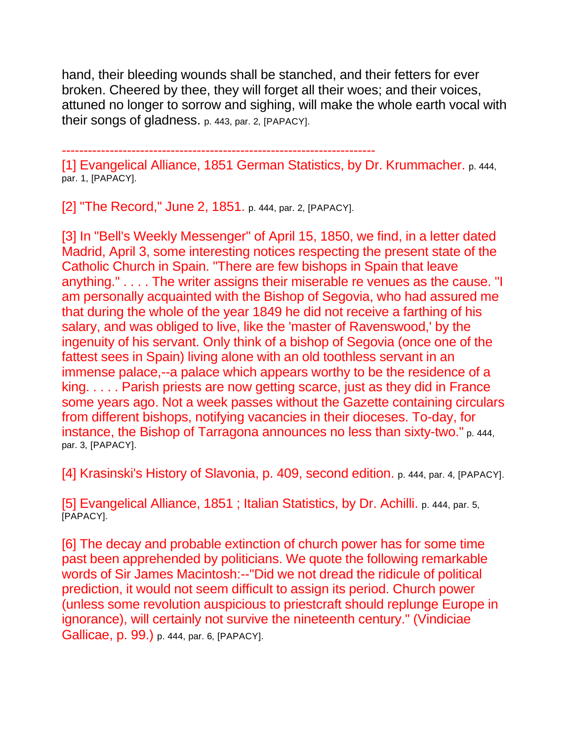hand, their bleeding wounds shall be stanched, and their fetters for ever broken. Cheered by thee, they will forget all their woes; and their voices, attuned no longer to sorrow and sighing, will make the whole earth vocal with their songs of gladness. p. 443, par. 2, [PAPACY].

------------------------------------------------------------------------

[1] Evangelical Alliance, 1851 German Statistics, by Dr. Krummacher. p. 444, par. 1, [PAPACY].

[2] "The Record," June 2, 1851. p. 444, par. 2, [PAPACY].

[3] In "Bell's Weekly Messenger" of April 15, 1850, we find, in a letter dated Madrid, April 3, some interesting notices respecting the present state of the Catholic Church in Spain. "There are few bishops in Spain that leave anything." . . . . The writer assigns their miserable re venues as the cause. "I am personally acquainted with the Bishop of Segovia, who had assured me that during the whole of the year 1849 he did not receive a farthing of his salary, and was obliged to live, like the 'master of Ravenswood,' by the ingenuity of his servant. Only think of a bishop of Segovia (once one of the fattest sees in Spain) living alone with an old toothless servant in an immense palace,--a palace which appears worthy to be the residence of a king. . . . . Parish priests are now getting scarce, just as they did in France some years ago. Not a week passes without the Gazette containing circulars from different bishops, notifying vacancies in their dioceses. To-day, for instance, the Bishop of Tarragona announces no less than sixty-two." p. 444, par. 3, [PAPACY].

[4] Krasinski's History of Slavonia, p. 409, second edition. p. 444, par. 4, [PAPACY].

[5] Evangelical Alliance, 1851 ; Italian Statistics, by Dr. Achilli. p. 444, par. 5, [PAPACY].

[6] The decay and probable extinction of church power has for some time past been apprehended by politicians. We quote the following remarkable words of Sir James Macintosh:--"Did we not dread the ridicule of political prediction, it would not seem difficult to assign its period. Church power (unless some revolution auspicious to priestcraft should replunge Europe in ignorance), will certainly not survive the nineteenth century." (Vindiciae Gallicae, p. 99.) p. 444, par. 6, [PAPACY].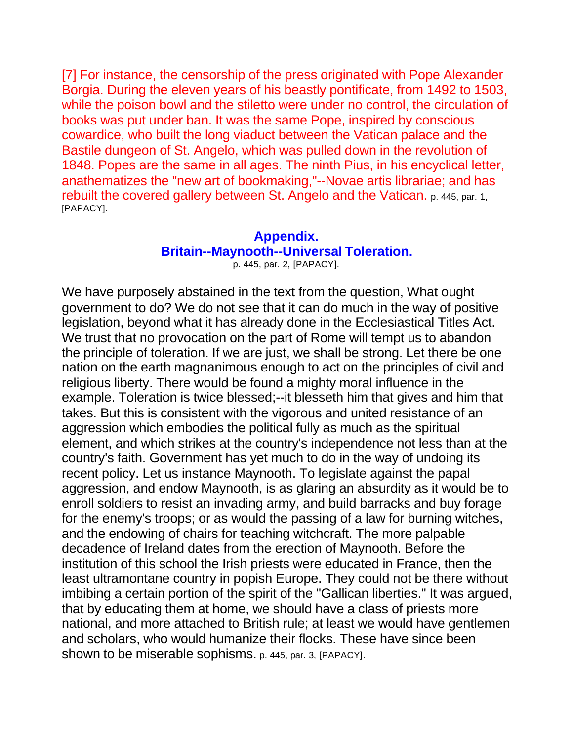[7] For instance, the censorship of the press originated with Pope Alexander Borgia. During the eleven years of his beastly pontificate, from 1492 to 1503, while the poison bowl and the stiletto were under no control, the circulation of books was put under ban. It was the same Pope, inspired by conscious cowardice, who built the long viaduct between the Vatican palace and the Bastile dungeon of St. Angelo, which was pulled down in the revolution of 1848. Popes are the same in all ages. The ninth Pius, in his encyclical letter, anathematizes the "new art of bookmaking,"--Novae artis librariae; and has rebuilt the covered gallery between St. Angelo and the Vatican. p. 445, par. 1, [PAPACY].

## **Appendix. Britain--Maynooth--Universal Toleration.**

p. 445, par. 2, [PAPACY].

We have purposely abstained in the text from the question, What ought government to do? We do not see that it can do much in the way of positive legislation, beyond what it has already done in the Ecclesiastical Titles Act. We trust that no provocation on the part of Rome will tempt us to abandon the principle of toleration. If we are just, we shall be strong. Let there be one nation on the earth magnanimous enough to act on the principles of civil and religious liberty. There would be found a mighty moral influence in the example. Toleration is twice blessed;--it blesseth him that gives and him that takes. But this is consistent with the vigorous and united resistance of an aggression which embodies the political fully as much as the spiritual element, and which strikes at the country's independence not less than at the country's faith. Government has yet much to do in the way of undoing its recent policy. Let us instance Maynooth. To legislate against the papal aggression, and endow Maynooth, is as glaring an absurdity as it would be to enroll soldiers to resist an invading army, and build barracks and buy forage for the enemy's troops; or as would the passing of a law for burning witches, and the endowing of chairs for teaching witchcraft. The more palpable decadence of Ireland dates from the erection of Maynooth. Before the institution of this school the Irish priests were educated in France, then the least ultramontane country in popish Europe. They could not be there without imbibing a certain portion of the spirit of the "Gallican liberties." It was argued, that by educating them at home, we should have a class of priests more national, and more attached to British rule; at least we would have gentlemen and scholars, who would humanize their flocks. These have since been shown to be miserable sophisms. p. 445, par. 3, [PAPACY].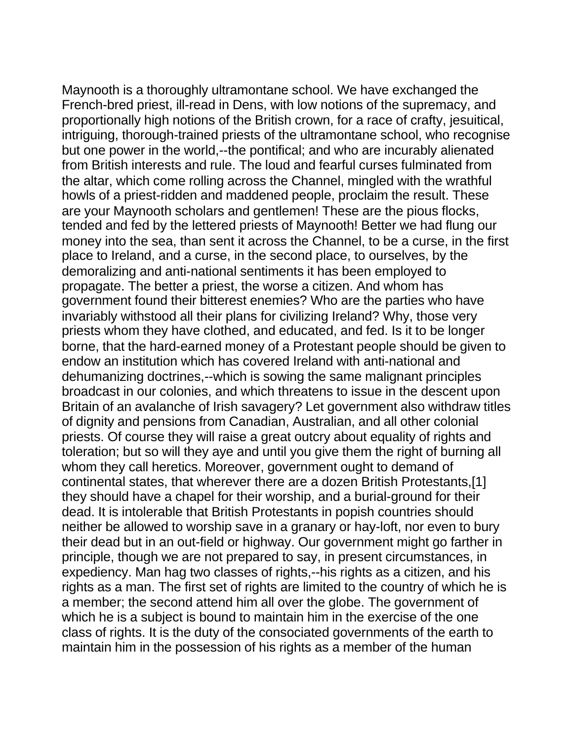Maynooth is a thoroughly ultramontane school. We have exchanged the French-bred priest, ill-read in Dens, with low notions of the supremacy, and proportionally high notions of the British crown, for a race of crafty, jesuitical, intriguing, thorough-trained priests of the ultramontane school, who recognise but one power in the world,--the pontifical; and who are incurably alienated from British interests and rule. The loud and fearful curses fulminated from the altar, which come rolling across the Channel, mingled with the wrathful howls of a priest-ridden and maddened people, proclaim the result. These are your Maynooth scholars and gentlemen! These are the pious flocks, tended and fed by the lettered priests of Maynooth! Better we had flung our money into the sea, than sent it across the Channel, to be a curse, in the first place to Ireland, and a curse, in the second place, to ourselves, by the demoralizing and anti-national sentiments it has been employed to propagate. The better a priest, the worse a citizen. And whom has government found their bitterest enemies? Who are the parties who have invariably withstood all their plans for civilizing Ireland? Why, those very priests whom they have clothed, and educated, and fed. Is it to be longer borne, that the hard-earned money of a Protestant people should be given to endow an institution which has covered Ireland with anti-national and dehumanizing doctrines,--which is sowing the same malignant principles broadcast in our colonies, and which threatens to issue in the descent upon Britain of an avalanche of Irish savagery? Let government also withdraw titles of dignity and pensions from Canadian, Australian, and all other colonial priests. Of course they will raise a great outcry about equality of rights and toleration; but so will they aye and until you give them the right of burning all whom they call heretics. Moreover, government ought to demand of continental states, that wherever there are a dozen British Protestants,[1] they should have a chapel for their worship, and a burial-ground for their dead. It is intolerable that British Protestants in popish countries should neither be allowed to worship save in a granary or hay-loft, nor even to bury their dead but in an out-field or highway. Our government might go farther in principle, though we are not prepared to say, in present circumstances, in expediency. Man hag two classes of rights,--his rights as a citizen, and his rights as a man. The first set of rights are limited to the country of which he is a member; the second attend him all over the globe. The government of which he is a subject is bound to maintain him in the exercise of the one class of rights. It is the duty of the consociated governments of the earth to maintain him in the possession of his rights as a member of the human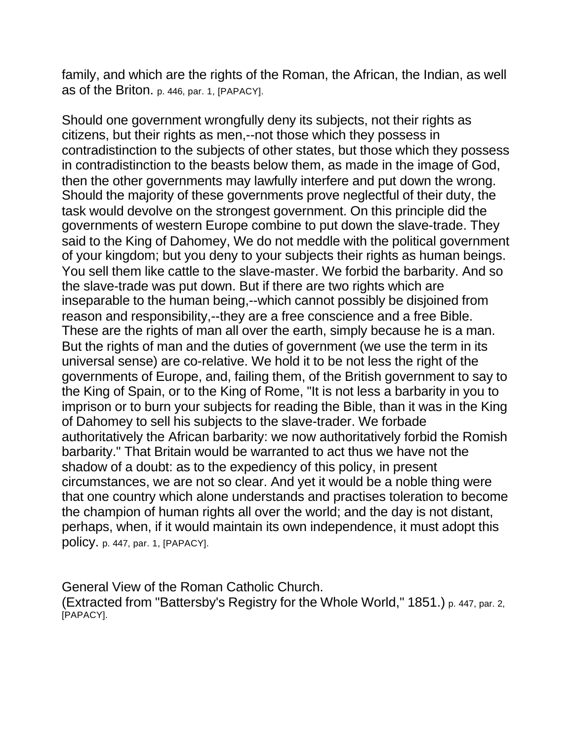family, and which are the rights of the Roman, the African, the Indian, as well as of the Briton. p. 446, par. 1, [PAPACY].

Should one government wrongfully deny its subjects, not their rights as citizens, but their rights as men,--not those which they possess in contradistinction to the subjects of other states, but those which they possess in contradistinction to the beasts below them, as made in the image of God, then the other governments may lawfully interfere and put down the wrong. Should the majority of these governments prove neglectful of their duty, the task would devolve on the strongest government. On this principle did the governments of western Europe combine to put down the slave-trade. They said to the King of Dahomey, We do not meddle with the political government of your kingdom; but you deny to your subjects their rights as human beings. You sell them like cattle to the slave-master. We forbid the barbarity. And so the slave-trade was put down. But if there are two rights which are inseparable to the human being,--which cannot possibly be disjoined from reason and responsibility,--they are a free conscience and a free Bible. These are the rights of man all over the earth, simply because he is a man. But the rights of man and the duties of government (we use the term in its universal sense) are co-relative. We hold it to be not less the right of the governments of Europe, and, failing them, of the British government to say to the King of Spain, or to the King of Rome, "It is not less a barbarity in you to imprison or to burn your subjects for reading the Bible, than it was in the King of Dahomey to sell his subjects to the slave-trader. We forbade authoritatively the African barbarity: we now authoritatively forbid the Romish barbarity." That Britain would be warranted to act thus we have not the shadow of a doubt: as to the expediency of this policy, in present circumstances, we are not so clear. And yet it would be a noble thing were that one country which alone understands and practises toleration to become the champion of human rights all over the world; and the day is not distant, perhaps, when, if it would maintain its own independence, it must adopt this policy. p. 447, par. 1, [PAPACY].

General View of the Roman Catholic Church. (Extracted from "Battersby's Registry for the Whole World," 1851.) p. 447, par. 2, [PAPACY].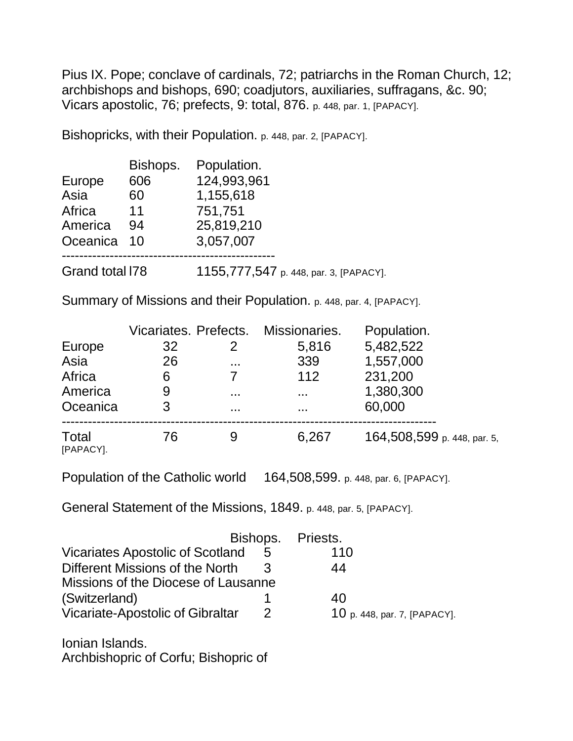Pius IX. Pope; conclave of cardinals, 72; patriarchs in the Roman Church, 12; archbishops and bishops, 690; coadjutors, auxiliaries, suffragans, &c. 90; Vicars apostolic, 76; prefects, 9: total, 876. p. 448, par. 1, [PAPACY].

Bishopricks, with their Population. p. 448, par. 2, [PAPACY].

|                 | Bishops. | Population.                            |
|-----------------|----------|----------------------------------------|
| Europe          | 606      | 124,993,961                            |
| Asia            | 60       | 1,155,618                              |
| Africa          | 11       | 751,751                                |
| America         | 94       | 25,819,210                             |
| Oceanica        | 10       | 3,057,007                              |
|                 |          |                                        |
| Grand total I78 |          | 1155,777,547 p. 448, par. 3, [PAPACY]. |

Summary of Missions and their Population. p. 448, par. 4, [PAPACY].

|                    | Vicariates. Prefects. |          | Missionaries. | Population.                 |
|--------------------|-----------------------|----------|---------------|-----------------------------|
| Europe             | 32                    | 2        | 5,816         | 5,482,522                   |
| Asia               | 26                    | $\cdots$ | 339           | 1,557,000                   |
| Africa             | 6                     |          | 112           | 231,200                     |
| America            | 9                     | .        | $\cdots$      | 1,380,300                   |
| Oceanica           | 3                     | .        | $\cdots$      | 60,000                      |
| Total<br>[PAPACY]. | 76                    | 9        | 6,267         | 164,508,599 p. 448, par. 5, |

Population of the Catholic world 164,508,599. p. 448, par. 6, [PAPACY].

General Statement of the Missions, 1849. p. 448, par. 5, [PAPACY].

|                                         | Bishops. Priests. |                              |
|-----------------------------------------|-------------------|------------------------------|
| <b>Vicariates Apostolic of Scotland</b> | 5                 | 110                          |
| Different Missions of the North         | ર                 | 44                           |
| Missions of the Diocese of Lausanne     |                   |                              |
| (Switzerland)                           |                   | 40                           |
| Vicariate-Apostolic of Gibraltar        | $\mathcal{P}$     | 10 p. 448, par. 7, [PAPACY]. |
|                                         |                   |                              |

Ionian Islands. Archbishopric of Corfu; Bishopric of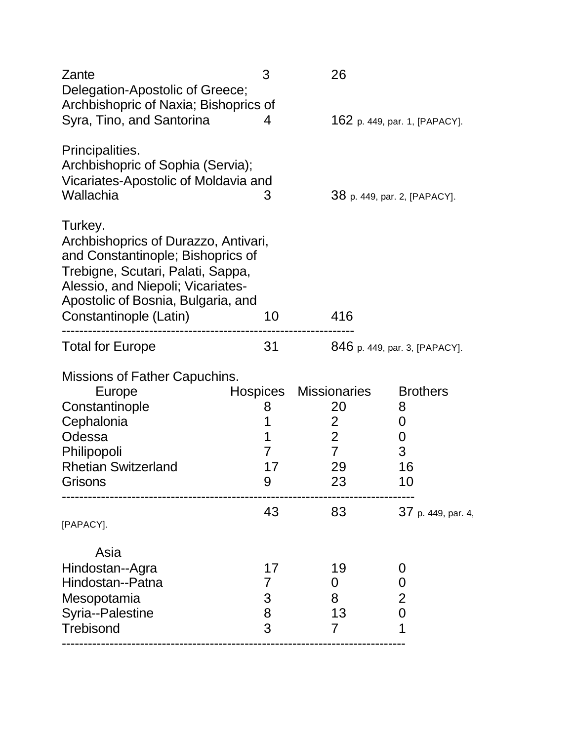| Zante<br>Delegation-Apostolic of Greece;                                                                                                                                                                                       | 3               | 26                               |                               |  |
|--------------------------------------------------------------------------------------------------------------------------------------------------------------------------------------------------------------------------------|-----------------|----------------------------------|-------------------------------|--|
| Archbishopric of Naxia; Bishoprics of<br>Syra, Tino, and Santorina                                                                                                                                                             |                 |                                  | 162 p. 449, par. 1, [PAPACY]. |  |
| Principalities.<br>Archbishopric of Sophia (Servia);<br>Vicariates-Apostolic of Moldavia and<br>Wallachia                                                                                                                      | 3               |                                  | 38 p. 449, par. 2, [PAPACY].  |  |
| Turkey.<br>Archbishoprics of Durazzo, Antivari,<br>and Constantinople; Bishoprics of<br>Trebigne, Scutari, Palati, Sappa,<br>Alessio, and Niepoli; Vicariates-<br>Apostolic of Bosnia, Bulgaria, and<br>Constantinople (Latin) | 10              | 416                              |                               |  |
| <b>Total for Europe</b>                                                                                                                                                                                                        | 31              |                                  | 846 p. 449, par. 3, [PAPACY]. |  |
| Missions of Father Capuchins.                                                                                                                                                                                                  |                 |                                  |                               |  |
| Europe                                                                                                                                                                                                                         | <b>Hospices</b> | <b>Missionaries</b>              | <b>Brothers</b>               |  |
| Constantinople                                                                                                                                                                                                                 | 8               | 20                               | 8                             |  |
| Cephalonia                                                                                                                                                                                                                     | 1               | $\overline{2}$                   | 0                             |  |
| Odessa                                                                                                                                                                                                                         | 1               | $\overline{2}$<br>$\overline{7}$ | $\boldsymbol{0}$              |  |
| Philipopoli<br><b>Rhetian Switzerland</b>                                                                                                                                                                                      | 7<br>17         |                                  | 3<br>16                       |  |
| Grisons                                                                                                                                                                                                                        | 9               | 29<br>23                         | 10                            |  |
| [PAPACY].                                                                                                                                                                                                                      | 43              | 83                               | 37 p. 449, par. 4,            |  |
| Asia                                                                                                                                                                                                                           |                 |                                  |                               |  |
| Hindostan--Agra                                                                                                                                                                                                                | 17              | 19                               | 0                             |  |
| Hindostan--Patna                                                                                                                                                                                                               | 7               | 0                                | 0                             |  |
| Mesopotamia                                                                                                                                                                                                                    | 3               | 8                                | 2                             |  |
| Syria--Palestine                                                                                                                                                                                                               | 8               | 13                               | 0                             |  |
| <b>Trebisond</b>                                                                                                                                                                                                               | 3               | $\overline{7}$                   | 1                             |  |
|                                                                                                                                                                                                                                |                 |                                  |                               |  |